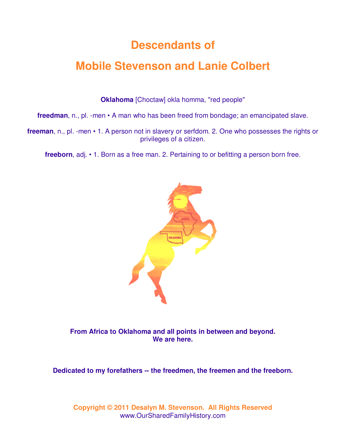# **Descendants of**

# **Mobile Stevenson and Lanie Colbert**

**Oklahoma** [Choctaw] okla homma, "red people"

**freedman**, n., pl. -men • A man who has been freed from bondage; an emancipated slave.

**freeman**, n., pl. -men • 1. A person not in slavery or serfdom. 2. One who possesses the rights or privileges of a citizen.

**freeborn**, adj. • 1. Born as a free man. 2. Pertaining to or befitting a person born free.



**From Africa to Oklahoma and all points in between and beyond. We are here.** 

**Dedicated to my forefathers -- the freedmen, the freemen and the freeborn.**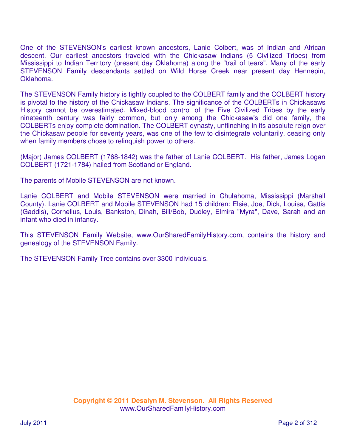One of the STEVENSON's earliest known ancestors, Lanie Colbert, was of Indian and African descent. Our earliest ancestors traveled with the Chickasaw Indians (5 Civilized Tribes) from Mississippi to Indian Territory (present day Oklahoma) along the "trail of tears". Many of the early STEVENSON Family descendants settled on Wild Horse Creek near present day Hennepin, Oklahoma.

The STEVENSON Family history is tightly coupled to the COLBERT family and the COLBERT history is pivotal to the history of the Chickasaw Indians. The significance of the COLBERTs in Chickasaws History cannot be overestimated. Mixed-blood control of the Five Civilized Tribes by the early nineteenth century was fairly common, but only among the Chickasaw's did one family, the COLBERTs enjoy complete domination. The COLBERT dynasty, unflinching in its absolute reign over the Chickasaw people for seventy years, was one of the few to disintegrate voluntarily, ceasing only when family members chose to relinquish power to others.

(Major) James COLBERT (1768-1842) was the father of Lanie COLBERT. His father, James Logan COLBERT (1721-1784) hailed from Scotland or England.

The parents of Mobile STEVENSON are not known.

Lanie COLBERT and Mobile STEVENSON were married in Chulahoma, Mississippi (Marshall County). Lanie COLBERT and Mobile STEVENSON had 15 children: Elsie, Joe, Dick, Louisa, Gattis (Gaddis), Cornelius, Louis, Bankston, Dinah, Bill/Bob, Dudley, Elmira "Myra", Dave, Sarah and an infant who died in infancy.

This STEVENSON Family Website, www.OurSharedFamilyHistory.com, contains the history and genealogy of the STEVENSON Family.

The STEVENSON Family Tree contains over 3300 individuals.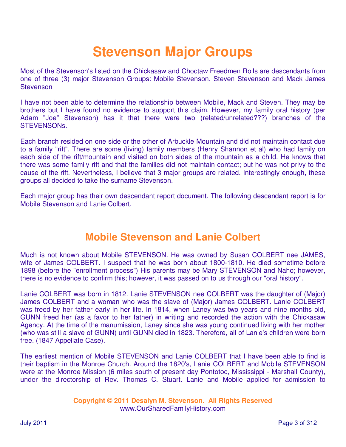# **Stevenson Major Groups**

Most of the Stevenson's listed on the Chickasaw and Choctaw Freedmen Rolls are descendants from one of three (3) major Stevenson Groups: Mobile Stevenson, Steven Stevenson and Mack James **Stevenson** 

I have not been able to determine the relationship between Mobile, Mack and Steven. They may be brothers but I have found no evidence to support this claim. However, my family oral history (per Adam "Joe" Stevenson) has it that there were two (related/unrelated???) branches of the STEVENSONs.

Each branch resided on one side or the other of Arbuckle Mountain and did not maintain contact due to a family "rift". There are some (living) family members (Henry Shannon et al) who had family on each side of the rift/mountain and visited on both sides of the mountain as a child. He knows that there was some family rift and that the families did not maintain contact; but he was not privy to the cause of the rift. Nevertheless, I believe that 3 major groups are related. Interestingly enough, these groups all decided to take the surname Stevenson.

Each major group has their own descendant report document. The following descendant report is for Mobile Stevenson and Lanie Colbert.

# **Mobile Stevenson and Lanie Colbert**

Much is not known about Mobile STEVENSON. He was owned by Susan COLBERT nee JAMES, wife of James COLBERT. I suspect that he was born about 1800-1810. He died sometime before 1898 (before the "enrollment process") His parents may be Mary STEVENSON and Naho; however, there is no evidence to confirm this; however, it was passed on to us through our "oral history".

Lanie COLBERT was born in 1812. Lanie STEVENSON nee COLBERT was the daughter of (Major) James COLBERT and a woman who was the slave of (Major) James COLBERT. Lanie COLBERT was freed by her father early in her life. In 1814, when Laney was two years and nine months old, GUNN freed her (as a favor to her father) in writing and recorded the action with the Chickasaw Agency. At the time of the manumission, Laney since she was young continued living with her mother (who was still a slave of GUNN) until GUNN died in 1823. Therefore, all of Lanie's children were born free. (1847 Appellate Case).

The earliest mention of Mobile STEVENSON and Lanie COLBERT that I have been able to find is their baptism in the Monroe Church. Around the 1820's, Lanie COLBERT and Mobile STEVENSON were at the Monroe Mission (6 miles south of present day Pontotoc, Mississippi - Marshall County), under the directorship of Rev. Thomas C. Stuart. Lanie and Mobile applied for admission to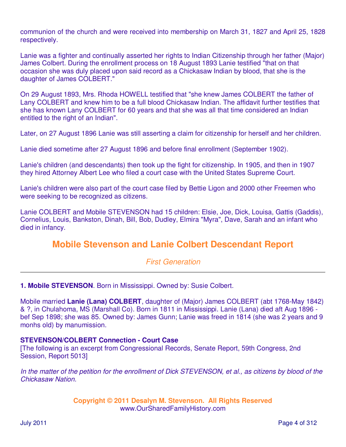communion of the church and were received into membership on March 31, 1827 and April 25, 1828 respectively.

Lanie was a fighter and continually asserted her rights to Indian Citizenship through her father (Major) James Colbert. During the enrollment process on 18 August 1893 Lanie testified "that on that occasion she was duly placed upon said record as a Chickasaw Indian by blood, that she is the daughter of James COLBERT."

On 29 August 1893, Mrs. Rhoda HOWELL testified that "she knew James COLBERT the father of Lany COLBERT and knew him to be a full blood Chickasaw Indian. The affidavit further testifies that she has known Lany COLBERT for 60 years and that she was all that time considered an Indian entitled to the right of an Indian".

Later, on 27 August 1896 Lanie was still asserting a claim for citizenship for herself and her children.

Lanie died sometime after 27 August 1896 and before final enrollment (September 1902).

Lanie's children (and descendants) then took up the fight for citizenship. In 1905, and then in 1907 they hired Attorney Albert Lee who filed a court case with the United States Supreme Court.

Lanie's children were also part of the court case filed by Bettie Ligon and 2000 other Freemen who were seeking to be recognized as citizens.

Lanie COLBERT and Mobile STEVENSON had 15 children: Elsie, Joe, Dick, Louisa, Gattis (Gaddis), Cornelius, Louis, Bankston, Dinah, Bill, Bob, Dudley, Elmira "Myra", Dave, Sarah and an infant who died in infancy.

# **Mobile Stevenson and Lanie Colbert Descendant Report**

First Generation

**1. Mobile STEVENSON**. Born in Mississippi. Owned by: Susie Colbert.

Mobile married **Lanie (Lana) COLBERT**, daughter of (Major) James COLBERT (abt 1768-May 1842) & ?, in Chulahoma, MS (Marshall Co). Born in 1811 in Mississippi. Lanie (Lana) died aft Aug 1896 bef Sep 1898; she was 85. Owned by: James Gunn; Lanie was freed in 1814 (she was 2 years and 9 monhs old) by manumission.

#### **STEVENSON/COLBERT Connection - Court Case**

[The following is an excerpt from Congressional Records, Senate Report, 59th Congress, 2nd Session, Report 5013]

In the matter of the petition for the enrollment of Dick STEVENSON, et al., as citizens by blood of the Chickasaw Nation.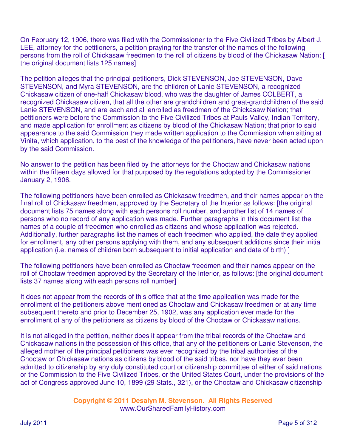On February 12, 1906, there was filed with the Commissioner to the Five Civilized Tribes by Albert J. LEE, attorney for the petitioners, a petition praying for the transfer of the names of the following persons from the roll of Chickasaw freedmen to the roll of citizens by blood of the Chickasaw Nation: [ the original document lists 125 names]

The petition alleges that the principal petitioners, Dick STEVENSON, Joe STEVENSON, Dave STEVENSON, and Myra STEVENSON, are the children of Lanie STEVENSON, a recognized Chickasaw citizen of one-half Chickasaw blood, who was the daughter of James COLBERT, a recognized Chickasaw citizen, that all the other are grandchildren and great-grandchildren of the said Lanie STEVENSON, and are each and all enrolled as freedmen of the Chickasaw Nation; that petitioners were before the Commission to the Five Civilized Tribes at Pauls Valley, Indian Territory, and made application for enrollment as citizens by blood of the Chickasaw Nation; that prior to said appearance to the said Commission they made written application to the Commission when sitting at Vinita, which application, to the best of the knowledge of the petitioners, have never been acted upon by the said Commission.

No answer to the petition has been filed by the attorneys for the Choctaw and Chickasaw nations within the fifteen days allowed for that purposed by the regulations adopted by the Commissioner January 2, 1906.

The following petitioners have been enrolled as Chickasaw freedmen, and their names appear on the final roll of Chickasaw freedmen, approved by the Secretary of the Interior as follows: [the original document lists 75 names along with each persons roll number, and another list of 14 names of persons who no record of any application was made. Further paragraphs in this document list the names of a couple of freedmen who enrolled as citizens and whose application was rejected. Additionally, further paragraphs list the names of each freedmen who applied, the date they applied for enrollment, any other persons applying with them, and any subsequent additions since their initial application (i.e. names of children born subsequent to initial application and date of birth) ]

The following petitioners have been enrolled as Choctaw freedmen and their names appear on the roll of Choctaw freedmen approved by the Secretary of the Interior, as follows: [the original document lists 37 names along with each persons roll number]

It does not appear from the records of this office that at the time application was made for the enrollment of the petitioners above mentioned as Choctaw and Chickasaw freedmen or at any time subsequent thereto and prior to December 25, 1902, was any application ever made for the enrollment of any of the petitioners as citizens by blood of the Choctaw or Chickasaw nations.

It is not alleged in the petition, neither does it appear from the tribal records of the Choctaw and Chickasaw nations in the possession of this office, that any of the petitioners or Lanie Stevenson, the alleged mother of the principal petitioners was ever recognized by the tribal authorities of the Choctaw or Chickasaw nations as citizens by blood of the said tribes, nor have they ever been admitted to citizenship by any duly constituted court or citizenship committee of either of said nations or the Commission to the Five Civilized Tribes, or the United States Court, under the provisions of the act of Congress approved June 10, 1899 (29 Stats., 321), or the Choctaw and Chickasaw citizenship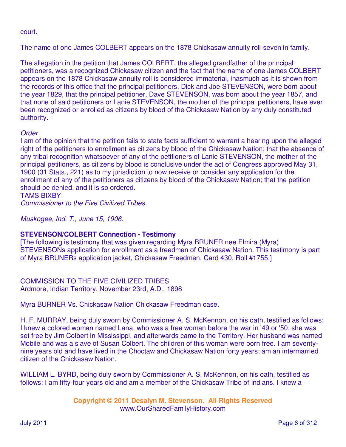#### court.

The name of one James COLBERT appears on the 1878 Chickasaw annuity roll-seven in family.

The allegation in the petition that James COLBERT, the alleged grandfather of the principal petitioners, was a recognized Chickasaw citizen and the fact that the name of one James COLBERT appears on the 1878 Chickasaw annuity roll is considered immaterial, inasmuch as it is shown from the records of this office that the principal petitioners, Dick and Joe STEVENSON, were born about the year 1829, that the principal petitioner, Dave STEVENSON, was born about the year 1857, and that none of said petitioners or Lanie STEVENSON, the mother of the principal petitioners, have ever been recognized or enrolled as citizens by blood of the Chickasaw Nation by any duly constituted authority.

#### **Order**

I am of the opinion that the petition fails to state facts sufficient to warrant a hearing upon the alleged right of the petitioners to enrollment as citizens by blood of the Chickasaw Nation; that the absence of any tribal recognition whatsoever of any of the petitioners of Lanie STEVENSON, the mother of the principal petitioners, as citizens by blood is conclusive under the act of Congress approved May 31, 1900 (31 Stats., 221) as to my jurisdiction to now receive or consider any application for the enrollment of any of the petitioners as citizens by blood of the Chickasaw Nation; that the petition should be denied, and it is so ordered.

TAMS BIXBY

Commissioner to the Five Civilized Tribes.

Muskogee, Ind. T., June 15, 1906.

#### **STEVENSON/COLBERT Connection - Testimony**

[The following is testimony that was given regarding Myra BRUNER nee Elmira (Myra) STEVENSONs application for enrollment as a freedmen of Chickasaw Nation. This testimony is part of Myra BRUNERs application jacket, Chickasaw Freedmen, Card 430, Roll #1755.]

COMMISSION TO THE FIVE CIVILIZED TRIBES Ardmore, Indian Territory, November 23rd, A.D., 1898

Myra BURNER Vs. Chickasaw Nation Chickasaw Freedman case.

H. F. MURRAY, being duly sworn by Commissioner A. S. McKennon, on his oath, testified as follows: I knew a colored woman named Lana, who was a free woman before the war in '49 or '50; she was set free by Jim Colbert in Mississippi, and afterwards came to the Territory. Her husband was named Mobile and was a slave of Susan Colbert. The children of this woman were born free. I am seventynine years old and have lived in the Choctaw and Chickasaw Nation forty years; am an intermarried citizen of the Chickasaw Nation.

WILLIAM L. BYRD, being duly sworn by Commissioner A. S. McKennon, on his oath, testified as follows: I am fifty-four years old and am a member of the Chickasaw Tribe of Indians. I knew a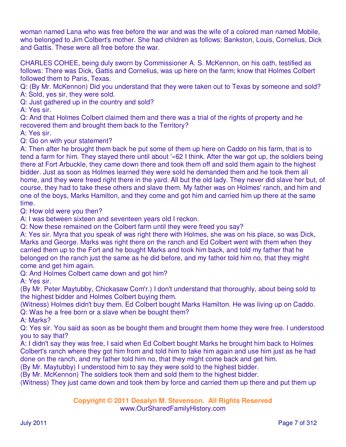woman named Lana who was free before the war and was the wife of a colored man named Mobile, who belonged to Jim Colbert's mother. She had children as follows: Bankston, Louis, Cornelius, Dick and Gattis. These were all free before the war.

CHARLES COHEE, being duly sworn by Commissioner A. S. McKennon, on his oath, testified as follows: There was Dick, Gattis and Cornelius, was up here on the farm; know that Holmes Colbert followed them to Paris, Texas.

Q: (By Mr. McKennon) Did you understand that they were taken out to Texas by someone and sold? A: Sold, yes sir, they were sold.

Q: Just gathered up in the country and sold?

A: Yes sir.

Q: And that Holmes Colbert claimed them and there was a trial of the rights of property and he recovered them and brought them back to the Territory?

A: Yes sir.

Q: Go on with your statement?

A: Then after he brought them back he put some of them up here on Caddo on his farm, that is to tend a farm for him. They stayed there until about '«62 I think. After the war got up, the soldiers being there at Fort Arbuckle, they came down there and took them off and sold them again to the highest bidder. Just as soon as Holmes learned they were sold he demanded them and he took them all home, and they were freed right there in the yard. All but the old lady. They never did slave her but, of course, they had to take these others and slave them. My father was on Holmes' ranch, and him and one of the boys, Marks Hamilton, and they come and got him and carried him up there at the same time.

Q: How old were you then?

A: I was between sixteen and seventeen years old I reckon.

Q: Now these remained on the Colbert farm until they were freed you say?

A: Yes sir. Myra that you speak of was right there with Holmes, she was on his place, so was Dick, Marks and George. Marks was right there on the ranch and Ed Colbert went with them when they carried them up to the Fort and he bought Marks and took him back, and told my father that he belonged on the ranch just the same as he did before, and my father told him no, that they might come and get him again.

Q: And Holmes Colbert came down and got him?

A: Yes sir.

(By Mr. Peter Maytubby, Chickasaw Com'r.) I don't understand that thoroughly, about being sold to the highest bidder and Holmes Colbert buying them.

(Witness) Holmes didn't buy them. Ed Colbert bought Marks Hamilton. He was living up on Caddo.

Q: Was he a free born or a slave when be bought them?

A: Marks?

Q: Yes sir. You said as soon as be bought them and brought them home they were free. I understood you to say that?

A: I didn't say they was free, I said when Ed Colbert bought Marks he brought him back to Holmes Colbert's ranch where they got him from and told him to take him again and use him just as he had done on the ranch, and my father told him no, that they might come back and get him.

(By Mr. Maytubby) I understood him to say they were sold to the highest bidder.

(By Mr. McKennon) The soldiers took them and sold them to the highest bidder.

(Witness) They just came down and took them by force and carried them up there and put them up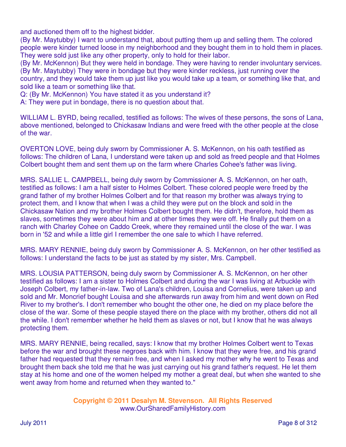and auctioned them off to the highest bidder.

(By Mr. Maytubby) I want to understand that, about putting them up and selling them. The colored people were kinder turned loose in my neighborhood and they bought them in to hold them in places. They were sold just like any other property, only to hold for their labor.

(By Mr. McKennon) But they were held in bondage. They were having to render involuntary services. (By Mr. Maytubby) They were in bondage but they were kinder reckless, just running over the country, and they would take them up just like you would take up a team, or something like that, and sold like a team or something like that.

Q: (By Mr. McKennon) You have stated it as you understand it?

A: They were put in bondage, there is no question about that.

WILLIAM L. BYRD, being recalled, testified as follows: The wives of these persons, the sons of Lana, above mentioned, belonged to Chickasaw Indians and were freed with the other people at the close of the war.

OVERTON LOVE, being duly sworn by Commissioner A. S. McKennon, on his oath testified as follows: The children of Lana, I understand were taken up and sold as freed people and that Holmes Colbert bought them and sent them up on the farm where Charles Cohee's father was living.

MRS. SALLIE L. CAMPBELL, being duly sworn by Commissioner A. S. McKennon, on her oath, testified as follows: I am a half sister to Holmes Colbert. These colored people were freed by the grand father of my brother Holmes Colbert and for that reason my brother was always trying to protect them, and I know that when I was a child they were put on the block and sold in the Chickasaw Nation and my brother Holmes Colbert bought them. He didn't, therefore, hold them as slaves, sometimes they were about him and at other times they were off. He finally put them on a ranch with Charley Cohee on Caddo Creek, where they remained until the close of the war. I was born in '52 and while a little girl I remember the one sale to which I have referred.

MRS. MARY RENNIE, being duly sworn by Commissioner A. S. McKennon, on her other testified as follows: I understand the facts to be just as stated by my sister, Mrs. Campbell.

MRS. LOUSIA PATTERSON, being duly sworn by Commissioner A. S. McKennon, on her other testified as follows: I am a sister to Holmes Colbert and during the war I was living at Arbuckle with Joseph Colbert, my father-in-law. Two of Lana's children, Louisa and Cornelius, were taken up and sold and Mr. Moncrief bought Louisa and she afterwards run away from him and went down on Red River to my brother's. I don't remember who bought the other one, he died on my place before the close of the war. Some of these people stayed there on the place with my brother, others did not all the while. I don't remember whether he held them as slaves or not, but I know that he was always protecting them.

MRS. MARY RENNIE, being recalled, says: I know that my brother Holmes Colbert went to Texas before the war and brought these negroes back with him. I know that they were free, and his grand father had requested that they remain free, and when I asked my mother why he went to Texas and brought them back she told me that he was just carrying out his grand father's request. He let them stay at his home and one of the women helped my mother a great deal, but when she wanted to she went away from home and returned when they wanted to."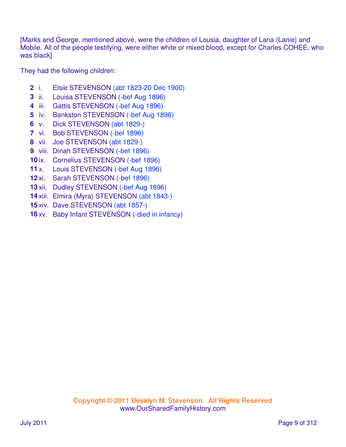[Marks and George, mentioned above, were the children of Lousia, daughter of Lana (Lanie) and Mobile. All of the people testifying, were either white or mixed blood, except for Charles COHEE, who was black]

They had the following children:

- i. Elsie STEVENSON (abt 1823-20 Dec 1900)
- ii. Louisa STEVENSON (-bef Aug 1896)
- iii. Gattis STEVENSON (-bef Aug 1896)
- iv. Bankston STEVENSON (-bef Aug 1896)
- v. Dick STEVENSON (abt 1829-)
- vi. Bob STEVENSON (-bef 1896)
- vii. Joe STEVENSON (abt 1829-)
- viii. Dinah STEVENSON (-bef 1896)
- ix. Cornelius STEVENSON (-bef 1896)
- x. Louis STEVENSON (-bef Aug 1896)
- xi. Sarah STEVENSON (-bef 1896)
- xii. Dudley STEVENSON (-bef Aug 1896)
- xiii. Elmira (Myra) STEVENSON (abt 1843-)
- xiv. Dave STEVENSON (abt 1857-)
- xv. Baby Infant STEVENSON (-died in infancy)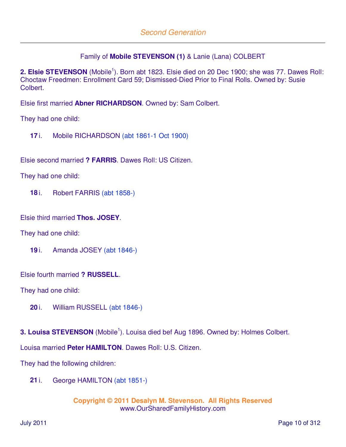# Family of **Mobile STEVENSON (1)** & Lanie (Lana) COLBERT

2. Elsie STEVENSON (Mobile<sup>1</sup>). Born abt 1823. Elsie died on 20 Dec 1900; she was 77. Dawes Roll: Choctaw Freedmen: Enrollment Card 59; Dismissed-Died Prior to Final Rolls. Owned by: Susie Colbert.

Elsie first married **Abner RICHARDSON**. Owned by: Sam Colbert.

They had one child:

**17** i. Mobile RICHARDSON (abt 1861-1 Oct 1900)

Elsie second married **? FARRIS**. Dawes Roll: US Citizen.

They had one child:

**18** i. Robert FARRIS (abt 1858-)

Elsie third married **Thos. JOSEY**.

They had one child:

**19** i. Amanda JOSEY (abt 1846-)

Elsie fourth married **? RUSSELL**.

They had one child:

**20** i. William RUSSELL (abt 1846-)

**3. Louisa STEVENSON** (Mobile<sup>1</sup>). Louisa died bef Aug 1896. Owned by: Holmes Colbert.

Louisa married **Peter HAMILTON**. Dawes Roll: U.S. Citizen.

They had the following children:

**21** i. George HAMILTON (abt 1851-)

```
Copyright © 2011 Desalyn M. Stevenson. All Rights Reserved 
 www.OurSharedFamilyHistory.com
```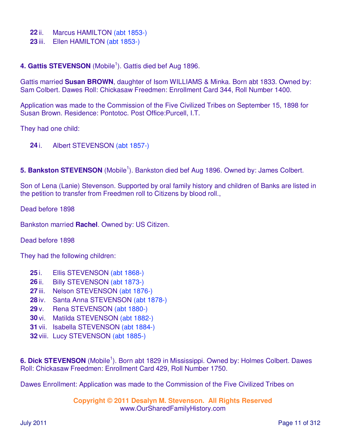- **22** ii. Marcus HAMILTON (abt 1853-)
- **23** iii. Ellen HAMILTON (abt 1853-)

# 4. Gattis STEVENSON (Mobile<sup>1</sup>). Gattis died bef Aug 1896.

Gattis married **Susan BROWN**, daughter of Isom WILLIAMS & Minka. Born abt 1833. Owned by: Sam Colbert. Dawes Roll: Chickasaw Freedmen: Enrollment Card 344, Roll Number 1400.

Application was made to the Commission of the Five Civilized Tribes on September 15, 1898 for Susan Brown. Residence: Pontotoc. Post Office:Purcell, I.T.

They had one child:

- **24** i. Albert STEVENSON (abt 1857-)
- 5. Bankston STEVENSON (Mobile<sup>1</sup>). Bankston died bef Aug 1896. Owned by: James Colbert.

Son of Lena (Lanie) Stevenson. Supported by oral family history and children of Banks are listed in the petition to transfer from Freedmen roll to Citizens by blood roll.,

Dead before 1898

Bankston married **Rachel**. Owned by: US Citizen.

Dead before 1898

They had the following children:

- **25** i. Ellis STEVENSON (abt 1868-)
- **26** ii. Billy STEVENSON (abt 1873-)
- **27** iii. Nelson STEVENSON (abt 1876-)
- **28** iv. Santa Anna STEVENSON (abt 1878-)
- **29** v. Rena STEVENSON (abt 1880-)
- **30** vi. Matilda STEVENSON (abt 1882-)
- **31** vii. Isabella STEVENSON (abt 1884-)
- **32** viii. Lucy STEVENSON (abt 1885-)

6. Dick STEVENSON (Mobile<sup>1</sup>). Born abt 1829 in Mississippi. Owned by: Holmes Colbert. Dawes Roll: Chickasaw Freedmen: Enrollment Card 429, Roll Number 1750.

Dawes Enrollment: Application was made to the Commission of the Five Civilized Tribes on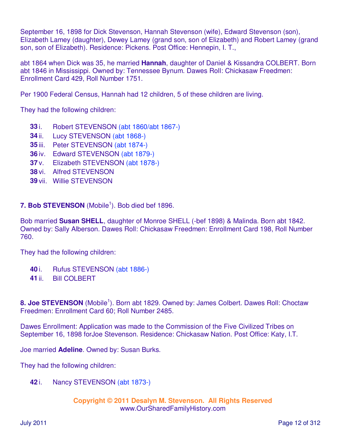September 16, 1898 for Dick Stevenson, Hannah Stevenson (wife), Edward Stevenson (son), Elizabeth Lamey (daughter), Dewey Lamey (grand son, son of Elizabeth) and Robert Lamey (grand son, son of Elizabeth). Residence: Pickens. Post Office: Hennepin, I. T.,

abt 1864 when Dick was 35, he married **Hannah**, daughter of Daniel & Kissandra COLBERT. Born abt 1846 in Mississippi. Owned by: Tennessee Bynum. Dawes Roll: Chickasaw Freedmen: Enrollment Card 429, Roll Number 1751.

Per 1900 Federal Census, Hannah had 12 children, 5 of these children are living.

They had the following children:

- **33** i. Robert STEVENSON (abt 1860/abt 1867-)
- **34** ii. Lucy STEVENSON (abt 1868-)
- **35** iii. Peter STEVENSON (abt 1874-)
- **36** iv. Edward STEVENSON (abt 1879-)
- **37** v. Elizabeth STEVENSON (abt 1878-)
- **38** vi. Alfred STEVENSON
- **39** vii. Willie STEVENSON

7. Bob STEVENSON (Mobile<sup>1</sup>). Bob died bef 1896.

Bob married **Susan SHELL**, daughter of Monroe SHELL (-bef 1898) & Malinda. Born abt 1842. Owned by: Sally Alberson. Dawes Roll: Chickasaw Freedmen: Enrollment Card 198, Roll Number 760.

They had the following children:

- **40** i. Rufus STEVENSON (abt 1886-)
- **41** ii. Bill COLBERT

8. Joe STEVENSON (Mobile<sup>1</sup>). Born abt 1829. Owned by: James Colbert. Dawes Roll: Choctaw Freedmen: Enrollment Card 60; Roll Number 2485.

Dawes Enrollment: Application was made to the Commission of the Five Civilized Tribes on September 16, 1898 forJoe Stevenson. Residence: Chickasaw Nation. Post Office: Katy, I.T.

Joe married **Adeline**. Owned by: Susan Burks.

They had the following children:

**42** i. Nancy STEVENSON (abt 1873-)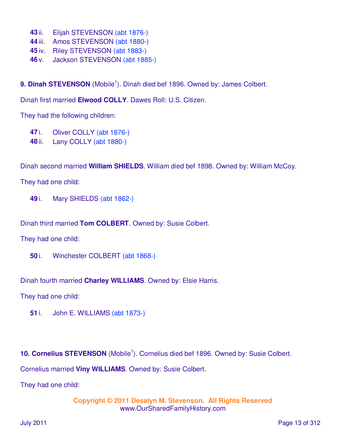- **43** ii. Elijah STEVENSON (abt 1876-)
- **44** iii. Amos STEVENSON (abt 1880-)
- **45** iv. Riley STEVENSON (abt 1883-)
- **46** v. Jackson STEVENSON (abt 1885-)

9. Dinah STEVENSON (Mobile<sup>1</sup>). Dinah died bef 1896. Owned by: James Colbert.

Dinah first married **Elwood COLLY**. Dawes Roll: U.S. Citizen.

They had the following children:

- **47** i. Oliver COLLY (abt 1876-)
- **48** ii. Lany COLLY (abt 1880-)

Dinah second married **William SHIELDS**. William died bef 1898. Owned by: William McCoy.

They had one child:

**49** i. Mary SHIELDS (abt 1862-)

Dinah third married **Tom COLBERT**. Owned by: Susie Colbert.

They had one child:

**50** i. Winchester COLBERT (abt 1868-)

Dinah fourth married **Charley WILLIAMS**. Owned by: Elsie Harris.

They had one child:

**51** i. John E. WILLIAMS (abt 1873-)

10. Cornelius STEVENSON (Mobile<sup>1</sup>). Cornelius died bef 1896. Owned by: Susie Colbert.

Cornelius married **Viny WILLIAMS**. Owned by: Susie Colbert.

They had one child: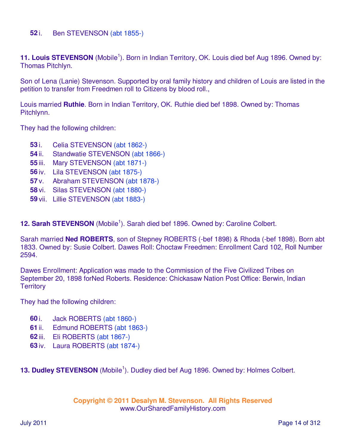### **52** i. Ben STEVENSON (abt 1855-)

11. Louis STEVENSON (Mobile<sup>1</sup>). Born in Indian Territory, OK. Louis died bef Aug 1896. Owned by: Thomas Pitchlyn.

Son of Lena (Lanie) Stevenson. Supported by oral family history and children of Louis are listed in the petition to transfer from Freedmen roll to Citizens by blood roll.,

Louis married **Ruthie**. Born in Indian Territory, OK. Ruthie died bef 1898. Owned by: Thomas Pitchlynn.

They had the following children:

- **53** i. Celia STEVENSON (abt 1862-)
- **54** ii. Standwatie STEVENSON (abt 1866-)
- **55** iii. Mary STEVENSON (abt 1871-)
- **56** iv. Lila STEVENSON (abt 1875-)
- **57** v. Abraham STEVENSON (abt 1878-)
- **58** vi. Silas STEVENSON (abt 1880-)
- **59** vii. Lillie STEVENSON (abt 1883-)

12. Sarah STEVENSON (Mobile<sup>1</sup>). Sarah died bef 1896. Owned by: Caroline Colbert.

Sarah married **Ned ROBERTS**, son of Stepney ROBERTS (-bef 1898) & Rhoda (-bef 1898). Born abt 1833. Owned by: Susie Colbert. Dawes Roll: Choctaw Freedmen: Enrollment Card 102, Roll Number 2594.

Dawes Enrollment: Application was made to the Commission of the Five Civilized Tribes on September 20, 1898 forNed Roberts. Residence: Chickasaw Nation Post Office: Berwin, Indian **Territory** 

They had the following children:

- **60** i. Jack ROBERTS (abt 1860-)
- **61** ii. Edmund ROBERTS (abt 1863-)
- **62** iii. Eli ROBERTS (abt 1867-)
- **63** iv. Laura ROBERTS (abt 1874-)

13. Dudley STEVENSON (Mobile<sup>1</sup>). Dudley died bef Aug 1896. Owned by: Holmes Colbert.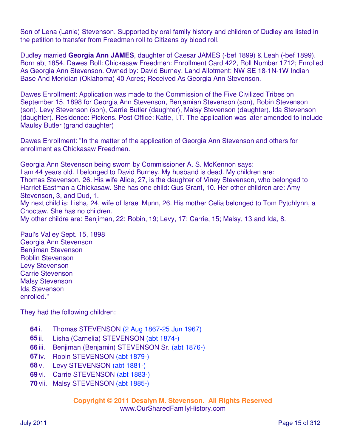Son of Lena (Lanie) Stevenson. Supported by oral family history and children of Dudley are listed in the petition to transfer from Freedmen roll to Citizens by blood roll.

Dudley married **Georgia Ann JAMES**, daughter of Caesar JAMES (-bef 1899) & Leah (-bef 1899). Born abt 1854. Dawes Roll: Chickasaw Freedmen: Enrollment Card 422, Roll Number 1712; Enrolled As Georgia Ann Stevenson. Owned by: David Burney. Land Allotment: NW SE 18-1N-1W Indian Base And Meridian (Oklahoma) 40 Acres; Received As Georgia Ann Stevenson.

Dawes Enrollment: Application was made to the Commission of the Five Civilized Tribes on September 15, 1898 for Georgia Ann Stevenson, Benjamian Stevenson (son), Robin Stevenson (son), Levy Stevenson (son), Carrie Butler (daughter), Malsy Stevenson (daughter), Ida Stevenson (daughter). Residence: Pickens. Post Office: Katie, I.T. The application was later amended to include Maulsy Butler (grand daughter)

Dawes Enrollment: "In the matter of the application of Georgia Ann Stevenson and others for enrollment as Chickasaw Freedmen.

Georgia Ann Stevenson being sworn by Commissioner A. S. McKennon says: I am 44 years old. I belonged to David Burney. My husband is dead. My children are: Thomas Stevenson, 26. His wife Alice, 27, is the daughter of Viney Stevenson, who belonged to Harriet Eastman a Chickasaw. She has one child: Gus Grant, 10. Her other children are: Amy Stevenson, 3, and Dud, 1. My next child is: Lisha, 24, wife of Israel Munn, 26. His mother Celia belonged to Tom Pytchlynn, a

Choctaw. She has no children.

My other childre are: Benjiman, 22; Robin, 19; Levy, 17; Carrie, 15; Malsy, 13 and Ida, 8.

Paul's Valley Sept. 15, 1898 Georgia Ann Stevenson Benjiman Stevenson Roblin Stevenson Levy Stevenson Carrie Stevenson Malsy Stevenson Ida Stevenson enrolled."

They had the following children:

- **64** i. Thomas STEVENSON (2 Aug 1867-25 Jun 1967)
- **65** ii. Lisha (Carnelia) STEVENSON (abt 1874-)
- **66** iii. Benjiman (Benjamin) STEVENSON Sr. (abt 1876-)
- **67** iv. Robin STEVENSON (abt 1879-)
- **68** v. Levy STEVENSON (abt 1881-)
- **69** vi. Carrie STEVENSON (abt 1883-)
- **70** vii. Malsy STEVENSON (abt 1885-)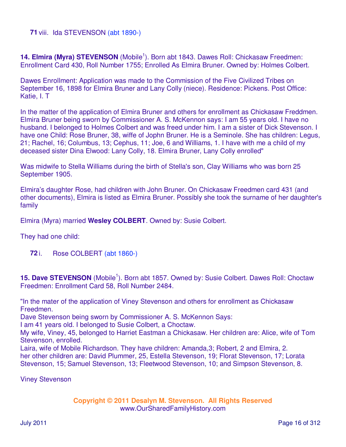#### **71** viii. Ida STEVENSON (abt 1890-)

14. Elmira (Myra) STEVENSON (Mobile<sup>1</sup>). Born abt 1843. Dawes Roll: Chickasaw Freedmen: Enrollment Card 430, Roll Number 1755; Enrolled As Elmira Bruner. Owned by: Holmes Colbert.

Dawes Enrollment: Application was made to the Commission of the Five Civilized Tribes on September 16, 1898 for Elmira Bruner and Lany Colly (niece). Residence: Pickens. Post Office: Katie, I. T

In the matter of the application of Elmira Bruner and others for enrollment as Chickasaw Freddmen. Elmira Bruner being sworn by Commissioner A. S. McKennon says: I am 55 years old. I have no husband. I belonged to Holmes Colbert and was freed under him. I am a sister of Dick Stevenson. I have one Child: Rose Bruner, 38, wiffe of Jophn Bruner. He is a Seminole. She has children: Legus, 21; Rachel, 16; Columbus, 13; Cephus, 11; Joe, 6 and Williams, 1. I have with me a child of my deceased sister Dina Elwood: Lany Colly, 18. Elmira Bruner, Lany Colly enrolled"

Was midwife to Stella Williams during the birth of Stella's son, Clay Williams who was born 25 September 1905.

Elmira's daughter Rose, had children with John Bruner. On Chickasaw Freedmen card 431 (and other documents), Elmira is listed as Elmira Bruner. Possibly she took the surname of her daughter's family

Elmira (Myra) married **Wesley COLBERT**. Owned by: Susie Colbert.

They had one child:

**72** i. Rose COLBERT (abt 1860-)

15. Dave STEVENSON (Mobile<sup>1</sup>). Born abt 1857. Owned by: Susie Colbert. Dawes Roll: Choctaw Freedmen: Enrollment Card 58, Roll Number 2484.

"In the mater of the application of Viney Stevenson and others for enrollment as Chickasaw Freedmen.

Dave Stevenson being sworn by Commissioner A. S. McKennon Says:

I am 41 years old. I belonged to Susie Colbert, a Choctaw.

My wife, Viney, 45, belonged to Harriet Eastman a Chickasaw. Her children are: Alice, wife of Tom Stevenson, enrolled.

Laira, wife of Mobile Richardson. They have children: Amanda,3; Robert, 2 and Elmira, 2. her other children are: David Plummer, 25, Estella Stevenson, 19; Florat Stevenson, 17; Lorata Stevenson, 15; Samuel Stevenson, 13; Fleetwood Stevenson, 10; and Simpson Stevenson, 8.

Viney Stevenson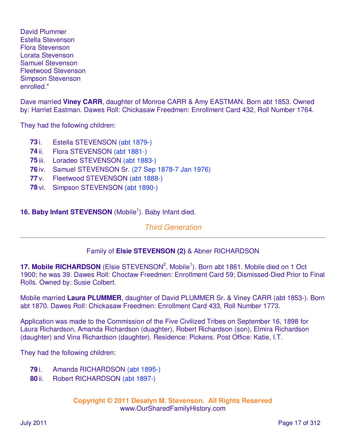David Plummer Estella Stevenson Flora Stevenson Lorata Stevenson Samuel Stevenson Fleetwood Stevenson Simpson Stevenson enrolled."

Dave married **Viney CARR**, daughter of Monroe CARR & Amy EASTMAN. Born abt 1853. Owned by: Harriet Eastman. Dawes Roll: Chickasaw Freedmen: Enrollment Card 432, Roll Number 1764.

They had the following children:

- **73** i. Estella STEVENSON (abt 1879-)
- **74** ii. Flora STEVENSON (abt 1881-)
- **75** iii. Loradeo STEVENSON (abt 1883-)
- **76** iv. Samuel STEVENSON Sr. (27 Sep 1878-7 Jan 1976)
- **77** v. Fleetwood STEVENSON (abt 1888-)
- **78** vi. Simpson STEVENSON (abt 1890-)

# 16. Baby Infant STEVENSON (Mobile<sup>1</sup>). Baby Infant died.

## Third Generation

# Family of **Elsie STEVENSON (2)** & Abner RICHARDSON

17. Mobile RICHARDSON (Elsie STEVENSON<sup>2</sup>, Mobile<sup>1</sup>). Born abt 1861. Mobile died on 1 Oct 1900; he was 39. Dawes Roll: Choctaw Freedmen: Enrollment Card 59; Dismissed-Died Prior to Final Rolls. Owned by: Susie Colbert.

Mobile married **Laura PLUMMER**, daughter of David PLUMMER Sr. & Viney CARR (abt 1853-). Born abt 1870. Dawes Roll: Chickasaw Freedmen: Enrollment Card 433, Roll Number 1773.

Application was made to the Commission of the Five Civilized Tribes on September 16, 1898 for Laura Richardson, Amanda Richardson (duaghter), Robert Richardson (son), Elmira Richardson (daughter) and Vina Richardson (daughter). Residence: Pickens. Post Office: Katie, I.T.

They had the following children:

- **79** i. Amanda RICHARDSON (abt 1895-)
- **80** ii. Robert RICHARDSON (abt 1897-)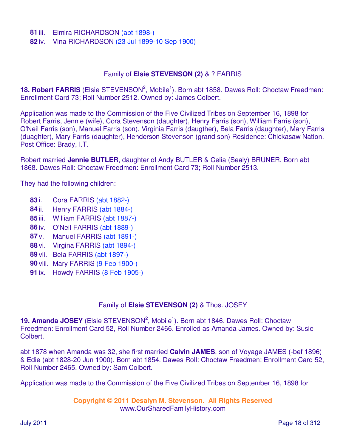#### **81** iii. Elmira RICHARDSON (abt 1898-)

**82** iv. Vina RICHARDSON (23 Jul 1899-10 Sep 1900)

#### Family of **Elsie STEVENSON (2)** & ? FARRIS

18. Robert FARRIS (Elsie STEVENSON<sup>2</sup>, Mobile<sup>1</sup>). Born abt 1858. Dawes Roll: Choctaw Freedmen: Enrollment Card 73; Roll Number 2512. Owned by: James Colbert.

Application was made to the Commission of the Five Civilized Tribes on September 16, 1898 for Robert Farris, Jennie (wife), Cora Stevenson (daughter), Henry Farris (son), William Farris (son), O'Neil Farris (son), Manuel Farris (son), Virginia Farris (daugther), Bela Farris (daughter), Mary Farris (duaghter), Mary Farris (daughter), Henderson Stevenson (grand son) Residence: Chickasaw Nation. Post Office: Brady, I.T.

Robert married **Jennie BUTLER**, daughter of Andy BUTLER & Celia (Sealy) BRUNER. Born abt 1868. Dawes Roll: Choctaw Freedmen: Enrollment Card 73; Roll Number 2513.

They had the following children:

- **83** i. Cora FARRIS (abt 1882-)
- **84** ii. Henry FARRIS (abt 1884-)
- **85** iii. William FARRIS (abt 1887-)
- **86** iv. O'Neil FARRIS (abt 1889-)
- **87** v. Manuel FARRIS (abt 1891-)
- **88** vi. Virgina FARRIS (abt 1894-)
- **89** vii. Bela FARRIS (abt 1897-)
- **90** viii. Mary FARRIS (9 Feb 1900-)
- **91** ix. Howdy FARRIS (8 Feb 1905-)

#### Family of **Elsie STEVENSON (2)** & Thos. JOSEY

19. Amanda JOSEY (Elsie STEVENSON<sup>2</sup>, Mobile<sup>1</sup>). Born abt 1846. Dawes Roll: Choctaw Freedmen: Enrollment Card 52, Roll Number 2466. Enrolled as Amanda James. Owned by: Susie Colbert.

abt 1878 when Amanda was 32, she first married **Calvin JAMES**, son of Voyage JAMES (-bef 1896) & Edie (abt 1828-20 Jun 1900). Born abt 1854. Dawes Roll: Choctaw Freedmen: Enrollment Card 52, Roll Number 2465. Owned by: Sam Colbert.

Application was made to the Commission of the Five Civilized Tribes on September 16, 1898 for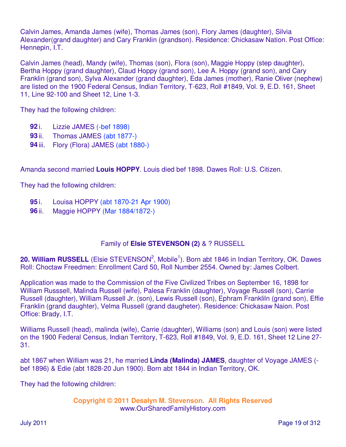Calvin James, Amanda James (wife), Thomas James (son), Flory James (daughter), Silvia Alexander(grand daughter) and Cary Franklin (grandson). Residence: Chickasaw Nation. Post Office: Hennepin, I.T.

Calvin James (head), Mandy (wife), Thomas (son), Flora (son), Maggie Hoppy (step daughter), Bertha Hoppy (grand daughter), Claud Hoppy (grand son), Lee A. Hoppy (grand son), and Cary Franklin (grand son), Sylva Alexander (grand daughter), Eda James (mother), Ranie Oliver (nephew) are listed on the 1900 Federal Census, Indian Territory, T-623, Roll #1849, Vol. 9, E.D. 161, Sheet 11, Line 92-100 and Sheet 12, Line 1-3.

They had the following children:

- **92** i. Lizzie JAMES (-bef 1898)
- **93** ii. Thomas JAMES (abt 1877-)
- **94** iii. Flory (Flora) JAMES (abt 1880-)

Amanda second married **Louis HOPPY**. Louis died bef 1898. Dawes Roll: U.S. Citizen.

They had the following children:

- **95** i. Louisa HOPPY (abt 1870-21 Apr 1900)
- **96** ii. Maggie HOPPY (Mar 1884/1872-)

# Family of **Elsie STEVENSON (2)** & ? RUSSELL

20. William RUSSELL (Elsie STEVENSON<sup>2</sup>, Mobile<sup>1</sup>). Born abt 1846 in Indian Territory, OK. Dawes Roll: Choctaw Freedmen: Enrollment Card 50, Roll Number 2554. Owned by: James Colbert.

Application was made to the Commission of the Five Civilized Tribes on September 16, 1898 for William Russsell, Malinda Russell (wife), Palesa Franklin (daughter), Voyage Russell (son), Carrie Russell (daughter), William Russell Jr. (son), Lewis Russell (son), Ephram Frankliln (grand son), Effie Franklin (grand daughter), Velma Russell (grand daugheter). Residence: Chickasaw Naion. Post Office: Brady, I.T.

Williams Russell (head), malinda (wife), Carrie (daughter), Williams (son) and Louis (son) were listed on the 1900 Federal Census, Indian Territory, T-623, Roll #1849, Vol. 9, E.D. 161, Sheet 12 Line 27- 31.

abt 1867 when William was 21, he married **Linda (Malinda) JAMES**, daughter of Voyage JAMES ( bef 1896) & Edie (abt 1828-20 Jun 1900). Born abt 1844 in Indian Territory, OK.

They had the following children: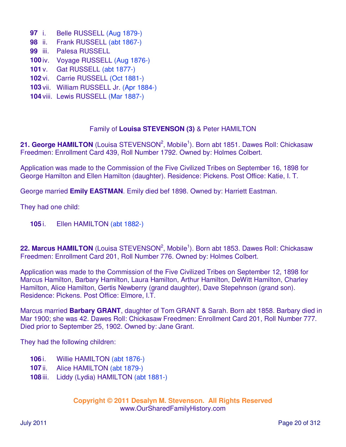- **97** i. Belle RUSSELL (Aug 1879-)
- **98** ii. Frank RUSSELL (abt 1867-)
- **99** iii. Palesa RUSSELL
- **100** iv. Voyage RUSSELL (Aug 1876-)
- **101** v. Gat RUSSELL (abt 1877-)
- **102** vi. Carrie RUSSELL (Oct 1881-)
- **103** vii. William RUSSELL Jr. (Apr 1884-)
- **104** viii. Lewis RUSSELL (Mar 1887-)

#### Family of **Louisa STEVENSON (3)** & Peter HAMILTON

21. George HAMILTON (Louisa STEVENSON<sup>2</sup>, Mobile<sup>1</sup>). Born abt 1851. Dawes Roll: Chickasaw Freedmen: Enrollment Card 439, Roll Number 1792. Owned by: Holmes Colbert.

Application was made to the Commission of the Five Civilized Tribes on September 16, 1898 for George Hamilton and Ellen Hamilton (daughter). Residence: Pickens. Post Office: Katie, I. T.

George married **Emily EASTMAN**. Emily died bef 1898. Owned by: Harriett Eastman.

They had one child:

**105** i. Ellen HAMILTON (abt 1882-)

22. Marcus HAMILTON (Louisa STEVENSON<sup>2</sup>, Mobile<sup>1</sup>). Born abt 1853. Dawes Roll: Chickasaw Freedmen: Enrollment Card 201, Roll Number 776. Owned by: Holmes Colbert.

Application was made to the Commission of the Five Civilized Tribes on September 12, 1898 for Marcus Hamilton, Barbary Hamilton, Laura Hamilton, Arthur Hamilton, DeWitt Hamilton, Charley Hamilton, Alice Hamilton, Gertis Newberry (grand daughter), Dave Stepehnson (grand son). Residence: Pickens. Post Office: Elmore, I.T.

Marcus married **Barbary GRANT**, daughter of Tom GRANT & Sarah. Born abt 1858. Barbary died in Mar 1900; she was 42. Dawes Roll: Chickasaw Freedmen: Enrollment Card 201, Roll Number 777. Died prior to September 25, 1902. Owned by: Jane Grant.

They had the following children:

- **106** i. Willie HAMILTON (abt 1876-)
- **107** ii. Alice HAMILTON (abt 1879-)
- **108** iii. Liddy (Lydia) HAMILTON (abt 1881-)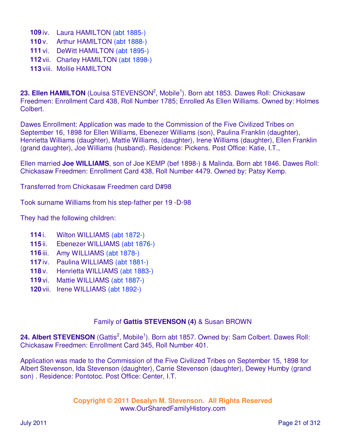- **109** iv. Laura HAMILTON (abt 1885-) **110** v. Arthur HAMILTON (abt 1888-)
- **111** vi. DeWitt HAMILTON (abt 1895-)
- **112** vii. Charley HAMILTON (abt 1898-)
- **113** viii. Mollie HAMILTON

23. Ellen HAMILTON (Louisa STEVENSON<sup>2</sup>, Mobile<sup>1</sup>). Born abt 1853. Dawes Roll: Chickasaw Freedmen: Enrollment Card 438, Roll Number 1785; Enrolled As Ellen Williams. Owned by: Holmes Colbert.

Dawes Enrollment: Application was made to the Commission of the Five Civilized Tribes on September 16, 1898 for Ellen Williams, Ebenezer Williams (son), Paulina Franklin (daughter), Henrietta Williams (daughter), Mattie Williams, (daughter), Irene Williams (daughter), Ellen Franklin (grand daughter), Joe Williams (husband). Residence: Pickens. Post Office: Katie, I.T.,

Ellen married **Joe WILLIAMS**, son of Joe KEMP (bef 1898-) & Malinda. Born abt 1846. Dawes Roll: Chickasaw Freedmen: Enrollment Card 438, Roll Number 4479. Owned by: Patsy Kemp.

Transferred from Chickasaw Freedmen card D#98

Took surname Williams from his step-father per 19 -D-98

They had the following children:

- **114** i. Wilton WILLIAMS (abt 1872-)
- **115** ii. Ebenezer WILLIAMS (abt 1876-)
- **116** iii. Amy WILLIAMS (abt 1878-)
- **117** iv. Paulina WILLIAMS (abt 1881-)
- **118** v. Henrietta WILLIAMS (abt 1883-)
- **119** vi. Mattie WILLIAMS (abt 1887-)
- **120** vii. Irene WILLIAMS (abt 1892-)

# Family of **Gattis STEVENSON (4)** & Susan BROWN

24. Albert STEVENSON (Gattis<sup>2</sup>, Mobile<sup>1</sup>). Born abt 1857. Owned by: Sam Colbert. Dawes Roll: Chickasaw Freedmen: Enrollment Card 345, Roll Number 401.

Application was made to the Commission of the Five Civilized Tribes on September 15, 1898 for Albert Stevenson, Ida Stevenson (daughter), Carrie Stevenson (daughter), Dewey Humby (grand son) . Residence: Pontotoc. Post Office: Center, I.T.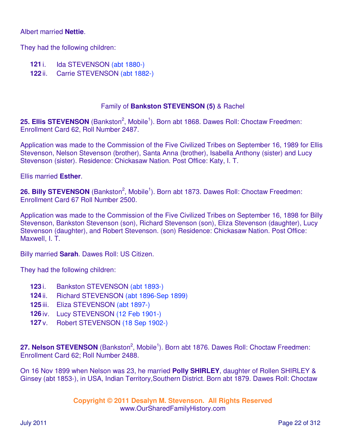#### Albert married **Nettie**.

They had the following children:

- **121** i. Ida STEVENSON (abt 1880-)
- **122** ii. Carrie STEVENSON (abt 1882-)

#### Family of **Bankston STEVENSON (5)** & Rachel

25. Ellis STEVENSON (Bankston<sup>2</sup>, Mobile<sup>1</sup>). Born abt 1868. Dawes Roll: Choctaw Freedmen: Enrollment Card 62, Roll Number 2487.

Application was made to the Commission of the Five Civilized Tribes on September 16, 1989 for Ellis Stevenson, Nelson Stevenson (brother), Santa Anna (brother), Isabella Anthony (sister) and Lucy Stevenson (sister). Residence: Chickasaw Nation. Post Office: Katy, I. T.

Ellis married **Esther**.

26. Billy STEVENSON (Bankston<sup>2</sup>, Mobile<sup>1</sup>). Born abt 1873. Dawes Roll: Choctaw Freedmen: Enrollment Card 67 Roll Number 2500.

Application was made to the Commission of the Five Civilized Tribes on September 16, 1898 for Billy Stevenson, Bankston Stevenson (son), Richard Stevenson (son), Eliza Stevenson (daughter), Lucy Stevenson (daughter), and Robert Stevenson. (son) Residence: Chickasaw Nation. Post Office: Maxwell, I. T.

Billy married **Sarah**. Dawes Roll: US Citizen.

They had the following children:

- **123** i. Bankston STEVENSON (abt 1893-)
- **124** ii. Richard STEVENSON (abt 1896-Sep 1899)
- **125** iii. Eliza STEVENSON (abt 1897-)
- **126** iv. Lucy STEVENSON (12 Feb 1901-)
- **127** v. Robert STEVENSON (18 Sep 1902-)

27. Nelson STEVENSON (Bankston<sup>2</sup>, Mobile<sup>1</sup>). Born abt 1876. Dawes Roll: Choctaw Freedmen: Enrollment Card 62; Roll Number 2488.

On 16 Nov 1899 when Nelson was 23, he married **Polly SHIRLEY**, daughter of Rollen SHIRLEY & Ginsey (abt 1853-), in USA, Indian Territory,Southern District. Born abt 1879. Dawes Roll: Choctaw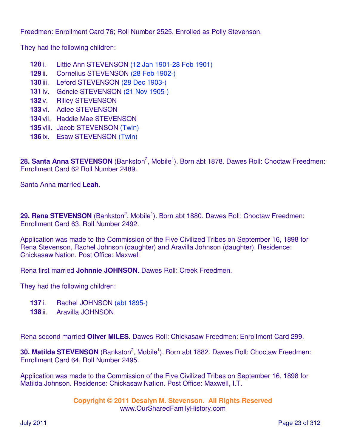Freedmen: Enrollment Card 76; Roll Number 2525. Enrolled as Polly Stevenson.

They had the following children:

- **128** i. Littie Ann STEVENSON (12 Jan 1901-28 Feb 1901)
- **129** ii. Cornelius STEVENSON (28 Feb 1902-)
- **130** iii. Leford STEVENSON (28 Dec 1903-)
- **131** iv. Gencie STEVENSON (21 Nov 1905-)
- **132** v. Rilley STEVENSON
- **133** vi. Adlee STEVENSON
- **134** vii. Haddie Mae STEVENSON
- **135** viii. Jacob STEVENSON (Twin)
- **136** ix. Esaw STEVENSON (Twin)

28. Santa Anna STEVENSON (Bankston<sup>2</sup>, Mobile<sup>1</sup>). Born abt 1878. Dawes Roll: Choctaw Freedmen: Enrollment Card 62 Roll Number 2489.

Santa Anna married **Leah**.

29. Rena STEVENSON (Bankston<sup>2</sup>, Mobile<sup>1</sup>). Born abt 1880. Dawes Roll: Choctaw Freedmen: Enrollment Card 63, Roll Number 2492.

Application was made to the Commission of the Five Civilized Tribes on September 16, 1898 for Rena Stevenson, Rachel Johnson (daughter) and Aravilla Johnson (daughter). Residence: Chickasaw Nation. Post Office: Maxwell

Rena first married **Johnnie JOHNSON**. Dawes Roll: Creek Freedmen.

They had the following children:

- **137** i. Rachel JOHNSON (abt 1895-)
- **138** ii. Aravilla JOHNSON

Rena second married **Oliver MILES**. Dawes Roll: Chickasaw Freedmen: Enrollment Card 299.

**30. Matilda STEVENSON** (Bankston<sup>2</sup>, Mobile<sup>1</sup>). Born abt 1882. Dawes Roll: Choctaw Freedmen: Enrollment Card 64, Roll Number 2495.

Application was made to the Commission of the Five Civilized Tribes on September 16, 1898 for Matilda Johnson. Residence: Chickasaw Nation. Post Office: Maxwell, I.T.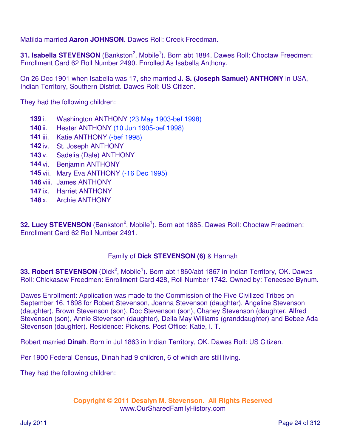Matilda married **Aaron JOHNSON**. Dawes Roll: Creek Freedman.

**31. Isabella STEVENSON** (Bankston<sup>2</sup>, Mobile<sup>1</sup>). Born abt 1884. Dawes Roll: Choctaw Freedmen: Enrollment Card 62 Roll Number 2490. Enrolled As Isabella Anthony.

On 26 Dec 1901 when Isabella was 17, she married **J. S. (Joseph Samuel) ANTHONY** in USA, Indian Territory, Southern District. Dawes Roll: US Citizen.

They had the following children:

- **139** i. Washington ANTHONY (23 May 1903-bef 1998)
- **140** ii. Hester ANTHONY (10 Jun 1905-bef 1998)
- **141** iii. Katie ANTHONY (-bef 1998)
- **142** iv. St. Joseph ANTHONY
- **143** v. Sadelia (Dale) ANTHONY
- **144** vi. Benjamin ANTHONY
- **145** vii. Mary Eva ANTHONY (-16 Dec 1995)
- **146** viii. James ANTHONY
- **147** ix. Harriet ANTHONY
- **148** x. Archie ANTHONY

32. Lucy STEVENSON (Bankston<sup>2</sup>, Mobile<sup>1</sup>). Born abt 1885. Dawes Roll: Choctaw Freedmen: Enrollment Card 62 Roll Number 2491.

# Family of **Dick STEVENSON (6)** & Hannah

33. Robert STEVENSON (Dick<sup>2</sup>, Mobile<sup>1</sup>). Born abt 1860/abt 1867 in Indian Territory, OK. Dawes Roll: Chickasaw Freedmen: Enrollment Card 428, Roll Number 1742. Owned by: Teneesee Bynum.

Dawes Enrollment: Application was made to the Commission of the Five Civilized Tribes on September 16, 1898 for Robert Stevenson, Joanna Stevenson (daughter), Angeline Stevenson (daughter), Brown Stevenson (son), Doc Stevenson (son), Chaney Stevenson (daughter, Alfred Stevenson (son), Annie Stevenson (daughter), Della May Williams (granddaughter) and Bebee Ada Stevenson (daughter). Residence: Pickens. Post Office: Katie, I. T.

Robert married **Dinah**. Born in Jul 1863 in Indian Territory, OK. Dawes Roll: US Citizen.

Per 1900 Federal Census, Dinah had 9 children, 6 of which are still living.

They had the following children: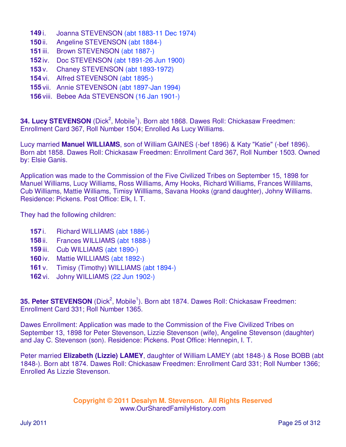- **149** i. Joanna STEVENSON (abt 1883-11 Dec 1974)
- **150** ii. Angeline STEVENSON (abt 1884-)
- **151** iii. Brown STEVENSON (abt 1887-)
- **152** iv. Doc STEVENSON (abt 1891-26 Jun 1900)
- **153** v. Chaney STEVENSON (abt 1893-1972)
- **154** vi. Alfred STEVENSON (abt 1895-)
- **155** vii. Annie STEVENSON (abt 1897-Jan 1994)
- **156** viii. Bebee Ada STEVENSON (16 Jan 1901-)

34. Lucy STEVENSON (Dick<sup>2</sup>, Mobile<sup>1</sup>). Born abt 1868. Dawes Roll: Chickasaw Freedmen: Enrollment Card 367, Roll Number 1504; Enrolled As Lucy Williams.

Lucy married **Manuel WILLIAMS**, son of William GAINES (-bef 1896) & Katy "Katie" (-bef 1896). Born abt 1858. Dawes Roll: Chickasaw Freedmen: Enrollment Card 367, Roll Number 1503. Owned by: Elsie Ganis.

Application was made to the Commission of the Five Civilized Tribes on September 15, 1898 for Manuel Williams, Lucy Williams, Ross Williams, Amy Hooks, Richard Williams, Frances Willilams, Cub Williams, Mattie Williams, Timisy Willliams, Savana Hooks (grand daughter), Johny Williams. Residence: Pickens. Post Office: Elk, I. T.

They had the following children:

- **157** i. Richard WILLIAMS (abt 1886-)
- **158** ii. Frances WILLIAMS (abt 1888-)
- **159** iii. Cub WILLIAMS (abt 1890-)
- **160** iv. Mattie WILLIAMS (abt 1892-)
- **161** v. Timisy (Timothy) WILLIAMS (abt 1894-)
- **162** vi. Johny WILLIAMS (22 Jun 1902-)

**35. Peter STEVENSON** (Dick<sup>2</sup>, Mobile<sup>1</sup>). Born abt 1874. Dawes Roll: Chickasaw Freedmen: Enrollment Card 331; Roll Number 1365.

Dawes Enrollment: Application was made to the Commission of the Five Civilized Tribes on September 13, 1898 for Peter Stevenson, Lizzie Stevenson (wife), Angeline Stevenson (daughter) and Jay C. Stevenson (son). Residence: Pickens. Post Office: Hennepin, I. T.

Peter married **Elizabeth (Lizzie) LAMEY**, daughter of William LAMEY (abt 1848-) & Rose BOBB (abt 1848-). Born abt 1874. Dawes Roll: Chickasaw Freedmen: Enrollment Card 331; Roll Number 1366; Enrolled As Lizzie Stevenson.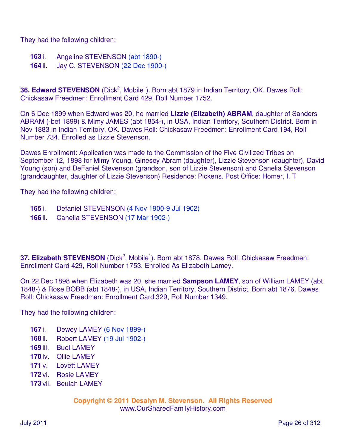They had the following children:

- **163** i. Angeline STEVENSON (abt 1890-)
- **164** ii. Jay C. STEVENSON (22 Dec 1900-)

**36. Edward STEVENSON** (Dick<sup>2</sup>, Mobile<sup>1</sup>). Born abt 1879 in Indian Territory, OK. Dawes Roll: Chickasaw Freedmen: Enrollment Card 429, Roll Number 1752.

On 6 Dec 1899 when Edward was 20, he married **Lizzie (Elizabeth) ABRAM**, daughter of Sanders ABRAM (-bef 1899) & Mimy JAMES (abt 1854-), in USA, Indian Territory, Southern District. Born in Nov 1883 in Indian Territory, OK. Dawes Roll: Chickasaw Freedmen: Enrollment Card 194, Roll Number 734. Enrolled as Lizzie Stevenson.

Dawes Enrollment: Application was made to the Commission of the Five Civilized Tribes on September 12, 1898 for Mimy Young, Ginesey Abram (daughter), Lizzie Stevenson (daughter), David Young (son) and DeFaniel Stevenson (grandson, son of Lizzie Stevenson) and Canelia Stevenson (granddaughter, daughter of Lizzie Stevenson) Residence: Pickens. Post Office: Homer, I. T

They had the following children:

- **165** i. Defaniel STEVENSON (4 Nov 1900-9 Jul 1902)
- **166** ii. Canelia STEVENSON (17 Mar 1902-)

37. Elizabeth STEVENSON (Dick<sup>2</sup>, Mobile<sup>1</sup>). Born abt 1878. Dawes Roll: Chickasaw Freedmen: Enrollment Card 429, Roll Number 1753. Enrolled As Elizabeth Lamey.

On 22 Dec 1898 when Elizabeth was 20, she married **Sampson LAMEY**, son of William LAMEY (abt 1848-) & Rose BOBB (abt 1848-), in USA, Indian Territory, Southern District. Born abt 1876. Dawes Roll: Chickasaw Freedmen: Enrollment Card 329, Roll Number 1349.

They had the following children:

- **167** i. Dewey LAMEY (6 Nov 1899-)
- **168** ii. Robert LAMEY (19 Jul 1902-)
- **169** iii. Buel LAMEY
- **170** iv. Ollie LAMEY
- **171** v. Lovett LAMEY
- **172** vi. Rosie LAMEY
- **173** vii. Beulah LAMEY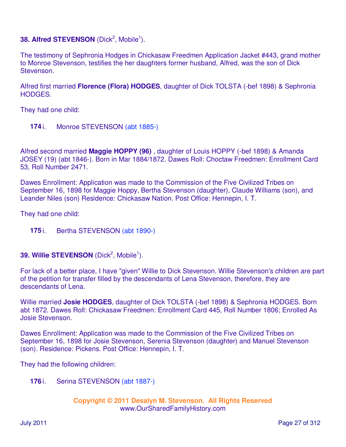# **38. Alfred STEVENSON** (Dick<sup>2</sup>, Mobile<sup>1</sup>).

The testimony of Sephronia Hodges in Chickasaw Freedmen Application Jacket #443, grand mother to Monroe Stevenson, testifies the her daughters former husband, Alfred, was the son of Dick Stevenson.

Alfred first married **Florence (Flora) HODGES**, daughter of Dick TOLSTA (-bef 1898) & Sephronia HODGES.

They had one child:

**174** i. Monroe STEVENSON (abt 1885-)

Alfred second married **Maggie HOPPY (96)** , daughter of Louis HOPPY (-bef 1898) & Amanda JOSEY (19) (abt 1846-). Born in Mar 1884/1872. Dawes Roll: Choctaw Freedmen: Enrollment Card 53, Roll Number 2471.

Dawes Enrollment: Application was made to the Commission of the Five Civilized Tribes on September 16, 1898 for Maggie Hoppy, Bertha Stevenson (daughter), Claude Williams (son), and Leander Niles (son) Residence: Chickasaw Nation. Post Office: Hennepin, I. T.

They had one child:

**175** i. Bertha STEVENSON (abt 1890-)

# **39. Willie STEVENSON** (Dick<sup>2</sup>, Mobile<sup>1</sup>).

For lack of a better place, I have "given" Willie to Dick Stevenson. Willie Stevenson's children are part of the petition for transfer filled by the descendants of Lena Stevenson, therefore, they are descendants of Lena.

Willie married **Josie HODGES**, daughter of Dick TOLSTA (-bef 1898) & Sephronia HODGES. Born abt 1872. Dawes Roll: Chickasaw Freedmen: Enrollment Card 445, Roll Number 1806; Enrolled As Josie Stevenson.

Dawes Enrollment: Application was made to the Commission of the Five Civilized Tribes on September 16, 1898 for Josie Stevenson, Serenia Stevenson (daughter) and Manuel Stevenson (son). Residence: Pickens. Post Office: Hennepin, I. T.

They had the following children:

**176** i. Serina STEVENSON (abt 1887-)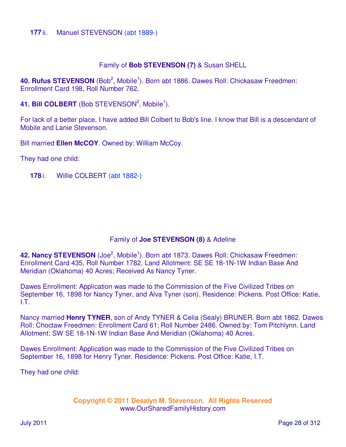#### **177** ii. Manuel STEVENSON (abt 1889-)

#### Family of **Bob STEVENSON (7)** & Susan SHELL

40. Rufus STEVENSON (Bob<sup>2</sup>, Mobile<sup>1</sup>). Born abt 1886. Dawes Roll: Chickasaw Freedmen: Enrollment Card 198, Roll Number 762.

41. Bill COLBERT (Bob STEVENSON<sup>2</sup>, Mobile<sup>1</sup>).

For lack of a better place, I have added Bill Colbert to Bob's line. I know that Bill is a descendant of Mobile and Lanie Stevenson.

Bill married **Ellen McCOY**. Owned by: William McCoy.

They had one child:

**178** i. Willie COLBERT (abt 1882-)

# Family of **Joe STEVENSON (8)** & Adeline

42. Nancy STEVENSON (Joe<sup>2</sup>, Mobile<sup>1</sup>). Born abt 1873. Dawes Roll: Chickasaw Freedmen: Enrollment Card 435, Roll Number 1782. Land Allotment: SE SE 18-1N-1W Indian Base And Meridian (Oklahoma) 40 Acres; Received As Nancy Tyner.

Dawes Enrollment: Application was made to the Commission of the Five Civilized Tribes on September 16, 1898 for Nancy Tyner, and Alva Tyner (son). Residence: Pickens. Post Office: Katie, I.T.

Nancy married **Henry TYNER**, son of Andy TYNER & Celia (Sealy) BRUNER. Born abt 1862. Dawes Roll: Choctaw Freedmen: Enrollment Card 61; Roll Number 2486. Owned by: Tom Pitchlynn. Land Allotment: SW SE 18-1N-1W Indian Base And Meridian (Oklahoma) 40 Acres.

Dawes Enrollment: Application was made to the Commission of the Five Civilized Tribes on September 16, 1898 for Henry Tyner. Residence: Pickens. Post Office: Katie, I.T.

They had one child: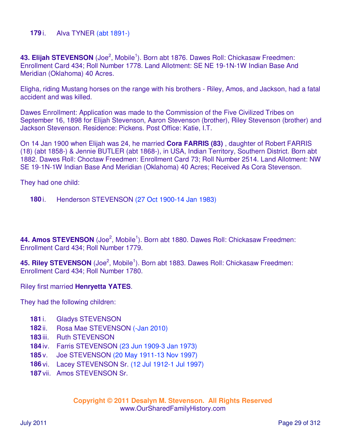#### **179** i. Alva TYNER (abt 1891-)

43. Elijah STEVENSON (Joe<sup>2</sup>, Mobile<sup>1</sup>). Born abt 1876. Dawes Roll: Chickasaw Freedmen: Enrollment Card 434; Roll Number 1778. Land Allotment: SE NE 19-1N-1W Indian Base And Meridian (Oklahoma) 40 Acres.

Eligha, riding Mustang horses on the range with his brothers - Riley, Amos, and Jackson, had a fatal accident and was killed.

Dawes Enrollment: Application was made to the Commission of the Five Civilized Tribes on September 16, 1898 for Elijah Stevenson, Aaron Stevenson (brother), Riley Stevenson (brother) and Jackson Stevenson. Residence: Pickens. Post Office: Katie, I.T.

On 14 Jan 1900 when Elijah was 24, he married **Cora FARRIS (83)** , daughter of Robert FARRIS (18) (abt 1858-) & Jennie BUTLER (abt 1868-), in USA, Indian Territory, Southern District. Born abt 1882. Dawes Roll: Choctaw Freedmen: Enrollment Card 73; Roll Number 2514. Land Allotment: NW SE 19-1N-1W Indian Base And Meridian (Oklahoma) 40 Acres; Received As Cora Stevenson.

They had one child:

**180** i. Henderson STEVENSON (27 Oct 1900-14 Jan 1983)

44. Amos STEVENSON (Joe<sup>2</sup>, Mobile<sup>1</sup>). Born abt 1880. Dawes Roll: Chickasaw Freedmen: Enrollment Card 434; Roll Number 1779.

45. Riley STEVENSON (Joe<sup>2</sup>, Mobile<sup>1</sup>). Born abt 1883. Dawes Roll: Chickasaw Freedmen: Enrollment Card 434; Roll Number 1780.

Riley first married **Henryetta YATES**.

They had the following children:

- **181** i. Gladys STEVENSON
- **182** ii. Rosa Mae STEVENSON (-Jan 2010)
- **183** iii. Ruth STEVENSON
- **184** iv. Farris STEVENSON (23 Jun 1909-3 Jan 1973)
- **185** v. Joe STEVENSON (20 May 1911-13 Nov 1997)
- **186** vi. Lacey STEVENSON Sr. (12 Jul 1912-1 Jul 1997)
- **187** vii. Amos STEVENSON Sr.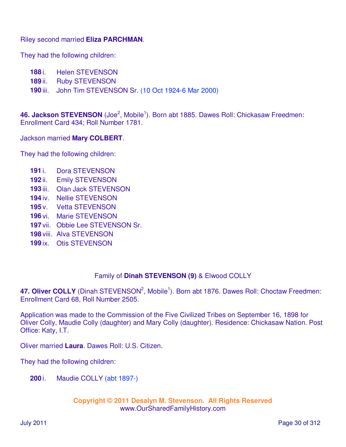Riley second married **Eliza PARCHMAN**.

They had the following children:

- **188** i. Helen STEVENSON
- **189** ii. Ruby STEVENSON
- **190** iii. John Tim STEVENSON Sr. (10 Oct 1924-6 Mar 2000)

46. Jackson STEVENSON (Joe<sup>2</sup>, Mobile<sup>1</sup>). Born abt 1885. Dawes Roll: Chickasaw Freedmen: Enrollment Card 434; Roll Number 1781.

Jackson married **Mary COLBERT**.

They had the following children:

- **191** i. Dora STEVENSON
- **192** ii. Emily STEVENSON
- **193** iii. Olan Jack STEVENSON
- **194** iv. Nellie STEVENSON
- **195** v. Vetta STEVENSON
- **196** vi. Marie STEVENSON
- **197** vii. Obbie Lee STEVENSON Sr.
- **198** viii. Alva STEVENSON
- **199** ix. Otis STEVENSON

# Family of **Dinah STEVENSON (9)** & Elwood COLLY

47. Oliver COLLY (Dinah STEVENSON<sup>2</sup>, Mobile<sup>1</sup>). Born abt 1876. Dawes Roll: Choctaw Freedmen: Enrollment Card 68, Roll Number 2505.

Application was made to the Commission of the Five Civilized Tribes on September 16, 1898 for Oliver Colly, Maudie Colly (daughter) and Mary Colly (daughter). Residence: Chickasaw Nation. Post Office: Katy, I.T.

Oliver married **Laura**. Dawes Roll: U.S. Citizen.

They had the following children:

**200** i. Maudie COLLY (abt 1897-)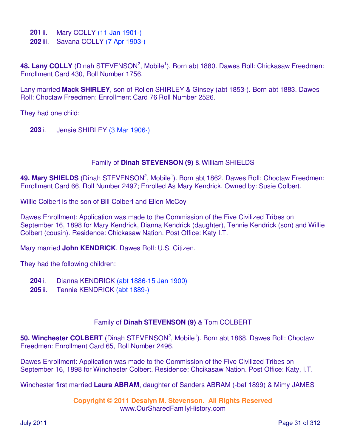**201** ii. Mary COLLY (11 Jan 1901-)

**202** iii. Savana COLLY (7 Apr 1903-)

48. Lany COLLY (Dinah STEVENSON<sup>2</sup>, Mobile<sup>1</sup>). Born abt 1880. Dawes Roll: Chickasaw Freedmen: Enrollment Card 430, Roll Number 1756.

Lany married **Mack SHIRLEY**, son of Rollen SHIRLEY & Ginsey (abt 1853-). Born abt 1883. Dawes Roll: Choctaw Freedmen: Enrollment Card 76 Roll Number 2526.

They had one child:

**203** i. Jensie SHIRLEY (3 Mar 1906-)

# Family of **Dinah STEVENSON (9)** & William SHIELDS

49. Mary SHIELDS (Dinah STEVENSON<sup>2</sup>, Mobile<sup>1</sup>). Born abt 1862. Dawes Roll: Choctaw Freedmen: Enrollment Card 66, Roll Number 2497; Enrolled As Mary Kendrick. Owned by: Susie Colbert.

Willie Colbert is the son of Bill Colbert and Ellen McCoy

Dawes Enrollment: Application was made to the Commission of the Five Civilized Tribes on September 16, 1898 for Mary Kendrick, Dianna Kendrick (daughter), Tennie Kendrick (son) and Willie Colbert (cousin). Residence: Chickasaw Nation. Post Office: Katy I.T.

Mary married **John KENDRICK**. Dawes Roll: U.S. Citizen.

They had the following children:

- **204** i. Dianna KENDRICK (abt 1886-15 Jan 1900)
- **205** ii. Tennie KENDRICK (abt 1889-)

# Family of **Dinah STEVENSON (9)** & Tom COLBERT

50. Winchester COLBERT (Dinah STEVENSON<sup>2</sup>, Mobile<sup>1</sup>). Born abt 1868. Dawes Roll: Choctaw Freedmen: Enrollment Card 65, Roll Number 2496.

Dawes Enrollment: Application was made to the Commission of the Five Civilized Tribes on September 16, 1898 for Winchester Colbert. Residence: Chcikasaw Nation. Post Office: Katy, I.T.

Winchester first married **Laura ABRAM**, daughter of Sanders ABRAM (-bef 1899) & Mimy JAMES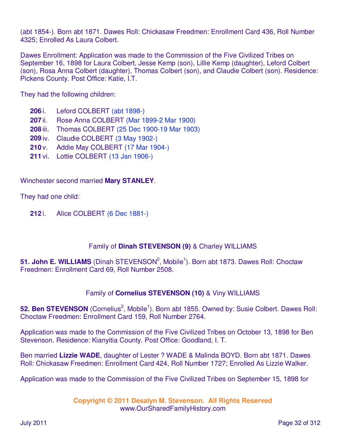(abt 1854-). Born abt 1871. Dawes Roll: Chickasaw Freedmen: Enrollment Card 436, Roll Number 4325; Enrolled As Laura Colbert.

Dawes Enrollment: Application was made to the Commission of the Five Civilized Tribes on September 16, 1898 for Laura Colbert, Jesse Kemp (son), Lillie Kemp (daughter), Leford Colbert (son), Rosa Anna Colbert (daughter), Thomas Colbert (son), and Claudie Colbert (son). Residence: Pickens County. Post Office: Katie, I.T.

They had the following children:

- **206** i. Leford COLBERT (abt 1898-)
- **207** ii. Rose Anna COLBERT (Mar 1899-2 Mar 1900)
- **208** iii. Thomas COLBERT (25 Dec 1900-19 Mar 1903)
- **209** iv. Claudie COLBERT (3 May 1902-)
- **210** v. Addie May COLBERT (17 Mar 1904-)
- **211** vi. Lottie COLBERT (13 Jan 1906-)

Winchester second married **Mary STANLEY**.

They had one child:

**212** i. Alice COLBERT (6 Dec 1881-)

# Family of **Dinah STEVENSON (9)** & Charley WILLIAMS

51. John E. WILLIAMS (Dinah STEVENSON<sup>2</sup>, Mobile<sup>1</sup>). Born abt 1873. Dawes Roll: Choctaw Freedmen: Enrollment Card 69, Roll Number 2508.

# Family of **Cornelius STEVENSON (10)** & Viny WILLIAMS

52. Ben STEVENSON (Cornelius<sup>2</sup>, Mobile<sup>1</sup>). Born abt 1855. Owned by: Susie Colbert. Dawes Roll: Choctaw Freedmen: Enrollment Card 159, Roll Number 2764.

Application was made to the Commission of the Five Civilized Tribes on October 13, 1898 for Ben Stevenson. Residence: Kianyitia County. Post Office: Goodland, I. T.

Ben married **Lizzie WADE**, daughter of Lester ? WADE & Malinda BOYD. Born abt 1871. Dawes Roll: Chickasaw Freedmen: Enrollment Card 424, Roll Number 1727; Enrolled As Lizzie Walker.

Application was made to the Commission of the Five Civilized Tribes on September 15, 1898 for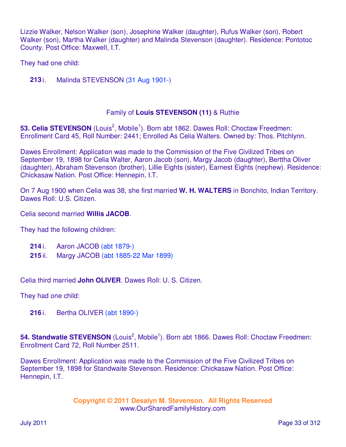Lizzie Walker, Nelson Walker (son), Josephine Walker (daughter), Rufus Walker (son), Robert Walker (son), Martha Walker (daughter) and Malinda Stevenson (daughter). Residence: Pontotoc County. Post Office: Maxwell, I.T.

They had one child:

**213** i. Malinda STEVENSON (31 Aug 1901-)

#### Family of **Louis STEVENSON (11)** & Ruthie

53. Celia STEVENSON (Louis<sup>2</sup>, Mobile<sup>1</sup>). Born abt 1862. Dawes Roll: Choctaw Freedmen: Enrollment Card 45, Roll Number: 2441; Enrolled As Celia Walters. Owned by: Thos. Pitchlynn.

Dawes Enrollment: Application was made to the Commission of the Five Civilized Tribes on September 19, 1898 for Celia Walter, Aaron Jacob (son), Margy Jacob (daughter), Berttha Oliver (daughter), Abraham Stevenson (brother), Lillie Eights (sister), Earnest Eights (nephew). Residence: Chickasaw Nation. Post Office: Hennepin, I.T.

On 7 Aug 1900 when Celia was 38, she first married **W. H. WALTERS** in Bonchito, Indian Territory. Dawes Roll: U.S. Citizen.

Celia second married **Willis JACOB**.

They had the following children:

- **214** i. Aaron JACOB (abt 1879-)
- **215** ii. Margy JACOB (abt 1885-22 Mar 1899)

Celia third married **John OLIVER**. Dawes Roll: U. S. Citizen.

They had one child:

**216** i. Bertha OLIVER (abt 1890-)

54. Standwatie STEVENSON (Louis<sup>2</sup>, Mobile<sup>1</sup>). Born abt 1866. Dawes Roll: Choctaw Freedmen: Enrollment Card 72, Roll Number 2511.

Dawes Enrollment: Application was made to the Commission of the Five Civilized Tribes on September 19, 1898 for Standwaite Stevenson. Residence: Chickasaw Nation. Post Office: Hennepin, I.T.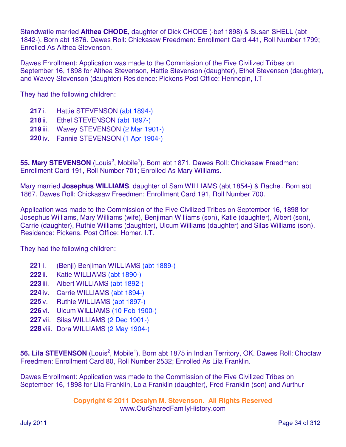Standwatie married **Althea CHODE**, daughter of Dick CHODE (-bef 1898) & Susan SHELL (abt 1842-). Born abt 1876. Dawes Roll: Chickasaw Freedmen: Enrollment Card 441, Roll Number 1799; Enrolled As Althea Stevenson.

Dawes Enrollment: Application was made to the Commission of the Five Civilized Tribes on September 16, 1898 for Althea Stevenson, Hattie Stevenson (daughter), Ethel Stevenson (daughter), and Wavey Stevenson (daughter) Residence: Pickens Post Office: Hennepin, I.T

They had the following children:

- **217** i. Hattie STEVENSON (abt 1894-)
- **218** ii. Ethel STEVENSON (abt 1897-)
- **219** iii. Wavey STEVENSON (2 Mar 1901-)
- **220** iv. Fannie STEVENSON (1 Apr 1904-)

55. Mary STEVENSON (Louis<sup>2</sup>, Mobile<sup>1</sup>). Born abt 1871. Dawes Roll: Chickasaw Freedmen: Enrollment Card 191, Roll Number 701; Enrolled As Mary Williams.

Mary married **Josephus WILLIAMS**, daughter of Sam WILLIAMS (abt 1854-) & Rachel. Born abt 1867. Dawes Roll: Chickasaw Freedmen: Enrollment Card 191, Roll Number 700.

Application was made to the Commission of the Five Civilized Tribes on September 16, 1898 for Josephus Williams, Mary Williams (wife), Benjiman Williams (son), Katie (daughter), Albert (son), Carrie (daughter), Ruthie Williams (daughter), Ulcum Williams (daughter) and Silas Williams (son). Residence: Pickens. Post Office: Homer, I.T.

They had the following children:

- **221** i. (Benji) Benjiman WILLIAMS (abt 1889-)
- **222** ii. Katie WILLIAMS (abt 1890-)
- **223** iii. Albert WILLIAMS (abt 1892-)
- **224** iv. Carrie WILLIAMS (abt 1894-)
- **225** v. Ruthie WILLIAMS (abt 1897-)
- **226** vi. Ulcum WILLIAMS (10 Feb 1900-)
- **227** vii. Silas WILLIAMS (2 Dec 1901-)
- **228** viii. Dora WILLIAMS (2 May 1904-)

56. Lila STEVENSON (Louis<sup>2</sup>, Mobile<sup>1</sup>). Born abt 1875 in Indian Territory, OK. Dawes Roll: Choctaw Freedmen: Enrollment Card 80, Roll Number 2532; Enrolled As Lila Franklin.

Dawes Enrollment: Application was made to the Commission of the Five Civilized Tribes on September 16, 1898 for Lila Franklin, Lola Franklin (daughter), Fred Franklin (son) and Aurthur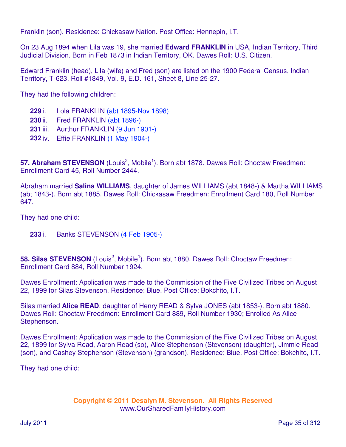Franklin (son). Residence: Chickasaw Nation. Post Office: Hennepin, I.T.

On 23 Aug 1894 when Lila was 19, she married **Edward FRANKLIN** in USA, Indian Territory, Third Judicial Division. Born in Feb 1873 in Indian Territory, OK. Dawes Roll: U.S. Citizen.

Edward Franklin (head), Lila (wife) and Fred (son) are listed on the 1900 Federal Census, Indian Territory, T-623, Roll #1849, Vol. 9, E.D. 161, Sheet 8, Line 25-27.

They had the following children:

- **229** i. Lola FRANKLIN (abt 1895-Nov 1898)
- **230** ii. Fred FRANKLIN (abt 1896-)
- **231** iii. Aurthur FRANKLIN (9 Jun 1901-)
- **232** iv. Effie FRANKLIN (1 May 1904-)

57. Abraham STEVENSON (Louis<sup>2</sup>, Mobile<sup>1</sup>). Born abt 1878. Dawes Roll: Choctaw Freedmen: Enrollment Card 45, Roll Number 2444.

Abraham married **Salina WILLIAMS**, daughter of James WILLIAMS (abt 1848-) & Martha WILLIAMS (abt 1843-). Born abt 1885. Dawes Roll: Chickasaw Freedmen: Enrollment Card 180, Roll Number 647.

They had one child:

**233** i. Banks STEVENSON (4 Feb 1905-)

58. Silas STEVENSON (Louis<sup>2</sup>, Mobile<sup>1</sup>). Born abt 1880. Dawes Roll: Choctaw Freedmen: Enrollment Card 884, Roll Number 1924.

Dawes Enrollment: Application was made to the Commission of the Five Civilized Tribes on August 22, 1899 for Silas Stevenson. Residence: Blue. Post Office: Bokchito, I.T.

Silas married **Alice READ**, daughter of Henry READ & Sylva JONES (abt 1853-). Born abt 1880. Dawes Roll: Choctaw Freedmen: Enrollment Card 889, Roll Number 1930; Enrolled As Alice Stephenson.

Dawes Enrollment: Application was made to the Commission of the Five Civilized Tribes on August 22, 1899 for Sylva Read, Aaron Read (so), Alice Stephenson (Stevenson) (daughter), Jimmie Read (son), and Cashey Stephenson (Stevenson) (grandson). Residence: Blue. Post Office: Bokchito, I.T.

They had one child: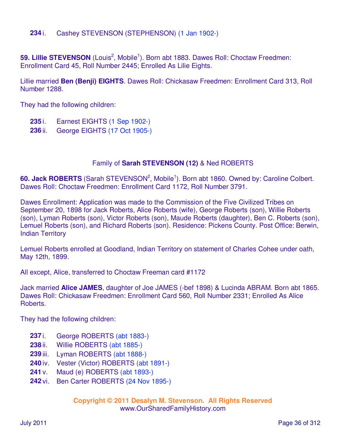**234** i. Cashey STEVENSON (STEPHENSON) (1 Jan 1902-)

59. Lillie STEVENSON (Louis<sup>2</sup>, Mobile<sup>1</sup>). Born abt 1883. Dawes Roll: Choctaw Freedmen: Enrollment Card 45, Roll Number 2445; Enrolled As Lilie Eights.

Lillie married **Ben (Benji) EIGHTS**. Dawes Roll: Chickasaw Freedmen: Enrollment Card 313, Roll Number 1288.

They had the following children:

- **235** i. Earnest EIGHTS (1 Sep 1902-)
- **236** ii. George EIGHTS (17 Oct 1905-)

#### Family of **Sarah STEVENSON (12)** & Ned ROBERTS

60. Jack ROBERTS (Sarah STEVENSON<sup>2</sup>, Mobile<sup>1</sup>). Born abt 1860. Owned by: Caroline Colbert. Dawes Roll: Choctaw Freedmen: Enrollment Card 1172, Roll Number 3791.

Dawes Enrollment: Application was made to the Commission of the Five Civilized Tribes on September 20, 1898 for Jack Roberts, Alice Roberts (wife), George Roberts (son), Willie Roberts (son), Lyman Roberts (son), Victor Roberts (son), Maude Roberts (daughter), Ben C. Roberts (son), Lemuel Roberts (son), and Richard Roberts (son). Residence: Pickens County. Post Office: Berwin, Indian Territory

Lemuel Roberts enrolled at Goodland, Indian Territory on statement of Charles Cohee under oath, May 12th, 1899.

All except, Alice, transferred to Choctaw Freeman card #1172

Jack married **Alice JAMES**, daughter of Joe JAMES (-bef 1898) & Lucinda ABRAM. Born abt 1865. Dawes Roll: Chickasaw Freedmen: Enrollment Card 560, Roll Number 2331; Enrolled As Alice Roberts.

They had the following children:

- **237** i. George ROBERTS (abt 1883-)
- **238** ii. Willie ROBERTS (abt 1885-)
- **239** iii. Lyman ROBERTS (abt 1888-)
- **240** iv. Vester (Victor) ROBERTS (abt 1891-)
- **241** v. Maud (e) ROBERTS (abt 1893-)
- **242** vi. Ben Carter ROBERTS (24 Nov 1895-)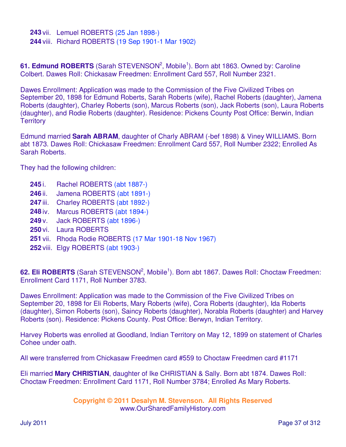**243** vii. Lemuel ROBERTS (25 Jan 1898-) **244** viii. Richard ROBERTS (19 Sep 1901-1 Mar 1902)

61. Edmund ROBERTS (Sarah STEVENSON<sup>2</sup>, Mobile<sup>1</sup>). Born abt 1863. Owned by: Caroline Colbert. Dawes Roll: Chickasaw Freedmen: Enrollment Card 557, Roll Number 2321.

Dawes Enrollment: Application was made to the Commission of the Five Civilized Tribes on September 20, 1898 for Edmund Roberts, Sarah Roberts (wife), Rachel Roberts (daughter), Jamena Roberts (daughter), Charley Roberts (son), Marcus Roberts (son), Jack Roberts (son), Laura Roberts (daughter), and Rodie Roberts (daughter). Residence: Pickens County Post Office: Berwin, Indian **Territory** 

Edmund married **Sarah ABRAM**, daughter of Charly ABRAM (-bef 1898) & Viney WILLIAMS. Born abt 1873. Dawes Roll: Chickasaw Freedmen: Enrollment Card 557, Roll Number 2322; Enrolled As Sarah Roberts.

They had the following children:

- **245** i. Rachel ROBERTS (abt 1887-)
- **246** ii. Jamena ROBERTS (abt 1891-)
- 247 iii. Charley ROBERTS (abt 1892-)
- **248** iv. Marcus ROBERTS (abt 1894-)
- **249** v. Jack ROBERTS (abt 1896-)
- **250** vi. Laura ROBERTS
- **251** vii. Rhoda Rodie ROBERTS (17 Mar 1901-18 Nov 1967)
- **252** viii. Elgy ROBERTS (abt 1903-)

62. Eli ROBERTS (Sarah STEVENSON<sup>2</sup>, Mobile<sup>1</sup>). Born abt 1867. Dawes Roll: Choctaw Freedmen: Enrollment Card 1171, Roll Number 3783.

Dawes Enrollment: Application was made to the Commission of the Five Civilized Tribes on September 20, 1898 for Eli Roberts, Mary Roberts (wife), Cora Roberts (daughter), Ida Roberts (daughter), Simon Roberts (son), Saincy Roberts (daughter), Norabla Roberts (daughter) and Harvey Roberts (son). Residence: Pickens County. Post Office: Berwyn, Indian Territory.

Harvey Roberts was enrolled at Goodland, Indian Territory on May 12, 1899 on statement of Charles Cohee under oath.

All were transferred from Chickasaw Freedmen card #559 to Choctaw Freedmen card #1171

Eli married **Mary CHRISTIAN**, daughter of Ike CHRISTIAN & Sally. Born abt 1874. Dawes Roll: Choctaw Freedmen: Enrollment Card 1171, Roll Number 3784; Enrolled As Mary Roberts.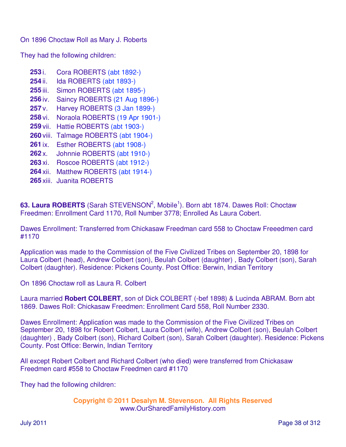On 1896 Choctaw Roll as Mary J. Roberts

They had the following children:

- **253** i. Cora ROBERTS (abt 1892-) **254** ii. Ida ROBERTS (abt 1893-) **255** iii. Simon ROBERTS (abt 1895-) **256** iv. Saincy ROBERTS (21 Aug 1896-) **257** v. Harvey ROBERTS (3 Jan 1899-) **258** vi. Noraola ROBERTS (19 Apr 1901-) **259** vii. Hattie ROBERTS (abt 1903-) **260** viii. Talmage ROBERTS (abt 1904-) **261** ix. Esther ROBERTS (abt 1908-) **262** x. Johnnie ROBERTS (abt 1910-) **263** xi. Roscoe ROBERTS (abt 1912-) **264** xii. Matthew ROBERTS (abt 1914-)
- **265** xiii. Juanita ROBERTS

63. Laura ROBERTS (Sarah STEVENSON<sup>2</sup>, Mobile<sup>1</sup>). Born abt 1874. Dawes Roll: Choctaw Freedmen: Enrollment Card 1170, Roll Number 3778; Enrolled As Laura Cobert.

Dawes Enrollment: Transferred from Chickasaw Freedman card 558 to Choctaw Freeedmen card #1170

Application was made to the Commission of the Five Civilized Tribes on September 20, 1898 for Laura Colbert (head), Andrew Colbert (son), Beulah Colbert (daughter) , Bady Colbert (son), Sarah Colbert (daughter). Residence: Pickens County. Post Office: Berwin, Indian Territory

On 1896 Choctaw roll as Laura R. Colbert

Laura married **Robert COLBERT**, son of Dick COLBERT (-bef 1898) & Lucinda ABRAM. Born abt 1869. Dawes Roll: Chickasaw Freedmen: Enrollment Card 558, Roll Number 2330.

Dawes Enrollment: Application was made to the Commission of the Five Civilized Tribes on September 20, 1898 for Robert Colbert, Laura Colbert (wife), Andrew Colbert (son), Beulah Colbert (daughter) , Bady Colbert (son), Richard Colbert (son), Sarah Colbert (daughter). Residence: Pickens County. Post Office: Berwin, Indian Territory

All except Robert Colbert and Richard Colbert (who died) were transferred from Chickasaw Freedmen card #558 to Choctaw Freedmen card #1170

They had the following children: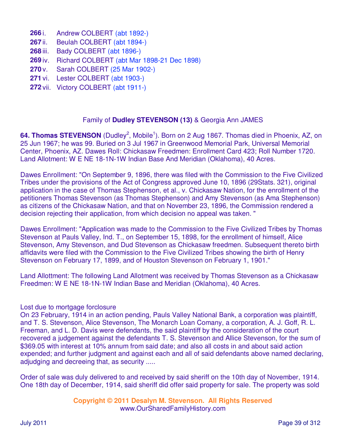- **266** i. Andrew COLBERT (abt 1892-)
- **267** ii. Beulah COLBERT (abt 1894-)
- **268** iii. Bady COLBERT (abt 1896-)
- **269** iv. Richard COLBERT (abt Mar 1898-21 Dec 1898)
- **270** v. Sarah COLBERT (25 Mar 1902-)
- **271** vi. Lester COLBERT (abt 1903-)
- **272** vii. Victory COLBERT (abt 1911-)

### Family of **Dudley STEVENSON (13)** & Georgia Ann JAMES

64. Thomas STEVENSON (Dudley<sup>2</sup>, Mobile<sup>1</sup>). Born on 2 Aug 1867. Thomas died in Phoenix, AZ, on 25 Jun 1967; he was 99. Buried on 3 Jul 1967 in Greenwood Memorial Park, Universal Memorial Center, Phoenix, AZ. Dawes Roll: Chickasaw Freedmen: Enrollment Card 423; Roll Number 1720. Land Allotment: W E NE 18-1N-1W Indian Base And Meridian (Oklahoma), 40 Acres.

Dawes Enrollment: "On September 9, 1896, there was filed with the Commission to the Five Civilized Tribes under the provisions of the Act of Congress approved June 10, 1896 (29Stats. 321), original application in the case of Thomas Stephenson, et al., v. Chickasaw Nation, for the enrollment of the petitioners Thomas Stevenson (as Thomas Stephenson) and Amy Stevenson (as Ama Stephenson) as citizens of the Chickasaw Nation, and that on November 23, 1896, the Commission rendered a decision rejecting their application, from which decision no appeal was taken. "

Dawes Enrollment: "Application was made to the Commission to the Five Civilized Tribes by Thomas Stevenson at Pauls Valley, Ind. T., on September 15, 1898, for the enrollment of himself, Alice Stevenson, Amy Stevenson, and Dud Stevenson as Chickasaw freedmen. Subsequent thereto birth affidavits were filed with the Commission to the Five Civilized Tribes showing the birth of Henry Stevenson on February 17, 1899, and of Houston Stevenson on February 1, 1901."

Land Allottment: The following Land Allotment was received by Thomas Stevenson as a Chickasaw Freedmen: W E NE 18-1N-1W Indian Base and Meridian (Oklahoma), 40 Acres.

#### Lost due to mortgage forclosure

On 23 February, 1914 in an action pending, Pauls Valley National Bank, a corporation was plaintiff, and T. S. Stevenson, Alice Stevenson, The Monarch Loan Comany, a corporation, A. J. Goff, R. L. Freeman, and L. D. Davis were defendants, the said plaintiff by the consideration of the court recovered a judgement against the defendants T. S. Stevenson and Allice Stevenson, for the sum of \$369.05 with interest at 10% annum from said date; and also all costs in and about said action expended; and further judgment and against each and all of said defendants above named declaring, adjudging and decreeing that, as security .....

Order of sale was duly delivered to and received by said sheriff on the 10th day of November, 1914. One 18th day of December, 1914, said sheriff did offer said property for sale. The property was sold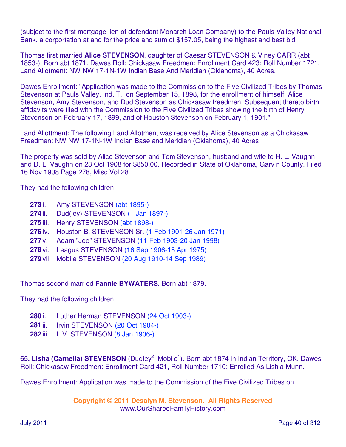(subject to the first mortgage lien of defendant Monarch Loan Company) to the Pauls Valley National Bank, a corportation at and for the price and sum of \$157.05, being the highest and best bid

Thomas first married **Alice STEVENSON**, daughter of Caesar STEVENSON & Viney CARR (abt 1853-). Born abt 1871. Dawes Roll: Chickasaw Freedmen: Enrollment Card 423; Roll Number 1721. Land Allotment: NW NW 17-1N-1W Indian Base And Meridian (Oklahoma), 40 Acres.

Dawes Enrollment: "Application was made to the Commission to the Five Civilized Tribes by Thomas Stevenson at Pauls Valley, Ind. T., on September 15, 1898, for the enrollment of himself, Alice Stevenson, Amy Stevenson, and Dud Stevenson as Chickasaw freedmen. Subsequent thereto birth affidavits were filed with the Commission to the Five Civilized Tribes showing the birth of Henry Stevenson on February 17, 1899, and of Houston Stevenson on February 1, 1901."

Land Allottment: The following Land Allotment was received by Alice Stevenson as a Chickasaw Freedmen: NW NW 17-1N-1W Indian Base and Meridian (Oklahoma), 40 Acres

The property was sold by Alice Stevenson and Tom Stevenson, husband and wife to H. L. Vaughn and D. L. Vaughn on 28 Oct 1908 for \$850.00. Recorded in State of Oklahoma, Garvin County. Filed 16 Nov 1908 Page 278, Misc Vol 28

They had the following children:

- **273** i. Amy STEVENSON (abt 1895-)
- **274** ii. Dud(ley) STEVENSON (1 Jan 1897-)
- **275** iii. Henry STEVENSON (abt 1898-)
- **276** iv. Houston B. STEVENSON Sr. (1 Feb 1901-26 Jan 1971)
- **277** v. Adam "Joe" STEVENSON (11 Feb 1903-20 Jan 1998)
- **278** vi. Leagus STEVENSON (16 Sep 1906-18 Apr 1975)
- **279** vii. Mobile STEVENSON (20 Aug 1910-14 Sep 1989)

Thomas second married **Fannie BYWATERS**. Born abt 1879.

They had the following children:

- **280** i. Luther Herman STEVENSON (24 Oct 1903-)
- **281** ii. Irvin STEVENSON (20 Oct 1904-)
- **282** iii. I. V. STEVENSON (8 Jan 1906-)

65. Lisha (Carnelia) STEVENSON (Dudley<sup>2</sup>, Mobile<sup>1</sup>). Born abt 1874 in Indian Territory, OK. Dawes Roll: Chickasaw Freedmen: Enrollment Card 421, Roll Number 1710; Enrolled As Lishia Munn.

Dawes Enrollment: Application was made to the Commission of the Five Civilized Tribes on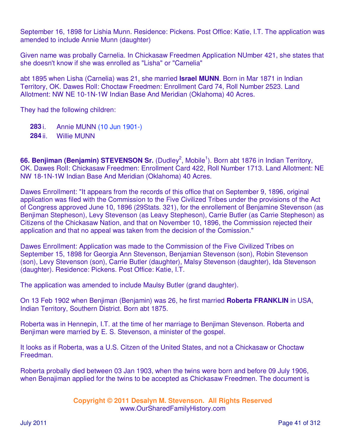September 16, 1898 for Lishia Munn. Residence: Pickens. Post Office: Katie, I.T. The application was amended to include Annie Munn (daughter)

Given name was probally Carnelia. In Chickasaw Freedmen Application NUmber 421, she states that she doesn't know if she was enrolled as "Lisha" or "Carnelia"

abt 1895 when Lisha (Carnelia) was 21, she married **Israel MUNN**. Born in Mar 1871 in Indian Territory, OK. Dawes Roll: Choctaw Freedmen: Enrollment Card 74, Roll Number 2523. Land Allotment: NW NE 10-1N-1W Indian Base And Meridian (Oklahoma) 40 Acres.

They had the following children:

**283** i. Annie MUNN (10 Jun 1901-) **284** ii. Willie MUNN

66. Benjiman (Benjamin) STEVENSON Sr. (Dudley<sup>2</sup>, Mobile<sup>1</sup>). Born abt 1876 in Indian Territory, OK. Dawes Roll: Chickasaw Freedmen: Enrollment Card 422, Roll Number 1713. Land Allotment: NE NW 18-1N-1W Indian Base And Meridian (Oklahoma) 40 Acres.

Dawes Enrollment: "It appears from the records of this office that on September 9, 1896, original application was filed with the Commission to the Five Civilized Tribes under the provisions of the Act of Congress approved June 10, 1896 (29Stats. 321), for the enrollement of Benjamine Stevenson (as Benjiman Stepheson), Levy Stevenson (as Leavy Stepheson), Carrie Butler (as Carrie Stepheson) as Citizens of the Chickasaw Nation, and that on November 10, 1896, the Commission rejected their application and that no appeal was taken from the decision of the Comission."

Dawes Enrollment: Application was made to the Commission of the Five Civilized Tribes on September 15, 1898 for Georgia Ann Stevenson, Benjamian Stevenson (son), Robin Stevenson (son), Levy Stevenson (son), Carrie Butler (daughter), Malsy Stevenson (daughter), Ida Stevenson (daughter). Residence: Pickens. Post Office: Katie, I.T.

The application was amended to include Maulsy Butler (grand daughter).

On 13 Feb 1902 when Benjiman (Benjamin) was 26, he first married **Roberta FRANKLIN** in USA, Indian Territory, Southern District. Born abt 1875.

Roberta was in Hennepin, I.T. at the time of her marriage to Benjiman Stevenson. Roberta and Benjiman were married by E. S. Stevenson, a minister of the gospel.

It looks as if Roberta, was a U.S. Citzen of the United States, and not a Chickasaw or Choctaw Freedman.

Roberta probally died between 03 Jan 1903, when the twins were born and before 09 July 1906, when Benajiman applied for the twins to be accepted as Chickasaw Freedmen. The document is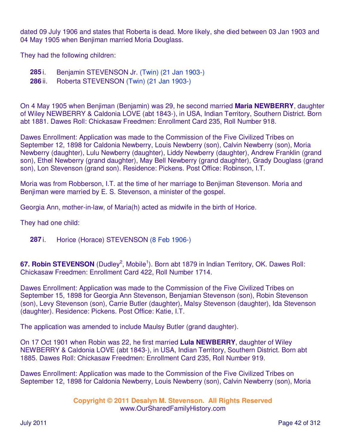dated 09 July 1906 and states that Roberta is dead. More likely, she died between 03 Jan 1903 and 04 May 1905 when Benjiman married Moria Douglass.

They had the following children:

**285** i. Benjamin STEVENSON Jr. (Twin) (21 Jan 1903-)

**286** ii. Roberta STEVENSON (Twin) (21 Jan 1903-)

On 4 May 1905 when Benjiman (Benjamin) was 29, he second married **Maria NEWBERRY**, daughter of Wiley NEWBERRY & Caldonia LOVE (abt 1843-), in USA, Indian Territory, Southern District. Born abt 1881. Dawes Roll: Chickasaw Freedmen: Enrollment Card 235, Roll Number 918.

Dawes Enrollment: Application was made to the Commission of the Five Civilized Tribes on September 12, 1898 for Caldonia Newberry, Louis Newberry (son), Calvin Newberry (son), Moria Newberry (daughter), Lulu Newberry (daughter), Liddy Newberry (daughter), Andrew Franklin (grand son), Ethel Newberry (grand daughter), May Bell Newberry (grand daughter), Grady Douglass (grand son), Lon Stevenson (grand son). Residence: Pickens. Post Office: Robinson, I.T.

Moria was from Robberson, I.T. at the time of her marriage to Benjiman Stevenson. Moria and Benjiman were married by E. S. Stevenson, a minister of the gospel.

Georgia Ann, mother-in-law, of Maria(h) acted as midwife in the birth of Horice.

They had one child:

**287** i. Horice (Horace) STEVENSON (8 Feb 1906-)

67. Robin STEVENSON (Dudley<sup>2</sup>, Mobile<sup>1</sup>). Born abt 1879 in Indian Territory, OK. Dawes Roll: Chickasaw Freedmen: Enrollment Card 422, Roll Number 1714.

Dawes Enrollment: Application was made to the Commission of the Five Civilized Tribes on September 15, 1898 for Georgia Ann Stevenson, Benjamian Stevenson (son), Robin Stevenson (son), Levy Stevenson (son), Carrie Butler (daughter), Malsy Stevenson (daughter), Ida Stevenson (daughter). Residence: Pickens. Post Office: Katie, I.T.

The application was amended to include Maulsy Butler (grand daughter).

On 17 Oct 1901 when Robin was 22, he first married **Lula NEWBERRY**, daughter of Wiley NEWBERRY & Caldonia LOVE (abt 1843-), in USA, Indian Territory, Southern District. Born abt 1885. Dawes Roll: Chickasaw Freedmen: Enrollment Card 235, Roll Number 919.

Dawes Enrollment: Application was made to the Commission of the Five Civilized Tribes on September 12, 1898 for Caldonia Newberry, Louis Newberry (son), Calvin Newberry (son), Moria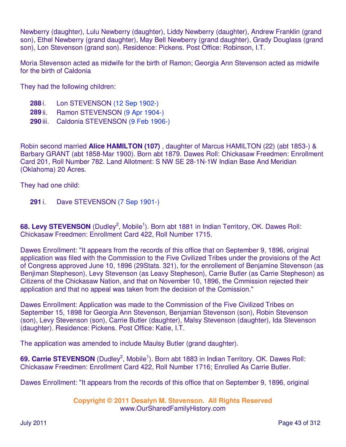Newberry (daughter), Lulu Newberry (daughter), Liddy Newberry (daughter), Andrew Franklin (grand son), Ethel Newberry (grand daughter), May Bell Newberry (grand daughter), Grady Douglass (grand son), Lon Stevenson (grand son). Residence: Pickens. Post Office: Robinson, I.T.

Moria Stevenson acted as midwife for the birth of Ramon; Georgia Ann Stevenson acted as midwife for the birth of Caldonia

They had the following children:

- **288** i. Lon STEVENSON (12 Sep 1902-)
- **289** ii. Ramon STEVENSON (9 Apr 1904-)
- **290** iii. Caldonia STEVENSON (9 Feb 1906-)

Robin second married **Alice HAMILTON (107)** , daughter of Marcus HAMILTON (22) (abt 1853-) & Barbary GRANT (abt 1858-Mar 1900). Born abt 1879. Dawes Roll: Chickasaw Freedmen: Enrollment Card 201, Roll Number 782. Land Allotment: S NW SE 28-1N-1W Indian Base And Meridian (Oklahoma) 20 Acres.

They had one child:

**291** i. Dave STEVENSON (7 Sep 1901-)

68. Levy STEVENSON (Dudley<sup>2</sup>, Mobile<sup>1</sup>). Born abt 1881 in Indian Territory, OK. Dawes Roll: Chickasaw Freedmen: Enrollment Card 422, Roll Number 1715.

Dawes Enrollment: "It appears from the records of this office that on September 9, 1896, original application was filed with the Commission to the Five Civilized Tribes under the provisions of the Act of Congress approved June 10, 1896 (29Stats. 321), for the enrollement of Benjamine Stevenson (as Benjiman Stepheson), Levy Stevenson (as Leavy Stepheson), Carrie Butler (as Carrie Stepheson) as Citizens of the Chickasaw Nation, and that on November 10, 1896, the Cmmission rejected their application and that no appeal was taken from the decision of the Comission."

Dawes Enrollment: Application was made to the Commission of the Five Civilized Tribes on September 15, 1898 for Georgia Ann Stevenson, Benjamian Stevenson (son), Robin Stevenson (son), Levy Stevenson (son), Carrie Butler (daughter), Malsy Stevenson (daughter), Ida Stevenson (daughter). Residence: Pickens. Post Office: Katie, I.T.

The application was amended to include Maulsy Butler (grand daughter).

69. Carrie STEVENSON (Dudley<sup>2</sup>, Mobile<sup>1</sup>). Born abt 1883 in Indian Territory. OK. Dawes Roll: Chickasaw Freedmen: Enrollment Card 422, Roll Number 1716; Enrolled As Carrie Butler.

Dawes Enrollment: "It appears from the records of this office that on September 9, 1896, original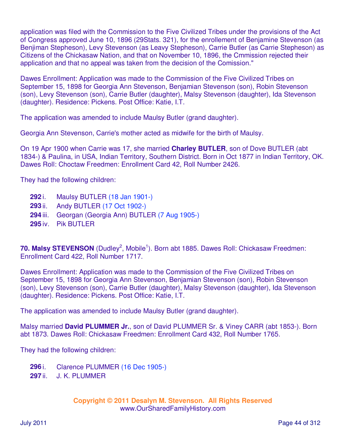application was filed with the Commission to the Five Civilized Tribes under the provisions of the Act of Congress approved June 10, 1896 (29Stats. 321), for the enrollement of Benjamine Stevenson (as Benjiman Stepheson), Levy Stevenson (as Leavy Stepheson), Carrie Butler (as Carrie Stepheson) as Citizens of the Chickasaw Nation, and that on November 10, 1896, the Cmmission rejected their application and that no appeal was taken from the decision of the Comission."

Dawes Enrollment: Application was made to the Commission of the Five Civilized Tribes on September 15, 1898 for Georgia Ann Stevenson, Benjamian Stevenson (son), Robin Stevenson (son), Levy Stevenson (son), Carrie Butler (daughter), Malsy Stevenson (daughter), Ida Stevenson (daughter). Residence: Pickens. Post Office: Katie, I.T.

The application was amended to include Maulsy Butler (grand daughter).

Georgia Ann Stevenson, Carrie's mother acted as midwife for the birth of Maulsy.

On 19 Apr 1900 when Carrie was 17, she married **Charley BUTLER**, son of Dove BUTLER (abt 1834-) & Paulina, in USA, Indian Territory, Southern District. Born in Oct 1877 in Indian Territory, OK. Dawes Roll: Choctaw Freedmen: Enrollment Card 42, Roll Number 2426.

They had the following children:

- **292** i. Maulsy BUTLER (18 Jan 1901-)
- **293** ii. Andy BUTLER (17 Oct 1902-)
- **294** iii. Georgan (Georgia Ann) BUTLER (7 Aug 1905-)
- **295** iv. Pik BUTLER

70. Malsy STEVENSON (Dudley<sup>2</sup>, Mobile<sup>1</sup>). Born abt 1885. Dawes Roll: Chickasaw Freedmen: Enrollment Card 422, Roll Number 1717.

Dawes Enrollment: Application was made to the Commission of the Five Civilized Tribes on September 15, 1898 for Georgia Ann Stevenson, Benjamian Stevenson (son), Robin Stevenson (son), Levy Stevenson (son), Carrie Butler (daughter), Malsy Stevenson (daughter), Ida Stevenson (daughter). Residence: Pickens. Post Office: Katie, I.T.

The application was amended to include Maulsy Butler (grand daughter).

Malsy married **David PLUMMER Jr.**, son of David PLUMMER Sr. & Viney CARR (abt 1853-). Born abt 1873. Dawes Roll: Chickasaw Freedmen: Enrollment Card 432, Roll Number 1765.

They had the following children:

- **296** i. Clarence PLUMMER (16 Dec 1905-)
- **297** ii. J. K. PLUMMER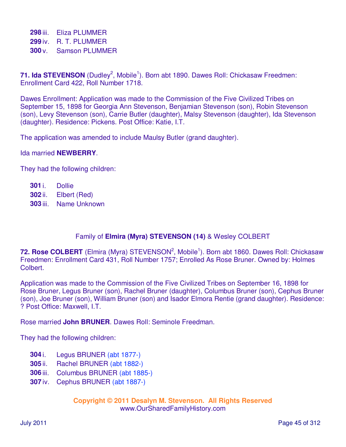**298** iii. Eliza PLUMMER **299** iv. R. T. PLUMMER **300** v. Samson PLUMMER

71. Ida STEVENSON (Dudley<sup>2</sup>, Mobile<sup>1</sup>). Born abt 1890. Dawes Roll: Chickasaw Freedmen: Enrollment Card 422, Roll Number 1718.

Dawes Enrollment: Application was made to the Commission of the Five Civilized Tribes on September 15, 1898 for Georgia Ann Stevenson, Benjamian Stevenson (son), Robin Stevenson (son), Levy Stevenson (son), Carrie Butler (daughter), Malsy Stevenson (daughter), Ida Stevenson (daughter). Residence: Pickens. Post Office: Katie, I.T.

The application was amended to include Maulsy Butler (grand daughter).

### Ida married **NEWBERRY**.

They had the following children:

**301** i. Dollie **302** ii. Elbert (Red) **303** iii. Name Unknown

# Family of **Elmira (Myra) STEVENSON (14)** & Wesley COLBERT

72. Rose COLBERT (Elmira (Myra) STEVENSON<sup>2</sup>, Mobile<sup>1</sup>). Born abt 1860. Dawes Roll: Chickasaw Freedmen: Enrollment Card 431, Roll Number 1757; Enrolled As Rose Bruner. Owned by: Holmes Colbert.

Application was made to the Commission of the Five Civilized Tribes on September 16, 1898 for Rose Bruner, Legus Bruner (son), Rachel Bruner (daughter), Columbus Bruner (son), Cephus Bruner (son), Joe Bruner (son), William Bruner (son) and Isador Elmora Rentie (grand daughter). Residence: ? Post Office: Maxwell, I.T.

Rose married **John BRUNER**. Dawes Roll: Seminole Freedman.

They had the following children:

- **304** i. Legus BRUNER (abt 1877-)
- **305** ii. Rachel BRUNER (abt 1882-)
- **306** iii. Columbus BRUNER (abt 1885-)
- **307** iv. Cephus BRUNER (abt 1887-)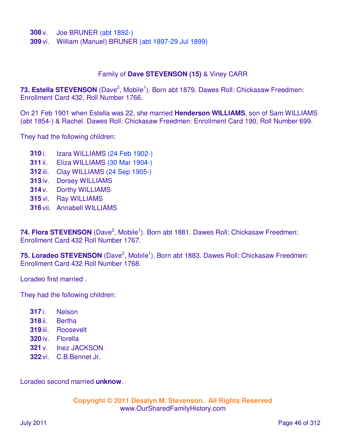**308** v. Joe BRUNER (abt 1892-)

**309** vi. William (Manuel) BRUNER (abt 1897-29 Jul 1899)

#### Family of **Dave STEVENSON (15)** & Viney CARR

73. Estella STEVENSON (Dave<sup>2</sup>, Mobile<sup>1</sup>). Born abt 1879. Dawes Roll: Chickasaw Freedmen: Enrollment Card 432, Roll Number 1766.

On 21 Feb 1901 when Estella was 22, she married **Henderson WILLIAMS**, son of Sam WILLIAMS (abt 1854-) & Rachel. Dawes Roll: Chickasaw Freedmen: Enrollment Card 190, Roll Number 699.

They had the following children:

- **310** i. Izara WILLIAMS (24 Feb 1902-)
- **311** ii. Eliza WILLIAMS (30 Mar 1904-)
- **312** iii. Clay WILLIAMS (24 Sep 1905-)
- **313** iv. Dorsey WILLIAMS
- **314** v. Dorthy WILLIAMS
- **315** vi. Ray WILLIAMS
- **316** vii. Annabell WILLIAMS

74. Flora STEVENSON (Dave<sup>2</sup>, Mobile<sup>1</sup>). Born abt 1881. Dawes Roll: Chickasaw Freedmen: Enrollment Card 432 Roll Number 1767.

75. Loradeo STEVENSON (Dave<sup>2</sup>, Mobile<sup>1</sup>). Born abt 1883. Dawes Roll: Chickasaw Freedmen: Enrollment Card 432 Roll Number 1768.

Loradeo first married .

They had the following children:

- **317** i. Nelson
- **318** ii. Bertha
- **319** iii. Roosevelt
- **320** iv. Florella
- **321** v. Inez JACKSON
- **322** vi. C.B.Bennet Jr.

Loradeo second married **unknow**.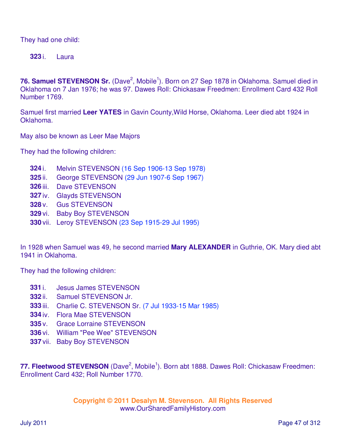They had one child:

**323** i. Laura

76. Samuel STEVENSON Sr. (Dave<sup>2</sup>, Mobile<sup>1</sup>). Born on 27 Sep 1878 in Oklahoma. Samuel died in Oklahoma on 7 Jan 1976; he was 97. Dawes Roll: Chickasaw Freedmen: Enrollment Card 432 Roll Number 1769.

Samuel first married **Leer YATES** in Gavin County,Wild Horse, Oklahoma. Leer died abt 1924 in Oklahoma.

May also be known as Leer Mae Majors

They had the following children:

- **324** i. Melvin STEVENSON (16 Sep 1906-13 Sep 1978)
- **325** ii. George STEVENSON (29 Jun 1907-6 Sep 1967)
- **326** iii. Dave STEVENSON
- **327** iv. Glayds STEVENSON
- **328** v. Gus STEVENSON
- **329** vi. Baby Boy STEVENSON
- **330** vii. Leroy STEVENSON (23 Sep 1915-29 Jul 1995)

In 1928 when Samuel was 49, he second married **Mary ALEXANDER** in Guthrie, OK. Mary died abt 1941 in Oklahoma.

They had the following children:

- **331** i. Jesus James STEVENSON
- **332** ii. Samuel STEVENSON Jr.
- **333** iii. Charlie C. STEVENSON Sr. (7 Jul 1933-15 Mar 1985)
- **334** iv. Flora Mae STEVENSON
- **335** v. Grace Lorraine STEVENSON
- **336** vi. William "Pee Wee" STEVENSON
- **337** vii. Baby Boy STEVENSON

77. Fleetwood STEVENSON (Dave<sup>2</sup>, Mobile<sup>1</sup>). Born abt 1888. Dawes Roll: Chickasaw Freedmen: Enrollment Card 432; Roll Number 1770.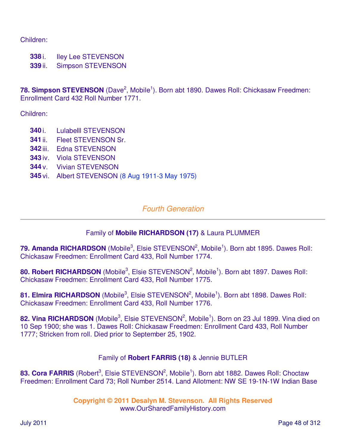Children:

**338** i. Iley Lee STEVENSON

**339** ii. Simpson STEVENSON

78. Simpson STEVENSON (Dave<sup>2</sup>, Mobile<sup>1</sup>). Born abt 1890. Dawes Roll: Chickasaw Freedmen: Enrollment Card 432 Roll Number 1771.

Children:

- **340** i. Lulabelll STEVENSON
- **341** ii. Fleet STEVENSON Sr.
- **342** iii. Edna STEVENSON
- **343** iv. Viola STEVENSON
- **344** v. Vivian STEVENSON
- **345** vi. Albert STEVENSON (8 Aug 1911-3 May 1975)

# Fourth Generation

# Family of **Mobile RICHARDSON (17)** & Laura PLUMMER

79. Amanda RICHARDSON (Mobile<sup>3</sup>, Elsie STEVENSON<sup>2</sup>, Mobile<sup>1</sup>). Born abt 1895. Dawes Roll: Chickasaw Freedmen: Enrollment Card 433, Roll Number 1774.

80. Robert RICHARDSON (Mobile<sup>3</sup>, Elsie STEVENSON<sup>2</sup>, Mobile<sup>1</sup>). Born abt 1897. Dawes Roll: Chickasaw Freedmen: Enrollment Card 433, Roll Number 1775.

81. Elmira RICHARDSON (Mobile<sup>3</sup>, Elsie STEVENSON<sup>2</sup>, Mobile<sup>1</sup>). Born abt 1898. Dawes Roll: Chickasaw Freedmen: Enrollment Card 433, Roll Number 1776.

82. Vina RICHARDSON (Mobile<sup>3</sup>, Elsie STEVENSON<sup>2</sup>, Mobile<sup>1</sup>). Born on 23 Jul 1899. Vina died on 10 Sep 1900; she was 1. Dawes Roll: Chickasaw Freedmen: Enrollment Card 433, Roll Number 1777; Stricken from roll. Died prior to September 25, 1902.

## Family of **Robert FARRIS (18)** & Jennie BUTLER

83. Cora FARRIS (Robert<sup>3</sup>, Elsie STEVENSON<sup>2</sup>, Mobile<sup>1</sup>). Born abt 1882. Dawes Roll: Choctaw Freedmen: Enrollment Card 73; Roll Number 2514. Land Allotment: NW SE 19-1N-1W Indian Base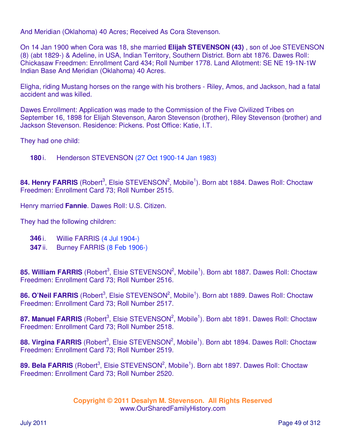And Meridian (Oklahoma) 40 Acres; Received As Cora Stevenson.

On 14 Jan 1900 when Cora was 18, she married **Elijah STEVENSON (43)** , son of Joe STEVENSON (8) (abt 1829-) & Adeline, in USA, Indian Territory, Southern District. Born abt 1876. Dawes Roll: Chickasaw Freedmen: Enrollment Card 434; Roll Number 1778. Land Allotment: SE NE 19-1N-1W Indian Base And Meridian (Oklahoma) 40 Acres.

Eligha, riding Mustang horses on the range with his brothers - Riley, Amos, and Jackson, had a fatal accident and was killed.

Dawes Enrollment: Application was made to the Commission of the Five Civilized Tribes on September 16, 1898 for Elijah Stevenson, Aaron Stevenson (brother), Riley Stevenson (brother) and Jackson Stevenson. Residence: Pickens. Post Office: Katie, I.T.

They had one child:

**180** i. Henderson STEVENSON (27 Oct 1900-14 Jan 1983)

84. Henry FARRIS (Robert<sup>3</sup>, Elsie STEVENSON<sup>2</sup>, Mobile<sup>1</sup>). Born abt 1884. Dawes Roll: Choctaw Freedmen: Enrollment Card 73; Roll Number 2515.

Henry married **Fannie**. Dawes Roll: U.S. Citizen.

They had the following children:

- **346** i. Willie FARRIS (4 Jul 1904-)
- **347** ii. Burney FARRIS (8 Feb 1906-)

85. William FARRIS (Robert<sup>3</sup>, Elsie STEVENSON<sup>2</sup>, Mobile<sup>1</sup>). Born abt 1887. Dawes Roll: Choctaw Freedmen: Enrollment Card 73; Roll Number 2516.

86. O'Neil FARRIS (Robert<sup>3</sup>, Elsie STEVENSON<sup>2</sup>, Mobile<sup>1</sup>). Born abt 1889. Dawes Roll: Choctaw Freedmen: Enrollment Card 73; Roll Number 2517.

87. Manuel FARRIS (Robert<sup>3</sup>, Elsie STEVENSON<sup>2</sup>, Mobile<sup>1</sup>). Born abt 1891. Dawes Roll: Choctaw Freedmen: Enrollment Card 73; Roll Number 2518.

88. Virgina FARRIS (Robert<sup>3</sup>, Elsie STEVENSON<sup>2</sup>, Mobile<sup>1</sup>). Born abt 1894. Dawes Roll: Choctaw Freedmen: Enrollment Card 73; Roll Number 2519.

89. Bela FARRIS (Robert<sup>3</sup>, Elsie STEVENSON<sup>2</sup>, Mobile<sup>1</sup>). Born abt 1897. Dawes Roll: Choctaw Freedmen: Enrollment Card 73; Roll Number 2520.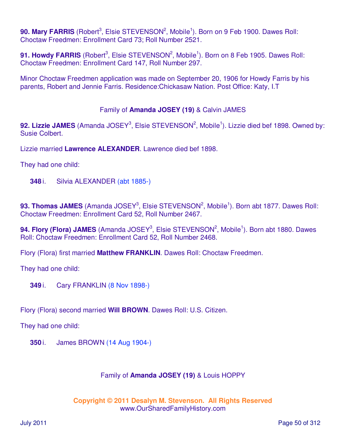90. Mary FARRIS (Robert<sup>3</sup>, Elsie STEVENSON<sup>2</sup>, Mobile<sup>1</sup>). Born on 9 Feb 1900. Dawes Roll: Choctaw Freedmen: Enrollment Card 73; Roll Number 2521.

91. Howdy FARRIS (Robert<sup>3</sup>, Elsie STEVENSON<sup>2</sup>, Mobile<sup>1</sup>). Born on 8 Feb 1905. Dawes Roll: Choctaw Freedmen: Enrollment Card 147, Roll Number 297.

Minor Choctaw Freedmen application was made on September 20, 1906 for Howdy Farris by his parents, Robert and Jennie Farris. Residence:Chickasaw Nation. Post Office: Katy, I.T

## Family of **Amanda JOSEY (19)** & Calvin JAMES

92. Lizzie JAMES (Amanda JOSEY<sup>3</sup>, Elsie STEVENSON<sup>2</sup>, Mobile<sup>1</sup>). Lizzie died bef 1898. Owned by: Susie Colbert.

Lizzie married **Lawrence ALEXANDER**. Lawrence died bef 1898.

They had one child:

**348** i. Silvia ALEXANDER (abt 1885-)

93. Thomas JAMES (Amanda JOSEY<sup>3</sup>, Elsie STEVENSON<sup>2</sup>, Mobile<sup>1</sup>). Born abt 1877. Dawes Roll: Choctaw Freedmen: Enrollment Card 52, Roll Number 2467.

94. Flory (Flora) JAMES (Amanda JOSEY<sup>3</sup>, Elsie STEVENSON<sup>2</sup>, Mobile<sup>1</sup>). Born abt 1880. Dawes Roll: Choctaw Freedmen: Enrollment Card 52, Roll Number 2468.

Flory (Flora) first married **Matthew FRANKLIN**. Dawes Roll: Choctaw Freedmen.

They had one child:

**349** i. Cary FRANKLIN (8 Nov 1898-)

Flory (Flora) second married **Will BROWN**. Dawes Roll: U.S. Citizen.

They had one child:

**350** i. James BROWN (14 Aug 1904-)

## Family of **Amanda JOSEY (19)** & Louis HOPPY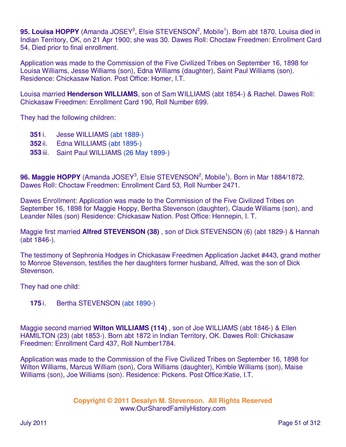95. Louisa HOPPY (Amanda JOSEY<sup>3</sup>, Elsie STEVENSON<sup>2</sup>, Mobile<sup>1</sup>). Born abt 1870. Louisa died in Indian Territory, OK, on 21 Apr 1900; she was 30. Dawes Roll: Choctaw Freedmen: Enrollment Card 54, Died prior to final enrollment.

Application was made to the Commission of the Five Civilized Tribes on September 16, 1898 for Louisa Williams, Jesse Williams (son), Edna Williams (daughter), Saint Paul Williams (son). Residence: Chickasaw Nation. Post Office: Homer, I.T.

Louisa married **Henderson WILLIAMS**, son of Sam WILLIAMS (abt 1854-) & Rachel. Dawes Roll: Chickasaw Freedmen: Enrollment Card 190, Roll Number 699.

They had the following children:

- **351** i. Jesse WILLIAMS (abt 1889-)
- **352** ii. Edna WILLIAMS (abt 1895-)
- **353** iii. Saint Paul WILLIAMS (26 May 1899-)

96. Maggie HOPPY (Amanda JOSEY<sup>3</sup>, Elsie STEVENSON<sup>2</sup>, Mobile<sup>1</sup>). Born in Mar 1884/1872. Dawes Roll: Choctaw Freedmen: Enrollment Card 53, Roll Number 2471.

Dawes Enrollment: Application was made to the Commission of the Five Civilized Tribes on September 16, 1898 for Maggie Hoppy, Bertha Stevenson (daughter), Claude Williams (son), and Leander Niles (son) Residence: Chickasaw Nation. Post Office: Hennepin, I. T.

Maggie first married **Alfred STEVENSON (38)** , son of Dick STEVENSON (6) (abt 1829-) & Hannah (abt 1846-).

The testimony of Sephronia Hodges in Chickasaw Freedmen Application Jacket #443, grand mother to Monroe Stevenson, testifies the her daughters former husband, Alfred, was the son of Dick Stevenson.

They had one child:

**175** i. Bertha STEVENSON (abt 1890-)

Maggie second married **Wilton WILLIAMS (114)** , son of Joe WILLIAMS (abt 1846-) & Ellen HAMILTON (23) (abt 1853-). Born abt 1872 in Indian Territory, OK. Dawes Roll: Chickasaw Freedmen: Enrollment Card 437, Roll Number1784.

Application was made to the Commission of the Five Civilized Tribes on September 16, 1898 for Wilton Williams, Marcus William (son), Cora Williams (daughter), Kimble Williams (son), Maise Williams (son), Joe Williams (son). Residence: Pickens. Post Office:Katie, I.T.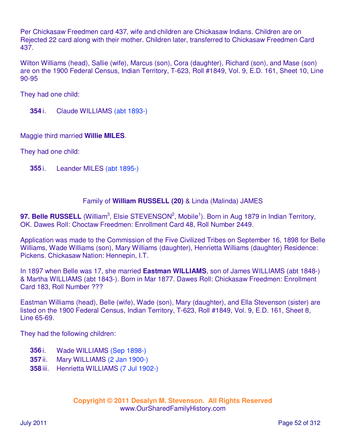Per Chickasaw Freedmen card 437, wife and children are Chickasaw Indians. Children are on Rejected 22 card along with their mother. Children later, transferred to Chickasaw Freedmen Card 437.

Wilton Williams (head), Sallie (wife), Marcus (son), Cora (daughter), Richard (son), and Mase (son) are on the 1900 Federal Census, Indian Territory, T-623, Roll #1849, Vol. 9, E.D. 161, Sheet 10, Line 90-95

They had one child:

**354** i. Claude WILLIAMS (abt 1893-)

Maggie third married **Willie MILES**.

They had one child:

**355** i. Leander MILES (abt 1895-)

### Family of **William RUSSELL (20)** & Linda (Malinda) JAMES

97. Belle RUSSELL (William<sup>3</sup>, Elsie STEVENSON<sup>2</sup>, Mobile<sup>1</sup>). Born in Aug 1879 in Indian Territory, OK. Dawes Roll: Choctaw Freedmen: Enrollment Card 48, Roll Number 2449.

Application was made to the Commission of the Five Civilized Tribes on September 16, 1898 for Belle Williams, Wade Williams (son), Mary Williams (daughter), Henrietta Williams (daughter) Residence: Pickens. Chickasaw Nation: Hennepin, I.T.

In 1897 when Belle was 17, she married **Eastman WILLIAMS**, son of James WILLIAMS (abt 1848-) & Martha WILLIAMS (abt 1843-). Born in Mar 1877. Dawes Roll: Chickasaw Freedmen: Enrollment Card 183, Roll Number ???

Eastman Williams (head), Belle (wife), Wade (son), Mary (daughter), and Ella Stevenson (sister) are listed on the 1900 Federal Census, Indian Territory, T-623, Roll #1849, Vol. 9, E.D. 161, Sheet 8, Line 65-69.

They had the following children:

- **356** i. Wade WILLIAMS (Sep 1898-)
- **357** ii. Mary WILLIAMS (2 Jan 1900-)
- **358** iii. Henrietta WILLIAMS (7 Jul 1902-)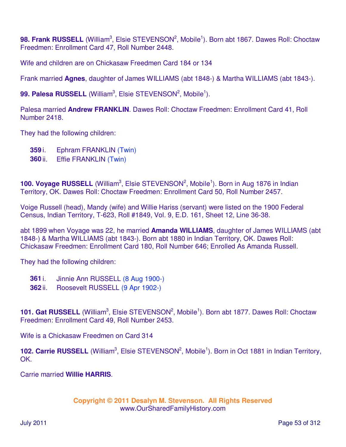98. Frank RUSSELL (William<sup>3</sup>, Elsie STEVENSON<sup>2</sup>, Mobile<sup>1</sup>). Born abt 1867. Dawes Roll: Choctaw Freedmen: Enrollment Card 47, Roll Number 2448.

Wife and children are on Chickasaw Freedmen Card 184 or 134

Frank married **Agnes**, daughter of James WILLIAMS (abt 1848-) & Martha WILLIAMS (abt 1843-).

99. Palesa RUSSELL (William<sup>3</sup>, Elsie STEVENSON<sup>2</sup>, Mobile<sup>1</sup>).

Palesa married **Andrew FRANKLIN**. Dawes Roll: Choctaw Freedmen: Enrollment Card 41, Roll Number 2418.

They had the following children:

- **359** i. Ephram FRANKLIN (Twin)
- **360** ii. Effie FRANKLIN (Twin)

100. Voyage RUSSELL (William<sup>3</sup>, Elsie STEVENSON<sup>2</sup>, Mobile<sup>1</sup>). Born in Aug 1876 in Indian Territory, OK. Dawes Roll: Choctaw Freedmen: Enrollment Card 50, Roll Number 2457.

Voige Russell (head), Mandy (wife) and Willie Hariss (servant) were listed on the 1900 Federal Census, Indian Territory, T-623, Roll #1849, Vol. 9, E.D. 161, Sheet 12, Line 36-38.

abt 1899 when Voyage was 22, he married **Amanda WILLIAMS**, daughter of James WILLIAMS (abt 1848-) & Martha WILLIAMS (abt 1843-). Born abt 1880 in Indian Territory, OK. Dawes Roll: Chickasaw Freedmen: Enrollment Card 180, Roll Number 646; Enrolled As Amanda Russell.

They had the following children:

- **361** i. Jinnie Ann RUSSELL (8 Aug 1900-)
- **362** ii. Roosevelt RUSSELL (9 Apr 1902-)

101. Gat RUSSELL (William<sup>3</sup>, Elsie STEVENSON<sup>2</sup>, Mobile<sup>1</sup>). Born abt 1877. Dawes Roll: Choctaw Freedmen: Enrollment Card 49, Roll Number 2453.

Wife is a Chickasaw Freedmen on Card 314

102. Carrie RUSSELL (William<sup>3</sup>, Elsie STEVENSON<sup>2</sup>, Mobile<sup>1</sup>). Born in Oct 1881 in Indian Territory, OK.

Carrie married **Willie HARRIS**.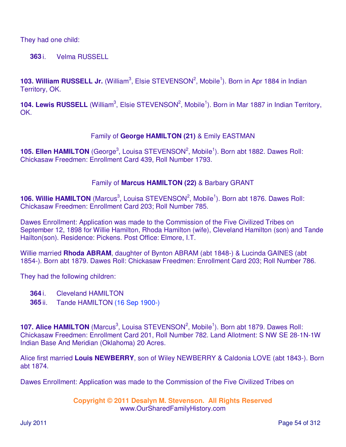They had one child:

**363** i. Velma RUSSELL

103. William RUSSELL Jr. (William<sup>3</sup>, Elsie STEVENSON<sup>2</sup>, Mobile<sup>1</sup>). Born in Apr 1884 in Indian Territory, OK.

104. Lewis RUSSELL (William<sup>3</sup>, Elsie STEVENSON<sup>2</sup>, Mobile<sup>1</sup>). Born in Mar 1887 in Indian Territory, OK.

## Family of **George HAMILTON (21)** & Emily EASTMAN

105. Ellen HAMILTON (George<sup>3</sup>, Louisa STEVENSON<sup>2</sup>, Mobile<sup>1</sup>). Born abt 1882. Dawes Roll: Chickasaw Freedmen: Enrollment Card 439, Roll Number 1793.

## Family of **Marcus HAMILTON (22)** & Barbary GRANT

106. Willie HAMILTON (Marcus<sup>3</sup>, Louisa STEVENSON<sup>2</sup>, Mobile<sup>1</sup>). Born abt 1876. Dawes Roll: Chickasaw Freedmen: Enrollment Card 203; Roll Number 785.

Dawes Enrollment: Application was made to the Commission of the Five Civilized Tribes on September 12, 1898 for Willie Hamilton, Rhoda Hamilton (wife), Cleveland Hamilton (son) and Tande Hailton(son). Residence: Pickens. Post Office: Elmore, I.T.

Willie married **Rhoda ABRAM**, daughter of Bynton ABRAM (abt 1848-) & Lucinda GAINES (abt 1854-). Born abt 1879. Dawes Roll: Chickasaw Freedmen: Enrollment Card 203; Roll Number 786.

They had the following children:

- **364** i. Cleveland HAMILTON
- **365** ii. Tande HAMILTON (16 Sep 1900-)

107. Alice HAMILTON (Marcus<sup>3</sup>, Louisa STEVENSON<sup>2</sup>, Mobile<sup>1</sup>). Born abt 1879. Dawes Roll: Chickasaw Freedmen: Enrollment Card 201, Roll Number 782. Land Allotment: S NW SE 28-1N-1W Indian Base And Meridian (Oklahoma) 20 Acres.

Alice first married **Louis NEWBERRY**, son of Wiley NEWBERRY & Caldonia LOVE (abt 1843-). Born abt 1874.

Dawes Enrollment: Application was made to the Commission of the Five Civilized Tribes on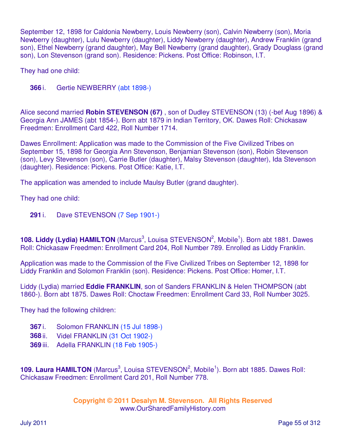September 12, 1898 for Caldonia Newberry, Louis Newberry (son), Calvin Newberry (son), Moria Newberry (daughter), Lulu Newberry (daughter), Liddy Newberry (daughter), Andrew Franklin (grand son), Ethel Newberry (grand daughter), May Bell Newberry (grand daughter), Grady Douglass (grand son), Lon Stevenson (grand son). Residence: Pickens. Post Office: Robinson, I.T.

They had one child:

**366** i. Gertie NEWBERRY (abt 1898-)

Alice second married **Robin STEVENSON (67)** , son of Dudley STEVENSON (13) (-bef Aug 1896) & Georgia Ann JAMES (abt 1854-). Born abt 1879 in Indian Territory, OK. Dawes Roll: Chickasaw Freedmen: Enrollment Card 422, Roll Number 1714.

Dawes Enrollment: Application was made to the Commission of the Five Civilized Tribes on September 15, 1898 for Georgia Ann Stevenson, Benjamian Stevenson (son), Robin Stevenson (son), Levy Stevenson (son), Carrie Butler (daughter), Malsy Stevenson (daughter), Ida Stevenson (daughter). Residence: Pickens. Post Office: Katie, I.T.

The application was amended to include Maulsy Butler (grand daughter).

They had one child:

**291** i. Dave STEVENSON (7 Sep 1901-)

108. Liddy (Lydia) HAMILTON (Marcus<sup>3</sup>, Louisa STEVENSON<sup>2</sup>, Mobile<sup>1</sup>). Born abt 1881. Dawes Roll: Chickasaw Freedmen: Enrollment Card 204, Roll Number 789. Enrolled as Liddy Franklin.

Application was made to the Commission of the Five Civilized Tribes on September 12, 1898 for Liddy Franklin and Solomon Franklin (son). Residence: Pickens. Post Office: Homer, I.T.

Liddy (Lydia) married **Eddie FRANKLIN**, son of Sanders FRANKLIN & Helen THOMPSON (abt 1860-). Born abt 1875. Dawes Roll: Choctaw Freedmen: Enrollment Card 33, Roll Number 3025.

They had the following children:

- **367** i. Solomon FRANKLIN (15 Jul 1898-)
- **368** ii. Videl FRANKLIN (31 Oct 1902-)
- **369** iii. Adella FRANKLIN (18 Feb 1905-)

109. Laura HAMILTON (Marcus<sup>3</sup>, Louisa STEVENSON<sup>2</sup>, Mobile<sup>1</sup>). Born abt 1885. Dawes Roll: Chickasaw Freedmen: Enrollment Card 201, Roll Number 778.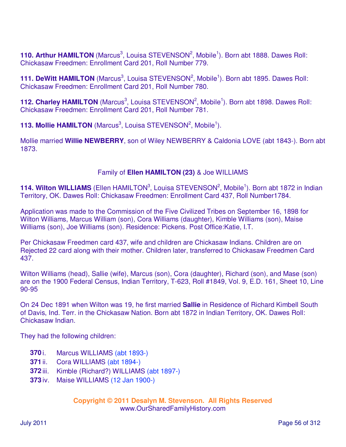110. Arthur HAMILTON (Marcus<sup>3</sup>, Louisa STEVENSON<sup>2</sup>, Mobile<sup>1</sup>). Born abt 1888. Dawes Roll: Chickasaw Freedmen: Enrollment Card 201, Roll Number 779.

**111. DeWitt HAMILTON** (Marcus<sup>3</sup>, Louisa STEVENSON<sup>2</sup>, Mobile<sup>1</sup>). Born abt 1895. Dawes Roll: Chickasaw Freedmen: Enrollment Card 201, Roll Number 780.

112. Charley HAMILTON (Marcus<sup>3</sup>, Louisa STEVENSON<sup>2</sup>, Mobile<sup>1</sup>). Born abt 1898. Dawes Roll: Chickasaw Freedmen: Enrollment Card 201, Roll Number 781.

**113. Mollie HAMILTON** (Marcus<sup>3</sup>, Louisa STEVENSON<sup>2</sup>, Mobile<sup>1</sup>).

Mollie married **Willie NEWBERRY**, son of Wiley NEWBERRY & Caldonia LOVE (abt 1843-). Born abt 1873.

## Family of **Ellen HAMILTON (23)** & Joe WILLIAMS

114. Wilton WILLIAMS (Ellen HAMILTON<sup>3</sup>, Louisa STEVENSON<sup>2</sup>, Mobile<sup>1</sup>). Born abt 1872 in Indian Territory, OK. Dawes Roll: Chickasaw Freedmen: Enrollment Card 437, Roll Number1784.

Application was made to the Commission of the Five Civilized Tribes on September 16, 1898 for Wilton Williams, Marcus William (son), Cora Williams (daughter), Kimble Williams (son), Maise Williams (son), Joe Williams (son). Residence: Pickens. Post Office:Katie, I.T.

Per Chickasaw Freedmen card 437, wife and children are Chickasaw Indians. Children are on Rejected 22 card along with their mother. Children later, transferred to Chickasaw Freedmen Card 437.

Wilton Williams (head), Sallie (wife), Marcus (son), Cora (daughter), Richard (son), and Mase (son) are on the 1900 Federal Census, Indian Territory, T-623, Roll #1849, Vol. 9, E.D. 161, Sheet 10, Line 90-95

On 24 Dec 1891 when Wilton was 19, he first married **Sallie** in Residence of Richard Kimbell South of Davis, Ind. Terr. in the Chickasaw Nation. Born abt 1872 in Indian Territory, OK. Dawes Roll: Chickasaw Indian.

They had the following children:

- **370** i. Marcus WILLIAMS (abt 1893-)
- **371** ii. Cora WILLIAMS (abt 1894-)
- **372** iii. Kimble (Richard?) WILLIAMS (abt 1897-)
- **373** iv. Maise WILLIAMS (12 Jan 1900-)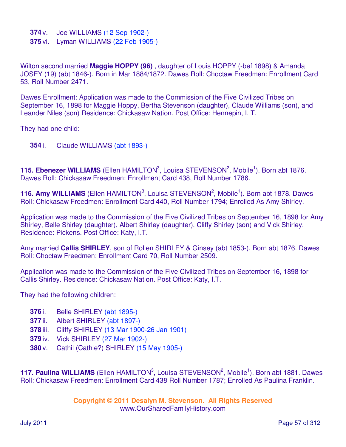- **374** v. Joe WILLIAMS (12 Sep 1902-)
- **375** vi. Lyman WILLIAMS (22 Feb 1905-)

Wilton second married **Maggie HOPPY (96)** , daughter of Louis HOPPY (-bef 1898) & Amanda JOSEY (19) (abt 1846-). Born in Mar 1884/1872. Dawes Roll: Choctaw Freedmen: Enrollment Card 53, Roll Number 2471.

Dawes Enrollment: Application was made to the Commission of the Five Civilized Tribes on September 16, 1898 for Maggie Hoppy, Bertha Stevenson (daughter), Claude Williams (son), and Leander Niles (son) Residence: Chickasaw Nation. Post Office: Hennepin, I. T.

They had one child:

**354** i. Claude WILLIAMS (abt 1893-)

115. Ebenezer WILLIAMS (Ellen HAMILTON<sup>3</sup>, Louisa STEVENSON<sup>2</sup>, Mobile<sup>1</sup>). Born abt 1876. Dawes Roll: Chickasaw Freedmen: Enrollment Card 438, Roll Number 1786.

116. Amy WILLIAMS (Ellen HAMILTON<sup>3</sup>, Louisa STEVENSON<sup>2</sup>, Mobile<sup>1</sup>). Born abt 1878. Dawes Roll: Chickasaw Freedmen: Enrollment Card 440, Roll Number 1794; Enrolled As Amy Shirley.

Application was made to the Commission of the Five Civilized Tribes on September 16, 1898 for Amy Shirley, Belle Shirley (daughter), Albert Shirley (daughter), Cliffy Shirley (son) and Vick Shirley. Residence: Pickens. Post Office: Katy, I.T.

Amy married **Callis SHIRLEY**, son of Rollen SHIRLEY & Ginsey (abt 1853-). Born abt 1876. Dawes Roll: Choctaw Freedmen: Enrollment Card 70, Roll Number 2509.

Application was made to the Commission of the Five Civilized Tribes on September 16, 1898 for Callis Shirley. Residence: Chickasaw Nation. Post Office: Katy, I.T.

They had the following children:

- **376** i. Belle SHIRLEY (abt 1895-)
- **377** ii. Albert SHIRLEY (abt 1897-)
- **378** iii. Cliffy SHIRLEY (13 Mar 1900-26 Jan 1901)
- **379** iv. Vick SHIRLEY (27 Mar 1902-)
- **380** v. Cathil (Cathie?) SHIRLEY (15 May 1905-)

117. Paulina WILLIAMS (Ellen HAMILTON<sup>3</sup>, Louisa STEVENSON<sup>2</sup>, Mobile<sup>1</sup>). Born abt 1881. Dawes Roll: Chickasaw Freedmen: Enrollment Card 438 Roll Number 1787; Enrolled As Paulina Franklin.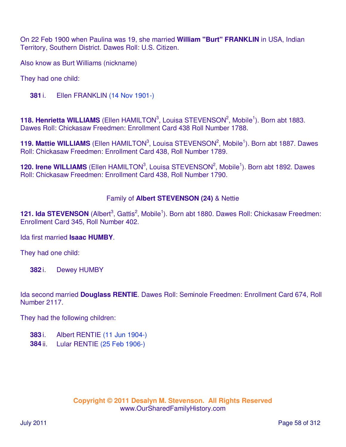On 22 Feb 1900 when Paulina was 19, she married **William "Burt" FRANKLIN** in USA, Indian Territory, Southern District. Dawes Roll: U.S. Citizen.

Also know as Burt Williams (nickname)

They had one child:

**381** i. Ellen FRANKLIN (14 Nov 1901-)

118. Henrietta WILLIAMS (Ellen HAMILTON<sup>3</sup>, Louisa STEVENSON<sup>2</sup>, Mobile<sup>1</sup>). Born abt 1883. Dawes Roll: Chickasaw Freedmen: Enrollment Card 438 Roll Number 1788.

119. Mattie WILLIAMS (Ellen HAMILTON<sup>3</sup>, Louisa STEVENSON<sup>2</sup>, Mobile<sup>1</sup>). Born abt 1887. Dawes Roll: Chickasaw Freedmen: Enrollment Card 438, Roll Number 1789.

120. Irene WILLIAMS (Ellen HAMILTON<sup>3</sup>, Louisa STEVENSON<sup>2</sup>, Mobile<sup>1</sup>). Born abt 1892. Dawes Roll: Chickasaw Freedmen: Enrollment Card 438, Roll Number 1790.

## Family of **Albert STEVENSON (24)** & Nettie

121. Ida STEVENSON (Albert<sup>3</sup>, Gattis<sup>2</sup>, Mobile<sup>1</sup>). Born abt 1880. Dawes Roll: Chickasaw Freedmen: Enrollment Card 345, Roll Number 402.

Ida first married **Isaac HUMBY**.

They had one child:

**382** i. Dewey HUMBY

Ida second married **Douglass RENTIE**. Dawes Roll: Seminole Freedmen: Enrollment Card 674, Roll Number 2117.

They had the following children:

- **383** i. Albert RENTIE (11 Jun 1904-)
- **384** ii. Lular RENTIE (25 Feb 1906-)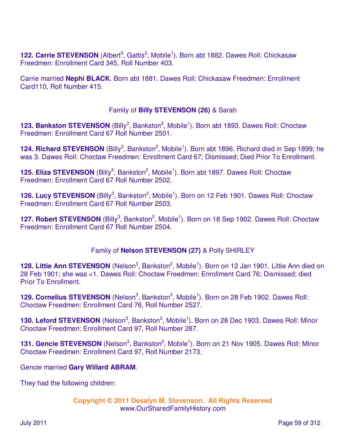122. Carrie STEVENSON (Albert<sup>3</sup>, Gattis<sup>2</sup>, Mobile<sup>1</sup>). Born abt 1882. Dawes Roll: Chickasaw Freedmen: Enrollment Card 345, Roll Number 403.

Carrie married **Nephi BLACK**. Born abt 1881. Dawes Roll: Chickasaw Freedmen: Enrollment Card110, Roll Number 415.

## Family of **Billy STEVENSON (26)** & Sarah

123. Bankston STEVENSON (Billy<sup>3</sup>, Bankston<sup>2</sup>, Mobile<sup>1</sup>). Born abt 1893. Dawes Roll: Choctaw Freedmen: Enrollment Card 67 Roll Number 2501.

124. Richard STEVENSON (Billy<sup>3</sup>, Bankston<sup>2</sup>, Mobile<sup>1</sup>). Born abt 1896. Richard died in Sep 1899; he was 3. Dawes Roll: Choctaw Freedmen: Enrollment Card 67; Dismissed; Died Prior To Enrollment.

125. Eliza STEVENSON (Billy<sup>3</sup>, Bankston<sup>2</sup>, Mobile<sup>1</sup>). Born abt 1897. Dawes Roll: Choctaw Freedmen: Enrollment Card 67 Roll Number 2502.

126. Lucy STEVENSON (Billy<sup>3</sup>, Bankston<sup>2</sup>, Mobile<sup>1</sup>). Born on 12 Feb 1901. Dawes Roll: Choctaw Freedmen: Enrollment Card 67 Roll Number 2503.

127. Robert STEVENSON (Billy<sup>3</sup>, Bankston<sup>2</sup>, Mobile<sup>1</sup>). Born on 18 Sep 1902. Dawes Roll: Choctaw Freedmen: Enrollment Card 67 Roll Number 2504.

## Family of **Nelson STEVENSON (27)** & Polly SHIRLEY

128. Littie Ann STEVENSON (Nelson<sup>3</sup>, Bankston<sup>2</sup>, Mobile<sup>1</sup>). Born on 12 Jan 1901. Littie Ann died on 28 Feb 1901; she was <1. Dawes Roll: Choctaw Freedmen: Enrollment Card 76; Dismissed; died Prior To Enrollment.

129. Cornelius STEVENSON (Nelson<sup>3</sup>, Bankston<sup>2</sup>, Mobile<sup>1</sup>). Born on 28 Feb 1902. Dawes Roll: Choctaw Freedmen: Enrollment Card 76, Roll Number 2527.

130. Leford STEVENSON (Nelson<sup>3</sup>, Bankston<sup>2</sup>, Mobile<sup>1</sup>). Born on 28 Dec 1903. Dawes Roll: Minor Choctaw Freedmen: Enrollment Card 97, Roll Number 287.

131. Gencie STEVENSON (Nelson<sup>3</sup>, Bankston<sup>2</sup>, Mobile<sup>1</sup>). Born on 21 Nov 1905. Dawes Roll: Minor Choctaw Freedmen: Enrollment Card 97, Roll Number 2173.

#### Gencie married **Gary Willard ABRAM**.

They had the following children: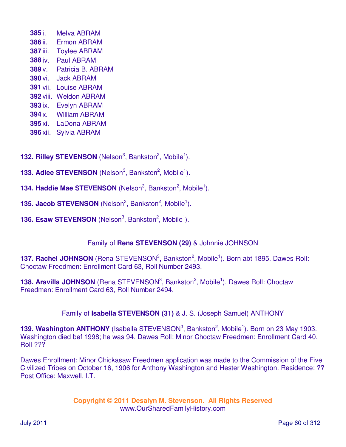i. Melva ABRAM ii. Ermon ABRAM iii. Toylee ABRAM iv. Paul ABRAM v. Patricia B. ABRAM vi. Jack ABRAM vii. Louise ABRAM viii. Weldon ABRAM ix. Evelyn ABRAM x. William ABRAM xi. LaDona ABRAM xii. Sylvia ABRAM

132. Rilley STEVENSON (Nelson<sup>3</sup>, Bankston<sup>2</sup>, Mobile<sup>1</sup>).

- **133. Adlee STEVENSON** (Nelson<sup>3</sup>, Bankston<sup>2</sup>, Mobile<sup>1</sup>).
- **134. Haddie Mae STEVENSON** (Nelson<sup>3</sup>, Bankston<sup>2</sup>, Mobile<sup>1</sup>).
- **135. Jacob STEVENSON** (Nelson<sup>3</sup>, Bankston<sup>2</sup>, Mobile<sup>1</sup>).
- **136. Esaw STEVENSON** (Nelson<sup>3</sup>, Bankston<sup>2</sup>, Mobile<sup>1</sup>).

# Family of **Rena STEVENSON (29)** & Johnnie JOHNSON

**137. Rachel JOHNSON** (Rena STEVENSON<sup>3</sup>, Bankston<sup>2</sup>, Mobile<sup>1</sup>). Born abt 1895. Dawes Roll: Choctaw Freedmen: Enrollment Card 63, Roll Number 2493.

**138. Aravilla JOHNSON** (Rena STEVENSON<sup>3</sup>, Bankston<sup>2</sup>, Mobile<sup>1</sup>). Dawes Roll: Choctaw Freedmen: Enrollment Card 63, Roll Number 2494.

## Family of **Isabella STEVENSON (31)** & J. S. (Joseph Samuel) ANTHONY

139. Washington ANTHONY (Isabella STEVENSON<sup>3</sup>, Bankston<sup>2</sup>, Mobile<sup>1</sup>). Born on 23 May 1903. Washington died bef 1998; he was 94. Dawes Roll: Minor Choctaw Freedmen: Enrollment Card 40, Roll ???

Dawes Enrollment: Minor Chickasaw Freedmen application was made to the Commission of the Five Civilized Tribes on October 16, 1906 for Anthony Washington and Hester Washington. Residence: ?? Post Office: Maxwell, I.T.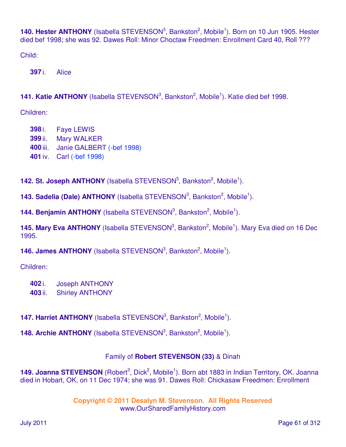140. Hester ANTHONY (Isabella STEVENSON<sup>3</sup>, Bankston<sup>2</sup>, Mobile<sup>1</sup>). Born on 10 Jun 1905. Hester died bef 1998; she was 92. Dawes Roll: Minor Choctaw Freedmen: Enrollment Card 40, Roll ???

Child:

**397** i. Alice

141. Katie ANTHONY (Isabella STEVENSON<sup>3</sup>, Bankston<sup>2</sup>, Mobile<sup>1</sup>). Katie died bef 1998.

Children:

 i. Faye LEWIS ii. Mary WALKER iii. Janie GALBERT (-bef 1998) iv. Carl (-bef 1998)

**142. St. Joseph ANTHONY** (Isabella STEVENSON<sup>3</sup>, Bankston<sup>2</sup>, Mobile<sup>1</sup>).

**143. Sadelia (Dale) ANTHONY** (Isabella STEVENSON<sup>3</sup>, Bankston<sup>2</sup>, Mobile<sup>1</sup>).

**144. Benjamin ANTHONY** (Isabella STEVENSON<sup>3</sup>, Bankston<sup>2</sup>, Mobile<sup>1</sup>).

145. Mary Eva ANTHONY (Isabella STEVENSON<sup>3</sup>, Bankston<sup>2</sup>, Mobile<sup>1</sup>). Mary Eva died on 16 Dec 1995.

**146. James ANTHONY** (Isabella STEVENSON<sup>3</sup>, Bankston<sup>2</sup>, Mobile<sup>1</sup>).

Children:

- **402** i. Joseph ANTHONY
- **403** ii. Shirley ANTHONY

**147. Harriet ANTHONY** (Isabella STEVENSON<sup>3</sup>, Bankston<sup>2</sup>, Mobile<sup>1</sup>).

**148. Archie ANTHONY** (Isabella STEVENSON<sup>3</sup>, Bankston<sup>2</sup>, Mobile<sup>1</sup>).

# Family of **Robert STEVENSON (33)** & Dinah

149. Joanna STEVENSON (Robert<sup>3</sup>, Dick<sup>2</sup>, Mobile<sup>1</sup>). Born abt 1883 in Indian Territory, OK. Joanna died in Hobart, OK, on 11 Dec 1974; she was 91. Dawes Roll: Chickasaw Freedmen: Enrollment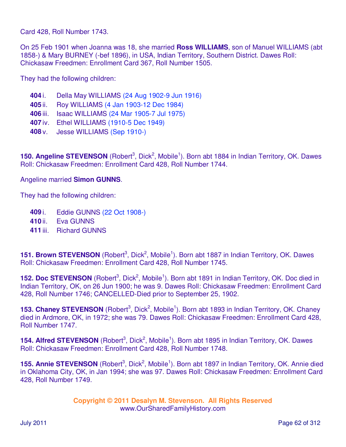Card 428, Roll Number 1743.

On 25 Feb 1901 when Joanna was 18, she married **Ross WILLIAMS**, son of Manuel WILLIAMS (abt 1858-) & Mary BURNEY (-bef 1896), in USA, Indian Territory, Southern District. Dawes Roll: Chickasaw Freedmen: Enrollment Card 367, Roll Number 1505.

They had the following children:

- **404** i. Della May WILLIAMS (24 Aug 1902-9 Jun 1916)
- **405** ii. Roy WILLIAMS (4 Jan 1903-12 Dec 1984)
- **406** iii. Isaac WILLIAMS (24 Mar 1905-7 Jul 1975)
- **407** iv. Ethel WILLIAMS (1910-5 Dec 1949)
- **408** v. Jesse WILLIAMS (Sep 1910-)

150. Angeline STEVENSON (Robert<sup>3</sup>, Dick<sup>2</sup>, Mobile<sup>1</sup>). Born abt 1884 in Indian Territory, OK. Dawes Roll: Chickasaw Freedmen: Enrollment Card 428, Roll Number 1744.

#### Angeline married **Simon GUNNS**.

They had the following children:

- **409** i. Eddie GUNNS (22 Oct 1908-)
- **410** ii. Eva GUNNS
- **411** iii. Richard GUNNS

151. Brown STEVENSON (Robert<sup>3</sup>, Dick<sup>2</sup>, Mobile<sup>1</sup>). Born abt 1887 in Indian Territory, OK. Dawes Roll: Chickasaw Freedmen: Enrollment Card 428, Roll Number 1745.

152. Doc STEVENSON (Robert<sup>3</sup>, Dick<sup>2</sup>, Mobile<sup>1</sup>). Born abt 1891 in Indian Territory, OK. Doc died in Indian Territory, OK, on 26 Jun 1900; he was 9. Dawes Roll: Chickasaw Freedmen: Enrollment Card 428, Roll Number 1746; CANCELLED-Died prior to September 25, 1902.

153. Chaney STEVENSON (Robert<sup>3</sup>, Dick<sup>2</sup>, Mobile<sup>1</sup>). Born abt 1893 in Indian Territory, OK. Chaney died in Ardmore, OK, in 1972; she was 79. Dawes Roll: Chickasaw Freedmen: Enrollment Card 428, Roll Number 1747.

154. Alfred STEVENSON (Robert<sup>3</sup>, Dick<sup>2</sup>, Mobile<sup>1</sup>). Born abt 1895 in Indian Territory, OK. Dawes Roll: Chickasaw Freedmen: Enrollment Card 428, Roll Number 1748.

155. Annie STEVENSON (Robert<sup>3</sup>, Dick<sup>2</sup>, Mobile<sup>1</sup>). Born abt 1897 in Indian Territory, OK. Annie died in Oklahoma City, OK, in Jan 1994; she was 97. Dawes Roll: Chickasaw Freedmen: Enrollment Card 428, Roll Number 1749.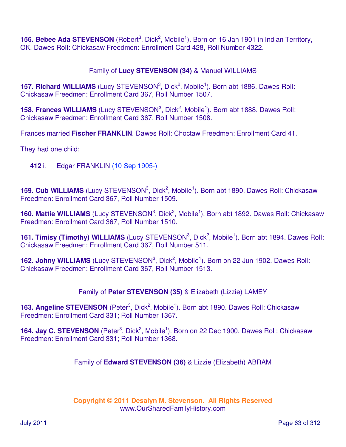156. Bebee Ada STEVENSON (Robert<sup>3</sup>, Dick<sup>2</sup>, Mobile<sup>1</sup>). Born on 16 Jan 1901 in Indian Territory, OK. Dawes Roll: Chickasaw Freedmen: Enrollment Card 428, Roll Number 4322.

# Family of **Lucy STEVENSON (34)** & Manuel WILLIAMS

**157. Richard WILLIAMS** (Lucy STEVENSON<sup>3</sup>, Dick<sup>2</sup>, Mobile<sup>1</sup>). Born abt 1886. Dawes Roll: Chickasaw Freedmen: Enrollment Card 367, Roll Number 1507.

**158. Frances WILLIAMS** (Lucy STEVENSON<sup>3</sup>, Dick<sup>2</sup>, Mobile<sup>1</sup>). Born abt 1888. Dawes Roll: Chickasaw Freedmen: Enrollment Card 367, Roll Number 1508.

Frances married **Fischer FRANKLIN**. Dawes Roll: Choctaw Freedmen: Enrollment Card 41.

They had one child:

**412** i. Edgar FRANKLIN (10 Sep 1905-)

159. Cub WILLIAMS (Lucy STEVENSON<sup>3</sup>, Dick<sup>2</sup>, Mobile<sup>1</sup>). Born abt 1890. Dawes Roll: Chickasaw Freedmen: Enrollment Card 367, Roll Number 1509.

160. Mattie WILLIAMS (Lucy STEVENSON<sup>3</sup>, Dick<sup>2</sup>, Mobile<sup>1</sup>). Born abt 1892. Dawes Roll: Chickasaw Freedmen: Enrollment Card 367, Roll Number 1510.

161. Timisy (Timothy) WILLIAMS (Lucy STEVENSON<sup>3</sup>, Dick<sup>2</sup>, Mobile<sup>1</sup>). Born abt 1894. Dawes Roll: Chickasaw Freedmen: Enrollment Card 367, Roll Number 511.

162. Johny WILLIAMS (Lucy STEVENSON<sup>3</sup>, Dick<sup>2</sup>, Mobile<sup>1</sup>). Born on 22 Jun 1902. Dawes Roll: Chickasaw Freedmen: Enrollment Card 367, Roll Number 1513.

Family of **Peter STEVENSON (35)** & Elizabeth (Lizzie) LAMEY

163. Angeline STEVENSON (Peter<sup>3</sup>, Dick<sup>2</sup>, Mobile<sup>1</sup>). Born abt 1890. Dawes Roll: Chickasaw Freedmen: Enrollment Card 331; Roll Number 1367.

164. Jay C. STEVENSON (Peter<sup>3</sup>, Dick<sup>2</sup>, Mobile<sup>1</sup>). Born on 22 Dec 1900. Dawes Roll: Chickasaw Freedmen: Enrollment Card 331; Roll Number 1368.

Family of **Edward STEVENSON (36)** & Lizzie (Elizabeth) ABRAM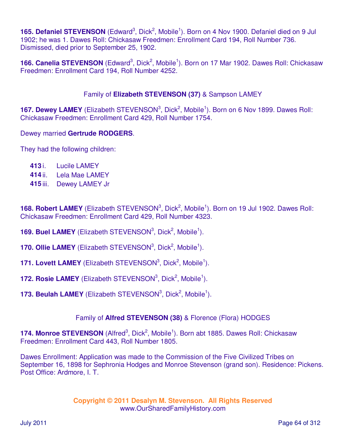165. Defaniel STEVENSON (Edward<sup>3</sup>, Dick<sup>2</sup>, Mobile<sup>1</sup>). Born on 4 Nov 1900. Defaniel died on 9 Jul 1902; he was 1. Dawes Roll: Chickasaw Freedmen: Enrollment Card 194, Roll Number 736. Dismissed, died prior to September 25, 1902.

166. Canelia STEVENSON (Edward<sup>3</sup>, Dick<sup>2</sup>, Mobile<sup>1</sup>). Born on 17 Mar 1902. Dawes Roll: Chickasaw Freedmen: Enrollment Card 194, Roll Number 4252.

## Family of **Elizabeth STEVENSON (37)** & Sampson LAMEY

**167. Dewey LAMEY** (Elizabeth STEVENSON<sup>3</sup>, Dick<sup>2</sup>, Mobile<sup>1</sup>). Born on 6 Nov 1899. Dawes Roll: Chickasaw Freedmen: Enrollment Card 429, Roll Number 1754.

## Dewey married **Gertrude RODGERS**.

They had the following children:

- **413** i. Lucile LAMEY
- **414** ii. Lela Mae LAMEY
- **415** iii. Dewey LAMEY Jr

168. Robert LAMEY (Elizabeth STEVENSON<sup>3</sup>, Dick<sup>2</sup>, Mobile<sup>1</sup>). Born on 19 Jul 1902. Dawes Roll: Chickasaw Freedmen: Enrollment Card 429, Roll Number 4323.

- **169. Buel LAMEY** (Elizabeth STEVENSON<sup>3</sup>, Dick<sup>2</sup>, Mobile<sup>1</sup>).
- **170. Ollie LAMEY** (Elizabeth STEVENSON<sup>3</sup>, Dick<sup>2</sup>, Mobile<sup>1</sup>).
- **171. Lovett LAMEY** (Elizabeth STEVENSON<sup>3</sup>, Dick<sup>2</sup>, Mobile<sup>1</sup>).
- **172. Rosie LAMEY** (Elizabeth STEVENSON<sup>3</sup>, Dick<sup>2</sup>, Mobile<sup>1</sup>).
- **173. Beulah LAMEY** (Elizabeth STEVENSON<sup>3</sup>, Dick<sup>2</sup>, Mobile<sup>1</sup>).

## Family of **Alfred STEVENSON (38)** & Florence (Flora) HODGES

174. Monroe STEVENSON (Alfred<sup>3</sup>, Dick<sup>2</sup>, Mobile<sup>1</sup>). Born abt 1885. Dawes Roll: Chickasaw Freedmen: Enrollment Card 443, Roll Number 1805.

Dawes Enrollment: Application was made to the Commission of the Five Civilized Tribes on September 16, 1898 for Sephronia Hodges and Monroe Stevenson (grand son). Residence: Pickens. Post Office: Ardmore, I. T.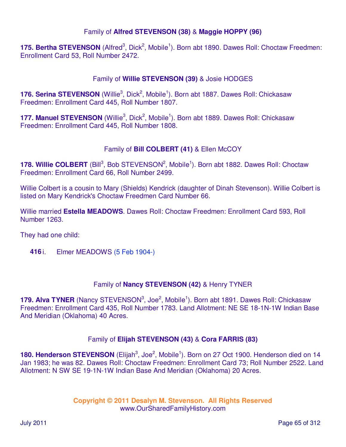## Family of **Alfred STEVENSON (38)** & **Maggie HOPPY (96)**

175. Bertha STEVENSON (Alfred<sup>3</sup>, Dick<sup>2</sup>, Mobile<sup>1</sup>). Born abt 1890. Dawes Roll: Choctaw Freedmen: Enrollment Card 53, Roll Number 2472.

## Family of **Willie STEVENSON (39)** & Josie HODGES

176. Serina STEVENSON (Willie<sup>3</sup>, Dick<sup>2</sup>, Mobile<sup>1</sup>). Born abt 1887. Dawes Roll: Chickasaw Freedmen: Enrollment Card 445, Roll Number 1807.

177. Manuel STEVENSON (Willie<sup>3</sup>, Dick<sup>2</sup>, Mobile<sup>1</sup>). Born abt 1889. Dawes Roll: Chickasaw Freedmen: Enrollment Card 445, Roll Number 1808.

## Family of **Bill COLBERT (41)** & Ellen McCOY

178. Willie COLBERT (Bill<sup>3</sup>, Bob STEVENSON<sup>2</sup>, Mobile<sup>1</sup>). Born abt 1882. Dawes Roll: Choctaw Freedmen: Enrollment Card 66, Roll Number 2499.

Willie Colbert is a cousin to Mary (Shields) Kendrick (daughter of Dinah Stevenson). Willie Colbert is listed on Mary Kendrick's Choctaw Freedmen Card Number 66.

Willie married **Estella MEADOWS**. Dawes Roll: Choctaw Freedmen: Enrollment Card 593, Roll Number 1263.

They had one child:

**416** i. Elmer MEADOWS (5 Feb 1904-)

## Family of **Nancy STEVENSON (42)** & Henry TYNER

179. Alva TYNER (Nancy STEVENSON<sup>3</sup>, Joe<sup>2</sup>, Mobile<sup>1</sup>). Born abt 1891. Dawes Roll: Chickasaw Freedmen: Enrollment Card 435, Roll Number 1783. Land Allotment: NE SE 18-1N-1W Indian Base And Meridian (Oklahoma) 40 Acres.

## Family of **Elijah STEVENSON (43)** & **Cora FARRIS (83)**

180. Henderson STEVENSON (Elijah<sup>3</sup>, Joe<sup>2</sup>, Mobile<sup>1</sup>). Born on 27 Oct 1900. Henderson died on 14 Jan 1983; he was 82. Dawes Roll: Choctaw Freedmen: Enrollment Card 73; Roll Number 2522. Land Allotment: N SW SE 19-1N-1W Indian Base And Meridian (Oklahoma) 20 Acres.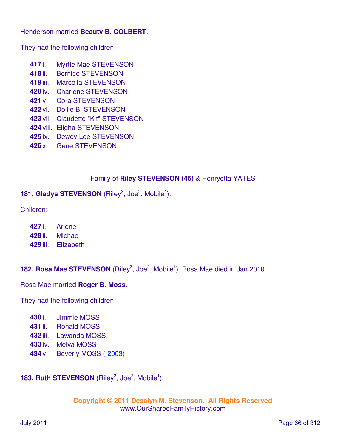### Henderson married **Beauty B. COLBERT**.

They had the following children:

- **417** i. Myrtle Mae STEVENSON
- **418** ii. Bernice STEVENSON
- **419** iii. Marcella STEVENSON
- **420** iv. Charlene STEVENSON
- **421** v. Cora STEVENSON
- **422** vi. Dollie B. STEVENSON
- **423** vii. Claudette "Kit" STEVENSON
- **424** viii. Eligha STEVENSON
- **425** ix. Dewey Lee STEVENSON
- **426** x. Gene STEVENSON

## Family of **Riley STEVENSON (45)** & Henryetta YATES

## **181. Gladys STEVENSON** (Riley<sup>3</sup>, Joe<sup>2</sup>, Mobile<sup>1</sup>).

Children:

- **427** i. Arlene
- **428** ii. Michael
- **429** iii. Elizabeth

# **182. Rosa Mae STEVENSON** (Riley<sup>3</sup>, Joe<sup>2</sup>, Mobile<sup>1</sup>). Rosa Mae died in Jan 2010.

Rosa Mae married **Roger B. Moss**.

They had the following children:

- **430** i. Jimmie MOSS
- **431** ii. Ronald MOSS
- **432** iii. Lawanda MOSS
- **433** iv. Melva MOSS
- **434** v. Beverly MOSS (-2003)

# **183. Ruth STEVENSON** (Riley<sup>3</sup>, Joe<sup>2</sup>, Mobile<sup>1</sup>).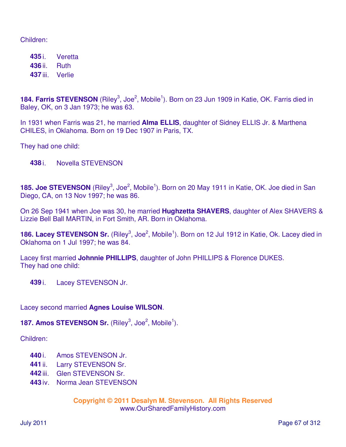Children:

**435** i. Veretta **436** ii. Ruth **437** iii. Verlie

184. Farris STEVENSON (Riley<sup>3</sup>, Joe<sup>2</sup>, Mobile<sup>1</sup>). Born on 23 Jun 1909 in Katie, OK. Farris died in Baley, OK, on 3 Jan 1973; he was 63.

In 1931 when Farris was 21, he married **Alma ELLIS**, daughter of Sidney ELLIS Jr. & Marthena CHILES, in Oklahoma. Born on 19 Dec 1907 in Paris, TX.

They had one child:

**438** i. Novella STEVENSON

185. Joe STEVENSON (Riley<sup>3</sup>, Joe<sup>2</sup>, Mobile<sup>1</sup>). Born on 20 May 1911 in Katie, OK. Joe died in San Diego, CA, on 13 Nov 1997; he was 86.

On 26 Sep 1941 when Joe was 30, he married **Hughzetta SHAVERS**, daughter of Alex SHAVERS & Lizzie Bell Ball MARTIN, in Fort Smith, AR. Born in Oklahoma.

186. Lacey STEVENSON Sr. (Riley<sup>3</sup>, Joe<sup>2</sup>, Mobile<sup>1</sup>). Born on 12 Jul 1912 in Katie, Ok. Lacey died in Oklahoma on 1 Jul 1997; he was 84.

Lacey first married **Johnnie PHILLIPS**, daughter of John PHILLIPS & Florence DUKES. They had one child:

**439** i. Lacey STEVENSON Jr.

Lacey second married **Agnes Louise WILSON**.

**187. Amos STEVENSON Sr.** (Riley<sup>3</sup>, Joe<sup>2</sup>, Mobile<sup>1</sup>).

Children:

- **440** i. Amos STEVENSON Jr.
- **441** ii. Larry STEVENSON Sr.
- **442** iii. Glen STEVENSON Sr.
- **443** iv. Norma Jean STEVENSON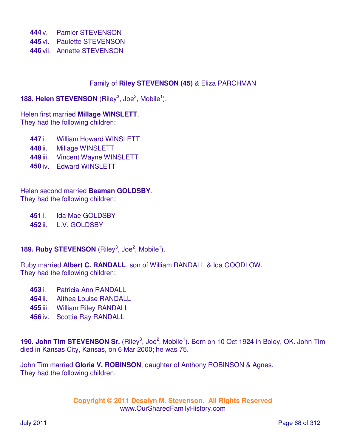**444** v. Pamler STEVENSON **445** vi. Paulette STEVENSON **446** vii. Annette STEVENSON

## Family of **Riley STEVENSON (45)** & Eliza PARCHMAN

## **188. Helen STEVENSON** (Riley<sup>3</sup>, Joe<sup>2</sup>, Mobile<sup>1</sup>).

### Helen first married **Millage WINSLETT**.

They had the following children:

- **447** i. William Howard WINSLETT
- **448** ii. Millage WINSLETT
- **449** iii. Vincent Wayne WINSLETT
- **450** iv. Edward WINSLETT

Helen second married **Beaman GOLDSBY**. They had the following children:

**451** i. Ida Mae GOLDSBY

**452** ii. L.V. GOLDSBY

## **189. Ruby STEVENSON** (Riley<sup>3</sup>, Joe<sup>2</sup>, Mobile<sup>1</sup>).

Ruby married **Albert C. RANDALL**, son of William RANDALL & Ida GOODLOW. They had the following children:

- **453** i. Patricia Ann RANDALL
- **454** ii. Althea Louise RANDALL
- **455** iii. William Riley RANDALL
- **456** iv. Scottie Ray RANDALL

190. John Tim STEVENSON Sr. (Riley<sup>3</sup>, Joe<sup>2</sup>, Mobile<sup>1</sup>). Born on 10 Oct 1924 in Boley, OK. John Tim died in Kansas City, Kansas, on 6 Mar 2000; he was 75.

John Tim married **Gloria V. ROBINSON**, daughter of Anthony ROBINSON & Agnes. They had the following children: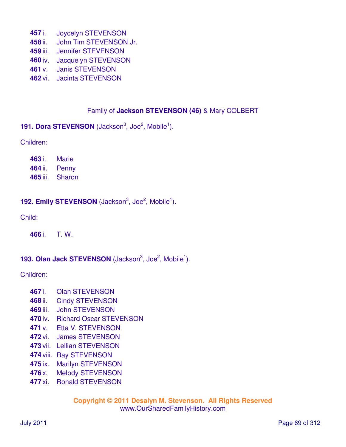- i. Joycelyn STEVENSON
- ii. John Tim STEVENSON Jr.
- iii. Jennifer STEVENSON
- iv. Jacquelyn STEVENSON
- v. Janis STEVENSON
- vi. Jacinta STEVENSON

# Family of **Jackson STEVENSON (46)** & Mary COLBERT

**191. Dora STEVENSON** (Jackson<sup>3</sup>, Joe<sup>2</sup>, Mobile<sup>1</sup>).

Children:

 i. Marie ii. Penny iii. Sharon

# **192. Emily STEVENSON** (Jackson<sup>3</sup>, Joe<sup>2</sup>, Mobile<sup>1</sup>).

Child:

i. T. W.

# **193. Olan Jack STEVENSON** (Jackson<sup>3</sup>, Joe<sup>2</sup>, Mobile<sup>1</sup>).

Children:

- i. Olan STEVENSON
- ii. Cindy STEVENSON
- iii. John STEVENSON
- iv. Richard Oscar STEVENSON
- v. Etta V. STEVENSON
- vi. James STEVENSON
- vii. Lellian STEVENSON
- viii. Ray STEVENSON
- ix. Marilyn STEVENSON
- x. Melody STEVENSON
- xi. Ronald STEVENSON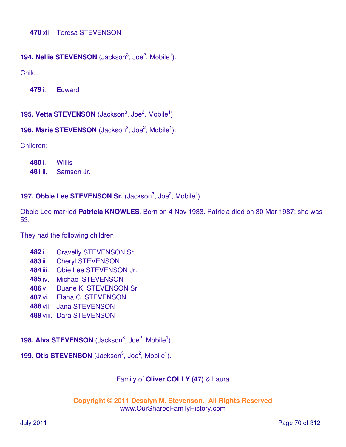## **194. Nellie STEVENSON** (Jackson<sup>3</sup>, Joe<sup>2</sup>, Mobile<sup>1</sup>).

Child:

**479** i. Edward

**195. Vetta STEVENSON** (Jackson<sup>3</sup>, Joe<sup>2</sup>, Mobile<sup>1</sup>).

```
196. Marie STEVENSON (Jackson<sup>3</sup>, Joe<sup>2</sup>, Mobile<sup>1</sup>).
```
Children:

**480** i. Willis **481** ii. Samson Jr.

**197. Obbie Lee STEVENSON Sr.** (Jackson<sup>3</sup>, Joe<sup>2</sup>, Mobile<sup>1</sup>).

Obbie Lee married **Patricia KNOWLES**. Born on 4 Nov 1933. Patricia died on 30 Mar 1987; she was 53.

They had the following children:

- **482** i. Gravelly STEVENSON Sr.
- **483** ii. Cheryl STEVENSON
- **484** iii. Obie Lee STEVENSON Jr.
- **485** iv. Michael STEVENSON
- **486** v. Duane K. STEVENSON Sr.
- **487** vi. Elana C. STEVENSON
- **488** vii. Jana STEVENSON
- **489** viii. Dara STEVENSON

**198. Alva STEVENSON** (Jackson<sup>3</sup>, Joe<sup>2</sup>, Mobile<sup>1</sup>).

**199. Otis STEVENSON** (Jackson<sup>3</sup>, Joe<sup>2</sup>, Mobile<sup>1</sup>).

## Family of **Oliver COLLY (47)** & Laura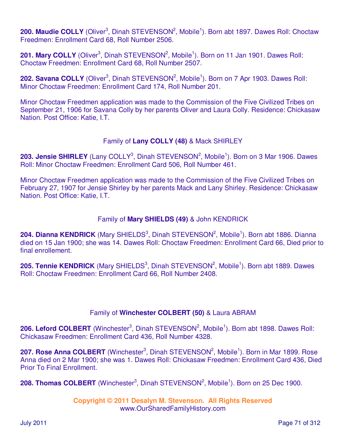200. Maudie COLLY (Oliver<sup>3</sup>, Dinah STEVENSON<sup>2</sup>, Mobile<sup>1</sup>). Born abt 1897. Dawes Roll: Choctaw Freedmen: Enrollment Card 68, Roll Number 2506.

201. Mary COLLY (Oliver<sup>3</sup>, Dinah STEVENSON<sup>2</sup>, Mobile<sup>1</sup>). Born on 11 Jan 1901. Dawes Roll: Choctaw Freedmen: Enrollment Card 68, Roll Number 2507.

202. Savana COLLY (Oliver<sup>3</sup>, Dinah STEVENSON<sup>2</sup>, Mobile<sup>1</sup>). Born on 7 Apr 1903. Dawes Roll: Minor Choctaw Freedmen: Enrollment Card 174, Roll Number 201.

Minor Choctaw Freedmen application was made to the Commission of the Five Civilized Tribes on September 21, 1906 for Savana Colly by her parents Oliver and Laura Colly. Residence: Chickasaw Nation. Post Office: Katie, I.T.

## Family of **Lany COLLY (48)** & Mack SHIRLEY

203. Jensie SHIRLEY (Lany COLLY<sup>3</sup>, Dinah STEVENSON<sup>2</sup>, Mobile<sup>1</sup>). Born on 3 Mar 1906. Dawes Roll: Minor Choctaw Freedmen: Enrollment Card 506, Roll Number 461.

Minor Choctaw Freedmen application was made to the Commission of the Five Civilized Tribes on February 27, 1907 for Jensie Shirley by her parents Mack and Lany Shirley. Residence: Chickasaw Nation. Post Office: Katie, I.T.

## Family of **Mary SHIELDS (49)** & John KENDRICK

204. Dianna KENDRICK (Mary SHIELDS<sup>3</sup>, Dinah STEVENSON<sup>2</sup>, Mobile<sup>1</sup>). Born abt 1886. Dianna died on 15 Jan 1900; she was 14. Dawes Roll: Choctaw Freedmen: Enrollment Card 66, Died prior to final enrollement.

205. Tennie KENDRICK (Mary SHIELDS<sup>3</sup>, Dinah STEVENSON<sup>2</sup>, Mobile<sup>1</sup>). Born abt 1889. Dawes Roll: Choctaw Freedmen: Enrollment Card 66, Roll Number 2408.

## Family of **Winchester COLBERT (50)** & Laura ABRAM

206. Leford COLBERT (Winchester<sup>3</sup>, Dinah STEVENSON<sup>2</sup>, Mobile<sup>1</sup>). Born abt 1898. Dawes Roll: Chickasaw Freedmen: Enrollment Card 436, Roll Number 4328.

207. Rose Anna COLBERT (Winchester<sup>3</sup>, Dinah STEVENSON<sup>2</sup>, Mobile<sup>1</sup>). Born in Mar 1899. Rose Anna died on 2 Mar 1900; she was 1. Dawes Roll: Chickasaw Freedmen: Enrollment Card 436, Died Prior To Final Enrollment.

208. Thomas COLBERT (Winchester<sup>3</sup>, Dinah STEVENSON<sup>2</sup>, Mobile<sup>1</sup>). Born on 25 Dec 1900.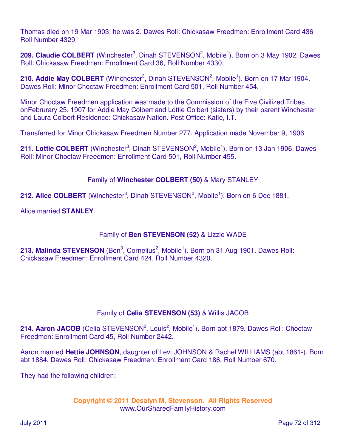Thomas died on 19 Mar 1903; he was 2. Dawes Roll: Chickasaw Freedmen: Enrollment Card 436 Roll Number 4329.

209. Claudie COLBERT (Winchester<sup>3</sup>, Dinah STEVENSON<sup>2</sup>, Mobile<sup>1</sup>). Born on 3 May 1902. Dawes Roll: Chickasaw Freedmen: Enrollment Card 36, Roll Number 4330.

210. Addie May COLBERT (Winchester<sup>3</sup>, Dinah STEVENSON<sup>2</sup>, Mobile<sup>1</sup>). Born on 17 Mar 1904. Dawes Roll: Minor Choctaw Freedmen: Enrollment Card 501, Roll Number 454.

Minor Choctaw Freedmen application was made to the Commission of the Five Civilized Tribes onFebrurary 25, 1907 for Addie May Colbert and Lottie Colbert (sisters) by their parent Winchester and Laura Colbert Residence: Chickasaw Nation. Post Office: Katie, I.T.

Transferred for Minor Chickasaw Freedmen Number 277. Application made November 9, 1906

211. Lottie COLBERT (Winchester<sup>3</sup>, Dinah STEVENSON<sup>2</sup>, Mobile<sup>1</sup>). Born on 13 Jan 1906. Dawes Roll: Minor Choctaw Freedmen: Enrollment Card 501, Roll Number 455.

## Family of **Winchester COLBERT (50)** & Mary STANLEY

212. Alice COLBERT (Winchester<sup>3</sup>, Dinah STEVENSON<sup>2</sup>, Mobile<sup>1</sup>). Born on 6 Dec 1881.

Alice married **STANLEY**.

## Family of **Ben STEVENSON (52)** & Lizzie WADE

213. Malinda STEVENSON (Ben<sup>3</sup>, Cornelius<sup>2</sup>, Mobile<sup>1</sup>). Born on 31 Aug 1901. Dawes Roll: Chickasaw Freedmen: Enrollment Card 424, Roll Number 4320.

# Family of **Celia STEVENSON (53)** & Willis JACOB

214. Aaron JACOB (Celia STEVENSON<sup>3</sup>, Louis<sup>2</sup>, Mobile<sup>1</sup>). Born abt 1879. Dawes Roll: Choctaw Freedmen: Enrollment Card 45, Roll Number 2442.

Aaron married **Hettie JOHNSON**, daughter of Levi JOHNSON & Rachel WILLIAMS (abt 1861-). Born abt 1884. Dawes Roll: Chickasaw Freedmen: Enrollment Card 186, Roll Number 670.

They had the following children: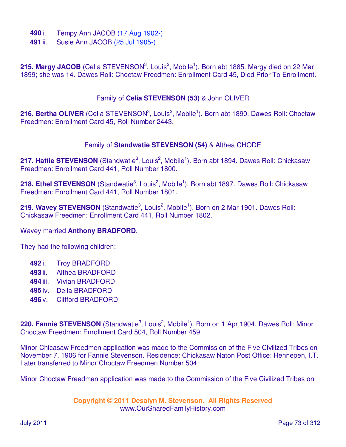- **490** i. Tempy Ann JACOB (17 Aug 1902-)
- **491** ii. Susie Ann JACOB (25 Jul 1905-)

215. Margy JACOB (Celia STEVENSON<sup>3</sup>, Louis<sup>2</sup>, Mobile<sup>1</sup>). Born abt 1885. Margy died on 22 Mar 1899; she was 14. Dawes Roll: Choctaw Freedmen: Enrollment Card 45, Died Prior To Enrollment.

#### Family of **Celia STEVENSON (53)** & John OLIVER

216. Bertha OLIVER (Celia STEVENSON<sup>3</sup>, Louis<sup>2</sup>, Mobile<sup>1</sup>). Born abt 1890. Dawes Roll: Choctaw Freedmen: Enrollment Card 45, Roll Number 2443.

#### Family of **Standwatie STEVENSON (54)** & Althea CHODE

217. Hattie STEVENSON (Standwatie<sup>3</sup>, Louis<sup>2</sup>, Mobile<sup>1</sup>). Born abt 1894. Dawes Roll: Chickasaw Freedmen: Enrollment Card 441, Roll Number 1800.

218. Ethel STEVENSON (Standwatie<sup>3</sup>, Louis<sup>2</sup>, Mobile<sup>1</sup>). Born abt 1897. Dawes Roll: Chickasaw Freedmen: Enrollment Card 441, Roll Number 1801.

219. Wavey STEVENSON (Standwatie<sup>3</sup>, Louis<sup>2</sup>, Mobile<sup>1</sup>). Born on 2 Mar 1901. Dawes Roll: Chickasaw Freedmen: Enrollment Card 441, Roll Number 1802.

#### Wavey married **Anthony BRADFORD**.

They had the following children:

- **492** i. Troy BRADFORD
- **493** ii. Althea BRADFORD
- **494** iii. Vivian BRADFORD
- **495** iv. Deila BRADFORD
- **496** v. Clifford BRADFORD

220. Fannie STEVENSON (Standwatie<sup>3</sup>, Louis<sup>2</sup>, Mobile<sup>1</sup>). Born on 1 Apr 1904. Dawes Roll: Minor Choctaw Freedmen: Enrollment Card 504, Roll Number 459.

Minor Chicasaw Freedmen application was made to the Commission of the Five Civilized Tribes on November 7, 1906 for Fannie Stevenson. Residence: Chickasaw Naton Post Office: Hennepen, I.T. Later transferred to Minor Choctaw Freedmen Number 504

Minor Choctaw Freedmen application was made to the Commission of the Five Civilized Tribes on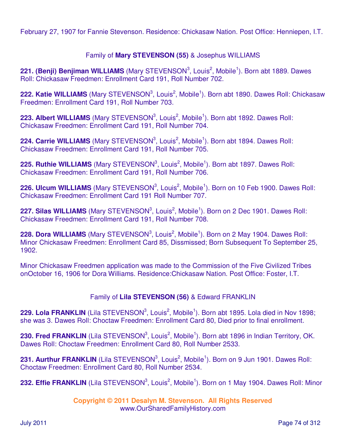February 27, 1907 for Fannie Stevenson. Residence: Chickasaw Nation. Post Office: Henniepen, I.T.

## Family of **Mary STEVENSON (55)** & Josephus WILLIAMS

221. (Benji) Benjiman WILLIAMS (Mary STEVENSON<sup>3</sup>, Louis<sup>2</sup>, Mobile<sup>1</sup>). Born abt 1889. Dawes Roll: Chickasaw Freedmen: Enrollment Card 191, Roll Number 702.

222. Katie WILLIAMS (Mary STEVENSON<sup>3</sup>, Louis<sup>2</sup>, Mobile<sup>1</sup>). Born abt 1890. Dawes Roll: Chickasaw Freedmen: Enrollment Card 191, Roll Number 703.

223. Albert WILLIAMS (Mary STEVENSON<sup>3</sup>, Louis<sup>2</sup>, Mobile<sup>1</sup>). Born abt 1892. Dawes Roll: Chickasaw Freedmen: Enrollment Card 191, Roll Number 704.

224. Carrie WILLIAMS (Mary STEVENSON<sup>3</sup>, Louis<sup>2</sup>, Mobile<sup>1</sup>). Born abt 1894. Dawes Roll: Chickasaw Freedmen: Enrollment Card 191, Roll Number 705.

225. Ruthie WILLIAMS (Mary STEVENSON<sup>3</sup>, Louis<sup>2</sup>, Mobile<sup>1</sup>). Born abt 1897. Dawes Roll: Chickasaw Freedmen: Enrollment Card 191, Roll Number 706.

226. Ulcum WILLIAMS (Mary STEVENSON<sup>3</sup>, Louis<sup>2</sup>, Mobile<sup>1</sup>). Born on 10 Feb 1900. Dawes Roll: Chickasaw Freedmen: Enrollment Card 191 Roll Number 707.

227. Silas WILLIAMS (Mary STEVENSON<sup>3</sup>, Louis<sup>2</sup>, Mobile<sup>1</sup>). Born on 2 Dec 1901. Dawes Roll: Chickasaw Freedmen: Enrollment Card 191, Roll Number 708.

228. Dora WILLIAMS (Mary STEVENSON<sup>3</sup>, Louis<sup>2</sup>, Mobile<sup>1</sup>). Born on 2 May 1904. Dawes Roll: Minor Chickasaw Freedmen: Enrollment Card 85, Dissmissed; Born Subsequent To September 25, 1902.

Minor Chickasaw Freedmen application was made to the Commission of the Five Civilized Tribes onOctober 16, 1906 for Dora Williams. Residence:Chickasaw Nation. Post Office: Foster, I.T.

## Family of **Lila STEVENSON (56)** & Edward FRANKLIN

229. Lola FRANKLIN (Lila STEVENSON<sup>3</sup>, Louis<sup>2</sup>, Mobile<sup>1</sup>). Born abt 1895. Lola died in Nov 1898; she was 3. Dawes Roll: Choctaw Freedmen: Enrollment Card 80, Died prior to final enrollment.

230. Fred FRANKLIN (Lila STEVENSON<sup>3</sup>, Louis<sup>2</sup>, Mobile<sup>1</sup>). Born abt 1896 in Indian Territory, OK. Dawes Roll: Choctaw Freedmen: Enrollment Card 80, Roll Number 2533.

231. Aurthur FRANKLIN (Lila STEVENSON<sup>3</sup>, Louis<sup>2</sup>, Mobile<sup>1</sup>). Born on 9 Jun 1901. Dawes Roll: Choctaw Freedmen: Enrollment Card 80, Roll Number 2534.

232. Effie FRANKLIN (Lila STEVENSON<sup>3</sup>, Louis<sup>2</sup>, Mobile<sup>1</sup>). Born on 1 May 1904. Dawes Roll: Minor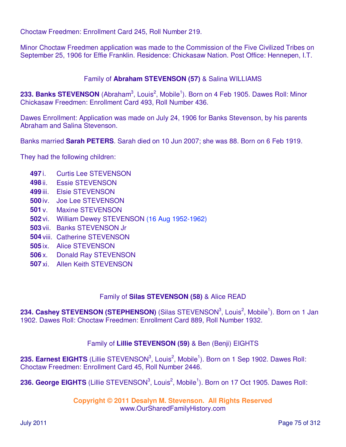Choctaw Freedmen: Enrollment Card 245, Roll Number 219.

Minor Choctaw Freedmen application was made to the Commission of the Five Civilized Tribes on September 25, 1906 for Effie Franklin. Residence: Chickasaw Nation. Post Office: Hennepen, I.T.

#### Family of **Abraham STEVENSON (57)** & Salina WILLIAMS

233. Banks STEVENSON (Abraham<sup>3</sup>, Louis<sup>2</sup>, Mobile<sup>1</sup>). Born on 4 Feb 1905. Dawes Roll: Minor Chickasaw Freedmen: Enrollment Card 493, Roll Number 436.

Dawes Enrollment: Application was made on July 24, 1906 for Banks Stevenson, by his parents Abraham and Salina Stevenson.

Banks married **Sarah PETERS**. Sarah died on 10 Jun 2007; she was 88. Born on 6 Feb 1919.

They had the following children:

- **497** i. Curtis Lee STEVENSON
- **498** ii. Essie STEVENSON
- **499** iii. Elsie STEVENSON
- **500** iv. Joe Lee STEVENSON
- **501** v. Maxine STEVENSON
- **502** vi. William Dewey STEVENSON (16 Aug 1952-1962)
- **503** vii. Banks STEVENSON Jr
- **504** viii. Catherine STEVENSON
- **505** ix. Alice STEVENSON
- **506** x. Donald Ray STEVENSON
- **507** xi. Allen Keith STEVENSON

#### Family of **Silas STEVENSON (58)** & Alice READ

234. Cashey STEVENSON (STEPHENSON) (Silas STEVENSON<sup>3</sup>, Louis<sup>2</sup>, Mobile<sup>1</sup>). Born on 1 Jan 1902. Dawes Roll: Choctaw Freedmen: Enrollment Card 889, Roll Number 1932.

## Family of **Lillie STEVENSON (59)** & Ben (Benji) EIGHTS

235. Earnest EIGHTS (Lillie STEVENSON<sup>3</sup>, Louis<sup>2</sup>, Mobile<sup>1</sup>). Born on 1 Sep 1902. Dawes Roll: Choctaw Freedmen: Enrollment Card 45, Roll Number 2446.

236. George EIGHTS (Lillie STEVENSON<sup>3</sup>, Louis<sup>2</sup>, Mobile<sup>1</sup>). Born on 17 Oct 1905. Dawes Roll: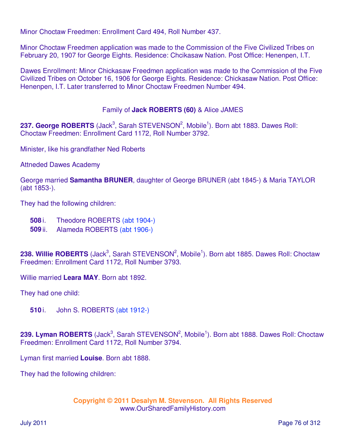Minor Choctaw Freedmen: Enrollment Card 494, Roll Number 437.

Minor Choctaw Freedmen application was made to the Commission of the Five Civilized Tribes on February 20, 1907 for George Eights. Residence: Chcikasaw Nation. Post Office: Henenpen, I.T.

Dawes Enrollment: Minor Chickasaw Freedmen application was made to the Commission of the Five Civilized Tribes on October 16, 1906 for George Eights. Residence: Chickasaw Nation. Post Office: Henenpen, I.T. Later transferred to Minor Choctaw Freedmen Number 494.

## Family of **Jack ROBERTS (60)** & Alice JAMES

237. George ROBERTS (Jack<sup>3</sup>, Sarah STEVENSON<sup>2</sup>, Mobile<sup>1</sup>). Born abt 1883. Dawes Roll: Choctaw Freedmen: Enrollment Card 1172, Roll Number 3792.

Minister, like his grandfather Ned Roberts

Attneded Dawes Academy

George married **Samantha BRUNER**, daughter of George BRUNER (abt 1845-) & Maria TAYLOR (abt 1853-).

They had the following children:

- **508** i. Theodore ROBERTS (abt 1904-)
- **509** ii. Alameda ROBERTS (abt 1906-)

238. Willie ROBERTS (Jack<sup>3</sup>, Sarah STEVENSON<sup>2</sup>, Mobile<sup>1</sup>). Born abt 1885. Dawes Roll: Choctaw Freedmen: Enrollment Card 1172, Roll Number 3793.

Willie married **Leara MAY**. Born abt 1892.

They had one child:

**510** i. John S. ROBERTS (abt 1912-)

239. Lyman ROBERTS (Jack<sup>3</sup>, Sarah STEVENSON<sup>2</sup>, Mobile<sup>1</sup>). Born abt 1888. Dawes Roll: Choctaw Freedmen: Enrollment Card 1172, Roll Number 3794.

Lyman first married **Louise**. Born abt 1888.

They had the following children: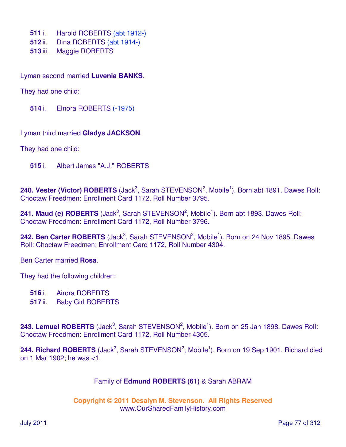- **511** i. Harold ROBERTS (abt 1912-)
- **512** ii. Dina ROBERTS (abt 1914-)
- **513** iii. Maggie ROBERTS

Lyman second married **Luvenia BANKS**.

They had one child:

**514** i. Elnora ROBERTS (-1975)

Lyman third married **Gladys JACKSON**.

They had one child:

**515** i. Albert James "A.J." ROBERTS

240. Vester (Victor) ROBERTS (Jack<sup>3</sup>, Sarah STEVENSON<sup>2</sup>, Mobile<sup>1</sup>). Born abt 1891. Dawes Roll: Choctaw Freedmen: Enrollment Card 1172, Roll Number 3795.

241. Maud (e) ROBERTS (Jack<sup>3</sup>, Sarah STEVENSON<sup>2</sup>, Mobile<sup>1</sup>). Born abt 1893. Dawes Roll: Choctaw Freedmen: Enrollment Card 1172, Roll Number 3796.

242. Ben Carter ROBERTS (Jack<sup>3</sup>, Sarah STEVENSON<sup>2</sup>, Mobile<sup>1</sup>). Born on 24 Nov 1895. Dawes Roll: Choctaw Freedmen: Enrollment Card 1172, Roll Number 4304.

Ben Carter married **Rosa**.

They had the following children:

**516** i. Airdra ROBERTS

**517** ii. Baby Girl ROBERTS

243. Lemuel ROBERTS (Jack<sup>3</sup>, Sarah STEVENSON<sup>2</sup>, Mobile<sup>1</sup>). Born on 25 Jan 1898. Dawes Roll: Choctaw Freedmen: Enrollment Card 1172, Roll Number 4305.

244. Richard ROBERTS (Jack<sup>3</sup>, Sarah STEVENSON<sup>2</sup>, Mobile<sup>1</sup>). Born on 19 Sep 1901. Richard died on 1 Mar 1902; he was <1.

## Family of **Edmund ROBERTS (61)** & Sarah ABRAM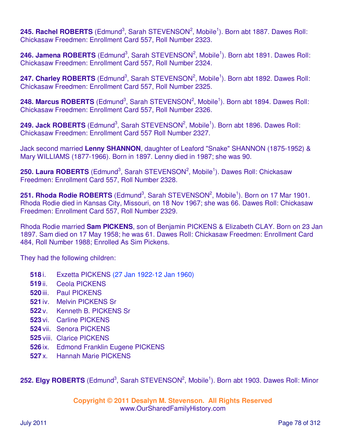245. Rachel ROBERTS (Edmund<sup>3</sup>, Sarah STEVENSON<sup>2</sup>, Mobile<sup>1</sup>). Born abt 1887. Dawes Roll: Chickasaw Freedmen: Enrollment Card 557, Roll Number 2323.

246. Jamena ROBERTS (Edmund<sup>3</sup>, Sarah STEVENSON<sup>2</sup>, Mobile<sup>1</sup>). Born abt 1891. Dawes Roll: Chickasaw Freedmen: Enrollment Card 557, Roll Number 2324.

247. Charley ROBERTS (Edmund<sup>3</sup>, Sarah STEVENSON<sup>2</sup>, Mobile<sup>1</sup>). Born abt 1892. Dawes Roll: Chickasaw Freedmen: Enrollment Card 557, Roll Number 2325.

248. Marcus ROBERTS (Edmund<sup>3</sup>, Sarah STEVENSON<sup>2</sup>, Mobile<sup>1</sup>). Born abt 1894. Dawes Roll: Chickasaw Freedmen: Enrollment Card 557, Roll Number 2326.

249. Jack ROBERTS (Edmund<sup>3</sup>, Sarah STEVENSON<sup>2</sup>, Mobile<sup>1</sup>). Born abt 1896. Dawes Roll: Chickasaw Freedmen: Enrollment Card 557 Roll Number 2327.

Jack second married **Lenny SHANNON**, daughter of Leaford "Snake" SHANNON (1875-1952) & Mary WILLIAMS (1877-1966). Born in 1897. Lenny died in 1987; she was 90.

250. Laura ROBERTS (Edmund<sup>3</sup>, Sarah STEVENSON<sup>2</sup>, Mobile<sup>1</sup>). Dawes Roll: Chickasaw Freedmen: Enrollment Card 557, Roll Number 2328.

251. Rhoda Rodie ROBERTS (Edmund<sup>3</sup>, Sarah STEVENSON<sup>2</sup>, Mobile<sup>1</sup>). Born on 17 Mar 1901. Rhoda Rodie died in Kansas City, Missouri, on 18 Nov 1967; she was 66. Dawes Roll: Chickasaw Freedmen: Enrollment Card 557, Roll Number 2329.

Rhoda Rodie married **Sam PICKENS**, son of Benjamin PICKENS & Elizabeth CLAY. Born on 23 Jan 1897. Sam died on 17 May 1958; he was 61. Dawes Roll: Chickasaw Freedmen: Enrollment Card 484, Roll Number 1988; Enrolled As Sim Pickens.

They had the following children:

- **518** i. Exzetta PICKENS (27 Jan 1922-12 Jan 1960)
- **519** ii. Ceola PICKENS
- **520** iii. Paul PICKENS
- **521** iv. Melvin PICKENS Sr
- **522** v. Kenneth B. PICKENS Sr
- **523** vi. Carline PICKENS
- **524** vii. Senora PICKENS
- **525** viii. Clarice PICKENS
- **526** ix. Edmond Franklin Eugene PICKENS
- **527** x. Hannah Marie PICKENS

252. Elgy ROBERTS (Edmund<sup>3</sup>, Sarah STEVENSON<sup>2</sup>, Mobile<sup>1</sup>). Born abt 1903. Dawes Roll: Minor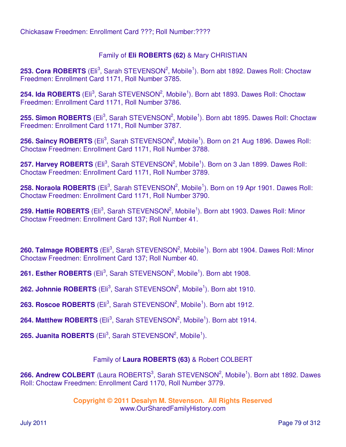# Family of **Eli ROBERTS (62)** & Mary CHRISTIAN

253. Cora ROBERTS (Eli<sup>3</sup>, Sarah STEVENSON<sup>2</sup>, Mobile<sup>1</sup>). Born abt 1892. Dawes Roll: Choctaw Freedmen: Enrollment Card 1171, Roll Number 3785.

254. Ida ROBERTS (Eli<sup>3</sup>, Sarah STEVENSON<sup>2</sup>, Mobile<sup>1</sup>). Born abt 1893. Dawes Roll: Choctaw Freedmen: Enrollment Card 1171, Roll Number 3786.

255. Simon ROBERTS (Eli<sup>3</sup>, Sarah STEVENSON<sup>2</sup>, Mobile<sup>1</sup>). Born abt 1895. Dawes Roll: Choctaw Freedmen: Enrollment Card 1171, Roll Number 3787.

256. Saincy ROBERTS (Eli<sup>3</sup>, Sarah STEVENSON<sup>2</sup>, Mobile<sup>1</sup>). Born on 21 Aug 1896. Dawes Roll: Choctaw Freedmen: Enrollment Card 1171, Roll Number 3788.

257. Harvey ROBERTS (Eli<sup>3</sup>, Sarah STEVENSON<sup>2</sup>, Mobile<sup>1</sup>). Born on 3 Jan 1899. Dawes Roll: Choctaw Freedmen: Enrollment Card 1171, Roll Number 3789.

258. Noraola ROBERTS (Eli<sup>3</sup>, Sarah STEVENSON<sup>2</sup>, Mobile<sup>1</sup>). Born on 19 Apr 1901. Dawes Roll: Choctaw Freedmen: Enrollment Card 1171, Roll Number 3790.

259. Hattie ROBERTS (Eli<sup>3</sup>, Sarah STEVENSON<sup>2</sup>, Mobile<sup>1</sup>). Born abt 1903. Dawes Roll: Minor Choctaw Freedmen: Enrollment Card 137; Roll Number 41.

260. Talmage ROBERTS (Eli<sup>3</sup>, Sarah STEVENSON<sup>2</sup>, Mobile<sup>1</sup>). Born abt 1904. Dawes Roll: Minor Choctaw Freedmen: Enrollment Card 137; Roll Number 40.

261. Esther ROBERTS (Eli<sup>3</sup>, Sarah STEVENSON<sup>2</sup>, Mobile<sup>1</sup>). Born abt 1908.

**262. Johnnie ROBERTS** (Eli<sup>3</sup>, Sarah STEVENSON<sup>2</sup>, Mobile<sup>1</sup>). Born abt 1910.

**263. Roscoe ROBERTS** (Eli<sup>3</sup>, Sarah STEVENSON<sup>2</sup>, Mobile<sup>1</sup>). Born abt 1912.

264. Matthew ROBERTS (Eli<sup>3</sup>, Sarah STEVENSON<sup>2</sup>, Mobile<sup>1</sup>). Born abt 1914.

**265. Juanita ROBERTS** (Eli<sup>3</sup>, Sarah STEVENSON<sup>2</sup>, Mobile<sup>1</sup>).

## Family of **Laura ROBERTS (63)** & Robert COLBERT

266. Andrew COLBERT (Laura ROBERTS<sup>3</sup>, Sarah STEVENSON<sup>2</sup>, Mobile<sup>1</sup>). Born abt 1892. Dawes Roll: Choctaw Freedmen: Enrollment Card 1170, Roll Number 3779.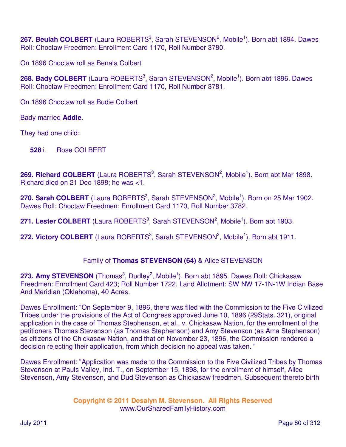267. Beulah COLBERT (Laura ROBERTS<sup>3</sup>, Sarah STEVENSON<sup>2</sup>, Mobile<sup>1</sup>). Born abt 1894. Dawes Roll: Choctaw Freedmen: Enrollment Card 1170, Roll Number 3780.

On 1896 Choctaw roll as Benala Colbert

268. Bady COLBERT (Laura ROBERTS<sup>3</sup>, Sarah STEVENSON<sup>2</sup>, Mobile<sup>1</sup>). Born abt 1896. Dawes Roll: Choctaw Freedmen: Enrollment Card 1170, Roll Number 3781.

On 1896 Choctaw roll as Budie Colbert

Bady married **Addie**.

They had one child:

**528** i. Rose COLBERT

269. Richard COLBERT (Laura ROBERTS<sup>3</sup>, Sarah STEVENSON<sup>2</sup>, Mobile<sup>1</sup>). Born abt Mar 1898. Richard died on 21 Dec 1898; he was <1.

270. Sarah COLBERT (Laura ROBERTS<sup>3</sup>, Sarah STEVENSON<sup>2</sup>, Mobile<sup>1</sup>). Born on 25 Mar 1902. Dawes Roll: Choctaw Freedmen: Enrollment Card 1170, Roll Number 3782.

271. Lester COLBERT (Laura ROBERTS<sup>3</sup>, Sarah STEVENSON<sup>2</sup>, Mobile<sup>1</sup>). Born abt 1903.

272. Victory COLBERT (Laura ROBERTS<sup>3</sup>, Sarah STEVENSON<sup>2</sup>, Mobile<sup>1</sup>). Born abt 1911.

## Family of **Thomas STEVENSON (64)** & Alice STEVENSON

273. Amy STEVENSON (Thomas<sup>3</sup>, Dudley<sup>2</sup>, Mobile<sup>1</sup>). Born abt 1895. Dawes Roll: Chickasaw Freedmen: Enrollment Card 423; Roll Number 1722. Land Allotment: SW NW 17-1N-1W Indian Base And Meridian (Oklahoma), 40 Acres.

Dawes Enrollment: "On September 9, 1896, there was filed with the Commission to the Five Civilized Tribes under the provisions of the Act of Congress approved June 10, 1896 (29Stats. 321), original application in the case of Thomas Stephenson, et al., v. Chickasaw Nation, for the enrollment of the petitioners Thomas Stevenson (as Thomas Stephenson) and Amy Stevenson (as Ama Stephenson) as citizens of the Chickasaw Nation, and that on November 23, 1896, the Commission rendered a decision rejecting their application, from which decision no appeal was taken. "

Dawes Enrollment: "Application was made to the Commission to the Five Civilized Tribes by Thomas Stevenson at Pauls Valley, Ind. T., on September 15, 1898, for the enrollment of himself, Alice Stevenson, Amy Stevenson, and Dud Stevenson as Chickasaw freedmen. Subsequent thereto birth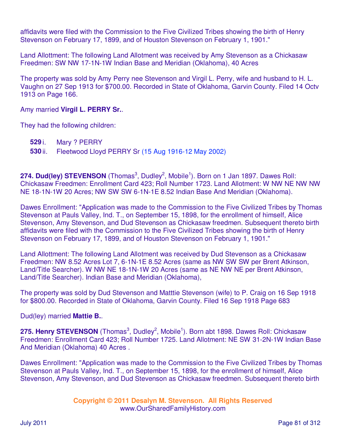affidavits were filed with the Commission to the Five Civilized Tribes showing the birth of Henry Stevenson on February 17, 1899, and of Houston Stevenson on February 1, 1901."

Land Allottment: The following Land Allotment was received by Amy Stevenson as a Chickasaw Freedmen: SW NW 17-1N-1W Indian Base and Meridian (Oklahoma), 40 Acres

The property was sold by Amy Perry nee Stevenson and Virgil L. Perry, wife and husband to H. L. Vaughn on 27 Sep 1913 for \$700.00. Recorded in State of Oklahoma, Garvin County. Filed 14 Octv 1913 on Page 166.

Amy married **Virgil L. PERRY Sr.**.

They had the following children:

- **529** i. Mary ? PERRY
- **530** ii. Fleetwood Lloyd PERRY Sr (15 Aug 1916-12 May 2002)

274. Dud(ley) STEVENSON (Thomas<sup>3</sup>, Dudley<sup>2</sup>, Mobile<sup>1</sup>). Born on 1 Jan 1897. Dawes Roll: Chickasaw Freedmen: Enrollment Card 423; Roll Number 1723. Land Allotment: W NW NE NW NW NE 18-1N-1W 20 Acres; NW SW SW 6-1N-1E 8.52 Indian Base And Meridian (Oklahoma).

Dawes Enrollment: "Application was made to the Commission to the Five Civilized Tribes by Thomas Stevenson at Pauls Valley, Ind. T., on September 15, 1898, for the enrollment of himself, Alice Stevenson, Amy Stevenson, and Dud Stevenson as Chickasaw freedmen. Subsequent thereto birth affidavits were filed with the Commission to the Five Civilized Tribes showing the birth of Henry Stevenson on February 17, 1899, and of Houston Stevenson on February 1, 1901."

Land Allottment: The following Land Allotment was received by Dud Stevenson as a Chickasaw Freedmen: NW 8.52 Acres Lot 7, 6-1N-1E 8.52 Acres (same as NW SW SW per Brent Atkinson, Land/Title Searcher). W NW NE 18-1N-1W 20 Acres (same as NE NW NE per Brent Atkinson, Land/Title Searcher). Indian Base and Meridian (Oklahoma),

The property was sold by Dud Stevenson and Matttie Stevenson (wife) to P. Craig on 16 Sep 1918 for \$800.00. Recorded in State of Oklahoma, Garvin County. Filed 16 Sep 1918 Page 683

Dud(ley) married **Mattie B.**.

275. Henry STEVENSON (Thomas<sup>3</sup>, Dudley<sup>2</sup>, Mobile<sup>1</sup>). Born abt 1898. Dawes Roll: Chickasaw Freedmen: Enrollment Card 423; Roll Number 1725. Land Allotment: NE SW 31-2N-1W Indian Base And Meridian (Oklahoma) 40 Acres .

Dawes Enrollment: "Application was made to the Commission to the Five Civilized Tribes by Thomas Stevenson at Pauls Valley, Ind. T., on September 15, 1898, for the enrollment of himself, Alice Stevenson, Amy Stevenson, and Dud Stevenson as Chickasaw freedmen. Subsequent thereto birth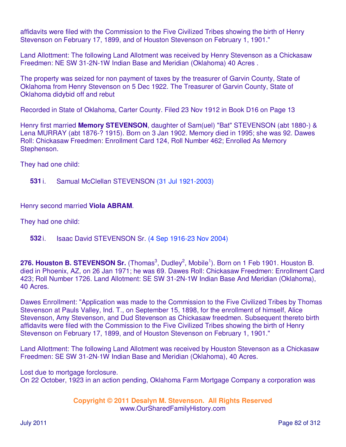affidavits were filed with the Commission to the Five Civilized Tribes showing the birth of Henry Stevenson on February 17, 1899, and of Houston Stevenson on February 1, 1901."

Land Allottment: The following Land Allotment was received by Henry Stevenson as a Chickasaw Freedmen: NE SW 31-2N-1W Indian Base and Meridian (Oklahoma) 40 Acres .

The property was seized for non payment of taxes by the treasurer of Garvin County, State of Oklahoma from Henry Stevenson on 5 Dec 1922. The Treasurer of Garvin County, State of Oklahoma didybid off and rebut

Recorded in State of Oklahoma, Carter County. Filed 23 Nov 1912 in Book D16 on Page 13

Henry first married **Memory STEVENSON**, daughter of Sam(uel) "Bat" STEVENSON (abt 1880-) & Lena MURRAY (abt 1876-? 1915). Born on 3 Jan 1902. Memory died in 1995; she was 92. Dawes Roll: Chickasaw Freedmen: Enrollment Card 124, Roll Number 462; Enrolled As Memory Stephenson.

They had one child:

**531** i. Samual McClellan STEVENSON (31 Jul 1921-2003)

Henry second married **Viola ABRAM**.

They had one child:

**532** i. Isaac David STEVENSON Sr. (4 Sep 1916-23 Nov 2004)

276. Houston B. STEVENSON Sr. (Thomas<sup>3</sup>, Dudley<sup>2</sup>, Mobile<sup>1</sup>). Born on 1 Feb 1901. Houston B. died in Phoenix, AZ, on 26 Jan 1971; he was 69. Dawes Roll: Chickasaw Freedmen: Enrollment Card 423; Roll Number 1726. Land Allotment: SE SW 31-2N-1W Indian Base And Meridian (Oklahoma), 40 Acres.

Dawes Enrollment: "Application was made to the Commission to the Five Civilized Tribes by Thomas Stevenson at Pauls Valley, Ind. T., on September 15, 1898, for the enrollment of himself, Alice Stevenson, Amy Stevenson, and Dud Stevenson as Chickasaw freedmen. Subsequent thereto birth affidavits were filed with the Commission to the Five Civilized Tribes showing the birth of Henry Stevenson on February 17, 1899, and of Houston Stevenson on February 1, 1901."

Land Allottment: The following Land Allotment was received by Houston Stevenson as a Chickasaw Freedmen: SE SW 31-2N-1W Indian Base and Meridian (Oklahoma), 40 Acres.

Lost due to mortgage forclosure. On 22 October, 1923 in an action pending, Oklahoma Farm Mortgage Company a corporation was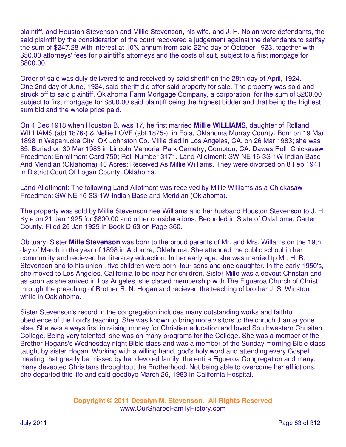plaintiff, and Houston Stevenson and Millie Stevenson, his wife, and J. H. Nolan were defendants, the said plaintiff by the consideration of the court recovered a judgement against the defendants,to satifsy the sum of \$247.28 with interest at 10% annum from said 22nd day of October 1923, together with \$50.00 attorneys' fees for plaintiff's attorneys and the costs of suit, subject to a first mortgage for \$800.00.

Order of sale was duly delivered to and received by said sheriff on the 28th day of April, 1924. One 2nd day of June, 1924, said sheriff did offer said property for sale. The property was sold and struck off to said plaintiff, Oklahoma Farm Mortgage Company, a corporation, for the sum of \$200.00 subject to first mortgage for \$800.00 said plaintiff being the highest bidder and that being the highest sum bid and the whole price paid.

On 4 Dec 1918 when Houston B. was 17, he first married **Millie WILLIAMS**, daughter of Rolland WILLIAMS (abt 1876-) & Nellie LOVE (abt 1875-), in Eola, Oklahoma Murray County. Born on 19 Mar 1898 in Wapanucka City, OK Johnston Co. Millie died in Los Angeles, CA, on 26 Mar 1983; she was 85. Buried on 30 Mar 1983 in Lincoln Memorial Park Cemetry; Compton, CA. Dawes Roll: Chickasaw Freedmen: Enrollment Card 750; Roll Number 3171. Land Allotment: SW NE 16-3S-1W Indian Base And Meridian (Oklahoma) 40 Acres; Received As Millie Williams. They were divorced on 8 Feb 1941 in District Court Of Logan County, Oklahoma.

Land Allottment: The following Land Allotment was received by Millie Williams as a Chickasaw Freedmen: SW NE 16-3S-1W Indian Base and Meridian (Oklahoma).

The property was sold by Millie Stevenson nee Williams and her husband Houston Stevenson to J. H. Kyle on 21 Jan 1925 for \$800.00 and other considerations. Recorded in State of Oklahoma, Carter County. Filed 26 Jan 1925 in Book D 63 on Page 360.

Obituary: Sister **Mille Stevenson** was born to the proud parents of Mr. and Mrs. Willams on the 19th day of March in the year of 1898 in Ardomre, Oklahoma. She attended the public school in her communtity and recieved her literaray eduaction. In her early age, she was married tp Mr. H. B. Stevenson and to his union , five children were born, four sons and one daughter. In the early 1950's, she moved to Los Angeles, California to be near her children. Sister Mille was a devout Christan and as soon as she arrived in Los Angeles, she placed membership with The Figueroa Church of Christ through the preaching of Brother R. N. Hogan and recieved the teaching of brother J. S. Winston while in Oaklahoma.

Sister Stevenson's record in the congregation includes many outstanding works and faithful obedience of the Lord's teaching. She was known to bring more visitors to the chruch than anyone else. She was always first in raising money for Christian education and loved Southwestern Chrisitan College. Being very talented, she was on many programs for the College. She was a member of the Brother Hogans's Wednesday night Bible class and was a member of the Sunday morning Bible class taught by sister Hogan. Working with a willing hand, god's holy word and attending every Gospel meeting that greatly be missed by her devoted family, the entire Figueroa Congregation and many, many deveoted Chrisitans throughtout the Brotherhood. Not being able to overcome her afflictions, she departed this life and said goodbye March 26, 1983 in California Hospital.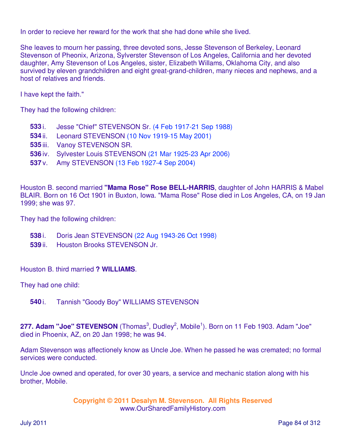In order to recieve her reward for the work that she had done while she lived.

She leaves to mourn her passing, three devoted sons, Jesse Stevenson of Berkeley, Leonard Stevenson of Pheonix, Arizona, Sylverster Stevenson of Los Angeles, California and her devoted daughter, Amy Stevenson of Los Angeles, sister, Elizabeth Willams, Oklahoma City, and also survived by eleven grandchildren and eight great-grand-children, many nieces and nephews, and a host of relatives and friends.

I have kept the faith."

They had the following children:

- **533** i. Jesse "Chief" STEVENSON Sr. (4 Feb 1917-21 Sep 1988)
- **534** ii. Leonard STEVENSON (10 Nov 1919-15 May 2001)
- **535** iii. Vanoy STEVENSON SR.
- **536** iv. Sylvester Louis STEVENSON (21 Mar 1925-23 Apr 2006)
- **537** v. Amy STEVENSON (13 Feb 1927-4 Sep 2004)

Houston B. second married **"Mama Rose" Rose BELL-HARRIS**, daughter of John HARRIS & Mabel BLAIR. Born on 16 Oct 1901 in Buxton, Iowa. "Mama Rose" Rose died in Los Angeles, CA, on 19 Jan 1999; she was 97.

They had the following children:

- **538** i. Doris Jean STEVENSON (22 Aug 1943-26 Oct 1998)
- **539** ii. Houston Brooks STEVENSON Jr.

Houston B. third married **? WILLIAMS**.

They had one child:

**540** i. Tannish "Goody Boy" WILLIAMS STEVENSON

277. Adam "Joe" STEVENSON (Thomas<sup>3</sup>, Dudley<sup>2</sup>, Mobile<sup>1</sup>). Born on 11 Feb 1903. Adam "Joe" died in Phoenix, AZ, on 20 Jan 1998; he was 94.

Adam Stevenson was affectionely know as Uncle Joe. When he passed he was cremated; no formal services were conducted.

Uncle Joe owned and operated, for over 30 years, a service and mechanic station along with his brother, Mobile.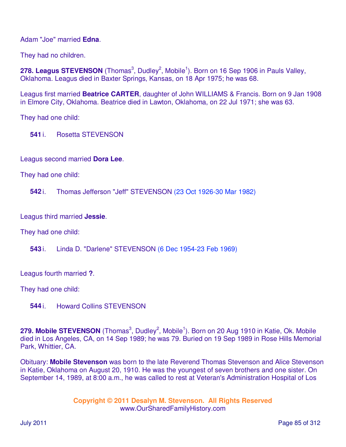Adam "Joe" married **Edna**.

They had no children.

278. Leagus STEVENSON (Thomas<sup>3</sup>, Dudley<sup>2</sup>, Mobile<sup>1</sup>). Born on 16 Sep 1906 in Pauls Valley, Oklahoma. Leagus died in Baxter Springs, Kansas, on 18 Apr 1975; he was 68.

Leagus first married **Beatrice CARTER**, daughter of John WILLIAMS & Francis. Born on 9 Jan 1908 in Elmore City, Oklahoma. Beatrice died in Lawton, Oklahoma, on 22 Jul 1971; she was 63.

They had one child:

**541** i. Rosetta STEVENSON

Leagus second married **Dora Lee**.

They had one child:

**542** i. Thomas Jefferson "Jeff" STEVENSON (23 Oct 1926-30 Mar 1982)

Leagus third married **Jessie**.

They had one child:

**543** i. Linda D. "Darlene" STEVENSON (6 Dec 1954-23 Feb 1969)

Leagus fourth married **?**.

They had one child:

**544** i. Howard Collins STEVENSON

279. Mobile STEVENSON (Thomas<sup>3</sup>, Dudley<sup>2</sup>, Mobile<sup>1</sup>). Born on 20 Aug 1910 in Katie, Ok. Mobile died in Los Angeles, CA, on 14 Sep 1989; he was 79. Buried on 19 Sep 1989 in Rose Hills Memorial Park, Whittier, CA.

Obituary: **Mobile Stevenson** was born to the late Reverend Thomas Stevenson and Alice Stevenson in Katie, Oklahoma on August 20, 1910. He was the youngest of seven brothers and one sister. On September 14, 1989, at 8:00 a.m., he was called to rest at Veteran's Administration Hospital of Los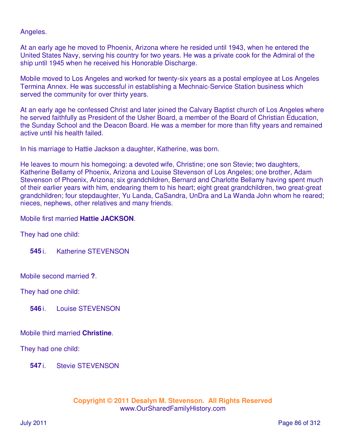Angeles.

At an early age he moved to Phoenix, Arizona where he resided until 1943, when he entered the United States Navy, serving his country for two years. He was a private cook for the Admiral of the ship until 1945 when he received his Honorable Discharge.

Mobile moved to Los Angeles and worked for twenty-six years as a postal employee at Los Angeles Termina Annex. He was successful in establishing a Mechnaic-Service Station business which served the community for over thirty years.

At an early age he confessed Christ and later joined the Calvary Baptist church of Los Angeles where he served faithfully as President of the Usher Board, a member of the Board of Christian Education, the Sunday School and the Deacon Board. He was a member for more than fifty years and remained active until his health failed.

In his marriage to Hattie Jackson a daughter, Katherine, was born.

He leaves to mourn his homegoing: a devoted wife, Christine; one son Stevie; two daughters, Katherine Bellamy of Phoenix, Arizona and Louise Stevenson of Los Angeles; one brother, Adam Stevenson of Phoenix, Arizona; six grandchildren, Bernard and Charlotte Bellamy having spent much of their earlier years with him, endearing them to his heart; eight great grandchildren, two great-great grandchildren; four stepdaughter, Yu Landa, CaSandra, UnDra and La Wanda John whom he reared; nieces, nephews, other relatives and many friends.

#### Mobile first married **Hattie JACKSON**.

They had one child:

**545** i. Katherine STEVENSON

Mobile second married **?**.

They had one child:

**546** i. Louise STEVENSON

#### Mobile third married **Christine**.

They had one child:

**547** i. Stevie STEVENSON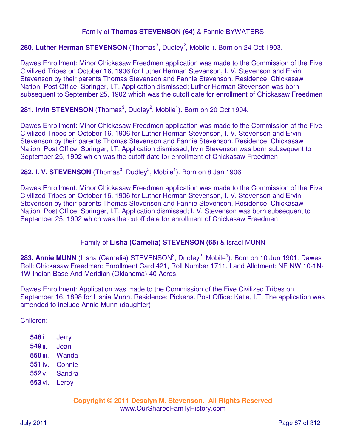## Family of **Thomas STEVENSON (64)** & Fannie BYWATERS

# 280. Luther Herman STEVENSON (Thomas<sup>3</sup>, Dudley<sup>2</sup>, Mobile<sup>1</sup>). Born on 24 Oct 1903.

Dawes Enrollment: Minor Chickasaw Freedmen application was made to the Commission of the Five Civilized Tribes on October 16, 1906 for Luther Herman Stevenson, I. V. Stevenson and Ervin Stevenson by their parents Thomas Stevenson and Fannie Stevenson. Residence: Chickasaw Nation. Post Office: Springer, I.T. Application dismissed; Luther Herman Stevenson was born subsequent to September 25, 1902 which was the cutoff date for enrollment of Chickasaw Freedmen

#### 281. Irvin STEVENSON (Thomas<sup>3</sup>, Dudley<sup>2</sup>, Mobile<sup>1</sup>). Born on 20 Oct 1904.

Dawes Enrollment: Minor Chickasaw Freedmen application was made to the Commission of the Five Civilized Tribes on October 16, 1906 for Luther Herman Stevenson, I. V. Stevenson and Ervin Stevenson by their parents Thomas Stevenson and Fannie Stevenson. Residence: Chickasaw Nation. Post Office: Springer, I.T. Application dismissed; Irvin Stevenson was born subsequent to September 25, 1902 which was the cutoff date for enrollment of Chickasaw Freedmen

#### 282. I. V. STEVENSON (Thomas<sup>3</sup>, Dudley<sup>2</sup>, Mobile<sup>1</sup>). Born on 8 Jan 1906.

Dawes Enrollment: Minor Chickasaw Freedmen application was made to the Commission of the Five Civilized Tribes on October 16, 1906 for Luther Herman Stevenson, I. V. Stevenson and Ervin Stevenson by their parents Thomas Stevenson and Fannie Stevenson. Residence: Chickasaw Nation. Post Office: Springer, I.T. Application dismissed; I. V. Stevenson was born subsequent to September 25, 1902 which was the cutoff date for enrollment of Chickasaw Freedmen

#### Family of **Lisha (Carnelia) STEVENSON (65)** & Israel MUNN

283. Annie MUNN (Lisha (Carnelia) STEVENSON<sup>3</sup>, Dudley<sup>2</sup>, Mobile<sup>1</sup>). Born on 10 Jun 1901. Dawes Roll: Chickasaw Freedmen: Enrollment Card 421, Roll Number 1711. Land Allotment: NE NW 10-1N-1W Indian Base And Meridian (Oklahoma) 40 Acres.

Dawes Enrollment: Application was made to the Commission of the Five Civilized Tribes on September 16, 1898 for Lishia Munn. Residence: Pickens. Post Office: Katie, I.T. The application was amended to include Annie Munn (daughter)

Children:

| 548 i.   | Jerry         |
|----------|---------------|
| 549 ii.  | Jean          |
| 550 iii. | Wanda         |
| 551 iv.  | Connie        |
| 552 v.   | <b>Sandra</b> |
| 553 vi.  | Leroy         |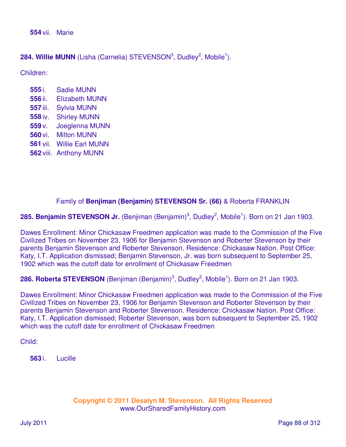**554** vii. Marie

284. Willie MUNN (Lisha (Carnelia) STEVENSON<sup>3</sup>, Dudley<sup>2</sup>, Mobile<sup>1</sup>).

Children:

- **555** i. Sadie MUNN **556** ii. Elizabeth MUNN **557** iii. Sylvia MUNN **558** iv. Shirley MUNN **559** v. Joeglenna MUNN **560** vi. Milton MUNN **561** vii. Willie Earl MUNN
- **562** viii. Anthony MUNN

# Family of **Benjiman (Benjamin) STEVENSON Sr. (66)** & Roberta FRANKLIN

285. Benjamin STEVENSON Jr. (Benjiman (Benjamin)<sup>3</sup>, Dudley<sup>2</sup>, Mobile<sup>1</sup>). Born on 21 Jan 1903.

Dawes Enrollment: Minor Chickasaw Freedmen application was made to the Commission of the Five Civilized Tribes on November 23, 1906 for Benjamin Stevenson and Roberter Stevenson by their parents Benjamin Stevenson and Roberter Stevenson. Residence: Chickasaw Nation. Post Office: Katy, I.T. Application dismissed; Benjamin Stevenson, Jr. was born subsequent to September 25, 1902 which was the cutoff date for enrollment of Chickasaw Freedmen

286. Roberta STEVENSON (Benjiman (Benjamin)<sup>3</sup>, Dudley<sup>2</sup>, Mobile<sup>1</sup>). Born on 21 Jan 1903.

Dawes Enrollment: Minor Chickasaw Freedmen application was made to the Commission of the Five Civilized Tribes on November 23, 1906 for Benjamin Stevenson and Roberter Stevenson by their parents Benjamin Stevenson and Roberter Stevenson. Residence: Chickasaw Nation. Post Office: Katy, I.T. Application dismissed; Roberter Stevenson, was born subsequent to September 25, 1902 which was the cutoff date for enrollment of Chickasaw Freedmen

Child:

**563** i. Lucille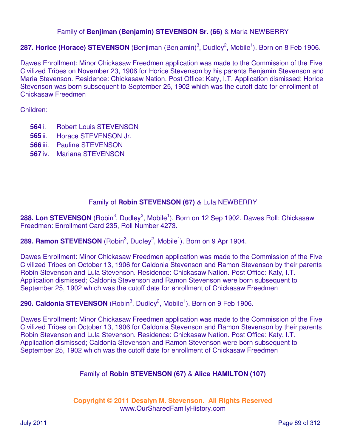## Family of **Benjiman (Benjamin) STEVENSON Sr. (66)** & Maria NEWBERRY

# 287. Horice (Horace) STEVENSON (Benjiman (Benjamin)<sup>3</sup>, Dudley<sup>2</sup>, Mobile<sup>1</sup>). Born on 8 Feb 1906.

Dawes Enrollment: Minor Chickasaw Freedmen application was made to the Commission of the Five Civilized Tribes on November 23, 1906 for Horice Stevenson by his parents Benjamin Stevenson and Maria Stevenson. Residence: Chickasaw Nation. Post Office: Katy, I.T. Application dismissed; Horice Stevenson was born subsequent to September 25, 1902 which was the cutoff date for enrollment of Chickasaw Freedmen

Children:

- **564** i. Robert Louis STEVENSON
- **565** ii. Horace STEVENSON Jr.
- **566** iii. Pauline STEVENSON
- **567** iv. Mariana STEVENSON

# Family of **Robin STEVENSON (67)** & Lula NEWBERRY

288. Lon STEVENSON (Robin<sup>3</sup>, Dudley<sup>2</sup>, Mobile<sup>1</sup>). Born on 12 Sep 1902. Dawes Roll: Chickasaw Freedmen: Enrollment Card 235, Roll Number 4273.

289. Ramon STEVENSON (Robin<sup>3</sup>, Dudley<sup>2</sup>, Mobile<sup>1</sup>). Born on 9 Apr 1904.

Dawes Enrollment: Minor Chickasaw Freedmen application was made to the Commission of the Five Civilized Tribes on October 13, 1906 for Caldonia Stevenson and Ramon Stevenson by their parents Robin Stevenson and Lula Stevenson. Residence: Chickasaw Nation. Post Office: Katy, I.T. Application dismissed; Caldonia Stevenson and Ramon Stevenson were born subsequent to September 25, 1902 which was the cutoff date for enrollment of Chickasaw Freedmen

290. Caldonia STEVENSON (Robin<sup>3</sup>, Dudley<sup>2</sup>, Mobile<sup>1</sup>). Born on 9 Feb 1906.

Dawes Enrollment: Minor Chickasaw Freedmen application was made to the Commission of the Five Civilized Tribes on October 13, 1906 for Caldonia Stevenson and Ramon Stevenson by their parents Robin Stevenson and Lula Stevenson. Residence: Chickasaw Nation. Post Office: Katy, I.T. Application dismissed; Caldonia Stevenson and Ramon Stevenson were born subsequent to September 25, 1902 which was the cutoff date for enrollment of Chickasaw Freedmen

# Family of **Robin STEVENSON (67)** & **Alice HAMILTON (107)**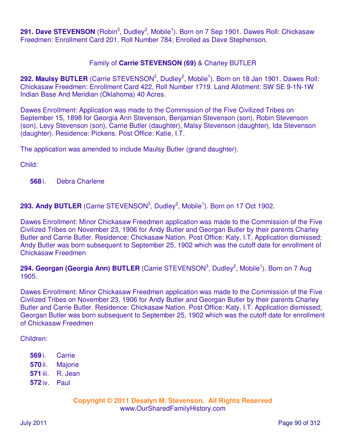291. Dave STEVENSON (Robin<sup>3</sup>, Dudley<sup>2</sup>, Mobile<sup>1</sup>). Born on 7 Sep 1901. Dawes Roll: Chickasaw Freedmen: Enrollment Card 201, Roll Number 784; Enrolled as Dave Stephenson.

## Family of **Carrie STEVENSON (69)** & Charley BUTLER

292. Maulsy BUTLER (Carrie STEVENSON<sup>3</sup>, Dudley<sup>2</sup>, Mobile<sup>1</sup>). Born on 18 Jan 1901. Dawes Roll: Chickasaw Freedmen: Enrollment Card 422, Roll Number 1719. Land Allotment: SW SE 9-1N-1W Indian Base And Meridian (Oklahoma) 40 Acres.

Dawes Enrollment: Application was made to the Commission of the Five Civilized Tribes on September 15, 1898 for Georgia Ann Stevenson, Benjamian Stevenson (son), Robin Stevenson (son), Levy Stevenson (son), Carrie Butler (daughter), Malsy Stevenson (daughter), Ida Stevenson (daughter). Residence: Pickens. Post Office: Katie, I.T.

The application was amended to include Maulsy Butler (grand daughter).

Child:

**568** i. Debra Charlene

293. Andy BUTLER (Carrie STEVENSON<sup>3</sup>, Dudley<sup>2</sup>, Mobile<sup>1</sup>). Born on 17 Oct 1902.

Dawes Enrollment: Minor Chickasaw Freedmen application was made to the Commission of the Five Civilized Tribes on November 23, 1906 for Andy Butler and Georgan Butler by their parents Charley Butler and Carrie Butler. Residence: Chickasaw Nation. Post Office: Katy, I.T. Application dismissed; Andy Butler was born subsequent to September 25, 1902 which was the cutoff date for enrollment of Chickasaw Freedmen

294. Georgan (Georgia Ann) BUTLER (Carrie STEVENSON<sup>3</sup>, Dudley<sup>2</sup>, Mobile<sup>1</sup>). Born on 7 Aug 1905.

Dawes Enrollment: Minor Chickasaw Freedmen application was made to the Commission of the Five Civilized Tribes on November 23, 1906 for Andy Butler and Georgan Butler by their parents Charley Butler and Carrie Butler. Residence: Chickasaw Nation. Post Office: Katy, I.T. Application dismissed; Georgan Butler was born subsequent to September 25, 1902 which was the cutoff date for enrollment of Chickasaw Freedmen

Children:

- **569** i. Carrie
- **570** ii. Majorie
- **571** iii. R. Jean
- **572** iv. Paul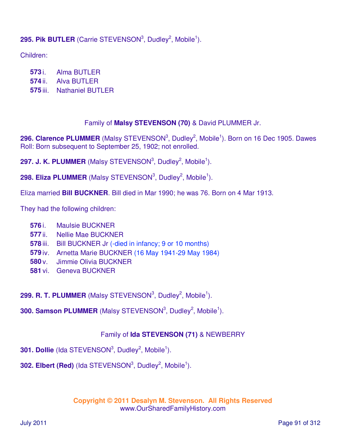# 295. Pik BUTLER (Carrie STEVENSON<sup>3</sup>, Dudley<sup>2</sup>, Mobile<sup>1</sup>).

Children:

**573** i. Alma BUTLER

**574** ii. Alva BUTLER

**575** iii. Nathaniel BUTLER

#### Family of **Malsy STEVENSON (70)** & David PLUMMER Jr.

296. Clarence PLUMMER (Malsy STEVENSON<sup>3</sup>, Dudley<sup>2</sup>, Mobile<sup>1</sup>). Born on 16 Dec 1905. Dawes Roll: Born subsequent to September 25, 1902; not enrolled.

297. J. K. PLUMMER (Malsy STEVENSON<sup>3</sup>, Dudley<sup>2</sup>, Mobile<sup>1</sup>).

298. Eliza PLUMMER (Malsy STEVENSON<sup>3</sup>, Dudley<sup>2</sup>, Mobile<sup>1</sup>).

Eliza married **Bill BUCKNER**. Bill died in Mar 1990; he was 76. Born on 4 Mar 1913.

They had the following children:

- **576** i. Maulsie BUCKNER
- **577** ii. Nellie Mae BUCKNER
- **578** iii. Bill BUCKNER Jr (-died in infancy; 9 or 10 months)
- **579** iv. Arnetta Marie BUCKNER (16 May 1941-29 May 1984)
- **580** v. Jimmie Olivia BUCKNER
- **581** vi. Geneva BUCKNER
- 299. R. T. PLUMMER (Malsy STEVENSON<sup>3</sup>, Dudley<sup>2</sup>, Mobile<sup>1</sup>).
- **300. Samson PLUMMER** (Malsy STEVENSON<sup>3</sup>, Dudley<sup>2</sup>, Mobile<sup>1</sup>).

## Family of **Ida STEVENSON (71)** & NEWBERRY

**301. Dollie** (Ida STEVENSON<sup>3</sup>, Dudley<sup>2</sup>, Mobile<sup>1</sup>).

**302. Elbert (Red)** (Ida STEVENSON $^3$ , Dudley $^2$ , Mobile<sup>1</sup>).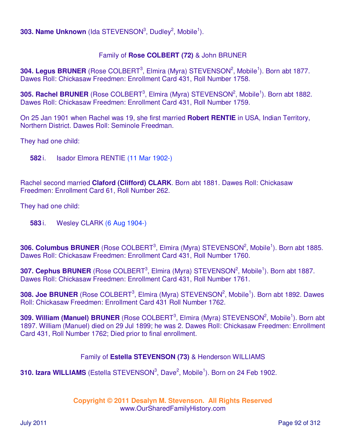**303. Name Unknown** (Ida STEVENSON<sup>3</sup>, Dudley<sup>2</sup>, Mobile<sup>1</sup>).

# Family of **Rose COLBERT (72)** & John BRUNER

304. Legus BRUNER (Rose COLBERT<sup>3</sup>, Elmira (Myra) STEVENSON<sup>2</sup>, Mobile<sup>1</sup>). Born abt 1877. Dawes Roll: Chickasaw Freedmen: Enrollment Card 431, Roll Number 1758.

**305. Rachel BRUNER** (Rose COLBERT<sup>3</sup>, Elmira (Myra) STEVENSON<sup>2</sup>, Mobile<sup>1</sup>). Born abt 1882. Dawes Roll: Chickasaw Freedmen: Enrollment Card 431, Roll Number 1759.

On 25 Jan 1901 when Rachel was 19, she first married **Robert RENTIE** in USA, Indian Territory, Northern District. Dawes Roll: Seminole Freedman.

They had one child:

**582** i. Isador Elmora RENTIE (11 Mar 1902-)

Rachel second married **Claford (Clifford) CLARK**. Born abt 1881. Dawes Roll: Chickasaw Freedmen: Enrollment Card 61, Roll Number 262.

They had one child:

**583** i. Wesley CLARK (6 Aug 1904-)

306. Columbus BRUNER (Rose COLBERT<sup>3</sup>, Elmira (Myra) STEVENSON<sup>2</sup>, Mobile<sup>1</sup>). Born abt 1885. Dawes Roll: Chickasaw Freedmen: Enrollment Card 431, Roll Number 1760.

307. Cephus BRUNER (Rose COLBERT<sup>3</sup>, Elmira (Myra) STEVENSON<sup>2</sup>, Mobile<sup>1</sup>). Born abt 1887. Dawes Roll: Chickasaw Freedmen: Enrollment Card 431, Roll Number 1761.

308. Joe BRUNER (Rose COLBERT<sup>3</sup>, Elmira (Myra) STEVENSON<sup>2</sup>, Mobile<sup>1</sup>). Born abt 1892. Dawes Roll: Chickasaw Freedmen: Enrollment Card 431 Roll Number 1762.

309. William (Manuel) BRUNER (Rose COLBERT<sup>3</sup>, Elmira (Myra) STEVENSON<sup>2</sup>, Mobile<sup>1</sup>). Born abt 1897. William (Manuel) died on 29 Jul 1899; he was 2. Dawes Roll: Chickasaw Freedmen: Enrollment Card 431, Roll Number 1762; Died prior to final enrollment.

## Family of **Estella STEVENSON (73)** & Henderson WILLIAMS

**310. Izara WILLIAMS** (Estella STEVENSON<sup>3</sup>, Dave<sup>2</sup>, Mobile<sup>1</sup>). Born on 24 Feb 1902.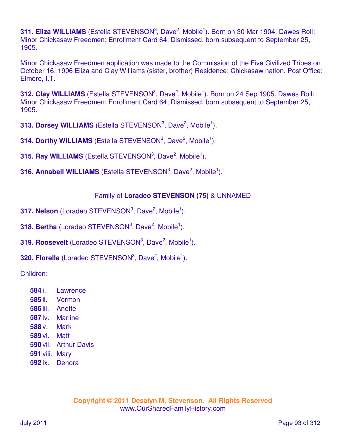311. Eliza WILLIAMS (Estella STEVENSON<sup>3</sup>, Dave<sup>2</sup>, Mobile<sup>1</sup>). Born on 30 Mar 1904. Dawes Roll: Minor Chickasaw Freedmen: Enrollment Card 64; Dismissed, born subsequent to September 25, 1905.

Minor Chickasaw Freedmen application was made to the Commission of the Five Civilized Tribes on October 16, 1906 Eliza and Clay Williams (sister, brother) Residence: Chickasaw nation. Post Office: Elmore, I.T.

312. Clay WILLIAMS (Estella STEVENSON<sup>3</sup>, Dave<sup>2</sup>, Mobile<sup>1</sup>). Born on 24 Sep 1905. Dawes Roll: Minor Chickasaw Freedmen: Enrollment Card 64; Dismissed, born subsequent to September 25, 1905.

**313. Dorsey WILLIAMS** (Estella STEVENSON<sup>3</sup>, Dave<sup>2</sup>, Mobile<sup>1</sup>).

**314. Dorthy WILLIAMS** (Estella STEVENSON<sup>3</sup>, Dave<sup>2</sup>, Mobile<sup>1</sup>).

**315. Ray WILLIAMS** (Estella STEVENSON<sup>3</sup>, Dave<sup>2</sup>, Mobile<sup>1</sup>).

**316. Annabell WILLIAMS** (Estella STEVENSON<sup>3</sup>, Dave<sup>2</sup>, Mobile<sup>1</sup>).

# Family of **Loradeo STEVENSON (75)** & UNNAMED

**317. Nelson** (Loradeo STEVENSON<sup>3</sup>, Dave<sup>2</sup>, Mobile<sup>1</sup>).

**318. Bertha** (Loradeo STEVENSON<sup>3</sup>, Dave<sup>2</sup>, Mobile<sup>1</sup>).

- **319. Roosevelt** (Loradeo STEVENSON<sup>3</sup>, Dave<sup>2</sup>, Mobile<sup>1</sup>).
- **320. Florella** (Loradeo STEVENSON<sup>3</sup>, Dave<sup>2</sup>, Mobile<sup>1</sup>).

Children:

 i. Lawrence ii. Vermon iii. Anette iv. Marline **588** v. Mark vi. Matt vii. Arthur Davis viii. Mary ix. Denora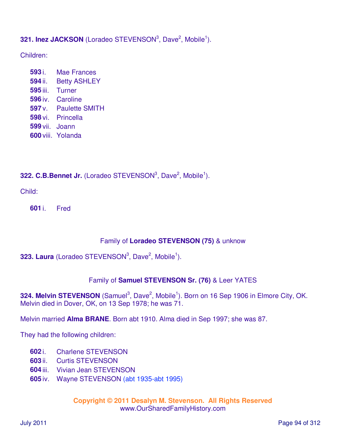**321. Inez JACKSON** (Loradeo STEVENSON<sup>3</sup>, Dave<sup>2</sup>, Mobile<sup>1</sup>).

Children:

 i. Mae Frances ii. Betty ASHLEY iii. Turner iv. Caroline v. Paulette SMITH vi. Princella vii. Joann viii. Yolanda

**322. C.B.Bennet Jr.** (Loradeo STEVENSON<sup>3</sup>, Dave<sup>2</sup>, Mobile<sup>1</sup>).

Child:

**601** i. Fred

# Family of **Loradeo STEVENSON (75)** & unknow

# **323. Laura** (Loradeo STEVENSON<sup>3</sup>, Dave<sup>2</sup>, Mobile<sup>1</sup>).

## Family of **Samuel STEVENSON Sr. (76)** & Leer YATES

324. Melvin STEVENSON (Samuel<sup>3</sup>, Dave<sup>2</sup>, Mobile<sup>1</sup>). Born on 16 Sep 1906 in Elmore City, OK. Melvin died in Dover, OK, on 13 Sep 1978; he was 71.

Melvin married **Alma BRANE**. Born abt 1910. Alma died in Sep 1997; she was 87.

They had the following children:

- **602** i. Charlene STEVENSON
- **603** ii. Curtis STEVENSON
- **604** iii. Vivian Jean STEVENSON
- **605** iv. Wayne STEVENSON (abt 1935-abt 1995)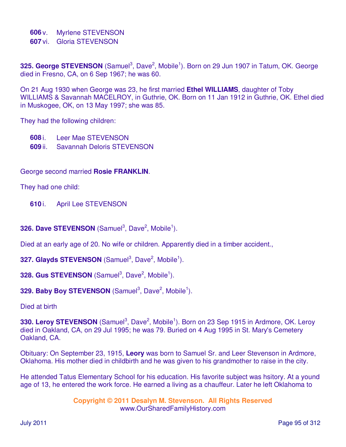**606** v. Myrlene STEVENSON

**607** vi. Gloria STEVENSON

325. George STEVENSON (Samuel<sup>3</sup>, Dave<sup>2</sup>, Mobile<sup>1</sup>). Born on 29 Jun 1907 in Tatum, OK. George died in Fresno, CA, on 6 Sep 1967; he was 60.

On 21 Aug 1930 when George was 23, he first married **Ethel WILLIAMS**, daughter of Toby WILLIAMS & Savannah MACELROY, in Guthrie, OK. Born on 11 Jan 1912 in Guthrie, OK. Ethel died in Muskogee, OK, on 13 May 1997; she was 85.

They had the following children:

- **608** i. Leer Mae STEVENSON
- **609** ii. Savannah Deloris STEVENSON

George second married **Rosie FRANKLIN**.

They had one child:

- **610** i. April Lee STEVENSON
- **326. Dave STEVENSON** (Samuel<sup>3</sup>, Dave<sup>2</sup>, Mobile<sup>1</sup>).

Died at an early age of 20. No wife or children. Apparently died in a timber accident.,

**327. Glayds STEVENSON** (Samuel<sup>3</sup>, Dave<sup>2</sup>, Mobile<sup>1</sup>).

**328. Gus STEVENSON** (Samuel<sup>3</sup>, Dave<sup>2</sup>, Mobile<sup>1</sup>).

```
329. Baby Boy STEVENSON (Samuel<sup>3</sup>, Dave<sup>2</sup>, Mobile<sup>1</sup>).
```
Died at birth

330. Leroy STEVENSON (Samuel<sup>3</sup>, Dave<sup>2</sup>, Mobile<sup>1</sup>). Born on 23 Sep 1915 in Ardmore, OK. Leroy died in Oakland, CA, on 29 Jul 1995; he was 79. Buried on 4 Aug 1995 in St. Mary's Cemetery Oakland, CA.

Obituary: On September 23, 1915, **Leory** was born to Samuel Sr. and Leer Stevenson in Ardmore, Oklahoma. His mother died in childbirth and he was given to his grandmother to raise in the city.

He attended Tatus Elementary School for his education. His favorite subject was hsitory. At a yound age of 13, he entered the work force. He earned a living as a chauffeur. Later he left Oklahoma to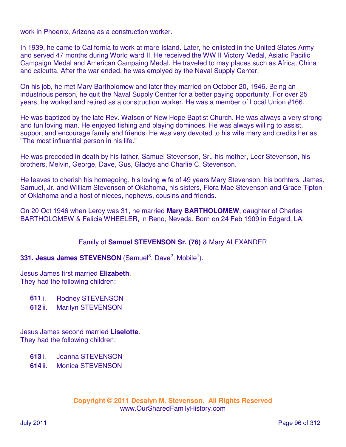work in Phoenix, Arizona as a construction worker.

In 1939, he came to California to work at mare Island. Later, he enlisted in the United States Army and served 47 months during World ward II. He received the WW II Victory Medal, Asiatic Pacific Campaign Medal and American Campaing Medal. He traveled to may places such as Africa, China and calcutta. After the war ended, he was emplyed by the Naval Supply Center.

On his job, he met Mary Bartholomew and later they married on October 20, 1946. Being an industrious person, he quit the Naval Supply Centter for a better paying opportunity. For over 25 years, he worked and retired as a construction worker. He was a member of Local Union #166.

He was baptized by the late Rev. Watson of New Hope Baptist Church. He was always a very strong and fun loving man. He enjoyed fishing and playing dominoes. He was always willing to assist, support and encourage family and friends. He was very devoted to his wife mary and credits her as "The most influential person in his life."

He was preceded in death by his father, Samuel Stevenson, Sr., his mother, Leer Stevenson, his brothers, Melvin, George, Dave, Gus, Gladys and Charlie C. Stevenson.

He leaves to cherish his homegoing, his loving wife of 49 years Mary Stevenson, his borhters, James, Samuel, Jr. and William Stevenson of Oklahoma, his sisters, Flora Mae Stevenson and Grace Tipton of Oklahoma and a host of nieces, nephews, cousins and friends.

On 20 Oct 1946 when Leroy was 31, he married **Mary BARTHOLOMEW**, daughter of Charles BARTHOLOMEW & Felicia WHEELER, in Reno, Nevada. Born on 24 Feb 1909 in Edgard, LA.

#### Family of **Samuel STEVENSON Sr. (76)** & Mary ALEXANDER

#### **331. Jesus James STEVENSON** (Samuel<sup>3</sup>, Dave<sup>2</sup>, Mobile<sup>1</sup>).

Jesus James first married **Elizabeth**. They had the following children:

- **611** i. Rodney STEVENSON
- **612** ii. Marilyn STEVENSON

Jesus James second married **Liselotte**. They had the following children:

- **613** i. Joanna STEVENSON
- **614** ii. Monica STEVENSON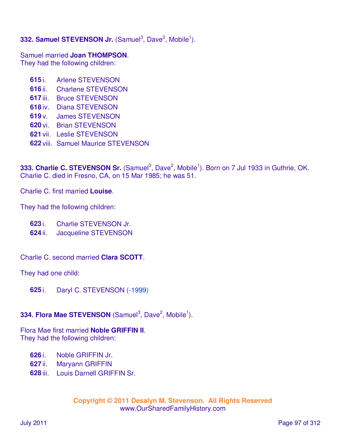# **332. Samuel STEVENSON Jr.** (Samuel<sup>3</sup>, Dave<sup>2</sup>, Mobile<sup>1</sup>).

Samuel married **Joan THOMPSON**. They had the following children:

- **615** i. Arlene STEVENSON
- **616** ii. Charlene STEVENSON
- **617** iii. Bruce STEVENSON
- **618** iv. Diana STEVENSON
- **619** v. James STEVENSON
- **620** vi. Brian STEVENSON
- **621** vii. Leslie STEVENSON
- **622** viii. Samuel Maurice STEVENSON

333. Charlie C. STEVENSON Sr. (Samuel<sup>3</sup>, Dave<sup>2</sup>, Mobile<sup>1</sup>). Born on 7 Jul 1933 in Guthrie, OK. Charlie C. died in Fresno, CA, on 15 Mar 1985; he was 51.

Charlie C. first married **Louise**.

They had the following children:

- **623** i. Charlie STEVENSON Jr.
- **624** ii. Jacqueline STEVENSON
- Charlie C. second married **Clara SCOTT**.

They had one child:

**625** i. Daryl C. STEVENSON (-1999)

# **334. Flora Mae STEVENSON** (Samuel<sup>3</sup>, Dave<sup>2</sup>, Mobile<sup>1</sup>).

Flora Mae first married **Noble GRIFFIN II**. They had the following children:

- **626** i. Noble GRIFFIN Jr.
- **627** ii. Maryann GRIFFIN
- **628** iii. Louis Darnell GRIFFIN Sr.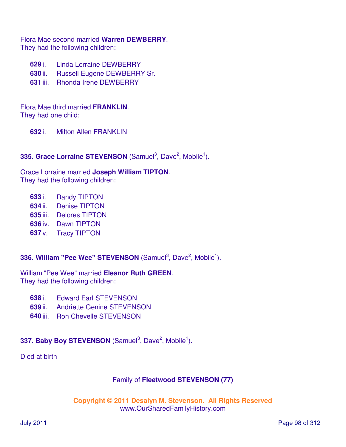Flora Mae second married **Warren DEWBERRY**. They had the following children:

- **629** i. Linda Lorraine DEWBERRY
- **630** ii. Russell Eugene DEWBERRY Sr.
- **631** iii. Rhonda Irene DEWBERRY

Flora Mae third married **FRANKLIN**. They had one child:

**632** i. Milton Allen FRANKLIN

# **335. Grace Lorraine STEVENSON** (Samuel<sup>3</sup>, Dave<sup>2</sup>, Mobile<sup>1</sup>).

Grace Lorraine married **Joseph William TIPTON**. They had the following children:

- **633** i. Randy TIPTON
- **634** ii. Denise TIPTON
- **635** iii. Delores TIPTON
- **636** iv. Dawn TIPTON
- **637** v. Tracy TIPTON

**336. William "Pee Wee" STEVENSON** (Samuel<sup>3</sup>, Dave<sup>2</sup>, Mobile<sup>1</sup>).

William "Pee Wee" married **Eleanor Ruth GREEN**. They had the following children:

- **638** i. Edward Earl STEVENSON
- **639** ii. Andriette Genine STEVENSON
- **640** iii. Ron Chevelle STEVENSON

# **337. Baby Boy STEVENSON** (Samuel<sup>3</sup>, Dave<sup>2</sup>, Mobile<sup>1</sup>).

Died at birth

## Family of **Fleetwood STEVENSON (77)**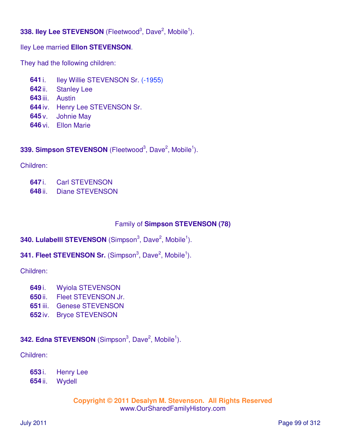# **338. Iley Lee STEVENSON** (Fleetwood<sup>3</sup>, Dave<sup>2</sup>, Mobile<sup>1</sup>).

## Iley Lee married **Ellon STEVENSON**.

They had the following children:

- **641** i. Iley Willie STEVENSON Sr. (-1955)
- **642** ii. Stanley Lee
- **643** iii. Austin
- **644** iv. Henry Lee STEVENSON Sr.
- **645** v. Johnie May
- **646** vi. Ellon Marie

# 339. Simpson STEVENSON (Fleetwood<sup>3</sup>, Dave<sup>2</sup>, Mobile<sup>1</sup>).

Children:

- **647** i. Carl STEVENSON
- **648** ii. Diane STEVENSON

# Family of **Simpson STEVENSON (78)**

# **340. Lulabelli STEVENSON** (Simpson<sup>3</sup>, Dave<sup>2</sup>, Mobile<sup>1</sup>).

# **341. Fleet STEVENSON Sr.** (Simpson<sup>3</sup>, Dave<sup>2</sup>, Mobile<sup>1</sup>).

Children:

- **649** i. Wyiola STEVENSON
- **650** ii. Fleet STEVENSON Jr.
- **651** iii. Genese STEVENSON
- **652** iv. Bryce STEVENSON

# **342. Edna STEVENSON** (Simpson<sup>3</sup>, Dave<sup>2</sup>, Mobile<sup>1</sup>).

Children:

- **653** i. Henry Lee
- **654** ii. Wydell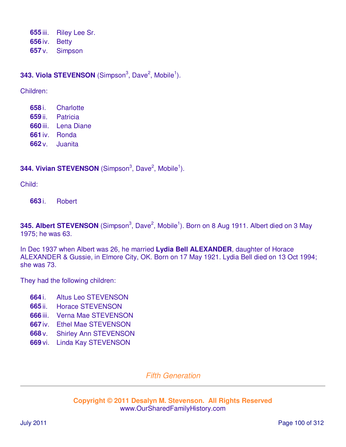**655** iii. Riley Lee Sr. **656** iv. Betty **657** v. Simpson

# **343. Viola STEVENSON** (Simpson<sup>3</sup>, Dave<sup>2</sup>, Mobile<sup>1</sup>).

Children:

 i. Charlotte ii. Patricia iii. Lena Diane iv. Ronda v. Juanita

# **344. Vivian STEVENSON** (Simpson<sup>3</sup>, Dave<sup>2</sup>, Mobile<sup>1</sup>).

Child:

**663** i. Robert

345. Albert STEVENSON (Simpson<sup>3</sup>, Dave<sup>2</sup>, Mobile<sup>1</sup>). Born on 8 Aug 1911. Albert died on 3 May 1975; he was 63.

In Dec 1937 when Albert was 26, he married **Lydia Bell ALEXANDER**, daughter of Horace ALEXANDER & Gussie, in Elmore City, OK. Born on 17 May 1921. Lydia Bell died on 13 Oct 1994; she was 73.

They had the following children:

- **664** i. Altus Leo STEVENSON
- **665** ii. Horace STEVENSON
- **666** iii. Verna Mae STEVENSON
- **667** iv. Ethel Mae STEVENSON
- **668** v. Shirley Ann STEVENSON
- **669** vi. Linda Kay STEVENSON

## Fifth Generation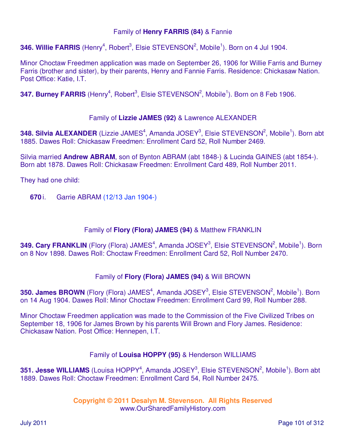## Family of **Henry FARRIS (84)** & Fannie

346. Willie FARRIS (Henry<sup>4</sup>, Robert<sup>3</sup>, Elsie STEVENSON<sup>2</sup>, Mobile<sup>1</sup>). Born on 4 Jul 1904.

Minor Choctaw Freedmen application was made on September 26, 1906 for Willie Farris and Burney Farris (brother and sister), by their parents, Henry and Fannie Farris. Residence: Chickasaw Nation. Post Office: Katie, I.T.

347. Burney FARRIS (Henry<sup>4</sup>, Robert<sup>3</sup>, Elsie STEVENSON<sup>2</sup>, Mobile<sup>1</sup>). Born on 8 Feb 1906.

#### Family of **Lizzie JAMES (92)** & Lawrence ALEXANDER

348. Silvia ALEXANDER (Lizzie JAMES<sup>4</sup>, Amanda JOSEY<sup>3</sup>, Elsie STEVENSON<sup>2</sup>, Mobile<sup>1</sup>). Born abt 1885. Dawes Roll: Chickasaw Freedmen: Enrollment Card 52, Roll Number 2469.

Silvia married **Andrew ABRAM**, son of Bynton ABRAM (abt 1848-) & Lucinda GAINES (abt 1854-). Born abt 1878. Dawes Roll: Chickasaw Freedmen: Enrollment Card 489, Roll Number 2011.

They had one child:

**670** i. Garrie ABRAM (12/13 Jan 1904-)

#### Family of **Flory (Flora) JAMES (94)** & Matthew FRANKLIN

349. Cary FRANKLIN (Flory (Flora) JAMES<sup>4</sup>, Amanda JOSEY<sup>3</sup>, Elsie STEVENSON<sup>2</sup>, Mobile<sup>1</sup>). Born on 8 Nov 1898. Dawes Roll: Choctaw Freedmen: Enrollment Card 52, Roll Number 2470.

## Family of **Flory (Flora) JAMES (94)** & Will BROWN

**350. James BROWN** (Flory (Flora) JAMES<sup>4</sup>, Amanda JOSEY<sup>3</sup>, Elsie STEVENSON<sup>2</sup>, Mobile<sup>1</sup>). Born on 14 Aug 1904. Dawes Roll: Minor Choctaw Freedmen: Enrollment Card 99, Roll Number 288.

Minor Choctaw Freedmen application was made to the Commission of the Five Civilized Tribes on September 18, 1906 for James Brown by his parents Will Brown and Flory James. Residence: Chickasaw Nation. Post Office: Hennepen, I.T.

#### Family of **Louisa HOPPY (95)** & Henderson WILLIAMS

**351. Jesse WILLIAMS** (Louisa HOPPY<sup>4</sup>, Amanda JOSEY<sup>3</sup>, Elsie STEVENSON<sup>2</sup>, Mobile<sup>1</sup>). Born abt 1889. Dawes Roll: Choctaw Freedmen: Enrollment Card 54, Roll Number 2475.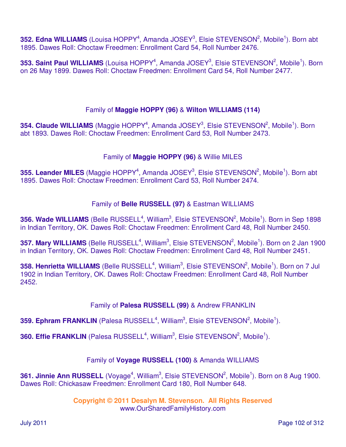352. Edna WILLIAMS (Louisa HOPPY<sup>4</sup>, Amanda JOSEY<sup>3</sup>, Elsie STEVENSON<sup>2</sup>, Mobile<sup>1</sup>). Born abt 1895. Dawes Roll: Choctaw Freedmen: Enrollment Card 54, Roll Number 2476.

353. Saint Paul WILLIAMS (Louisa HOPPY<sup>4</sup>, Amanda JOSEY<sup>3</sup>, Elsie STEVENSON<sup>2</sup>, Mobile<sup>1</sup>). Born on 26 May 1899. Dawes Roll: Choctaw Freedmen: Enrollment Card 54, Roll Number 2477.

# Family of **Maggie HOPPY (96)** & **Wilton WILLIAMS (114)**

354. Claude WILLIAMS (Maggie HOPPY<sup>4</sup>, Amanda JOSEY<sup>3</sup>, Elsie STEVENSON<sup>2</sup>, Mobile<sup>1</sup>). Born abt 1893. Dawes Roll: Choctaw Freedmen: Enrollment Card 53, Roll Number 2473.

# Family of **Maggie HOPPY (96)** & Willie MILES

355. Leander MILES (Maggie HOPPY<sup>4</sup>, Amanda JOSEY<sup>3</sup>, Elsie STEVENSON<sup>2</sup>, Mobile<sup>1</sup>). Born abt 1895. Dawes Roll: Choctaw Freedmen: Enrollment Card 53, Roll Number 2474.

# Family of **Belle RUSSELL (97)** & Eastman WILLIAMS

356. Wade WILLIAMS (Belle RUSSELL<sup>4</sup>, William<sup>3</sup>, Elsie STEVENSON<sup>2</sup>, Mobile<sup>1</sup>). Born in Sep 1898 in Indian Territory, OK. Dawes Roll: Choctaw Freedmen: Enrollment Card 48, Roll Number 2450.

357. Mary WILLIAMS (Belle RUSSELL<sup>4</sup>, William<sup>3</sup>, Elsie STEVENSON<sup>2</sup>, Mobile<sup>1</sup>). Born on 2 Jan 1900 in Indian Territory, OK. Dawes Roll: Choctaw Freedmen: Enrollment Card 48, Roll Number 2451.

358. Henrietta WILLIAMS (Belle RUSSELL<sup>4</sup>, William<sup>3</sup>, Elsie STEVENSON<sup>2</sup>, Mobile<sup>1</sup>). Born on 7 Jul 1902 in Indian Territory, OK. Dawes Roll: Choctaw Freedmen: Enrollment Card 48, Roll Number 2452.

## Family of **Palesa RUSSELL (99)** & Andrew FRANKLIN

**359. Ephram FRANKLIN** (Palesa RUSSELL<sup>4</sup>, William<sup>3</sup>, Elsie STEVENSON<sup>2</sup>, Mobile<sup>1</sup>).

**360. Effie FRANKLIN** (Palesa RUSSELL<sup>4</sup>, William<sup>3</sup>, Elsie STEVENSON<sup>2</sup>, Mobile<sup>1</sup>).

## Family of **Voyage RUSSELL (100)** & Amanda WILLIAMS

361. Jinnie Ann RUSSELL (Voyage<sup>4</sup>, William<sup>3</sup>, Elsie STEVENSON<sup>2</sup>, Mobile<sup>1</sup>). Born on 8 Aug 1900. Dawes Roll: Chickasaw Freedmen: Enrollment Card 180, Roll Number 648.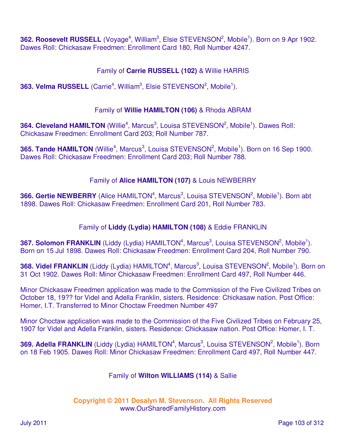362. Roosevelt RUSSELL (Voyage<sup>4</sup>, William<sup>3</sup>, Elsie STEVENSON<sup>2</sup>, Mobile<sup>1</sup>). Born on 9 Apr 1902. Dawes Roll: Chickasaw Freedmen: Enrollment Card 180, Roll Number 4247.

# Family of **Carrie RUSSELL (102)** & Willie HARRIS

**363. Velma RUSSELL** (Carrie<sup>4</sup>, William<sup>3</sup>, Elsie STEVENSON<sup>2</sup>, Mobile<sup>1</sup>).

#### Family of **Willie HAMILTON (106)** & Rhoda ABRAM

**364. Cleveland HAMILTON** (Willie<sup>4</sup>, Marcus<sup>3</sup>, Louisa STEVENSON<sup>2</sup>, Mobile<sup>1</sup>). Dawes Roll: Chickasaw Freedmen: Enrollment Card 203; Roll Number 787.

**365. Tande HAMILTON** (Willie<sup>4</sup>, Marcus<sup>3</sup>, Louisa STEVENSON<sup>2</sup>, Mobile<sup>1</sup>). Born on 16 Sep 1900. Dawes Roll: Chickasaw Freedmen: Enrollment Card 203; Roll Number 788.

## Family of **Alice HAMILTON (107)** & Louis NEWBERRY

**366. Gertie NEWBERRY** (Alice HAMILTON<sup>4</sup>, Marcus<sup>3</sup>, Louisa STEVENSON<sup>2</sup>, Mobile<sup>1</sup>). Born abt 1898. Dawes Roll: Chickasaw Freedmen: Enrollment Card 201, Roll Number 783.

## Family of **Liddy (Lydia) HAMILTON (108)** & Eddie FRANKLIN

**367. Solomon FRANKLIN** (Liddy (Lydia) HAMILTON<sup>4</sup>, Marcus<sup>3</sup>, Louisa STEVENSON<sup>2</sup>, Mobile<sup>1</sup>). Born on 15 Jul 1898. Dawes Roll: Chickasaw Freedmen: Enrollment Card 204, Roll Number 790.

**368. Videl FRANKLIN** (Liddy (Lydia) HAMILTON<sup>4</sup>, Marcus<sup>3</sup>, Louisa STEVENSON<sup>2</sup>, Mobile<sup>1</sup>). Born on 31 Oct 1902. Dawes Roll: Minor Chickasaw Freedmen: Enrollment Card 497, Roll Number 446.

Minor Chickasaw Freedmen application was made to the Commission of the Five Civilized Tribes on October 18, 19?? for Videl and Adella Franklin, sisters. Residence: Chickasaw nation. Post Office: Homer, I.T. Transferred to Minor Choctaw Freedmen Number 497

Minor Choctaw application was made to the Commission of the Five Civilized Tribes on February 25, 1907 for Videl and Adella Franklin, sisters. Residence: Chickasaw nation. Post Office: Homer, I. T.

**369. Adella FRANKLIN** (Liddy (Lydia) HAMILTON<sup>4</sup>, Marcus<sup>3</sup>, Louisa STEVENSON<sup>2</sup>, Mobile<sup>1</sup>). Born on 18 Feb 1905. Dawes Roll: Minor Chickasaw Freedmen: Enrollment Card 497, Roll Number 447.

#### Family of **Wilton WILLIAMS (114)** & Sallie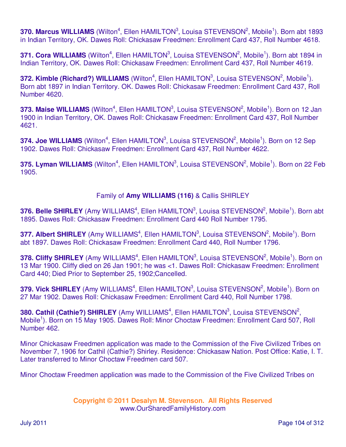370. Marcus WILLIAMS (Wilton<sup>4</sup>, Ellen HAMILTON<sup>3</sup>, Louisa STEVENSON<sup>2</sup>, Mobile<sup>1</sup>). Born abt 1893 in Indian Territory, OK. Dawes Roll: Chickasaw Freedmen: Enrollment Card 437, Roll Number 4618.

 $371.$  Cora WILLIAMS (Wilton<sup>4</sup>, Ellen HAMILTON<sup>3</sup>, Louisa STEVENSON<sup>2</sup>, Mobile<sup>1</sup>). Born abt 1894 in Indian Territory, OK. Dawes Roll: Chickasaw Freedmen: Enrollment Card 437, Roll Number 4619.

**372. Kimble (Richard?) WILLIAMS** (Wilton<sup>4</sup>, Ellen HAMILTON<sup>3</sup>, Louisa STEVENSON<sup>2</sup>, Mobile<sup>1</sup>). Born abt 1897 in Indian Territory. OK. Dawes Roll: Chickasaw Freedmen: Enrollment Card 437, Roll Number 4620.

373. Maise WILLIAMS (Wilton<sup>4</sup>, Ellen HAMILTON<sup>3</sup>, Louisa STEVENSON<sup>2</sup>, Mobile<sup>1</sup>). Born on 12 Jan 1900 in Indian Territory, OK. Dawes Roll: Chickasaw Freedmen: Enrollment Card 437, Roll Number 4621.

374. Joe WILLIAMS (Wilton<sup>4</sup>, Ellen HAMILTON<sup>3</sup>, Louisa STEVENSON<sup>2</sup>, Mobile<sup>1</sup>). Born on 12 Sep 1902. Dawes Roll: Chickasaw Freedmen: Enrollment Card 437, Roll Number 4622.

**375. Lyman WILLIAMS** (Wilton<sup>4</sup>, Ellen HAMILTON<sup>3</sup>, Louisa STEVENSON<sup>2</sup>, Mobile<sup>1</sup>). Born on 22 Feb 1905.

# Family of **Amy WILLIAMS (116)** & Callis SHIRLEY

376. Belle SHIRLEY (Amy WILLIAMS<sup>4</sup>, Ellen HAMILTON<sup>3</sup>, Louisa STEVENSON<sup>2</sup>, Mobile<sup>1</sup>). Born abt 1895. Dawes Roll: Chickasaw Freedmen: Enrollment Card 440 Roll Number 1795.

377. Albert SHIRLEY (Amy WILLIAMS<sup>4</sup>, Ellen HAMILTON<sup>3</sup>, Louisa STEVENSON<sup>2</sup>, Mobile<sup>1</sup>). Born abt 1897. Dawes Roll: Chickasaw Freedmen: Enrollment Card 440, Roll Number 1796.

378. Cliffy SHIRLEY (Amy WILLIAMS<sup>4</sup>, Ellen HAMILTON<sup>3</sup>, Louisa STEVENSON<sup>2</sup>, Mobile<sup>1</sup>). Born on 13 Mar 1900. Cliffy died on 26 Jan 1901; he was <1. Dawes Roll: Chickasaw Freedmen: Enrollment Card 440; Died Prior to September 25, 1902;Cancelled.

379. Vick SHIRLEY (Amy WILLIAMS<sup>4</sup>, Ellen HAMILTON<sup>3</sup>, Louisa STEVENSON<sup>2</sup>, Mobile<sup>1</sup>). Born on 27 Mar 1902. Dawes Roll: Chickasaw Freedmen: Enrollment Card 440, Roll Number 1798.

380. Cathil (Cathie?) SHIRLEY (Amy WILLIAMS<sup>4</sup>, Ellen HAMILTON<sup>3</sup>, Louisa STEVENSON<sup>2</sup>, Mobile<sup>1</sup>). Born on 15 May 1905. Dawes Roll: Minor Choctaw Freedmen: Enrollment Card 507, Roll Number 462.

Minor Chickasaw Freedmen application was made to the Commission of the Five Civilized Tribes on November 7, 1906 for Cathil (Cathie?) Shirley. Residence: Chickasaw Nation. Post Office: Katie, I. T. Later transferred to Minor Choctaw Freedmen card 507.

Minor Choctaw Freedmen application was made to the Commission of the Five Civilized Tribes on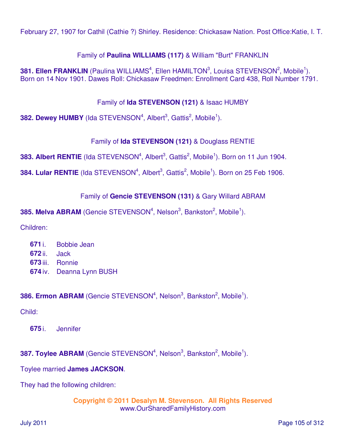February 27, 1907 for Cathil (Cathie ?) Shirley. Residence: Chickasaw Nation. Post Office:Katie, I. T.

## Family of **Paulina WILLIAMS (117)** & William "Burt" FRANKLIN

**381. Ellen FRANKLIN** (Paulina WILLIAMS<sup>4</sup>, Ellen HAMILTON<sup>3</sup>, Louisa STEVENSON<sup>2</sup>, Mobile<sup>1</sup>). Born on 14 Nov 1901. Dawes Roll: Chickasaw Freedmen: Enrollment Card 438, Roll Number 1791.

#### Family of **Ida STEVENSON (121)** & Isaac HUMBY

**382. Dewey HUMBY** (Ida STEVENSON<sup>4</sup>, Albert<sup>3</sup>, Gattis<sup>2</sup>, Mobile<sup>1</sup>).

## Family of **Ida STEVENSON (121)** & Douglass RENTIE

**383. Albert RENTIE** (Ida STEVENSON<sup>4</sup>, Albert<sup>3</sup>, Gattis<sup>2</sup>, Mobile<sup>1</sup>). Born on 11 Jun 1904.

**384. Lular RENTIE** (Ida STEVENSON<sup>4</sup>, Albert<sup>3</sup>, Gattis<sup>2</sup>, Mobile<sup>1</sup>). Born on 25 Feb 1906.

## Family of **Gencie STEVENSON (131)** & Gary Willard ABRAM

**385. Melva ABRAM** (Gencie STEVENSON<sup>4</sup>, Nelson<sup>3</sup>, Bankston<sup>2</sup>, Mobile<sup>1</sup>).

Children:

 i. Bobbie Jean ii. Jack iii. Ronnie iv. Deanna Lynn BUSH

## **386. Ermon ABRAM** (Gencie STEVENSON<sup>4</sup>, Nelson<sup>3</sup>, Bankston<sup>2</sup>, Mobile<sup>1</sup>).

Child:

**675** i. Jennifer

# **387. Toylee ABRAM** (Gencie STEVENSON<sup>4</sup>, Nelson<sup>3</sup>, Bankston<sup>2</sup>, Mobile<sup>1</sup>).

#### Toylee married **James JACKSON**.

They had the following children: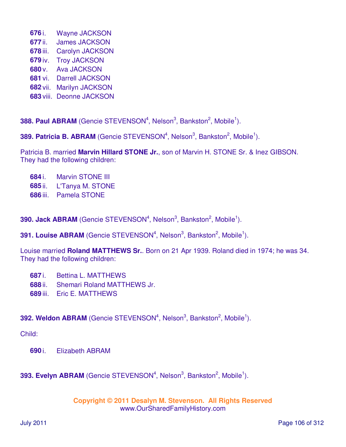- **676** i. Wayne JACKSON
- **677** ii. James JACKSON
- **678** iii. Carolyn JACKSON
- **679** iv. Troy JACKSON
- **680** v. Ava JACKSON
- **681** vi. Darrell JACKSON
- **682** vii. Marilyn JACKSON
- **683** viii. Deonne JACKSON

388. Paul ABRAM (Gencie STEVENSON<sup>4</sup>, Nelson<sup>3</sup>, Bankston<sup>2</sup>, Mobile<sup>1</sup>).

**389. Patricia B. ABRAM** (Gencie STEVENSON<sup>4</sup>, Nelson<sup>3</sup>, Bankston<sup>2</sup>, Mobile<sup>1</sup>).

Patricia B. married **Marvin Hillard STONE Jr.**, son of Marvin H. STONE Sr. & Inez GIBSON. They had the following children:

- **684** i. Marvin STONE III
- **685** ii. L'Tanya M. STONE
- **686** iii. Pamela STONE

**390. Jack ABRAM** (Gencie STEVENSON<sup>4</sup>, Nelson<sup>3</sup>, Bankston<sup>2</sup>, Mobile<sup>1</sup>).

**391. Louise ABRAM** (Gencie STEVENSON<sup>4</sup>, Nelson<sup>3</sup>, Bankston<sup>2</sup>, Mobile<sup>1</sup>).

Louise married **Roland MATTHEWS Sr.**. Born on 21 Apr 1939. Roland died in 1974; he was 34. They had the following children:

- **687** i. Bettina L. MATTHEWS
- **688** ii. Shemari Roland MATTHEWS Jr.
- **689** iii. Eric E. MATTHEWS

## **392. Weldon ABRAM** (Gencie STEVENSON<sup>4</sup>, Nelson<sup>3</sup>, Bankston<sup>2</sup>, Mobile<sup>1</sup>).

Child:

**690** i. Elizabeth ABRAM

# **393. Evelyn ABRAM** (Gencie STEVENSON<sup>4</sup>, Nelson<sup>3</sup>, Bankston<sup>2</sup>, Mobile<sup>1</sup>).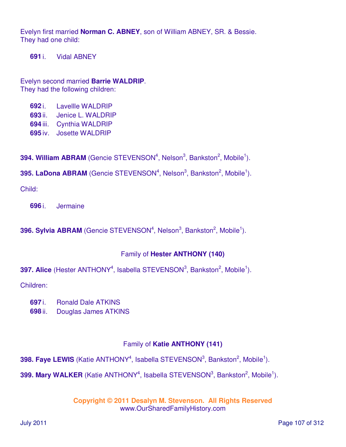Evelyn first married **Norman C. ABNEY**, son of William ABNEY, SR. & Bessie. They had one child:

**691** i. Vidal ABNEY

Evelyn second married **Barrie WALDRIP**. They had the following children:

- **692** i. Lavellle WALDRIP
- **693** ii. Jenice L. WALDRIP
- **694** iii. Cynthia WALDRIP
- **695** iv. Josette WALDRIP

**394. William ABRAM** (Gencie STEVENSON<sup>4</sup>, Nelson<sup>3</sup>, Bankston<sup>2</sup>, Mobile<sup>1</sup>).

**395. LaDona ABRAM** (Gencie STEVENSON<sup>4</sup>, Nelson<sup>3</sup>, Bankston<sup>2</sup>, Mobile<sup>1</sup>).

Child:

**696** i. Jermaine

**396. Sylvia ABRAM** (Gencie STEVENSON<sup>4</sup>, Nelson<sup>3</sup>, Bankston<sup>2</sup>, Mobile<sup>1</sup>).

#### Family of **Hester ANTHONY (140)**

**397. Alice** (Hester ANTHONY<sup>4</sup>, Isabella STEVENSON<sup>3</sup>, Bankston<sup>2</sup>, Mobile<sup>1</sup>).

Children:

- **697** i. Ronald Dale ATKINS
- **698** ii. Douglas James ATKINS

## Family of **Katie ANTHONY (141)**

**398. Faye LEWIS** (Katie ANTHONY<sup>4</sup>, Isabella STEVENSON<sup>3</sup>, Bankston<sup>2</sup>, Mobile<sup>1</sup>).

399. Mary WALKER (Katie ANTHONY<sup>4</sup>, Isabella STEVENSON<sup>3</sup>, Bankston<sup>2</sup>, Mobile<sup>1</sup>).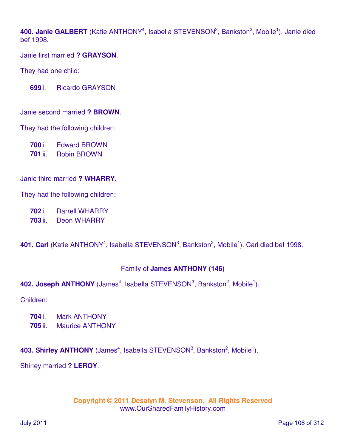400. Janie GALBERT (Katie ANTHONY<sup>4</sup>, Isabella STEVENSON<sup>3</sup>, Bankston<sup>2</sup>, Mobile<sup>1</sup>). Janie died bef 1998.

Janie first married **? GRAYSON**.

They had one child:

**699** i. Ricardo GRAYSON

Janie second married **? BROWN**.

They had the following children:

**700** i. Edward BROWN

**701** ii. Robin BROWN

Janie third married **? WHARRY**.

They had the following children:

**702** i. Darrell WHARRY

**703** ii. Deon WHARRY

401. Carl (Katie ANTHONY<sup>4</sup>, Isabella STEVENSON<sup>3</sup>, Bankston<sup>2</sup>, Mobile<sup>1</sup>). Carl died bef 1998.

# Family of **James ANTHONY (146)**

```
402. Joseph ANTHONY (James<sup>4</sup>, Isabella STEVENSON<sup>3</sup>, Bankston<sup>2</sup>, Mobile<sup>1</sup>).
```
Children:

- **704** i. Mark ANTHONY
- **705** ii. Maurice ANTHONY

403. Shirley ANTHONY (James<sup>4</sup>, Isabella STEVENSON<sup>3</sup>, Bankston<sup>2</sup>, Mobile<sup>1</sup>).

Shirley married **? LEROY**.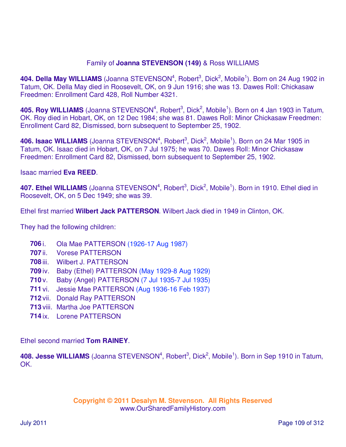### Family of **Joanna STEVENSON (149)** & Ross WILLIAMS

404. Della May WILLIAMS (Joanna STEVENSON<sup>4</sup>, Robert<sup>3</sup>, Dick<sup>2</sup>, Mobile<sup>1</sup>). Born on 24 Aug 1902 in Tatum, OK. Della May died in Roosevelt, OK, on 9 Jun 1916; she was 13. Dawes Roll: Chickasaw Freedmen: Enrollment Card 428, Roll Number 4321.

405. Roy WILLIAMS (Joanna STEVENSON<sup>4</sup>, Robert<sup>3</sup>, Dick<sup>2</sup>, Mobile<sup>1</sup>). Born on 4 Jan 1903 in Tatum, OK. Roy died in Hobart, OK, on 12 Dec 1984; she was 81. Dawes Roll: Minor Chickasaw Freedmen: Enrollment Card 82, Dismissed, born subsequent to September 25, 1902.

406. Isaac WILLIAMS (Joanna STEVENSON<sup>4</sup>, Robert<sup>3</sup>, Dick<sup>2</sup>, Mobile<sup>1</sup>). Born on 24 Mar 1905 in Tatum, OK. Isaac died in Hobart, OK, on 7 Jul 1975; he was 70. Dawes Roll: Minor Chickasaw Freedmen: Enrollment Card 82, Dismissed, born subsequent to September 25, 1902.

Isaac married **Eva REED**.

407. Ethel WILLIAMS (Joanna STEVENSON<sup>4</sup>, Robert<sup>3</sup>, Dick<sup>2</sup>, Mobile<sup>1</sup>). Born in 1910. Ethel died in Roosevelt, OK, on 5 Dec 1949; she was 39.

Ethel first married **Wilbert Jack PATTERSON**. Wilbert Jack died in 1949 in Clinton, OK.

They had the following children:

- **706** i. Ola Mae PATTERSON (1926-17 Aug 1987)
- **707** ii. Vorese PATTERSON
- **708** iii. Wilbert J. PATTERSON
- **709** iv. Baby (Ethel) PATTERSON (May 1929-8 Aug 1929)
- **710** v. Baby (Angel) PATTERSON (7 Jul 1935-7 Jul 1935)
- **711** vi. Jessie Mae PATTERSON (Aug 1936-16 Feb 1937)
- **712** vii. Donald Ray PATTERSON
- **713** viii. Martha Joe PATTERSON
- **714** ix. Lorene PATTERSON

Ethel second married **Tom RAINEY**.

408. Jesse WILLIAMS (Joanna STEVENSON<sup>4</sup>, Robert<sup>3</sup>, Dick<sup>2</sup>, Mobile<sup>1</sup>). Born in Sep 1910 in Tatum, OK.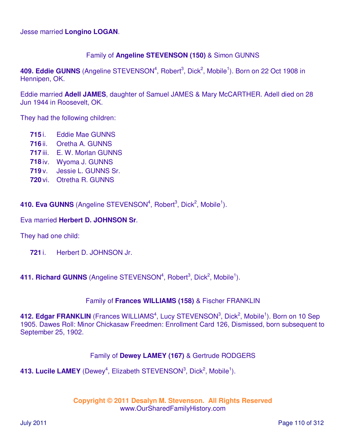Jesse married **Longino LOGAN**.

## Family of **Angeline STEVENSON (150)** & Simon GUNNS

409. Eddie GUNNS (Angeline STEVENSON<sup>4</sup>, Robert<sup>3</sup>, Dick<sup>2</sup>, Mobile<sup>1</sup>). Born on 22 Oct 1908 in Hennipen, OK.

Eddie married **Adell JAMES**, daughter of Samuel JAMES & Mary McCARTHER. Adell died on 28 Jun 1944 in Roosevelt, OK.

They had the following children:

- **715** i. Eddie Mae GUNNS
- **716** ii. Oretha A. GUNNS
- **717** iii. E. W. Morlan GUNNS
- **718** iv. Wyoma J. GUNNS
- **719** v. Jessie L. GUNNS Sr.
- **720** vi. Otretha R. GUNNS

410. Eva GUNNS (Angeline STEVENSON<sup>4</sup>, Robert<sup>3</sup>, Dick<sup>2</sup>, Mobile<sup>1</sup>).

### Eva married **Herbert D. JOHNSON Sr**.

They had one child:

**721** i. Herbert D. JOHNSON Jr.

## 411. Richard GUNNS (Angeline STEVENSON<sup>4</sup>, Robert<sup>3</sup>, Dick<sup>2</sup>, Mobile<sup>1</sup>).

#### Family of **Frances WILLIAMS (158)** & Fischer FRANKLIN

412. Edgar FRANKLIN (Frances WILLIAMS<sup>4</sup>, Lucy STEVENSON<sup>3</sup>, Dick<sup>2</sup>, Mobile<sup>1</sup>). Born on 10 Sep 1905. Dawes Roll: Minor Chickasaw Freedmen: Enrollment Card 126, Dismissed, born subsequent to September 25, 1902.

### Family of **Dewey LAMEY (167)** & Gertrude RODGERS

413. Lucile LAMEY (Dewey<sup>4</sup>, Elizabeth STEVENSON<sup>3</sup>, Dick<sup>2</sup>, Mobile<sup>1</sup>).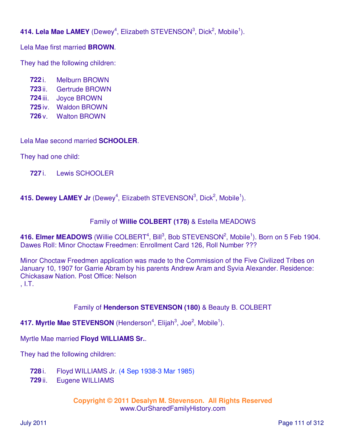414. Lela Mae LAMEY (Dewey<sup>4</sup>, Elizabeth STEVENSON<sup>3</sup>, Dick<sup>2</sup>, Mobile<sup>1</sup>).

Lela Mae first married **BROWN**.

They had the following children:

 i. Melburn BROWN ii. Gertrude BROWN iii. Joyce BROWN iv. Waldon BROWN v. Walton BROWN

Lela Mae second married **SCHOOLER**.

They had one child:

**727** i. Lewis SCHOOLER

415. Dewey LAMEY Jr (Dewey<sup>4</sup>, Elizabeth STEVENSON<sup>3</sup>, Dick<sup>2</sup>, Mobile<sup>1</sup>).

## Family of **Willie COLBERT (178)** & Estella MEADOWS

416. Elmer MEADOWS (Willie COLBERT<sup>4</sup>, Bill<sup>3</sup>, Bob STEVENSON<sup>2</sup>, Mobile<sup>1</sup>). Born on 5 Feb 1904. Dawes Roll: Minor Choctaw Freedmen: Enrollment Card 126, Roll Number ???

Minor Choctaw Freedmen application was made to the Commission of the Five Civilized Tribes on January 10, 1907 for Garrie Abram by his parents Andrew Aram and Syvia Alexander. Residence: Chickasaw Nation. Post Office: Nelson , I.T.

# Family of **Henderson STEVENSON (180)** & Beauty B. COLBERT

417. Myrtle Mae STEVENSON (Henderson<sup>4</sup>, Elijah<sup>3</sup>, Joe<sup>2</sup>, Mobile<sup>1</sup>).

Myrtle Mae married **Floyd WILLIAMS Sr.**.

They had the following children:

- **728** i. Floyd WILLIAMS Jr. (4 Sep 1938-3 Mar 1985)
- **729** ii. Eugene WILLIAMS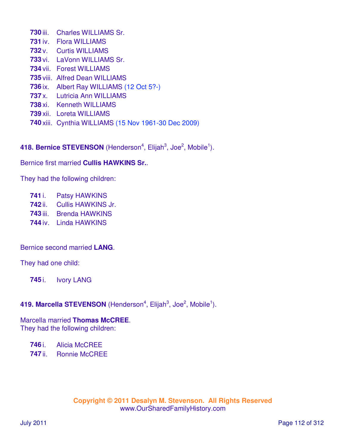iii. Charles WILLIAMS Sr. iv. Flora WILLIAMS v. Curtis WILLIAMS vi. LaVonn WILLIAMS Sr. vii. Forest WILLIAMS viii. Alfred Dean WILLIAMS ix. Albert Ray WILLIAMS (12 Oct 5?-) x. Lutricia Ann WILLIAMS xi. Kenneth WILLIAMS xii. Loreta WILLIAMS xiii. Cynthia WILLIAMS (15 Nov 1961-30 Dec 2009)

418. Bernice STEVENSON (Henderson<sup>4</sup>, Elijah<sup>3</sup>, Joe<sup>2</sup>, Mobile<sup>1</sup>).

Bernice first married **Cullis HAWKINS Sr.**.

They had the following children:

- i. Patsy HAWKINS
- ii. Cullis HAWKINS Jr.
- iii. Brenda HAWKINS
- iv. Linda HAWKINS

Bernice second married **LANG**.

They had one child:

i. Ivory LANG

## 419. Marcella STEVENSON (Henderson<sup>4</sup>, Elijah<sup>3</sup>, Joe<sup>2</sup>, Mobile<sup>1</sup>).

Marcella married **Thomas McCREE**. They had the following children:

i. Alicia McCREE

ii. Ronnie McCREE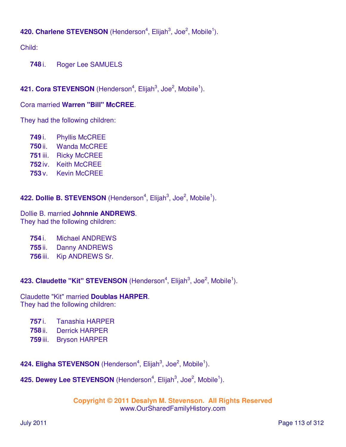# 420. Charlene STEVENSON (Henderson<sup>4</sup>, Elijah<sup>3</sup>, Joe<sup>2</sup>, Mobile<sup>1</sup>).

Child:

**748** i. Roger Lee SAMUELS

# 421. Cora STEVENSON (Henderson<sup>4</sup>, Elijah<sup>3</sup>, Joe<sup>2</sup>, Mobile<sup>1</sup>).

## Cora married **Warren "Bill" McCREE**.

They had the following children:

- **749** i. Phyllis McCREE **750** ii. Wanda McCREE **751** iii. Ricky McCREE **752** iv. Keith McCREE
- **753** v. Kevin McCREE

# 422. Dollie B. STEVENSON (Henderson<sup>4</sup>, Elijah<sup>3</sup>, Joe<sup>2</sup>, Mobile<sup>1</sup>).

Dollie B. married **Johnnie ANDREWS**. They had the following children:

- **754** i. Michael ANDREWS
- **755** ii. Danny ANDREWS
- **756** iii. Kip ANDREWS Sr.

423. Claudette "Kit" STEVENSON (Henderson<sup>4</sup>, Elijah<sup>3</sup>, Joe<sup>2</sup>, Mobile<sup>1</sup>).

Claudette "Kit" married **Doublas HARPER**. They had the following children:

- **757** i. Tanashia HARPER
- **758** ii. Derrick HARPER
- **759** iii. Bryson HARPER

424. Eligha STEVENSON (Henderson<sup>4</sup>, Elijah<sup>3</sup>, Joe<sup>2</sup>, Mobile<sup>1</sup>).

# 425. Dewey Lee STEVENSON (Henderson<sup>4</sup>, Elijah<sup>3</sup>, Joe<sup>2</sup>, Mobile<sup>1</sup>).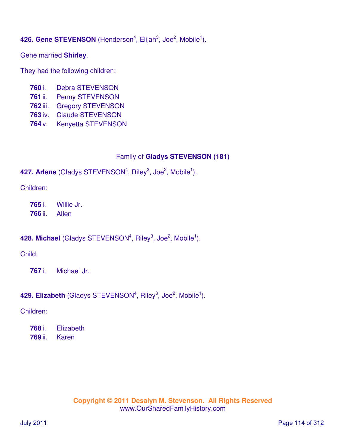# 426. Gene STEVENSON (Henderson<sup>4</sup>, Elijah<sup>3</sup>, Joe<sup>2</sup>, Mobile<sup>1</sup>).

Gene married **Shirley**.

They had the following children:

- **760** i. Debra STEVENSON
- **761** ii. Penny STEVENSON
- **762** iii. Gregory STEVENSON
- **763** iv. Claude STEVENSON
- **764** v. Kenyetta STEVENSON

## Family of **Gladys STEVENSON (181)**

## 427. Arlene (Gladys STEVENSON<sup>4</sup>, Riley<sup>3</sup>, Joe<sup>2</sup>, Mobile<sup>1</sup>).

Children:

**765** i. Willie Jr. **766** ii. Allen

# 428. Michael (Gladys STEVENSON<sup>4</sup>, Riley<sup>3</sup>, Joe<sup>2</sup>, Mobile<sup>1</sup>).

Child:

**767** i. Michael Jr.

# 429. Elizabeth (Gladys STEVENSON<sup>4</sup>, Riley<sup>3</sup>, Joe<sup>2</sup>, Mobile<sup>1</sup>).

Children:

**768** i. Elizabeth **769** ii. Karen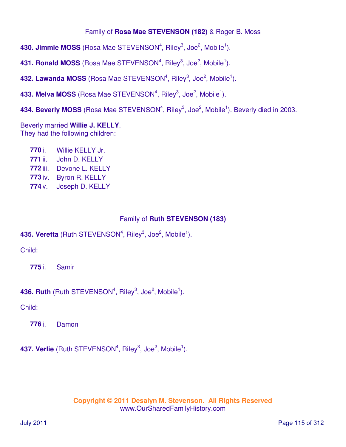## Family of **Rosa Mae STEVENSON (182)** & Roger B. Moss

**430. Jimmie MOSS** (Rosa Mae STEVENSON<sup>4</sup>, Riley<sup>3</sup>, Joe<sup>2</sup>, Mobile<sup>1</sup>).

431. Ronald MOSS (Rosa Mae STEVENSON<sup>4</sup>, Riley<sup>3</sup>, Joe<sup>2</sup>, Mobile<sup>1</sup>).

**432. Lawanda MOSS** (Rosa Mae STEVENSON<sup>4</sup>, Riley<sup>3</sup>, Joe<sup>2</sup>, Mobile<sup>1</sup>).

**433. Melva MOSS** (Rosa Mae STEVENSON<sup>4</sup>, Riley<sup>3</sup>, Joe<sup>2</sup>, Mobile<sup>1</sup>).

434. Beverly MOSS (Rosa Mae STEVENSON<sup>4</sup>, Riley<sup>3</sup>, Joe<sup>2</sup>, Mobile<sup>1</sup>). Beverly died in 2003.

Beverly married **Willie J. KELLY**. They had the following children:

 i. Willie KELLY Jr. ii. John D. KELLY iii. Devone L. KELLY iv. Byron R. KELLY v. Joseph D. KELLY

## Family of **Ruth STEVENSON (183)**

# **435. Veretta** (Ruth STEVENSON<sup>4</sup>, Riley<sup>3</sup>, Joe<sup>2</sup>, Mobile<sup>1</sup>).

Child:

**775** i. Samir

## 436. Ruth (Ruth STEVENSON<sup>4</sup>, Riley<sup>3</sup>, Joe<sup>2</sup>, Mobile<sup>1</sup>).

Child:

**776** i. Damon

437. Verlie (Ruth STEVENSON<sup>4</sup>, Riley<sup>3</sup>, Joe<sup>2</sup>, Mobile<sup>1</sup>).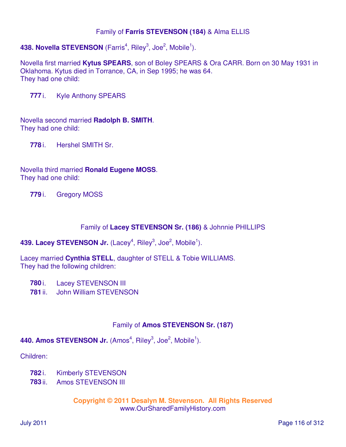### Family of **Farris STEVENSON (184)** & Alma ELLIS

# 438. Novella STEVENSON (Farris<sup>4</sup>, Riley<sup>3</sup>, Joe<sup>2</sup>, Mobile<sup>1</sup>).

Novella first married **Kytus SPEARS**, son of Boley SPEARS & Ora CARR. Born on 30 May 1931 in Oklahoma. Kytus died in Torrance, CA, in Sep 1995; he was 64. They had one child:

**777** i. Kyle Anthony SPEARS

Novella second married **Radolph B. SMITH**. They had one child:

**778** i. Hershel SMITH Sr.

Novella third married **Ronald Eugene MOSS**. They had one child:

**779** i. Gregory MOSS

### Family of **Lacey STEVENSON Sr. (186)** & Johnnie PHILLIPS

## 439. Lacey STEVENSON Jr. (Lacey<sup>4</sup>, Riley<sup>3</sup>, Joe<sup>2</sup>, Mobile<sup>1</sup>).

Lacey married **Cynthia STELL**, daughter of STELL & Tobie WILLIAMS. They had the following children:

**780** i. Lacey STEVENSON III

**781** ii. John William STEVENSON

## Family of **Amos STEVENSON Sr. (187)**

## 440. Amos STEVENSON Jr. (Amos<sup>4</sup>, Riley<sup>3</sup>, Joe<sup>2</sup>, Mobile<sup>1</sup>).

Children:

- **782** i. Kimberly STEVENSON
- **783** ii. Amos STEVENSON III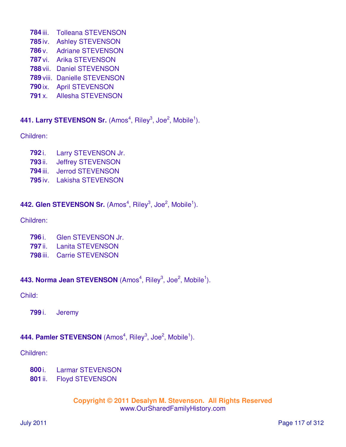- iii. Tolleana STEVENSON
- iv. Ashley STEVENSON
- v. Adriane STEVENSON
- vi. Arika STEVENSON
- vii. Daniel STEVENSON
- viii. Danielle STEVENSON
- ix. April STEVENSON
- x. Allesha STEVENSON

# 441. Larry STEVENSON Sr. (Amos<sup>4</sup>, Riley<sup>3</sup>, Joe<sup>2</sup>, Mobile<sup>1</sup>).

Children:

- i. Larry STEVENSON Jr.
- ii. Jeffrey STEVENSON
- iii. Jerrod STEVENSON
- iv. Lakisha STEVENSON

# 442. Glen STEVENSON Sr. (Amos<sup>4</sup>, Riley<sup>3</sup>, Joe<sup>2</sup>, Mobile<sup>1</sup>).

Children:

- i. Glen STEVENSON Jr.
- ii. Lanita STEVENSON
- iii. Carrie STEVENSON

443. Norma Jean STEVENSON (Amos<sup>4</sup>, Riley<sup>3</sup>, Joe<sup>2</sup>, Mobile<sup>1</sup>).

Child:

i. Jeremy

# 444. Pamler STEVENSON (Amos<sup>4</sup>, Riley<sup>3</sup>, Joe<sup>2</sup>, Mobile<sup>1</sup>).

Children:

- i. Larmar STEVENSON
- ii. Floyd STEVENSON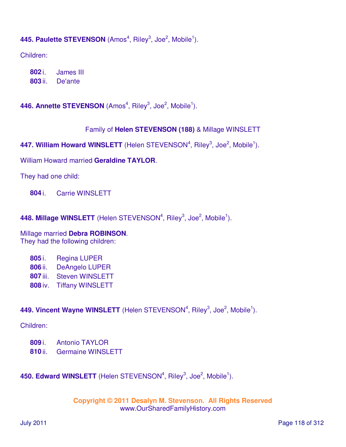## 445. Paulette STEVENSON (Amos<sup>4</sup>, Riley<sup>3</sup>, Joe<sup>2</sup>, Mobile<sup>1</sup>).

Children:

**802** i. James III **803** ii. De'ante

446. Annette STEVENSON (Amos<sup>4</sup>, Riley<sup>3</sup>, Joe<sup>2</sup>, Mobile<sup>1</sup>).

### Family of **Helen STEVENSON (188)** & Millage WINSLETT

447. William Howard WINSLETT (Helen STEVENSON<sup>4</sup>, Riley<sup>3</sup>, Joe<sup>2</sup>, Mobile<sup>1</sup>).

William Howard married **Geraldine TAYLOR**.

They had one child:

**804** i. Carrie WINSLETT

448. Millage WINSLETT (Helen STEVENSON<sup>4</sup>, Riley<sup>3</sup>, Joe<sup>2</sup>, Mobile<sup>1</sup>).

Millage married **Debra ROBINSON**. They had the following children:

| 805 i.   | <b>Regina LUPER</b>     |
|----------|-------------------------|
| 806 ii.  | <b>DeAngelo LUPER</b>   |
| 807 iii. | <b>Steven WINSLETT</b>  |
| 808 iv.  | <b>Tiffany WINSLETT</b> |

## 449. Vincent Wayne WINSLETT (Helen STEVENSON<sup>4</sup>, Riley<sup>3</sup>, Joe<sup>2</sup>, Mobile<sup>1</sup>).

### Children:

- **809** i. Antonio TAYLOR
- **810** ii. Germaine WINSLETT

450. Edward WINSLETT (Helen STEVENSON<sup>4</sup>, Riley<sup>3</sup>, Joe<sup>2</sup>, Mobile<sup>1</sup>).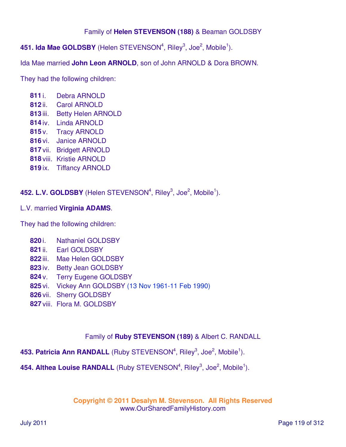## Family of **Helen STEVENSON (188)** & Beaman GOLDSBY

**451. Ida Mae GOLDSBY** (Helen STEVENSON<sup>4</sup>, Riley<sup>3</sup>, Joe<sup>2</sup>, Mobile<sup>1</sup>).

Ida Mae married **John Leon ARNOLD**, son of John ARNOLD & Dora BROWN.

They had the following children:

- **811** i. Debra ARNOLD
- **812** ii. Carol ARNOLD
- **813** iii. Betty Helen ARNOLD
- **814** iv. Linda ARNOLD
- **815** v. Tracy ARNOLD
- **816** vi. Janice ARNOLD
- **817** vii. Bridgett ARNOLD
- **818** viii. Kristie ARNOLD
- **819** ix. Tiffancy ARNOLD

**452. L.V. GOLDSBY** (Helen STEVENSON<sup>4</sup>, Riley<sup>3</sup>, Joe<sup>2</sup>, Mobile<sup>1</sup>).

### L.V. married **Virginia ADAMS**.

They had the following children:

- **820** i. Nathaniel GOLDSBY
- **821** ii. Earl GOLDSBY
- **822** iii. Mae Helen GOLDSBY
- **823** iv. Betty Jean GOLDSBY
- **824** v. Terry Eugene GOLDSBY
- **825** vi. Vickey Ann GOLDSBY (13 Nov 1961-11 Feb 1990)
- **826** vii. Sherry GOLDSBY
- **827** viii. Flora M. GOLDSBY

## Family of **Ruby STEVENSON (189)** & Albert C. RANDALL

# 453. Patricia Ann RANDALL (Ruby STEVENSON<sup>4</sup>, Riley<sup>3</sup>, Joe<sup>2</sup>, Mobile<sup>1</sup>).

## 454. Althea Louise RANDALL (Ruby STEVENSON<sup>4</sup>, Riley<sup>3</sup>, Joe<sup>2</sup>, Mobile<sup>1</sup>).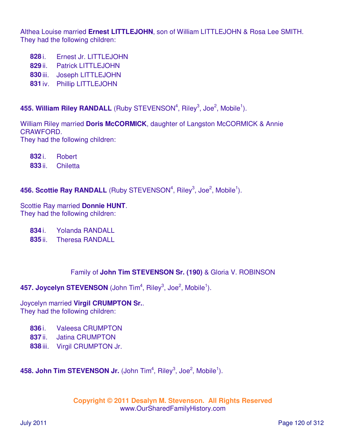Althea Louise married **Ernest LITTLEJOHN**, son of William LITTLEJOHN & Rosa Lee SMITH. They had the following children:

- **828** i. Ernest Jr. LITTLEJOHN
- **829** ii. Patrick LITTLEJOHN
- **830** iii. Joseph LITTLEJOHN
- **831** iv. Phillip LITTLEJOHN

# 455. William Riley RANDALL (Ruby STEVENSON<sup>4</sup>, Riley<sup>3</sup>, Joe<sup>2</sup>, Mobile<sup>1</sup>).

William Riley married **Doris McCORMICK**, daughter of Langston McCORMICK & Annie CRAWFORD. They had the following children:

**832** i. Robert

**833** ii. Chiletta

## **456. Scottie Ray RANDALL** (Ruby STEVENSON<sup>4</sup>, Riley<sup>3</sup>, Joe<sup>2</sup>, Mobile<sup>1</sup>).

Scottie Ray married **Donnie HUNT**. They had the following children:

- **834** i. Yolanda RANDALL
- **835** ii. Theresa RANDALL

# Family of **John Tim STEVENSON Sr. (190)** & Gloria V. ROBINSON

# **457. Joycelyn STEVENSON** (John Tim<sup>4</sup>, Riley<sup>3</sup>, Joe<sup>2</sup>, Mobile<sup>1</sup>).

Joycelyn married **Virgil CRUMPTON Sr.**. They had the following children:

- **836** i. Valeesa CRUMPTON
- **837** ii. Jatina CRUMPTON
- **838** iii. Virgil CRUMPTON Jr.

**458. John Tim STEVENSON Jr.** (John Tim<sup>4</sup>, Riley<sup>3</sup>, Joe<sup>2</sup>, Mobile<sup>1</sup>).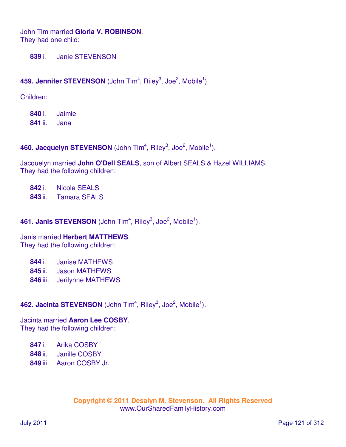John Tim married **Gloria V. ROBINSON**. They had one child:

**839** i. Janie STEVENSON

# **459. Jennifer STEVENSON** (John Tim<sup>4</sup>, Riley<sup>3</sup>, Joe<sup>2</sup>, Mobile<sup>1</sup>).

Children:

**840** i. Jaimie **841** ii. Jana

## 460. Jacquelyn STEVENSON (John Tim<sup>4</sup>, Riley<sup>3</sup>, Joe<sup>2</sup>, Mobile<sup>1</sup>).

Jacquelyn married **John O'Dell SEALS**, son of Albert SEALS & Hazel WILLIAMS. They had the following children:

**842** i. Nicole SEALS **843** ii. Tamara SEALS

# 461. Janis STEVENSON (John Tim<sup>4</sup>, Riley<sup>3</sup>, Joe<sup>2</sup>, Mobile<sup>1</sup>).

Janis married **Herbert MATTHEWS**. They had the following children:

| <b>Janise MATHEWS</b><br>844 i. |  |
|---------------------------------|--|
|---------------------------------|--|

- **845** ii. Jason MATHEWS
- **846** iii. Jerilynne MATHEWS

# 462. Jacinta STEVENSON (John Tim<sup>4</sup>, Riley<sup>3</sup>, Joe<sup>2</sup>, Mobile<sup>1</sup>).

Jacinta married **Aaron Lee COSBY**. They had the following children:

**847** i. Arika COSBY

- **848** ii. Janille COSBY
- **849** iii. Aaron COSBY Jr.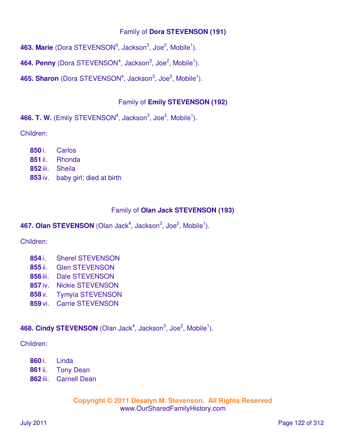## Family of **Dora STEVENSON (191)**

**463. Marie** (Dora STEVENSON<sup>4</sup>, Jackson<sup>3</sup>, Joe<sup>2</sup>, Mobile<sup>1</sup>).

**464. Penny** (Dora STEVENSON<sup>4</sup>, Jackson<sup>3</sup>, Joe<sup>2</sup>, Mobile<sup>1</sup>).

**465. Sharon** (Dora STEVENSON<sup>4</sup>, Jackson<sup>3</sup>, Joe<sup>2</sup>, Mobile<sup>1</sup>).

# Family of **Emily STEVENSON (192)**

466. T. W. (Emily STEVENSON<sup>4</sup>, Jackson<sup>3</sup>, Joe<sup>2</sup>, Mobile<sup>1</sup>).

Children:

 i. Carlos ii. Rhonda iii. Sheila iv. baby girl; died at birth

# Family of **Olan Jack STEVENSON (193)**

**467. Olan STEVENSON** (Olan Jack<sup>4</sup>, Jackson<sup>3</sup>, Joe<sup>2</sup>, Mobile<sup>1</sup>).

Children:

- **854** i. Sherel STEVENSON
- **855** ii. Glen STEVENSON
- **856** iii. Dale STEVENSON
- **857** iv. Nickie STEVENSON
- **858** v. Tymyia STEVENSON
- **859** vi. Carrie STEVENSON

468. Cindy STEVENSON (Olan Jack<sup>4</sup>, Jackson<sup>3</sup>, Joe<sup>2</sup>, Mobile<sup>1</sup>).

Children:

- **860** i. Linda
- **861** ii. Tony Dean
- **862** iii. Carnell Dean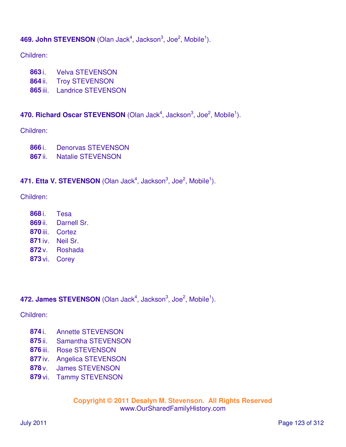# **469. John STEVENSON** (Olan Jack<sup>4</sup>, Jackson<sup>3</sup>, Joe<sup>2</sup>, Mobile<sup>1</sup>).

### Children:

- i. Velva STEVENSON
- ii. Troy STEVENSON
- iii. Landrice STEVENSON

## 470. Richard Oscar STEVENSON (Olan Jack<sup>4</sup>, Jackson<sup>3</sup>, Joe<sup>2</sup>, Mobile<sup>1</sup>).

Children:

- i. Denorvas STEVENSON
- ii. Natalie STEVENSON

# 471. Etta V. STEVENSON (Olan Jack<sup>4</sup>, Jackson<sup>3</sup>, Joe<sup>2</sup>, Mobile<sup>1</sup>).

### Children:

- i. Tesa ii. Darnell Sr.
- iii. Cortez
- iv. Neil Sr.
- v. Roshada
- vi. Corey

# **472. James STEVENSON** (Olan Jack<sup>4</sup>, Jackson<sup>3</sup>, Joe<sup>2</sup>, Mobile<sup>1</sup>).

Children:

- i. Annette STEVENSON
- ii. Samantha STEVENSON
- iii. Rose STEVENSON
- iv. Angelica STEVENSON
- v. James STEVENSON
- vi. Tammy STEVENSON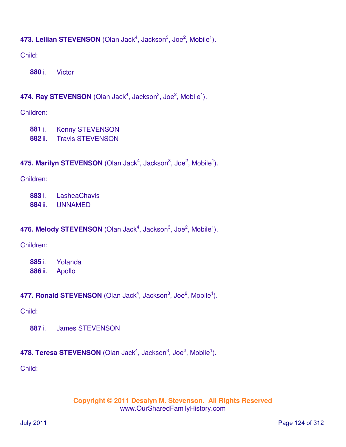# **473. Lellian STEVENSON** (Olan Jack<sup>4</sup>, Jackson<sup>3</sup>, Joe<sup>2</sup>, Mobile<sup>1</sup>).

Child:

**880** i. Victor

# 474. Ray STEVENSON (Olan Jack<sup>4</sup>, Jackson<sup>3</sup>, Joe<sup>2</sup>, Mobile<sup>1</sup>).

Children:

- **881** i. Kenny STEVENSON
- **882** ii. Travis STEVENSON

# **475. Marilyn STEVENSON** (Olan Jack<sup>4</sup>, Jackson<sup>3</sup>, Joe<sup>2</sup>, Mobile<sup>1</sup>).

Children:

**883** i. LasheaChavis

**884** ii. UNNAMED

# **476. Melody STEVENSON** (Olan Jack<sup>4</sup>, Jackson<sup>3</sup>, Joe<sup>2</sup>, Mobile<sup>1</sup>).

Children:

**885** i. Yolanda **886** ii. Apollo

# 477. Ronald STEVENSON (Olan Jack<sup>4</sup>, Jackson<sup>3</sup>, Joe<sup>2</sup>, Mobile<sup>1</sup>).

Child:

**887** i. James STEVENSON

# **478. Teresa STEVENSON** (Olan Jack<sup>4</sup>, Jackson<sup>3</sup>, Joe<sup>2</sup>, Mobile<sup>1</sup>).

Child: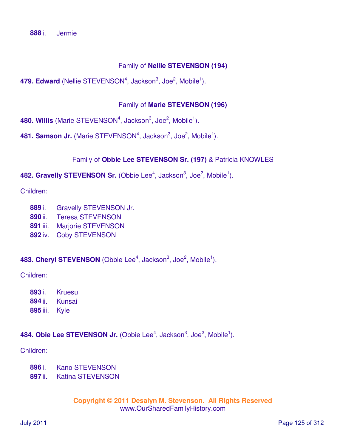## Family of **Nellie STEVENSON (194)**

479. Edward (Nellie STEVENSON<sup>4</sup>, Jackson<sup>3</sup>, Joe<sup>2</sup>, Mobile<sup>1</sup>).

### Family of **Marie STEVENSON (196)**

480. Willis (Marie STEVENSON<sup>4</sup>, Jackson<sup>3</sup>, Joe<sup>2</sup>, Mobile<sup>1</sup>).

**481. Samson Jr.** (Marie STEVENSON<sup>4</sup>, Jackson<sup>3</sup>, Joe<sup>2</sup>, Mobile<sup>1</sup>).

## Family of **Obbie Lee STEVENSON Sr. (197)** & Patricia KNOWLES

482. Gravelly STEVENSON Sr. (Obbie Lee<sup>4</sup>, Jackson<sup>3</sup>, Joe<sup>2</sup>, Mobile<sup>1</sup>).

Children:

- **889** i. Gravelly STEVENSON Jr.
- **890** ii. Teresa STEVENSON
- **891** iii. Marjorie STEVENSON
- **892** iv. Coby STEVENSON

483. Cheryl STEVENSON (Obbie Lee<sup>4</sup>, Jackson<sup>3</sup>, Joe<sup>2</sup>, Mobile<sup>1</sup>).

Children:

- **893** i. Kruesu
- **894** ii. Kunsai
- **895** iii. Kyle

## 484. Obie Lee STEVENSON Jr. (Obbie Lee<sup>4</sup>, Jackson<sup>3</sup>, Joe<sup>2</sup>, Mobile<sup>1</sup>).

Children:

- **896** i. Kano STEVENSON
- **897** ii. Katina STEVENSON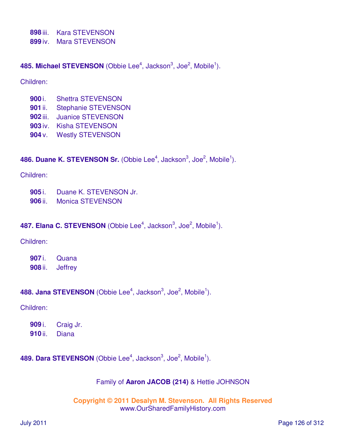**898** iii. Kara STEVENSON

**899** iv. Mara STEVENSON

**485. Michael STEVENSON** (Obbie Lee<sup>4</sup>, Jackson<sup>3</sup>, Joe<sup>2</sup>, Mobile<sup>1</sup>).

### Children:

- **900** i. Shettra STEVENSON
- **901** ii. Stephanie STEVENSON
- **902** iii. Juanice STEVENSON
- **903** iv. Kisha STEVENSON
- **904** v. Westly STEVENSON

## **486. Duane K. STEVENSON Sr.** (Obbie Lee<sup>4</sup>, Jackson<sup>3</sup>, Joe<sup>2</sup>, Mobile<sup>1</sup>).

### Children:

- **905** i. Duane K. STEVENSON Jr.
- **906** ii. Monica STEVENSON

## **487. Elana C. STEVENSON** (Obbie Lee<sup>4</sup>, Jackson<sup>3</sup>, Joe<sup>2</sup>, Mobile<sup>1</sup>).

### Children:

**907** i. Quana **908** ii. Jeffrey

# 488. Jana STEVENSON (Obbie Lee<sup>4</sup>, Jackson<sup>3</sup>, Joe<sup>2</sup>, Mobile<sup>1</sup>).

### Children:

| 909 i.  | Craig Jr. |
|---------|-----------|
| 910 ii. | Diana     |

489. Dara STEVENSON (Obbie Lee<sup>4</sup>, Jackson<sup>3</sup>, Joe<sup>2</sup>, Mobile<sup>1</sup>).

## Family of **Aaron JACOB (214)** & Hettie JOHNSON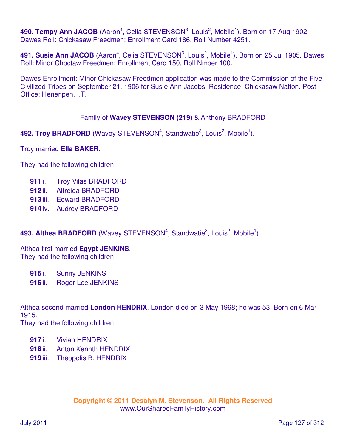490. Tempy Ann JACOB (Aaron<sup>4</sup>, Celia STEVENSON<sup>3</sup>, Louis<sup>2</sup>, Mobile<sup>1</sup>). Born on 17 Aug 1902. Dawes Roll: Chickasaw Freedmen: Enrollment Card 186, Roll Number 4251.

491. Susie Ann JACOB (Aaron<sup>4</sup>, Celia STEVENSON<sup>3</sup>, Louis<sup>2</sup>, Mobile<sup>1</sup>). Born on 25 Jul 1905. Dawes Roll: Minor Choctaw Freedmen: Enrollment Card 150, Roll Nmber 100.

Dawes Enrollment: Minor Chickasaw Freedmen application was made to the Commission of the Five Civilized Tribes on September 21, 1906 for Susie Ann Jacobs. Residence: Chickasaw Nation. Post Office: Henenpen, I.T.

## Family of **Wavey STEVENSON (219)** & Anthony BRADFORD

492. Troy BRADFORD (Wavey STEVENSON<sup>4</sup>, Standwatie<sup>3</sup>, Louis<sup>2</sup>, Mobile<sup>1</sup>).

Troy married **Ella BAKER**.

They had the following children:

- **911** i. Troy Vilas BRADFORD
- **912** ii. Alfreida BRADFORD
- **913** iii. Edward BRADFORD
- **914** iv. Audrey BRADFORD

## 493. Althea BRADFORD (Wavey STEVENSON<sup>4</sup>, Standwatie<sup>3</sup>, Louis<sup>2</sup>, Mobile<sup>1</sup>).

Althea first married **Egypt JENKINS**. They had the following children:

**915** i. Sunny JENKINS

**916** ii. Roger Lee JENKINS

Althea second married **London HENDRIX**. London died on 3 May 1968; he was 53. Born on 6 Mar 1915.

They had the following children:

- **917** i. Vivian HENDRIX
- **918** ii. Anton Kennth HENDRIX
- **919** iii. Theopolis B. HENDRIX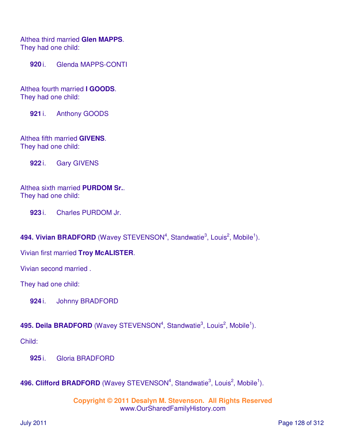Althea third married **Glen MAPPS**. They had one child:

**920** i. Glenda MAPPS-CONTI

Althea fourth married **I GOODS**. They had one child:

**921** i. Anthony GOODS

Althea fifth married **GIVENS**. They had one child:

**922** i. Gary GIVENS

Althea sixth married **PURDOM Sr.**. They had one child:

**923** i. Charles PURDOM Jr.

494. Vivian BRADFORD (Wavey STEVENSON<sup>4</sup>, Standwatie<sup>3</sup>, Louis<sup>2</sup>, Mobile<sup>1</sup>).

Vivian first married **Troy McALISTER**.

Vivian second married .

They had one child:

**924** i. Johnny BRADFORD

495. Deila BRADFORD (Wavey STEVENSON<sup>4</sup>, Standwatie<sup>3</sup>, Louis<sup>2</sup>, Mobile<sup>1</sup>).

Child:

**925** i. Gloria BRADFORD

496. Clifford BRADFORD (Wavey STEVENSON<sup>4</sup>, Standwatie<sup>3</sup>, Louis<sup>2</sup>, Mobile<sup>1</sup>).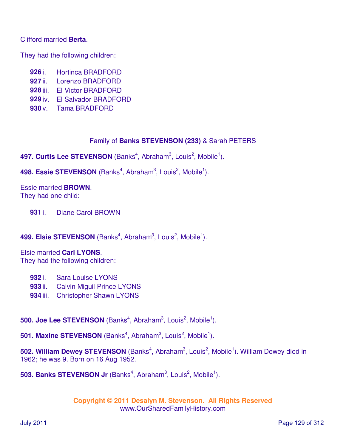### Clifford married **Berta**.

They had the following children:

- **926** i. Hortinca BRADFORD
- **927** ii. Lorenzo BRADFORD
- **928** iii. El Victor BRADFORD
- **929** iv. El Salvador BRADFORD
- **930** v. Tama BRADFORD

## Family of **Banks STEVENSON (233)** & Sarah PETERS

497. Curtis Lee STEVENSON (Banks<sup>4</sup>, Abraham<sup>3</sup>, Louis<sup>2</sup>, Mobile<sup>1</sup>).

498. Essie STEVENSON (Banks<sup>4</sup>, Abraham<sup>3</sup>, Louis<sup>2</sup>, Mobile<sup>1</sup>).

Essie married **BROWN**. They had one child:

**931** i. Diane Carol BROWN

## 499. Elsie STEVENSON (Banks<sup>4</sup>, Abraham<sup>3</sup>, Louis<sup>2</sup>, Mobile<sup>1</sup>).

Elsie married **Carl LYONS**. They had the following children:

- **932** i. Sara Louise LYONS
- **933** ii. Calvin Miguil Prince LYONS
- **934** iii. Christopher Shawn LYONS

**500. Joe Lee STEVENSON** (Banks<sup>4</sup>, Abraham<sup>3</sup>, Louis<sup>2</sup>, Mobile<sup>1</sup>).

**501. Maxine STEVENSON** (Banks<sup>4</sup>, Abraham<sup>3</sup>, Louis<sup>2</sup>, Mobile<sup>1</sup>).

502. William Dewey STEVENSON (Banks<sup>4</sup>, Abraham<sup>3</sup>, Louis<sup>2</sup>, Mobile<sup>1</sup>). William Dewey died in 1962; he was 9. Born on 16 Aug 1952.

**503. Banks STEVENSON Jr** (Banks<sup>4</sup>, Abraham<sup>3</sup>, Louis<sup>2</sup>, Mobile<sup>1</sup>).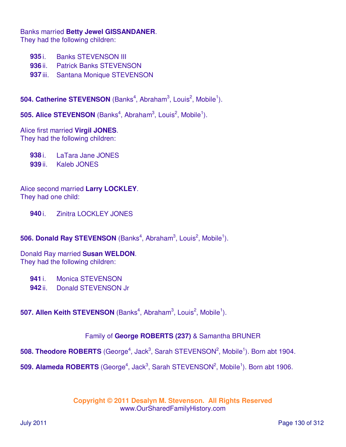Banks married **Betty Jewel GISSANDANER**.

They had the following children:

- **935** i. Banks STEVENSON III
- **936** ii. Patrick Banks STEVENSON
- **937** iii. Santana Monique STEVENSON

**504. Catherine STEVENSON** (Banks<sup>4</sup>, Abraham<sup>3</sup>, Louis<sup>2</sup>, Mobile<sup>1</sup>).

**505. Alice STEVENSON** (Banks<sup>4</sup>, Abraham<sup>3</sup>, Louis<sup>2</sup>, Mobile<sup>1</sup>).

Alice first married **Virgil JONES**. They had the following children:

**938** i. LaTara Jane JONES

**939** ii. Kaleb JONES

Alice second married **Larry LOCKLEY**. They had one child:

**940** i. Zinitra LOCKLEY JONES

**506. Donald Ray STEVENSON** (Banks<sup>4</sup>, Abraham<sup>3</sup>, Louis<sup>2</sup>, Mobile<sup>1</sup>).

Donald Ray married **Susan WELDON**. They had the following children:

**941** i. Monica STEVENSON

**942** ii. Donald STEVENSON Jr

**507. Allen Keith STEVENSON** (Banks<sup>4</sup>, Abraham<sup>3</sup>, Louis<sup>2</sup>, Mobile<sup>1</sup>).

# Family of **George ROBERTS (237)** & Samantha BRUNER

508. Theodore ROBERTS (George<sup>4</sup>, Jack<sup>3</sup>, Sarah STEVENSON<sup>2</sup>, Mobile<sup>1</sup>). Born abt 1904.

509. Alameda ROBERTS (George<sup>4</sup>, Jack<sup>3</sup>, Sarah STEVENSON<sup>2</sup>, Mobile<sup>1</sup>). Born abt 1906.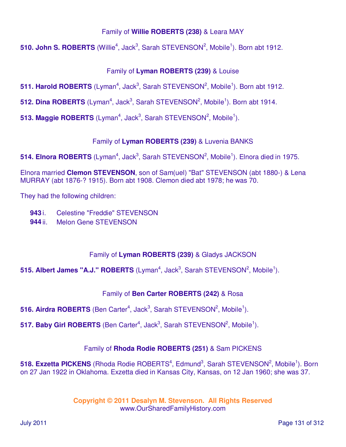## Family of **Willie ROBERTS (238)** & Leara MAY

510. John S. ROBERTS (Willie<sup>4</sup>, Jack<sup>3</sup>, Sarah STEVENSON<sup>2</sup>, Mobile<sup>1</sup>). Born abt 1912.

# Family of **Lyman ROBERTS (239)** & Louise

511. Harold ROBERTS (Lyman<sup>4</sup>, Jack<sup>3</sup>, Sarah STEVENSON<sup>2</sup>, Mobile<sup>1</sup>). Born abt 1912.

512. Dina ROBERTS (Lyman<sup>4</sup>, Jack<sup>3</sup>, Sarah STEVENSON<sup>2</sup>, Mobile<sup>1</sup>). Born abt 1914.

**513. Maggie ROBERTS** (Lyman<sup>4</sup>, Jack<sup>3</sup>, Sarah STEVENSON<sup>2</sup>, Mobile<sup>1</sup>).

# Family of **Lyman ROBERTS (239)** & Luvenia BANKS

514. Elnora ROBERTS (Lyman<sup>4</sup>, Jack<sup>3</sup>, Sarah STEVENSON<sup>2</sup>, Mobile<sup>1</sup>). Elnora died in 1975.

Elnora married **Clemon STEVENSON**, son of Sam(uel) "Bat" STEVENSON (abt 1880-) & Lena MURRAY (abt 1876-? 1915). Born abt 1908. Clemon died abt 1978; he was 70.

They had the following children:

- **943** i. Celestine "Freddie" STEVENSON
- **944** ii. Melon Gene STEVENSON

# Family of **Lyman ROBERTS (239)** & Gladys JACKSON

**515. Albert James "A.J." ROBERTS** (Lyman<sup>4</sup>, Jack<sup>3</sup>, Sarah STEVENSON<sup>2</sup>, Mobile<sup>1</sup>).

# Family of **Ben Carter ROBERTS (242)** & Rosa

**516. Airdra ROBERTS** (Ben Carter<sup>4</sup>, Jack<sup>3</sup>, Sarah STEVENSON<sup>2</sup>, Mobile<sup>1</sup>).

517. Baby Girl ROBERTS (Ben Carter<sup>4</sup>, Jack<sup>3</sup>, Sarah STEVENSON<sup>2</sup>, Mobile<sup>1</sup>).

# Family of **Rhoda Rodie ROBERTS (251)** & Sam PICKENS

518. Exzetta PICKENS (Rhoda Rodie ROBERTS<sup>4</sup>, Edmund<sup>3</sup>, Sarah STEVENSON<sup>2</sup>, Mobile<sup>1</sup>). Born on 27 Jan 1922 in Oklahoma. Exzetta died in Kansas City, Kansas, on 12 Jan 1960; she was 37.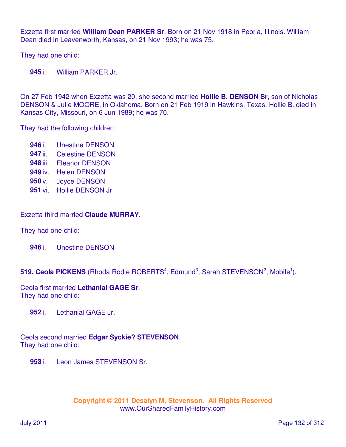Exzetta first married **William Dean PARKER Sr**. Born on 21 Nov 1918 in Peoria, Illinois. William Dean died in Leavenworth, Kansas, on 21 Nov 1993; he was 75.

They had one child:

**945** i. William PARKER Jr.

On 27 Feb 1942 when Exzetta was 20, she second married **Hollie B. DENSON Sr**, son of Nicholas DENSON & Julie MOORE, in Oklahoma. Born on 21 Feb 1919 in Hawkins, Texas. Hollie B. died in Kansas City, Missouri, on 6 Jun 1989; he was 70.

They had the following children:

 i. Unestine DENSON ii. Celestine DENSON iii. Eleanor DENSON iv. Helen DENSON v. Joyce DENSON vi. Hollie DENSON Jr

Exzetta third married **Claude MURRAY**.

They had one child:

**946** i. Unestine DENSON

519. Ceola PICKENS (Rhoda Rodie ROBERTS<sup>4</sup>, Edmund<sup>3</sup>, Sarah STEVENSON<sup>2</sup>, Mobile<sup>1</sup>).

Ceola first married **Lethanial GAGE Sr**. They had one child:

**952** i. Lethanial GAGE Jr.

Ceola second married **Edgar Syckie? STEVENSON**. They had one child:

**953** i. Leon James STEVENSON Sr.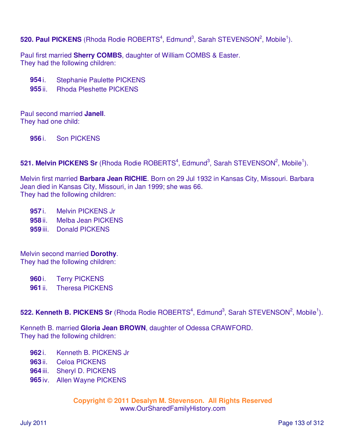**520. Paul PICKENS** (Rhoda Rodie ROBERTS<sup>4</sup>, Edmund<sup>3</sup>, Sarah STEVENSON<sup>2</sup>, Mobile<sup>1</sup>).

Paul first married **Sherry COMBS**, daughter of William COMBS & Easter. They had the following children:

**954** i. Stephanie Paulette PICKENS

**955** ii. Rhoda Pleshette PICKENS

Paul second married **Janell**. They had one child:

**956** i. Son PICKENS

**521. Melvin PICKENS Sr** (Rhoda Rodie ROBERTS<sup>4</sup>, Edmund<sup>3</sup>, Sarah STEVENSON<sup>2</sup>, Mobile<sup>1</sup>).

Melvin first married **Barbara Jean RICHIE**. Born on 29 Jul 1932 in Kansas City, Missouri. Barbara Jean died in Kansas City, Missouri, in Jan 1999; she was 66. They had the following children:

**957** i. Melvin PICKENS Jr

**958** ii. Melba Jean PICKENS

**959** iii. Donald PICKENS

Melvin second married **Dorothy**. They had the following children:

**960** i. Terry PICKENS

**961** ii. Theresa PICKENS

522. Kenneth B. PICKENS Sr (Rhoda Rodie ROBERTS<sup>4</sup>, Edmund<sup>3</sup>, Sarah STEVENSON<sup>2</sup>, Mobile<sup>1</sup>).

Kenneth B. married **Gloria Jean BROWN**, daughter of Odessa CRAWFORD. They had the following children:

- **962** i. Kenneth B. PICKENS Jr
- **963** ii. Celoa PICKENS
- **964** iii. Sheryl D. PICKENS
- **965** iv. Allen Wayne PICKENS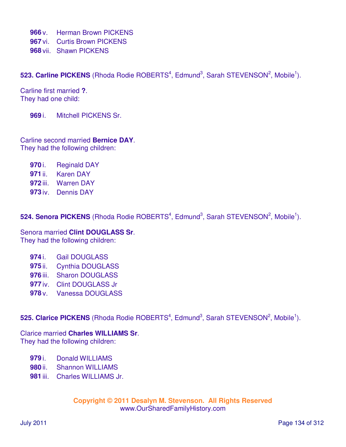**966** v. Herman Brown PICKENS

**967** vi. Curtis Brown PICKENS

**968** vii. Shawn PICKENS

**523. Carline PICKENS** (Rhoda Rodie ROBERTS<sup>4</sup>, Edmund<sup>3</sup>, Sarah STEVENSON<sup>2</sup>, Mobile<sup>1</sup>).

Carline first married **?**. They had one child:

**969** i. Mitchell PICKENS Sr.

Carline second married **Bernice DAY**. They had the following children:

- **970** i. Reginald DAY
- **971** ii. Karen DAY
- **972** iii. Warren DAY
- **973** iv. Dennis DAY

**524. Senora PICKENS** (Rhoda Rodie ROBERTS<sup>4</sup>, Edmund<sup>3</sup>, Sarah STEVENSON<sup>2</sup>, Mobile<sup>1</sup>).

Senora married **Clint DOUGLASS Sr**. They had the following children:

- **974** i. Gail DOUGLASS
- **975** ii. Cynthia DOUGLASS
- **976** iii. Sharon DOUGLASS
- **977** iv. Clint DOUGLASS Jr
- **978** v. Vanessa DOUGLASS

**525. Clarice PICKENS** (Rhoda Rodie ROBERTS<sup>4</sup>, Edmund<sup>3</sup>, Sarah STEVENSON<sup>2</sup>, Mobile<sup>1</sup>).

Clarice married **Charles WILLIAMS Sr**.

They had the following children:

- **979** i. Donald WILLIAMS
- **980** ii. Shannon WILLIAMS
- **981** iii. Charles WILLIAMS Jr.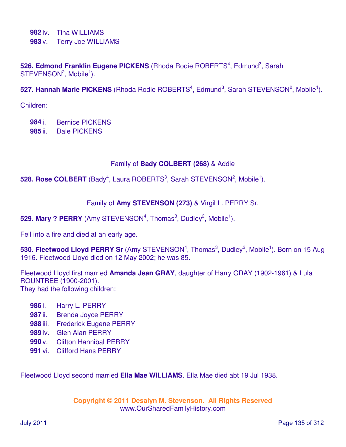**982** iv. Tina WILLIAMS

**983** v. Terry Joe WILLIAMS

526. Edmond Franklin Eugene PICKENS (Rhoda Rodie ROBERTS<sup>4</sup>, Edmund<sup>3</sup>, Sarah  $STEVENSON<sup>2</sup>$ , Mobile<sup>1</sup>).

527. Hannah Marie PICKENS (Rhoda Rodie ROBERTS<sup>4</sup>, Edmund<sup>3</sup>, Sarah STEVENSON<sup>2</sup>, Mobile<sup>1</sup>).

Children:

**984** i. Bernice PICKENS

**985** ii. Dale PICKENS

## Family of **Bady COLBERT (268)** & Addie

## **528. Rose COLBERT** (Bady<sup>4</sup>, Laura ROBERTS<sup>3</sup>, Sarah STEVENSON<sup>2</sup>, Mobile<sup>1</sup>).

## Family of **Amy STEVENSON (273)** & Virgil L. PERRY Sr.

529. Mary ? PERRY (Amy STEVENSON<sup>4</sup>, Thomas<sup>3</sup>, Dudley<sup>2</sup>, Mobile<sup>1</sup>).

Fell into a fire and died at an early age.

530. Fleetwood Lloyd PERRY Sr (Amy STEVENSON<sup>4</sup>, Thomas<sup>3</sup>, Dudley<sup>2</sup>, Mobile<sup>1</sup>). Born on 15 Aug 1916. Fleetwood Lloyd died on 12 May 2002; he was 85.

Fleetwood Lloyd first married **Amanda Jean GRAY**, daughter of Harry GRAY (1902-1961) & Lula ROUNTREE (1900-2001). They had the following children:

- **986** i. Harry L. PERRY
- **987** ii. Brenda Joyce PERRY
- **988** iii. Frederick Eugene PERRY
- **989** iv. Glen Alan PERRY
- **990** v. Clifton Hannibal PERRY
- **991** vi. Clifford Hans PERRY

Fleetwood Lloyd second married **Ella Mae WILLIAMS**. Ella Mae died abt 19 Jul 1938.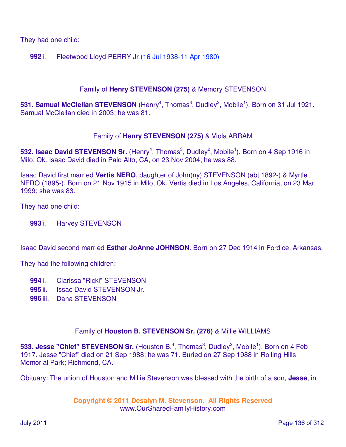They had one child:

## **992** i. Fleetwood Lloyd PERRY Jr (16 Jul 1938-11 Apr 1980)

### Family of **Henry STEVENSON (275)** & Memory STEVENSON

531. Samual McClellan STEVENSON (Henry<sup>4</sup>, Thomas<sup>3</sup>, Dudley<sup>2</sup>, Mobile<sup>1</sup>). Born on 31 Jul 1921. Samual McClellan died in 2003; he was 81.

### Family of **Henry STEVENSON (275)** & Viola ABRAM

532. Isaac David STEVENSON Sr. (Henry<sup>4</sup>, Thomas<sup>3</sup>, Dudley<sup>2</sup>, Mobile<sup>1</sup>). Born on 4 Sep 1916 in Milo, Ok. Isaac David died in Palo Alto, CA, on 23 Nov 2004; he was 88.

Isaac David first married **Vertis NERO**, daughter of John(ny) STEVENSON (abt 1892-) & Myrtle NERO (1895-). Born on 21 Nov 1915 in Milo, Ok. Vertis died in Los Angeles, California, on 23 Mar 1999; she was 83.

They had one child:

**993** i. Harvey STEVENSON

Isaac David second married **Esther JoAnne JOHNSON**. Born on 27 Dec 1914 in Fordice, Arkansas.

They had the following children:

- **994** i. Clarissa "Ricki" STEVENSON
- **995** ii. Issac David STEVENSON Jr.
- **996** iii. Dana STEVENSON

### Family of **Houston B. STEVENSON Sr. (276)** & Millie WILLIAMS

533. Jesse "Chief" STEVENSON Sr. (Houston B.<sup>4</sup>, Thomas<sup>3</sup>, Dudley<sup>2</sup>, Mobile<sup>1</sup>). Born on 4 Feb 1917. Jesse "Chief" died on 21 Sep 1988; he was 71. Buried on 27 Sep 1988 in Rolling Hills Memorial Park; Richmond, CA.

Obituary: The union of Houston and Millie Stevenson was blessed with the birth of a son, **Jesse**, in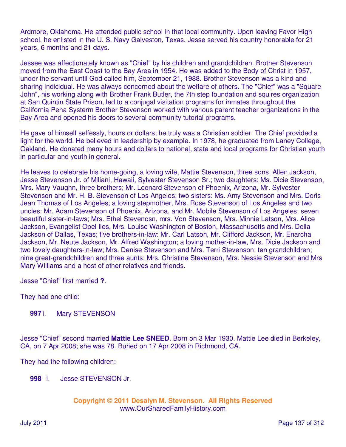Ardmore, Oklahoma. He attended public school in that local community. Upon leaving Favor High school, he enlisted in the U. S. Navy Galveston, Texas. Jesse served his country honorable for 21 years, 6 months and 21 days.

Jessee was affectionately known as "Chief" by his children and grandchildren. Brother Stevenson moved from the East Coast to the Bay Area in 1954. He was added to the Body of Christ in 1957, under the servant until God called him, September 21, 1988. Brother Stevenson was a kind and sharing indicidual. He was always concerned about the welfare of others. The "Chief" was a "Square John", his working along with Brother Frank Butler, the 7th step foundation and squires organization at San Quintin State Prison, led to a conjugal visitation programs for inmates throughout the California Pena Systerm Brother Stevenson worked with various parent teacher organizations in the Bay Area and opened his doors to several community tutorial programs.

He gave of himself selfessly, hours or dollars; he truly was a Christian soldier. The Chief provided a light for the world. He believed in leadership by example. In 1978, he graduated from Laney College, Oakland. He donated many hours and dollars to national, state and local programs for Christian youth in particular and youth in general.

He leaves to celebrate his home-going, a loving wife, Mattie Stevenson, three sons; Allen Jackson, Jesse Stevenson Jr. of Miliani, Hawaii, Sylvester Stevenson Sr.; two daughters; Ms. Dicie Stevenson, Mrs. Mary Vaughn, three brothers; Mr. Leonard Stevenson of Phoenix, Arizona, Mr. Sylvester Stevenson and Mr. H. B. Stevenson of Los Angeles; two sisters: Ms. Amy Stevenson and Mrs. Doris Jean Thomas of Los Angeles; a loving stepmother, Mrs. Rose Stevenson of Los Angeles and two uncles: Mr. Adam Stevenson of Phoenix, Arizona, and Mr. Mobile Stevenson of Los Angeles; seven beautiful sister-in-laws; Mrs. Ethel Stevenosn, mrs. Von Stevenson, Mrs. Minnie Latson, Mrs. Alice Jackson, Evangelist Opel Iles, Mrs. Louise Washington of Boston, Massachusetts and Mrs. Della Jackson of Dallas, Texas; five brothers-in-law: Mr. Carl Latson, Mr. Clifford Jackson, Mr. Enarcha Jackson, Mr. Neute Jackson, Mr. Alfred Washington; a loving mother-in-law, Mrs. Dicie Jackson and two lovely daughters-in-law; Mrs. Denise Stevenson and Mrs. Terri Stevenson; ten grandchildren; nine great-grandchildren and three aunts; Mrs. Christine Stevenson, Mrs. Nessie Stevenson and Mrs Mary Williams and a host of other relatives and friends.

Jesse "Chief" first married **?**.

They had one child:

## **997** i. Mary STEVENSON

Jesse "Chief" second married **Mattie Lee SNEED**. Born on 3 Mar 1930. Mattie Lee died in Berkeley, CA, on 7 Apr 2008; she was 78. Buried on 17 Apr 2008 in Richmond, CA.

They had the following children:

**998** i. Jesse STEVENSON Jr.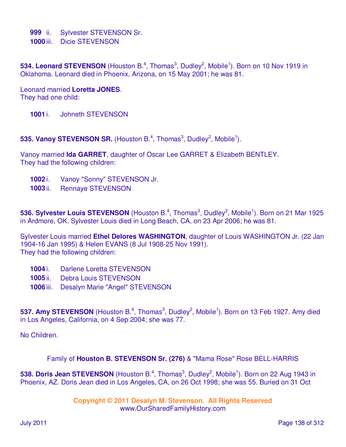**999** ii. Sylvester STEVENSON Sr.

**1000** iii. Dicie STEVENSON

534. Leonard STEVENSON (Houston B.<sup>4</sup>, Thomas<sup>3</sup>, Dudley<sup>2</sup>, Mobile<sup>1</sup>). Born on 10 Nov 1919 in Oklahoma. Leonard died in Phoenix, Arizona, on 15 May 2001; he was 81.

Leonard married **Loretta JONES**. They had one child:

- **1001** i. Johneth STEVENSON
- **535. Vanoy STEVENSON SR.** (Houston B.<sup>4</sup>, Thomas<sup>3</sup>, Dudley<sup>2</sup>, Mobile<sup>1</sup>).

Vanoy married **Ida GARRET**, daughter of Oscar Lee GARRET & Elizabeth BENTLEY. They had the following children:

- **1002** i. Vanoy "Sonny" STEVENSON Jr.
- **1003** ii. Rennaye STEVENSON

536. Sylvester Louis STEVENSON (Houston B.<sup>4</sup>, Thomas<sup>3</sup>, Dudley<sup>2</sup>, Mobile<sup>1</sup>). Born on 21 Mar 1925 in Ardmore, OK. Sylvester Louis died in Long Beach, CA, on 23 Apr 2006; he was 81.

Sylvester Louis married **Ethel Delores WASHINGTON**, daughter of Louis WASHINGTON Jr. (22 Jan 1904-16 Jan 1995) & Helen EVANS (8 Jul 1908-25 Nov 1991). They had the following children:

- **1004** i. Darlene Loretta STEVENSON
- **1005** ii. Debra Louis STEVENSON
- **1006** iii. Desalyn Marie "Angel" STEVENSON

537. Amy STEVENSON (Houston B.<sup>4</sup>, Thomas<sup>3</sup>, Dudley<sup>2</sup>, Mobile<sup>1</sup>). Born on 13 Feb 1927. Amy died in Los Angeles, California, on 4 Sep 2004; she was 77.

No Children.

Family of **Houston B. STEVENSON Sr. (276)** & "Mama Rose" Rose BELL-HARRIS

538. Doris Jean STEVENSON (Houston B.<sup>4</sup>, Thomas<sup>3</sup>, Dudley<sup>2</sup>, Mobile<sup>1</sup>). Born on 22 Aug 1943 in Phoenix, AZ. Doris Jean died in Los Angeles, CA, on 26 Oct 1998; she was 55. Buried on 31 Oct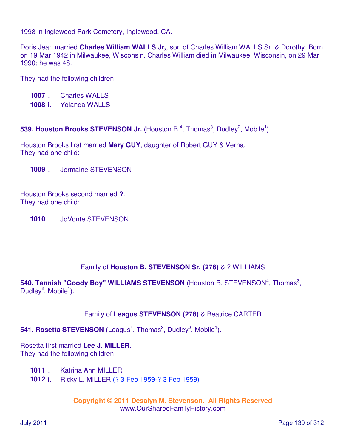1998 in Inglewood Park Cemetery, Inglewood, CA.

Doris Jean married **Charles William WALLS Jr,**, son of Charles William WALLS Sr. & Dorothy. Born on 19 Mar 1942 in Milwaukee, Wisconsin. Charles William died in Milwaukee, Wisconsin, on 29 Mar 1990; he was 48.

They had the following children:

**1007** i. Charles WALLS **1008** ii. Yolanda WALLS

539. Houston Brooks STEVENSON Jr. (Houston B.<sup>4</sup>, Thomas<sup>3</sup>, Dudley<sup>2</sup>, Mobile<sup>1</sup>).

Houston Brooks first married **Mary GUY**, daughter of Robert GUY & Verna. They had one child:

**1009** i. Jermaine STEVENSON

Houston Brooks second married **?**. They had one child:

**1010** i. JoVonte STEVENSON

### Family of **Houston B. STEVENSON Sr. (276)** & ? WILLIAMS

540. Tannish "Goody Boy" WILLIAMS STEVENSON (Houston B. STEVENSON<sup>4</sup>, Thomas<sup>3</sup>, Dudley<sup>2</sup>, Mobile<sup>1</sup>).

## Family of **Leagus STEVENSON (278)** & Beatrice CARTER

541. Rosetta STEVENSON (Leagus<sup>4</sup>, Thomas<sup>3</sup>, Dudley<sup>2</sup>, Mobile<sup>1</sup>).

Rosetta first married **Lee J. MILLER**. They had the following children:

**1011** i. Katrina Ann MILLER

**1012** ii. Ricky L. MILLER (? 3 Feb 1959-? 3 Feb 1959)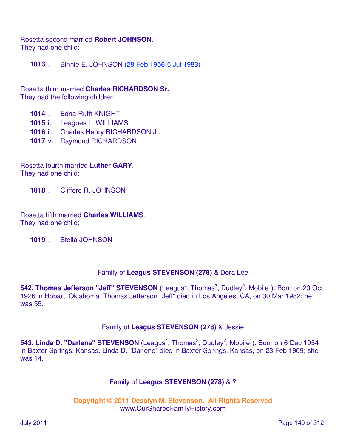Rosetta second married **Robert JOHNSON**. They had one child:

**1013** i. Binnie E. JOHNSON (28 Feb 1956-5 Jul 1983)

Rosetta third married **Charles RICHARDSON Sr.**. They had the following children:

- **1014** i. Edna Ruth KNIGHT
- **1015** ii. Leagues L. WILLIAMS
- **1016** iii. Charles Henry RICHARDSON Jr.
- **1017** iv. Raymond RICHARDSON

Rosetta fourth married **Luther GARY**. They had one child:

**1018** i. Clifford R. JOHNSON

Rosetta fifth married **Charles WILLIAMS**. They had one child:

**1019** i. Stella JOHNSON

### Family of **Leagus STEVENSON (278)** & Dora Lee

542. Thomas Jefferson "Jeff" STEVENSON (Leagus<sup>4</sup>, Thomas<sup>3</sup>, Dudley<sup>2</sup>, Mobile<sup>1</sup>). Born on 23 Oct 1926 in Hobart, Oklahoma. Thomas Jefferson "Jeff" died in Los Angeles, CA, on 30 Mar 1982; he was 55.

### Family of **Leagus STEVENSON (278)** & Jessie

543. Linda D. "Darlene" STEVENSON (Leagus<sup>4</sup>, Thomas<sup>3</sup>, Dudley<sup>2</sup>, Mobile<sup>1</sup>). Born on 6 Dec 1954 in Baxter Springs, Kansas. Linda D. "Darlene" died in Baxter Springs, Kansas, on 23 Feb 1969; she was 14.

### Family of **Leagus STEVENSON (278)** & ?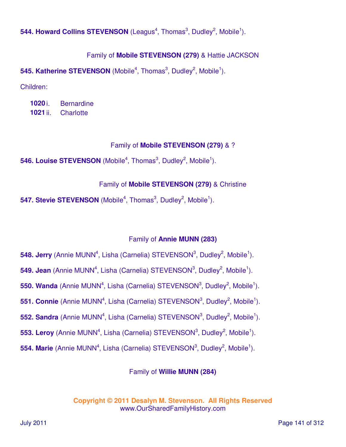544. Howard Collins STEVENSON (Leagus<sup>4</sup>, Thomas<sup>3</sup>, Dudley<sup>2</sup>, Mobile<sup>1</sup>).

# Family of **Mobile STEVENSON (279)** & Hattie JACKSON

545. Katherine STEVENSON (Mobile<sup>4</sup>, Thomas<sup>3</sup>, Dudley<sup>2</sup>, Mobile<sup>1</sup>).

Children:

**1020** i. Bernardine **1021** ii. Charlotte

# Family of **Mobile STEVENSON (279)** & ?

**546. Louise STEVENSON** (Mobile<sup>4</sup>, Thomas<sup>3</sup>, Dudley<sup>2</sup>, Mobile<sup>1</sup>).

# Family of **Mobile STEVENSON (279)** & Christine

**547. Stevie STEVENSON** (Mobile<sup>4</sup>, Thomas<sup>3</sup>, Dudley<sup>2</sup>, Mobile<sup>1</sup>).

# Family of **Annie MUNN (283)**

- 548. Jerry (Annie MUNN<sup>4</sup>, Lisha (Carnelia) STEVENSON<sup>3</sup>, Dudley<sup>2</sup>, Mobile<sup>1</sup>).
- 549. Jean (Annie MUNN<sup>4</sup>, Lisha (Carnelia) STEVENSON<sup>3</sup>, Dudley<sup>2</sup>, Mobile<sup>1</sup>).
- 550. Wanda (Annie MUNN<sup>4</sup>, Lisha (Carnelia) STEVENSON<sup>3</sup>, Dudley<sup>2</sup>, Mobile<sup>1</sup>).
- **551. Connie** (Annie MUNN<sup>4</sup>, Lisha (Carnelia) STEVENSON<sup>3</sup>, Dudley<sup>2</sup>, Mobile<sup>1</sup>).
- 552. Sandra (Annie MUNN<sup>4</sup>, Lisha (Carnelia) STEVENSON<sup>3</sup>, Dudley<sup>2</sup>, Mobile<sup>1</sup>).
- 553. Leroy (Annie MUNN<sup>4</sup>, Lisha (Carnelia) STEVENSON<sup>3</sup>, Dudley<sup>2</sup>, Mobile<sup>1</sup>).
- 554. Marie (Annie MUNN<sup>4</sup>, Lisha (Carnelia) STEVENSON<sup>3</sup>, Dudley<sup>2</sup>, Mobile<sup>1</sup>).

# Family of **Willie MUNN (284)**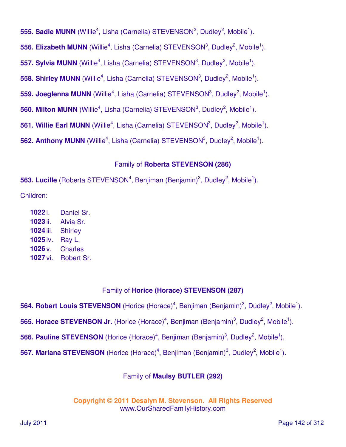555. Sadie MUNN (Willie<sup>4</sup>, Lisha (Carnelia) STEVENSON<sup>3</sup>, Dudley<sup>2</sup>, Mobile<sup>1</sup>). 556. Elizabeth MUNN (Willie<sup>4</sup>, Lisha (Carnelia) STEVENSON<sup>3</sup>, Dudley<sup>2</sup>, Mobile<sup>1</sup>). 557. Sylvia MUNN (Willie<sup>4</sup>, Lisha (Carnelia) STEVENSON<sup>3</sup>, Dudley<sup>2</sup>, Mobile<sup>1</sup>). 558. Shirley MUNN (Willie<sup>4</sup>, Lisha (Carnelia) STEVENSON<sup>3</sup>, Dudley<sup>2</sup>, Mobile<sup>1</sup>). **559. Joeglenna MUNN** (Willie<sup>4</sup>, Lisha (Carnelia) STEVENSON<sup>3</sup>, Dudley<sup>2</sup>, Mobile<sup>1</sup>). **560. Milton MUNN** (Willie<sup>4</sup>, Lisha (Carnelia) STEVENSON<sup>3</sup>, Dudley<sup>2</sup>, Mobile<sup>1</sup>). **561. Willie Earl MUNN** (Willie<sup>4</sup>, Lisha (Carnelia) STEVENSON<sup>3</sup>, Dudley<sup>2</sup>, Mobile<sup>1</sup>). **562. Anthony MUNN** (Willie<sup>4</sup>, Lisha (Carnelia) STEVENSON<sup>3</sup>, Dudley<sup>2</sup>, Mobile<sup>1</sup>).

## Family of **Roberta STEVENSON (286)**

**563. Lucille** (Roberta STEVENSON<sup>4</sup>, Benjiman (Benjamin)<sup>3</sup>, Dudley<sup>2</sup>, Mobile<sup>1</sup>). Children:

 i. Daniel Sr. ii. Alvia Sr. iii. Shirley iv. Ray L. v. Charles vi. Robert Sr.

# Family of **Horice (Horace) STEVENSON (287)**

564. Robert Louis STEVENSON (Horice (Horace)<sup>4</sup>, Benjiman (Benjamin)<sup>3</sup>, Dudley<sup>2</sup>, Mobile<sup>1</sup>).

565. Horace STEVENSON Jr. (Horice (Horace)<sup>4</sup>, Benjiman (Benjamin)<sup>3</sup>, Dudley<sup>2</sup>, Mobile<sup>1</sup>).

**566. Pauline STEVENSON** (Horice (Horace)<sup>4</sup>, Benjiman (Benjamin)<sup>3</sup>, Dudley<sup>2</sup>, Mobile<sup>1</sup>).

567. Mariana STEVENSON (Horice (Horace)<sup>4</sup>, Benjiman (Benjamin)<sup>3</sup>, Dudley<sup>2</sup>, Mobile<sup>1</sup>).

# Family of **Maulsy BUTLER (292)**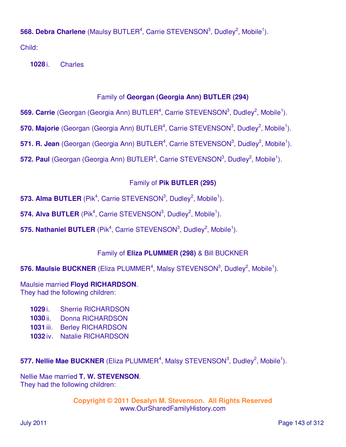**568. Debra Charlene** (Maulsy BUTLER<sup>4</sup>, Carrie STEVENSON<sup>3</sup>, Dudley<sup>2</sup>, Mobile<sup>1</sup>).

Child:

**1028** i. Charles

# Family of **Georgan (Georgia Ann) BUTLER (294)**

569. Carrie (Georgan (Georgia Ann) BUTLER<sup>4</sup>, Carrie STEVENSON<sup>3</sup>, Dudley<sup>2</sup>, Mobile<sup>1</sup>).

570. Majorie (Georgan (Georgia Ann) BUTLER<sup>4</sup>, Carrie STEVENSON<sup>3</sup>, Dudley<sup>2</sup>, Mobile<sup>1</sup>).

571. R. Jean (Georgan (Georgia Ann) BUTLER<sup>4</sup>, Carrie STEVENSON<sup>3</sup>, Dudley<sup>2</sup>, Mobile<sup>1</sup>).

572. Paul (Georgan (Georgia Ann) BUTLER<sup>4</sup>, Carrie STEVENSON<sup>3</sup>, Dudley<sup>2</sup>, Mobile<sup>1</sup>).

# Family of **Pik BUTLER (295)**

**573. Alma BUTLER** (Pik<sup>4</sup>, Carrie STEVENSON<sup>3</sup>, Dudley<sup>2</sup>, Mobile<sup>1</sup>).

574. Alva BUTLER (Pik<sup>4</sup>, Carrie STEVENSON<sup>3</sup>, Dudley<sup>2</sup>, Mobile<sup>1</sup>).

**575. Nathaniel BUTLER** (Pik<sup>4</sup>, Carrie STEVENSON<sup>3</sup>, Dudley<sup>2</sup>, Mobile<sup>1</sup>).

# Family of **Eliza PLUMMER (298)** & Bill BUCKNER

**576. Maulsie BUCKNER** (Eliza PLUMMER<sup>4</sup>, Malsy STEVENSON<sup>3</sup>, Dudley<sup>2</sup>, Mobile<sup>1</sup>).

Maulsie married **Floyd RICHARDSON**. They had the following children:

- **1029** i. Sherrie RICHARDSON
- **1030** ii. Donna RICHARDSON
- **1031** iii. Berley RICHARDSON
- **1032** iv. Natalie RICHARDSON

**577. Nellie Mae BUCKNER** (Eliza PLUMMER<sup>4</sup>, Malsy STEVENSON<sup>3</sup>, Dudley<sup>2</sup>, Mobile<sup>1</sup>).

Nellie Mae married **T. W. STEVENSON**. They had the following children: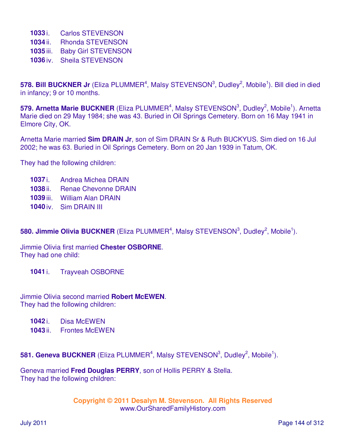- **1033** i. Carlos STEVENSON
- **1034** ii. Rhonda STEVENSON
- **1035** iii. Baby Girl STEVENSON
- **1036** iv. Sheila STEVENSON

578. Bill BUCKNER Jr (Eliza PLUMMER<sup>4</sup>, Malsy STEVENSON<sup>3</sup>, Dudley<sup>2</sup>, Mobile<sup>1</sup>). Bill died in died in infancy; 9 or 10 months.

579. Arnetta Marie BUCKNER (Eliza PLUMMER<sup>4</sup>, Malsy STEVENSON<sup>3</sup>, Dudley<sup>2</sup>, Mobile<sup>1</sup>). Arnetta Marie died on 29 May 1984; she was 43. Buried in Oil Springs Cemetery. Born on 16 May 1941 in Elmore City, OK.

Arnetta Marie married **Sim DRAIN Jr**, son of Sim DRAIN Sr & Ruth BUCKYUS. Sim died on 16 Jul 2002; he was 63. Buried in Oil Springs Cemetery. Born on 20 Jan 1939 in Tatum, OK.

They had the following children:

- **1037** i. Andrea Michea DRAIN
- **1038** ii. Renae Chevonne DRAIN
- **1039** iii. William Alan DRAIN
- **1040** iv. Sim DRAIN III

| 580. Jimmie Olivia BUCKNER (Eliza PLUMMER <sup>4</sup> , Malsy STEVENSON <sup>3</sup> , Dudley <sup>2</sup> , Mobile <sup>1</sup> ). |  |  |  |
|--------------------------------------------------------------------------------------------------------------------------------------|--|--|--|
|--------------------------------------------------------------------------------------------------------------------------------------|--|--|--|

Jimmie Olivia first married **Chester OSBORNE**. They had one child:

**1041** i. Trayveah OSBORNE

Jimmie Olivia second married **Robert McEWEN**. They had the following children:

**1042** i. Disa McEWEN

**1043** ii. Frontes McEWEN

**581. Geneva BUCKNER** (Eliza PLUMMER<sup>4</sup>, Malsy STEVENSON<sup>3</sup>, Dudley<sup>2</sup>, Mobile<sup>1</sup>).

Geneva married **Fred Douglas PERRY**, son of Hollis PERRY & Stella. They had the following children: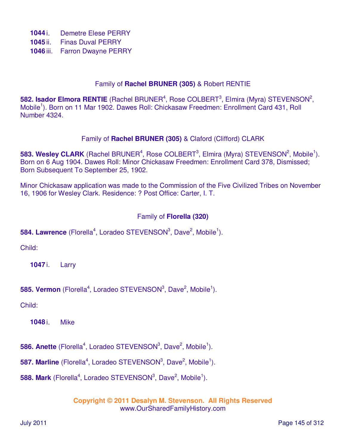- **1044** i. Demetre Elese PERRY
- **1045** ii. Finas Duval PERRY
- **1046** iii. Farron Dwayne PERRY

#### Family of **Rachel BRUNER (305)** & Robert RENTIE

582. Isador Elmora RENTIE (Rachel BRUNER<sup>4</sup>, Rose COLBERT<sup>3</sup>, Elmira (Myra) STEVENSON<sup>2</sup>, Mobile<sup>1</sup>). Born on 11 Mar 1902. Dawes Roll: Chickasaw Freedmen: Enrollment Card 431, Roll Number 4324.

#### Family of **Rachel BRUNER (305)** & Claford (Clifford) CLARK

**583. Wesley CLARK** (Rachel BRUNER<sup>4</sup>, Rose COLBERT<sup>3</sup>, Elmira (Myra) STEVENSON<sup>2</sup>, Mobile<sup>1</sup>). Born on 6 Aug 1904. Dawes Roll: Minor Chickasaw Freedmen: Enrollment Card 378, Dismissed; Born Subsequent To September 25, 1902.

Minor Chickasaw application was made to the Commission of the Five Civilized Tribes on November 16, 1906 for Wesley Clark. Residence: ? Post Office: Carter, I. T.

## Family of **Florella (320)**

## **584. Lawrence** (Florella<sup>4</sup>, Loradeo STEVENSON<sup>3</sup>, Dave<sup>2</sup>, Mobile<sup>1</sup>).

Child:

**1047** i. Larry

**585. Vermon** (Florella<sup>4</sup>, Loradeo STEVENSON<sup>3</sup>, Dave<sup>2</sup>, Mobile<sup>1</sup>).

Child:

**1048** i. Mike

**586. Anette** (Florella<sup>4</sup>, Loradeo STEVENSON<sup>3</sup>, Dave<sup>2</sup>, Mobile<sup>1</sup>).

**587. Marline** (Florella<sup>4</sup>, Loradeo STEVENSON<sup>3</sup>, Dave<sup>2</sup>, Mobile<sup>1</sup>).

**588. Mark** (Florella<sup>4</sup>, Loradeo STEVENSON<sup>3</sup>, Dave<sup>2</sup>, Mobile<sup>1</sup>).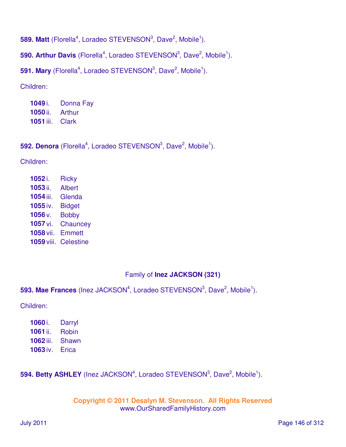**589. Matt** (Florella<sup>4</sup>, Loradeo STEVENSON<sup>3</sup>, Dave<sup>2</sup>, Mobile<sup>1</sup>).

**590. Arthur Davis** (Florella<sup>4</sup>, Loradeo STEVENSON<sup>3</sup>, Dave<sup>2</sup>, Mobile<sup>1</sup>).

**591. Mary** (Florella<sup>4</sup>, Loradeo STEVENSON<sup>3</sup>, Dave<sup>2</sup>, Mobile<sup>1</sup>).

Children:

**1049** i. Donna Fay **1050** ii. Arthur **1051** iii. Clark

**592. Denora** (Florella<sup>4</sup>, Loradeo STEVENSON<sup>3</sup>, Dave<sup>2</sup>, Mobile<sup>1</sup>).

Children:

| 1052i.              | <b>Ricky</b>     |
|---------------------|------------------|
| 1053 ii.            | <b>Albert</b>    |
| 1054 iii.           | Glenda           |
| 1055 iv.            | <b>Bidget</b>    |
| 1056 <sub>V</sub> . | <b>Bobby</b>     |
| 1057 vi.            | Chauncey         |
| 1058 vii.           | <b>Emmett</b>    |
| 1059 viii.          | <b>Celestine</b> |

## Family of **Inez JACKSON (321)**

**593. Mae Frances** (Inez JACKSON<sup>4</sup>, Loradeo STEVENSON<sup>3</sup>, Dave<sup>2</sup>, Mobile<sup>1</sup>).

Children:

| 1060 i.   | Darryl |
|-----------|--------|
| 1061 ii.  | Robin  |
| 1062 iii. | Shawn  |
| 1063 iv.  | Erica  |

**594. Betty ASHLEY** (Inez JACKSON<sup>4</sup>, Loradeo STEVENSON<sup>3</sup>, Dave<sup>2</sup>, Mobile<sup>1</sup>).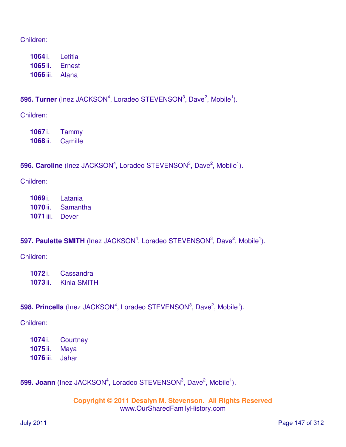#### Children:

**1064** i. Letitia **1065** ii. Ernest **1066** iii. Alana

## **595. Turner** (Inez JACKSON<sup>4</sup>, Loradeo STEVENSON<sup>3</sup>, Dave<sup>2</sup>, Mobile<sup>1</sup>).

Children:

**1067** i. Tammy **1068** ii. Camille

# **596. Caroline** (Inez JACKSON<sup>4</sup>, Loradeo STEVENSON<sup>3</sup>, Dave<sup>2</sup>, Mobile<sup>1</sup>).

Children:

**1069** i. Latania **1070** ii. Samantha **1071** iii. Dever

## **597. Paulette SMITH** (Inez JACKSON<sup>4</sup>, Loradeo STEVENSON<sup>3</sup>, Dave<sup>2</sup>, Mobile<sup>1</sup>).

Children:

**1072** i. Cassandra **1073** ii. Kinia SMITH

## **598. Princella** (Inez JACKSON<sup>4</sup>, Loradeo STEVENSON<sup>3</sup>, Dave<sup>2</sup>, Mobile<sup>1</sup>).

Children:

- **1074** i. Courtney **1075** ii. Maya
- **1076** iii. Jahar

## **599. Joann** (Inez JACKSON<sup>4</sup>, Loradeo STEVENSON<sup>3</sup>, Dave<sup>2</sup>, Mobile<sup>1</sup>).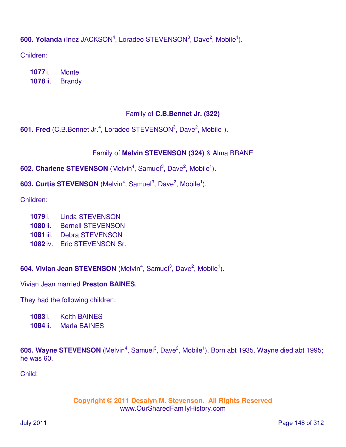600. Yolanda (Inez JACKSON<sup>4</sup>, Loradeo STEVENSON<sup>3</sup>, Dave<sup>2</sup>, Mobile<sup>1</sup>).

Children:

**1077** i. Monte **1078** ii. Brandy

# Family of **C.B.Bennet Jr. (322)**

**601. Fred** (C.B.Bennet Jr.<sup>4</sup>, Loradeo STEVENSON<sup>3</sup>, Dave<sup>2</sup>, Mobile<sup>1</sup>).

# Family of **Melvin STEVENSON (324)** & Alma BRANE

602. Charlene STEVENSON (Melvin<sup>4</sup>, Samuel<sup>3</sup>, Dave<sup>2</sup>, Mobile<sup>1</sup>).

603. Curtis STEVENSON (Melvin<sup>4</sup>, Samuel<sup>3</sup>, Dave<sup>2</sup>, Mobile<sup>1</sup>).

Children:

- **1079** i. Linda STEVENSON
- **1080** ii. Bernell STEVENSON
- **1081** iii. Debra STEVENSON
- **1082** iv. Eric STEVENSON Sr.

604. Vivian Jean STEVENSON (Melvin<sup>4</sup>, Samuel<sup>3</sup>, Dave<sup>2</sup>, Mobile<sup>1</sup>).

Vivian Jean married **Preston BAINES**.

They had the following children:

**1083** i. Keith BAINES

**1084** ii. Marla BAINES

605. Wayne STEVENSON (Melvin<sup>4</sup>, Samuel<sup>3</sup>, Dave<sup>2</sup>, Mobile<sup>1</sup>). Born abt 1935. Wayne died abt 1995; he was 60.

Child: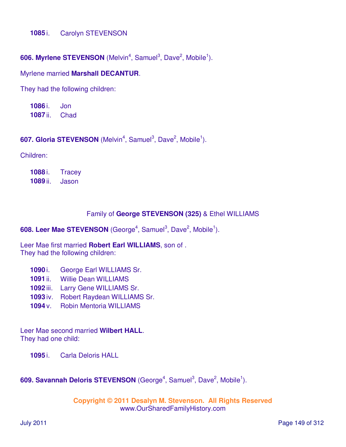#### **1085** i. Carolyn STEVENSON

#### 606. Myrlene STEVENSON (Melvin<sup>4</sup>, Samuel<sup>3</sup>, Dave<sup>2</sup>, Mobile<sup>1</sup>).

#### Myrlene married **Marshall DECANTUR**.

They had the following children:

**1086** i. Jon **1087** ii. Chad

#### 607. Gloria STEVENSON (Melvin<sup>4</sup>, Samuel<sup>3</sup>, Dave<sup>2</sup>, Mobile<sup>1</sup>).

Children:

**1088** i. Tracey **1089** ii. Jason

#### Family of **George STEVENSON (325)** & Ethel WILLIAMS

608. Leer Mae STEVENSON (George<sup>4</sup>, Samuel<sup>3</sup>, Dave<sup>2</sup>, Mobile<sup>1</sup>).

Leer Mae first married **Robert Earl WILLIAMS**, son of . They had the following children:

- **1090** i. George Earl WILLIAMS Sr.
- **1091** ii. Willie Dean WILLIAMS
- **1092** iii. Larry Gene WILLIAMS Sr.
- **1093** iv. Robert Raydean WILLIAMS Sr.
- **1094** v. Robin Mentoria WILLIAMS

Leer Mae second married **Wilbert HALL**. They had one child:

**1095** i. Carla Deloris HALL

#### 609. Savannah Deloris STEVENSON (George<sup>4</sup>, Samuel<sup>3</sup>, Dave<sup>2</sup>, Mobile<sup>1</sup>).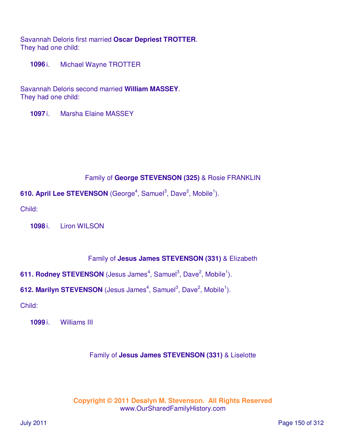Savannah Deloris first married **Oscar Depriest TROTTER**. They had one child:

**1096** i. Michael Wayne TROTTER

Savannah Deloris second married **William MASSEY**. They had one child:

**1097** i. Marsha Elaine MASSEY

## Family of **George STEVENSON (325)** & Rosie FRANKLIN

610. April Lee STEVENSON (George<sup>4</sup>, Samuel<sup>3</sup>, Dave<sup>2</sup>, Mobile<sup>1</sup>).

Child:

**1098** i. Liron WILSON

## Family of **Jesus James STEVENSON (331)** & Elizabeth

611. Rodney STEVENSON (Jesus James<sup>4</sup>, Samuel<sup>3</sup>, Dave<sup>2</sup>, Mobile<sup>1</sup>).

612. Marilyn STEVENSON (Jesus James<sup>4</sup>, Samuel<sup>3</sup>, Dave<sup>2</sup>, Mobile<sup>1</sup>).

Child:

**1099** i. Williams III

## Family of **Jesus James STEVENSON (331)** & Liselotte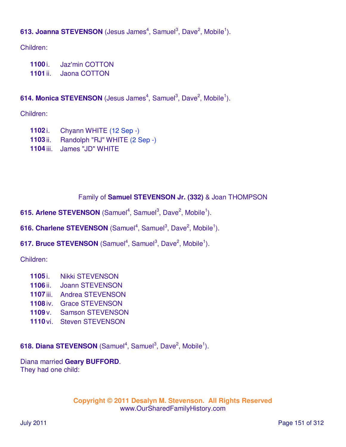# 613. Joanna STEVENSON (Jesus James<sup>4</sup>, Samuel<sup>3</sup>, Dave<sup>2</sup>, Mobile<sup>1</sup>).

Children:

- **1100** i. Jaz'min COTTON
- **1101** ii. Jaona COTTON

## 614. Monica STEVENSON (Jesus James<sup>4</sup>, Samuel<sup>3</sup>, Dave<sup>2</sup>, Mobile<sup>1</sup>).

Children:

- **1102** i. Chyann WHITE (12 Sep -)
- **1103** ii. Randolph "RJ" WHITE (2 Sep -)
- **1104** iii. James "JD" WHITE

## Family of **Samuel STEVENSON Jr. (332)** & Joan THOMPSON

- 615. Arlene STEVENSON (Samuel<sup>4</sup>, Samuel<sup>3</sup>, Dave<sup>2</sup>, Mobile<sup>1</sup>).
- 616. Charlene STEVENSON (Samuel<sup>4</sup>, Samuel<sup>3</sup>, Dave<sup>2</sup>, Mobile<sup>1</sup>).
- 617. Bruce STEVENSON (Samuel<sup>4</sup>, Samuel<sup>3</sup>, Dave<sup>2</sup>, Mobile<sup>1</sup>).

Children:

- **1105** i. Nikki STEVENSON
- **1106** ii. Joann STEVENSON
- **1107** iii. Andrea STEVENSON
- **1108** iv. Grace STEVENSON
- **1109** v. Samson STEVENSON
- **1110** vi. Steven STEVENSON

618. Diana STEVENSON (Samuel<sup>4</sup>, Samuel<sup>3</sup>, Dave<sup>2</sup>, Mobile<sup>1</sup>).

Diana married **Geary BUFFORD**. They had one child: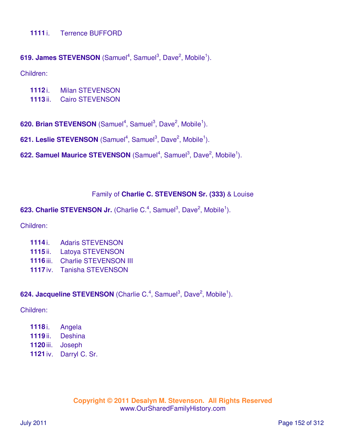#### **1111** i. Terrence BUFFORD

#### 619. James STEVENSON (Samuel<sup>4</sup>, Samuel<sup>3</sup>, Dave<sup>2</sup>, Mobile<sup>1</sup>).

Children:

- **1112** i. Milan STEVENSON
- **1113** ii. Cairo STEVENSON
- 620. Brian STEVENSON (Samuel<sup>4</sup>, Samuel<sup>3</sup>, Dave<sup>2</sup>, Mobile<sup>1</sup>).
- 621. Leslie STEVENSON (Samuel<sup>4</sup>, Samuel<sup>3</sup>, Dave<sup>2</sup>, Mobile<sup>1</sup>).
- 622. Samuel Maurice STEVENSON (Samuel<sup>4</sup>, Samuel<sup>3</sup>, Dave<sup>2</sup>, Mobile<sup>1</sup>).

#### Family of **Charlie C. STEVENSON Sr. (333)** & Louise

623. Charlie STEVENSON Jr. (Charlie C.<sup>4</sup>, Samuel<sup>3</sup>, Dave<sup>2</sup>, Mobile<sup>1</sup>).

Children:

- **1114** i. Adaris STEVENSON
- **1115** ii. Latoya STEVENSON
- **1116** iii. Charlie STEVENSON III
- **1117** iv. Tanisha STEVENSON

#### 624. Jacqueline STEVENSON (Charlie C.<sup>4</sup>, Samuel<sup>3</sup>, Dave<sup>2</sup>, Mobile<sup>1</sup>).

Children:

 i. Angela ii. Deshina iii. Joseph iv. Darryl C. Sr.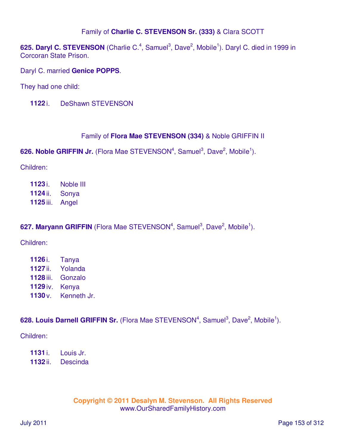## Family of **Charlie C. STEVENSON Sr. (333)** & Clara SCOTT

625. Daryl C. STEVENSON (Charlie C.<sup>4</sup>, Samuel<sup>3</sup>, Dave<sup>2</sup>, Mobile<sup>1</sup>). Daryl C. died in 1999 in Corcoran State Prison.

Daryl C. married **Genice POPPS**.

They had one child:

**1122** i. DeShawn STEVENSON

## Family of **Flora Mae STEVENSON (334)** & Noble GRIFFIN II

626. Noble GRIFFIN Jr. (Flora Mae STEVENSON<sup>4</sup>, Samuel<sup>3</sup>, Dave<sup>2</sup>, Mobile<sup>1</sup>).

Children:

**1123** i. Noble III **1124** ii. Sonya **1125** iii. Angel

## 627. Maryann GRIFFIN (Flora Mae STEVENSON<sup>4</sup>, Samuel<sup>3</sup>, Dave<sup>2</sup>, Mobile<sup>1</sup>).

Children:

| 1126 i.           | Tanya       |
|-------------------|-------------|
| 1127 ii.          | Yolanda     |
| 1128 iii.         | Gonzalo     |
| 1129 iv.          | Kenya       |
| 1130 <sub>V</sub> | Kenneth Jr. |

628. Louis Darnell GRIFFIN Sr. (Flora Mae STEVENSON<sup>4</sup>, Samuel<sup>3</sup>, Dave<sup>2</sup>, Mobile<sup>1</sup>).

Children:

**1131** i. Louis Jr.

**1132** ii. Descinda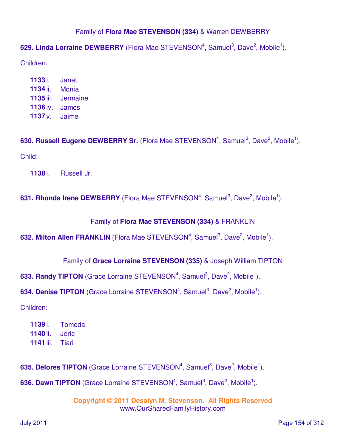## Family of **Flora Mae STEVENSON (334)** & Warren DEWBERRY

# 629. Linda Lorraine DEWBERRY (Flora Mae STEVENSON<sup>4</sup>, Samuel<sup>3</sup>, Dave<sup>2</sup>, Mobile<sup>1</sup>).

Children:

| 1133i.            | Janet        |
|-------------------|--------------|
| 1134 ii.          | Monia        |
| 1135 iii.         | Jermaine     |
| 1136 iv.          | <b>James</b> |
| 1137 <sub>V</sub> | Jaime        |

630. Russell Eugene DEWBERRY Sr. (Flora Mae STEVENSON<sup>4</sup>, Samuel<sup>3</sup>, Dave<sup>2</sup>, Mobile<sup>1</sup>). Child:

**1138** i. Russell Jr.

## **631. Rhonda Irene DEWBERRY** (Flora Mae STEVENSON<sup>4</sup>, Samuel<sup>3</sup>, Dave<sup>2</sup>, Mobile<sup>1</sup>).

#### Family of **Flora Mae STEVENSON (334)** & FRANKLIN

632. Milton Allen FRANKLIN (Flora Mae STEVENSON<sup>4</sup>, Samuel<sup>3</sup>, Dave<sup>2</sup>, Mobile<sup>1</sup>).

#### Family of **Grace Lorraine STEVENSON (335)** & Joseph William TIPTON

633. Randy TIPTON (Grace Lorraine STEVENSON<sup>4</sup>, Samuel<sup>3</sup>, Dave<sup>2</sup>, Mobile<sup>1</sup>).

634. Denise TIPTON (Grace Lorraine STEVENSON<sup>4</sup>, Samuel<sup>3</sup>, Dave<sup>2</sup>, Mobile<sup>1</sup>).

Children:

**1139** i. Tomeda **1140** ii. Jeric **1141** iii. Tiari

635. Delores TIPTON (Grace Lorraine STEVENSON<sup>4</sup>, Samuel<sup>3</sup>, Dave<sup>2</sup>, Mobile<sup>1</sup>).

636. Dawn TIPTON (Grace Lorraine STEVENSON<sup>4</sup>, Samuel<sup>3</sup>, Dave<sup>2</sup>, Mobile<sup>1</sup>).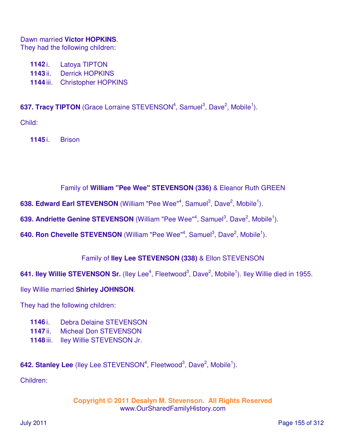#### Dawn married **Victor HOPKINS**.

They had the following children:

- **1142** i. Latoya TIPTON
- **1143** ii. Derrick HOPKINS
- **1144** iii. Christopher HOPKINS

637. Tracy TIPTON (Grace Lorraine STEVENSON<sup>4</sup>, Samuel<sup>3</sup>, Dave<sup>2</sup>, Mobile<sup>1</sup>).

Child:

**1145** i. Brison

## Family of **William "Pee Wee" STEVENSON (336)** & Eleanor Ruth GREEN

638. Edward Earl STEVENSON (William "Pee Wee"<sup>4</sup>, Samuel<sup>3</sup>, Dave<sup>2</sup>, Mobile<sup>1</sup>).

639. Andriette Genine STEVENSON (William "Pee Wee"<sup>4</sup>, Samuel<sup>3</sup>, Dave<sup>2</sup>, Mobile<sup>1</sup>).

640. Ron Chevelle STEVENSON (William "Pee Wee"<sup>4</sup>, Samuel<sup>3</sup>, Dave<sup>2</sup>, Mobile<sup>1</sup>).

## Family of **Iley Lee STEVENSON (338)** & Ellon STEVENSON

641. Iley Willie STEVENSON Sr. (Iley Lee<sup>4</sup>, Fleetwood<sup>3</sup>, Dave<sup>2</sup>, Mobile<sup>1</sup>). Iley Willie died in 1955.

Iley Willie married **Shirley JOHNSON**.

They had the following children:

- **1146** i. Debra Delaine STEVENSON
- **1147** ii. Micheal Don STEVENSON
- **1148** iii. Iley Willie STEVENSON Jr.

642. Stanley Lee (lley Lee STEVENSON<sup>4</sup>, Fleetwood<sup>3</sup>, Dave<sup>2</sup>, Mobile<sup>1</sup>).

Children: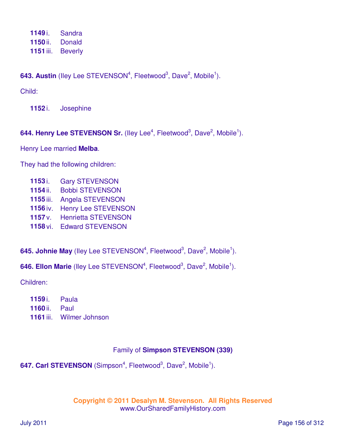**1149** i. Sandra **1150** ii. Donald **1151** iii. Beverly

643. Austin (lley Lee STEVENSON<sup>4</sup>, Fleetwood<sup>3</sup>, Dave<sup>2</sup>, Mobile<sup>1</sup>).

Child:

**1152** i. Josephine

# 644. Henry Lee STEVENSON Sr. (lley Lee<sup>4</sup>, Fleetwood<sup>3</sup>, Dave<sup>2</sup>, Mobile<sup>1</sup>).

Henry Lee married **Melba**.

They had the following children:

- **1153** i. Gary STEVENSON
- **1154** ii. Bobbi STEVENSON
- **1155** iii. Angela STEVENSON
- **1156** iv. Henry Lee STEVENSON
- **1157** v. Henrietta STEVENSON
- **1158** vi. Edward STEVENSON

645. Johnie May (lley Lee STEVENSON<sup>4</sup>, Fleetwood<sup>3</sup>, Dave<sup>2</sup>, Mobile<sup>1</sup>).

646. Ellon Marie (lley Lee STEVENSON<sup>4</sup>, Fleetwood<sup>3</sup>, Dave<sup>2</sup>, Mobile<sup>1</sup>).

Children:

- **1159** i. Paula
- **1160** ii. Paul
- **1161** iii. Wilmer Johnson

## Family of **Simpson STEVENSON (339)**

647. Carl STEVENSON (Simpson<sup>4</sup>, Fleetwood<sup>3</sup>, Dave<sup>2</sup>, Mobile<sup>1</sup>).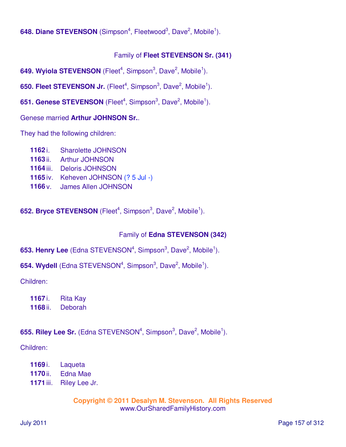648. Diane STEVENSON (Simpson<sup>4</sup>, Fleetwood<sup>3</sup>, Dave<sup>2</sup>, Mobile<sup>1</sup>).

## Family of **Fleet STEVENSON Sr. (341)**

649. Wyiola STEVENSON (Fleet<sup>4</sup>, Simpson<sup>3</sup>, Dave<sup>2</sup>, Mobile<sup>1</sup>).

650. Fleet STEVENSON Jr. (Fleet<sup>4</sup>, Simpson<sup>3</sup>, Dave<sup>2</sup>, Mobile<sup>1</sup>).

651. Genese STEVENSON (Fleet<sup>4</sup>, Simpson<sup>3</sup>, Dave<sup>2</sup>, Mobile<sup>1</sup>).

Genese married **Arthur JOHNSON Sr.**.

They had the following children:

- **1162** i. Sharolette JOHNSON
- **1163** ii. Arthur JOHNSON
- **1164** iii. Deloris JOHNSON
- **1165** iv. Keheven JOHNSON (? 5 Jul -)
- **1166** v. James Allen JOHNSON

652. Bryce STEVENSON (Fleet<sup>4</sup>, Simpson<sup>3</sup>, Dave<sup>2</sup>, Mobile<sup>1</sup>).

## Family of **Edna STEVENSON (342)**

**653. Henry Lee** (Edna STEVENSON<sup>4</sup>, Simpson<sup>3</sup>, Dave<sup>2</sup>, Mobile<sup>1</sup>).

**654. Wydell** (Edna STEVENSON<sup>4</sup>, Simpson<sup>3</sup>, Dave<sup>2</sup>, Mobile<sup>1</sup>).

Children:

**1167** i. Rita Kay **1168** ii. Deborah

## **655. Riley Lee Sr.** (Edna STEVENSON<sup>4</sup>, Simpson<sup>3</sup>, Dave<sup>2</sup>, Mobile<sup>1</sup>).

Children:

- **1169** i. Laqueta
- **1170** ii. Edna Mae
- **1171** iii. Riley Lee Jr.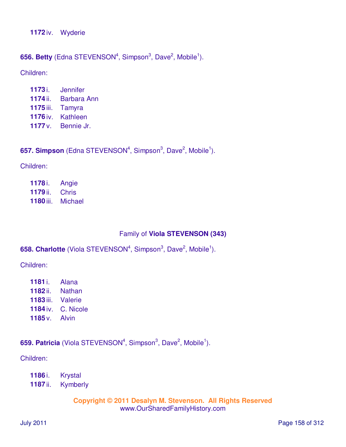**1172** iv. Wyderie

## **656. Betty** (Edna STEVENSON<sup>4</sup>, Simpson<sup>3</sup>, Dave<sup>2</sup>, Mobile<sup>1</sup>).

Children:

 i. Jennifer ii. Barbara Ann iii. Tamyra iv. Kathleen v. Bennie Jr.

## **657. Simpson** (Edna STEVENSON<sup>4</sup>, Simpson<sup>3</sup>, Dave<sup>2</sup>, Mobile<sup>1</sup>).

Children:

| 1178 i.          | Angie          |
|------------------|----------------|
| 1179 ii.         | <b>Chris</b>   |
| <b>1180 iii.</b> | <b>Michael</b> |

## Family of **Viola STEVENSON (343)**

#### 658. Charlotte (Viola STEVENSON<sup>4</sup>, Simpson<sup>3</sup>, Dave<sup>2</sup>, Mobile<sup>1</sup>).

Children:

 i. Alana ii. Nathan iii. Valerie iv. C. Nicole v. Alvin

## 659. Patricia (Viola STEVENSON<sup>4</sup>, Simpson<sup>3</sup>, Dave<sup>2</sup>, Mobile<sup>1</sup>).

Children:

**1186** i. Krystal

**1187** ii. Kymberly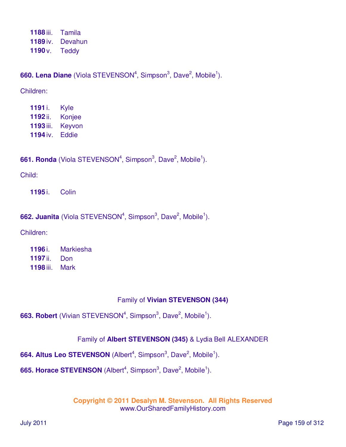**1188** iii. Tamila **1189** iv. Devahun **1190** v. Teddy

**660. Lena Diane** (Viola STEVENSON<sup>4</sup>, Simpson<sup>3</sup>, Dave<sup>2</sup>, Mobile<sup>1</sup>).

Children:

| 1191 i.   | Kyle   |
|-----------|--------|
| 1192 ii.  | Konjee |
| 1193 iii. | Keyvon |
| 1194 iv.  | Eddie  |

661. Ronda (Viola STEVENSON<sup>4</sup>, Simpson<sup>3</sup>, Dave<sup>2</sup>, Mobile<sup>1</sup>).

Child:

**1195** i. Colin

**662. Juanita** (Viola STEVENSON<sup>4</sup>, Simpson<sup>3</sup>, Dave<sup>2</sup>, Mobile<sup>1</sup>).

Children:

| 1196 i.          | <b>Markiesha</b> |
|------------------|------------------|
| 1197 ii.         | Don              |
| <b>1198</b> iii. | Mark             |

## Family of **Vivian STEVENSON (344)**

**663. Robert** (Vivian STEVENSON<sup>4</sup>, Simpson<sup>3</sup>, Dave<sup>2</sup>, Mobile<sup>1</sup>).

## Family of **Albert STEVENSON (345)** & Lydia Bell ALEXANDER

664. Altus Leo STEVENSON (Albert<sup>4</sup>, Simpson<sup>3</sup>, Dave<sup>2</sup>, Mobile<sup>1</sup>).

665. Horace STEVENSON (Albert<sup>4</sup>, Simpson<sup>3</sup>, Dave<sup>2</sup>, Mobile<sup>1</sup>).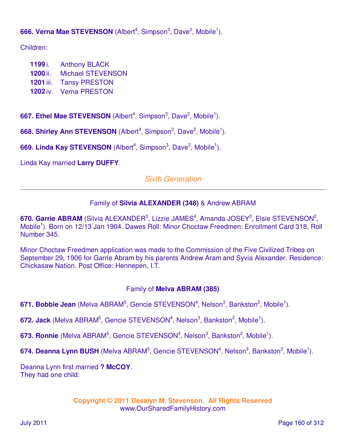# 666. Verna Mae STEVENSON (Albert<sup>4</sup>, Simpson<sup>3</sup>, Dave<sup>2</sup>, Mobile<sup>1</sup>).

Children:

- **1199** i. Anthony BLACK
- **1200** ii. Michael STEVENSON
- **1201** iii. Tansy PRESTON
- **1202** iv. Verna PRESTON

667. Ethel Mae STEVENSON (Albert<sup>4</sup>, Simpson<sup>3</sup>, Dave<sup>2</sup>, Mobile<sup>1</sup>).

668. Shirley Ann STEVENSON (Albert<sup>4</sup>, Simpson<sup>3</sup>, Dave<sup>2</sup>, Mobile<sup>1</sup>).

669. Linda Kay STEVENSON (Albert<sup>4</sup>, Simpson<sup>3</sup>, Dave<sup>2</sup>, Mobile<sup>1</sup>).

Linda Kay married **Larry DUFFY**.

## Sixth Generation

## Family of **Silvia ALEXANDER (348)** & Andrew ABRAM

670. Garrie ABRAM (Silvia ALEXANDER<sup>5</sup>, Lizzie JAMES<sup>4</sup>, Amanda JOSEY<sup>3</sup>, Elsie STEVENSON<sup>2</sup>, Mobile<sup>1</sup>). Born on 12/13 Jan 1904. Dawes Roll: Minor Choctaw Freedmen: Enrollment Card 318, Roll Number 345.

Minor Choctaw Freedmen application was made to the Commission of the Five Civilized Tribes on September 29, 1906 for Garrie Abram by his parents Andrew Aram and Syvia Alexander. Residence: Chickasaw Nation. Post Office: Hennepen, I.T.

## Family of **Melva ABRAM (385)**

671. Bobbie Jean (Melva ABRAM<sup>5</sup>, Gencie STEVENSON<sup>4</sup>, Nelson<sup>3</sup>, Bankston<sup>2</sup>, Mobile<sup>1</sup>).

672. Jack (Melva ABRAM<sup>5</sup>, Gencie STEVENSON<sup>4</sup>, Nelson<sup>3</sup>, Bankston<sup>2</sup>, Mobile<sup>1</sup>).

673. Ronnie (Melva ABRAM<sup>5</sup>, Gencie STEVENSON<sup>4</sup>, Nelson<sup>3</sup>, Bankston<sup>2</sup>, Mobile<sup>1</sup>).

674. Deanna Lynn BUSH (Melva ABRAM<sup>5</sup>, Gencie STEVENSON<sup>4</sup>, Nelson<sup>3</sup>, Bankston<sup>2</sup>, Mobile<sup>1</sup>).

Deanna Lynn first married **? McCOY**. They had one child: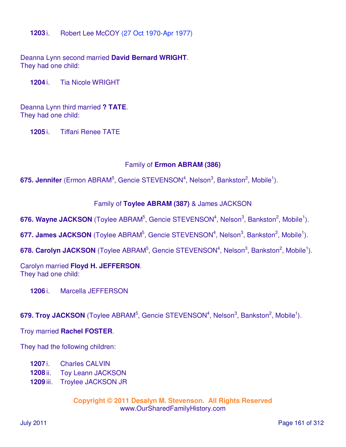**1203** i. Robert Lee McCOY (27 Oct 1970-Apr 1977)

Deanna Lynn second married **David Bernard WRIGHT**. They had one child:

**1204** i. Tia Nicole WRIGHT

Deanna Lynn third married **? TATE**. They had one child:

**1205** i. Tiffani Renee TATE

#### Family of **Ermon ABRAM (386)**

675. Jennifer (Ermon ABRAM<sup>5</sup>, Gencie STEVENSON<sup>4</sup>, Nelson<sup>3</sup>, Bankston<sup>2</sup>, Mobile<sup>1</sup>).

#### Family of **Toylee ABRAM (387)** & James JACKSON

676. Wayne JACKSON (Toylee ABRAM<sup>5</sup>, Gencie STEVENSON<sup>4</sup>, Nelson<sup>3</sup>, Bankston<sup>2</sup>, Mobile<sup>1</sup>).

677. James JACKSON (Toylee ABRAM<sup>5</sup>, Gencie STEVENSON<sup>4</sup>, Nelson<sup>3</sup>, Bankston<sup>2</sup>, Mobile<sup>1</sup>).

678. Carolyn JACKSON (Toylee ABRAM<sup>5</sup>, Gencie STEVENSON<sup>4</sup>, Nelson<sup>3</sup>, Bankston<sup>2</sup>, Mobile<sup>1</sup>).

#### Carolyn married **Floyd H. JEFFERSON**. They had one child:

**1206** i. Marcella JEFFERSON

679. Troy JACKSON (Toylee ABRAM<sup>5</sup>, Gencie STEVENSON<sup>4</sup>, Nelson<sup>3</sup>, Bankston<sup>2</sup>, Mobile<sup>1</sup>).

Troy married **Rachel FOSTER**.

They had the following children:

- **1207** i. Charles CALVIN
- **1208** ii. Toy Leann JACKSON
- **1209** iii. Troylee JACKSON JR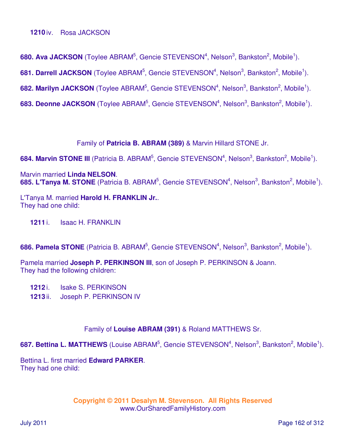#### **1210** iv. Rosa JACKSON

680. Ava JACKSON (Toylee ABRAM<sup>5</sup>, Gencie STEVENSON<sup>4</sup>, Nelson<sup>3</sup>, Bankston<sup>2</sup>, Mobile<sup>1</sup>).

681. Darrell JACKSON (Toylee ABRAM<sup>5</sup>, Gencie STEVENSON<sup>4</sup>, Nelson<sup>3</sup>, Bankston<sup>2</sup>, Mobile<sup>1</sup>).

682. Marilyn JACKSON (Toylee ABRAM<sup>5</sup>, Gencie STEVENSON<sup>4</sup>, Nelson<sup>3</sup>, Bankston<sup>2</sup>, Mobile<sup>1</sup>).

683. Deonne JACKSON (Toylee ABRAM<sup>5</sup>, Gencie STEVENSON<sup>4</sup>, Nelson<sup>3</sup>, Bankston<sup>2</sup>, Mobile<sup>1</sup>).

Family of **Patricia B. ABRAM (389)** & Marvin Hillard STONE Jr.

684. Marvin STONE III (Patricia B. ABRAM<sup>5</sup>, Gencie STEVENSON<sup>4</sup>, Nelson<sup>3</sup>, Bankston<sup>2</sup>, Mobile<sup>1</sup>).

Marvin married **Linda NELSON**. 685. L'Tanya M. STONE (Patricia B. ABRAM<sup>5</sup>, Gencie STEVENSON<sup>4</sup>, Nelson<sup>3</sup>, Bankston<sup>2</sup>, Mobile<sup>1</sup>).

L'Tanya M. married **Harold H. FRANKLIN Jr.**. They had one child:

**1211** i. Isaac H. FRANKLIN

686. Pamela STONE (Patricia B. ABRAM<sup>5</sup>, Gencie STEVENSON<sup>4</sup>, Nelson<sup>3</sup>, Bankston<sup>2</sup>, Mobile<sup>1</sup>).

Pamela married **Joseph P. PERKINSON III**, son of Joseph P. PERKINSON & Joann. They had the following children:

**1212** i. Isake S. PERKINSON

**1213** ii. Joseph P. PERKINSON IV

Family of **Louise ABRAM (391)** & Roland MATTHEWS Sr.

687. Bettina L. MATTHEWS (Louise ABRAM<sup>5</sup>, Gencie STEVENSON<sup>4</sup>, Nelson<sup>3</sup>, Bankston<sup>2</sup>, Mobile<sup>1</sup>).

Bettina L. first married **Edward PARKER**. They had one child: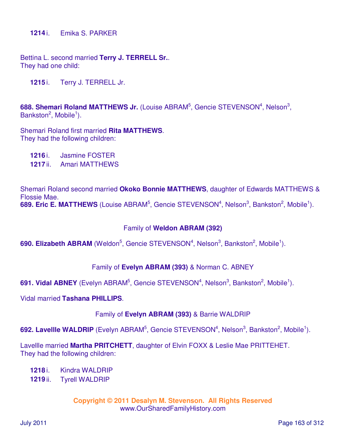Bettina L. second married **Terry J. TERRELL Sr.**. They had one child:

**1215** i. Terry J. TERRELL Jr.

688. Shemari Roland MATTHEWS Jr. (Louise ABRAM<sup>5</sup>, Gencie STEVENSON<sup>4</sup>, Nelson<sup>3</sup>, Bankston<sup>2</sup>, Mobile<sup>1</sup>).

Shemari Roland first married **Rita MATTHEWS**. They had the following children:

- **1216** i. Jasmine FOSTER
- **1217** ii. Amari MATTHEWS

Shemari Roland second married **Okoko Bonnie MATTHEWS**, daughter of Edwards MATTHEWS & Flossie Mae. 689. Eric E. MATTHEWS (Louise ABRAM<sup>5</sup>, Gencie STEVENSON<sup>4</sup>, Nelson<sup>3</sup>, Bankston<sup>2</sup>, Mobile<sup>1</sup>).

#### Family of **Weldon ABRAM (392)**

690. Elizabeth ABRAM (Weldon<sup>5</sup>, Gencie STEVENSON<sup>4</sup>, Nelson<sup>3</sup>, Bankston<sup>2</sup>, Mobile<sup>1</sup>).

Family of **Evelyn ABRAM (393)** & Norman C. ABNEY

691. Vidal ABNEY (Evelyn ABRAM<sup>5</sup>, Gencie STEVENSON<sup>4</sup>, Nelson<sup>3</sup>, Bankston<sup>2</sup>, Mobile<sup>1</sup>).

Vidal married **Tashana PHILLIPS**.

Family of **Evelyn ABRAM (393)** & Barrie WALDRIP

692. Lavellle WALDRIP (Evelyn ABRAM<sup>5</sup>, Gencie STEVENSON<sup>4</sup>, Nelson<sup>3</sup>, Bankston<sup>2</sup>, Mobile<sup>1</sup>).

Lavellle married **Martha PRITCHETT**, daughter of Elvin FOXX & Leslie Mae PRITTEHET. They had the following children:

- **1218** i. Kindra WALDRIP
- **1219** ii. Tyrell WALDRIP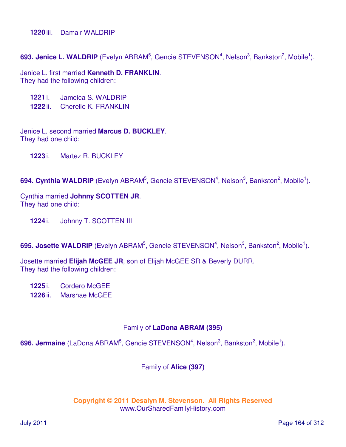**1220** iii. Damair WALDRIP

693. Jenice L. WALDRIP (Evelyn ABRAM<sup>5</sup>, Gencie STEVENSON<sup>4</sup>, Nelson<sup>3</sup>, Bankston<sup>2</sup>, Mobile<sup>1</sup>).

Jenice L. first married **Kenneth D. FRANKLIN**. They had the following children:

- **1221** i. Jameica S. WALDRIP
- **1222** ii. Cherelle K. FRANKLIN

Jenice L. second married **Marcus D. BUCKLEY**. They had one child:

**1223** i. Martez R. BUCKLEY

694. Cynthia WALDRIP (Evelyn ABRAM<sup>5</sup>, Gencie STEVENSON<sup>4</sup>, Nelson<sup>3</sup>, Bankston<sup>2</sup>, Mobile<sup>1</sup>).

#### Cynthia married **Johnny SCOTTEN JR**. They had one child:

**1224** i. Johnny T. SCOTTEN III

**695. Josette WALDRIP** (Evelyn ABRAM<sup>5</sup>, Gencie STEVENSON<sup>4</sup>, Nelson<sup>3</sup>, Bankston<sup>2</sup>, Mobile<sup>1</sup>).

Josette married **Elijah McGEE JR**, son of Elijah McGEE SR & Beverly DURR. They had the following children:

**1225** i. Cordero McGEE

**1226** ii. Marshae McGEE

#### Family of **LaDona ABRAM (395)**

696. Jermaine (LaDona ABRAM<sup>5</sup>, Gencie STEVENSON<sup>4</sup>, Nelson<sup>3</sup>, Bankston<sup>2</sup>, Mobile<sup>1</sup>).

Family of **Alice (397)**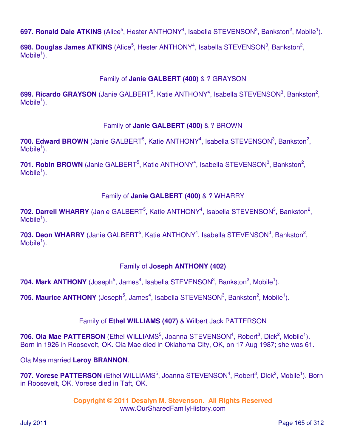697. Ronald Dale ATKINS (Alice<sup>5</sup>, Hester ANTHONY<sup>4</sup>, Isabella STEVENSON<sup>3</sup>, Bankston<sup>2</sup>, Mobile<sup>1</sup>).

698. Douglas James ATKINS (Alice<sup>5</sup>, Hester ANTHONY<sup>4</sup>, Isabella STEVENSON<sup>3</sup>, Bankston<sup>2</sup>,  $M$ obile<sup>1</sup>).

## Family of **Janie GALBERT (400)** & ? GRAYSON

699. Ricardo GRAYSON (Janie GALBERT<sup>5</sup>, Katie ANTHONY<sup>4</sup>, Isabella STEVENSON<sup>3</sup>, Bankston<sup>2</sup>,  $M$ obile<sup>1</sup>).

## Family of **Janie GALBERT (400)** & ? BROWN

700. Edward BROWN (Janie GALBERT<sup>5</sup>, Katie ANTHONY<sup>4</sup>, Isabella STEVENSON<sup>3</sup>, Bankston<sup>2</sup>,  $M$ obile<sup>1</sup>).

701. Robin BROWN (Janie GALBERT<sup>5</sup>, Katie ANTHONY<sup>4</sup>, Isabella STEVENSON<sup>3</sup>, Bankston<sup>2</sup>,  $M$ obile<sup>1</sup>).

## Family of **Janie GALBERT (400)** & ? WHARRY

702. Darrell WHARRY (Janie GALBERT<sup>5</sup>, Katie ANTHONY<sup>4</sup>, Isabella STEVENSON<sup>3</sup>, Bankston<sup>2</sup>,  $M$ obile<sup>1</sup>).

703. Deon WHARRY (Janie GALBERT<sup>5</sup>, Katie ANTHONY<sup>4</sup>, Isabella STEVENSON<sup>3</sup>, Bankston<sup>2</sup>,  $M$ obile<sup>1</sup>).

## Family of **Joseph ANTHONY (402)**

704. Mark ANTHONY (Joseph<sup>5</sup>, James<sup>4</sup>, Isabella STEVENSON<sup>3</sup>, Bankston<sup>2</sup>, Mobile<sup>1</sup>).

705. Maurice ANTHONY (Joseph<sup>5</sup>, James<sup>4</sup>, Isabella STEVENSON<sup>3</sup>, Bankston<sup>2</sup>, Mobile<sup>1</sup>).

## Family of **Ethel WILLIAMS (407)** & Wilbert Jack PATTERSON

706. Ola Mae PATTERSON (Ethel WILLIAMS<sup>5</sup>, Joanna STEVENSON<sup>4</sup>, Robert<sup>3</sup>, Dick<sup>2</sup>, Mobile<sup>1</sup>). Born in 1926 in Roosevelt, OK. Ola Mae died in Oklahoma City, OK, on 17 Aug 1987; she was 61.

Ola Mae married **Leroy BRANNON**.

707. Vorese PATTERSON (Ethel WILLIAMS<sup>5</sup>, Joanna STEVENSON<sup>4</sup>, Robert<sup>3</sup>, Dick<sup>2</sup>, Mobile<sup>1</sup>). Born in Roosevelt, OK. Vorese died in Taft, OK.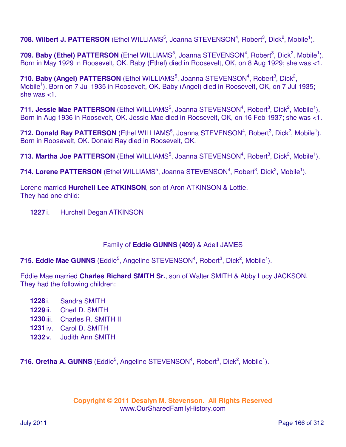708. Wilbert J. PATTERSON (Ethel WILLIAMS<sup>5</sup>, Joanna STEVENSON<sup>4</sup>, Robert<sup>3</sup>, Dick<sup>2</sup>, Mobile<sup>1</sup>).

709. Baby (Ethel) PATTERSON (Ethel WILLIAMS<sup>5</sup>, Joanna STEVENSON<sup>4</sup>, Robert<sup>3</sup>, Dick<sup>2</sup>, Mobile<sup>1</sup>). Born in May 1929 in Roosevelt, OK. Baby (Ethel) died in Roosevelt, OK, on 8 Aug 1929; she was <1.

710. Baby (Angel) PATTERSON (Ethel WILLIAMS<sup>5</sup>, Joanna STEVENSON<sup>4</sup>, Robert<sup>3</sup>, Dick<sup>2</sup>, Mobile<sup>1</sup>). Born on 7 Jul 1935 in Roosevelt, OK. Baby (Angel) died in Roosevelt, OK, on 7 Jul 1935; she was <1.

711. Jessie Mae PATTERSON (Ethel WILLIAMS<sup>5</sup>, Joanna STEVENSON<sup>4</sup>, Robert<sup>3</sup>, Dick<sup>2</sup>, Mobile<sup>1</sup>). Born in Aug 1936 in Roosevelt, OK. Jessie Mae died in Roosevelt, OK, on 16 Feb 1937; she was <1.

712. Donald Ray PATTERSON (Ethel WILLIAMS<sup>5</sup>, Joanna STEVENSON<sup>4</sup>, Robert<sup>3</sup>, Dick<sup>2</sup>, Mobile<sup>1</sup>). Born in Roosevelt, OK. Donald Ray died in Roosevelt, OK.

713. Martha Joe PATTERSON (Ethel WILLIAMS<sup>5</sup>, Joanna STEVENSON<sup>4</sup>, Robert<sup>3</sup>, Dick<sup>2</sup>, Mobile<sup>1</sup>).

714. Lorene PATTERSON (Ethel WILLIAMS<sup>5</sup>, Joanna STEVENSON<sup>4</sup>, Robert<sup>3</sup>, Dick<sup>2</sup>, Mobile<sup>1</sup>).

Lorene married **Hurchell Lee ATKINSON**, son of Aron ATKINSON & Lottie. They had one child:

**1227** i. Hurchell Degan ATKINSON

## Family of **Eddie GUNNS (409)** & Adell JAMES

715. Eddie Mae GUNNS (Eddie<sup>5</sup>, Angeline STEVENSON<sup>4</sup>, Robert<sup>3</sup>, Dick<sup>2</sup>, Mobile<sup>1</sup>).

Eddie Mae married **Charles Richard SMITH Sr.**, son of Walter SMITH & Abby Lucy JACKSON. They had the following children:

- **1228** i. Sandra SMITH
- **1229** ii. Cherl D. SMITH
- **1230** iii. Charles R. SMITH II
- **1231** iv. Carol D. SMITH
- **1232** v. Judith Ann SMITH

716. Oretha A. GUNNS (Eddie<sup>5</sup>, Angeline STEVENSON<sup>4</sup>, Robert<sup>3</sup>, Dick<sup>2</sup>, Mobile<sup>1</sup>).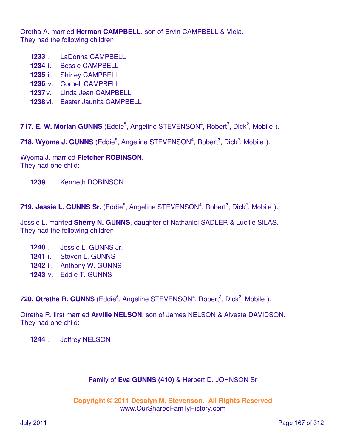Oretha A. married **Herman CAMPBELL**, son of Ervin CAMPBELL & Viola. They had the following children:

- **1233** i. LaDonna CAMPBELL
- **1234** ii. Bessie CAMPBELL
- **1235** iii. Shirley CAMPBELL
- **1236** iv. Cornell CAMPBELL
- **1237** v. Linda Jean CAMPBELL
- **1238** vi. Easter Jaunita CAMPBELL

717. E. W. Morlan GUNNS (Eddie<sup>5</sup>, Angeline STEVENSON<sup>4</sup>, Robert<sup>3</sup>, Dick<sup>2</sup>, Mobile<sup>1</sup>).

718. Wyoma J. GUNNS (Eddie<sup>5</sup>, Angeline STEVENSON<sup>4</sup>, Robert<sup>3</sup>, Dick<sup>2</sup>, Mobile<sup>1</sup>).

Wyoma J. married **Fletcher ROBINSON**. They had one child:

**1239** i. Kenneth ROBINSON

719. Jessie L. GUNNS Sr. (Eddie<sup>5</sup>, Angeline STEVENSON<sup>4</sup>, Robert<sup>3</sup>, Dick<sup>2</sup>, Mobile<sup>1</sup>).

Jessie L. married **Sherry N. GUNNS**, daughter of Nathaniel SADLER & Lucille SILAS. They had the following children:

- **1240** i. Jessie L. GUNNS Jr.
- **1241** ii. Steven L. GUNNS
- **1242** iii. Anthony W. GUNNS
- **1243** iv. Eddie T. GUNNS

720. Otretha R. GUNNS (Eddie<sup>5</sup>, Angeline STEVENSON<sup>4</sup>, Robert<sup>3</sup>, Dick<sup>2</sup>, Mobile<sup>1</sup>).

Otretha R. first married **Arville NELSON**, son of James NELSON & Alvesta DAVIDSON. They had one child:

**1244** i. Jeffrey NELSON

## Family of **Eva GUNNS (410)** & Herbert D. JOHNSON Sr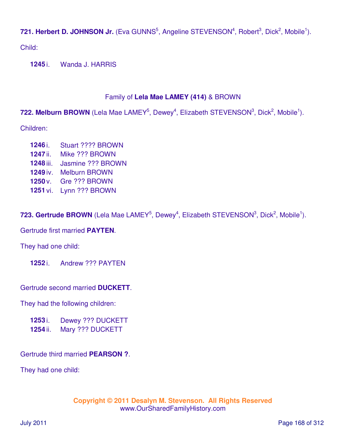721. Herbert D. JOHNSON Jr. (Eva GUNNS<sup>5</sup>, Angeline STEVENSON<sup>4</sup>, Robert<sup>3</sup>, Dick<sup>2</sup>, Mobile<sup>1</sup>).

Child:

**1245** i. Wanda J. HARRIS

## Family of **Lela Mae LAMEY (414)** & BROWN

722. Melburn BROWN (Lela Mae LAMEY<sup>5</sup>, Dewey<sup>4</sup>, Elizabeth STEVENSON<sup>3</sup>, Dick<sup>2</sup>, Mobile<sup>1</sup>).

Children:

- **1246** i. Stuart ???? BROWN
- **1247** ii. Mike ??? BROWN
- **1248** iii. Jasmine ??? BROWN
- **1249** iv. Melburn BROWN
- **1250** v. Gre ??? BROWN
- **1251** vi. Lynn ??? BROWN

723. Gertrude BROWN (Lela Mae LAMEY<sup>5</sup>, Dewey<sup>4</sup>, Elizabeth STEVENSON<sup>3</sup>, Dick<sup>2</sup>, Mobile<sup>1</sup>).

Gertrude first married **PAYTEN**.

They had one child:

**1252** i. Andrew ??? PAYTEN

Gertrude second married **DUCKETT**.

They had the following children:

**1253** i. Dewey ??? DUCKETT

**1254** ii. Mary ??? DUCKETT

Gertrude third married **PEARSON ?**.

They had one child: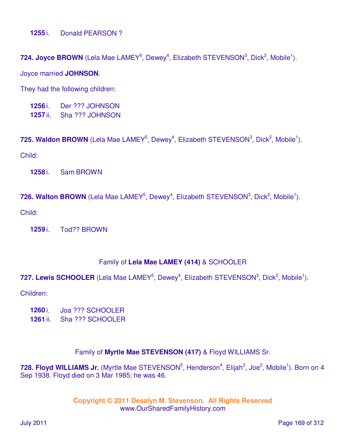**1255** i. Donald PEARSON ?

724. Joyce BROWN (Lela Mae LAMEY<sup>5</sup>, Dewey<sup>4</sup>, Elizabeth STEVENSON<sup>3</sup>, Dick<sup>2</sup>, Mobile<sup>1</sup>).

Joyce married **JOHNSON**.

They had the following children:

**1256** i. Der ??? JOHNSON **1257** ii. Sha ??? JOHNSON

725. Waldon BROWN (Lela Mae LAMEY<sup>5</sup>, Dewey<sup>4</sup>, Elizabeth STEVENSON<sup>3</sup>, Dick<sup>2</sup>, Mobile<sup>1</sup>).

Child:

**1258** i. Sam BROWN

726. Walton BROWN (Lela Mae LAMEY<sup>5</sup>, Dewey<sup>4</sup>, Elizabeth STEVENSON<sup>3</sup>, Dick<sup>2</sup>, Mobile<sup>1</sup>).

Child:

**1259** i. Tod?? BROWN

#### Family of **Lela Mae LAMEY (414)** & SCHOOLER

## 727. Lewis SCHOOLER (Lela Mae LAMEY<sup>5</sup>, Dewey<sup>4</sup>, Elizabeth STEVENSON<sup>3</sup>, Dick<sup>2</sup>, Mobile<sup>1</sup>).

Children:

- **1260** i. Joa ??? SCHOOLER
- **1261** ii. Sha ??? SCHOOLER

## Family of **Myrtle Mae STEVENSON (417)** & Floyd WILLIAMS Sr.

728. Floyd WILLIAMS Jr. (Myrtle Mae STEVENSON<sup>5</sup>, Henderson<sup>4</sup>, Elijah<sup>3</sup>, Joe<sup>2</sup>, Mobile<sup>1</sup>). Born on 4 Sep 1938. Floyd died on 3 Mar 1985; he was 46.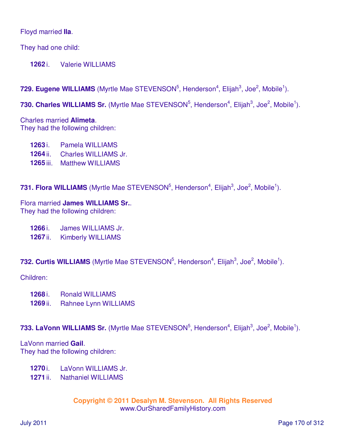### Floyd married **Ila**.

They had one child:

**1262** i. Valerie WILLIAMS

## 729. Eugene WILLIAMS (Myrtle Mae STEVENSON<sup>5</sup>, Henderson<sup>4</sup>, Elijah<sup>3</sup>, Joe<sup>2</sup>, Mobile<sup>1</sup>).

730. Charles WILLIAMS Sr. (Myrtle Mae STEVENSON<sup>5</sup>, Henderson<sup>4</sup>, Elijah<sup>3</sup>, Joe<sup>2</sup>, Mobile<sup>1</sup>).

Charles married **Alimeta**. They had the following children:

- **1263** i. Pamela WILLIAMS
- **1264** ii. Charles WILLIAMS Jr.
- **1265** iii. Matthew WILLIAMS

731. Flora WILLIAMS (Myrtle Mae STEVENSON<sup>5</sup>, Henderson<sup>4</sup>, Elijah<sup>3</sup>, Joe<sup>2</sup>, Mobile<sup>1</sup>).

Flora married **James WILLIAMS Sr.**. They had the following children:

**1266** i. James WILLIAMS Jr.

**1267** ii. Kimberly WILLIAMS

732. Curtis WILLIAMS (Myrtle Mae STEVENSON<sup>5</sup>, Henderson<sup>4</sup>, Elijah<sup>3</sup>, Joe<sup>2</sup>, Mobile<sup>1</sup>).

Children:

- **1268** i. Ronald WILLIAMS
- **1269** ii. Rahnee Lynn WILLIAMS

733. LaVonn WILLIAMS Sr. (Myrtle Mae STEVENSON<sup>5</sup>, Henderson<sup>4</sup>, Elijah<sup>3</sup>, Joe<sup>2</sup>, Mobile<sup>1</sup>).

LaVonn married **Gail**. They had the following children:

- **1270** i. LaVonn WILLIAMS Jr.
- **1271** ii. Nathaniel WILLIAMS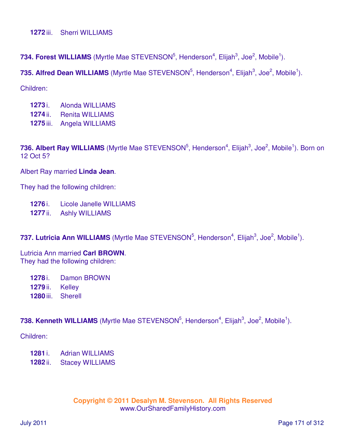734. Forest WILLIAMS (Myrtle Mae STEVENSON<sup>5</sup>, Henderson<sup>4</sup>, Elijah<sup>3</sup>, Joe<sup>2</sup>, Mobile<sup>1</sup>).

735. Alfred Dean WILLIAMS (Myrtle Mae STEVENSON<sup>5</sup>, Henderson<sup>4</sup>, Elijah<sup>3</sup>, Joe<sup>2</sup>, Mobile<sup>1</sup>).

Children:

- **1273** i. Alonda WILLIAMS
- **1274** ii. Renita WILLIAMS
- **1275** iii. Angela WILLIAMS

736. Albert Ray WILLIAMS (Myrtle Mae STEVENSON<sup>5</sup>, Henderson<sup>4</sup>, Elijah<sup>3</sup>, Joe<sup>2</sup>, Mobile<sup>1</sup>). Born on 12 Oct 5?

Albert Ray married **Linda Jean**.

They had the following children:

- **1276** i. Licole Janelle WILLIAMS
- **1277** ii. Ashly WILLIAMS

737. Lutricia Ann WILLIAMS (Myrtle Mae STEVENSON<sup>5</sup>, Henderson<sup>4</sup>, Elijah<sup>3</sup>, Joe<sup>2</sup>, Mobile<sup>1</sup>).

Lutricia Ann married **Carl BROWN**. They had the following children:

**1278** i. Damon BROWN

- **1279** ii. Kelley
- **1280** iii. Sherell

738. Kenneth WILLIAMS (Myrtle Mae STEVENSON<sup>5</sup>, Henderson<sup>4</sup>, Elijah<sup>3</sup>, Joe<sup>2</sup>, Mobile<sup>1</sup>).

Children:

**1281** i. Adrian WILLIAMS

**1282** ii. Stacey WILLIAMS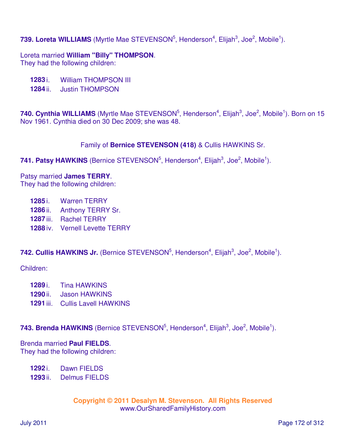# 739. Loreta WILLIAMS (Myrtle Mae STEVENSON<sup>5</sup>, Henderson<sup>4</sup>, Elijah<sup>3</sup>, Joe<sup>2</sup>, Mobile<sup>1</sup>).

Loreta married **William "Billy" THOMPSON**. They had the following children:

- **1283** i. William THOMPSON III
- **1284** ii. Justin THOMPSON

740. Cynthia WILLIAMS (Myrtle Mae STEVENSON<sup>5</sup>, Henderson<sup>4</sup>, Elijah<sup>3</sup>, Joe<sup>2</sup>, Mobile<sup>1</sup>). Born on 15 Nov 1961. Cynthia died on 30 Dec 2009; she was 48.

## Family of **Bernice STEVENSON (418)** & Cullis HAWKINS Sr.

## 741. Patsy HAWKINS (Bernice STEVENSON<sup>5</sup>, Henderson<sup>4</sup>, Elijah<sup>3</sup>, Joe<sup>2</sup>, Mobile<sup>1</sup>).

#### Patsy married **James TERRY**.

They had the following children:

- **1285** i. Warren TERRY
- **1286** ii. Anthony TERRY Sr.
- **1287** iii. Rachel TERRY
- **1288** iv. Vernell Levette TERRY

## 742. Cullis HAWKINS Jr. (Bernice STEVENSON<sup>5</sup>, Henderson<sup>4</sup>, Elijah<sup>3</sup>, Joe<sup>2</sup>, Mobile<sup>1</sup>).

Children:

- **1289** i. Tina HAWKINS
- **1290** ii. Jason HAWKINS
- **1291** iii. Cullis Lavell HAWKINS

743. Brenda HAWKINS (Bernice STEVENSON<sup>5</sup>, Henderson<sup>4</sup>, Elijah<sup>3</sup>, Joe<sup>2</sup>, Mobile<sup>1</sup>).

#### Brenda married **Paul FIELDS**.

They had the following children:

- **1292** i. Dawn FIELDS
- **1293** ii. Delmus FIELDS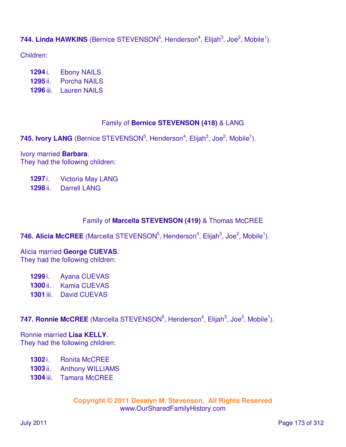# 744. Linda HAWKINS (Bernice STEVENSON<sup>5</sup>, Henderson<sup>4</sup>, Elijah<sup>3</sup>, Joe<sup>2</sup>, Mobile<sup>1</sup>).

Children:

- **1294** i. Ebony NAILS
- **1295** ii. Porcha NAILS
- **1296** iii. Lauren NAILS

## Family of **Bernice STEVENSON (418)** & LANG

745. Ivory LANG (Bernice STEVENSON<sup>5</sup>, Henderson<sup>4</sup>, Elijah<sup>3</sup>, Joe<sup>2</sup>, Mobile<sup>1</sup>).

Ivory married **Barbara**. They had the following children:

**1297** i. Victoria May LANG

**1298** ii. Darrell LANG

## Family of **Marcella STEVENSON (419)** & Thomas McCREE

746. Alicia McCREE (Marcella STEVENSON<sup>5</sup>, Henderson<sup>4</sup>, Elijah<sup>3</sup>, Joe<sup>2</sup>, Mobile<sup>1</sup>).

#### Alicia married **George CUEVAS**. They had the following children:

**1299** i. Ayana CUEVAS **1300** ii. Kamia CUEVAS **1301** iii. David CUEVAS

747. Ronnie McCREE (Marcella STEVENSON<sup>5</sup>, Henderson<sup>4</sup>, Elijah<sup>3</sup>, Joe<sup>2</sup>, Mobile<sup>1</sup>).

# Ronnie married **Lisa KELLY**.

They had the following children:

- **1302** i. Ronita McCREE
- **1303** ii. Anthony WILLIAMS
- **1304** iii. Tamara McCREE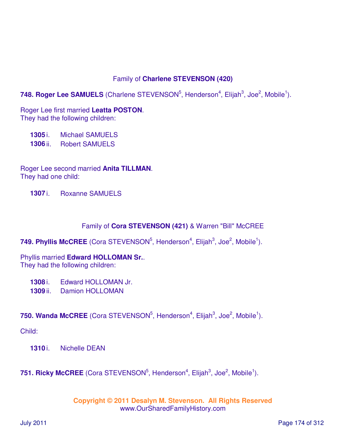## Family of **Charlene STEVENSON (420)**

748. Roger Lee SAMUELS (Charlene STEVENSON<sup>5</sup>, Henderson<sup>4</sup>, Elijah<sup>3</sup>, Joe<sup>2</sup>, Mobile<sup>1</sup>).

Roger Lee first married **Leatta POSTON**. They had the following children:

**1305** i. Michael SAMUELS **1306** ii. Robert SAMUELS

Roger Lee second married **Anita TILLMAN**. They had one child:

**1307** i. Roxanne SAMUELS

## Family of **Cora STEVENSON (421)** & Warren "Bill" McCREE

749. Phyllis McCREE (Cora STEVENSON<sup>5</sup>, Henderson<sup>4</sup>, Elijah<sup>3</sup>, Joe<sup>2</sup>, Mobile<sup>1</sup>).

Phyllis married **Edward HOLLOMAN Sr.**. They had the following children:

**1308** i. Edward HOLLOMAN Jr.

**1309** ii. Damion HOLLOMAN

**750. Wanda McCREE** (Cora STEVENSON<sup>5</sup>, Henderson<sup>4</sup>, Elijah<sup>3</sup>, Joe<sup>2</sup>, Mobile<sup>1</sup>).

Child:

**1310** i. Nichelle DEAN

**751. Ricky McCREE** (Cora STEVENSON<sup>5</sup>, Henderson<sup>4</sup>, Elijah<sup>3</sup>, Joe<sup>2</sup>, Mobile<sup>1</sup>).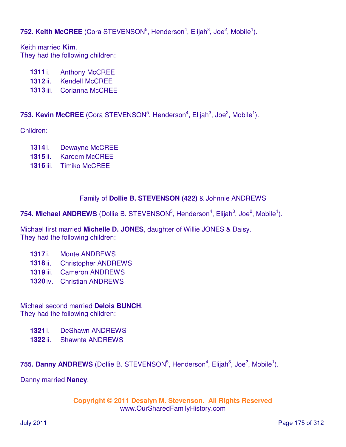**752. Keith McCREE** (Cora STEVENSON<sup>5</sup>, Henderson<sup>4</sup>, Elijah<sup>3</sup>, Joe<sup>2</sup>, Mobile<sup>1</sup>).

Keith married **Kim**. They had the following children:

- 1311 i. Anthony McCREE
- **1312** ii. Kendell McCREE
- **1313** iii. Corianna McCREE

**753. Kevin McCREE** (Cora STEVENSON<sup>5</sup>, Henderson<sup>4</sup>, Elijah<sup>3</sup>, Joe<sup>2</sup>, Mobile<sup>1</sup>).

Children:

- **1314** i. Dewayne McCREE
- **1315** ii. Kareem McCREE
- **1316** iii. Timiko McCREE

## Family of **Dollie B. STEVENSON (422)** & Johnnie ANDREWS

754. Michael ANDREWS (Dollie B. STEVENSON<sup>5</sup>, Henderson<sup>4</sup>, Elijah<sup>3</sup>, Joe<sup>2</sup>, Mobile<sup>1</sup>).

Michael first married **Michelle D. JONES**, daughter of Willie JONES & Daisy. They had the following children:

- **1317** i. Monte ANDREWS
- **1318** ii. Christopher ANDREWS
- **1319** iii. Cameron ANDREWS
- **1320** iv. Christian ANDREWS

## Michael second married **Delois BUNCH**.

They had the following children:

- **1321** i. DeShawn ANDREWS
- **1322** ii. Shawnta ANDREWS

755. Danny ANDREWS (Dollie B. STEVENSON<sup>5</sup>, Henderson<sup>4</sup>, Elijah<sup>3</sup>, Joe<sup>2</sup>, Mobile<sup>1</sup>).

Danny married **Nancy**.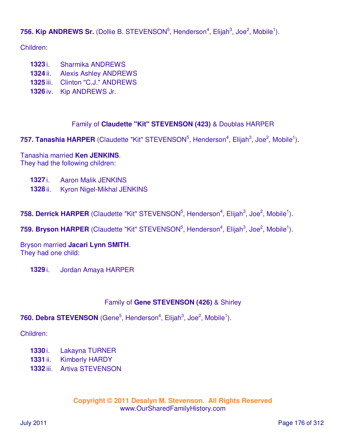756. Kip ANDREWS Sr. (Dollie B. STEVENSON<sup>5</sup>, Henderson<sup>4</sup>, Elijah<sup>3</sup>, Joe<sup>2</sup>, Mobile<sup>1</sup>).

Children:

- **1323** i. Sharmika ANDREWS
- **1324** ii. Alexis Ashley ANDREWS
- **1325** iii. Clinton "C.J." ANDREWS
- **1326** iv. Kip ANDREWS Jr.

## Family of **Claudette "Kit" STEVENSON (423)** & Doublas HARPER

757. Tanashia HARPER (Claudette "Kit" STEVENSON<sup>5</sup>, Henderson<sup>4</sup>, Elijah<sup>3</sup>, Joe<sup>2</sup>, Mobile<sup>1</sup>).

Tanashia married **Ken JENKINS**. They had the following children:

- **1327** i. Aaron Malik JENKINS
- **1328** ii. Kyron Nigel-Mikhal JENKINS

758. Derrick HARPER (Claudette "Kit" STEVENSON<sup>5</sup>, Henderson<sup>4</sup>, Elijah<sup>3</sup>, Joe<sup>2</sup>, Mobile<sup>1</sup>).

759. Bryson HARPER (Claudette "Kit" STEVENSON<sup>5</sup>, Henderson<sup>4</sup>, Elijah<sup>3</sup>, Joe<sup>2</sup>, Mobile<sup>1</sup>).

Bryson married **Jacari Lynn SMITH**. They had one child:

**1329** i. Jordan Amaya HARPER

## Family of **Gene STEVENSON (426)** & Shirley

**760. Debra STEVENSON** (Gene<sup>5</sup>, Henderson<sup>4</sup>, Elijah<sup>3</sup>, Joe<sup>2</sup>, Mobile<sup>1</sup>).

Children:

- **1330** i. Lakayna TURNER
- **1331** ii. Kimberly HARDY
- **1332** iii. Artiva STEVENSON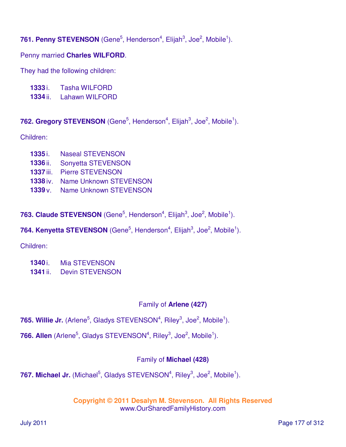**761. Penny STEVENSON** (Gene<sup>5</sup>, Henderson<sup>4</sup>, Elijah<sup>3</sup>, Joe<sup>2</sup>, Mobile<sup>1</sup>).

Penny married **Charles WILFORD**.

They had the following children:

- **1333** i. Tasha WILFORD
- **1334** ii. Lahawn WILFORD

762. Gregory STEVENSON (Gene<sup>5</sup>, Henderson<sup>4</sup>, Elijah<sup>3</sup>, Joe<sup>2</sup>, Mobile<sup>1</sup>).

Children:

- **1335** i. Naseal STEVENSON
- **1336** ii. Sonyetta STEVENSON
- **1337** iii. Pierre STEVENSON
- **1338** iv. Name Unknown STEVENSON
- **1339** v. Name Unknown STEVENSON

**763. Claude STEVENSON** (Gene<sup>5</sup>, Henderson<sup>4</sup>, Elijah<sup>3</sup>, Joe<sup>2</sup>, Mobile<sup>1</sup>).

# **764. Kenyetta STEVENSON** (Gene<sup>5</sup>, Henderson<sup>4</sup>, Elijah<sup>3</sup>, Joe<sup>2</sup>, Mobile<sup>1</sup>).

Children:

**1340** i. Mia STEVENSON **1341** ii. Devin STEVENSON

# Family of **Arlene (427)**

- 765. Willie Jr. (Arlene<sup>5</sup>, Gladys STEVENSON<sup>4</sup>, Riley<sup>3</sup>, Joe<sup>2</sup>, Mobile<sup>1</sup>).
- 766. Allen (Arlene<sup>5</sup>, Gladys STEVENSON<sup>4</sup>, Riley<sup>3</sup>, Joe<sup>2</sup>, Mobile<sup>1</sup>).

# Family of **Michael (428)**

767. Michael Jr. (Michael<sup>5</sup>, Gladys STEVENSON<sup>4</sup>, Riley<sup>3</sup>, Joe<sup>2</sup>, Mobile<sup>1</sup>).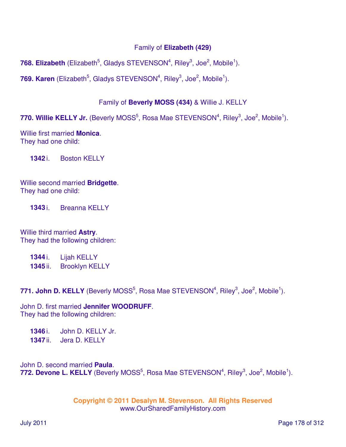## Family of **Elizabeth (429)**

**768. Elizabeth** (Elizabeth<sup>5</sup>, Gladys STEVENSON<sup>4</sup>, Riley<sup>3</sup>, Joe<sup>2</sup>, Mobile<sup>1</sup>).

769. Karen (Elizabeth<sup>5</sup>, Gladys STEVENSON<sup>4</sup>, Riley<sup>3</sup>, Joe<sup>2</sup>, Mobile<sup>1</sup>).

## Family of **Beverly MOSS (434)** & Willie J. KELLY

770. Willie KELLY Jr. (Beverly MOSS<sup>5</sup>, Rosa Mae STEVENSON<sup>4</sup>, Riley<sup>3</sup>, Joe<sup>2</sup>, Mobile<sup>1</sup>).

Willie first married **Monica**. They had one child:

**1342** i. Boston KELLY

Willie second married **Bridgette**. They had one child:

**1343** i. Breanna KELLY

Willie third married **Astry**. They had the following children:

**1344** i. Lijah KELLY **1345** ii. Brooklyn KELLY

771. John D. KELLY (Beverly MOSS<sup>5</sup>, Rosa Mae STEVENSON<sup>4</sup>, Riley<sup>3</sup>, Joe<sup>2</sup>, Mobile<sup>1</sup>).

John D. first married **Jennifer WOODRUFF**. They had the following children:

**1346** i. John D. KELLY Jr. **1347** ii. Jera D. KELLY

John D. second married **Paula**. 772. Devone L. KELLY (Beverly MOSS<sup>5</sup>, Rosa Mae STEVENSON<sup>4</sup>, Riley<sup>3</sup>, Joe<sup>2</sup>, Mobile<sup>1</sup>).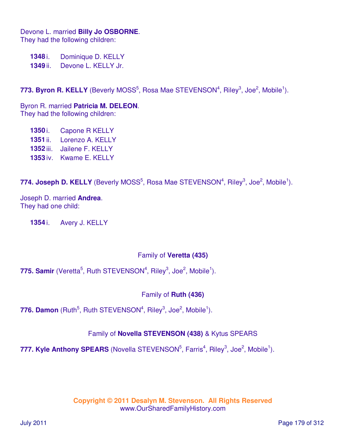Devone L. married **Billy Jo OSBORNE**. They had the following children:

**1348** i. Dominique D. KELLY **1349** ii. Devone L. KELLY Jr.

773. Byron R. KELLY (Beverly MOSS<sup>5</sup>, Rosa Mae STEVENSON<sup>4</sup>, Riley<sup>3</sup>, Joe<sup>2</sup>, Mobile<sup>1</sup>).

Byron R. married **Patricia M. DELEON**. They had the following children:

 i. Capone R KELLY ii. Lorenzo A. KELLY iii. Jailene F. KELLY iv. Kwame E. KELLY

774. Joseph D. KELLY (Beverly MOSS<sup>5</sup>, Rosa Mae STEVENSON<sup>4</sup>, Riley<sup>3</sup>, Joe<sup>2</sup>, Mobile<sup>1</sup>).

Joseph D. married **Andrea**. They had one child:

**1354** i. Avery J. KELLY

## Family of **Veretta (435)**

775. Samir (Veretta<sup>5</sup>, Ruth STEVENSON<sup>4</sup>, Riley<sup>3</sup>, Joe<sup>2</sup>, Mobile<sup>1</sup>).

Family of **Ruth (436)**

776. Damon (Ruth<sup>5</sup>, Ruth STEVENSON<sup>4</sup>, Riley<sup>3</sup>, Joe<sup>2</sup>, Mobile<sup>1</sup>).

# Family of **Novella STEVENSON (438)** & Kytus SPEARS

777. Kyle Anthony SPEARS (Novella STEVENSON<sup>5</sup>, Farris<sup>4</sup>, Riley<sup>3</sup>, Joe<sup>2</sup>, Mobile<sup>1</sup>).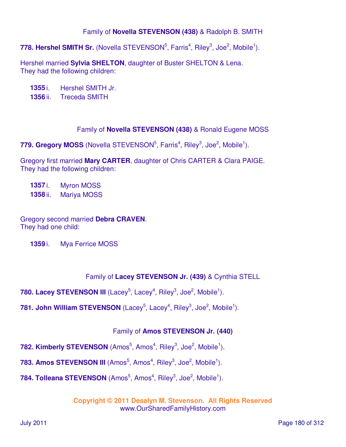## Family of **Novella STEVENSON (438)** & Radolph B. SMITH

778. Hershel SMITH Sr. (Novella STEVENSON<sup>5</sup>, Farris<sup>4</sup>, Riley<sup>3</sup>, Joe<sup>2</sup>, Mobile<sup>1</sup>).

Hershel married **Sylvia SHELTON**, daughter of Buster SHELTON & Lena. They had the following children:

**1355** i. Hershel SMITH Jr.

**1356** ii. Treceda SMITH

Family of **Novella STEVENSON (438)** & Ronald Eugene MOSS

779. Gregory MOSS (Novella STEVENSON<sup>5</sup>, Farris<sup>4</sup>, Riley<sup>3</sup>, Joe<sup>2</sup>, Mobile<sup>1</sup>).

Gregory first married **Mary CARTER**, daughter of Chris CARTER & Clara PAIGE. They had the following children:

**1357** i. Myron MOSS **1358** ii. Mariya MOSS

Gregory second married **Debra CRAVEN**. They had one child:

**1359** i. Mya Ferrice MOSS

## Family of **Lacey STEVENSON Jr. (439)** & Cynthia STELL

**780. Lacey STEVENSON III** (Lacey<sup>5</sup>, Lacey<sup>4</sup>, Riley<sup>3</sup>, Joe<sup>2</sup>, Mobile<sup>1</sup>).

**781. John William STEVENSON** (Lacey<sup>5</sup>, Lacey<sup>4</sup>, Riley<sup>3</sup>, Joe<sup>2</sup>, Mobile<sup>1</sup>).

## Family of **Amos STEVENSON Jr. (440)**

782. Kimberly STEVENSON (Amos<sup>5</sup>, Amos<sup>4</sup>, Riley<sup>3</sup>, Joe<sup>2</sup>, Mobile<sup>1</sup>).

783. Amos STEVENSON III (Amos<sup>5</sup>, Amos<sup>4</sup>, Riley<sup>3</sup>, Joe<sup>2</sup>, Mobile<sup>1</sup>).

784. Tolleana STEVENSON (Amos<sup>5</sup>, Amos<sup>4</sup>, Riley<sup>3</sup>, Joe<sup>2</sup>, Mobile<sup>1</sup>).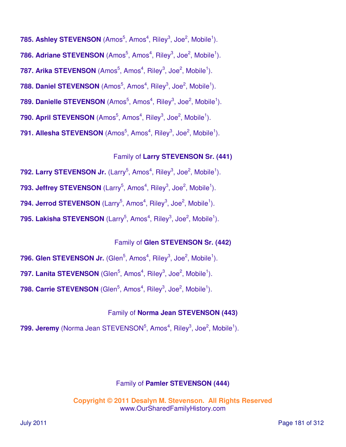- 785. Ashley STEVENSON (Amos<sup>5</sup>, Amos<sup>4</sup>, Riley<sup>3</sup>, Joe<sup>2</sup>, Mobile<sup>1</sup>). 786. Adriane STEVENSON (Amos<sup>5</sup>, Amos<sup>4</sup>, Riley<sup>3</sup>, Joe<sup>2</sup>, Mobile<sup>1</sup>). 787. Arika STEVENSON (Amos<sup>5</sup>, Amos<sup>4</sup>, Riley<sup>3</sup>, Joe<sup>2</sup>, Mobile<sup>1</sup>). 788. Daniel STEVENSON (Amos<sup>5</sup>, Amos<sup>4</sup>, Riley<sup>3</sup>, Joe<sup>2</sup>, Mobile<sup>1</sup>).
- 789. Danielle STEVENSON (Amos<sup>5</sup>, Amos<sup>4</sup>, Riley<sup>3</sup>, Joe<sup>2</sup>, Mobile<sup>1</sup>).
- 790. April STEVENSON (Amos<sup>5</sup>, Amos<sup>4</sup>, Riley<sup>3</sup>, Joe<sup>2</sup>, Mobile<sup>1</sup>).
- **791. Allesha STEVENSON** (Amos<sup>5</sup>, Amos<sup>4</sup>, Riley<sup>3</sup>, Joe<sup>2</sup>, Mobile<sup>1</sup>).

### Family of **Larry STEVENSON Sr. (441)**

- 792. Larry STEVENSON Jr. (Larry<sup>5</sup>, Amos<sup>4</sup>, Riley<sup>3</sup>, Joe<sup>2</sup>, Mobile<sup>1</sup>).
- 793. Jeffrey STEVENSON (Larry<sup>5</sup>, Amos<sup>4</sup>, Riley<sup>3</sup>, Joe<sup>2</sup>, Mobile<sup>1</sup>).
- 794. Jerrod STEVENSON (Larry<sup>5</sup>, Amos<sup>4</sup>, Riley<sup>3</sup>, Joe<sup>2</sup>, Mobile<sup>1</sup>).
- 795. Lakisha STEVENSON (Larry<sup>5</sup>, Amos<sup>4</sup>, Riley<sup>3</sup>, Joe<sup>2</sup>, Mobile<sup>1</sup>).

### Family of **Glen STEVENSON Sr. (442)**

- 796. Glen STEVENSON Jr. (Glen<sup>5</sup>, Amos<sup>4</sup>, Riley<sup>3</sup>, Joe<sup>2</sup>, Mobile<sup>1</sup>).
- 797. Lanita STEVENSON (Glen<sup>5</sup>, Amos<sup>4</sup>, Riley<sup>3</sup>, Joe<sup>2</sup>, Mobile<sup>1</sup>).
- 798. Carrie STEVENSON (Glen<sup>5</sup>, Amos<sup>4</sup>, Riley<sup>3</sup>, Joe<sup>2</sup>, Mobile<sup>1</sup>).

### Family of **Norma Jean STEVENSON (443)**

**799. Jeremy** (Norma Jean STEVENSON<sup>5</sup>, Amos<sup>4</sup>, Riley<sup>3</sup>, Joe<sup>2</sup>, Mobile<sup>1</sup>).

### Family of **Pamler STEVENSON (444)**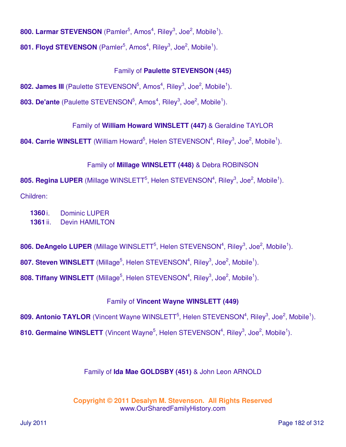800. Larmar STEVENSON (Pamler<sup>5</sup>, Amos<sup>4</sup>, Riley<sup>3</sup>, Joe<sup>2</sup>, Mobile<sup>1</sup>).

801. Floyd STEVENSON (Pamler<sup>5</sup>, Amos<sup>4</sup>, Riley<sup>3</sup>, Joe<sup>2</sup>, Mobile<sup>1</sup>).

## Family of **Paulette STEVENSON (445)**

802. James III (Paulette STEVENSON<sup>5</sup>, Amos<sup>4</sup>, Riley<sup>3</sup>, Joe<sup>2</sup>, Mobile<sup>1</sup>).

803. De'ante (Paulette STEVENSON<sup>5</sup>, Amos<sup>4</sup>, Riley<sup>3</sup>, Joe<sup>2</sup>, Mobile<sup>1</sup>).

Family of **William Howard WINSLETT (447)** & Geraldine TAYLOR

804. Carrie WINSLETT (William Howard<sup>5</sup>, Helen STEVENSON<sup>4</sup>, Riley<sup>3</sup>, Joe<sup>2</sup>, Mobile<sup>1</sup>).

### Family of **Millage WINSLETT (448)** & Debra ROBINSON

805. Regina LUPER (Millage WINSLETT<sup>5</sup>, Helen STEVENSON<sup>4</sup>, Riley<sup>3</sup>, Joe<sup>2</sup>, Mobile<sup>1</sup>).

Children:

- **1360** i. Dominic LUPER
- **1361** ii. Devin HAMILTON

806. DeAngelo LUPER (Millage WINSLETT<sup>5</sup>, Helen STEVENSON<sup>4</sup>, Riley<sup>3</sup>, Joe<sup>2</sup>, Mobile<sup>1</sup>).

807. Steven WINSLETT (Millage<sup>5</sup>, Helen STEVENSON<sup>4</sup>, Riley<sup>3</sup>, Joe<sup>2</sup>, Mobile<sup>1</sup>).

808. Tiffany WINSLETT (Millage<sup>5</sup>, Helen STEVENSON<sup>4</sup>, Riley<sup>3</sup>, Joe<sup>2</sup>, Mobile<sup>1</sup>).

# Family of **Vincent Wayne WINSLETT (449)**

809. Antonio TAYLOR (Vincent Wayne WINSLETT<sup>5</sup>, Helen STEVENSON<sup>4</sup>, Riley<sup>3</sup>, Joe<sup>2</sup>, Mobile<sup>1</sup>).

810. Germaine WINSLETT (Vincent Wayne<sup>5</sup>, Helen STEVENSON<sup>4</sup>, Riley<sup>3</sup>, Joe<sup>2</sup>, Mobile<sup>1</sup>).

### Family of **Ida Mae GOLDSBY (451)** & John Leon ARNOLD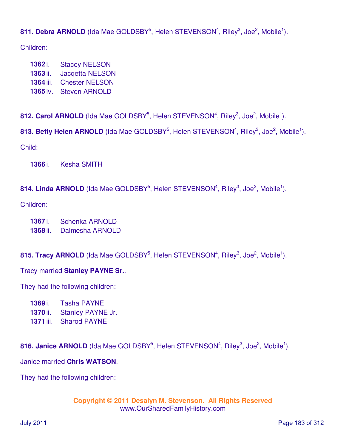# 811. Debra ARNOLD (Ida Mae GOLDSBY<sup>5</sup>, Helen STEVENSON<sup>4</sup>, Riley<sup>3</sup>, Joe<sup>2</sup>, Mobile<sup>1</sup>).

Children:

- **1362** i. Stacey NELSON **1363** ii. Jacqetta NELSON
- **1364** iii. Chester NELSON
- **1365** iv. Steven ARNOLD

812. Carol ARNOLD (Ida Mae GOLDSBY<sup>5</sup>, Helen STEVENSON<sup>4</sup>, Riley<sup>3</sup>, Joe<sup>2</sup>, Mobile<sup>1</sup>).

813. Betty Helen ARNOLD (Ida Mae GOLDSBY<sup>5</sup>, Helen STEVENSON<sup>4</sup>, Riley<sup>3</sup>, Joe<sup>2</sup>, Mobile<sup>1</sup>).

Child:

**1366** i. Kesha SMITH

### 814. Linda ARNOLD (Ida Mae GOLDSBY<sup>5</sup>, Helen STEVENSON<sup>4</sup>, Riley<sup>3</sup>, Joe<sup>2</sup>, Mobile<sup>1</sup>).

Children:

- **1367** i. Schenka ARNOLD
- **1368** ii. Dalmesha ARNOLD

### 815. Tracy ARNOLD (Ida Mae GOLDSBY<sup>5</sup>, Helen STEVENSON<sup>4</sup>, Riley<sup>3</sup>, Joe<sup>2</sup>, Mobile<sup>1</sup>).

### Tracy married **Stanley PAYNE Sr.**.

They had the following children:

- **1369** i. Tasha PAYNE
- **1370** ii. Stanley PAYNE Jr.
- **1371** iii. Sharod PAYNE

816. Janice ARNOLD (Ida Mae GOLDSBY<sup>5</sup>, Helen STEVENSON<sup>4</sup>, Riley<sup>3</sup>, Joe<sup>2</sup>, Mobile<sup>1</sup>).

Janice married **Chris WATSON**.

They had the following children: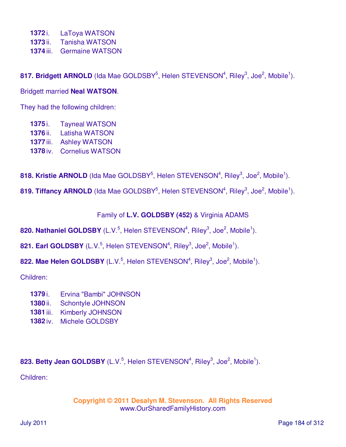- **1372** i. LaToya WATSON
- **1373** ii. Tanisha WATSON
- **1374** iii. Germaine WATSON

817. Bridgett ARNOLD (Ida Mae GOLDSBY<sup>5</sup>, Helen STEVENSON<sup>4</sup>, Riley<sup>3</sup>, Joe<sup>2</sup>, Mobile<sup>1</sup>).

Bridgett married **Neal WATSON**.

They had the following children:

- **1375** i. Tayneal WATSON
- **1376** ii. Latisha WATSON
- **1377** iii. Ashley WATSON
- **1378** iv. Cornelius WATSON

818. Kristie ARNOLD (Ida Mae GOLDSBY<sup>5</sup>, Helen STEVENSON<sup>4</sup>, Riley<sup>3</sup>, Joe<sup>2</sup>, Mobile<sup>1</sup>).

819. Tiffancy ARNOLD (Ida Mae GOLDSBY<sup>5</sup>, Helen STEVENSON<sup>4</sup>, Riley<sup>3</sup>, Joe<sup>2</sup>, Mobile<sup>1</sup>).

Family of **L.V. GOLDSBY (452)** & Virginia ADAMS

820. Nathaniel GOLDSBY (L.V.<sup>5</sup>, Helen STEVENSON<sup>4</sup>, Riley<sup>3</sup>, Joe<sup>2</sup>, Mobile<sup>1</sup>).

**821. Earl GOLDSBY** (L.V.<sup>5</sup>, Helen STEVENSON<sup>4</sup>, Riley<sup>3</sup>, Joe<sup>2</sup>, Mobile<sup>1</sup>).

822. Mae Helen GOLDSBY (L.V.<sup>5</sup>, Helen STEVENSON<sup>4</sup>, Riley<sup>3</sup>, Joe<sup>2</sup>, Mobile<sup>1</sup>).

Children:

- **1379** i. Ervina "Bambi" JOHNSON
- **1380** ii. Schontyle JOHNSON
- **1381** iii. Kimberly JOHNSON
- **1382** iv. Michele GOLDSBY

823. Betty Jean GOLDSBY (L.V.<sup>5</sup>, Helen STEVENSON<sup>4</sup>, Riley<sup>3</sup>, Joe<sup>2</sup>, Mobile<sup>1</sup>).

Children: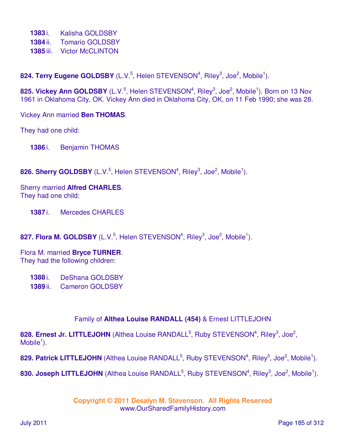- **1383** i. Kalisha GOLDSBY
- **1384** ii. Tomario GOLDSBY
- **1385** iii. Victor McCLINTON

**824. Terry Eugene GOLDSBY** (L.V.<sup>5</sup>, Helen STEVENSON<sup>4</sup>, Riley<sup>3</sup>, Joe<sup>2</sup>, Mobile<sup>1</sup>).

**825. Vickey Ann GOLDSBY** (L.V.<sup>5</sup>, Helen STEVENSON<sup>4</sup>, Riley<sup>3</sup>, Joe<sup>2</sup>, Mobile<sup>1</sup>). Born on 13 Nov 1961 in Oklahoma City, OK. Vickey Ann died in Oklahoma City, OK, on 11 Feb 1990; she was 28.

Vickey Ann married **Ben THOMAS**.

They had one child:

**1386** i. Benjamin THOMAS

826. Sherry GOLDSBY (L.V.<sup>5</sup>, Helen STEVENSON<sup>4</sup>, Riley<sup>3</sup>, Joe<sup>2</sup>, Mobile<sup>1</sup>).

Sherry married **Alfred CHARLES**. They had one child:

**1387** i. Mercedes CHARLES

**827. Flora M. GOLDSBY** (L.V.<sup>5</sup>, Helen STEVENSON<sup>4</sup>, Riley<sup>3</sup>, Joe<sup>2</sup>, Mobile<sup>1</sup>).

Flora M. married **Bryce TURNER**. They had the following children:

**1388** i. DeShana GOLDSBY **1389** ii. Cameron GOLDSBY

#### Family of **Althea Louise RANDALL (454)** & Ernest LITTLEJOHN

828. Ernest Jr. LITTLEJOHN (Althea Louise RANDALL<sup>5</sup>, Ruby STEVENSON<sup>4</sup>, Riley<sup>3</sup>, Joe<sup>2</sup>,  $M$ obile<sup>1</sup>).

829. Patrick LITTLEJOHN (Althea Louise RANDALL<sup>5</sup>, Ruby STEVENSON<sup>4</sup>, Riley<sup>3</sup>, Joe<sup>2</sup>, Mobile<sup>1</sup>).

830. Joseph LITTLEJOHN (Althea Louise RANDALL<sup>5</sup>, Ruby STEVENSON<sup>4</sup>, Riley<sup>3</sup>, Joe<sup>2</sup>, Mobile<sup>1</sup>).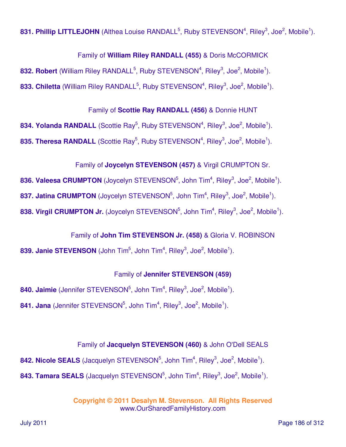831. Phillip LITTLEJOHN (Althea Louise RANDALL<sup>5</sup>, Ruby STEVENSON<sup>4</sup>, Riley<sup>3</sup>, Joe<sup>2</sup>, Mobile<sup>1</sup>).

Family of **William Riley RANDALL (455)** & Doris McCORMICK

832. Robert (William Riley RANDALL<sup>5</sup>, Ruby STEVENSON<sup>4</sup>, Riley<sup>3</sup>, Joe<sup>2</sup>, Mobile<sup>1</sup>).

833. Chiletta (William Riley RANDALL<sup>5</sup>, Ruby STEVENSON<sup>4</sup>, Riley<sup>3</sup>, Joe<sup>2</sup>, Mobile<sup>1</sup>).

Family of **Scottie Ray RANDALL (456)** & Donnie HUNT

834. Yolanda RANDALL (Scottie Ray<sup>5</sup>, Ruby STEVENSON<sup>4</sup>, Riley<sup>3</sup>, Joe<sup>2</sup>, Mobile<sup>1</sup>). **835. Theresa RANDALL** (Scottie Ray<sup>5</sup>, Ruby STEVENSON<sup>4</sup>, Riley<sup>3</sup>, Joe<sup>2</sup>, Mobile<sup>1</sup>).

# Family of **Joycelyn STEVENSON (457)** & Virgil CRUMPTON Sr.

**836. Valeesa CRUMPTON** (Joycelyn STEVENSON<sup>5</sup>, John Tim<sup>4</sup>, Riley<sup>3</sup>, Joe<sup>2</sup>, Mobile<sup>1</sup>). 837. Jatina CRUMPTON (Joycelyn STEVENSON<sup>5</sup>, John Tim<sup>4</sup>, Riley<sup>3</sup>, Joe<sup>2</sup>, Mobile<sup>1</sup>).

**838. Virgil CRUMPTON Jr.** (Joycelyn STEVENSON<sup>5</sup>, John Tim<sup>4</sup>, Riley<sup>3</sup>, Joe<sup>2</sup>, Mobile<sup>1</sup>).

Family of **John Tim STEVENSON Jr. (458)** & Gloria V. ROBINSON

839. Janie STEVENSON (John Tim<sup>5</sup>, John Tim<sup>4</sup>, Riley<sup>3</sup>, Joe<sup>2</sup>, Mobile<sup>1</sup>).

# Family of **Jennifer STEVENSON (459)**

840. Jaimie (Jennifer STEVENSON<sup>5</sup>, John Tim<sup>4</sup>, Riley<sup>3</sup>, Joe<sup>2</sup>, Mobile<sup>1</sup>). 841. Jana (Jennifer STEVENSON<sup>5</sup>, John Tim<sup>4</sup>, Riley<sup>3</sup>, Joe<sup>2</sup>, Mobile<sup>1</sup>).

# Family of **Jacquelyn STEVENSON (460)** & John O'Dell SEALS

842. Nicole SEALS (Jacquelyn STEVENSON<sup>5</sup>, John Tim<sup>4</sup>, Riley<sup>3</sup>, Joe<sup>2</sup>, Mobile<sup>1</sup>). 843. Tamara SEALS (Jacquelyn STEVENSON<sup>5</sup>, John Tim<sup>4</sup>, Riley<sup>3</sup>, Joe<sup>2</sup>, Mobile<sup>1</sup>).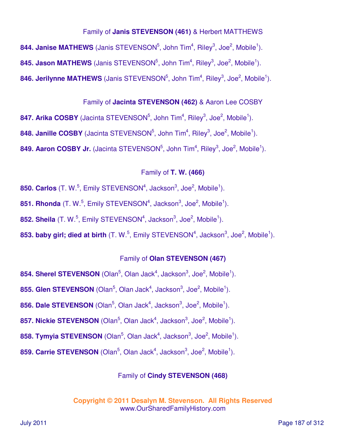### Family of **Janis STEVENSON (461)** & Herbert MATTHEWS

 $844.$  Janise MATHEWS (Janis STEVENSON<sup>5</sup>, John Tim<sup>4</sup>, Riley<sup>3</sup>, Joe<sup>2</sup>, Mobile<sup>1</sup>). 845. Jason MATHEWS (Janis STEVENSON<sup>5</sup>, John Tim<sup>4</sup>, Riley<sup>3</sup>, Joe<sup>2</sup>, Mobile<sup>1</sup>). 846. Jerilynne MATHEWS (Janis STEVENSON<sup>5</sup>, John Tim<sup>4</sup>, Riley<sup>3</sup>, Joe<sup>2</sup>, Mobile<sup>1</sup>).

### Family of **Jacinta STEVENSON (462)** & Aaron Lee COSBY

847. Arika COSBY (Jacinta STEVENSON<sup>5</sup>, John Tim<sup>4</sup>, Riley<sup>3</sup>, Joe<sup>2</sup>, Mobile<sup>1</sup>). 848. Janille COSBY (Jacinta STEVENSON<sup>5</sup>, John Tim<sup>4</sup>, Riley<sup>3</sup>, Joe<sup>2</sup>, Mobile<sup>1</sup>). 849. Aaron COSBY Jr. (Jacinta STEVENSON<sup>5</sup>, John Tim<sup>4</sup>, Riley<sup>3</sup>, Joe<sup>2</sup>, Mobile<sup>1</sup>).

#### Family of **T. W. (466)**

**850. Carlos** (T. W.<sup>5</sup>, Emily STEVENSON<sup>4</sup>, Jackson<sup>3</sup>, Joe<sup>2</sup>, Mobile<sup>1</sup>).

**851. Rhonda** (T. W.<sup>5</sup>, Emily STEVENSON<sup>4</sup>, Jackson<sup>3</sup>, Joe<sup>2</sup>, Mobile<sup>1</sup>).

**852. Sheila** (T. W.<sup>5</sup>, Emily STEVENSON<sup>4</sup>, Jackson<sup>3</sup>, Joe<sup>2</sup>, Mobile<sup>1</sup>).

853. baby girl; died at birth (T. W.<sup>5</sup>, Emily STEVENSON<sup>4</sup>, Jackson<sup>3</sup>, Joe<sup>2</sup>, Mobile<sup>1</sup>).

#### Family of **Olan STEVENSON (467)**

**854. Sherel STEVENSON** (Olan<sup>5</sup>, Olan Jack<sup>4</sup>, Jackson<sup>3</sup>, Joe<sup>2</sup>, Mobile<sup>1</sup>).

**855. Glen STEVENSON** (Olan<sup>5</sup>, Olan Jack<sup>4</sup>, Jackson<sup>3</sup>, Joe<sup>2</sup>, Mobile<sup>1</sup>).

**856. Dale STEVENSON** (Olan<sup>5</sup>, Olan Jack<sup>4</sup>, Jackson<sup>3</sup>, Joe<sup>2</sup>, Mobile<sup>1</sup>).

**857. Nickie STEVENSON** (Olan<sup>5</sup>, Olan Jack<sup>4</sup>, Jackson<sup>3</sup>, Joe<sup>2</sup>, Mobile<sup>1</sup>).

**858. Tymyia STEVENSON** (Olan<sup>5</sup>, Olan Jack<sup>4</sup>, Jackson<sup>3</sup>, Joe<sup>2</sup>, Mobile<sup>1</sup>).

**859. Carrie STEVENSON** (Olan<sup>5</sup>, Olan Jack<sup>4</sup>, Jackson<sup>3</sup>, Joe<sup>2</sup>, Mobile<sup>1</sup>).

#### Family of **Cindy STEVENSON (468)**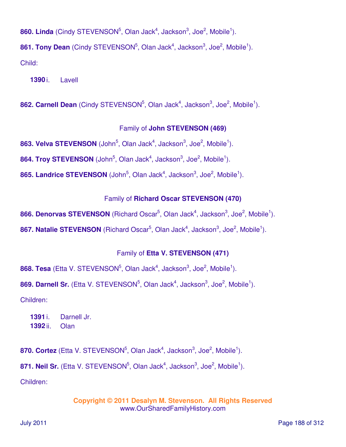860. Linda (Cindy STEVENSON<sup>5</sup>, Olan Jack<sup>4</sup>, Jackson<sup>3</sup>, Joe<sup>2</sup>, Mobile<sup>1</sup>).

**861. Tony Dean** (Cindy STEVENSON<sup>5</sup>, Olan Jack<sup>4</sup>, Jackson<sup>3</sup>, Joe<sup>2</sup>, Mobile<sup>1</sup>).

Child:

**1390** i. Lavell

862. Carnell Dean (Cindy STEVENSON<sup>5</sup>, Olan Jack<sup>4</sup>, Jackson<sup>3</sup>, Joe<sup>2</sup>, Mobile<sup>1</sup>).

#### Family of **John STEVENSON (469)**

**863. Velva STEVENSON** (John<sup>5</sup>, Olan Jack<sup>4</sup>, Jackson<sup>3</sup>, Joe<sup>2</sup>, Mobile<sup>1</sup>).

**864. Troy STEVENSON** (John<sup>5</sup>, Olan Jack<sup>4</sup>, Jackson<sup>3</sup>, Joe<sup>2</sup>, Mobile<sup>1</sup>).

**865. Landrice STEVENSON** (John<sup>5</sup>, Olan Jack<sup>4</sup>, Jackson<sup>3</sup>, Joe<sup>2</sup>, Mobile<sup>1</sup>).

#### Family of **Richard Oscar STEVENSON (470)**

866. Denorvas STEVENSON (Richard Oscar<sup>5</sup>, Olan Jack<sup>4</sup>, Jackson<sup>3</sup>, Joe<sup>2</sup>, Mobile<sup>1</sup>).

867. Natalie STEVENSON (Richard Oscar<sup>5</sup>, Olan Jack<sup>4</sup>, Jackson<sup>3</sup>, Joe<sup>2</sup>, Mobile<sup>1</sup>).

#### Family of **Etta V. STEVENSON (471)**

868. Tesa (Etta V. STEVENSON<sup>5</sup>, Olan Jack<sup>4</sup>, Jackson<sup>3</sup>, Joe<sup>2</sup>, Mobile<sup>1</sup>).

869. Darnell Sr. (Etta V. STEVENSON<sup>5</sup>, Olan Jack<sup>4</sup>, Jackson<sup>3</sup>, Joe<sup>2</sup>, Mobile<sup>1</sup>).

Children:

**1391** i. Darnell Jr. **1392** ii. Olan

870. Cortez (Etta V. STEVENSON<sup>5</sup>, Olan Jack<sup>4</sup>, Jackson<sup>3</sup>, Joe<sup>2</sup>, Mobile<sup>1</sup>). 871. Neil Sr. (Etta V. STEVENSON<sup>5</sup>, Olan Jack<sup>4</sup>, Jackson<sup>3</sup>, Joe<sup>2</sup>, Mobile<sup>1</sup>). Children: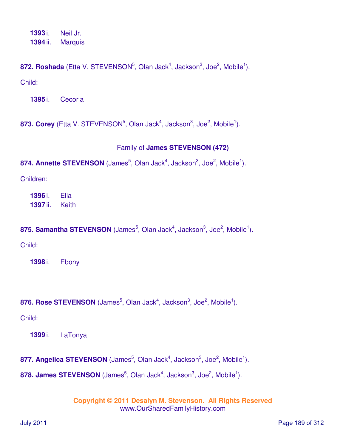**1393** i. Neil Jr. **1394** ii. Marquis

**872. Roshada** (Etta V. STEVENSON<sup>5</sup>, Olan Jack<sup>4</sup>, Jackson<sup>3</sup>, Joe<sup>2</sup>, Mobile<sup>1</sup>). Child:

**1395** i. Cecoria

873. Corey (Etta V. STEVENSON<sup>5</sup>, Olan Jack<sup>4</sup>, Jackson<sup>3</sup>, Joe<sup>2</sup>, Mobile<sup>1</sup>).

### Family of **James STEVENSON (472)**

874. Annette STEVENSON (James<sup>5</sup>, Olan Jack<sup>4</sup>, Jackson<sup>3</sup>, Joe<sup>2</sup>, Mobile<sup>1</sup>).

Children:

**1396** i. Ella **1397** ii. Keith

875. Samantha STEVENSON (James<sup>5</sup>, Olan Jack<sup>4</sup>, Jackson<sup>3</sup>, Joe<sup>2</sup>, Mobile<sup>1</sup>).

Child:

**1398** i. Ebony

**876. Rose STEVENSON** (James<sup>5</sup>, Olan Jack<sup>4</sup>, Jackson<sup>3</sup>, Joe<sup>2</sup>, Mobile<sup>1</sup>).

Child:

**1399** i. LaTonya

**877. Angelica STEVENSON** (James<sup>5</sup>, Olan Jack<sup>4</sup>, Jackson<sup>3</sup>, Joe<sup>2</sup>, Mobile<sup>1</sup>).

**878. James STEVENSON** (James<sup>5</sup>, Olan Jack<sup>4</sup>, Jackson<sup>3</sup>, Joe<sup>2</sup>, Mobile<sup>1</sup>).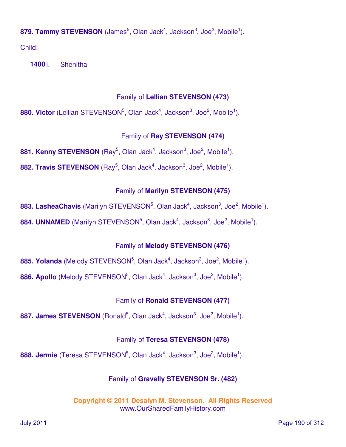879. Tammy STEVENSON (James<sup>5</sup>, Olan Jack<sup>4</sup>, Jackson<sup>3</sup>, Joe<sup>2</sup>, Mobile<sup>1</sup>).

Child:

**1400** i. Shenitha

## Family of **Lellian STEVENSON (473)**

**880. Victor** (Lellian STEVENSON<sup>5</sup>, Olan Jack<sup>4</sup>, Jackson<sup>3</sup>, Joe<sup>2</sup>, Mobile<sup>1</sup>).

# Family of **Ray STEVENSON (474)**

881. Kenny STEVENSON (Ray<sup>5</sup>, Olan Jack<sup>4</sup>, Jackson<sup>3</sup>, Joe<sup>2</sup>, Mobile<sup>1</sup>).

**882. Travis STEVENSON** (Ray<sup>5</sup>, Olan Jack<sup>4</sup>, Jackson<sup>3</sup>, Joe<sup>2</sup>, Mobile<sup>1</sup>).

# Family of **Marilyn STEVENSON (475)**

**883. LasheaChavis** (Marilyn STEVENSON<sup>5</sup>, Olan Jack<sup>4</sup>, Jackson<sup>3</sup>, Joe<sup>2</sup>, Mobile<sup>1</sup>).

**884. UNNAMED** (Marilyn STEVENSON<sup>5</sup>, Olan Jack<sup>4</sup>, Jackson<sup>3</sup>, Joe<sup>2</sup>, Mobile<sup>1</sup>).

# Family of **Melody STEVENSON (476)**

**885. Yolanda** (Melody STEVENSON<sup>5</sup>, Olan Jack<sup>4</sup>, Jackson<sup>3</sup>, Joe<sup>2</sup>, Mobile<sup>1</sup>).

886. Apollo (Melody STEVENSON<sup>5</sup>, Olan Jack<sup>4</sup>, Jackson<sup>3</sup>, Joe<sup>2</sup>, Mobile<sup>1</sup>).

# Family of **Ronald STEVENSON (477)**

887. James STEVENSON (Ronald<sup>5</sup>, Olan Jack<sup>4</sup>, Jackson<sup>3</sup>, Joe<sup>2</sup>, Mobile<sup>1</sup>).

# Family of **Teresa STEVENSON (478)**

**888. Jermie** (Teresa STEVENSON<sup>5</sup>, Olan Jack<sup>4</sup>, Jackson<sup>3</sup>, Joe<sup>2</sup>, Mobile<sup>1</sup>).

# Family of **Gravelly STEVENSON Sr. (482)**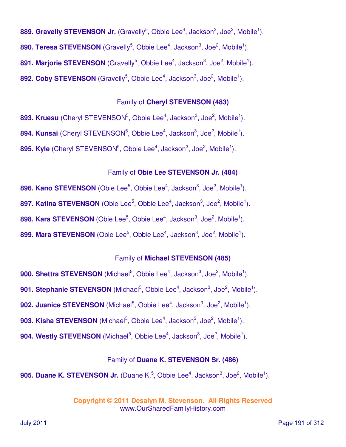889. Gravelly STEVENSON Jr. (Gravelly<sup>5</sup>, Obbie Lee<sup>4</sup>, Jackson<sup>3</sup>, Joe<sup>2</sup>, Mobile<sup>1</sup>). **890. Teresa STEVENSON** (Gravelly<sup>5</sup>, Obbie Lee<sup>4</sup>, Jackson<sup>3</sup>, Joe<sup>2</sup>, Mobile<sup>1</sup>). **891. Marjorie STEVENSON** (Gravelly<sup>5</sup>, Obbie Lee<sup>4</sup>, Jackson<sup>3</sup>, Joe<sup>2</sup>, Mobile<sup>1</sup>). 892. Coby STEVENSON (Gravelly<sup>5</sup>, Obbie Lee<sup>4</sup>, Jackson<sup>3</sup>, Joe<sup>2</sup>, Mobile<sup>1</sup>).

#### Family of **Cheryl STEVENSON (483)**

**893. Kruesu** (Cheryl STEVENSON<sup>5</sup>, Obbie Lee<sup>4</sup>, Jackson<sup>3</sup>, Joe<sup>2</sup>, Mobile<sup>1</sup>). **894. Kunsai** (Cheryl STEVENSON<sup>5</sup>, Obbie Lee<sup>4</sup>, Jackson<sup>3</sup>, Joe<sup>2</sup>, Mobile<sup>1</sup>). **895. Kyle** (Cheryl STEVENSON<sup>5</sup>, Obbie Lee<sup>4</sup>, Jackson<sup>3</sup>, Joe<sup>2</sup>, Mobile<sup>1</sup>).

#### Family of **Obie Lee STEVENSON Jr. (484)**

**896. Kano STEVENSON** (Obie Lee<sup>5</sup>, Obbie Lee<sup>4</sup>, Jackson<sup>3</sup>, Joe<sup>2</sup>, Mobile<sup>1</sup>). 897. Katina STEVENSON (Obie Lee<sup>5</sup>, Obbie Lee<sup>4</sup>, Jackson<sup>3</sup>, Joe<sup>2</sup>, Mobile<sup>1</sup>). **898. Kara STEVENSON** (Obie Lee<sup>5</sup>, Obbie Lee<sup>4</sup>, Jackson<sup>3</sup>, Joe<sup>2</sup>, Mobile<sup>1</sup>).

**899. Mara STEVENSON** (Obie Lee<sup>5</sup>, Obbie Lee<sup>4</sup>, Jackson<sup>3</sup>, Joe<sup>2</sup>, Mobile<sup>1</sup>).

#### Family of **Michael STEVENSON (485)**

**900. Shettra STEVENSON** (Michael<sup>5</sup>, Obbie Lee<sup>4</sup>, Jackson<sup>3</sup>, Joe<sup>2</sup>, Mobile<sup>1</sup>).

**901. Stephanie STEVENSON** (Michael<sup>5</sup>, Obbie Lee<sup>4</sup>, Jackson<sup>3</sup>, Joe<sup>2</sup>, Mobile<sup>1</sup>).

**902. Juanice STEVENSON** (Michael<sup>5</sup>, Obbie Lee<sup>4</sup>, Jackson<sup>3</sup>, Joe<sup>2</sup>, Mobile<sup>1</sup>).

**903. Kisha STEVENSON** (Michael<sup>5</sup>, Obbie Lee<sup>4</sup>, Jackson<sup>3</sup>, Joe<sup>2</sup>, Mobile<sup>1</sup>).

**904. Westly STEVENSON** (Michael<sup>5</sup>, Obbie Lee<sup>4</sup>, Jackson<sup>3</sup>, Joe<sup>2</sup>, Mobile<sup>1</sup>).

### Family of **Duane K. STEVENSON Sr. (486)**

**905. Duane K. STEVENSON Jr.** (Duane K.<sup>5</sup>, Obbie Lee<sup>4</sup>, Jackson<sup>3</sup>, Joe<sup>2</sup>, Mobile<sup>1</sup>).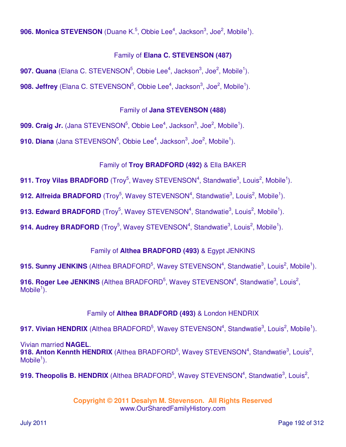**906. Monica STEVENSON** (Duane K.<sup>5</sup>, Obbie Lee<sup>4</sup>, Jackson<sup>3</sup>, Joe<sup>2</sup>, Mobile<sup>1</sup>).

# Family of **Elana C. STEVENSON (487)**

**907. Quana** (Elana C. STEVENSON<sup>5</sup>, Obbie Lee<sup>4</sup>, Jackson<sup>3</sup>, Joe<sup>2</sup>, Mobile<sup>1</sup>). **908. Jeffrey** (Elana C. STEVENSON<sup>5</sup>, Obbie Lee<sup>4</sup>, Jackson<sup>3</sup>, Joe<sup>2</sup>, Mobile<sup>1</sup>).

## Family of **Jana STEVENSON (488)**

**909. Craig Jr.** (Jana STEVENSON<sup>5</sup>, Obbie Lee<sup>4</sup>, Jackson<sup>3</sup>, Joe<sup>2</sup>, Mobile<sup>1</sup>). **910. Diana** (Jana STEVENSON<sup>5</sup>, Obbie Lee<sup>4</sup>, Jackson<sup>3</sup>, Joe<sup>2</sup>, Mobile<sup>1</sup>).

# Family of **Troy BRADFORD (492)** & Ella BAKER

**911. Troy Vilas BRADFORD** (Troy<sup>5</sup>, Wavey STEVENSON<sup>4</sup>, Standwatie<sup>3</sup>, Louis<sup>2</sup>, Mobile<sup>1</sup>).

912. Alfreida BRADFORD (Troy<sup>5</sup>, Wavey STEVENSON<sup>4</sup>, Standwatie<sup>3</sup>, Louis<sup>2</sup>, Mobile<sup>1</sup>).

**913. Edward BRADFORD** (Troy<sup>5</sup>, Wavey STEVENSON<sup>4</sup>, Standwatie<sup>3</sup>, Louis<sup>2</sup>, Mobile<sup>1</sup>).

914. Audrey BRADFORD (Troy<sup>5</sup>, Wavey STEVENSON<sup>4</sup>, Standwatie<sup>3</sup>, Louis<sup>2</sup>, Mobile<sup>1</sup>).

# Family of **Althea BRADFORD (493)** & Egypt JENKINS

915. Sunny JENKINS (Althea BRADFORD<sup>5</sup>, Wavey STEVENSON<sup>4</sup>, Standwatie<sup>3</sup>, Louis<sup>2</sup>, Mobile<sup>1</sup>).

916. Roger Lee JENKINS (Althea BRADFORD<sup>5</sup>, Wavey STEVENSON<sup>4</sup>, Standwatie<sup>3</sup>, Louis<sup>2</sup>, Mobile $^1$ ).

# Family of **Althea BRADFORD (493)** & London HENDRIX

917. Vivian HENDRIX (Althea BRADFORD<sup>5</sup>, Wavey STEVENSON<sup>4</sup>, Standwatie<sup>3</sup>, Louis<sup>2</sup>, Mobile<sup>1</sup>).

Vivian married **NAGEL**. 918. Anton Kennth HENDRIX (Althea BRADFORD<sup>5</sup>, Wavey STEVENSON<sup>4</sup>, Standwatie<sup>3</sup>, Louis<sup>2</sup>,  $M$ obile<sup>1</sup>).

919. Theopolis B. HENDRIX (Althea BRADFORD<sup>5</sup>, Wavey STEVENSON<sup>4</sup>, Standwatie<sup>3</sup>, Louis<sup>2</sup>,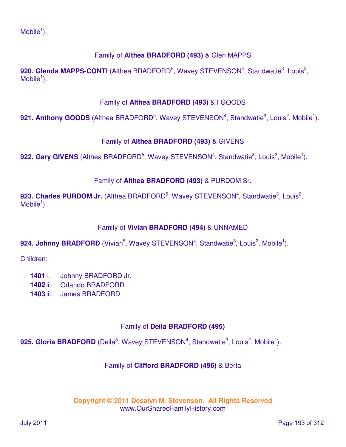# Family of **Althea BRADFORD (493)** & Glen MAPPS

920. Glenda MAPPS-CONTI (Althea BRADFORD<sup>5</sup>, Wavey STEVENSON<sup>4</sup>, Standwatie<sup>3</sup>, Louis<sup>2</sup>,  $M$ obile<sup>1</sup>).

### Family of **Althea BRADFORD (493)** & I GOODS

921. Anthony GOODS (Althea BRADFORD<sup>5</sup>, Wavey STEVENSON<sup>4</sup>, Standwatie<sup>3</sup>, Louis<sup>2</sup>, Mobile<sup>1</sup>).

### Family of **Althea BRADFORD (493)** & GIVENS

922. Gary GIVENS (Althea BRADFORD<sup>5</sup>, Wavey STEVENSON<sup>4</sup>, Standwatie<sup>3</sup>, Louis<sup>2</sup>, Mobile<sup>1</sup>).

### Family of **Althea BRADFORD (493)** & PURDOM Sr.

923. Charles PURDOM Jr. (Althea BRADFORD<sup>5</sup>, Wavey STEVENSON<sup>4</sup>, Standwatie<sup>3</sup>, Louis<sup>2</sup>,  $M$ obile<sup>1</sup>).

#### Family of **Vivian BRADFORD (494)** & UNNAMED

924. Johnny BRADFORD (Vivian<sup>5</sup>, Wavey STEVENSON<sup>4</sup>, Standwatie<sup>3</sup>, Louis<sup>2</sup>, Mobile<sup>1</sup>).

Children:

- **1401** i. Johnny BRADFORD Jr.
- **1402** ii. Orlando BRADFORD
- **1403** iii. James BRADFORD

### Family of **Deila BRADFORD (495)**

925. Gloria BRADFORD (Deila<sup>5</sup>, Wavey STEVENSON<sup>4</sup>, Standwatie<sup>3</sup>, Louis<sup>2</sup>, Mobile<sup>1</sup>).

### Family of **Clifford BRADFORD (496)** & Berta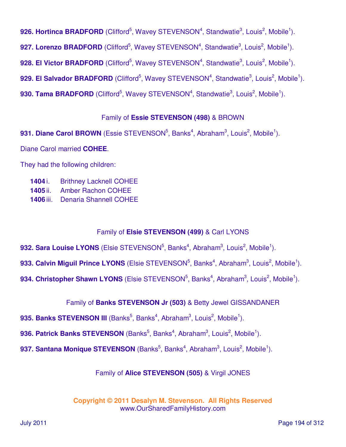926. Hortinca BRADFORD (Clifford<sup>5</sup>, Wavey STEVENSON<sup>4</sup>, Standwatie<sup>3</sup>, Louis<sup>2</sup>, Mobile<sup>1</sup>). 927. Lorenzo BRADFORD (Clifford<sup>5</sup>, Wavey STEVENSON<sup>4</sup>, Standwatie<sup>3</sup>, Louis<sup>2</sup>, Mobile<sup>1</sup>). 928. El Victor BRADFORD (Clifford<sup>5</sup>, Wavey STEVENSON<sup>4</sup>, Standwatie<sup>3</sup>, Louis<sup>2</sup>, Mobile<sup>1</sup>). 929. El Salvador BRADFORD (Clifford<sup>5</sup>, Wavey STEVENSON<sup>4</sup>, Standwatie<sup>3</sup>, Louis<sup>2</sup>, Mobile<sup>1</sup>). 930. Tama BRADFORD (Clifford<sup>5</sup>, Wavey STEVENSON<sup>4</sup>, Standwatie<sup>3</sup>, Louis<sup>2</sup>, Mobile<sup>1</sup>).

### Family of **Essie STEVENSON (498)** & BROWN

931. Diane Carol BROWN (Essie STEVENSON<sup>5</sup>, Banks<sup>4</sup>, Abraham<sup>3</sup>, Louis<sup>2</sup>, Mobile<sup>1</sup>). Diane Carol married **COHEE**.

They had the following children:

- **1404** i. Brithney Lacknell COHEE
- **1405** ii. Amber Rachon COHEE
- **1406** iii. Denaria Shannell COHEE

### Family of **Elsie STEVENSON (499)** & Carl LYONS

**932. Sara Louise LYONS** (Elsie STEVENSON<sup>5</sup>, Banks<sup>4</sup>, Abraham<sup>3</sup>, Louis<sup>2</sup>, Mobile<sup>1</sup>).

933. Calvin Miguil Prince LYONS (Elsie STEVENSON<sup>5</sup>, Banks<sup>4</sup>, Abraham<sup>3</sup>, Louis<sup>2</sup>, Mobile<sup>1</sup>).

934. Christopher Shawn LYONS (Elsie STEVENSON<sup>5</sup>, Banks<sup>4</sup>, Abraham<sup>3</sup>, Louis<sup>2</sup>, Mobile<sup>1</sup>).

### Family of **Banks STEVENSON Jr (503)** & Betty Jewel GISSANDANER

- **935. Banks STEVENSON III** (Banks<sup>5</sup>, Banks<sup>4</sup>, Abraham<sup>3</sup>, Louis<sup>2</sup>, Mobile<sup>1</sup>).
- 936. Patrick Banks STEVENSON (Banks<sup>5</sup>, Banks<sup>4</sup>, Abraham<sup>3</sup>, Louis<sup>2</sup>, Mobile<sup>1</sup>).
- 937. Santana Monique STEVENSON (Banks<sup>5</sup>, Banks<sup>4</sup>, Abraham<sup>3</sup>, Louis<sup>2</sup>, Mobile<sup>1</sup>).

### Family of **Alice STEVENSON (505)** & Virgil JONES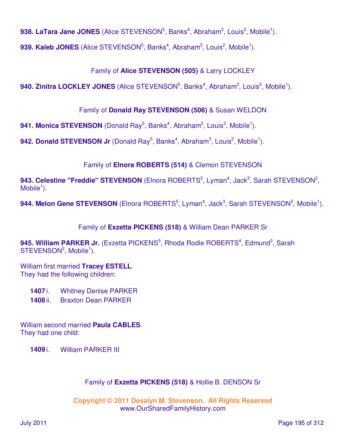**938. LaTara Jane JONES** (Alice STEVENSON<sup>5</sup>, Banks<sup>4</sup>, Abraham<sup>3</sup>, Louis<sup>2</sup>, Mobile<sup>1</sup>).

**939. Kaleb JONES** (Alice STEVENSON<sup>5</sup>, Banks<sup>4</sup>, Abraham<sup>3</sup>, Louis<sup>2</sup>, Mobile<sup>1</sup>).

# Family of **Alice STEVENSON (505)** & Larry LOCKLEY

**940. Zinitra LOCKLEY JONES** (Alice STEVENSON<sup>5</sup>, Banks<sup>4</sup>, Abraham<sup>3</sup>, Louis<sup>2</sup>, Mobile<sup>1</sup>).

# Family of **Donald Ray STEVENSON (506)** & Susan WELDON

**941. Monica STEVENSON** (Donald Ray<sup>5</sup>, Banks<sup>4</sup>, Abraham<sup>3</sup>, Louis<sup>2</sup>, Mobile<sup>1</sup>).

942. Donald STEVENSON Jr (Donald Ray<sup>5</sup>, Banks<sup>4</sup>, Abraham<sup>3</sup>, Louis<sup>2</sup>, Mobile<sup>1</sup>).

# Family of **Elnora ROBERTS (514)** & Clemon STEVENSON

943. Celestine "Freddie" STEVENSON (Elnora ROBERTS<sup>5</sup>, Lyman<sup>4</sup>, Jack<sup>3</sup>, Sarah STEVENSON<sup>2</sup>,  $M$ obile<sup>1</sup>).

**944. Melon Gene STEVENSON** (Elnora ROBERTS<sup>5</sup>, Lyman<sup>4</sup>, Jack<sup>3</sup>, Sarah STEVENSON<sup>2</sup>, Mobile<sup>1</sup>).

Family of **Exzetta PICKENS (518)** & William Dean PARKER Sr

945. William PARKER Jr. (Exzetta PICKENS<sup>5</sup>, Rhoda Rodie ROBERTS<sup>4</sup>, Edmund<sup>3</sup>, Sarah  $STEVENSON<sup>2</sup>, Mobile<sup>1</sup>).$ 

William first married **Tracey ESTELL**. They had the following children:

**1407** i. Whitney Denise PARKER **1408** ii. Braxton Dean PARKER

William second married **Paula CABLES**. They had one child:

**1409** i. William PARKER III

### Family of **Exzetta PICKENS (518)** & Hollie B. DENSON Sr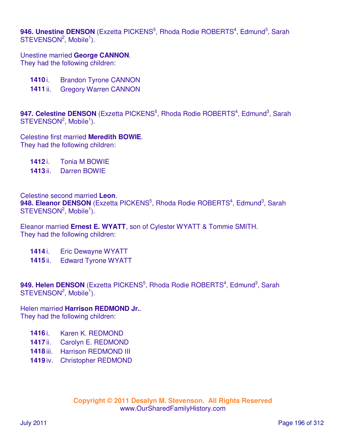946. Unestine DENSON (Exzetta PICKENS<sup>5</sup>, Rhoda Rodie ROBERTS<sup>4</sup>, Edmund<sup>3</sup>, Sarah  $STEVENSON<sup>2</sup>$ , Mobile<sup>1</sup>).

Unestine married **George CANNON**. They had the following children:

- **1410** i. Brandon Tyrone CANNON
- **1411** ii. Gregory Warren CANNON

947. Celestine DENSON (Exzetta PICKENS<sup>5</sup>, Rhoda Rodie ROBERTS<sup>4</sup>, Edmund<sup>3</sup>, Sarah  $STEVENSON<sup>2</sup>, Mobile<sup>1</sup>).$ 

Celestine first married **Meredith BOWIE**. They had the following children:

**1412** i. Tonia M BOWIE

**1413** ii. Darren BOWIE

Celestine second married **Leon**.

948. Eleanor DENSON (Exzetta PICKENS<sup>5</sup>, Rhoda Rodie ROBERTS<sup>4</sup>, Edmund<sup>3</sup>, Sarah STEVENSON<sup>2</sup>, Mobile<sup>1</sup>).

Eleanor married **Ernest E. WYATT**, son of Cylester WYATT & Tommie SMITH. They had the following children:

- **1414** i. Eric Dewayne WYATT
- **1415** ii. Edward Tyrone WYATT

949. Helen DENSON (Exzetta PICKENS<sup>5</sup>, Rhoda Rodie ROBERTS<sup>4</sup>, Edmund<sup>3</sup>, Sarah  $STEVENSON<sup>2</sup>$ , Mobile<sup>1</sup>).

Helen married **Harrison REDMOND Jr.**. They had the following children:

- **1416** i. Karen K. REDMOND
- **1417** ii. Carolyn E. REDMOND
- **1418** iii. Harrison REDMOND III
- **1419** iv. Christopher REDMOND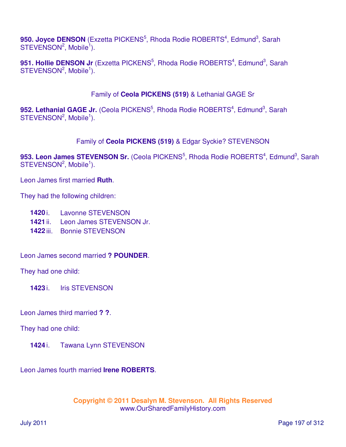950. Joyce DENSON (Exzetta PICKENS<sup>5</sup>, Rhoda Rodie ROBERTS<sup>4</sup>, Edmund<sup>3</sup>, Sarah  $STEVENSON<sup>2</sup>$ , Mobile<sup>1</sup>).

951. Hollie DENSON Jr (Exzetta PICKENS<sup>5</sup>, Rhoda Rodie ROBERTS<sup>4</sup>, Edmund<sup>3</sup>, Sarah STEVENSON<sup>2</sup>, Mobile<sup>1</sup>).

### Family of **Ceola PICKENS (519)** & Lethanial GAGE Sr

952. Lethanial GAGE Jr. (Ceola PICKENS<sup>5</sup>, Rhoda Rodie ROBERTS<sup>4</sup>, Edmund<sup>3</sup>, Sarah STEVENSON<sup>2</sup>, Mobile<sup>1</sup>).

### Family of **Ceola PICKENS (519)** & Edgar Syckie? STEVENSON

953. Leon James STEVENSON Sr. (Ceola PICKENS<sup>5</sup>, Rhoda Rodie ROBERTS<sup>4</sup>, Edmund<sup>3</sup>, Sarah  $STEVENSON<sup>2</sup>, Mobile<sup>1</sup>).$ 

Leon James first married **Ruth**.

They had the following children:

- **1420** i. Lavonne STEVENSON
- **1421** ii. Leon James STEVENSON Jr.
- **1422** iii. Bonnie STEVENSON

Leon James second married **? POUNDER**.

They had one child:

**1423** i. Iris STEVENSON

Leon James third married **? ?**.

They had one child:

**1424** i. Tawana Lynn STEVENSON

Leon James fourth married **Irene ROBERTS**.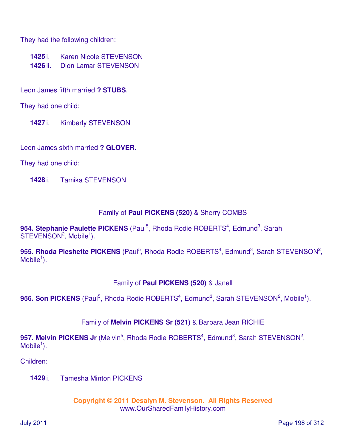They had the following children:

- **1425** i. Karen Nicole STEVENSON
- **1426** ii. Dion Lamar STEVENSON

Leon James fifth married **? STUBS**.

They had one child:

**1427** i. Kimberly STEVENSON

Leon James sixth married **? GLOVER**.

They had one child:

**1428** i. Tamika STEVENSON

### Family of **Paul PICKENS (520)** & Sherry COMBS

954. Stephanie Paulette PICKENS (Paul<sup>5</sup>, Rhoda Rodie ROBERTS<sup>4</sup>, Edmund<sup>3</sup>, Sarah  $STEVENSON<sup>2</sup>, Mobile<sup>1</sup>).$ 

955. Rhoda Pleshette PICKENS (Paul<sup>5</sup>, Rhoda Rodie ROBERTS<sup>4</sup>, Edmund<sup>3</sup>, Sarah STEVENSON<sup>2</sup>,  $M$ obile<sup>1</sup>).

### Family of **Paul PICKENS (520)** & Janell

956. Son PICKENS (Paul<sup>5</sup>, Rhoda Rodie ROBERTS<sup>4</sup>, Edmund<sup>3</sup>, Sarah STEVENSON<sup>2</sup>, Mobile<sup>1</sup>).

Family of **Melvin PICKENS Sr (521)** & Barbara Jean RICHIE

957. Melvin PICKENS Jr (Melvin<sup>5</sup>, Rhoda Rodie ROBERTS<sup>4</sup>, Edmund<sup>3</sup>, Sarah STEVENSON<sup>2</sup>,  $M$ obile<sup>1</sup>).

Children:

**1429** i. Tamesha Minton PICKENS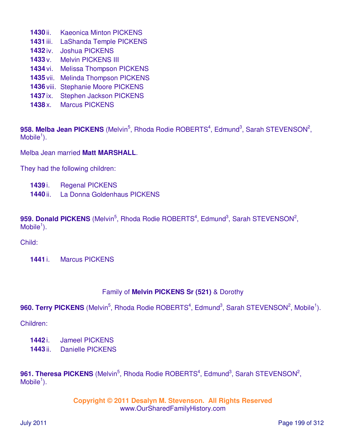- **1430** ii. Kaeonica Minton PICKENS
- **1431** iii. LaShanda Temple PICKENS
- **1432** iv. Joshua PICKENS
- **1433** v. Melvin PICKENS III
- **1434** vi. Melissa Thompson PICKENS
- **1435** vii. Melinda Thompson PICKENS
- **1436** viii. Stephanie Moore PICKENS
- **1437** ix. Stephen Jackson PICKENS
- **1438** x. Marcus PICKENS

958. Melba Jean PICKENS (Melvin<sup>5</sup>, Rhoda Rodie ROBERTS<sup>4</sup>, Edmund<sup>3</sup>, Sarah STEVENSON<sup>2</sup>,  $M$ obile<sup>1</sup>).

Melba Jean married **Matt MARSHALL**.

They had the following children:

- **1439** i. Regenal PICKENS
- **1440** ii. La Donna Goldenhaus PICKENS

959. Donald PICKENS (Melvin<sup>5</sup>, Rhoda Rodie ROBERTS<sup>4</sup>, Edmund<sup>3</sup>, Sarah STEVENSON<sup>2</sup>,  $M$ obile<sup>1</sup>).

Child:

**1441** i. Marcus PICKENS

#### Family of **Melvin PICKENS Sr (521)** & Dorothy

960. Terry PICKENS (Melvin<sup>5</sup>, Rhoda Rodie ROBERTS<sup>4</sup>, Edmund<sup>3</sup>, Sarah STEVENSON<sup>2</sup>, Mobile<sup>1</sup>).

Children:

- **1442** i. Jameel PICKENS
- **1443** ii. Danielle PICKENS

961. Theresa PICKENS (Melvin<sup>5</sup>, Rhoda Rodie ROBERTS<sup>4</sup>, Edmund<sup>3</sup>, Sarah STEVENSON<sup>2</sup>,  $M$ obile<sup>1</sup>).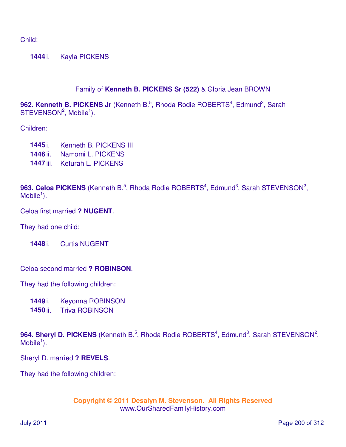Child:

**1444** i. Kayla PICKENS

### Family of **Kenneth B. PICKENS Sr (522)** & Gloria Jean BROWN

962. Kenneth B. PICKENS Jr (Kenneth B.<sup>5</sup>, Rhoda Rodie ROBERTS<sup>4</sup>, Edmund<sup>3</sup>, Sarah  $STEVENSON<sup>2</sup>$ , Mobile<sup>1</sup>).

#### Children:

- **1445** i. Kenneth B. PICKENS III
- **1446** ii. Namomi L. PICKENS
- **1447** iii. Keturah L. PICKENS

963. Celoa PICKENS (Kenneth B.<sup>5</sup>, Rhoda Rodie ROBERTS<sup>4</sup>, Edmund<sup>3</sup>, Sarah STEVENSON<sup>2</sup>,  $M$ obile<sup>1</sup>).

Celoa first married **? NUGENT**.

They had one child:

**1448** i. Curtis NUGENT

Celoa second married **? ROBINSON**.

They had the following children:

**1449** i. Keyonna ROBINSON

**1450** ii. Triva ROBINSON

964. Sheryl D. PICKENS (Kenneth B.<sup>5</sup>, Rhoda Rodie ROBERTS<sup>4</sup>, Edmund<sup>3</sup>, Sarah STEVENSON<sup>2</sup>,  $M$ obile<sup>1</sup>).

Sheryl D. married **? REVELS**.

They had the following children: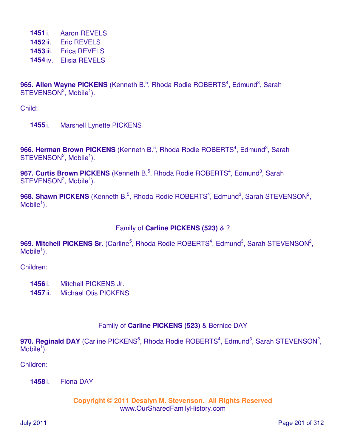i. Aaron REVELS ii. Eric REVELS iii. Erica REVELS iv. Elisia REVELS

965. Allen Wayne PICKENS (Kenneth B.<sup>5</sup>, Rhoda Rodie ROBERTS<sup>4</sup>, Edmund<sup>3</sup>, Sarah  $STEVENSON<sup>2</sup>$ , Mobile<sup>1</sup>).

Child:

**1455** i. Marshell Lynette PICKENS

966. Herman Brown PICKENS (Kenneth B.<sup>5</sup>, Rhoda Rodie ROBERTS<sup>4</sup>, Edmund<sup>3</sup>, Sarah  $STEVENSON<sup>2</sup>$ , Mobile<sup>1</sup>).

967. Curtis Brown PICKENS (Kenneth B.<sup>5</sup>, Rhoda Rodie ROBERTS<sup>4</sup>, Edmund<sup>3</sup>, Sarah  $STEVENSON<sup>2</sup>$ , Mobile<sup>1</sup>).

968. Shawn PICKENS (Kenneth B.<sup>5</sup>, Rhoda Rodie ROBERTS<sup>4</sup>, Edmund<sup>3</sup>, Sarah STEVENSON<sup>2</sup>,  $M$ obile<sup>1</sup>).

### Family of **Carline PICKENS (523)** & ?

969. Mitchell PICKENS Sr. (Carline<sup>5</sup>, Rhoda Rodie ROBERTS<sup>4</sup>, Edmund<sup>3</sup>, Sarah STEVENSON<sup>2</sup>,  $M$ obile<sup>1</sup>).

Children:

- **1456** i. Mitchell PICKENS Jr.
- **1457** ii. Michael Otis PICKENS

### Family of **Carline PICKENS (523)** & Bernice DAY

970. Reginald DAY (Carline PICKENS<sup>5</sup>, Rhoda Rodie ROBERTS<sup>4</sup>, Edmund<sup>3</sup>, Sarah STEVENSON<sup>2</sup>, Mobile<sup>1</sup>).

Children:

**1458** i. Fiona DAY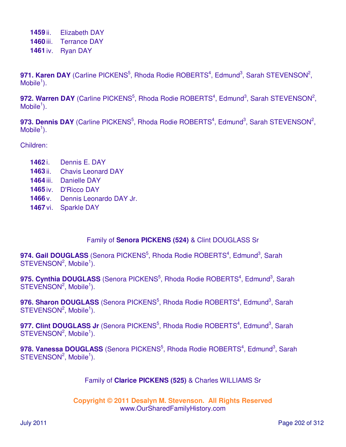**1459** ii. Elizabeth DAY **1460** iii. Terrance DAY **1461** iv. Ryan DAY

971. Karen DAY (Carline PICKENS<sup>5</sup>, Rhoda Rodie ROBERTS<sup>4</sup>, Edmund<sup>3</sup>, Sarah STEVENSON<sup>2</sup>,  $M$ obile<sup>1</sup>).

972. Warren DAY (Carline PICKENS<sup>5</sup>, Rhoda Rodie ROBERTS<sup>4</sup>, Edmund<sup>3</sup>, Sarah STEVENSON<sup>2</sup>,  $M$ obile<sup>1</sup>).

973. Dennis DAY (Carline PICKENS<sup>5</sup>, Rhoda Rodie ROBERTS<sup>4</sup>, Edmund<sup>3</sup>, Sarah STEVENSON<sup>2</sup>,  $M$ obile<sup>1</sup>).

Children:

- **1462** i. Dennis E. DAY
- **1463** ii. Chavis Leonard DAY
- **1464** iii. Danielle DAY
- **1465** iv. D'Ricco DAY
- **1466** v. Dennis Leonardo DAY Jr.
- **1467** vi. Sparkle DAY

### Family of **Senora PICKENS (524)** & Clint DOUGLASS Sr

**974. Gail DOUGLASS** (Senora PICKENS<sup>5</sup>, Rhoda Rodie ROBERTS<sup>4</sup>, Edmund<sup>3</sup>, Sarah  $STEVENSON<sup>2</sup>, Mobile<sup>1</sup>).$ 

975. Cynthia DOUGLASS (Senora PICKENS<sup>5</sup>, Rhoda Rodie ROBERTS<sup>4</sup>, Edmund<sup>3</sup>, Sarah  $STEVENSON<sup>2</sup>$ , Mobile<sup>1</sup>).

976. Sharon DOUGLASS (Senora PICKENS<sup>5</sup>, Rhoda Rodie ROBERTS<sup>4</sup>, Edmund<sup>3</sup>, Sarah  $STEVENSON<sup>2</sup>, Mobile<sup>1</sup>).$ 

977. Clint DOUGLASS Jr (Senora PICKENS<sup>5</sup>, Rhoda Rodie ROBERTS<sup>4</sup>, Edmund<sup>3</sup>, Sarah  $STEVENSON<sup>2</sup>, Mobile<sup>1</sup>).$ 

978. Vanessa DOUGLASS (Senora PICKENS<sup>5</sup>, Rhoda Rodie ROBERTS<sup>4</sup>, Edmund<sup>3</sup>, Sarah  $STEVENSON<sup>2</sup>, Mobile<sup>1</sup>).$ 

### Family of **Clarice PICKENS (525)** & Charles WILLIAMS Sr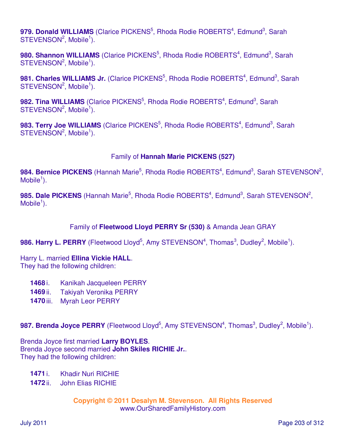979. Donald WILLIAMS (Clarice PICKENS<sup>5</sup>, Rhoda Rodie ROBERTS<sup>4</sup>, Edmund<sup>3</sup>, Sarah  $STEVENSON<sup>2</sup>, Mobile<sup>1</sup>).$ 

980. Shannon WILLIAMS (Clarice PICKENS<sup>5</sup>, Rhoda Rodie ROBERTS<sup>4</sup>, Edmund<sup>3</sup>, Sarah  $STEVENSON<sup>2</sup>$ , Mobile<sup>1</sup>).

981. Charles WILLIAMS Jr. (Clarice PICKENS<sup>5</sup>, Rhoda Rodie ROBERTS<sup>4</sup>, Edmund<sup>3</sup>, Sarah  $STEVENSON<sup>2</sup>, Mobile<sup>1</sup>).$ 

982. Tina WILLIAMS (Clarice PICKENS<sup>5</sup>, Rhoda Rodie ROBERTS<sup>4</sup>, Edmund<sup>3</sup>, Sarah  $STEVENSON<sup>2</sup>, Mobile<sup>1</sup>).$ 

983. Terry Joe WILLIAMS (Clarice PICKENS<sup>5</sup>, Rhoda Rodie ROBERTS<sup>4</sup>, Edmund<sup>3</sup>, Sarah  $STEVENSON<sup>2</sup>, Mobile<sup>1</sup>).$ 

### Family of **Hannah Marie PICKENS (527)**

984. Bernice PICKENS (Hannah Marie<sup>5</sup>, Rhoda Rodie ROBERTS<sup>4</sup>, Edmund<sup>3</sup>, Sarah STEVENSON<sup>2</sup>,  $M$ obile<sup>1</sup>).

985. Dale PICKENS (Hannah Marie<sup>5</sup>, Rhoda Rodie ROBERTS<sup>4</sup>, Edmund<sup>3</sup>, Sarah STEVENSON<sup>2</sup>,  $M$ obile<sup>1</sup>).

### Family of **Fleetwood Lloyd PERRY Sr (530)** & Amanda Jean GRAY

986. Harry L. PERRY (Fleetwood Lloyd<sup>5</sup>, Amy STEVENSON<sup>4</sup>, Thomas<sup>3</sup>, Dudley<sup>2</sup>, Mobile<sup>1</sup>).

Harry L. married **Ellina Vickie HALL**. They had the following children:

- **1468** i. Kanikah Jacqueleen PERRY
- **1469** ii. Takiyah Veronika PERRY
- **1470** iii. Myrah Leor PERRY

987. Brenda Joyce PERRY (Fleetwood Lloyd<sup>5</sup>, Amy STEVENSON<sup>4</sup>, Thomas<sup>3</sup>, Dudley<sup>2</sup>, Mobile<sup>1</sup>).

Brenda Joyce first married **Larry BOYLES**. Brenda Joyce second married **John Skiles RICHIE Jr.**. They had the following children:

- **1471** i. Khadir Nuri RICHIE
- **1472** ii. John Elias RICHIE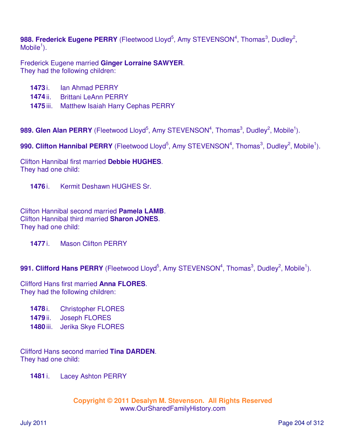988. Frederick Eugene PERRY (Fleetwood Lloyd<sup>5</sup>, Amy STEVENSON<sup>4</sup>, Thomas<sup>3</sup>, Dudley<sup>2</sup>,  $M$ obile<sup>1</sup>).

Frederick Eugene married **Ginger Lorraine SAWYER**. They had the following children:

- **1473** i. Ian Ahmad PERRY
- **1474** ii. Brittani LeAnn PERRY
- **1475** iii. Matthew Isaiah Harry Cephas PERRY

989. Glen Alan PERRY (Fleetwood Lloyd<sup>5</sup>, Amy STEVENSON<sup>4</sup>, Thomas<sup>3</sup>, Dudley<sup>2</sup>, Mobile<sup>1</sup>).

990. Clifton Hannibal PERRY (Fleetwood Lloyd<sup>5</sup>, Amy STEVENSON<sup>4</sup>, Thomas<sup>3</sup>, Dudley<sup>2</sup>, Mobile<sup>1</sup>).

Clifton Hannibal first married **Debbie HUGHES**. They had one child:

**1476** i. Kermit Deshawn HUGHES Sr.

Clifton Hannibal second married **Pamela LAMB**. Clifton Hannibal third married **Sharon JONES**. They had one child:

**1477** i. Mason Clifton PERRY

991. Clifford Hans PERRY (Fleetwood Lloyd<sup>5</sup>, Amy STEVENSON<sup>4</sup>, Thomas<sup>3</sup>, Dudley<sup>2</sup>, Mobile<sup>1</sup>).

Clifford Hans first married **Anna FLORES**. They had the following children:

- **1478** i. Christopher FLORES
- **1479** ii. Joseph FLORES
- **1480** iii. Jerika Skye FLORES

Clifford Hans second married **Tina DARDEN**. They had one child:

**1481** i. Lacey Ashton PERRY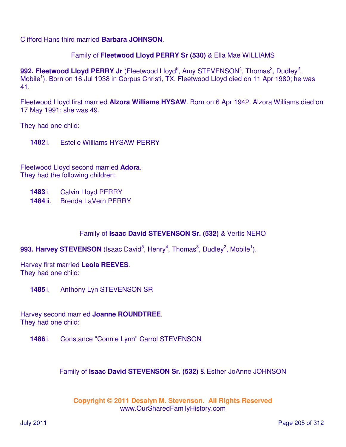Clifford Hans third married **Barbara JOHNSON**.

#### Family of **Fleetwood Lloyd PERRY Sr (530)** & Ella Mae WILLIAMS

992. Fleetwood Lloyd PERRY Jr (Fleetwood Lloyd<sup>5</sup>, Amy STEVENSON<sup>4</sup>, Thomas<sup>3</sup>, Dudley<sup>2</sup>, Mobile<sup>1</sup>). Born on 16 Jul 1938 in Corpus Christi, TX. Fleetwood Lloyd died on 11 Apr 1980; he was 41.

Fleetwood Lloyd first married **Alzora Williams HYSAW**. Born on 6 Apr 1942. Alzora Williams died on 17 May 1991; she was 49.

They had one child:

**1482** i. Estelle Williams HYSAW PERRY

Fleetwood Lloyd second married **Adora**. They had the following children:

- **1483** i. Calvin Lloyd PERRY
- **1484** ii. Brenda LaVern PERRY

### Family of **Isaac David STEVENSON Sr. (532)** & Vertis NERO

993. Harvey STEVENSON (Isaac David<sup>5</sup>, Henry<sup>4</sup>, Thomas<sup>3</sup>, Dudley<sup>2</sup>, Mobile<sup>1</sup>).

Harvey first married **Leola REEVES**. They had one child:

**1485** i. Anthony Lyn STEVENSON SR

Harvey second married **Joanne ROUNDTREE**. They had one child:

**1486** i. Constance "Connie Lynn" Carrol STEVENSON

Family of **Isaac David STEVENSON Sr. (532)** & Esther JoAnne JOHNSON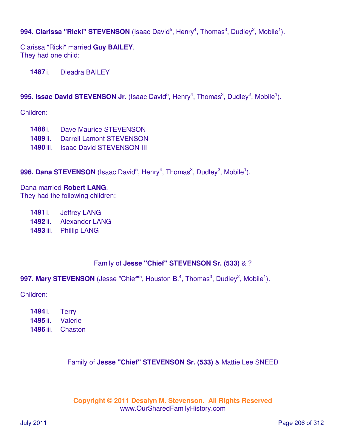## 994. Clarissa "Ricki" STEVENSON (Isaac David<sup>5</sup>, Henry<sup>4</sup>, Thomas<sup>3</sup>, Dudley<sup>2</sup>, Mobile<sup>1</sup>).

Clarissa "Ricki" married **Guy BAILEY**. They had one child:

**1487** i. Dieadra BAILEY

### 995. Issac David STEVENSON Jr. (Isaac David<sup>5</sup>, Henry<sup>4</sup>, Thomas<sup>3</sup>, Dudley<sup>2</sup>, Mobile<sup>1</sup>).

Children:

- **1488** i. Dave Maurice STEVENSON
- **1489** ii. Darrell Lamont STEVENSON
- **1490** iii. Isaac David STEVENSON III

### 996. Dana STEVENSON (Isaac David<sup>5</sup>, Henry<sup>4</sup>, Thomas<sup>3</sup>, Dudley<sup>2</sup>, Mobile<sup>1</sup>).

# Dana married **Robert LANG**.

They had the following children:

**1491** i. Jeffrey LANG

- **1492** ii. Alexander LANG
- **1493** iii. Phillip LANG

### Family of **Jesse "Chief" STEVENSON Sr. (533)** & ?

997. Mary STEVENSON (Jesse "Chief"<sup>5</sup>, Houston B.<sup>4</sup>, Thomas<sup>3</sup>, Dudley<sup>2</sup>, Mobile<sup>1</sup>).

Children:

| 1494 i.          | <b>Terry</b> |
|------------------|--------------|
| 1495 ii.         | Valerie      |
| <b>1496 iii.</b> | Chaston      |

### Family of **Jesse "Chief" STEVENSON Sr. (533)** & Mattie Lee SNEED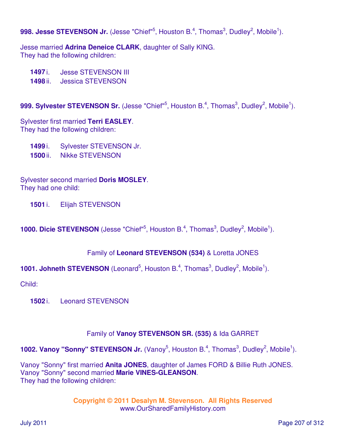998. Jesse STEVENSON Jr. (Jesse "Chief"<sup>5</sup>, Houston B.<sup>4</sup>, Thomas<sup>3</sup>, Dudley<sup>2</sup>, Mobile<sup>1</sup>).

Jesse married **Adrina Deneice CLARK**, daughter of Sally KING. They had the following children:

**1497** i. Jesse STEVENSON III

**1498** ii. Jessica STEVENSON

999. Sylvester STEVENSON Sr. (Jesse "Chief"<sup>5</sup>, Houston B.<sup>4</sup>, Thomas<sup>3</sup>, Dudley<sup>2</sup>, Mobile<sup>1</sup>).

Sylvester first married **Terri EASLEY**. They had the following children:

**1499** i. Sylvester STEVENSON Jr.

**1500** ii. Nikke STEVENSON

Sylvester second married **Doris MOSLEY**. They had one child:

**1501** i. Elijah STEVENSON

**1000. Dicie STEVENSON** (Jesse "Chief"<sup>5</sup>, Houston B.<sup>4</sup>, Thomas<sup>3</sup>, Dudley<sup>2</sup>, Mobile<sup>1</sup>).

Family of **Leonard STEVENSON (534)** & Loretta JONES

**1001. Johneth STEVENSON** (Leonard<sup>5</sup>, Houston B.<sup>4</sup>, Thomas<sup>3</sup>, Dudley<sup>2</sup>, Mobile<sup>1</sup>).

Child:

**1502** i. Leonard STEVENSON

### Family of **Vanoy STEVENSON SR. (535)** & Ida GARRET

**1002. Vanoy "Sonny" STEVENSON Jr.** (Vanoy<sup>5</sup>, Houston B.<sup>4</sup>, Thomas<sup>3</sup>, Dudley<sup>2</sup>, Mobile<sup>1</sup>).

Vanoy "Sonny" first married **Anita JONES**, daughter of James FORD & Billie Ruth JONES. Vanoy "Sonny" second married **Marie VINES-GLEANSON**. They had the following children: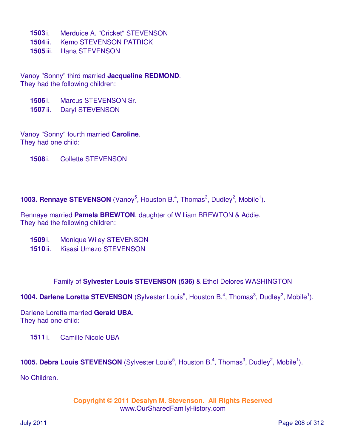- **1503** i. Merduice A. "Cricket" STEVENSON
- **1504** ii. Kemo STEVENSON PATRICK
- **1505** iii. Illana STEVENSON

Vanoy "Sonny" third married **Jacqueline REDMOND**. They had the following children:

- **1506** i. Marcus STEVENSON Sr.
- **1507** ii. Daryl STEVENSON

Vanoy "Sonny" fourth married **Caroline**. They had one child:

**1508** i. Collette STEVENSON

**1003. Rennaye STEVENSON** (Vanoy<sup>5</sup>, Houston B.<sup>4</sup>, Thomas<sup>3</sup>, Dudley<sup>2</sup>, Mobile<sup>1</sup>).

Rennaye married **Pamela BREWTON**, daughter of William BREWTON & Addie. They had the following children:

- **1509** i. Monique Wiley STEVENSON
- **1510** ii. Kisasi Umezo STEVENSON

Family of **Sylvester Louis STEVENSON (536)** & Ethel Delores WASHINGTON

**1004. Darlene Loretta STEVENSON** (Sylvester Louis<sup>5</sup>, Houston B.<sup>4</sup>, Thomas<sup>3</sup>, Dudley<sup>2</sup>, Mobile<sup>1</sup>).

Darlene Loretta married **Gerald UBA**. They had one child:

**1511** i. Camille Nicole UBA

**1005. Debra Louis STEVENSON** (Sylvester Louis<sup>5</sup>, Houston B.<sup>4</sup>, Thomas<sup>3</sup>, Dudley<sup>2</sup>, Mobile<sup>1</sup>).

No Children.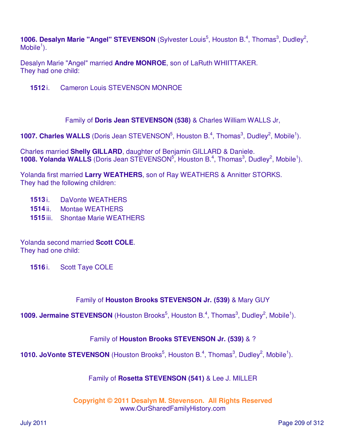**1006. Desalyn Marie "Angel" STEVENSON** (Sylvester Louis<sup>5</sup>, Houston B.<sup>4</sup>, Thomas<sup>3</sup>, Dudley<sup>2</sup>,  $M$ obile<sup>1</sup>).

Desalyn Marie "Angel" married **Andre MONROE**, son of LaRuth WHIITTAKER. They had one child:

**1512** i. Cameron Louis STEVENSON MONROE

Family of **Doris Jean STEVENSON (538)** & Charles William WALLS Jr,

**1007. Charles WALLS** (Doris Jean STEVENSON<sup>5</sup>, Houston B.<sup>4</sup>, Thomas<sup>3</sup>, Dudley<sup>2</sup>, Mobile<sup>1</sup>).

Charles married **Shelly GILLARD**, daughter of Benjamin GILLARD & Daniele. **1008. Yolanda WALLS** (Doris Jean STEVENSON<sup>5</sup>, Houston B.<sup>4</sup>, Thomas<sup>3</sup>, Dudley<sup>2</sup>, Mobile<sup>1</sup>).

Yolanda first married **Larry WEATHERS**, son of Ray WEATHERS & Annitter STORKS. They had the following children:

- **1513** i. DaVonte WEATHERS
- **1514** ii. Montae WEATHERS
- **1515** iii. Shontae Marie WEATHERS

Yolanda second married **Scott COLE**. They had one child:

**1516** i. Scott Taye COLE

### Family of **Houston Brooks STEVENSON Jr. (539)** & Mary GUY

**1009. Jermaine STEVENSON** (Houston Brooks<sup>5</sup>, Houston B.<sup>4</sup>, Thomas<sup>3</sup>, Dudley<sup>2</sup>, Mobile<sup>1</sup>).

### Family of **Houston Brooks STEVENSON Jr. (539)** & ?

**1010. JoVonte STEVENSON** (Houston Brooks<sup>5</sup>, Houston B.<sup>4</sup>, Thomas<sup>3</sup>, Dudley<sup>2</sup>, Mobile<sup>1</sup>).

### Family of **Rosetta STEVENSON (541)** & Lee J. MILLER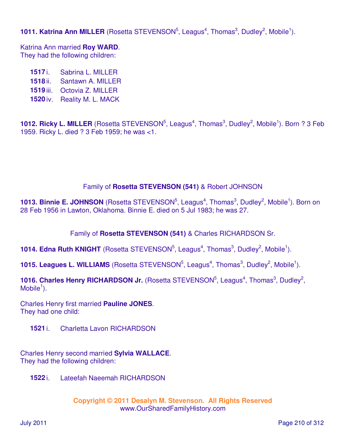**1011. Katrina Ann MILLER** (Rosetta STEVENSON<sup>5</sup>, Leagus<sup>4</sup>, Thomas<sup>3</sup>, Dudley<sup>2</sup>, Mobile<sup>1</sup>).

Katrina Ann married **Roy WARD**. They had the following children:

- **1517** i. Sabrina L. MILLER
- **1518** ii. Santawn A. MILLER
- **1519** iii. Octovia Z. MILLER
- **1520** iv. Reality M. L. MACK

**1012. Ricky L. MILLER** (Rosetta STEVENSON<sup>5</sup>, Leagus<sup>4</sup>, Thomas<sup>3</sup>, Dudley<sup>2</sup>, Mobile<sup>1</sup>). Born ? 3 Feb 1959. Ricky L. died ? 3 Feb 1959; he was <1.

# Family of **Rosetta STEVENSON (541)** & Robert JOHNSON

**1013. Binnie E. JOHNSON** (Rosetta STEVENSON<sup>5</sup>, Leagus<sup>4</sup>, Thomas<sup>3</sup>, Dudley<sup>2</sup>, Mobile<sup>1</sup>). Born on 28 Feb 1956 in Lawton, Oklahoma. Binnie E. died on 5 Jul 1983; he was 27.

Family of **Rosetta STEVENSON (541)** & Charles RICHARDSON Sr.

**1014. Edna Ruth KNIGHT** (Rosetta STEVENSON<sup>5</sup>, Leagus<sup>4</sup>, Thomas<sup>3</sup>, Dudley<sup>2</sup>, Mobile<sup>1</sup>).

**1015. Leagues L. WILLIAMS** (Rosetta STEVENSON<sup>5</sup>, Leagus<sup>4</sup>, Thomas<sup>3</sup>, Dudley<sup>2</sup>, Mobile<sup>1</sup>).

**1016. Charles Henry RICHARDSON Jr.** (Rosetta STEVENSON<sup>5</sup>, Leagus<sup>4</sup>, Thomas<sup>3</sup>, Dudley<sup>2</sup>,  $M$ obile<sup>1</sup>).

Charles Henry first married **Pauline JONES**. They had one child:

**1521** i. Charletta Lavon RICHARDSON

Charles Henry second married **Sylvia WALLACE**. They had the following children:

**1522** i. Lateefah Naeemah RICHARDSON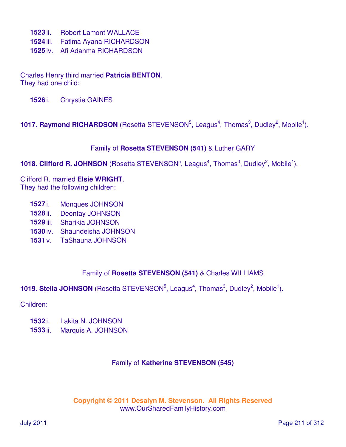- **1523** ii. Robert Lamont WALLACE
- **1524** iii. Fatima Ayana RICHARDSON
- **1525** iv. Afi Adanma RICHARDSON

Charles Henry third married **Patricia BENTON**. They had one child:

**1526** i. Chrystie GAINES

### **1017. Raymond RICHARDSON** (Rosetta STEVENSON<sup>5</sup>, Leagus<sup>4</sup>, Thomas<sup>3</sup>, Dudley<sup>2</sup>, Mobile<sup>1</sup>).

#### Family of **Rosetta STEVENSON (541)** & Luther GARY

### **1018. Clifford R. JOHNSON** (Rosetta STEVENSON<sup>5</sup>, Leagus<sup>4</sup>, Thomas<sup>3</sup>, Dudley<sup>2</sup>, Mobile<sup>1</sup>).

Clifford R. married **Elsie WRIGHT**. They had the following children:

- **1527** i. Monques JOHNSON
- **1528** ii. Deontay JOHNSON
- **1529** iii. Sharikia JOHNSON
- **1530** iv. Shaundeisha JOHNSON
- **1531** v. TaShauna JOHNSON

### Family of **Rosetta STEVENSON (541)** & Charles WILLIAMS

### **1019. Stella JOHNSON** (Rosetta STEVENSON<sup>5</sup>, Leagus<sup>4</sup>, Thomas<sup>3</sup>, Dudley<sup>2</sup>, Mobile<sup>1</sup>).

#### Children:

- **1532** i. Lakita N. JOHNSON
- **1533** ii. Marquis A. JOHNSON

#### Family of **Katherine STEVENSON (545)**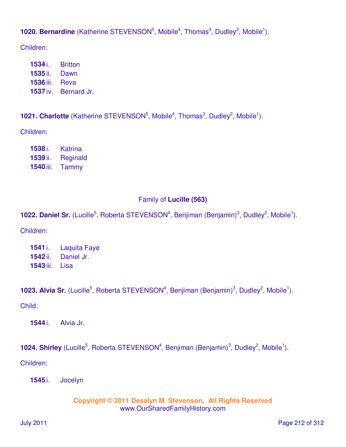**1020. Bernardine** (Katherine STEVENSON<sup>5</sup>, Mobile<sup>4</sup>, Thomas<sup>3</sup>, Dudley<sup>2</sup>, Mobile<sup>1</sup>).

Children:

 i. Britton ii. Dawn iii. Reva iv. Bernard Jr.

**1021. Charlotte** (Katherine STEVENSON<sup>5</sup>, Mobile<sup>4</sup>, Thomas<sup>3</sup>, Dudley<sup>2</sup>, Mobile<sup>1</sup>).

Children:

**1538** i. Katrina **1539** ii. Reginald **1540** iii. Tammy

# Family of **Lucille (563)**

**1022. Daniel Sr.** (Lucille<sup>5</sup>, Roberta STEVENSON<sup>4</sup>, Benjiman (Benjamin)<sup>3</sup>, Dudley<sup>2</sup>, Mobile<sup>1</sup>).

Children:

**1541** i. Laquita Faye **1542** ii. Daniel Jr. **1543** iii. Lisa

1023. Alvia Sr. (Lucille<sup>5</sup>, Roberta STEVENSON<sup>4</sup>, Benjiman (Benjamin)<sup>3</sup>, Dudley<sup>2</sup>, Mobile<sup>1</sup>).

Child:

**1544** i. Alvia Jr.

**1024. Shirley** (Lucille<sup>5</sup>, Roberta STEVENSON<sup>4</sup>, Benjiman (Benjamin)<sup>3</sup>, Dudley<sup>2</sup>, Mobile<sup>1</sup>).

Children:

**1545** i. Jocelyn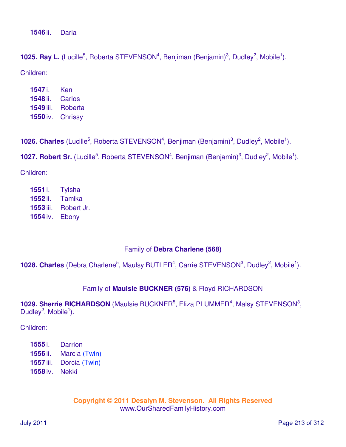**1546** ii. Darla

**1025. Ray L.** (Lucille<sup>5</sup>, Roberta STEVENSON<sup>4</sup>, Benjiman (Benjamin)<sup>3</sup>, Dudley<sup>2</sup>, Mobile<sup>1</sup>). Children:

| 1547 i.   | Ken     |
|-----------|---------|
| 1548 ii.  | Carlos  |
| 1549 iii. | Roberta |
| 1550 iv.  | Chrissy |

**1026. Charles** (Lucille<sup>5</sup>, Roberta STEVENSON<sup>4</sup>, Benjiman (Benjamin)<sup>3</sup>, Dudley<sup>2</sup>, Mobile<sup>1</sup>).

**1027. Robert Sr.** (Lucille<sup>5</sup>, Roberta STEVENSON<sup>4</sup>, Benjiman (Benjamin)<sup>3</sup>, Dudley<sup>2</sup>, Mobile<sup>1</sup>).

Children:

 i. Tyisha ii. Tamika iii. Robert Jr. iv. Ebony

### Family of **Debra Charlene (568)**

**1028. Charles** (Debra Charlene<sup>5</sup>, Maulsy BUTLER<sup>4</sup>, Carrie STEVENSON<sup>3</sup>, Dudley<sup>2</sup>, Mobile<sup>1</sup>).

### Family of **Maulsie BUCKNER (576)** & Floyd RICHARDSON

1029. Sherrie RICHARDSON (Maulsie BUCKNER<sup>5</sup>, Eliza PLUMMER<sup>4</sup>, Malsy STEVENSON<sup>3</sup>, Dudley<sup>2</sup>, Mobile<sup>1</sup>).

Children:

 i. Darrion ii. Marcia (Twin) iii. Dorcia (Twin) iv. Nekki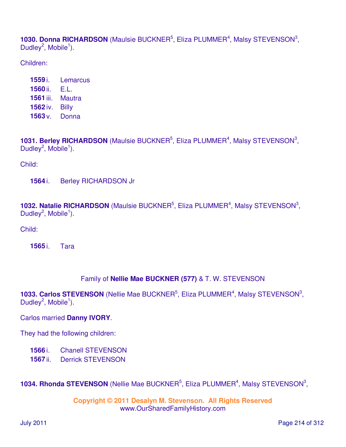1030. Donna RICHARDSON (Maulsie BUCKNER<sup>5</sup>, Eliza PLUMMER<sup>4</sup>, Malsy STEVENSON<sup>3</sup>, Dudley<sup>2</sup>, Mobile<sup>1</sup>).

Children:

 i. Lemarcus ii. E.L. iii. Mautra iv. Billy v. Donna

**1031. Berley RICHARDSON** (Maulsie BUCKNER<sup>5</sup>, Eliza PLUMMER<sup>4</sup>, Malsy STEVENSON<sup>3</sup>, Dudley<sup>2</sup>, Mobile<sup>1</sup>).

Child:

**1564** i. Berley RICHARDSON Jr

**1032. Natalie RICHARDSON** (Maulsie BUCKNER<sup>5</sup>, Eliza PLUMMER<sup>4</sup>, Malsy STEVENSON<sup>3</sup>, Dudley<sup>2</sup>, Mobile<sup>1</sup>).

Child:

**1565** i. Tara

### Family of **Nellie Mae BUCKNER (577)** & T. W. STEVENSON

1033. Carlos STEVENSON (Nellie Mae BUCKNER<sup>5</sup>, Eliza PLUMMER<sup>4</sup>, Malsy STEVENSON<sup>3</sup>, Dudley<sup>2</sup>, Mobile<sup>1</sup>).

### Carlos married **Danny IVORY**.

They had the following children:

**1566** i. Chanell STEVENSON

**1567** ii. Derrick STEVENSON

1034. Rhonda STEVENSON (Nellie Mae BUCKNER<sup>5</sup>, Eliza PLUMMER<sup>4</sup>, Malsy STEVENSON<sup>3</sup>,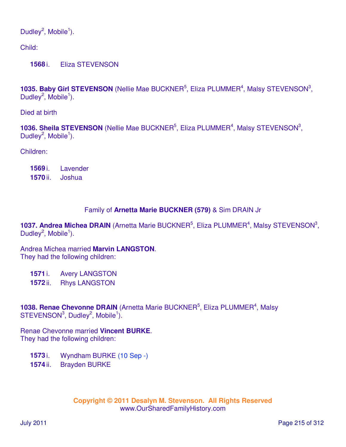Dudley<sup>2</sup>, Mobile<sup>1</sup>).

Child:

**1568** i. Eliza STEVENSON

1035. Baby Girl STEVENSON (Nellie Mae BUCKNER<sup>5</sup>, Eliza PLUMMER<sup>4</sup>, Malsy STEVENSON<sup>3</sup>, Dudley<sup>2</sup>, Mobile<sup>1</sup>).

Died at birth

**1036. Sheila STEVENSON** (Nellie Mae BUCKNER<sup>5</sup>, Eliza PLUMMER<sup>4</sup>, Malsy STEVENSON<sup>3</sup>, Dudley<sup>2</sup>, Mobile<sup>1</sup>).

Children:

**1569** i. Lavender **1570** ii. Joshua

### Family of **Arnetta Marie BUCKNER (579)** & Sim DRAIN Jr

1037. Andrea Michea DRAIN (Arnetta Marie BUCKNER<sup>5</sup>, Eliza PLUMMER<sup>4</sup>, Malsy STEVENSON<sup>3</sup>, Dudley<sup>2</sup>, Mobile<sup>1</sup>).

Andrea Michea married **Marvin LANGSTON**. They had the following children:

**1571** i. Avery LANGSTON

**1572** ii. Rhys LANGSTON

**1038. Renae Chevonne DRAIN** (Arnetta Marie BUCKNER<sup>5</sup>, Eliza PLUMMER<sup>4</sup>, Malsy  $STEVENSON<sup>3</sup>$ , Dudley<sup>2</sup>, Mobile<sup>1</sup>).

Renae Chevonne married **Vincent BURKE**. They had the following children:

- **1573** i. Wyndham BURKE (10 Sep -)
- **1574** ii. Brayden BURKE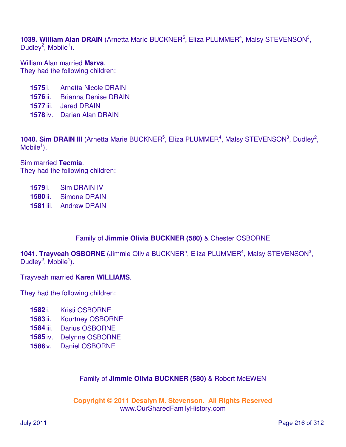1039. William Alan DRAIN (Arnetta Marie BUCKNER<sup>5</sup>, Eliza PLUMMER<sup>4</sup>, Malsy STEVENSON<sup>3</sup>, Dudley<sup>2</sup>, Mobile<sup>1</sup>).

William Alan married **Marva**. They had the following children:

- **1575** i. Arnetta Nicole DRAIN
- **1576** ii. Brianna Denise DRAIN
- **1577** iii. Jared DRAIN
- **1578** iv. Darian Alan DRAIN

**1040. Sim DRAIN III** (Arnetta Marie BUCKNER<sup>5</sup>, Eliza PLUMMER<sup>4</sup>, Malsy STEVENSON<sup>3</sup>, Dudley<sup>2</sup>,  $M$ obile<sup>1</sup>).

Sim married **Tecmia**. They had the following children:

- **1579** i. Sim DRAIN IV
- **1580** ii. Simone DRAIN
- **1581** iii. Andrew DRAIN

### Family of **Jimmie Olivia BUCKNER (580)** & Chester OSBORNE

1041. Trayveah OSBORNE (Jimmie Olivia BUCKNER<sup>5</sup>, Eliza PLUMMER<sup>4</sup>, Malsy STEVENSON<sup>3</sup>, Dudley<sup>2</sup>, Mobile<sup>1</sup>).

Trayveah married **Karen WILLIAMS**.

They had the following children:

- **1582** i. Kristi OSBORNE
- **1583** ii. Kourtney OSBORNE
- **1584** iii. Darius OSBORNE
- **1585** iv. Delynne OSBORNE
- **1586** v. Daniel OSBORNE

### Family of **Jimmie Olivia BUCKNER (580)** & Robert McEWEN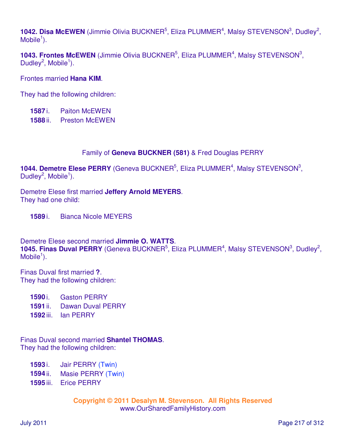1042. Disa McEWEN (Jimmie Olivia BUCKNER<sup>5</sup>, Eliza PLUMMER<sup>4</sup>, Malsy STEVENSON<sup>3</sup>, Dudley<sup>2</sup>,  $M$ obile<sup>1</sup>).

**1043. Frontes McEWEN** (Jimmie Olivia BUCKNER<sup>5</sup>, Eliza PLUMMER<sup>4</sup>, Malsy STEVENSON<sup>3</sup>, Dudley<sup>2</sup>, Mobile<sup>1</sup>).

Frontes married **Hana KIM**.

They had the following children:

**1587** i. Paiton McEWEN

**1588** ii. Preston McEWEN

#### Family of **Geneva BUCKNER (581)** & Fred Douglas PERRY

**1044. Demetre Elese PERRY** (Geneva BUCKNER<sup>5</sup>, Eliza PLUMMER<sup>4</sup>, Malsy STEVENSON<sup>3</sup>, Dudley<sup>2</sup>, Mobile<sup>1</sup>).

Demetre Elese first married **Jeffery Arnold MEYERS**. They had one child:

**1589** i. Bianca Nicole MEYERS

Demetre Elese second married **Jimmie O. WATTS**. **1045. Finas Duval PERRY** (Geneva BUCKNER<sup>5</sup>, Eliza PLUMMER<sup>4</sup>, Malsy STEVENSON<sup>3</sup>, Dudley<sup>2</sup>,  $M$ obile<sup>1</sup>).

Finas Duval first married **?**. They had the following children:

- **1590** i. Gaston PERRY
- **1591** ii. Dawan Duval PERRY
- **1592** iii. Ian PERRY

Finas Duval second married **Shantel THOMAS**. They had the following children:

- **1593** i. Jair PERRY (Twin)
- **1594** ii. Masie PERRY (Twin)
- **1595** iii. Erice PERRY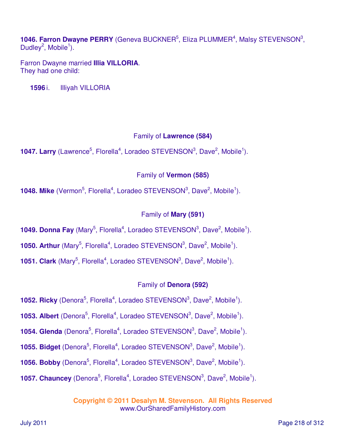1046. Farron Dwayne PERRY (Geneva BUCKNER<sup>5</sup>, Eliza PLUMMER<sup>4</sup>, Malsy STEVENSON<sup>3</sup>, Dudley<sup>2</sup>, Mobile<sup>1</sup>).

Farron Dwayne married **Illia VILLORIA**. They had one child:

**1596** i. Illiyah VILLORIA

### Family of **Lawrence (584)**

**1047. Larry** (Lawrence<sup>5</sup>, Florella<sup>4</sup>, Loradeo STEVENSON<sup>3</sup>, Dave<sup>2</sup>, Mobile<sup>1</sup>).

## Family of **Vermon (585)**

**1048. Mike** (Vermon<sup>5</sup>, Florella<sup>4</sup>, Loradeo STEVENSON<sup>3</sup>, Dave<sup>2</sup>, Mobile<sup>1</sup>).

## Family of **Mary (591)**

**1049. Donna Fay** (Mary<sup>5</sup>, Florella<sup>4</sup>, Loradeo STEVENSON<sup>3</sup>, Dave<sup>2</sup>, Mobile<sup>1</sup>).

**1050. Arthur** (Mary<sup>5</sup>, Florella<sup>4</sup>, Loradeo STEVENSON<sup>3</sup>, Dave<sup>2</sup>, Mobile<sup>1</sup>).

**1051. Clark** (Mary<sup>5</sup>, Florella<sup>4</sup>, Loradeo STEVENSON<sup>3</sup>, Dave<sup>2</sup>, Mobile<sup>1</sup>).

## Family of **Denora (592)**

**1052. Ricky** (Denora<sup>5</sup>, Florella<sup>4</sup>, Loradeo STEVENSON<sup>3</sup>, Dave<sup>2</sup>, Mobile<sup>1</sup>).

**1053. Albert** (Denora<sup>5</sup>, Florella<sup>4</sup>, Loradeo STEVENSON<sup>3</sup>, Dave<sup>2</sup>, Mobile<sup>1</sup>).

**1054. Glenda** (Denora<sup>5</sup>, Florella<sup>4</sup>, Loradeo STEVENSON<sup>3</sup>, Dave<sup>2</sup>, Mobile<sup>1</sup>).

**1055. Bidget** (Denora<sup>5</sup>, Florella<sup>4</sup>, Loradeo STEVENSON<sup>3</sup>, Dave<sup>2</sup>, Mobile<sup>1</sup>).

**1056. Bobby** (Denora<sup>5</sup>, Florella<sup>4</sup>, Loradeo STEVENSON<sup>3</sup>, Dave<sup>2</sup>, Mobile<sup>1</sup>).

**1057. Chauncey** (Denora<sup>5</sup>, Florella<sup>4</sup>, Loradeo STEVENSON<sup>3</sup>, Dave<sup>2</sup>, Mobile<sup>1</sup>).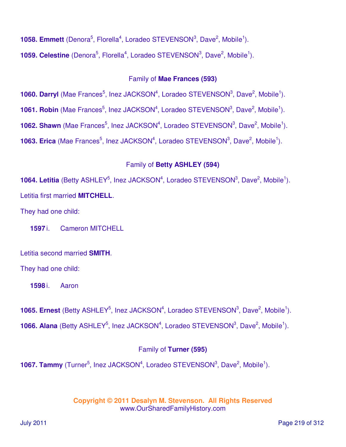**1058. Emmett** (Denora<sup>5</sup>, Florella<sup>4</sup>, Loradeo STEVENSON<sup>3</sup>, Dave<sup>2</sup>, Mobile<sup>1</sup>).

**1059. Celestine** (Denora<sup>5</sup>, Florella<sup>4</sup>, Loradeo STEVENSON<sup>3</sup>, Dave<sup>2</sup>, Mobile<sup>1</sup>).

#### Family of **Mae Frances (593)**

**1060. Darryl** (Mae Frances<sup>5</sup>, Inez JACKSON<sup>4</sup>, Loradeo STEVENSON<sup>3</sup>, Dave<sup>2</sup>, Mobile<sup>1</sup>).

**1061. Robin** (Mae Frances<sup>5</sup>, Inez JACKSON<sup>4</sup>, Loradeo STEVENSON<sup>3</sup>, Dave<sup>2</sup>, Mobile<sup>1</sup>).

**1062. Shawn** (Mae Frances<sup>5</sup>, Inez JACKSON<sup>4</sup>, Loradeo STEVENSON<sup>3</sup>, Dave<sup>2</sup>, Mobile<sup>1</sup>).

**1063. Erica** (Mae Frances<sup>5</sup>, Inez JACKSON<sup>4</sup>, Loradeo STEVENSON<sup>3</sup>, Dave<sup>2</sup>, Mobile<sup>1</sup>).

## Family of **Betty ASHLEY (594)**

**1064. Letitia** (Betty ASHLEY<sup>5</sup>, Inez JACKSON<sup>4</sup>, Loradeo STEVENSON<sup>3</sup>, Dave<sup>2</sup>, Mobile<sup>1</sup>). Letitia first married **MITCHELL**.

They had one child:

**1597** i. Cameron MITCHELL

Letitia second married **SMITH**.

They had one child:

**1598** i. Aaron

**1065. Ernest** (Betty ASHLEY<sup>5</sup>, Inez JACKSON<sup>4</sup>, Loradeo STEVENSON<sup>3</sup>, Dave<sup>2</sup>, Mobile<sup>1</sup>). **1066. Alana** (Betty ASHLEY<sup>5</sup>, Inez JACKSON<sup>4</sup>, Loradeo STEVENSON<sup>3</sup>, Dave<sup>2</sup>, Mobile<sup>1</sup>).

## Family of **Turner (595)**

**1067. Tammy** (Turner<sup>5</sup>, Inez JACKSON<sup>4</sup>, Loradeo STEVENSON<sup>3</sup>, Dave<sup>2</sup>, Mobile<sup>1</sup>).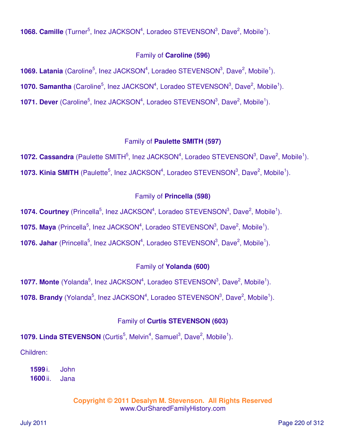**1068. Camille** (Turner<sup>5</sup>, Inez JACKSON<sup>4</sup>, Loradeo STEVENSON<sup>3</sup>, Dave<sup>2</sup>, Mobile<sup>1</sup>).

## Family of **Caroline (596)**

**1069. Latania** (Caroline<sup>5</sup>, Inez JACKSON<sup>4</sup>, Loradeo STEVENSON<sup>3</sup>, Dave<sup>2</sup>, Mobile<sup>1</sup>).

**1070. Samantha** (Caroline<sup>5</sup>, Inez JACKSON<sup>4</sup>, Loradeo STEVENSON<sup>3</sup>, Dave<sup>2</sup>, Mobile<sup>1</sup>).

**1071. Dever** (Caroline<sup>5</sup>, Inez JACKSON<sup>4</sup>, Loradeo STEVENSON<sup>3</sup>, Dave<sup>2</sup>, Mobile<sup>1</sup>).

## Family of **Paulette SMITH (597)**

**1072. Cassandra** (Paulette SMITH<sup>5</sup>, Inez JACKSON<sup>4</sup>, Loradeo STEVENSON<sup>3</sup>, Dave<sup>2</sup>, Mobile<sup>1</sup>). **1073. Kinia SMITH** (Paulette<sup>5</sup>, Inez JACKSON<sup>4</sup>, Loradeo STEVENSON<sup>3</sup>, Dave<sup>2</sup>, Mobile<sup>1</sup>).

## Family of **Princella (598)**

**1074. Courtney** (Princella<sup>5</sup>, Inez JACKSON<sup>4</sup>, Loradeo STEVENSON<sup>3</sup>, Dave<sup>2</sup>, Mobile<sup>1</sup>).

**1075. Maya** (Princella<sup>5</sup>, Inez JACKSON<sup>4</sup>, Loradeo STEVENSON<sup>3</sup>, Dave<sup>2</sup>, Mobile<sup>1</sup>).

**1076. Jahar** (Princella<sup>5</sup>, Inez JACKSON<sup>4</sup>, Loradeo STEVENSON<sup>3</sup>, Dave<sup>2</sup>, Mobile<sup>1</sup>).

## Family of **Yolanda (600)**

**1077. Monte** (Yolanda<sup>5</sup>, Inez JACKSON<sup>4</sup>, Loradeo STEVENSON<sup>3</sup>, Dave<sup>2</sup>, Mobile<sup>1</sup>).

**1078. Brandy** (Yolanda<sup>5</sup>, Inez JACKSON<sup>4</sup>, Loradeo STEVENSON<sup>3</sup>, Dave<sup>2</sup>, Mobile<sup>1</sup>).

## Family of **Curtis STEVENSON (603)**

**1079. Linda STEVENSON** (Curtis<sup>5</sup>, Melvin<sup>4</sup>, Samuel<sup>3</sup>, Dave<sup>2</sup>, Mobile<sup>1</sup>).

Children:

**1599** i. John **1600** ii. Jana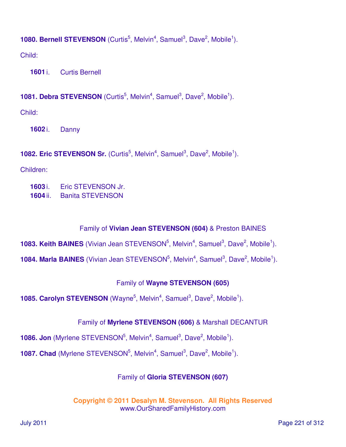## **1080. Bernell STEVENSON** (Curtis<sup>5</sup>, Melvin<sup>4</sup>, Samuel<sup>3</sup>, Dave<sup>2</sup>, Mobile<sup>1</sup>).

Child:

**1601** i. Curtis Bernell

## **1081. Debra STEVENSON** (Curtis<sup>5</sup>, Melvin<sup>4</sup>, Samuel<sup>3</sup>, Dave<sup>2</sup>, Mobile<sup>1</sup>).

Child:

**1602** i. Danny

**1082. Eric STEVENSON Sr.** (Curtis<sup>5</sup>, Melvin<sup>4</sup>, Samuel<sup>3</sup>, Dave<sup>2</sup>, Mobile<sup>1</sup>).

Children:

- **1603** i. Eric STEVENSON Jr.
- **1604** ii. Banita STEVENSON

# Family of **Vivian Jean STEVENSON (604)** & Preston BAINES

**1083. Keith BAINES** (Vivian Jean STEVENSON<sup>5</sup>, Melvin<sup>4</sup>, Samuel<sup>3</sup>, Dave<sup>2</sup>, Mobile<sup>1</sup>).

**1084. Marla BAINES** (Vivian Jean STEVENSON<sup>5</sup>, Melvin<sup>4</sup>, Samuel<sup>3</sup>, Dave<sup>2</sup>, Mobile<sup>1</sup>).

# Family of **Wayne STEVENSON (605)**

**1085. Carolyn STEVENSON** (Wayne<sup>5</sup>, Melvin<sup>4</sup>, Samuel<sup>3</sup>, Dave<sup>2</sup>, Mobile<sup>1</sup>).

## Family of **Myrlene STEVENSON (606)** & Marshall DECANTUR

**1086. Jon** (Myrlene STEVENSON<sup>5</sup>, Melvin<sup>4</sup>, Samuel<sup>3</sup>, Dave<sup>2</sup>, Mobile<sup>1</sup>).

**1087. Chad** (Myrlene STEVENSON<sup>5</sup>, Melvin<sup>4</sup>, Samuel<sup>3</sup>, Dave<sup>2</sup>, Mobile<sup>1</sup>).

## Family of **Gloria STEVENSON (607)**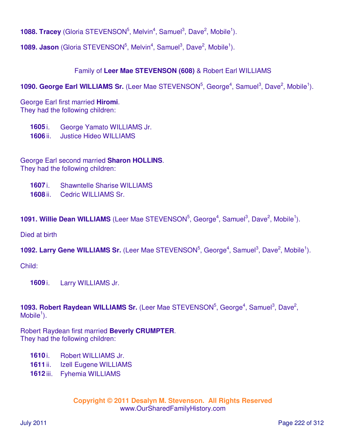**1088. Tracey** (Gloria STEVENSON<sup>5</sup>, Melvin<sup>4</sup>, Samuel<sup>3</sup>, Dave<sup>2</sup>, Mobile<sup>1</sup>).

**1089. Jason** (Gloria STEVENSON<sup>5</sup>, Melvin<sup>4</sup>, Samuel<sup>3</sup>, Dave<sup>2</sup>, Mobile<sup>1</sup>).

### Family of **Leer Mae STEVENSON (608)** & Robert Earl WILLIAMS

1090. George Earl WILLIAMS Sr. (Leer Mae STEVENSON<sup>5</sup>, George<sup>4</sup>, Samuel<sup>3</sup>, Dave<sup>2</sup>, Mobile<sup>1</sup>).

George Earl first married **Hiromi**. They had the following children:

**1605** i. George Yamato WILLIAMS Jr.

**1606** ii. Justice Hideo WILLIAMS

George Earl second married **Sharon HOLLINS**. They had the following children:

- **1607** i. Shawntelle Sharise WILLIAMS
- **1608** ii. Cedric WILLIAMS Sr.

**1091. Willie Dean WILLIAMS** (Leer Mae STEVENSON<sup>5</sup>, George<sup>4</sup>, Samuel<sup>3</sup>, Dave<sup>2</sup>, Mobile<sup>1</sup>).

Died at birth

**1092. Larry Gene WILLIAMS Sr.** (Leer Mae STEVENSON<sup>5</sup>, George<sup>4</sup>, Samuel<sup>3</sup>, Dave<sup>2</sup>, Mobile<sup>1</sup>).

Child:

**1609** i. Larry WILLIAMS Jr.

1093. Robert Raydean WILLIAMS Sr. (Leer Mae STEVENSON<sup>5</sup>, George<sup>4</sup>, Samuel<sup>3</sup>, Dave<sup>2</sup>,  $M$ obile<sup>1</sup>).

Robert Raydean first married **Beverly CRUMPTER**. They had the following children:

- **1610** i. Robert WILLIAMS Jr.
- **1611** ii. Izell Eugene WILLIAMS
- **1612** iii. Fyhemia WILLIAMS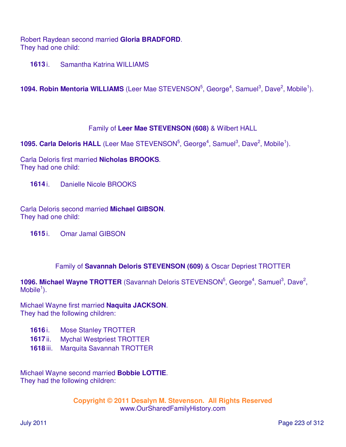Robert Raydean second married **Gloria BRADFORD**. They had one child:

**1613** i. Samantha Katrina WILLIAMS

**1094. Robin Mentoria WILLIAMS** (Leer Mae STEVENSON<sup>5</sup>, George<sup>4</sup>, Samuel<sup>3</sup>, Dave<sup>2</sup>, Mobile<sup>1</sup>).

### Family of **Leer Mae STEVENSON (608)** & Wilbert HALL

**1095. Carla Deloris HALL** (Leer Mae STEVENSON<sup>5</sup>, George<sup>4</sup>, Samuel<sup>3</sup>, Dave<sup>2</sup>, Mobile<sup>1</sup>).

Carla Deloris first married **Nicholas BROOKS**. They had one child:

**1614** i. Danielle Nicole BROOKS

Carla Deloris second married **Michael GIBSON**. They had one child:

**1615** i. Omar Jamal GIBSON

Family of **Savannah Deloris STEVENSON (609)** & Oscar Depriest TROTTER

1096. Michael Wayne TROTTER (Savannah Deloris STEVENSON<sup>5</sup>, George<sup>4</sup>, Samuel<sup>3</sup>, Dave<sup>2</sup>,  $M$ obile<sup>1</sup>).

Michael Wayne first married **Naquita JACKSON**. They had the following children:

- **1616** i. Mose Stanley TROTTER
- **1617** ii. Mychal Westpriest TROTTER
- **1618** iii. Marquita Savannah TROTTER

Michael Wayne second married **Bobbie LOTTIE**. They had the following children: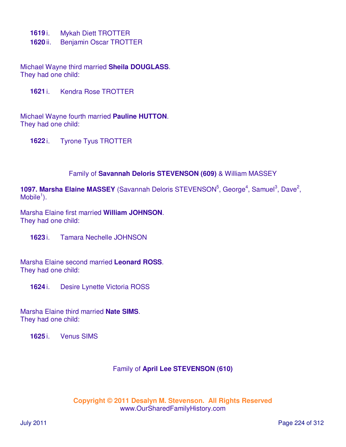- **1619** i. Mykah Diett TROTTER
- **1620** ii. Benjamin Oscar TROTTER

Michael Wayne third married **Sheila DOUGLASS**. They had one child:

**1621** i. Kendra Rose TROTTER

Michael Wayne fourth married **Pauline HUTTON**. They had one child:

**1622** i. Tyrone Tyus TROTTER

#### Family of **Savannah Deloris STEVENSON (609)** & William MASSEY

1097. Marsha Elaine MASSEY (Savannah Deloris STEVENSON<sup>5</sup>, George<sup>4</sup>, Samuel<sup>3</sup>, Dave<sup>2</sup>,  $M$ obile<sup>1</sup>).

Marsha Elaine first married **William JOHNSON**. They had one child:

**1623** i. Tamara Nechelle JOHNSON

Marsha Elaine second married **Leonard ROSS**. They had one child:

**1624** i. Desire Lynette Victoria ROSS

Marsha Elaine third married **Nate SIMS**. They had one child:

**1625** i. Venus SIMS

#### Family of **April Lee STEVENSON (610)**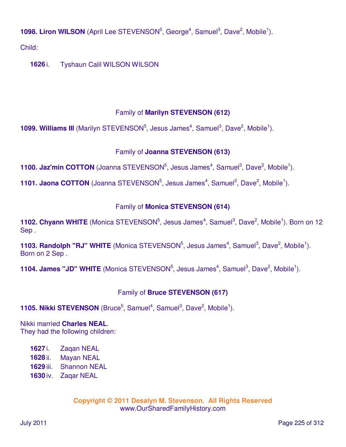**1098. Liron WILSON** (April Lee STEVENSON<sup>5</sup>, George<sup>4</sup>, Samuel<sup>3</sup>, Dave<sup>2</sup>, Mobile<sup>1</sup>).

Child:

**1626** i. Tyshaun Calil WILSON WILSON

# Family of **Marilyn STEVENSON (612)**

**1099. Williams III** (Marilyn STEVENSON<sup>5</sup>, Jesus James<sup>4</sup>, Samuel<sup>3</sup>, Dave<sup>2</sup>, Mobile<sup>1</sup>).

# Family of **Joanna STEVENSON (613)**

**1100. Jaz'min COTTON** (Joanna STEVENSON<sup>5</sup>, Jesus James<sup>4</sup>, Samuel<sup>3</sup>, Dave<sup>2</sup>, Mobile<sup>1</sup>).

**1101. Jaona COTTON** (Joanna STEVENSON<sup>5</sup>, Jesus James<sup>4</sup>, Samuel<sup>3</sup>, Dave<sup>2</sup>, Mobile<sup>1</sup>).

## Family of **Monica STEVENSON (614)**

**1102. Chyann WHITE** (Monica STEVENSON<sup>5</sup>, Jesus James<sup>4</sup>, Samuel<sup>3</sup>, Dave<sup>2</sup>, Mobile<sup>1</sup>). Born on 12 Sep .

**1103. Randolph "RJ" WHITE** (Monica STEVENSON<sup>5</sup>, Jesus James<sup>4</sup>, Samuel<sup>3</sup>, Dave<sup>2</sup>, Mobile<sup>1</sup>). Born on 2 Sep .

**1104. James "JD" WHITE** (Monica STEVENSON<sup>5</sup>, Jesus James<sup>4</sup>, Samuel<sup>3</sup>, Dave<sup>2</sup>, Mobile<sup>1</sup>).

# Family of **Bruce STEVENSON (617)**

**1105. Nikki STEVENSON** (Bruce<sup>5</sup>, Samuel<sup>4</sup>, Samuel<sup>3</sup>, Dave<sup>2</sup>, Mobile<sup>1</sup>).

Nikki married **Charles NEAL**. They had the following children:

- **1627** i. Zaqan NEAL
- **1628** ii. Mayan NEAL
- **1629** iii. Shannon NEAL
- **1630** iv. Zaqar NEAL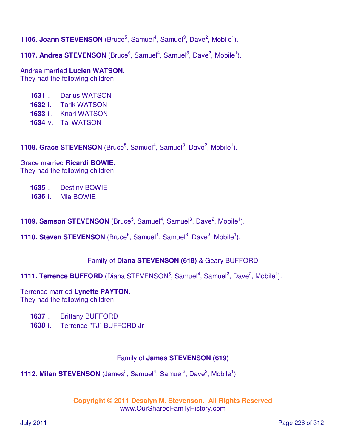**1106. Joann STEVENSON** (Bruce<sup>5</sup>, Samuel<sup>4</sup>, Samuel<sup>3</sup>, Dave<sup>2</sup>, Mobile<sup>1</sup>).

**1107. Andrea STEVENSON** (Bruce<sup>5</sup>, Samuel<sup>4</sup>, Samuel<sup>3</sup>, Dave<sup>2</sup>, Mobile<sup>1</sup>).

Andrea married **Lucien WATSON**. They had the following children:

- **1631** i. Darius WATSON
- **1632** ii. Tarik WATSON
- **1633** iii. Knari WATSON
- **1634** iv. Taj WATSON

**1108. Grace STEVENSON** (Bruce<sup>5</sup>, Samuel<sup>4</sup>, Samuel<sup>3</sup>, Dave<sup>2</sup>, Mobile<sup>1</sup>).

Grace married **Ricardi BOWIE**. They had the following children:

**1635** i. Destiny BOWIE **1636** ii. Mia BOWIE

- **1109. Samson STEVENSON** (Bruce<sup>5</sup>, Samuel<sup>4</sup>, Samuel<sup>3</sup>, Dave<sup>2</sup>, Mobile<sup>1</sup>).
- **1110. Steven STEVENSON** (Bruce<sup>5</sup>, Samuel<sup>4</sup>, Samuel<sup>3</sup>, Dave<sup>2</sup>, Mobile<sup>1</sup>).

#### Family of **Diana STEVENSON (618)** & Geary BUFFORD

**1111. Terrence BUFFORD** (Diana STEVENSON<sup>5</sup>, Samuel<sup>4</sup>, Samuel<sup>3</sup>, Dave<sup>2</sup>, Mobile<sup>1</sup>).

Terrence married **Lynette PAYTON**. They had the following children:

- **1637** i. Brittany BUFFORD
- **1638** ii. Terrence "TJ" BUFFORD Jr

#### Family of **James STEVENSON (619)**

**1112. Milan STEVENSON** (James<sup>5</sup>, Samuel<sup>4</sup>, Samuel<sup>3</sup>, Dave<sup>2</sup>, Mobile<sup>1</sup>).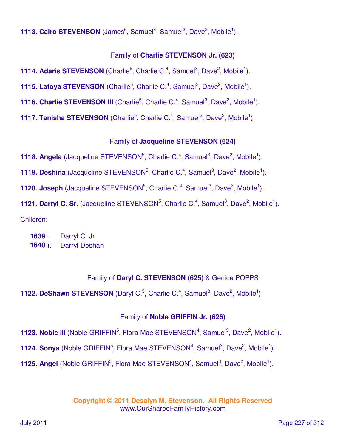**1113. Cairo STEVENSON** (James<sup>5</sup>, Samuel<sup>4</sup>, Samuel<sup>3</sup>, Dave<sup>2</sup>, Mobile<sup>1</sup>).

### Family of **Charlie STEVENSON Jr. (623)**

**1114. Adaris STEVENSON** (Charlie<sup>5</sup>, Charlie C.<sup>4</sup>, Samuel<sup>3</sup>, Dave<sup>2</sup>, Mobile<sup>1</sup>).

**1115. Latoya STEVENSON** (Charlie<sup>5</sup>, Charlie C.<sup>4</sup>, Samuel<sup>3</sup>, Dave<sup>2</sup>, Mobile<sup>1</sup>).

**1116. Charlie STEVENSON III** (Charlie<sup>5</sup>, Charlie C.<sup>4</sup>, Samuel<sup>3</sup>, Dave<sup>2</sup>, Mobile<sup>1</sup>).

**1117. Tanisha STEVENSON** (Charlie<sup>5</sup>, Charlie C.<sup>4</sup>, Samuel<sup>3</sup>, Dave<sup>2</sup>, Mobile<sup>1</sup>).

#### Family of **Jacqueline STEVENSON (624)**

**1118. Angela** (Jacqueline STEVENSON<sup>5</sup>, Charlie C.<sup>4</sup>, Samuel<sup>3</sup>, Dave<sup>2</sup>, Mobile<sup>1</sup>).

**1119. Deshina** (Jacqueline STEVENSON<sup>5</sup>, Charlie C.<sup>4</sup>, Samuel<sup>3</sup>, Dave<sup>2</sup>, Mobile<sup>1</sup>).

**1120. Joseph** (Jacqueline STEVENSON<sup>5</sup>, Charlie C.<sup>4</sup>, Samuel<sup>3</sup>, Dave<sup>2</sup>, Mobile<sup>1</sup>).

**1121. Darryl C. Sr.** (Jacqueline STEVENSON<sup>5</sup>, Charlie C.<sup>4</sup>, Samuel<sup>3</sup>, Dave<sup>2</sup>, Mobile<sup>1</sup>).

Children:

**1639** i. Darryl C. Jr **1640** ii. Darryl Deshan

#### Family of **Daryl C. STEVENSON (625)** & Genice POPPS

**1122. DeShawn STEVENSON** (Daryl C.<sup>5</sup>, Charlie C.<sup>4</sup>, Samuel<sup>3</sup>, Dave<sup>2</sup>, Mobile<sup>1</sup>).

#### Family of **Noble GRIFFIN Jr. (626)**

**1123. Noble III** (Noble GRIFFIN<sup>5</sup>, Flora Mae STEVENSON<sup>4</sup>, Samuel<sup>3</sup>, Dave<sup>2</sup>, Mobile<sup>1</sup>).

**1124. Sonya** (Noble GRIFFIN<sup>5</sup>, Flora Mae STEVENSON<sup>4</sup>, Samuel<sup>3</sup>, Dave<sup>2</sup>, Mobile<sup>1</sup>).

**1125. Angel** (Noble GRIFFIN<sup>5</sup>, Flora Mae STEVENSON<sup>4</sup>, Samuel<sup>3</sup>, Dave<sup>2</sup>, Mobile<sup>1</sup>).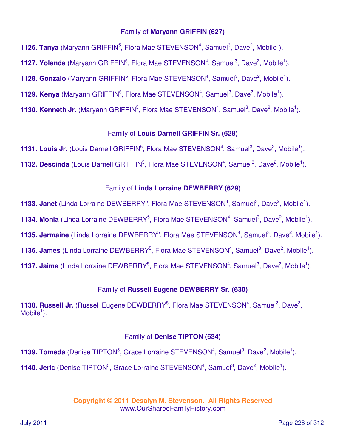#### Family of **Maryann GRIFFIN (627)**

**1126. Tanya** (Maryann GRIFFIN<sup>5</sup>, Flora Mae STEVENSON<sup>4</sup>, Samuel<sup>3</sup>, Dave<sup>2</sup>, Mobile<sup>1</sup>).

**1127. Yolanda** (Maryann GRIFFIN<sup>5</sup>, Flora Mae STEVENSON<sup>4</sup>, Samuel<sup>3</sup>, Dave<sup>2</sup>, Mobile<sup>1</sup>).

**1128. Gonzalo** (Maryann GRIFFIN<sup>5</sup>, Flora Mae STEVENSON<sup>4</sup>, Samuel<sup>3</sup>, Dave<sup>2</sup>, Mobile<sup>1</sup>).

**1129. Kenya** (Maryann GRIFFIN<sup>5</sup>, Flora Mae STEVENSON<sup>4</sup>, Samuel<sup>3</sup>, Dave<sup>2</sup>, Mobile<sup>1</sup>).

**1130. Kenneth Jr.** (Maryann GRIFFIN<sup>5</sup>, Flora Mae STEVENSON<sup>4</sup>, Samuel<sup>3</sup>, Dave<sup>2</sup>, Mobile<sup>1</sup>).

### Family of **Louis Darnell GRIFFIN Sr. (628)**

**1131. Louis Jr.** (Louis Darnell GRIFFIN<sup>5</sup>, Flora Mae STEVENSON<sup>4</sup>, Samuel<sup>3</sup>, Dave<sup>2</sup>, Mobile<sup>1</sup>).

**1132. Descinda** (Louis Darnell GRIFFIN<sup>5</sup>, Flora Mae STEVENSON<sup>4</sup>, Samuel<sup>3</sup>, Dave<sup>2</sup>, Mobile<sup>1</sup>).

#### Family of **Linda Lorraine DEWBERRY (629)**

**1133. Janet** (Linda Lorraine DEWBERRY<sup>5</sup>, Flora Mae STEVENSON<sup>4</sup>, Samuel<sup>3</sup>, Dave<sup>2</sup>, Mobile<sup>1</sup>). **1134. Monia** (Linda Lorraine DEWBERRY<sup>5</sup>, Flora Mae STEVENSON<sup>4</sup>, Samuel<sup>3</sup>, Dave<sup>2</sup>, Mobile<sup>1</sup>). **1135. Jermaine** (Linda Lorraine DEWBERRY<sup>5</sup>, Flora Mae STEVENSON<sup>4</sup>, Samuel<sup>3</sup>, Dave<sup>2</sup>, Mobile<sup>1</sup>). **1136. James** (Linda Lorraine DEWBERRY<sup>5</sup>, Flora Mae STEVENSON<sup>4</sup>, Samuel<sup>3</sup>, Dave<sup>2</sup>, Mobile<sup>1</sup>). **1137. Jaime** (Linda Lorraine DEWBERRY<sup>5</sup>, Flora Mae STEVENSON<sup>4</sup>, Samuel<sup>3</sup>, Dave<sup>2</sup>, Mobile<sup>1</sup>).

## Family of **Russell Eugene DEWBERRY Sr. (630)**

1138. Russell Jr. (Russell Eugene DEWBERRY<sup>5</sup>, Flora Mae STEVENSON<sup>4</sup>, Samuel<sup>3</sup>, Dave<sup>2</sup>,  $M$ obile<sup>1</sup>).

#### Family of **Denise TIPTON (634)**

**1139. Tomeda** (Denise TIPTON<sup>5</sup>, Grace Lorraine STEVENSON<sup>4</sup>, Samuel<sup>3</sup>, Dave<sup>2</sup>, Mobile<sup>1</sup>). **1140. Jeric** (Denise TIPTON<sup>5</sup>, Grace Lorraine STEVENSON<sup>4</sup>, Samuel<sup>3</sup>, Dave<sup>2</sup>, Mobile<sup>1</sup>).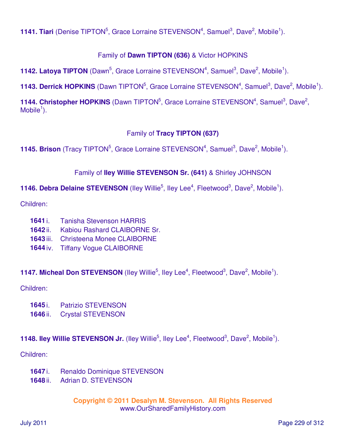**1141. Tiari** (Denise TIPTON<sup>5</sup>, Grace Lorraine STEVENSON<sup>4</sup>, Samuel<sup>3</sup>, Dave<sup>2</sup>, Mobile<sup>1</sup>).

## Family of **Dawn TIPTON (636)** & Victor HOPKINS

**1142. Latoya TIPTON** (Dawn<sup>5</sup>, Grace Lorraine STEVENSON<sup>4</sup>, Samuel<sup>3</sup>, Dave<sup>2</sup>, Mobile<sup>1</sup>).

**1143. Derrick HOPKINS** (Dawn TIPTON<sup>5</sup>, Grace Lorraine STEVENSON<sup>4</sup>, Samuel<sup>3</sup>, Dave<sup>2</sup>, Mobile<sup>1</sup>).

1144. Christopher HOPKINS (Dawn TIPTON<sup>5</sup>, Grace Lorraine STEVENSON<sup>4</sup>, Samuel<sup>3</sup>, Dave<sup>2</sup>,  $M$ obile<sup>1</sup>).

## Family of **Tracy TIPTON (637)**

**1145. Brison** (Tracy TIPTON<sup>5</sup>, Grace Lorraine STEVENSON<sup>4</sup>, Samuel<sup>3</sup>, Dave<sup>2</sup>, Mobile<sup>1</sup>).

### Family of **Iley Willie STEVENSON Sr. (641)** & Shirley JOHNSON

**1146. Debra Delaine STEVENSON** (Iley Willie<sup>5</sup>, Iley Lee<sup>4</sup>, Fleetwood<sup>3</sup>, Dave<sup>2</sup>, Mobile<sup>1</sup>).

Children:

- **1641** i. Tanisha Stevenson HARRIS
- **1642** ii. Kabiou Rashard CLAIBORNE Sr.
- **1643** iii. Christeena Monee CLAIBORNE
- **1644** iv. Tiffany Vogue CLAIBORNE

**1147. Micheal Don STEVENSON** (Iley Willie<sup>5</sup>, Iley Lee<sup>4</sup>, Fleetwood<sup>3</sup>, Dave<sup>2</sup>, Mobile<sup>1</sup>).

#### Children:

- **1645** i. Patrizio STEVENSON
- **1646** ii. Crystal STEVENSON

## **1148. Iley Willie STEVENSON Jr.** (Iley Willie<sup>5</sup>, Iley Lee<sup>4</sup>, Fleetwood<sup>3</sup>, Dave<sup>2</sup>, Mobile<sup>1</sup>).

Children:

- **1647** i. Renaldo Dominique STEVENSON
- **1648** ii. Adrian D. STEVENSON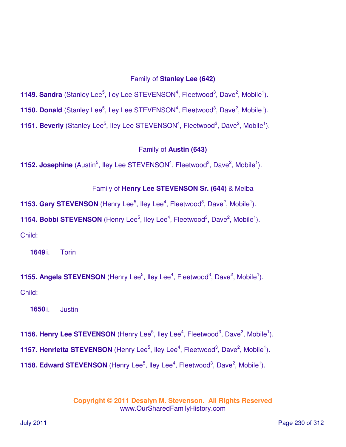#### Family of **Stanley Lee (642)**

**1149. Sandra** (Stanley Lee<sup>5</sup>, Iley Lee STEVENSON<sup>4</sup>, Fleetwood<sup>3</sup>, Dave<sup>2</sup>, Mobile<sup>1</sup>).

**1150. Donald** (Stanley Lee<sup>5</sup>, Iley Lee STEVENSON<sup>4</sup>, Fleetwood<sup>3</sup>, Dave<sup>2</sup>, Mobile<sup>1</sup>).

**1151. Beverly** (Stanley Lee<sup>5</sup>, Iley Lee STEVENSON<sup>4</sup>, Fleetwood<sup>3</sup>, Dave<sup>2</sup>, Mobile<sup>1</sup>).

Family of **Austin (643)**

**1152. Josephine** (Austin<sup>5</sup>, Iley Lee STEVENSON<sup>4</sup>, Fleetwood<sup>3</sup>, Dave<sup>2</sup>, Mobile<sup>1</sup>).

Family of **Henry Lee STEVENSON Sr. (644)** & Melba

**1153. Gary STEVENSON** (Henry Lee<sup>5</sup>, Iley Lee<sup>4</sup>, Fleetwood<sup>3</sup>, Dave<sup>2</sup>, Mobile<sup>1</sup>).

**1154. Bobbi STEVENSON** (Henry Lee<sup>5</sup>, Iley Lee<sup>4</sup>, Fleetwood<sup>3</sup>, Dave<sup>2</sup>, Mobile<sup>1</sup>).

Child:

**1649** i. Torin

**1155. Angela STEVENSON** (Henry Lee<sup>5</sup>, Iley Lee<sup>4</sup>, Fleetwood<sup>3</sup>, Dave<sup>2</sup>, Mobile<sup>1</sup>). Child:

**1650** i. Justin

**1156. Henry Lee STEVENSON** (Henry Lee<sup>5</sup>, Iley Lee<sup>4</sup>, Fleetwood<sup>3</sup>, Dave<sup>2</sup>, Mobile<sup>1</sup>). **1157. Henrietta STEVENSON** (Henry Lee<sup>5</sup>, Iley Lee<sup>4</sup>, Fleetwood<sup>3</sup>, Dave<sup>2</sup>, Mobile<sup>1</sup>). **1158. Edward STEVENSON** (Henry Lee<sup>5</sup>, lley Lee<sup>4</sup>, Fleetwood<sup>3</sup>, Dave<sup>2</sup>, Mobile<sup>1</sup>).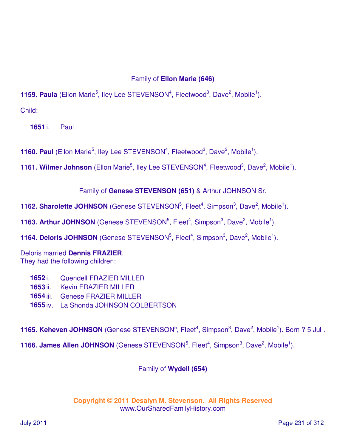## Family of **Ellon Marie (646)**

**1159. Paula** (Ellon Marie<sup>5</sup>, Iley Lee STEVENSON<sup>4</sup>, Fleetwood<sup>3</sup>, Dave<sup>2</sup>, Mobile<sup>1</sup>). Child:

**1651** i. Paul

**1160. Paul** (Ellon Marie<sup>5</sup>, Iley Lee STEVENSON<sup>4</sup>, Fleetwood<sup>3</sup>, Dave<sup>2</sup>, Mobile<sup>1</sup>).

**1161. Wilmer Johnson** (Ellon Marie<sup>5</sup>, Iley Lee STEVENSON<sup>4</sup>, Fleetwood<sup>3</sup>, Dave<sup>2</sup>, Mobile<sup>1</sup>).

Family of **Genese STEVENSON (651)** & Arthur JOHNSON Sr.

**1162. Sharolette JOHNSON** (Genese STEVENSON<sup>5</sup>, Fleet<sup>4</sup>, Simpson<sup>3</sup>, Dave<sup>2</sup>, Mobile<sup>1</sup>).

**1163. Arthur JOHNSON** (Genese STEVENSON<sup>5</sup>, Fleet<sup>4</sup>, Simpson<sup>3</sup>, Dave<sup>2</sup>, Mobile<sup>1</sup>).

**1164. Deloris JOHNSON** (Genese STEVENSON<sup>5</sup>, Fleet<sup>4</sup>, Simpson<sup>3</sup>, Dave<sup>2</sup>, Mobile<sup>1</sup>).

Deloris married **Dennis FRAZIER**. They had the following children:

**1652** i. Quendell FRAZIER MILLER

- **1653** ii. Kevin FRAZIER MILLER
- **1654** iii. Genese FRAZIER MILLER
- **1655** iv. La Shonda JOHNSON COLBERTSON

**1165. Keheven JOHNSON** (Genese STEVENSON<sup>5</sup>, Fleet<sup>4</sup>, Simpson<sup>3</sup>, Dave<sup>2</sup>, Mobile<sup>1</sup>). Born ? 5 Jul.

**1166. James Allen JOHNSON** (Genese STEVENSON<sup>5</sup>, Fleet<sup>4</sup>, Simpson<sup>3</sup>, Dave<sup>2</sup>, Mobile<sup>1</sup>).

Family of **Wydell (654)**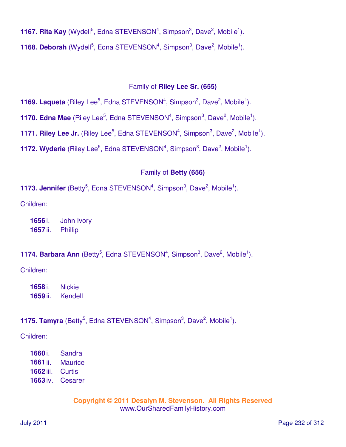**1167. Rita Kay** (Wydell<sup>5</sup>, Edna STEVENSON<sup>4</sup>, Simpson<sup>3</sup>, Dave<sup>2</sup>, Mobile<sup>1</sup>). **1168. Deborah** (Wydell<sup>5</sup>, Edna STEVENSON<sup>4</sup>, Simpson<sup>3</sup>, Dave<sup>2</sup>, Mobile<sup>1</sup>).

#### Family of **Riley Lee Sr. (655)**

**1169. Laqueta** (Riley Lee<sup>5</sup>, Edna STEVENSON<sup>4</sup>, Simpson<sup>3</sup>, Dave<sup>2</sup>, Mobile<sup>1</sup>).

**1170. Edna Mae** (Riley Lee<sup>5</sup>, Edna STEVENSON<sup>4</sup>, Simpson<sup>3</sup>, Dave<sup>2</sup>, Mobile<sup>1</sup>).

**1171. Riley Lee Jr.** (Riley Lee<sup>5</sup>, Edna STEVENSON<sup>4</sup>, Simpson<sup>3</sup>, Dave<sup>2</sup>, Mobile<sup>1</sup>).

**1172. Wyderie** (Riley Lee<sup>5</sup>, Edna STEVENSON<sup>4</sup>, Simpson<sup>3</sup>, Dave<sup>2</sup>, Mobile<sup>1</sup>).

#### Family of **Betty (656)**

**1173. Jennifer** (Betty<sup>5</sup>, Edna STEVENSON<sup>4</sup>, Simpson<sup>3</sup>, Dave<sup>2</sup>, Mobile<sup>1</sup>).

Children:

**1656** i. John Ivory **1657** ii. Phillip

### **1174. Barbara Ann** (Betty<sup>5</sup>, Edna STEVENSON<sup>4</sup>, Simpson<sup>3</sup>, Dave<sup>2</sup>, Mobile<sup>1</sup>).

Children:

**1658** i. Nickie **1659** ii. Kendell

**1175. Tamyra** (Betty<sup>5</sup>, Edna STEVENSON<sup>4</sup>, Simpson<sup>3</sup>, Dave<sup>2</sup>, Mobile<sup>1</sup>).

Children:

 i. Sandra ii. Maurice iii. Curtis iv. Cesarer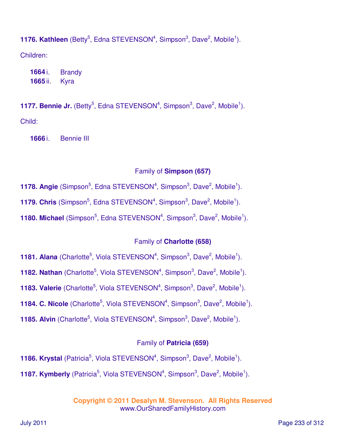**1176. Kathleen** (Betty<sup>5</sup>, Edna STEVENSON<sup>4</sup>, Simpson<sup>3</sup>, Dave<sup>2</sup>, Mobile<sup>1</sup>).

Children:

**1664** i. Brandy **1665** ii. Kyra

**1177. Bennie Jr.** (Betty<sup>5</sup>, Edna STEVENSON<sup>4</sup>, Simpson<sup>3</sup>, Dave<sup>2</sup>, Mobile<sup>1</sup>). Child:

**1666** i. Bennie III

## Family of **Simpson (657)**

- **1178. Angie** (Simpson<sup>5</sup>, Edna STEVENSON<sup>4</sup>, Simpson<sup>3</sup>, Dave<sup>2</sup>, Mobile<sup>1</sup>).
- **1179. Chris** (Simpson<sup>5</sup>, Edna STEVENSON<sup>4</sup>, Simpson<sup>3</sup>, Dave<sup>2</sup>, Mobile<sup>1</sup>).
- **1180. Michael** (Simpson<sup>5</sup>, Edna STEVENSON<sup>4</sup>, Simpson<sup>3</sup>, Dave<sup>2</sup>, Mobile<sup>1</sup>).

# Family of **Charlotte (658)**

- **1181. Alana** (Charlotte<sup>5</sup>, Viola STEVENSON<sup>4</sup>, Simpson<sup>3</sup>, Dave<sup>2</sup>, Mobile<sup>1</sup>).
- **1182. Nathan** (Charlotte<sup>5</sup>, Viola STEVENSON<sup>4</sup>, Simpson<sup>3</sup>, Dave<sup>2</sup>, Mobile<sup>1</sup>).
- **1183. Valerie** (Charlotte<sup>5</sup>, Viola STEVENSON<sup>4</sup>, Simpson<sup>3</sup>, Dave<sup>2</sup>, Mobile<sup>1</sup>).
- **1184. C. Nicole** (Charlotte<sup>5</sup>, Viola STEVENSON<sup>4</sup>, Simpson<sup>3</sup>, Dave<sup>2</sup>, Mobile<sup>1</sup>).
- **1185. Alvin** (Charlotte<sup>5</sup>, Viola STEVENSON<sup>4</sup>, Simpson<sup>3</sup>, Dave<sup>2</sup>, Mobile<sup>1</sup>).

# Family of **Patricia (659)**

- **1186. Krystal** (Patricia<sup>5</sup>, Viola STEVENSON<sup>4</sup>, Simpson<sup>3</sup>, Dave<sup>2</sup>, Mobile<sup>1</sup>).
- **1187. Kymberly** (Patricia<sup>5</sup>, Viola STEVENSON<sup>4</sup>, Simpson<sup>3</sup>, Dave<sup>2</sup>, Mobile<sup>1</sup>).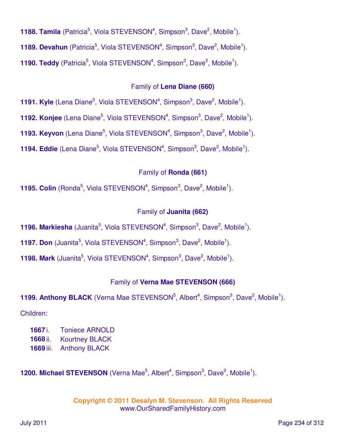**1188. Tamila** (Patricia<sup>5</sup>, Viola STEVENSON<sup>4</sup>, Simpson<sup>3</sup>, Dave<sup>2</sup>, Mobile<sup>1</sup>).

**1189. Devahun** (Patricia<sup>5</sup>, Viola STEVENSON<sup>4</sup>, Simpson<sup>3</sup>, Dave<sup>2</sup>, Mobile<sup>1</sup>).

**1190. Teddy** (Patricia<sup>5</sup>, Viola STEVENSON<sup>4</sup>, Simpson<sup>3</sup>, Dave<sup>2</sup>, Mobile<sup>1</sup>).

### Family of **Lena Diane (660)**

**1191. Kyle** (Lena Diane<sup>5</sup>, Viola STEVENSON<sup>4</sup>, Simpson<sup>3</sup>, Dave<sup>2</sup>, Mobile<sup>1</sup>).

**1192. Konjee** (Lena Diane<sup>5</sup>, Viola STEVENSON<sup>4</sup>, Simpson<sup>3</sup>, Dave<sup>2</sup>, Mobile<sup>1</sup>).

**1193. Keyvon** (Lena Diane<sup>5</sup>, Viola STEVENSON<sup>4</sup>, Simpson<sup>3</sup>, Dave<sup>2</sup>, Mobile<sup>1</sup>).

**1194. Eddie** (Lena Diane<sup>5</sup>, Viola STEVENSON<sup>4</sup>, Simpson<sup>3</sup>, Dave<sup>2</sup>, Mobile<sup>1</sup>).

### Family of **Ronda (661)**

**1195. Colin** (Ronda<sup>5</sup>, Viola STEVENSON<sup>4</sup>, Simpson<sup>3</sup>, Dave<sup>2</sup>, Mobile<sup>1</sup>).

### Family of **Juanita (662)**

**1196. Markiesha** (Juanita<sup>5</sup>, Viola STEVENSON<sup>4</sup>, Simpson<sup>3</sup>, Dave<sup>2</sup>, Mobile<sup>1</sup>).

**1197. Don** (Juanita<sup>5</sup>, Viola STEVENSON<sup>4</sup>, Simpson<sup>3</sup>, Dave<sup>2</sup>, Mobile<sup>1</sup>).

**1198. Mark** (Juanita<sup>5</sup>, Viola STEVENSON<sup>4</sup>, Simpson<sup>3</sup>, Dave<sup>2</sup>, Mobile<sup>1</sup>).

#### Family of **Verna Mae STEVENSON (666)**

**1199. Anthony BLACK** (Verna Mae STEVENSON<sup>5</sup>, Albert<sup>4</sup>, Simpson<sup>3</sup>, Dave<sup>2</sup>, Mobile<sup>1</sup>).

Children:

**1667** i. Toniece ARNOLD

- **1668** ii. Kourtney BLACK
- **1669** iii. Anthony BLACK

**1200. Michael STEVENSON** (Verna Mae<sup>5</sup>, Albert<sup>4</sup>, Simpson<sup>3</sup>, Dave<sup>2</sup>, Mobile<sup>1</sup>).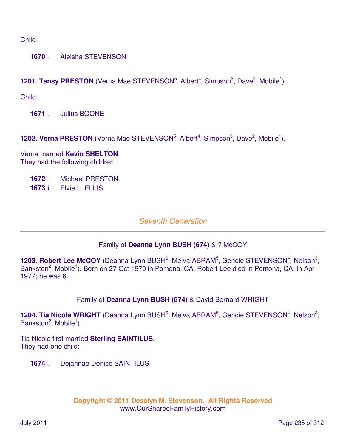Child:

**1670** i. Aleisha STEVENSON

**1201. Tansy PRESTON** (Verna Mae STEVENSON<sup>5</sup>, Albert<sup>4</sup>, Simpson<sup>3</sup>, Dave<sup>2</sup>, Mobile<sup>1</sup>).

Child:

**1671** i. Julius BOONE

**1202. Verna PRESTON** (Verna Mae STEVENSON<sup>5</sup>, Albert<sup>4</sup>, Simpson<sup>3</sup>, Dave<sup>2</sup>, Mobile<sup>1</sup>).

Verna married **Kevin SHELTON**. They had the following children:

**1672** i. Michael PRESTON

**1673** ii. Elvie L. ELLIS

## Seventh Generation

#### Family of **Deanna Lynn BUSH (674)** & ? McCOY

1203. Robert Lee McCOY (Deanna Lynn BUSH<sup>6</sup>, Melva ABRAM<sup>5</sup>, Gencie STEVENSON<sup>4</sup>, Nelson<sup>3</sup>, Bankston<sup>2</sup>, Mobile<sup>1</sup>). Born on 27 Oct 1970 in Pomona, CA. Robert Lee died in Pomona, CA, in Apr 1977; he was 6.

Family of **Deanna Lynn BUSH (674)** & David Bernard WRIGHT

1204. Tia Nicole WRIGHT (Deanna Lynn BUSH<sup>6</sup>, Melva ABRAM<sup>5</sup>, Gencie STEVENSON<sup>4</sup>, Nelson<sup>3</sup>, Bankston<sup>2</sup>, Mobile<sup>1</sup>).

Tia Nicole first married **Sterling SAINTILUS**. They had one child:

**1674** i. Dejahnae Denise SAINTILUS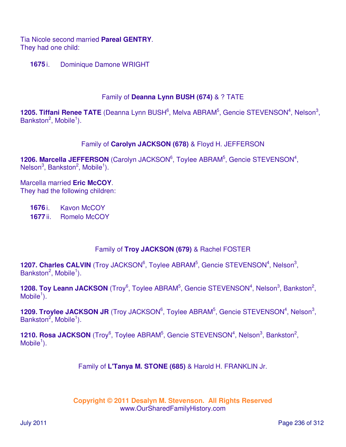Tia Nicole second married **Pareal GENTRY**. They had one child:

**1675** i. Dominique Damone WRIGHT

#### Family of **Deanna Lynn BUSH (674)** & ? TATE

1205. Tiffani Renee TATE (Deanna Lynn BUSH<sup>6</sup>, Melva ABRAM<sup>5</sup>, Gencie STEVENSON<sup>4</sup>, Nelson<sup>3</sup>, Bankston<sup>2</sup>, Mobile<sup>1</sup>).

### Family of **Carolyn JACKSON (678)** & Floyd H. JEFFERSON

1206. Marcella JEFFERSON (Carolyn JACKSON<sup>6</sup>, Toylee ABRAM<sup>5</sup>, Gencie STEVENSON<sup>4</sup>, Nelson<sup>3</sup>, Bankston<sup>2</sup>, Mobile<sup>1</sup>).

Marcella married **Eric McCOY**. They had the following children:

**1676** i. Kavon McCOY **1677** ii. Romelo McCOY

## Family of **Troy JACKSON (679)** & Rachel FOSTER

1207. Charles CALVIN (Troy JACKSON<sup>6</sup>, Toylee ABRAM<sup>5</sup>, Gencie STEVENSON<sup>4</sup>, Nelson<sup>3</sup>, Bankston<sup>2</sup>, Mobile<sup>1</sup>).

**1208. Toy Leann JACKSON** (Troy<sup>6</sup>, Toylee ABRAM<sup>5</sup>, Gencie STEVENSON<sup>4</sup>, Nelson<sup>3</sup>, Bankston<sup>2</sup>,  $M$ obile<sup>1</sup>).

1209. Troylee JACKSON JR (Troy JACKSON<sup>6</sup>, Toylee ABRAM<sup>5</sup>, Gencie STEVENSON<sup>4</sup>, Nelson<sup>3</sup>, Bankston<sup>2</sup>, Mobile<sup>1</sup>).

**1210. Rosa JACKSON** (Troy<sup>6</sup>, Toylee ABRAM<sup>5</sup>, Gencie STEVENSON<sup>4</sup>, Nelson<sup>3</sup>, Bankston<sup>2</sup>,  $M$ obile<sup>1</sup>).

Family of **L'Tanya M. STONE (685)** & Harold H. FRANKLIN Jr.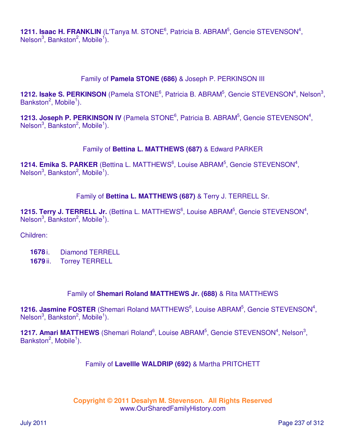1211. Isaac H. FRANKLIN (L'Tanya M. STONE<sup>6</sup>, Patricia B. ABRAM<sup>5</sup>, Gencie STEVENSON<sup>4</sup>, Nelson<sup>3</sup>, Bankston<sup>2</sup>, Mobile<sup>1</sup>).

### Family of **Pamela STONE (686)** & Joseph P. PERKINSON III

1212. Isake S. PERKINSON (Pamela STONE<sup>6</sup>, Patricia B. ABRAM<sup>5</sup>, Gencie STEVENSON<sup>4</sup>, Nelson<sup>3</sup>, Bankston<sup>2</sup>, Mobile<sup>1</sup>).

1213. Joseph P. PERKINSON IV (Pamela STONE<sup>6</sup>, Patricia B. ABRAM<sup>5</sup>, Gencie STEVENSON<sup>4</sup>,  $N$ elson<sup>3</sup>, Bankston<sup>2</sup>, Mobile<sup>1</sup>).

### Family of **Bettina L. MATTHEWS (687)** & Edward PARKER

1214. Emika S. PARKER (Bettina L. MATTHEWS<sup>6</sup>, Louise ABRAM<sup>5</sup>, Gencie STEVENSON<sup>4</sup>, Nelson<sup>3</sup>, Bankston<sup>2</sup>, Mobile<sup>1</sup>).

### Family of **Bettina L. MATTHEWS (687)** & Terry J. TERRELL Sr.

1215. Terry J. TERRELL Jr. (Bettina L. MATTHEWS<sup>6</sup>, Louise ABRAM<sup>5</sup>, Gencie STEVENSON<sup>4</sup>, Nelson<sup>3</sup>, Bankston<sup>2</sup>, Mobile<sup>1</sup>).

Children:

- **1678** i. Diamond TERRELL
- **1679** ii. Torrey TERRELL

#### Family of **Shemari Roland MATTHEWS Jr. (688)** & Rita MATTHEWS

1216. Jasmine FOSTER (Shemari Roland MATTHEWS<sup>6</sup>, Louise ABRAM<sup>5</sup>, Gencie STEVENSON<sup>4</sup>,  $Nelson<sup>3</sup>$ , Bankston<sup>2</sup>, Mobile<sup>1</sup>).

1217. Amari MATTHEWS (Shemari Roland<sup>6</sup>, Louise ABRAM<sup>5</sup>, Gencie STEVENSON<sup>4</sup>, Nelson<sup>3</sup>, Bankston<sup>2</sup>, Mobile<sup>1</sup>).

#### Family of **Lavellle WALDRIP (692)** & Martha PRITCHETT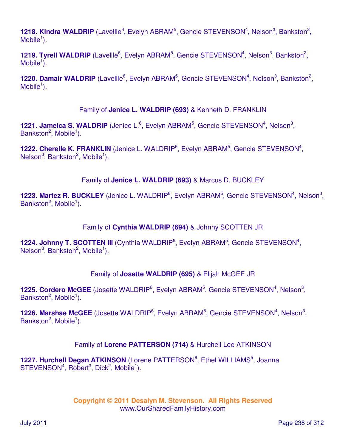1218. Kindra WALDRIP (Lavellle<sup>6</sup>, Evelyn ABRAM<sup>5</sup>, Gencie STEVENSON<sup>4</sup>, Nelson<sup>3</sup>, Bankston<sup>2</sup>,  $M$ obile<sup>1</sup>).

1219. Tyrell WALDRIP (Lavellle<sup>6</sup>, Evelyn ABRAM<sup>5</sup>, Gencie STEVENSON<sup>4</sup>, Nelson<sup>3</sup>, Bankston<sup>2</sup>, Mobile $\overline{1}$ ).

1220. Damair WALDRIP (Lavellle<sup>6</sup>, Evelyn ABRAM<sup>5</sup>, Gencie STEVENSON<sup>4</sup>, Nelson<sup>3</sup>, Bankston<sup>2</sup>,  $M$ obile<sup>1</sup>).

### Family of **Jenice L. WALDRIP (693)** & Kenneth D. FRANKLIN

1221. Jameica S. WALDRIP (Jenice L.<sup>6</sup>, Evelyn ABRAM<sup>5</sup>, Gencie STEVENSON<sup>4</sup>, Nelson<sup>3</sup>, Bankston<sup>2</sup>, Mobile<sup>1</sup>).

1222. Cherelle K. FRANKLIN (Jenice L. WALDRIP<sup>6</sup>, Evelyn ABRAM<sup>5</sup>, Gencie STEVENSON<sup>4</sup>, Nelson $3$ , Bankston $2$ , Mobile $1$ ).

### Family of **Jenice L. WALDRIP (693)** & Marcus D. BUCKLEY

1223. Martez R. BUCKLEY (Jenice L. WALDRIP<sup>6</sup>, Evelyn ABRAM<sup>5</sup>, Gencie STEVENSON<sup>4</sup>, Nelson<sup>3</sup>, Bankston<sup>2</sup>, Mobile<sup>1</sup>).

Family of **Cynthia WALDRIP (694)** & Johnny SCOTTEN JR

1224. Johnny T. SCOTTEN III (Cynthia WALDRIP<sup>6</sup>, Evelyn ABRAM<sup>5</sup>, Gencie STEVENSON<sup>4</sup>,  $Nelson<sup>3</sup>$ , Bankston<sup>2</sup>, Mobile<sup>1</sup>).

## Family of **Josette WALDRIP (695)** & Elijah McGEE JR

1225. Cordero McGEE (Josette WALDRIP<sup>6</sup>, Evelyn ABRAM<sup>5</sup>, Gencie STEVENSON<sup>4</sup>, Nelson<sup>3</sup>, Bankston<sup>2</sup>, Mobile<sup>1</sup>).

1226. Marshae McGEE (Josette WALDRIP<sup>6</sup>, Evelyn ABRAM<sup>5</sup>, Gencie STEVENSON<sup>4</sup>, Nelson<sup>3</sup>, Bankston<sup>2</sup>, Mobile<sup>1</sup>).

## Family of **Lorene PATTERSON (714)** & Hurchell Lee ATKINSON

1227. Hurchell Degan ATKINSON (Lorene PATTERSON<sup>6</sup>, Ethel WILLIAMS<sup>5</sup>, Joanna  $STEVENSON<sup>4</sup>, Robert<sup>3</sup>, Dick<sup>2</sup>, Mobile<sup>1</sup>).$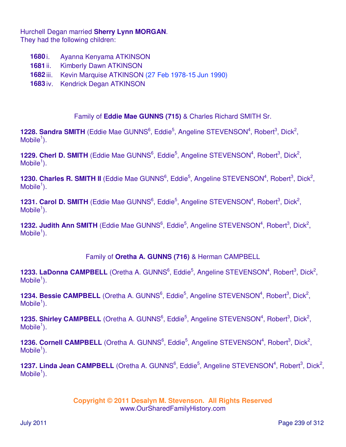Hurchell Degan married **Sherry Lynn MORGAN**. They had the following children:

- **1680** i. Ayanna Kenyama ATKINSON
- **1681** ii. Kimberly Dawn ATKINSON
- **1682** iii. Kevin Marquise ATKINSON (27 Feb 1978-15 Jun 1990)
- **1683** iv. Kendrick Degan ATKINSON

Family of **Eddie Mae GUNNS (715)** & Charles Richard SMITH Sr.

1228. Sandra SMITH (Eddie Mae GUNNS<sup>6</sup>, Eddie<sup>5</sup>, Angeline STEVENSON<sup>4</sup>, Robert<sup>3</sup>, Dick<sup>2</sup>,  $M$ obile<sup>1</sup>).

1229. Cherl D. SMITH (Eddie Mae GUNNS<sup>6</sup>, Eddie<sup>5</sup>, Angeline STEVENSON<sup>4</sup>, Robert<sup>3</sup>, Dick<sup>2</sup>,  $M$ obile<sup>1</sup>).

1230. Charles R. SMITH II (Eddie Mae GUNNS<sup>6</sup>, Eddie<sup>5</sup>, Angeline STEVENSON<sup>4</sup>, Robert<sup>3</sup>, Dick<sup>2</sup>,  $M$ obile<sup>1</sup>).

1231. Carol D. SMITH (Eddie Mae GUNNS<sup>6</sup>, Eddie<sup>5</sup>, Angeline STEVENSON<sup>4</sup>, Robert<sup>3</sup>, Dick<sup>2</sup>,  $M$ obile<sup>1</sup>).

1232. Judith Ann SMITH (Eddie Mae GUNNS<sup>6</sup>, Eddie<sup>5</sup>, Angeline STEVENSON<sup>4</sup>, Robert<sup>3</sup>, Dick<sup>2</sup>,  $M$ obile<sup>1</sup>).

Family of **Oretha A. GUNNS (716)** & Herman CAMPBELL

1233. LaDonna CAMPBELL (Oretha A. GUNNS<sup>6</sup>, Eddie<sup>5</sup>, Angeline STEVENSON<sup>4</sup>, Robert<sup>3</sup>, Dick<sup>2</sup>,  $M$ obile<sup>1</sup>).

1234. Bessie CAMPBELL (Oretha A. GUNNS<sup>6</sup>, Eddie<sup>5</sup>, Angeline STEVENSON<sup>4</sup>, Robert<sup>3</sup>, Dick<sup>2</sup>,  $M$ obile<sup>1</sup>).

1235. Shirley CAMPBELL (Oretha A. GUNNS<sup>6</sup>, Eddie<sup>5</sup>, Angeline STEVENSON<sup>4</sup>, Robert<sup>3</sup>, Dick<sup>2</sup>,  $M$ obile<sup>1</sup>).

1236. Cornell CAMPBELL (Oretha A. GUNNS<sup>6</sup>, Eddie<sup>5</sup>, Angeline STEVENSON<sup>4</sup>, Robert<sup>3</sup>, Dick<sup>2</sup>,  $M$ obile<sup>1</sup>).

1237. Linda Jean CAMPBELL (Oretha A. GUNNS<sup>6</sup>, Eddie<sup>5</sup>, Angeline STEVENSON<sup>4</sup>, Robert<sup>3</sup>, Dick<sup>2</sup>,  $M$ obile<sup>1</sup>).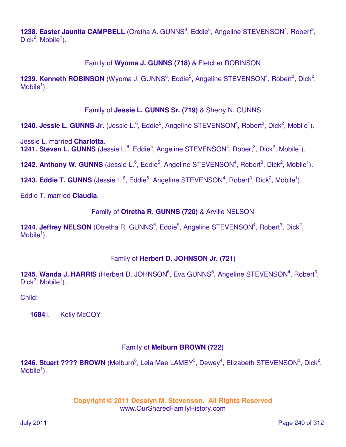1238. Easter Jaunita CAMPBELL (Oretha A. GUNNS<sup>6</sup>, Eddie<sup>5</sup>, Angeline STEVENSON<sup>4</sup>, Robert<sup>3</sup>,  $Dick^2$ , Mobile<sup>1</sup>).

## Family of **Wyoma J. GUNNS (718)** & Fletcher ROBINSON

1239. Kenneth ROBINSON (Wyoma J. GUNNS<sup>6</sup>, Eddie<sup>5</sup>, Angeline STEVENSON<sup>4</sup>, Robert<sup>3</sup>, Dick<sup>2</sup>,  $M$ obile<sup>1</sup>).

### Family of **Jessie L. GUNNS Sr. (719)** & Sherry N. GUNNS

**1240. Jessie L. GUNNS Jr.** (Jessie L.<sup>6</sup>, Eddie<sup>5</sup>, Angeline STEVENSON<sup>4</sup>, Robert<sup>3</sup>, Dick<sup>2</sup>, Mobile<sup>1</sup>).

Jessie L. married **Charlotta**. **1241. Steven L. GUNNS** (Jessie L.<sup>6</sup>, Eddie<sup>5</sup>, Angeline STEVENSON<sup>4</sup>, Robert<sup>3</sup>, Dick<sup>2</sup>, Mobile<sup>1</sup>).

1242. Anthony W. GUNNS (Jessie L.<sup>6</sup>, Eddie<sup>5</sup>, Angeline STEVENSON<sup>4</sup>, Robert<sup>3</sup>, Dick<sup>2</sup>, Mobile<sup>1</sup>).

**1243. Eddie T. GUNNS** (Jessie L.<sup>6</sup>, Eddie<sup>5</sup>, Angeline STEVENSON<sup>4</sup>, Robert<sup>3</sup>, Dick<sup>2</sup>, Mobile<sup>1</sup>).

Eddie T. married **Claudia**.

Family of **Otretha R. GUNNS (720)** & Arville NELSON

1244. Jeffrey NELSON (Otretha R. GUNNS<sup>6</sup>, Eddie<sup>5</sup>, Angeline STEVENSON<sup>4</sup>, Robert<sup>3</sup>, Dick<sup>2</sup>,  $M$ obile<sup>1</sup>).

## Family of **Herbert D. JOHNSON Jr. (721)**

1245. Wanda J. HARRIS (Herbert D. JOHNSON<sup>6</sup>, Eva GUNNS<sup>5</sup>, Angeline STEVENSON<sup>4</sup>, Robert<sup>3</sup>,  $Dick^2$ , Mobile<sup>1</sup>).

Child:

**1684** i. Kelly McCOY

## Family of **Melburn BROWN (722)**

1246. Stuart ???? BROWN (Melburn<sup>6</sup>, Lela Mae LAMEY<sup>5</sup>, Dewey<sup>4</sup>, Elizabeth STEVENSON<sup>3</sup>, Dick<sup>2</sup>,  $M$ obile<sup>1</sup>).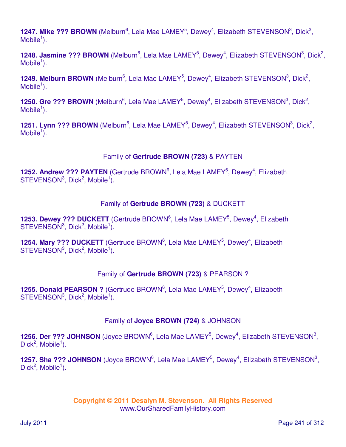1247. Mike ??? BROWN (Melburn<sup>6</sup>, Lela Mae LAMEY<sup>5</sup>, Dewey<sup>4</sup>, Elizabeth STEVENSON<sup>3</sup>, Dick<sup>2</sup>,  $M$ obile<sup>1</sup>).

1248. Jasmine ??? BROWN (Melburn<sup>6</sup>, Lela Mae LAMEY<sup>5</sup>, Dewey<sup>4</sup>, Elizabeth STEVENSON<sup>3</sup>, Dick<sup>2</sup>,  $M$ obile<sup>1</sup>).

1249. Melburn BROWN (Melburn<sup>6</sup>, Lela Mae LAMEY<sup>5</sup>, Dewey<sup>4</sup>, Elizabeth STEVENSON<sup>3</sup>, Dick<sup>2</sup>,  $M$ obile<sup>1</sup>).

1250. Gre ??? BROWN (Melburn<sup>6</sup>, Lela Mae LAMEY<sup>5</sup>, Dewey<sup>4</sup>, Elizabeth STEVENSON<sup>3</sup>, Dick<sup>2</sup>,  $M$ obile<sup>1</sup>).

1251. Lynn ??? BROWN (Melburn<sup>6</sup>, Lela Mae LAMEY<sup>5</sup>, Dewey<sup>4</sup>, Elizabeth STEVENSON<sup>3</sup>, Dick<sup>2</sup>, Mobile $\overline{1}$ ).

### Family of **Gertrude BROWN (723)** & PAYTEN

1252. Andrew ??? PAYTEN (Gertrude BROWN<sup>6</sup>, Lela Mae LAMEY<sup>5</sup>, Dewey<sup>4</sup>, Elizabeth  $STEVENSON<sup>3</sup>$ , Dick<sup>2</sup>, Mobile<sup>1</sup>).

### Family of **Gertrude BROWN (723)** & DUCKETT

1253. Dewey ??? DUCKETT (Gertrude BROWN<sup>6</sup>, Lela Mae LAMEY<sup>5</sup>, Dewey<sup>4</sup>, Elizabeth  $STEVENSON<sup>3</sup>$ , Dick<sup>2</sup>, Mobile<sup>1</sup>).

1254. Mary ??? DUCKETT (Gertrude BROWN<sup>6</sup>, Lela Mae LAMEY<sup>5</sup>, Dewey<sup>4</sup>, Elizabeth  $STEVENSON<sup>3</sup>$ , Dick<sup>2</sup>, Mobile<sup>1</sup>).

## Family of **Gertrude BROWN (723)** & PEARSON ?

**1255. Donald PEARSON ?** (Gertrude BROWN<sup>6</sup>, Lela Mae LAMEY<sup>5</sup>, Dewey<sup>4</sup>, Elizabeth  $STEVENSON<sup>3</sup>$ , Dick<sup>2</sup>, Mobile<sup>1</sup>).

#### Family of **Joyce BROWN (724)** & JOHNSON

1256. Der ??? JOHNSON (Joyce BROWN<sup>6</sup>, Lela Mae LAMEY<sup>5</sup>, Dewey<sup>4</sup>, Elizabeth STEVENSON<sup>3</sup>,  $Dick^2$ , Mobile<sup>1</sup>).

1257. Sha ??? JOHNSON (Joyce BROWN<sup>6</sup>, Lela Mae LAMEY<sup>5</sup>, Dewey<sup>4</sup>, Elizabeth STEVENSON<sup>3</sup>,  $Dick^2$ , Mobile<sup>1</sup>).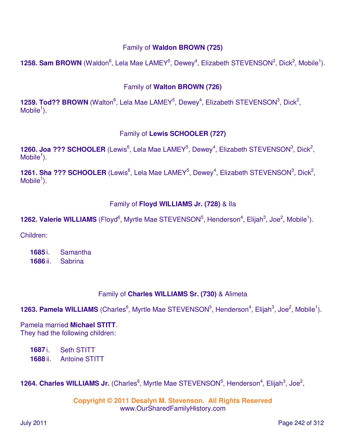### Family of **Waldon BROWN (725)**

**1258. Sam BROWN** (Waldon<sup>6</sup>, Lela Mae LAMEY<sup>5</sup>, Dewey<sup>4</sup>, Elizabeth STEVENSON<sup>3</sup>, Dick<sup>2</sup>, Mobile<sup>1</sup>).

### Family of **Walton BROWN (726)**

**1259. Tod?? BROWN** (Walton<sup>6</sup>, Lela Mae LAMEY<sup>5</sup>, Dewey<sup>4</sup>, Elizabeth STEVENSON<sup>3</sup>, Dick<sup>2</sup>,  $M$ obile<sup>1</sup>).

#### Family of **Lewis SCHOOLER (727)**

**1260. Joa ??? SCHOOLER** (Lewis<sup>6</sup>, Lela Mae LAMEY<sup>5</sup>, Dewey<sup>4</sup>, Elizabeth STEVENSON<sup>3</sup>, Dick<sup>2</sup>,  $M$ obile<sup>1</sup>).

1261. Sha ??? SCHOOLER (Lewis<sup>6</sup>, Lela Mae LAMEY<sup>5</sup>, Dewey<sup>4</sup>, Elizabeth STEVENSON<sup>3</sup>, Dick<sup>2</sup>,  $M$ obile<sup>1</sup>).

#### Family of **Floyd WILLIAMS Jr. (728)** & Ila

**1262. Valerie WILLIAMS** (Floyd<sup>6</sup>, Myrtle Mae STEVENSON<sup>5</sup>, Henderson<sup>4</sup>, Elijah<sup>3</sup>, Joe<sup>2</sup>, Mobile<sup>1</sup>).

Children:

**1685** i. Samantha **1686** ii. Sabrina

## Family of **Charles WILLIAMS Sr. (730)** & Alimeta

**1263. Pamela WILLIAMS** (Charles<sup>6</sup>, Myrtle Mae STEVENSON<sup>5</sup>, Henderson<sup>4</sup>, Elijah<sup>3</sup>, Joe<sup>2</sup>, Mobile<sup>1</sup>).

Pamela married **Michael STITT**. They had the following children:

**1687** i. Seth STITT **1688** ii. Antoine STITT

**1264. Charles WILLIAMS Jr.** (Charles<sup>6</sup>, Myrtle Mae STEVENSON<sup>5</sup>, Henderson<sup>4</sup>, Elijah<sup>3</sup>, Joe<sup>2</sup>,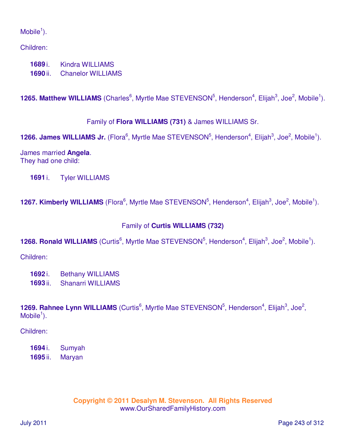### $M$ obile<sup>1</sup>).

Children:

**1689** i. Kindra WILLIAMS **1690** ii. Chanelor WILLIAMS

**1265. Matthew WILLIAMS** (Charles<sup>6</sup>, Myrtle Mae STEVENSON<sup>5</sup>, Henderson<sup>4</sup>, Elijah<sup>3</sup>, Joe<sup>2</sup>, Mobile<sup>1</sup>).

Family of **Flora WILLIAMS (731)** & James WILLIAMS Sr.

**1266. James WILLIAMS Jr.** (Flora<sup>6</sup>, Myrtle Mae STEVENSON<sup>5</sup>, Henderson<sup>4</sup>, Elijah<sup>3</sup>, Joe<sup>2</sup>, Mobile<sup>1</sup>).

James married **Angela**. They had one child:

**1691** i. Tyler WILLIAMS

**1267. Kimberly WILLIAMS** (Flora<sup>6</sup>, Myrtle Mae STEVENSON<sup>5</sup>, Henderson<sup>4</sup>, Elijah<sup>3</sup>, Joe<sup>2</sup>, Mobile<sup>1</sup>).

## Family of **Curtis WILLIAMS (732)**

**1268. Ronald WILLIAMS** (Curtis<sup>6</sup>, Myrtle Mae STEVENSON<sup>5</sup>, Henderson<sup>4</sup>, Elijah<sup>3</sup>, Joe<sup>2</sup>, Mobile<sup>1</sup>).

Children:

**1692** i. Bethany WILLIAMS **1693** ii. Shanarri WILLIAMS

**1269. Rahnee Lynn WILLIAMS** (Curtis<sup>6</sup>, Myrtle Mae STEVENSON<sup>5</sup>, Henderson<sup>4</sup>, Elijah<sup>3</sup>, Joe<sup>2</sup>,  $M$ obile<sup>1</sup>).

Children:

**1694** i. Sumyah **1695** ii. Maryan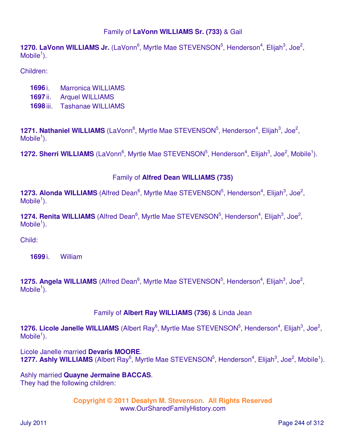### Family of **LaVonn WILLIAMS Sr. (733)** & Gail

**1270. LaVonn WILLIAMS Jr.** (LaVonn<sup>6</sup>, Myrtle Mae STEVENSON<sup>5</sup>, Henderson<sup>4</sup>, Elijah<sup>3</sup>, Joe<sup>2</sup>,  $M$ obile<sup>1</sup>).

Children:

- **1696** i. Marronica WILLIAMS
- **1697** ii. Arquel WILLIAMS
- **1698** iii. Tashanae WILLIAMS

**1271. Nathaniel WILLIAMS** (LaVonn<sup>6</sup>, Myrtle Mae STEVENSON<sup>5</sup>, Henderson<sup>4</sup>, Elijah<sup>3</sup>, Joe<sup>2</sup>,  $M$ obile<sup>1</sup>).

**1272. Sherri WILLIAMS** (LaVonn<sup>6</sup>, Myrtle Mae STEVENSON<sup>5</sup>, Henderson<sup>4</sup>, Elijah<sup>3</sup>, Joe<sup>2</sup>, Mobile<sup>1</sup>).

#### Family of **Alfred Dean WILLIAMS (735)**

**1273. Alonda WILLIAMS** (Alfred Dean<sup>6</sup>, Myrtle Mae STEVENSON<sup>5</sup>, Henderson<sup>4</sup>, Elijah<sup>3</sup>, Joe<sup>2</sup>,  $M$ obile<sup>1</sup>).

**1274. Renita WILLIAMS** (Alfred Dean<sup>6</sup>, Myrtle Mae STEVENSON<sup>5</sup>, Henderson<sup>4</sup>, Elijah<sup>3</sup>, Joe<sup>2</sup>,  $M$ obile<sup>1</sup>).

Child:

**1699** i. William

**1275. Angela WILLIAMS** (Alfred Dean<sup>6</sup>, Myrtle Mae STEVENSON<sup>5</sup>, Henderson<sup>4</sup>, Elijah<sup>3</sup>, Joe<sup>2</sup>,  $M$ obile<sup>1</sup>).

#### Family of **Albert Ray WILLIAMS (736)** & Linda Jean

**1276. Licole Janelle WILLIAMS** (Albert Ray<sup>6</sup>, Myrtle Mae STEVENSON<sup>5</sup>, Henderson<sup>4</sup>, Elijah<sup>3</sup>, Joe<sup>2</sup>,  $M$ obile<sup>1</sup>).

Licole Janelle married **Devaris MOORE**. **1277. Ashly WILLIAMS** (Albert Ray<sup>6</sup>, Myrtle Mae STEVENSON<sup>5</sup>, Henderson<sup>4</sup>, Elijah<sup>3</sup>, Joe<sup>2</sup>, Mobile<sup>1</sup>).

Ashly married **Quayne Jermaine BACCAS**. They had the following children: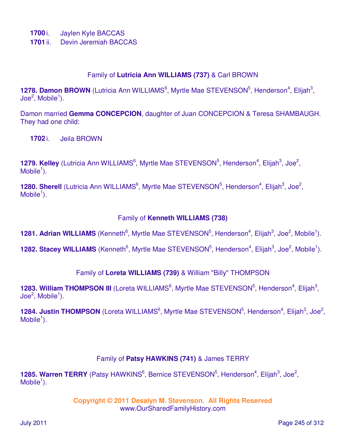- **1700** i. Jaylen Kyle BACCAS
- **1701** ii. Devin Jeremiah BACCAS

#### Family of **Lutricia Ann WILLIAMS (737)** & Carl BROWN

1278. Damon BROWN (Lutricia Ann WILLIAMS<sup>6</sup>, Myrtle Mae STEVENSON<sup>5</sup>, Henderson<sup>4</sup>, Elijah<sup>3</sup>,  $\mathsf{Joe}^2\mathsf{, Mobile}^1\mathsf{).}$ 

Damon married **Gemma CONCEPCION**, daughter of Juan CONCEPCION & Teresa SHAMBAUGH. They had one child:

**1702** i. Jeila BROWN

1279. Kelley (Lutricia Ann WILLIAMS<sup>6</sup>, Myrtle Mae STEVENSON<sup>5</sup>, Henderson<sup>4</sup>, Elijah<sup>3</sup>, Joe<sup>2</sup>,  $M$ obile<sup>1</sup>).

**1280. Sherell** (Lutricia Ann WILLIAMS<sup>6</sup>, Myrtle Mae STEVENSON<sup>5</sup>, Henderson<sup>4</sup>, Elijah<sup>3</sup>, Joe<sup>2</sup>,  $M$ obile<sup>1</sup>).

#### Family of **Kenneth WILLIAMS (738)**

**1281. Adrian WILLIAMS** (Kenneth<sup>6</sup>, Myrtle Mae STEVENSON<sup>5</sup>, Henderson<sup>4</sup>, Elijah<sup>3</sup>, Joe<sup>2</sup>, Mobile<sup>1</sup>).

**1282. Stacey WILLIAMS** (Kenneth<sup>6</sup>, Myrtle Mae STEVENSON<sup>5</sup>, Henderson<sup>4</sup>, Elijah<sup>3</sup>, Joe<sup>2</sup>, Mobile<sup>1</sup>).

#### Family of **Loreta WILLIAMS (739)** & William "Billy" THOMPSON

1283. William THOMPSON III (Loreta WILLIAMS<sup>6</sup>, Myrtle Mae STEVENSON<sup>5</sup>, Henderson<sup>4</sup>, Elijah<sup>3</sup>,  $\mathsf{Joe}^2\mathsf{, Mobile}^1\mathsf{).}$ 

1284. Justin THOMPSON (Loreta WILLIAMS<sup>6</sup>, Myrtle Mae STEVENSON<sup>5</sup>, Henderson<sup>4</sup>, Elijah<sup>3</sup>, Joe<sup>2</sup>,  $M$ obile<sup>1</sup>).

#### Family of **Patsy HAWKINS (741)** & James TERRY

1285. Warren TERRY (Patsy HAWKINS<sup>6</sup>, Bernice STEVENSON<sup>5</sup>, Henderson<sup>4</sup>, Elijah<sup>3</sup>, Joe<sup>2</sup>,  $M$ obile<sup>1</sup>).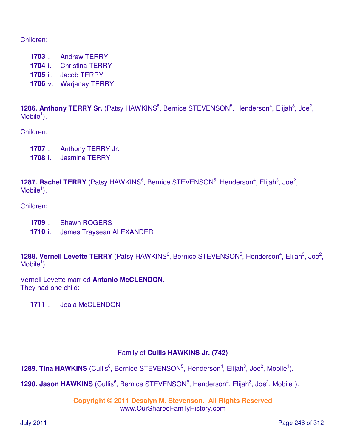Children:

 i. Andrew TERRY ii. Christina TERRY iii. Jacob TERRY iv. Warjanay TERRY

1286. Anthony TERRY Sr. (Patsy HAWKINS<sup>6</sup>, Bernice STEVENSON<sup>5</sup>, Henderson<sup>4</sup>, Elijah<sup>3</sup>, Joe<sup>2</sup>,  $M$ obile<sup>1</sup>).

Children:

**1707** i. Anthony TERRY Jr. **1708** ii. Jasmine TERRY

1287. Rachel TERRY (Patsy HAWKINS<sup>6</sup>, Bernice STEVENSON<sup>5</sup>, Henderson<sup>4</sup>, Elijah<sup>3</sup>, Joe<sup>2</sup>,  $M$ obile<sup>1</sup>).

Children:

- **1709** i. Shawn ROGERS
- **1710** ii. James Traysean ALEXANDER

1288. Vernell Levette TERRY (Patsy HAWKINS<sup>6</sup>, Bernice STEVENSON<sup>5</sup>, Henderson<sup>4</sup>, Elijah<sup>3</sup>, Joe<sup>2</sup>,  $M$ obile<sup>1</sup>).

Vernell Levette married **Antonio McCLENDON**. They had one child:

**1711** i. Jeala McCLENDON

#### Family of **Cullis HAWKINS Jr. (742)**

**1289. Tina HAWKINS** (Cullis<sup>6</sup>, Bernice STEVENSON<sup>5</sup>, Henderson<sup>4</sup>, Elijah<sup>3</sup>, Joe<sup>2</sup>, Mobile<sup>1</sup>).

**1290. Jason HAWKINS** (Cullis<sup>6</sup>, Bernice STEVENSON<sup>5</sup>, Henderson<sup>4</sup>, Elijah<sup>3</sup>, Joe<sup>2</sup>, Mobile<sup>1</sup>).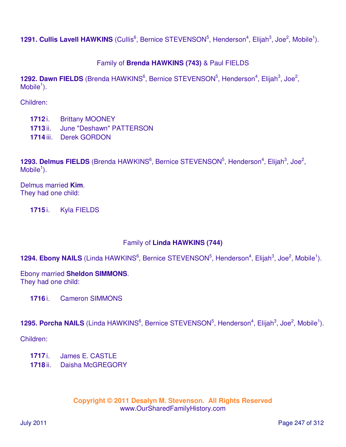**1291. Cullis Lavell HAWKINS** (Cullis<sup>6</sup>, Bernice STEVENSON<sup>5</sup>, Henderson<sup>4</sup>, Elijah<sup>3</sup>, Joe<sup>2</sup>, Mobile<sup>1</sup>).

## Family of **Brenda HAWKINS (743)** & Paul FIELDS

1292. Dawn FIELDS (Brenda HAWKINS<sup>6</sup>, Bernice STEVENSON<sup>5</sup>, Henderson<sup>4</sup>, Elijah<sup>3</sup>, Joe<sup>2</sup>,  $M$ obile<sup>1</sup>).

Children:

- **1712** i. Brittany MOONEY
- **1713** ii. June "Deshawn" PATTERSON
- **1714** iii. Derek GORDON

**1293. Delmus FIELDS** (Brenda HAWKINS<sup>6</sup>, Bernice STEVENSON<sup>5</sup>, Henderson<sup>4</sup>, Elijah<sup>3</sup>, Joe<sup>2</sup>,  $M$ obile<sup>1</sup>).

Delmus married **Kim**. They had one child:

**1715** i. Kyla FIELDS

#### Family of **Linda HAWKINS (744)**

1294. Ebony NAILS (Linda HAWKINS<sup>6</sup>, Bernice STEVENSON<sup>5</sup>, Henderson<sup>4</sup>, Elijah<sup>3</sup>, Joe<sup>2</sup>, Mobile<sup>1</sup>).

Ebony married **Sheldon SIMMONS**. They had one child:

**1716** i. Cameron SIMMONS

#### 1295. Porcha NAILS (Linda HAWKINS<sup>6</sup>, Bernice STEVENSON<sup>5</sup>, Henderson<sup>4</sup>, Elijah<sup>3</sup>, Joe<sup>2</sup>, Mobile<sup>1</sup>).

Children:

- **1717** i. James E. CASTLE
- **1718** ii. Daisha McGREGORY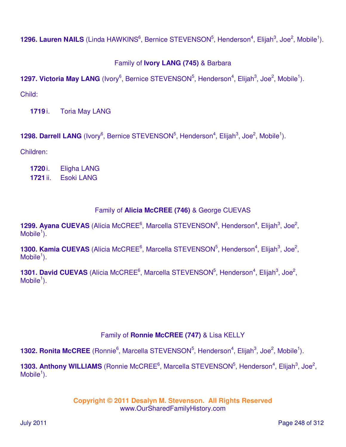1296. Lauren NAILS (Linda HAWKINS<sup>6</sup>, Bernice STEVENSON<sup>5</sup>, Henderson<sup>4</sup>, Elijah<sup>3</sup>, Joe<sup>2</sup>, Mobile<sup>1</sup>).

# Family of **Ivory LANG (745)** & Barbara

**1297. Victoria May LANG** (Ivory<sup>6</sup>, Bernice STEVENSON<sup>5</sup>, Henderson<sup>4</sup>, Elijah<sup>3</sup>, Joe<sup>2</sup>, Mobile<sup>1</sup>).

Child:

**1719** i. Toria May LANG

**1298. Darrell LANG** (Ivory<sup>6</sup>, Bernice STEVENSON<sup>5</sup>, Henderson<sup>4</sup>, Elijah<sup>3</sup>, Joe<sup>2</sup>, Mobile<sup>1</sup>).

Children:

**1720** i. Eligha LANG **1721** ii. Esoki LANG

## Family of **Alicia McCREE (746)** & George CUEVAS

1299. Ayana CUEVAS (Alicia McCREE<sup>6</sup>, Marcella STEVENSON<sup>5</sup>, Henderson<sup>4</sup>, Elijah<sup>3</sup>, Joe<sup>2</sup>, Mobile $<sup>1</sup>$ ).</sup>

**1300. Kamia CUEVAS** (Alicia McCREE<sup>6</sup>, Marcella STEVENSON<sup>5</sup>, Henderson<sup>4</sup>, Elijah<sup>3</sup>, Joe<sup>2</sup>,  $M$ obile<sup>1</sup>).

**1301. David CUEVAS** (Alicia McCREE<sup>6</sup>, Marcella STEVENSON<sup>5</sup>, Henderson<sup>4</sup>, Elijah<sup>3</sup>, Joe<sup>2</sup>,  $M$ obile<sup>1</sup>).

## Family of **Ronnie McCREE (747)** & Lisa KELLY

**1302. Ronita McCREE** (Ronnie<sup>6</sup>, Marcella STEVENSON<sup>5</sup>, Henderson<sup>4</sup>, Elijah<sup>3</sup>, Joe<sup>2</sup>, Mobile<sup>1</sup>).

1303. Anthony WILLIAMS (Ronnie McCREE<sup>6</sup>, Marcella STEVENSON<sup>5</sup>, Henderson<sup>4</sup>, Elijah<sup>3</sup>, Joe<sup>2</sup>,  $M$ obile<sup>1</sup>).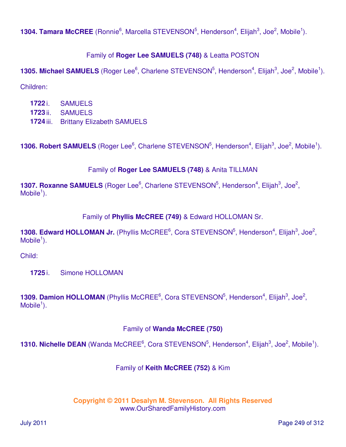**1304. Tamara McCREE** (Ronnie<sup>6</sup>, Marcella STEVENSON<sup>5</sup>, Henderson<sup>4</sup>, Elijah<sup>3</sup>, Joe<sup>2</sup>, Mobile<sup>1</sup>).

### Family of **Roger Lee SAMUELS (748)** & Leatta POSTON

**1305. Michael SAMUELS** (Roger Lee<sup>6</sup>, Charlene STEVENSON<sup>5</sup>, Henderson<sup>4</sup>, Elijah<sup>3</sup>, Joe<sup>2</sup>, Mobile<sup>1</sup>).

Children:

**1722** i. SAMUELS **1723** ii. SAMUELS **1724** iii. Brittany Elizabeth SAMUELS

**1306. Robert SAMUELS** (Roger Lee<sup>6</sup>, Charlene STEVENSON<sup>5</sup>, Henderson<sup>4</sup>, Elijah<sup>3</sup>, Joe<sup>2</sup>, Mobile<sup>1</sup>).

## Family of **Roger Lee SAMUELS (748)** & Anita TILLMAN

**1307. Roxanne SAMUELS** (Roger Lee<sup>6</sup>, Charlene STEVENSON<sup>5</sup>, Henderson<sup>4</sup>, Elijah<sup>3</sup>, Joe<sup>2</sup>,  $M$ obile<sup>1</sup>).

## Family of **Phyllis McCREE (749)** & Edward HOLLOMAN Sr.

1308. Edward HOLLOMAN Jr. (Phyllis McCREE<sup>6</sup>, Cora STEVENSON<sup>5</sup>, Henderson<sup>4</sup>, Elijah<sup>3</sup>, Joe<sup>2</sup>,  $M$ obile<sup>1</sup>).

Child:

**1725** i. Simone HOLLOMAN

1309. Damion HOLLOMAN (Phyllis McCREE<sup>6</sup>, Cora STEVENSON<sup>5</sup>, Henderson<sup>4</sup>, Elijah<sup>3</sup>, Joe<sup>2</sup>,  $M$ obile<sup>1</sup>).

## Family of **Wanda McCREE (750)**

**1310. Nichelle DEAN** (Wanda McCREE<sup>6</sup>, Cora STEVENSON<sup>5</sup>, Henderson<sup>4</sup>, Elijah<sup>3</sup>, Joe<sup>2</sup>, Mobile<sup>1</sup>).

## Family of **Keith McCREE (752)** & Kim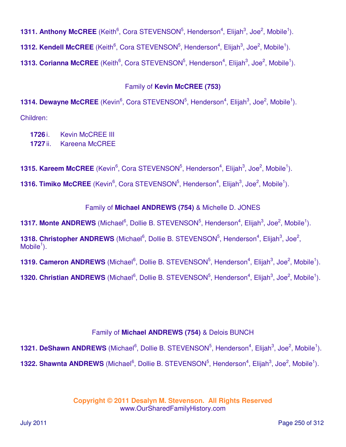**1311. Anthony McCREE** (Keith<sup>6</sup>, Cora STEVENSON<sup>5</sup>, Henderson<sup>4</sup>, Elijah<sup>3</sup>, Joe<sup>2</sup>, Mobile<sup>1</sup>).

**1312. Kendell McCREE** (Keith<sup>6</sup>, Cora STEVENSON<sup>5</sup>, Henderson<sup>4</sup>, Elijah<sup>3</sup>, Joe<sup>2</sup>, Mobile<sup>1</sup>).

**1313. Corianna McCREE** (Keith<sup>6</sup>, Cora STEVENSON<sup>5</sup>, Henderson<sup>4</sup>, Elijah<sup>3</sup>, Joe<sup>2</sup>, Mobile<sup>1</sup>).

### Family of **Kevin McCREE (753)**

**1314. Dewayne McCREE** (Kevin<sup>6</sup>, Cora STEVENSON<sup>5</sup>, Henderson<sup>4</sup>, Elijah<sup>3</sup>, Joe<sup>2</sup>, Mobile<sup>1</sup>). Children:

**1726** i. Kevin McCREE III **1727** ii. Kareena McCREE

**1315. Kareem McCREE** (Kevin<sup>6</sup>, Cora STEVENSON<sup>5</sup>, Henderson<sup>4</sup>, Elijah<sup>3</sup>, Joe<sup>2</sup>, Mobile<sup>1</sup>).

**1316. Timiko McCREE** (Kevin<sup>6</sup>, Cora STEVENSON<sup>5</sup>, Henderson<sup>4</sup>, Elijah<sup>3</sup>, Joe<sup>2</sup>, Mobile<sup>1</sup>).

### Family of **Michael ANDREWS (754)** & Michelle D. JONES

**1317. Monte ANDREWS** (Michael<sup>6</sup>, Dollie B. STEVENSON<sup>5</sup>, Henderson<sup>4</sup>, Elijah<sup>3</sup>, Joe<sup>2</sup>, Mobile<sup>1</sup>).

**1318. Christopher ANDREWS** (Michael<sup>6</sup>, Dollie B. STEVENSON<sup>5</sup>, Henderson<sup>4</sup>, Elijah<sup>3</sup>, Joe<sup>2</sup>,  $M$ obile<sup>1</sup>).

**1319. Cameron ANDREWS** (Michael<sup>6</sup>, Dollie B. STEVENSON<sup>5</sup>, Henderson<sup>4</sup>, Elijah<sup>3</sup>, Joe<sup>2</sup>, Mobile<sup>1</sup>).

**1320. Christian ANDREWS** (Michael<sup>6</sup>, Dollie B. STEVENSON<sup>5</sup>, Henderson<sup>4</sup>, Elijah<sup>3</sup>, Joe<sup>2</sup>, Mobile<sup>1</sup>).

## Family of **Michael ANDREWS (754)** & Delois BUNCH

**1321. DeShawn ANDREWS** (Michael<sup>6</sup>, Dollie B. STEVENSON<sup>5</sup>, Henderson<sup>4</sup>, Elijah<sup>3</sup>, Joe<sup>2</sup>, Mobile<sup>1</sup>).

**1322. Shawnta ANDREWS** (Michael<sup>6</sup>, Dollie B. STEVENSON<sup>5</sup>, Henderson<sup>4</sup>, Elijah<sup>3</sup>, Joe<sup>2</sup>, Mobile<sup>1</sup>).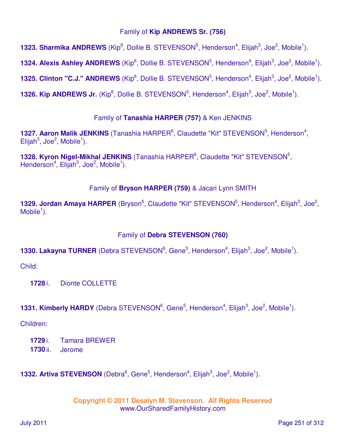### Family of **Kip ANDREWS Sr. (756)**

**1323. Sharmika ANDREWS** (Kip<sup>6</sup>, Dollie B. STEVENSON<sup>5</sup>, Henderson<sup>4</sup>, Elijah<sup>3</sup>, Joe<sup>2</sup>, Mobile<sup>1</sup>).

**1324. Alexis Ashley ANDREWS** (Kip<sup>6</sup>, Dollie B. STEVENSON<sup>5</sup>, Henderson<sup>4</sup>, Elijah<sup>3</sup>, Joe<sup>2</sup>, Mobile<sup>1</sup>).

**1325. Clinton "C.J." ANDREWS** (Kip<sup>6</sup>, Dollie B. STEVENSON<sup>5</sup>, Henderson<sup>4</sup>, Elijah<sup>3</sup>, Joe<sup>2</sup>, Mobile<sup>1</sup>).

**1326. Kip ANDREWS Jr.** (Kip<sup>6</sup>, Dollie B. STEVENSON<sup>5</sup>, Henderson<sup>4</sup>, Elijah<sup>3</sup>, Joe<sup>2</sup>, Mobile<sup>1</sup>).

## Family of **Tanashia HARPER (757)** & Ken JENKINS

1327. Aaron Malik JENKINS (Tanashia HARPER<sup>6</sup>, Claudette "Kit" STEVENSON<sup>5</sup>, Henderson<sup>4</sup>,  $E$ lijah<sup>3</sup>, Joe<sup>2</sup>, Mobile<sup>1</sup>).

1328. Kyron Nigel-Mikhal JENKINS (Tanashia HARPER<sup>6</sup>, Claudette "Kit" STEVENSON<sup>5</sup>, Henderson<sup>4</sup>, Elijah<sup>3</sup>, Joe<sup>2</sup>, Mobile<sup>1</sup>).

## Family of **Bryson HARPER (759)** & Jacari Lynn SMITH

1329. Jordan Amaya HARPER (Bryson<sup>6</sup>, Claudette "Kit" STEVENSON<sup>5</sup>, Henderson<sup>4</sup>, Elijah<sup>3</sup>, Joe<sup>2</sup>,  $M$ obile<sup>1</sup>).

# Family of **Debra STEVENSON (760)**

# **1330. Lakayna TURNER** (Debra STEVENSON<sup>6</sup>, Gene<sup>5</sup>, Henderson<sup>4</sup>, Elijah<sup>3</sup>, Joe<sup>2</sup>, Mobile<sup>1</sup>).

Child:

**1728** i. Dionte COLLETTE

**1331. Kimberly HARDY** (Debra STEVENSON<sup>6</sup>, Gene<sup>5</sup>, Henderson<sup>4</sup>, Elijah<sup>3</sup>, Joe<sup>2</sup>, Mobile<sup>1</sup>).

Children:

**1729** i. Tamara BREWER **1730** ii. Jerome

**1332. Artiva STEVENSON** (Debra<sup>6</sup>, Gene<sup>5</sup>, Henderson<sup>4</sup>, Elijah<sup>3</sup>, Joe<sup>2</sup>, Mobile<sup>1</sup>).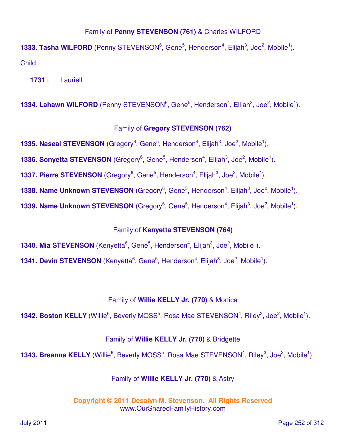### Family of **Penny STEVENSON (761)** & Charles WILFORD

**1333. Tasha WILFORD** (Penny STEVENSON<sup>6</sup>, Gene<sup>5</sup>, Henderson<sup>4</sup>, Elijah<sup>3</sup>, Joe<sup>2</sup>, Mobile<sup>1</sup>). Child:

**1731** i. Lauriell

**1334. Lahawn WILFORD** (Penny STEVENSON<sup>6</sup>, Gene<sup>5</sup>, Henderson<sup>4</sup>, Elijah<sup>3</sup>, Joe<sup>2</sup>, Mobile<sup>1</sup>).

### Family of **Gregory STEVENSON (762)**

**1335. Naseal STEVENSON** (Gregory<sup>6</sup>, Gene<sup>5</sup>, Henderson<sup>4</sup>, Elijah<sup>3</sup>, Joe<sup>2</sup>, Mobile<sup>1</sup>).

**1336. Sonyetta STEVENSON** (Gregory<sup>6</sup>, Gene<sup>5</sup>, Henderson<sup>4</sup>, Elijah<sup>3</sup>, Joe<sup>2</sup>, Mobile<sup>1</sup>).

**1337. Pierre STEVENSON** (Gregory<sup>6</sup>, Gene<sup>5</sup>, Henderson<sup>4</sup>, Elijah<sup>3</sup>, Joe<sup>2</sup>, Mobile<sup>1</sup>).

**1338. Name Unknown STEVENSON** (Gregory<sup>6</sup>, Gene<sup>5</sup>, Henderson<sup>4</sup>, Elijah<sup>3</sup>, Joe<sup>2</sup>, Mobile<sup>1</sup>).

**1339. Name Unknown STEVENSON** (Gregory<sup>6</sup>, Gene<sup>5</sup>, Henderson<sup>4</sup>, Elijah<sup>3</sup>, Joe<sup>2</sup>, Mobile<sup>1</sup>).

## Family of **Kenyetta STEVENSON (764)**

**1340. Mia STEVENSON** (Kenyetta<sup>6</sup>, Gene<sup>5</sup>, Henderson<sup>4</sup>, Elijah<sup>3</sup>, Joe<sup>2</sup>, Mobile<sup>1</sup>).

**1341. Devin STEVENSON** (Kenyetta<sup>6</sup>, Gene<sup>5</sup>, Henderson<sup>4</sup>, Elijah<sup>3</sup>, Joe<sup>2</sup>, Mobile<sup>1</sup>).

#### Family of **Willie KELLY Jr. (770)** & Monica

**1342. Boston KELLY** (Willie<sup>6</sup>, Beverly MOSS<sup>5</sup>, Rosa Mae STEVENSON<sup>4</sup>, Riley<sup>3</sup>, Joe<sup>2</sup>, Mobile<sup>1</sup>).

#### Family of **Willie KELLY Jr. (770)** & Bridgette

**1343. Breanna KELLY** (Willie<sup>6</sup>, Beverly MOSS<sup>5</sup>, Rosa Mae STEVENSON<sup>4</sup>, Riley<sup>3</sup>, Joe<sup>2</sup>, Mobile<sup>1</sup>).

### Family of **Willie KELLY Jr. (770)** & Astry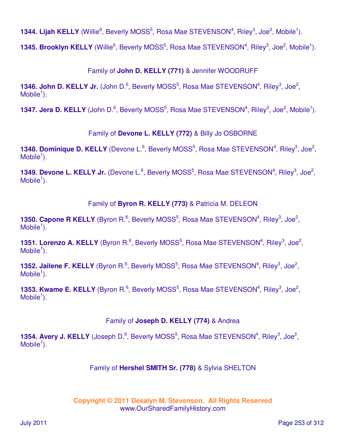1344. Lijah KELLY (Willie<sup>6</sup>, Beverly MOSS<sup>5</sup>, Rosa Mae STEVENSON<sup>4</sup>, Riley<sup>3</sup>, Joe<sup>2</sup>, Mobile<sup>1</sup>).

**1345. Brooklyn KELLY** (Willie<sup>6</sup>, Beverly MOSS<sup>5</sup>, Rosa Mae STEVENSON<sup>4</sup>, Riley<sup>3</sup>, Joe<sup>2</sup>, Mobile<sup>1</sup>).

Family of **John D. KELLY (771)** & Jennifer WOODRUFF

1346. John D. KELLY Jr. (John D.<sup>6</sup>, Beverly MOSS<sup>5</sup>, Rosa Mae STEVENSON<sup>4</sup>, Riley<sup>3</sup>, Joe<sup>2</sup>,  $M$ obile<sup>1</sup>).

**1347. Jera D. KELLY** (John D.<sup>6</sup>, Beverly MOSS<sup>5</sup>, Rosa Mae STEVENSON<sup>4</sup>, Riley<sup>3</sup>, Joe<sup>2</sup>, Mobile<sup>1</sup>).

Family of **Devone L. KELLY (772)** & Billy Jo OSBORNE

1348. Dominique D. KELLY (Devone L.<sup>6</sup>, Beverly MOSS<sup>5</sup>, Rosa Mae STEVENSON<sup>4</sup>, Riley<sup>3</sup>, Joe<sup>2</sup>,  $M$ obile<sup>1</sup>).

1349. Devone L. KELLY Jr. (Devone L.<sup>6</sup>, Beverly MOSS<sup>5</sup>, Rosa Mae STEVENSON<sup>4</sup>, Riley<sup>3</sup>, Joe<sup>2</sup>,  $M$ obile<sup>1</sup>).

Family of **Byron R. KELLY (773)** & Patricia M. DELEON

**1350. Capone R KELLY** (Byron R.<sup>6</sup>, Beverly MOSS<sup>5</sup>, Rosa Mae STEVENSON<sup>4</sup>, Riley<sup>3</sup>, Joe<sup>2</sup>,  $M$ obile<sup>1</sup>).

1351. Lorenzo A. KELLY (Byron R.<sup>6</sup>, Beverly MOSS<sup>5</sup>, Rosa Mae STEVENSON<sup>4</sup>, Riley<sup>3</sup>, Joe<sup>2</sup>,  $M$ obile<sup>1</sup>).

1352. Jailene F. KELLY (Byron R.<sup>6</sup>, Beverly MOSS<sup>5</sup>, Rosa Mae STEVENSON<sup>4</sup>, Riley<sup>3</sup>, Joe<sup>2</sup>,  $M$ obile<sup>1</sup>).

**1353. Kwame E. KELLY** (Byron R.<sup>6</sup>, Beverly MOSS<sup>5</sup>, Rosa Mae STEVENSON<sup>4</sup>, Riley<sup>3</sup>, Joe<sup>2</sup>,  $M$ obile<sup>1</sup>).

Family of **Joseph D. KELLY (774)** & Andrea

1354. Avery J. KELLY (Joseph D.<sup>6</sup>, Beverly MOSS<sup>5</sup>, Rosa Mae STEVENSON<sup>4</sup>, Riley<sup>3</sup>, Joe<sup>2</sup>,  $M$ obile<sup>1</sup>).

Family of **Hershel SMITH Sr. (778)** & Sylvia SHELTON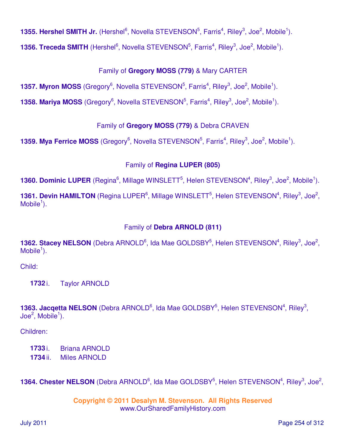**1355. Hershel SMITH Jr.** (Hershel<sup>6</sup>, Novella STEVENSON<sup>5</sup>, Farris<sup>4</sup>, Riley<sup>3</sup>, Joe<sup>2</sup>, Mobile<sup>1</sup>).

**1356. Treceda SMITH** (Hershel<sup>6</sup>, Novella STEVENSON<sup>5</sup>, Farris<sup>4</sup>, Riley<sup>3</sup>, Joe<sup>2</sup>, Mobile<sup>1</sup>).

# Family of **Gregory MOSS (779)** & Mary CARTER

**1357. Myron MOSS** (Gregory<sup>6</sup>, Novella STEVENSON<sup>5</sup>, Farris<sup>4</sup>, Riley<sup>3</sup>, Joe<sup>2</sup>, Mobile<sup>1</sup>).

**1358. Mariya MOSS** (Gregory<sup>6</sup>, Novella STEVENSON<sup>5</sup>, Farris<sup>4</sup>, Riley<sup>3</sup>, Joe<sup>2</sup>, Mobile<sup>1</sup>).

# Family of **Gregory MOSS (779)** & Debra CRAVEN

**1359. Mya Ferrice MOSS** (Gregory<sup>6</sup>, Novella STEVENSON<sup>5</sup>, Farris<sup>4</sup>, Riley<sup>3</sup>, Joe<sup>2</sup>, Mobile<sup>1</sup>).

# Family of **Regina LUPER (805)**

1360. Dominic LUPER (Regina<sup>6</sup>, Millage WINSLETT<sup>5</sup>, Helen STEVENSON<sup>4</sup>, Riley<sup>3</sup>, Joe<sup>2</sup>, Mobile<sup>1</sup>).

1361. Devin HAMILTON (Regina LUPER<sup>6</sup>, Millage WINSLETT<sup>5</sup>, Helen STEVENSON<sup>4</sup>, Riley<sup>3</sup>, Joe<sup>2</sup>,  $M$ obile<sup>1</sup>).

# Family of **Debra ARNOLD (811)**

1362. Stacey NELSON (Debra ARNOLD<sup>6</sup>, Ida Mae GOLDSBY<sup>5</sup>, Helen STEVENSON<sup>4</sup>, Riley<sup>3</sup>, Joe<sup>2</sup>,  $M$ obile<sup>1</sup>).

Child:

**1732** i. Taylor ARNOLD

1363. Jacqetta NELSON (Debra ARNOLD<sup>6</sup>, Ida Mae GOLDSBY<sup>5</sup>, Helen STEVENSON<sup>4</sup>, Riley<sup>3</sup>,  $\textsf{Joe}^2$ , Mobile<sup>1</sup>).

Children:

**1733** i. Briana ARNOLD

**1734** ii. Miles ARNOLD

1364. Chester NELSON (Debra ARNOLD<sup>6</sup>, Ida Mae GOLDSBY<sup>5</sup>, Helen STEVENSON<sup>4</sup>, Riley<sup>3</sup>, Joe<sup>2</sup>,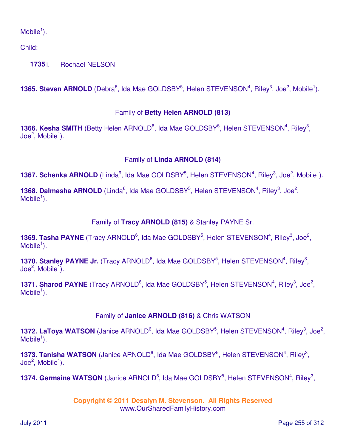$M$ obile<sup>1</sup>).

Child:

**1735** i. Rochael NELSON

**1365. Steven ARNOLD** (Debra<sup>6</sup>, Ida Mae GOLDSBY<sup>5</sup>, Helen STEVENSON<sup>4</sup>, Riley<sup>3</sup>, Joe<sup>2</sup>, Mobile<sup>1</sup>).

# Family of **Betty Helen ARNOLD (813)**

**1366. Kesha SMITH** (Betty Helen ARNOLD<sup>6</sup>, Ida Mae GOLDSBY<sup>5</sup>, Helen STEVENSON<sup>4</sup>, Riley<sup>3</sup>, Joe $^2$ , Mobile $^1$ ).

# Family of **Linda ARNOLD (814)**

**1367. Schenka ARNOLD** (Linda<sup>6</sup>, Ida Mae GOLDSBY<sup>5</sup>, Helen STEVENSON<sup>4</sup>, Riley<sup>3</sup>, Joe<sup>2</sup>, Mobile<sup>1</sup>).

1368. Dalmesha ARNOLD (Linda<sup>6</sup>, Ida Mae GOLDSBY<sup>5</sup>, Helen STEVENSON<sup>4</sup>, Riley<sup>3</sup>, Joe<sup>2</sup>,  $M$ obile<sup>1</sup>).

# Family of **Tracy ARNOLD (815)** & Stanley PAYNE Sr.

1369. Tasha PAYNE (Tracy ARNOLD<sup>6</sup>, Ida Mae GOLDSBY<sup>5</sup>, Helen STEVENSON<sup>4</sup>, Riley<sup>3</sup>, Joe<sup>2</sup>,  $M$ obile<sup>1</sup>).

1370. Stanley PAYNE Jr. (Tracy ARNOLD<sup>6</sup>, Ida Mae GOLDSBY<sup>5</sup>, Helen STEVENSON<sup>4</sup>, Riley<sup>3</sup>, Joe $^2$ , Mobile $^1$ ).

1371. Sharod PAYNE (Tracy ARNOLD<sup>6</sup>, Ida Mae GOLDSBY<sup>5</sup>, Helen STEVENSON<sup>4</sup>, Riley<sup>3</sup>, Joe<sup>2</sup>,  $M$ obile<sup>1</sup>).

# Family of **Janice ARNOLD (816)** & Chris WATSON

1372. LaToya WATSON (Janice ARNOLD<sup>6</sup>, Ida Mae GOLDSBY<sup>5</sup>, Helen STEVENSON<sup>4</sup>, Riley<sup>3</sup>, Joe<sup>2</sup>,  $M$ obile<sup>1</sup>).

1373. Tanisha WATSON (Janice ARNOLD<sup>6</sup>, Ida Mae GOLDSBY<sup>5</sup>, Helen STEVENSON<sup>4</sup>, Riley<sup>3</sup>, Joe $^2$ , Mobile $^1$ ).

1374. Germaine WATSON (Janice ARNOLD<sup>6</sup>, Ida Mae GOLDSBY<sup>5</sup>, Helen STEVENSON<sup>4</sup>, Riley<sup>3</sup>,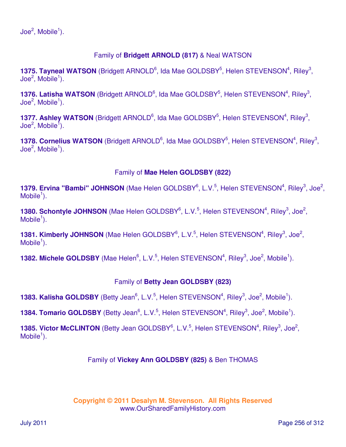# Family of **Bridgett ARNOLD (817)** & Neal WATSON

1375. Tayneal WATSON (Bridgett ARNOLD<sup>6</sup>, Ida Mae GOLDSBY<sup>5</sup>, Helen STEVENSON<sup>4</sup>, Riley<sup>3</sup>,  $\textsf{Joe}^2$ , Mobile<sup>1</sup>).

1376. Latisha WATSON (Bridgett ARNOLD<sup>6</sup>, Ida Mae GOLDSBY<sup>5</sup>, Helen STEVENSON<sup>4</sup>, Riley<sup>3</sup>, Joe $^2$ , Mobile $^1$ ).

1377. Ashley WATSON (Bridgett ARNOLD<sup>6</sup>, Ida Mae GOLDSBY<sup>5</sup>, Helen STEVENSON<sup>4</sup>, Riley<sup>3</sup>, Joe $^2$ , Mobile $^1$ ).

1378. Cornelius WATSON (Bridgett ARNOLD<sup>6</sup>, Ida Mae GOLDSBY<sup>5</sup>, Helen STEVENSON<sup>4</sup>, Riley<sup>3</sup>, Joe $^2$ , Mobile $^1$ ).

### Family of **Mae Helen GOLDSBY (822)**

1379. Ervina "Bambi" JOHNSON (Mae Helen GOLDSBY<sup>6</sup>, L.V.<sup>5</sup>, Helen STEVENSON<sup>4</sup>, Riley<sup>3</sup>, Joe<sup>2</sup>,  $M$ obile<sup>1</sup>).

1380. Schontyle JOHNSON (Mae Helen GOLDSBY<sup>6</sup>, L.V.<sup>5</sup>, Helen STEVENSON<sup>4</sup>, Riley<sup>3</sup>, Joe<sup>2</sup>,  $M$ obile<sup>1</sup>).

1381. Kimberly JOHNSON (Mae Helen GOLDSBY<sup>6</sup>, L.V.<sup>5</sup>, Helen STEVENSON<sup>4</sup>, Riley<sup>3</sup>, Joe<sup>2</sup>,  $M$ obile<sup>1</sup>).

**1382. Michele GOLDSBY** (Mae Helen<sup>6</sup>, L.V.<sup>5</sup>, Helen STEVENSON<sup>4</sup>, Riley<sup>3</sup>, Joe<sup>2</sup>, Mobile<sup>1</sup>).

### Family of **Betty Jean GOLDSBY (823)**

**1383. Kalisha GOLDSBY** (Betty Jean<sup>6</sup>, L.V.<sup>5</sup>, Helen STEVENSON<sup>4</sup>, Riley<sup>3</sup>, Joe<sup>2</sup>, Mobile<sup>1</sup>).

**1384. Tomario GOLDSBY** (Betty Jean<sup>6</sup>, L.V.<sup>5</sup>, Helen STEVENSON<sup>4</sup>, Riley<sup>3</sup>, Joe<sup>2</sup>, Mobile<sup>1</sup>).

1385. Victor McCLINTON (Betty Jean GOLDSBY<sup>6</sup>, L.V.<sup>5</sup>, Helen STEVENSON<sup>4</sup>, Riley<sup>3</sup>, Joe<sup>2</sup>,  $M$ obile<sup>1</sup>).

#### Family of **Vickey Ann GOLDSBY (825)** & Ben THOMAS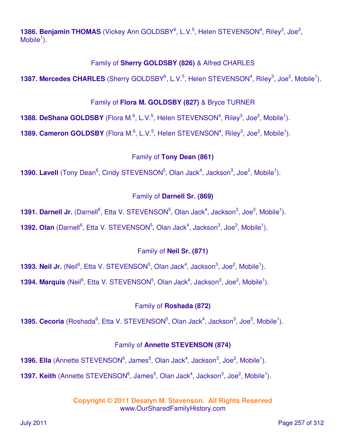1386. Benjamin THOMAS (Vickey Ann GOLDSBY<sup>6</sup>, L.V.<sup>5</sup>, Helen STEVENSON<sup>4</sup>, Riley<sup>3</sup>, Joe<sup>2</sup>,  $M$ obile<sup>1</sup>).

### Family of **Sherry GOLDSBY (826)** & Alfred CHARLES

1387. Mercedes CHARLES (Sherry GOLDSBY<sup>6</sup>, L.V.<sup>5</sup>, Helen STEVENSON<sup>4</sup>, Riley<sup>3</sup>, Joe<sup>2</sup>, Mobile<sup>1</sup>).

#### Family of **Flora M. GOLDSBY (827)** & Bryce TURNER

**1388. DeShana GOLDSBY** (Flora M.<sup>6</sup>, L.V.<sup>5</sup>, Helen STEVENSON<sup>4</sup>, Riley<sup>3</sup>, Joe<sup>2</sup>, Mobile<sup>1</sup>).

**1389. Cameron GOLDSBY** (Flora M.<sup>6</sup>, L.V.<sup>5</sup>, Helen STEVENSON<sup>4</sup>, Riley<sup>3</sup>, Joe<sup>2</sup>, Mobile<sup>1</sup>).

### Family of **Tony Dean (861)**

**1390. Lavell** (Tony Dean<sup>6</sup>, Cindy STEVENSON<sup>5</sup>, Olan Jack<sup>4</sup>, Jackson<sup>3</sup>, Joe<sup>2</sup>, Mobile<sup>1</sup>).

### Family of **Darnell Sr. (869)**

**1391. Darnell Jr.** (Darnell<sup>6</sup>, Etta V. STEVENSON<sup>5</sup>, Olan Jack<sup>4</sup>, Jackson<sup>3</sup>, Joe<sup>2</sup>, Mobile<sup>1</sup>). **1392. Olan** (Darnell<sup>6</sup>, Etta V. STEVENSON<sup>5</sup>, Olan Jack<sup>4</sup>, Jackson<sup>3</sup>, Joe<sup>2</sup>, Mobile<sup>1</sup>).

### Family of **Neil Sr. (871)**

**1393. Neil Jr.** (Neil<sup>6</sup>, Etta V. STEVENSON<sup>5</sup>, Olan Jack<sup>4</sup>, Jackson<sup>3</sup>, Joe<sup>2</sup>, Mobile<sup>1</sup>).

**1394. Marquis** (Neil<sup>6</sup>, Etta V. STEVENSON<sup>5</sup>, Olan Jack<sup>4</sup>, Jackson<sup>3</sup>, Joe<sup>2</sup>, Mobile<sup>1</sup>).

### Family of **Roshada (872)**

**1395. Cecoria** (Roshada<sup>6</sup>, Etta V. STEVENSON<sup>5</sup>, Olan Jack<sup>4</sup>, Jackson<sup>3</sup>, Joe<sup>2</sup>, Mobile<sup>1</sup>).

### Family of **Annette STEVENSON (874)**

**1396. Ella** (Annette STEVENSON<sup>6</sup>, James<sup>5</sup>, Olan Jack<sup>4</sup>, Jackson<sup>3</sup>, Joe<sup>2</sup>, Mobile<sup>1</sup>). **1397. Keith** (Annette STEVENSON<sup>6</sup>, James<sup>5</sup>, Olan Jack<sup>4</sup>, Jackson<sup>3</sup>, Joe<sup>2</sup>, Mobile<sup>1</sup>).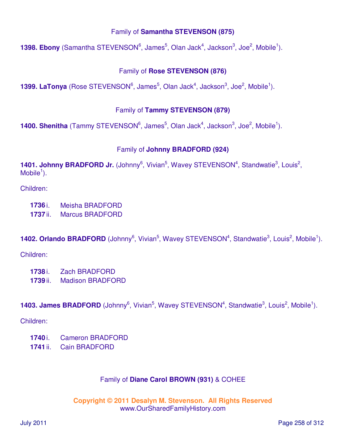### Family of **Samantha STEVENSON (875)**

**1398. Ebony** (Samantha STEVENSON<sup>6</sup>, James<sup>5</sup>, Olan Jack<sup>4</sup>, Jackson<sup>3</sup>, Joe<sup>2</sup>, Mobile<sup>1</sup>).

### Family of **Rose STEVENSON (876)**

**1399. LaTonya** (Rose STEVENSON<sup>6</sup>, James<sup>5</sup>, Olan Jack<sup>4</sup>, Jackson<sup>3</sup>, Joe<sup>2</sup>, Mobile<sup>1</sup>).

### Family of **Tammy STEVENSON (879)**

**1400. Shenitha** (Tammy STEVENSON<sup>6</sup>, James<sup>5</sup>, Olan Jack<sup>4</sup>, Jackson<sup>3</sup>, Joe<sup>2</sup>, Mobile<sup>1</sup>).

### Family of **Johnny BRADFORD (924)**

1401. Johnny BRADFORD Jr. (Johnny<sup>6</sup>, Vivian<sup>5</sup>, Wavey STEVENSON<sup>4</sup>, Standwatie<sup>3</sup>, Louis<sup>2</sup>,  $M$ obile<sup>1</sup>).

Children:

- **1736** i. Meisha BRADFORD
- **1737** ii. Marcus BRADFORD

**1402. Orlando BRADFORD** (Johnny<sup>6</sup>, Vivian<sup>5</sup>, Wavey STEVENSON<sup>4</sup>, Standwatie<sup>3</sup>, Louis<sup>2</sup>, Mobile<sup>1</sup>).

Children:

- **1738** i. Zach BRADFORD
- **1739** ii. Madison BRADFORD

**1403. James BRADFORD** (Johnny<sup>6</sup>, Vivian<sup>5</sup>, Wavey STEVENSON<sup>4</sup>, Standwatie<sup>3</sup>, Louis<sup>2</sup>, Mobile<sup>1</sup>).

Children:

- **1740** i. Cameron BRADFORD
- **1741** ii. Cain BRADFORD

### Family of **Diane Carol BROWN (931)** & COHEE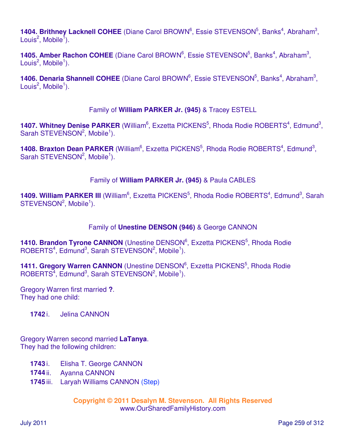1404. Brithney Lacknell COHEE (Diane Carol BROWN<sup>6</sup>, Essie STEVENSON<sup>5</sup>, Banks<sup>4</sup>, Abraham<sup>3</sup>, Louis $^2$ , Mobile $^1$ ).

1405. Amber Rachon COHEE (Diane Carol BROWN<sup>6</sup>, Essie STEVENSON<sup>5</sup>, Banks<sup>4</sup>, Abraham<sup>3</sup>, Louis<sup>2</sup>, Mobile<sup>1</sup>).

1406. Denaria Shannell COHEE (Diane Carol BROWN<sup>6</sup>, Essie STEVENSON<sup>5</sup>, Banks<sup>4</sup>, Abraham<sup>3</sup>, Louis<sup>2</sup>, Mobile<sup>1</sup>).

### Family of **William PARKER Jr. (945)** & Tracey ESTELL

1407. Whitney Denise PARKER (William<sup>6</sup>, Exzetta PICKENS<sup>5</sup>, Rhoda Rodie ROBERTS<sup>4</sup>, Edmund<sup>3</sup>, Sarah STEVENSON<sup>2</sup>, Mobile<sup>1</sup>).

1408. Braxton Dean PARKER (William<sup>6</sup>, Exzetta PICKENS<sup>5</sup>, Rhoda Rodie ROBERTS<sup>4</sup>, Edmund<sup>3</sup>, Sarah STEVENSON<sup>2</sup>, Mobile<sup>1</sup>).

# Family of **William PARKER Jr. (945)** & Paula CABLES

1409. William PARKER III (William<sup>6</sup>, Exzetta PICKENS<sup>5</sup>, Rhoda Rodie ROBERTS<sup>4</sup>, Edmund<sup>3</sup>, Sarah  $STEVENSON<sup>2</sup>$ , Mobile<sup>1</sup>).

### Family of **Unestine DENSON (946)** & George CANNON

1410. Brandon Tyrone CANNON (Unestine DENSON<sup>6</sup>, Exzetta PICKENS<sup>5</sup>, Rhoda Rodie  $ROBERTS<sup>4</sup>, Edmund<sup>3</sup>, Sarah STEVENSON<sup>2</sup>, Mobile<sup>1</sup>).$ 

1411. Gregory Warren CANNON (Unestine DENSON<sup>6</sup>, Exzetta PICKENS<sup>5</sup>, Rhoda Rodie  $ROBERTS<sup>4</sup>, Edmund<sup>3</sup>, Sarah STEVENSON<sup>2</sup>, Mobile<sup>1</sup>).$ 

Gregory Warren first married **?**. They had one child:

**1742** i. Jelina CANNON

Gregory Warren second married **LaTanya**. They had the following children:

- **1743** i. Elisha T. George CANNON
- **1744** ii. Ayanna CANNON
- **1745** iii. Laryah Williams CANNON (Step)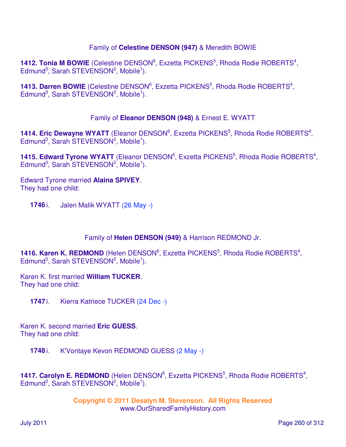### Family of **Celestine DENSON (947)** & Meredith BOWIE

**1412. Tonia M BOWIE** (Celestine DENSON<sup>6</sup>, Exzetta PICKENS<sup>5</sup>, Rhoda Rodie ROBERTS<sup>4</sup>, Edmund<sup>3</sup>, Sarah STEVENSON<sup>2</sup>, Mobile<sup>1</sup>).

1413. Darren BOWIE (Celestine DENSON<sup>6</sup>, Exzetta PICKENS<sup>5</sup>, Rhoda Rodie ROBERTS<sup>4</sup>, Edmund<sup>3</sup>, Sarah STEVENSON<sup>2</sup>, Mobile<sup>1</sup>).

### Family of **Eleanor DENSON (948)** & Ernest E. WYATT

1414. Eric Dewayne WYATT (Eleanor DENSON<sup>6</sup>, Exzetta PICKENS<sup>5</sup>, Rhoda Rodie ROBERTS<sup>4</sup>, Edmund<sup>3</sup>, Sarah STEVENSON<sup>2</sup>, Mobile<sup>1</sup>).

1415. Edward Tyrone WYATT (Eleanor DENSON<sup>6</sup>, Exzetta PICKENS<sup>5</sup>, Rhoda Rodie ROBERTS<sup>4</sup>, Edmund<sup>3</sup>, Sarah STEVENSON<sup>2</sup>, Mobile<sup>1</sup>).

Edward Tyrone married **Alaina SPIVEY**. They had one child:

**1746** i. Jalen Malik WYATT (26 May -)

Family of **Helen DENSON (949)** & Harrison REDMOND Jr.

**1416. Karen K. REDMOND** (Helen DENSON<sup>6</sup>, Exzetta PICKENS<sup>5</sup>, Rhoda Rodie ROBERTS<sup>4</sup>, Edmund<sup>3</sup>, Sarah STEVENSON<sup>2</sup>, Mobile<sup>1</sup>).

Karen K. first married **William TUCKER**. They had one child:

**1747** i. Kierra Katriece TUCKER (24 Dec -)

Karen K. second married **Eric GUESS**. They had one child:

**1748** i. K'Vontaye Kevon REDMOND GUESS (2 May -)

1417. Carolyn E. REDMOND (Helen DENSON<sup>6</sup>, Exzetta PICKENS<sup>5</sup>, Rhoda Rodie ROBERTS<sup>4</sup>, Edmund<sup>3</sup>, Sarah STEVENSON<sup>2</sup>, Mobile<sup>1</sup>).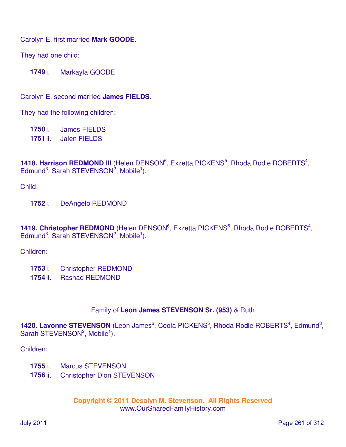Carolyn E. first married **Mark GOODE**.

They had one child:

**1749** i. Markayla GOODE

Carolyn E. second married **James FIELDS**.

They had the following children:

**1750** i. James FIELDS **1751** ii. Jalen FIELDS

1418. Harrison REDMOND III (Helen DENSON<sup>6</sup>, Exzetta PICKENS<sup>5</sup>, Rhoda Rodie ROBERTS<sup>4</sup>, Edmund<sup>3</sup>, Sarah STEVENSON<sup>2</sup>, Mobile<sup>1</sup>).

Child:

**1752** i. DeAngelo REDMOND

1419. Christopher REDMOND (Helen DENSON<sup>6</sup>, Exzetta PICKENS<sup>5</sup>, Rhoda Rodie ROBERTS<sup>4</sup>, Edmund<sup>3</sup>, Sarah STEVENSON<sup>2</sup>, Mobile<sup>1</sup>).

Children:

- **1753** i. Christopher REDMOND
- **1754** ii. Rashad REDMOND

### Family of **Leon James STEVENSON Sr. (953)** & Ruth

1420. Lavonne STEVENSON (Leon James<sup>6</sup>, Ceola PICKENS<sup>5</sup>, Rhoda Rodie ROBERTS<sup>4</sup>, Edmund<sup>3</sup>, Sarah STEVENSON<sup>2</sup>, Mobile<sup>1</sup>).

Children:

- **1755** i. Marcus STEVENSON
- **1756** ii. Christopher Dion STEVENSON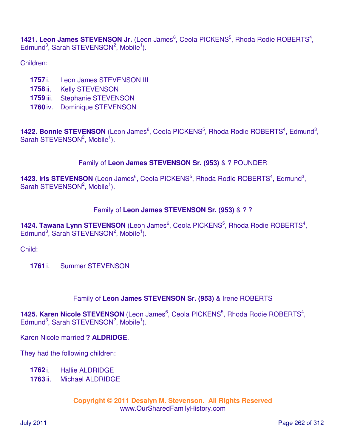1421. Leon James STEVENSON Jr. (Leon James<sup>6</sup>, Ceola PICKENS<sup>5</sup>, Rhoda Rodie ROBERTS<sup>4</sup>, Edmund<sup>3</sup>, Sarah STEVENSON<sup>2</sup>, Mobile<sup>1</sup>).

Children:

- **1757** i. Leon James STEVENSON III
- **1758** ii. Kelly STEVENSON
- **1759** iii. Stephanie STEVENSON
- **1760** iv. Dominique STEVENSON

1422. Bonnie STEVENSON (Leon James<sup>6</sup>, Ceola PICKENS<sup>5</sup>, Rhoda Rodie ROBERTS<sup>4</sup>, Edmund<sup>3</sup>, Sarah STEVENSON<sup>2</sup>, Mobile<sup>1</sup>).

# Family of **Leon James STEVENSON Sr. (953)** & ? POUNDER

1423. Iris STEVENSON (Leon James<sup>6</sup>, Ceola PICKENS<sup>5</sup>, Rhoda Rodie ROBERTS<sup>4</sup>, Edmund<sup>3</sup>, Sarah STEVENSON<sup>2</sup>, Mobile<sup>1</sup>).

# Family of **Leon James STEVENSON Sr. (953)** & ? ?

1424. Tawana Lynn STEVENSON (Leon James<sup>6</sup>, Ceola PICKENS<sup>5</sup>, Rhoda Rodie ROBERTS<sup>4</sup>, Edmund<sup>3</sup>, Sarah STEVENSON<sup>2</sup>, Mobile<sup>1</sup>).

Child:

**1761** i. Summer STEVENSON

### Family of **Leon James STEVENSON Sr. (953)** & Irene ROBERTS

1425. Karen Nicole STEVENSON (Leon James<sup>6</sup>, Ceola PICKENS<sup>5</sup>, Rhoda Rodie ROBERTS<sup>4</sup>, Edmund<sup>3</sup>, Sarah STEVENSON<sup>2</sup>, Mobile<sup>1</sup>).

Karen Nicole married **? ALDRIDGE**.

They had the following children:

- **1762** i. Hallie ALDRIDGE
- **1763** ii. Michael ALDRIDGE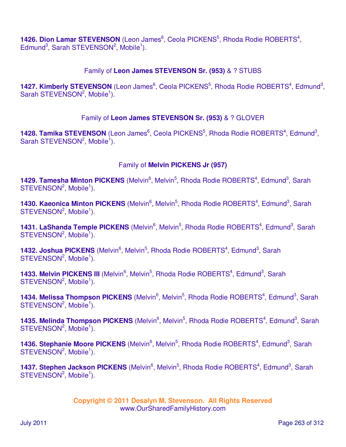1426. Dion Lamar STEVENSON (Leon James<sup>6</sup>, Ceola PICKENS<sup>5</sup>, Rhoda Rodie ROBERTS<sup>4</sup>, Edmund<sup>3</sup>, Sarah STEVENSON<sup>2</sup>, Mobile<sup>1</sup>).

# Family of **Leon James STEVENSON Sr. (953)** & ? STUBS

1427. Kimberly STEVENSON (Leon James<sup>6</sup>, Ceola PICKENS<sup>5</sup>, Rhoda Rodie ROBERTS<sup>4</sup>, Edmund<sup>3</sup>, Sarah STEVENSON<sup>2</sup>, Mobile<sup>1</sup>).

# Family of **Leon James STEVENSON Sr. (953)** & ? GLOVER

1428. Tamika STEVENSON (Leon James<sup>6</sup>, Ceola PICKENS<sup>5</sup>, Rhoda Rodie ROBERTS<sup>4</sup>, Edmund<sup>3</sup>, Sarah STEVENSON<sup>2</sup>, Mobile<sup>1</sup>).

# Family of **Melvin PICKENS Jr (957)**

1429. Tamesha Minton PICKENS (Melvin<sup>6</sup>, Melvin<sup>5</sup>, Rhoda Rodie ROBERTS<sup>4</sup>, Edmund<sup>3</sup>, Sarah  $STEVENSON<sup>2</sup>$ , Mobile<sup>1</sup>).

1430. Kaeonica Minton PICKENS (Melvin<sup>6</sup>, Melvin<sup>5</sup>, Rhoda Rodie ROBERTS<sup>4</sup>, Edmund<sup>3</sup>, Sarah  $STEVENSON<sup>2</sup>, Mobile<sup>1</sup>).$ 

1431. LaShanda Temple PICKENS (Melvin<sup>6</sup>, Melvin<sup>5</sup>, Rhoda Rodie ROBERTS<sup>4</sup>, Edmund<sup>3</sup>, Sarah  $STEVENSON<sup>2</sup>, Mobile<sup>1</sup>).$ 

1432. Joshua PICKENS (Melvin<sup>6</sup>, Melvin<sup>5</sup>, Rhoda Rodie ROBERTS<sup>4</sup>, Edmund<sup>3</sup>, Sarah  $STEVENSON<sup>2</sup>, Mobile<sup>1</sup>).$ 

1433. Melvin PICKENS III (Melvin<sup>6</sup>, Melvin<sup>5</sup>, Rhoda Rodie ROBERTS<sup>4</sup>, Edmund<sup>3</sup>, Sarah  $STEVENSON<sup>2</sup>, Mobile<sup>1</sup>).$ 

1434. Melissa Thompson PICKENS (Melvin<sup>6</sup>, Melvin<sup>5</sup>, Rhoda Rodie ROBERTS<sup>4</sup>, Edmund<sup>3</sup>, Sarah STEVENSON<sup>2</sup>, Mobile<sup>1</sup>).

1435. Melinda Thompson PICKENS (Melvin<sup>6</sup>, Melvin<sup>5</sup>, Rhoda Rodie ROBERTS<sup>4</sup>, Edmund<sup>3</sup>, Sarah  $STEVENSON<sup>2</sup>, Mobile<sup>1</sup>).$ 

1436. Stephanie Moore PICKENS (Melvin<sup>6</sup>, Melvin<sup>5</sup>, Rhoda Rodie ROBERTS<sup>4</sup>, Edmund<sup>3</sup>, Sarah STEVENSON<sup>2</sup>, Mobile<sup>1</sup>).

1437. Stephen Jackson PICKENS (Melvin<sup>6</sup>, Melvin<sup>5</sup>, Rhoda Rodie ROBERTS<sup>4</sup>, Edmund<sup>3</sup>, Sarah STEVENSON<sup>2</sup>, Mobile<sup>1</sup>).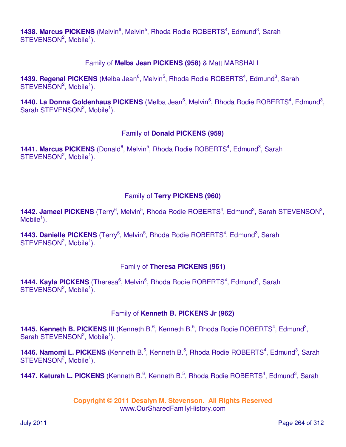1438. Marcus PICKENS (Melvin<sup>6</sup>, Melvin<sup>5</sup>, Rhoda Rodie ROBERTS<sup>4</sup>, Edmund<sup>3</sup>, Sarah  $STEVENSON<sup>2</sup>, Mobile<sup>1</sup>).$ 

# Family of **Melba Jean PICKENS (958)** & Matt MARSHALL

1439. Regenal PICKENS (Melba Jean<sup>6</sup>, Melvin<sup>5</sup>, Rhoda Rodie ROBERTS<sup>4</sup>, Edmund<sup>3</sup>, Sarah  $STEVENSON<sup>2</sup>, Mobile<sup>1</sup>).$ 

1440. La Donna Goldenhaus PICKENS (Melba Jean<sup>6</sup>, Melvin<sup>5</sup>, Rhoda Rodie ROBERTS<sup>4</sup>, Edmund<sup>3</sup>, Sarah STEVENSON<sup>2</sup>, Mobile<sup>1</sup>).

# Family of **Donald PICKENS (959)**

1441. Marcus PICKENS (Donald<sup>6</sup>, Melvin<sup>5</sup>, Rhoda Rodie ROBERTS<sup>4</sup>, Edmund<sup>3</sup>, Sarah STEVENSON<sup>2</sup>, Mobile<sup>1</sup>).

# Family of **Terry PICKENS (960)**

1442. Jameel PICKENS (Terry<sup>6</sup>, Melvin<sup>5</sup>, Rhoda Rodie ROBERTS<sup>4</sup>, Edmund<sup>3</sup>, Sarah STEVENSON<sup>2</sup>,  $M$ obile<sup>1</sup>).

1443. Danielle PICKENS (Terry<sup>6</sup>, Melvin<sup>5</sup>, Rhoda Rodie ROBERTS<sup>4</sup>, Edmund<sup>3</sup>, Sarah  $STEVENSON<sup>2</sup>$ , Mobile<sup>1</sup>).

# Family of **Theresa PICKENS (961)**

1444. Kayla PICKENS (Theresa<sup>6</sup>, Melvin<sup>5</sup>, Rhoda Rodie ROBERTS<sup>4</sup>, Edmund<sup>3</sup>, Sarah  $STEVENSON<sup>2</sup>, Mobile<sup>1</sup>).$ 

### Family of **Kenneth B. PICKENS Jr (962)**

1445. Kenneth B. PICKENS III (Kenneth B.<sup>6</sup>, Kenneth B.<sup>5</sup>, Rhoda Rodie ROBERTS<sup>4</sup>, Edmund<sup>3</sup>, Sarah STEVENSON<sup>2</sup>, Mobile<sup>1</sup>).

1446. Namomi L. PICKENS (Kenneth B.<sup>6</sup>, Kenneth B.<sup>5</sup>, Rhoda Rodie ROBERTS<sup>4</sup>, Edmund<sup>3</sup>, Sarah  $STEVENSON<sup>2</sup>$ , Mobile<sup>1</sup>).

1447. Keturah L. PICKENS (Kenneth B.<sup>6</sup>, Kenneth B.<sup>5</sup>, Rhoda Rodie ROBERTS<sup>4</sup>, Edmund<sup>3</sup>, Sarah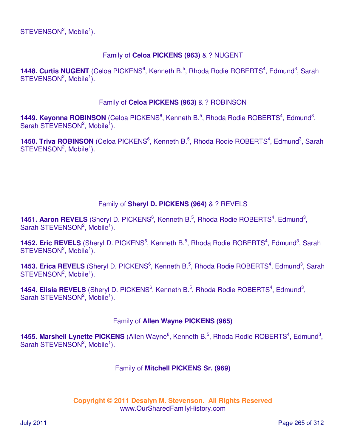# Family of **Celoa PICKENS (963)** & ? NUGENT

1448. Curtis NUGENT (Celoa PICKENS<sup>6</sup>, Kenneth B.<sup>5</sup>, Rhoda Rodie ROBERTS<sup>4</sup>, Edmund<sup>3</sup>, Sarah  $STEVENSON<sup>2</sup>, Mobile<sup>1</sup>).$ 

### Family of **Celoa PICKENS (963)** & ? ROBINSON

1449. Keyonna ROBINSON (Celoa PICKENS<sup>6</sup>, Kenneth B.<sup>5</sup>, Rhoda Rodie ROBERTS<sup>4</sup>, Edmund<sup>3</sup>, Sarah STEVENSON<sup>2</sup>, Mobile<sup>1</sup>).

1450. Triva ROBINSON (Celoa PICKENS<sup>6</sup>, Kenneth B.<sup>5</sup>, Rhoda Rodie ROBERTS<sup>4</sup>, Edmund<sup>3</sup>, Sarah  $STEVENSON<sup>2</sup>, Mobile<sup>1</sup>).$ 

# Family of **Sheryl D. PICKENS (964)** & ? REVELS

1451. Aaron REVELS (Sheryl D. PICKENS<sup>6</sup>, Kenneth B.<sup>5</sup>, Rhoda Rodie ROBERTS<sup>4</sup>, Edmund<sup>3</sup>, Sarah STEVENSON<sup>2</sup>, Mobile<sup>1</sup>).

1452. Eric REVELS (Sheryl D. PICKENS<sup>6</sup>, Kenneth B.<sup>5</sup>, Rhoda Rodie ROBERTS<sup>4</sup>, Edmund<sup>3</sup>, Sarah  $STEVENSON<sup>2</sup>, Mobile<sup>1</sup>).$ 

1453. Erica REVELS (Sheryl D. PICKENS<sup>6</sup>, Kenneth B.<sup>5</sup>, Rhoda Rodie ROBERTS<sup>4</sup>, Edmund<sup>3</sup>, Sarah  $STEVENSON<sup>2</sup>$ , Mobile<sup>1</sup>).

1454. Elisia REVELS (Sheryl D. PICKENS<sup>6</sup>, Kenneth B.<sup>5</sup>, Rhoda Rodie ROBERTS<sup>4</sup>, Edmund<sup>3</sup>, Sarah STEVENSON<sup>2</sup>, Mobile<sup>1</sup>).

### Family of **Allen Wayne PICKENS (965)**

1455. Marshell Lynette PICKENS (Allen Wayne<sup>6</sup>, Kenneth B.<sup>5</sup>, Rhoda Rodie ROBERTS<sup>4</sup>, Edmund<sup>3</sup>, Sarah STEVENSON<sup>2</sup>, Mobile<sup>1</sup>).

### Family of **Mitchell PICKENS Sr. (969)**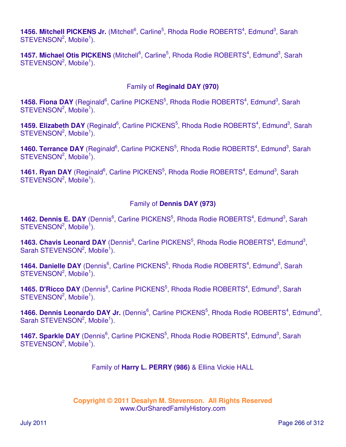1456. Mitchell PICKENS Jr. (Mitchell<sup>6</sup>, Carline<sup>5</sup>, Rhoda Rodie ROBERTS<sup>4</sup>, Edmund<sup>3</sup>, Sarah  $STEVENSON<sup>2</sup>, Mobile<sup>1</sup>).$ 

1457. Michael Otis PICKENS (Mitchell<sup>6</sup>, Carline<sup>5</sup>, Rhoda Rodie ROBERTS<sup>4</sup>, Edmund<sup>3</sup>, Sarah  $STEVENSON<sup>2</sup>, Mobile<sup>1</sup>).$ 

### Family of **Reginald DAY (970)**

1458. Fiona DAY (Reginald<sup>6</sup>, Carline PICKENS<sup>5</sup>, Rhoda Rodie ROBERTS<sup>4</sup>, Edmund<sup>3</sup>, Sarah  $STEVENSON<sup>2</sup>, Mobile<sup>1</sup>).$ 

1459. Elizabeth DAY (Reginald<sup>6</sup>, Carline PICKENS<sup>5</sup>, Rhoda Rodie ROBERTS<sup>4</sup>, Edmund<sup>3</sup>, Sarah  $STEVENSON<sup>2</sup>, Mobile<sup>1</sup>).$ 

1460. Terrance DAY (Reginald<sup>6</sup>, Carline PICKENS<sup>5</sup>, Rhoda Rodie ROBERTS<sup>4</sup>, Edmund<sup>3</sup>, Sarah  $STEVENSON<sup>2</sup>, Mobile<sup>1</sup>).$ 

1461. Ryan DAY (Reginald<sup>6</sup>, Carline PICKENS<sup>5</sup>, Rhoda Rodie ROBERTS<sup>4</sup>, Edmund<sup>3</sup>, Sarah  $STEVENSON<sup>2</sup>, Mobile<sup>1</sup>).$ 

### Family of **Dennis DAY (973)**

1462. Dennis E. DAY (Dennis<sup>6</sup>, Carline PICKENS<sup>5</sup>, Rhoda Rodie ROBERTS<sup>4</sup>, Edmund<sup>3</sup>, Sarah  $STEVENSON<sup>2</sup>, Mobile<sup>1</sup>).$ 

1463. Chavis Leonard DAY (Dennis<sup>6</sup>, Carline PICKENS<sup>5</sup>, Rhoda Rodie ROBERTS<sup>4</sup>, Edmund<sup>3</sup>, Sarah STEVENSON<sup>2</sup>, Mobile<sup>1</sup>).

1464. Danielle DAY (Dennis<sup>6</sup>, Carline PICKENS<sup>5</sup>, Rhoda Rodie ROBERTS<sup>4</sup>, Edmund<sup>3</sup>, Sarah  $STEVENSON<sup>2</sup>, Mobile<sup>1</sup>).$ 

1465. D'Ricco DAY (Dennis<sup>6</sup>, Carline PICKENS<sup>5</sup>, Rhoda Rodie ROBERTS<sup>4</sup>, Edmund<sup>3</sup>, Sarah  $STEVENSON<sup>2</sup>, Mobile<sup>1</sup>).$ 

1466. Dennis Leonardo DAY Jr. (Dennis<sup>6</sup>, Carline PICKENS<sup>5</sup>, Rhoda Rodie ROBERTS<sup>4</sup>, Edmund<sup>3</sup>, Sarah STEVENSON<sup>2</sup>, Mobile<sup>1</sup>).

1467. Sparkle DAY (Dennis<sup>6</sup>, Carline PICKENS<sup>5</sup>, Rhoda Rodie ROBERTS<sup>4</sup>, Edmund<sup>3</sup>, Sarah STEVENSON<sup>2</sup>, Mobile<sup>1</sup>).

Family of **Harry L. PERRY (986)** & Ellina Vickie HALL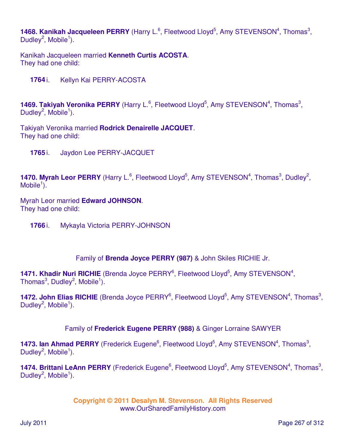1468. Kanikah Jacqueleen PERRY (Harry L.<sup>6</sup>, Fleetwood Lloyd<sup>5</sup>, Amy STEVENSON<sup>4</sup>, Thomas<sup>3</sup>, Dudley<sup>2</sup>, Mobile<sup>1</sup>).

Kanikah Jacqueleen married **Kenneth Curtis ACOSTA**. They had one child:

**1764** i. Kellyn Kai PERRY-ACOSTA

1469. Takiyah Veronika PERRY (Harry L.<sup>6</sup>, Fleetwood Lloyd<sup>5</sup>, Amy STEVENSON<sup>4</sup>, Thomas<sup>3</sup>, Dudley<sup>2</sup>, Mobile<sup>1</sup>).

Takiyah Veronika married **Rodrick Denairelle JACQUET**. They had one child:

**1765** i. Jaydon Lee PERRY-JACQUET

**1470. Myrah Leor PERRY** (Harry L.<sup>6</sup>, Fleetwood Lloyd<sup>5</sup>, Amy STEVENSON<sup>4</sup>, Thomas<sup>3</sup>, Dudley<sup>2</sup>, Mobile $^1$ ).

Myrah Leor married **Edward JOHNSON**. They had one child:

**1766** i. Mykayla Victoria PERRY-JOHNSON

Family of **Brenda Joyce PERRY (987)** & John Skiles RICHIE Jr.

1471. Khadir Nuri RICHIE (Brenda Joyce PERRY<sup>6</sup>, Fleetwood Lloyd<sup>5</sup>, Amy STEVENSON<sup>4</sup>, Thomas $^3$ , Dudley $^2$ , Mobile $^1$ ).

1472. John Elias RICHIE (Brenda Joyce PERRY<sup>6</sup>, Fleetwood Lloyd<sup>5</sup>, Amy STEVENSON<sup>4</sup>, Thomas<sup>3</sup>, Dudley<sup>2</sup>, Mobile<sup>1</sup>).

Family of **Frederick Eugene PERRY (988)** & Ginger Lorraine SAWYER

1473. Ian Ahmad PERRY (Frederick Eugene<sup>6</sup>, Fleetwood Lloyd<sup>5</sup>, Amy STEVENSON<sup>4</sup>, Thomas<sup>3</sup>, Dudley<sup>2</sup>, Mobile<sup>1</sup>).

1474. Brittani LeAnn PERRY (Frederick Eugene<sup>6</sup>, Fleetwood Lloyd<sup>5</sup>, Amy STEVENSON<sup>4</sup>, Thomas<sup>3</sup>, Dudley<sup>2</sup>, Mobile<sup>1</sup>).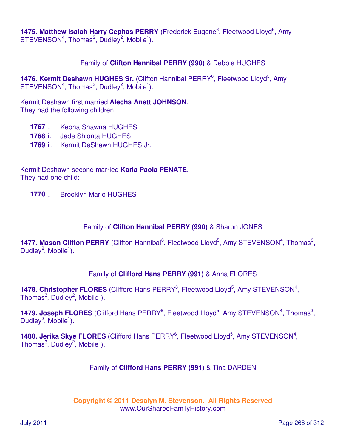1475. Matthew Isaiah Harry Cephas PERRY (Frederick Eugene<sup>6</sup>, Fleetwood Lloyd<sup>5</sup>, Amy  $STEVENSON<sup>4</sup>$ , Thomas<sup>3</sup>, Dudley<sup>2</sup>, Mobile<sup>1</sup>).

### Family of **Clifton Hannibal PERRY (990)** & Debbie HUGHES

1476. Kermit Deshawn HUGHES Sr. (Clifton Hannibal PERRY<sup>6</sup>, Fleetwood Lloyd<sup>5</sup>, Amy  $STEVENSON<sup>4</sup>$ , Thomas<sup>3</sup>, Dudley<sup>2</sup>, Mobile<sup>1</sup>).

Kermit Deshawn first married **Alecha Anett JOHNSON**. They had the following children:

- **1767** i. Keona Shawna HUGHES
- **1768** ii. Jade Shionta HUGHES
- **1769** iii. Kermit DeShawn HUGHES Jr.

Kermit Deshawn second married **Karla Paola PENATE**. They had one child:

**1770** i. Brooklyn Marie HUGHES

#### Family of **Clifton Hannibal PERRY (990)** & Sharon JONES

**1477. Mason Clifton PERRY** (Clifton Hannibal<sup>6</sup>, Fleetwood Lloyd<sup>5</sup>, Amy STEVENSON<sup>4</sup>, Thomas<sup>3</sup>, Dudley<sup>2</sup>, Mobile<sup>1</sup>).

### Family of **Clifford Hans PERRY (991)** & Anna FLORES

1478. Christopher FLORES (Clifford Hans PERRY<sup>6</sup>, Fleetwood Lloyd<sup>5</sup>, Amy STEVENSON<sup>4</sup>, Thomas $^3$ , Dudley $^2$ , Mobile $^1$ ).

1479. Joseph FLORES (Clifford Hans PERRY<sup>6</sup>, Fleetwood Lloyd<sup>5</sup>, Amy STEVENSON<sup>4</sup>, Thomas<sup>3</sup>, Dudley<sup>2</sup>, Mobile<sup>1</sup>).

1480. Jerika Skye FLORES (Clifford Hans PERRY<sup>6</sup>, Fleetwood Lloyd<sup>5</sup>, Amy STEVENSON<sup>4</sup>, Thomas $3$ , Dudley $^2$ , Mobile $^1$ ).

#### Family of **Clifford Hans PERRY (991)** & Tina DARDEN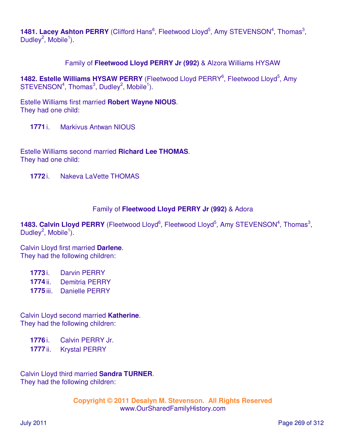1481. Lacey Ashton PERRY (Clifford Hans<sup>6</sup>, Fleetwood Lloyd<sup>5</sup>, Amy STEVENSON<sup>4</sup>, Thomas<sup>3</sup>, Dudley<sup>2</sup>, Mobile<sup>1</sup>).

Family of **Fleetwood Lloyd PERRY Jr (992)** & Alzora Williams HYSAW

1482. Estelle Williams HYSAW PERRY (Fleetwood Lloyd PERRY<sup>6</sup>, Fleetwood Lloyd<sup>5</sup>, Amy  $STEVENSON<sup>4</sup>$ , Thomas<sup>3</sup>, Dudley<sup>2</sup>, Mobile<sup>1</sup>).

Estelle Williams first married **Robert Wayne NIOUS**. They had one child:

**1771** i. Markivus Antwan NIOUS

Estelle Williams second married **Richard Lee THOMAS**. They had one child:

**1772** i. Nakeva LaVette THOMAS

### Family of **Fleetwood Lloyd PERRY Jr (992)** & Adora

1483. Calvin Lloyd PERRY (Fleetwood Lloyd<sup>6</sup>, Fleetwood Lloyd<sup>5</sup>, Amy STEVENSON<sup>4</sup>, Thomas<sup>3</sup>, Dudley<sup>2</sup>, Mobile<sup>1</sup>).

Calvin Lloyd first married **Darlene**. They had the following children:

**1773** i. Darvin PERRY

**1774** ii. Demitria PERRY

**1775** iii. Danielle PERRY

Calvin Lloyd second married **Katherine**. They had the following children:

**1776** i. Calvin PERRY Jr.

**1777** ii. Krystal PERRY

Calvin Lloyd third married **Sandra TURNER**. They had the following children: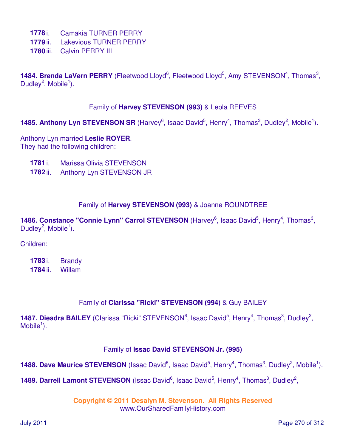- **1778** i. Camakia TURNER PERRY
- **1779** ii. Lakevious TURNER PERRY
- **1780** iii. Calvin PERRY III

1484. Brenda LaVern PERRY (Fleetwood Lloyd<sup>6</sup>, Fleetwood Lloyd<sup>5</sup>, Amy STEVENSON<sup>4</sup>, Thomas<sup>3</sup>, Dudley<sup>2</sup>, Mobile<sup>1</sup>).

### Family of **Harvey STEVENSON (993)** & Leola REEVES

1485. Anthony Lyn STEVENSON SR (Harvey<sup>6</sup>, Isaac David<sup>5</sup>, Henry<sup>4</sup>, Thomas<sup>3</sup>, Dudley<sup>2</sup>, Mobile<sup>1</sup>).

Anthony Lyn married **Leslie ROYER**. They had the following children:

- **1781** i. Marissa Olivia STEVENSON
- **1782** ii. Anthony Lyn STEVENSON JR

### Family of **Harvey STEVENSON (993)** & Joanne ROUNDTREE

1486. Constance "Connie Lynn" Carrol STEVENSON (Harvey<sup>6</sup>, Isaac David<sup>5</sup>, Henry<sup>4</sup>, Thomas<sup>3</sup>, Dudley<sup>2</sup>, Mobile<sup>1</sup>).

Children:

**1783** i. Brandy **1784** ii. Willam

### Family of **Clarissa "Ricki" STEVENSON (994)** & Guy BAILEY

1487. Dieadra BAILEY (Clarissa "Ricki" STEVENSON<sup>6</sup>, Isaac David<sup>5</sup>, Henry<sup>4</sup>, Thomas<sup>3</sup>, Dudley<sup>2</sup>,  $M$ obile<sup>1</sup>).

### Family of **Issac David STEVENSON Jr. (995)**

1488. Dave Maurice STEVENSON (Issac David<sup>6</sup>, Isaac David<sup>5</sup>, Henry<sup>4</sup>, Thomas<sup>3</sup>, Dudley<sup>2</sup>, Mobile<sup>1</sup>).

1489. Darrell Lamont STEVENSON (Issac David<sup>6</sup>, Isaac David<sup>5</sup>, Henry<sup>4</sup>, Thomas<sup>3</sup>, Dudley<sup>2</sup>,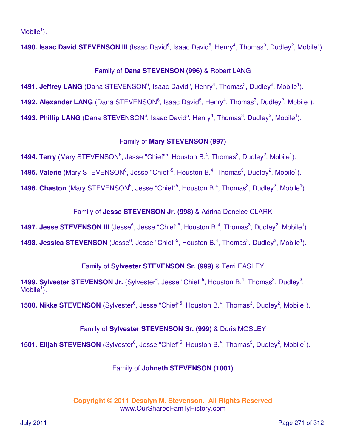$M$ obile<sup>1</sup>).

**1490. Isaac David STEVENSON III** (Issac David<sup>6</sup>, Isaac David<sup>5</sup>, Henry<sup>4</sup>, Thomas<sup>3</sup>, Dudley<sup>2</sup>, Mobile<sup>1</sup>).

# Family of **Dana STEVENSON (996)** & Robert LANG

**1491. Jeffrey LANG** (Dana STEVENSON<sup>6</sup>, Isaac David<sup>5</sup>, Henry<sup>4</sup>, Thomas<sup>3</sup>, Dudley<sup>2</sup>, Mobile<sup>1</sup>). 1492. Alexander LANG (Dana STEVENSON<sup>6</sup>, Isaac David<sup>5</sup>, Henry<sup>4</sup>, Thomas<sup>3</sup>, Dudley<sup>2</sup>, Mobile<sup>1</sup>). **1493. Phillip LANG** (Dana STEVENSON<sup>6</sup>, Isaac David<sup>5</sup>, Henry<sup>4</sup>, Thomas<sup>3</sup>, Dudley<sup>2</sup>, Mobile<sup>1</sup>).

# Family of **Mary STEVENSON (997)**

**1494. Terry** (Mary STEVENSON<sup>6</sup>, Jesse "Chief"<sup>5</sup>, Houston B.<sup>4</sup>, Thomas<sup>3</sup>, Dudley<sup>2</sup>, Mobile<sup>1</sup>).

**1495. Valerie** (Mary STEVENSON<sup>6</sup>, Jesse "Chief"<sup>5</sup>, Houston B.<sup>4</sup>, Thomas<sup>3</sup>, Dudley<sup>2</sup>, Mobile<sup>1</sup>).

**1496. Chaston** (Mary STEVENSON<sup>6</sup>, Jesse "Chief"<sup>5</sup>, Houston B.<sup>4</sup>, Thomas<sup>3</sup>, Dudley<sup>2</sup>, Mobile<sup>1</sup>).

Family of **Jesse STEVENSON Jr. (998)** & Adrina Deneice CLARK

**1497. Jesse STEVENSON III** (Jesse<sup>6</sup>, Jesse "Chief"<sup>5</sup>, Houston B.<sup>4</sup>, Thomas<sup>3</sup>, Dudley<sup>2</sup>, Mobile<sup>1</sup>).

**1498. Jessica STEVENSON** (Jesse<sup>6</sup>, Jesse "Chief"<sup>5</sup>, Houston B.<sup>4</sup>, Thomas<sup>3</sup>, Dudley<sup>2</sup>, Mobile<sup>1</sup>).

# Family of **Sylvester STEVENSON Sr. (999)** & Terri EASLEY

1499. Sylvester STEVENSON Jr. (Sylvester<sup>6</sup>, Jesse "Chief"<sup>5</sup>, Houston B.<sup>4</sup>, Thomas<sup>3</sup>, Dudley<sup>2</sup>, Mobile $\overline{1}$ ).

**1500. Nikke STEVENSON** (Sylvester<sup>6</sup>, Jesse "Chief"<sup>5</sup>, Houston B.<sup>4</sup>, Thomas<sup>3</sup>, Dudley<sup>2</sup>, Mobile<sup>1</sup>).

# Family of **Sylvester STEVENSON Sr. (999)** & Doris MOSLEY

**1501. Elijah STEVENSON** (Sylvester<sup>6</sup>, Jesse "Chief"<sup>5</sup>, Houston B.<sup>4</sup>, Thomas<sup>3</sup>, Dudley<sup>2</sup>, Mobile<sup>1</sup>).

# Family of **Johneth STEVENSON (1001)**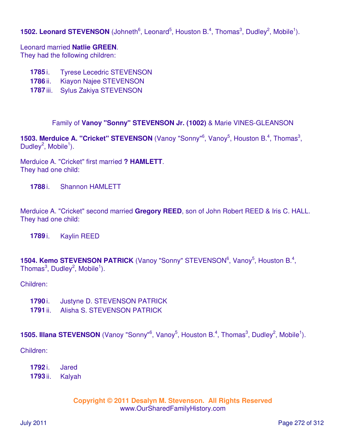# **1502. Leonard STEVENSON** (Johneth<sup>6</sup>, Leonard<sup>5</sup>, Houston B.<sup>4</sup>, Thomas<sup>3</sup>, Dudley<sup>2</sup>, Mobile<sup>1</sup>).

Leonard married **Natlie GREEN**.

They had the following children:

- **1785** i. Tyrese Lecedric STEVENSON
- **1786** ii. Kiayon Najee STEVENSON
- **1787** iii. Sylus Zakiya STEVENSON

Family of **Vanoy "Sonny" STEVENSON Jr. (1002)** & Marie VINES-GLEANSON

**1503. Merduice A. "Cricket" STEVENSON** (Vanoy "Sonny"<sup>6</sup>, Vanoy<sup>5</sup>, Houston B.<sup>4</sup>, Thomas<sup>3</sup>, Dudley<sup>2</sup>, Mobile<sup>1</sup>).

Merduice A. "Cricket" first married **? HAMLETT**. They had one child:

**1788** i. Shannon HAMLETT

Merduice A. "Cricket" second married **Gregory REED**, son of John Robert REED & Iris C. HALL. They had one child:

**1789** i. Kaylin REED

**1504. Kemo STEVENSON PATRICK** (Vanoy "Sonny" STEVENSON<sup>6</sup>, Vanoy<sup>5</sup>, Houston B.<sup>4</sup>, Thomas $^3$ , Dudley $^2$ , Mobile $^1$ ).

Children:

- **1790** i. Justyne D. STEVENSON PATRICK
- **1791** ii. Alisha S. STEVENSON PATRICK

### **1505. Illana STEVENSON** (Vanoy "Sonny"<sup>6</sup>, Vanoy<sup>5</sup>, Houston B.<sup>4</sup>, Thomas<sup>3</sup>, Dudley<sup>2</sup>, Mobile<sup>1</sup>).

Children:

- **1792** i. Jared
- **1793** ii. Kalyah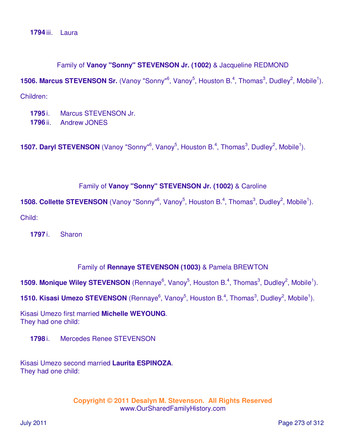**1794** iii. Laura

#### Family of **Vanoy "Sonny" STEVENSON Jr. (1002)** & Jacqueline REDMOND

**1506. Marcus STEVENSON Sr.** (Vanoy "Sonny"<sup>6</sup>, Vanoy<sup>5</sup>, Houston B.<sup>4</sup>, Thomas<sup>3</sup>, Dudley<sup>2</sup>, Mobile<sup>1</sup>).

Children:

**1795** i. Marcus STEVENSON Jr. **1796** ii. Andrew JONES

**1507. Daryl STEVENSON** (Vanoy "Sonny"<sup>6</sup>, Vanoy<sup>5</sup>, Houston B.<sup>4</sup>, Thomas<sup>3</sup>, Dudley<sup>2</sup>, Mobile<sup>1</sup>).

#### Family of **Vanoy "Sonny" STEVENSON Jr. (1002)** & Caroline

**1508. Collette STEVENSON** (Vanoy "Sonny"<sup>6</sup>, Vanoy<sup>5</sup>, Houston B.<sup>4</sup>, Thomas<sup>3</sup>, Dudley<sup>2</sup>, Mobile<sup>1</sup>).

Child:

**1797** i. Sharon

#### Family of **Rennaye STEVENSON (1003)** & Pamela BREWTON

**1509. Monique Wiley STEVENSON** (Rennaye<sup>6</sup>, Vanoy<sup>5</sup>, Houston B.<sup>4</sup>, Thomas<sup>3</sup>, Dudley<sup>2</sup>, Mobile<sup>1</sup>).

**1510. Kisasi Umezo STEVENSON** (Rennaye<sup>6</sup>, Vanoy<sup>5</sup>, Houston B.<sup>4</sup>, Thomas<sup>3</sup>, Dudley<sup>2</sup>, Mobile<sup>1</sup>).

Kisasi Umezo first married **Michelle WEYOUNG**. They had one child:

**1798** i. Mercedes Renee STEVENSON

Kisasi Umezo second married **Laurita ESPINOZA**. They had one child: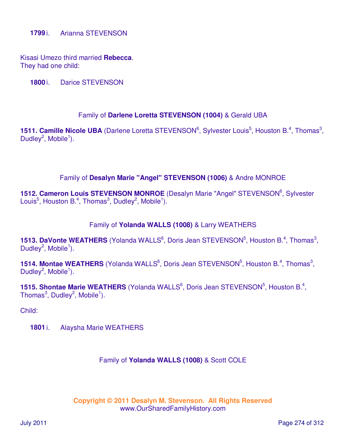Kisasi Umezo third married **Rebecca**. They had one child:

**1800** i. Darice STEVENSON

### Family of **Darlene Loretta STEVENSON (1004)** & Gerald UBA

**1511. Camille Nicole UBA** (Darlene Loretta STEVENSON<sup>6</sup>, Sylvester Louis<sup>5</sup>, Houston B.<sup>4</sup>, Thomas<sup>3</sup>, Dudley<sup>2</sup>, Mobile<sup>1</sup>).

### Family of **Desalyn Marie "Angel" STEVENSON (1006)** & Andre MONROE

1512. Cameron Louis STEVENSON MONROE (Desalyn Marie "Angel" STEVENSON<sup>6</sup>, Sylvester Louis<sup>5</sup>, Houston B.<sup>4</sup>, Thomas<sup>3</sup>, Dudley<sup>2</sup>, Mobile<sup>1</sup>).

### Family of **Yolanda WALLS (1008)** & Larry WEATHERS

**1513. DaVonte WEATHERS** (Yolanda WALLS<sup>6</sup>, Doris Jean STEVENSON<sup>5</sup>, Houston B.<sup>4</sup>, Thomas<sup>3</sup>, Dudley<sup>2</sup>, Mobile<sup>1</sup>).

**1514. Montae WEATHERS** (Yolanda WALLS<sup>6</sup>, Doris Jean STEVENSON<sup>5</sup>, Houston B.<sup>4</sup>, Thomas<sup>3</sup>, Dudley<sup>2</sup>, Mobile<sup>1</sup>).

**1515. Shontae Marie WEATHERS** (Yolanda WALLS<sup>6</sup>, Doris Jean STEVENSON<sup>5</sup>, Houston B.<sup>4</sup>, Thomas $^3$ , Dudley $^2$ , Mobile $^1$ ).

Child:

**1801** i. Alaysha Marie WEATHERS

#### Family of **Yolanda WALLS (1008)** & Scott COLE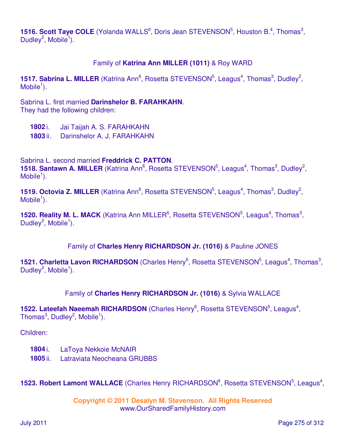**1516. Scott Taye COLE** (Yolanda WALLS<sup>6</sup>, Doris Jean STEVENSON<sup>5</sup>, Houston B.<sup>4</sup>, Thomas<sup>3</sup>, Dudley<sup>2</sup>, Mobile<sup>1</sup>).

### Family of **Katrina Ann MILLER (1011)** & Roy WARD

1517. Sabrina L. MILLER (Katrina Ann<sup>6</sup>, Rosetta STEVENSON<sup>5</sup>, Leagus<sup>4</sup>, Thomas<sup>3</sup>, Dudley<sup>2</sup>,  $M$ obile<sup>1</sup>).

Sabrina L. first married **Darinshelor B. FARAHKAHN**. They had the following children:

**1802** i. Jai Taijah A. S. FARAHKAHN

**1803** ii. Darinshelor A. J. FARAHKAHN

Sabrina L. second married **Freddrick C. PATTON**.

**1518. Santawn A. MILLER** (Katrina Ann<sup>6</sup>, Rosetta STEVENSON<sup>5</sup>, Leagus<sup>4</sup>, Thomas<sup>3</sup>, Dudley<sup>2</sup>,  $M$ obile<sup>1</sup>).

1519. Octovia Z. MILLER (Katrina Ann<sup>6</sup>, Rosetta STEVENSON<sup>5</sup>, Leagus<sup>4</sup>, Thomas<sup>3</sup>, Dudley<sup>2</sup>,  $M$ obile<sup>1</sup>).

**1520. Reality M. L. MACK** (Katrina Ann MILLER<sup>6</sup>, Rosetta STEVENSON<sup>5</sup>, Leagus<sup>4</sup>, Thomas<sup>3</sup>, Dudley<sup>2</sup>, Mobile<sup>1</sup>).

Family of **Charles Henry RICHARDSON Jr. (1016)** & Pauline JONES

1521. Charletta Lavon RICHARDSON (Charles Henry<sup>6</sup>, Rosetta STEVENSON<sup>5</sup>, Leagus<sup>4</sup>, Thomas<sup>3</sup>, Dudley<sup>2</sup>, Mobile<sup>1</sup>).

### Family of **Charles Henry RICHARDSON Jr. (1016)** & Sylvia WALLACE

1522. Lateefah Naeemah RICHARDSON (Charles Henry<sup>6</sup>, Rosetta STEVENSON<sup>5</sup>, Leagus<sup>4</sup>, Thomas $^3$ , Dudley $^2$ , Mobile $^1$ ).

Children:

- **1804** i. LaToya Nekkoie McNAIR
- **1805** ii. Latraviata Neocheana GRUBBS

1523. Robert Lamont WALLACE (Charles Henry RICHARDSON<sup>6</sup>, Rosetta STEVENSON<sup>5</sup>, Leagus<sup>4</sup>,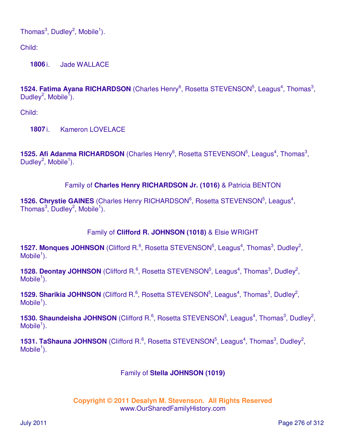Thomas $^3$ , Dudley $^2$ , Mobile $^1$ ).

Child:

**1806** i. Jade WALLACE

**1524. Fatima Ayana RICHARDSON** (Charles Henry<sup>6</sup>, Rosetta STEVENSON<sup>5</sup>, Leagus<sup>4</sup>, Thomas<sup>3</sup>, Dudley<sup>2</sup>, Mobile<sup>1</sup>).

Child:

**1807** i. Kameron LOVELACE

**1525. Afi Adanma RICHARDSON** (Charles Henry<sup>6</sup>, Rosetta STEVENSON<sup>5</sup>, Leagus<sup>4</sup>, Thomas<sup>3</sup>, Dudley<sup>2</sup>, Mobile<sup>1</sup>).

# Family of **Charles Henry RICHARDSON Jr. (1016)** & Patricia BENTON

1526. Chrystie GAINES (Charles Henry RICHARDSON<sup>6</sup>, Rosetta STEVENSON<sup>5</sup>, Leagus<sup>4</sup>, Thomas $^3$ , Dudley $^2$ , Mobile $^1$ ).

# Family of **Clifford R. JOHNSON (1018)** & Elsie WRIGHT

**1527. Monques JOHNSON** (Clifford R.<sup>6</sup>, Rosetta STEVENSON<sup>5</sup>, Leagus<sup>4</sup>, Thomas<sup>3</sup>, Dudley<sup>2</sup>,  $M$ obile<sup>1</sup>).

**1528. Deontay JOHNSON** (Clifford R.<sup>6</sup>, Rosetta STEVENSON<sup>5</sup>, Leagus<sup>4</sup>, Thomas<sup>3</sup>, Dudley<sup>2</sup>,  $M$ obile<sup>1</sup>).

**1529. Sharikia JOHNSON** (Clifford R.<sup>6</sup>, Rosetta STEVENSON<sup>5</sup>, Leagus<sup>4</sup>, Thomas<sup>3</sup>, Dudley<sup>2</sup>,  $M$ obile<sup>1</sup>).

**1530. Shaundeisha JOHNSON** (Clifford R.<sup>6</sup>, Rosetta STEVENSON<sup>5</sup>, Leagus<sup>4</sup>, Thomas<sup>3</sup>, Dudley<sup>2</sup>,  $M$ obile<sup>1</sup>).

**1531. TaShauna JOHNSON** (Clifford R.<sup>6</sup>, Rosetta STEVENSON<sup>5</sup>, Leagus<sup>4</sup>, Thomas<sup>3</sup>, Dudley<sup>2</sup>,  $M$ obile<sup>1</sup>).

### Family of **Stella JOHNSON (1019)**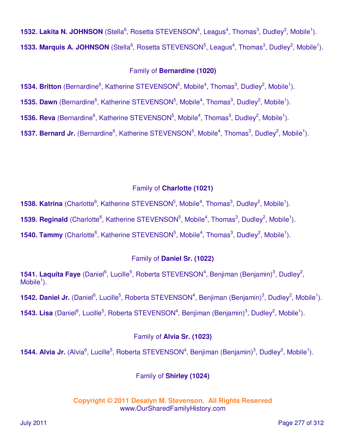**1532. Lakita N. JOHNSON** (Stella<sup>6</sup>, Rosetta STEVENSON<sup>5</sup>, Leagus<sup>4</sup>, Thomas<sup>3</sup>, Dudley<sup>2</sup>, Mobile<sup>1</sup>). **1533. Marquis A. JOHNSON** (Stella<sup>6</sup>, Rosetta STEVENSON<sup>5</sup>, Leagus<sup>4</sup>, Thomas<sup>3</sup>, Dudley<sup>2</sup>, Mobile<sup>1</sup>).

# Family of **Bernardine (1020)**

**1534. Britton** (Bernardine<sup>6</sup>, Katherine STEVENSON<sup>5</sup>, Mobile<sup>4</sup>, Thomas<sup>3</sup>, Dudley<sup>2</sup>, Mobile<sup>1</sup>).

**1535. Dawn** (Bernardine<sup>6</sup>, Katherine STEVENSON<sup>5</sup>, Mobile<sup>4</sup>, Thomas<sup>3</sup>, Dudley<sup>2</sup>, Mobile<sup>1</sup>).

**1536. Reva** (Bernardine<sup>6</sup>, Katherine STEVENSON<sup>5</sup>, Mobile<sup>4</sup>, Thomas<sup>3</sup>, Dudley<sup>2</sup>, Mobile<sup>1</sup>).

**1537. Bernard Jr.** (Bernardine<sup>6</sup>, Katherine STEVENSON<sup>5</sup>, Mobile<sup>4</sup>, Thomas<sup>3</sup>, Dudley<sup>2</sup>, Mobile<sup>1</sup>).

# Family of **Charlotte (1021)**

**1538. Katrina** (Charlotte<sup>6</sup>, Katherine STEVENSON<sup>5</sup>, Mobile<sup>4</sup>, Thomas<sup>3</sup>, Dudley<sup>2</sup>, Mobile<sup>1</sup>).

**1539. Reginald** (Charlotte<sup>6</sup>, Katherine STEVENSON<sup>5</sup>, Mobile<sup>4</sup>, Thomas<sup>3</sup>, Dudley<sup>2</sup>, Mobile<sup>1</sup>).

**1540. Tammy** (Charlotte<sup>6</sup>, Katherine STEVENSON<sup>5</sup>, Mobile<sup>4</sup>, Thomas<sup>3</sup>, Dudley<sup>2</sup>, Mobile<sup>1</sup>).

# Family of **Daniel Sr. (1022)**

**1541. Laquita Faye** (Daniel<sup>6</sup>, Lucille<sup>5</sup>, Roberta STEVENSON<sup>4</sup>, Benjiman (Benjamin)<sup>3</sup>, Dudley<sup>2</sup>,  $M$ obile<sup>1</sup>).

1542. Daniel Jr. (Daniel<sup>6</sup>, Lucille<sup>5</sup>, Roberta STEVENSON<sup>4</sup>, Benjiman (Benjamin)<sup>3</sup>, Dudley<sup>2</sup>, Mobile<sup>1</sup>).

1543. Lisa (Daniel<sup>6</sup>, Lucille<sup>5</sup>, Roberta STEVENSON<sup>4</sup>, Benjiman (Benjamin)<sup>3</sup>, Dudley<sup>2</sup>, Mobile<sup>1</sup>).

# Family of **Alvia Sr. (1023)**

1544. Alvia Jr. (Alvia<sup>6</sup>, Lucille<sup>5</sup>, Roberta STEVENSON<sup>4</sup>, Benjiman (Benjamin)<sup>3</sup>, Dudley<sup>2</sup>, Mobile<sup>1</sup>).

# Family of **Shirley (1024)**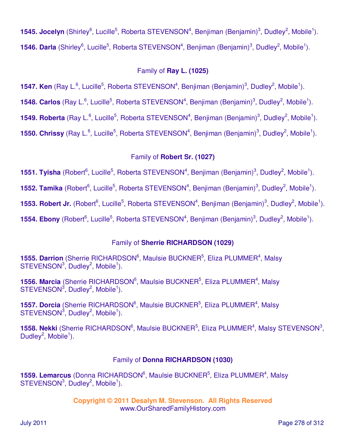1545. Jocelyn (Shirley<sup>6</sup>, Lucille<sup>5</sup>, Roberta STEVENSON<sup>4</sup>, Benjiman (Benjamin)<sup>3</sup>, Dudley<sup>2</sup>, Mobile<sup>1</sup>). 1546. Darla (Shirley<sup>6</sup>, Lucille<sup>5</sup>, Roberta STEVENSON<sup>4</sup>, Benjiman (Benjamin)<sup>3</sup>, Dudley<sup>2</sup>, Mobile<sup>1</sup>).

# Family of **Ray L. (1025)**

**1547. Ken** (Ray L.<sup>6</sup>, Lucille<sup>5</sup>, Roberta STEVENSON<sup>4</sup>, Benjiman (Benjamin)<sup>3</sup>, Dudley<sup>2</sup>, Mobile<sup>1</sup>).

1548. Carlos (Ray L.<sup>6</sup>, Lucille<sup>5</sup>, Roberta STEVENSON<sup>4</sup>, Benjiman (Benjamin)<sup>3</sup>, Dudley<sup>2</sup>, Mobile<sup>1</sup>).

1549. Roberta (Ray L.<sup>6</sup>, Lucille<sup>5</sup>, Roberta STEVENSON<sup>4</sup>, Benjiman (Benjamin)<sup>3</sup>, Dudley<sup>2</sup>, Mobile<sup>1</sup>).

**1550. Chrissy** (Ray L.<sup>6</sup>, Lucille<sup>5</sup>, Roberta STEVENSON<sup>4</sup>, Benjiman (Benjamin)<sup>3</sup>, Dudley<sup>2</sup>, Mobile<sup>1</sup>).

# Family of **Robert Sr. (1027)**

1551. Tyisha (Robert<sup>6</sup>, Lucille<sup>5</sup>, Roberta STEVENSON<sup>4</sup>, Benjiman (Benjamin)<sup>3</sup>, Dudley<sup>2</sup>, Mobile<sup>1</sup>).

1552. Tamika (Robert<sup>6</sup>, Lucille<sup>5</sup>, Roberta STEVENSON<sup>4</sup>, Benjiman (Benjamin)<sup>3</sup>, Dudley<sup>2</sup>, Mobile<sup>1</sup>).

1553. Robert Jr. (Robert<sup>6</sup>, Lucille<sup>5</sup>, Roberta STEVENSON<sup>4</sup>, Benjiman (Benjamin)<sup>3</sup>, Dudley<sup>2</sup>, Mobile<sup>1</sup>).

1554. Ebony (Robert<sup>6</sup>, Lucille<sup>5</sup>, Roberta STEVENSON<sup>4</sup>, Benjiman (Benjamin)<sup>3</sup>, Dudley<sup>2</sup>, Mobile<sup>1</sup>).

# Family of **Sherrie RICHARDSON (1029)**

**1555. Darrion** (Sherrie RICHARDSON<sup>6</sup>, Maulsie BUCKNER<sup>5</sup>, Eliza PLUMMER<sup>4</sup>, Malsy  $STEVENSON<sup>3</sup>$ , Dudley<sup>2</sup>, Mobile<sup>1</sup>).

**1556. Marcia** (Sherrie RICHARDSON<sup>6</sup>, Maulsie BUCKNER<sup>5</sup>, Eliza PLUMMER<sup>4</sup>, Malsy  $STEVENSON<sup>3</sup>$ , Dudley<sup>2</sup>, Mobile<sup>1</sup>).

1557. Dorcia (Sherrie RICHARDSON<sup>6</sup>, Maulsie BUCKNER<sup>5</sup>, Eliza PLUMMER<sup>4</sup>, Malsy  $STEVENSON<sup>3</sup>$ , Dudley<sup>2</sup>, Mobile<sup>1</sup>).

1558. Nekki (Sherrie RICHARDSON<sup>6</sup>, Maulsie BUCKNER<sup>5</sup>, Eliza PLUMMER<sup>4</sup>, Malsy STEVENSON<sup>3</sup>, Dudley<sup>2</sup>, Mobile<sup>1</sup>).

# Family of **Donna RICHARDSON (1030)**

1559. Lemarcus (Donna RICHARDSON<sup>6</sup>, Maulsie BUCKNER<sup>5</sup>, Eliza PLUMMER<sup>4</sup>, Malsy  $STEVENSON<sup>3</sup>$ , Dudley<sup>2</sup>, Mobile<sup>1</sup>).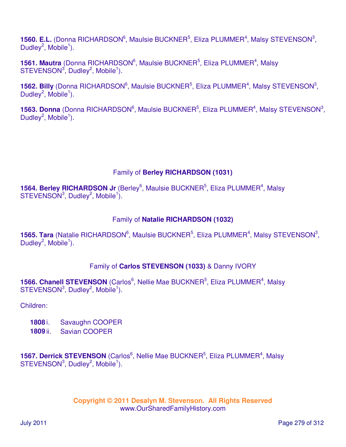**1560. E.L.** (Donna RICHARDSON<sup>6</sup>, Maulsie BUCKNER<sup>5</sup>, Eliza PLUMMER<sup>4</sup>, Malsy STEVENSON<sup>3</sup>, Dudley<sup>2</sup>, Mobile<sup>1</sup>).

**1561. Mautra** (Donna RICHARDSON<sup>6</sup>, Maulsie BUCKNER<sup>5</sup>, Eliza PLUMMER<sup>4</sup>, Malsy  $STEVENSON<sup>3</sup>$ , Dudley<sup>2</sup>, Mobile<sup>1</sup>).

**1562. Billy** (Donna RICHARDSON<sup>6</sup>, Maulsie BUCKNER<sup>5</sup>, Eliza PLUMMER<sup>4</sup>, Malsy STEVENSON<sup>3</sup>, Dudley<sup>2</sup>, Mobile<sup>1</sup>).

1563. Donna (Donna RICHARDSON<sup>6</sup>, Maulsie BUCKNER<sup>5</sup>, Eliza PLUMMER<sup>4</sup>, Malsy STEVENSON<sup>3</sup>, Dudley<sup>2</sup>, Mobile<sup>1</sup>).

# Family of **Berley RICHARDSON (1031)**

**1564. Berley RICHARDSON Jr** (Berley<sup>6</sup>, Maulsie BUCKNER<sup>5</sup>, Eliza PLUMMER<sup>4</sup>, Malsy  $STEVENSON<sup>3</sup>$ , Dudley<sup>2</sup>, Mobile<sup>1</sup>).

# Family of **Natalie RICHARDSON (1032)**

1565. Tara (Natalie RICHARDSON<sup>6</sup>, Maulsie BUCKNER<sup>5</sup>, Eliza PLUMMER<sup>4</sup>, Malsy STEVENSON<sup>3</sup>, Dudley<sup>2</sup>, Mobile<sup>1</sup>).

# Family of **Carlos STEVENSON (1033)** & Danny IVORY

**1566. Chanell STEVENSON** (Carlos<sup>6</sup>, Nellie Mae BUCKNER<sup>5</sup>, Eliza PLUMMER<sup>4</sup>, Malsy  $STEVENSON<sup>3</sup>$ , Dudley<sup>2</sup>, Mobile<sup>1</sup>).

Children:

- **1808** i. Savaughn COOPER
- **1809** ii. Savian COOPER

**1567. Derrick STEVENSON** (Carlos<sup>6</sup>, Nellie Mae BUCKNER<sup>5</sup>, Eliza PLUMMER<sup>4</sup>, Malsy  $STEVENSON<sup>3</sup>$ , Dudley<sup>2</sup>, Mobile<sup>1</sup>).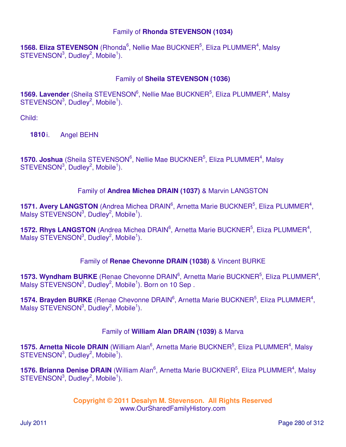### Family of **Rhonda STEVENSON (1034)**

**1568. Eliza STEVENSON** (Rhonda<sup>6</sup>, Nellie Mae BUCKNER<sup>5</sup>, Eliza PLUMMER<sup>4</sup>, Malsy  $STEVENSON<sup>3</sup>$ , Dudley<sup>2</sup>, Mobile<sup>1</sup>).

# Family of **Sheila STEVENSON (1036)**

**1569. Lavender** (Sheila STEVENSON<sup>6</sup>, Nellie Mae BUCKNER<sup>5</sup>, Eliza PLUMMER<sup>4</sup>, Malsy  $STEVENSON<sup>3</sup>$ , Dudley<sup>2</sup>, Mobile<sup>1</sup>).

Child:

**1810** i. Angel BEHN

**1570. Joshua** (Sheila STEVENSON<sup>6</sup>, Nellie Mae BUCKNER<sup>5</sup>, Eliza PLUMMER<sup>4</sup>, Malsy  $STEVENSON<sup>3</sup>$ , Dudley<sup>2</sup>, Mobile<sup>1</sup>).

### Family of **Andrea Michea DRAIN (1037)** & Marvin LANGSTON

1571. Avery LANGSTON (Andrea Michea DRAIN<sup>6</sup>, Arnetta Marie BUCKNER<sup>5</sup>, Eliza PLUMMER<sup>4</sup>, Malsy STEVENSON<sup>3</sup>, Dudley<sup>2</sup>, Mobile<sup>1</sup>).

1572. Rhys LANGSTON (Andrea Michea DRAIN<sup>6</sup>, Arnetta Marie BUCKNER<sup>5</sup>, Eliza PLUMMER<sup>4</sup>, Malsy STEVENSON $3$ , Dudley $^2$ , Mobile<sup>1</sup>).

# Family of **Renae Chevonne DRAIN (1038)** & Vincent BURKE

1573. Wyndham BURKE (Renae Chevonne DRAIN<sup>6</sup>, Arnetta Marie BUCKNER<sup>5</sup>, Eliza PLUMMER<sup>4</sup>, Malsy STEVENSON<sup>3</sup>, Dudley<sup>2</sup>, Mobile<sup>1</sup>). Born on 10 Sep.

1574. Brayden BURKE (Renae Chevonne DRAIN<sup>6</sup>, Arnetta Marie BUCKNER<sup>5</sup>, Eliza PLUMMER<sup>4</sup>, Malsy STEVENSON $3$ , Dudley $^2$ , Mobile<sup>1</sup>).

# Family of **William Alan DRAIN (1039)** & Marva

**1575. Arnetta Nicole DRAIN** (William Alan<sup>6</sup>, Arnetta Marie BUCKNER<sup>5</sup>, Eliza PLUMMER<sup>4</sup>, Malsy  $STEVENSON<sup>3</sup>$ , Dudley<sup>2</sup>, Mobile<sup>1</sup>).

1576. Brianna Denise DRAIN (William Alan<sup>6</sup>, Arnetta Marie BUCKNER<sup>5</sup>, Eliza PLUMMER<sup>4</sup>, Malsy  $STEVENSON<sup>3</sup>$ , Dudley<sup>2</sup>, Mobile<sup>1</sup>).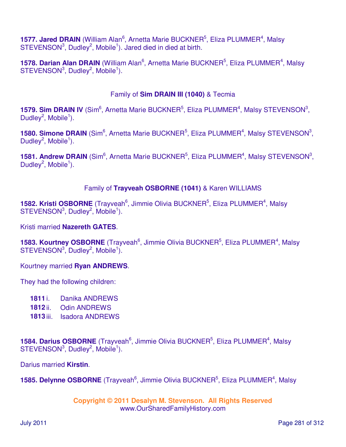**1577. Jared DRAIN** (William Alan<sup>6</sup>, Arnetta Marie BUCKNER<sup>5</sup>, Eliza PLUMMER<sup>4</sup>, Malsy  $STEVENSON<sup>3</sup>$ , Dudley<sup>2</sup>, Mobile<sup>1</sup>). Jared died in died at birth.

1578. Darian Alan DRAIN (William Alan<sup>6</sup>, Arnetta Marie BUCKNER<sup>5</sup>, Eliza PLUMMER<sup>4</sup>, Malsy  $STEVENSON<sup>3</sup>$ , Dudley<sup>2</sup>, Mobile<sup>1</sup>).

# Family of **Sim DRAIN III (1040)** & Tecmia

**1579. Sim DRAIN IV** (Sim<sup>6</sup>, Arnetta Marie BUCKNER<sup>5</sup>, Eliza PLUMMER<sup>4</sup>, Malsy STEVENSON<sup>3</sup>, Dudley<sup>2</sup>, Mobile<sup>1</sup>).

**1580. Simone DRAIN** (Sim<sup>6</sup>, Arnetta Marie BUCKNER<sup>5</sup>, Eliza PLUMMER<sup>4</sup>, Malsy STEVENSON<sup>3</sup>, Dudley<sup>2</sup>, Mobile<sup>1</sup>).

1581. Andrew DRAIN (Sim<sup>6</sup>, Arnetta Marie BUCKNER<sup>5</sup>, Eliza PLUMMER<sup>4</sup>, Malsy STEVENSON<sup>3</sup>, Dudley<sup>2</sup>, Mobile<sup>1</sup>).

# Family of **Trayveah OSBORNE (1041)** & Karen WILLIAMS

**1582. Kristi OSBORNE** (Trayveah<sup>6</sup>, Jimmie Olivia BUCKNER<sup>5</sup>, Eliza PLUMMER<sup>4</sup>, Malsy  $STEVENSON<sup>3</sup>$ , Dudley<sup>2</sup>, Mobile<sup>1</sup>).

### Kristi married **Nazereth GATES**.

**1583. Kourtney OSBORNE** (Trayveah<sup>6</sup>, Jimmie Olivia BUCKNER<sup>5</sup>, Eliza PLUMMER<sup>4</sup>, Malsy  $STEVENSON<sup>3</sup>$ , Dudley<sup>2</sup>, Mobile<sup>1</sup>).

### Kourtney married **Ryan ANDREWS**.

They had the following children:

- 1811<sup>i</sup>. Danika ANDREWS
- **1812** ii. Odin ANDREWS
- **1813** iii. Isadora ANDREWS

**1584. Darius OSBORNE** (Trayveah<sup>6</sup>, Jimmie Olivia BUCKNER<sup>5</sup>, Eliza PLUMMER<sup>4</sup>, Malsy  $STEVENSON<sup>3</sup>$ , Dudley<sup>2</sup>, Mobile<sup>1</sup>).

Darius married **Kirstin**.

1585. Delynne OSBORNE (Trayveah<sup>6</sup>, Jimmie Olivia BUCKNER<sup>5</sup>, Eliza PLUMMER<sup>4</sup>, Malsy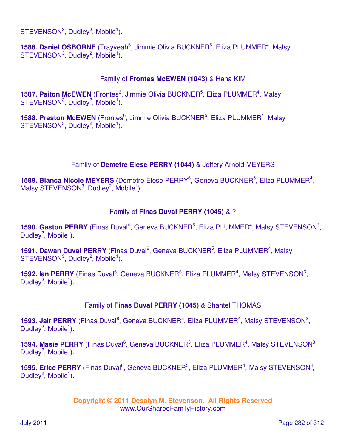$STEVENSON<sup>3</sup>$ , Dudley<sup>2</sup>, Mobile<sup>1</sup>).

1586. Daniel OSBORNE (Trayveah<sup>6</sup>, Jimmie Olivia BUCKNER<sup>5</sup>, Eliza PLUMMER<sup>4</sup>, Malsy  $STEVENSON<sup>3</sup>$ , Dudley<sup>2</sup>, Mobile<sup>1</sup>).

# Family of **Frontes McEWEN (1043)** & Hana KIM

**1587. Paiton McEWEN** (Frontes<sup>6</sup>, Jimmie Olivia BUCKNER<sup>5</sup>, Eliza PLUMMER<sup>4</sup>, Malsy  $STEVENSON<sup>3</sup>$ , Dudley<sup>2</sup>, Mobile<sup>1</sup>).

**1588. Preston McEWEN** (Frontes<sup>6</sup>, Jimmie Olivia BUCKNER<sup>5</sup>, Eliza PLUMMER<sup>4</sup>, Malsy  $STEVENSON<sup>3</sup>$ , Dudley<sup>2</sup>, Mobile<sup>1</sup>).

# Family of **Demetre Elese PERRY (1044)** & Jeffery Arnold MEYERS

1589. Bianca Nicole MEYERS (Demetre Elese PERRY<sup>6</sup>, Geneva BUCKNER<sup>5</sup>, Eliza PLUMMER<sup>4</sup>, Malsy STEVENSON $3$ , Dudley $^2$ , Mobile<sup>1</sup>).

### Family of **Finas Duval PERRY (1045)** & ?

**1590. Gaston PERRY** (Finas Duval<sup>6</sup>, Geneva BUCKNER<sup>5</sup>, Eliza PLUMMER<sup>4</sup>, Malsy STEVENSON<sup>3</sup>, Dudley<sup>2</sup>, Mobile<sup>1</sup>).

**1591. Dawan Duval PERRY** (Finas Duval<sup>6</sup>, Geneva BUCKNER<sup>5</sup>, Eliza PLUMMER<sup>4</sup>, Malsy  $STEVENSON<sup>3</sup>$ , Dudley<sup>2</sup>, Mobile<sup>1</sup>).

1592. Ian PERRY (Finas Duval<sup>6</sup>, Geneva BUCKNER<sup>5</sup>, Eliza PLUMMER<sup>4</sup>, Malsy STEVENSON<sup>3</sup>, Dudley<sup>2</sup>, Mobile<sup>1</sup>).

### Family of **Finas Duval PERRY (1045)** & Shantel THOMAS

**1593. Jair PERRY** (Finas Duval<sup>6</sup>, Geneva BUCKNER<sup>5</sup>, Eliza PLUMMER<sup>4</sup>, Malsy STEVENSON<sup>3</sup>, Dudley<sup>2</sup>, Mobile<sup>1</sup>).

**1594. Masie PERRY** (Finas Duval<sup>6</sup>, Geneva BUCKNER<sup>5</sup>, Eliza PLUMMER<sup>4</sup>, Malsy STEVENSON<sup>3</sup>, Dudley<sup>2</sup>, Mobile<sup>1</sup>).

**1595. Erice PERRY** (Finas Duval<sup>6</sup>, Geneva BUCKNER<sup>5</sup>, Eliza PLUMMER<sup>4</sup>, Malsy STEVENSON<sup>3</sup>, Dudley<sup>2</sup>, Mobile<sup>1</sup>).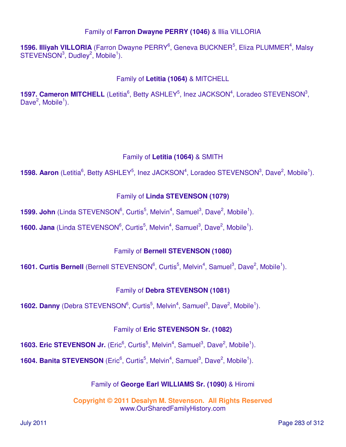# Family of **Farron Dwayne PERRY (1046)** & Illia VILLORIA

1596. Illiyah VILLORIA (Farron Dwayne PERRY<sup>6</sup>, Geneva BUCKNER<sup>5</sup>, Eliza PLUMMER<sup>4</sup>, Malsy  $STEVENSON<sup>3</sup>$ , Dudley<sup>2</sup>, Mobile<sup>1</sup>).

Family of **Letitia (1064)** & MITCHELL

**1597. Cameron MITCHELL** (Letitia<sup>6</sup>, Betty ASHLEY<sup>5</sup>, Inez JACKSON<sup>4</sup>, Loradeo STEVENSON<sup>3</sup>, Dave<sup>2</sup>, Mobile<sup>1</sup>).

# Family of **Letitia (1064)** & SMITH

**1598. Aaron** (Letitia<sup>6</sup>, Betty ASHLEY<sup>5</sup>, Inez JACKSON<sup>4</sup>, Loradeo STEVENSON<sup>3</sup>, Dave<sup>2</sup>, Mobile<sup>1</sup>).

# Family of **Linda STEVENSON (1079)**

**1599. John** (Linda STEVENSON<sup>6</sup>, Curtis<sup>5</sup>, Melvin<sup>4</sup>, Samuel<sup>3</sup>, Dave<sup>2</sup>, Mobile<sup>1</sup>).

**1600. Jana** (Linda STEVENSON<sup>6</sup>, Curtis<sup>5</sup>, Melvin<sup>4</sup>, Samuel<sup>3</sup>, Dave<sup>2</sup>, Mobile<sup>1</sup>).

# Family of **Bernell STEVENSON (1080)**

**1601. Curtis Bernell** (Bernell STEVENSON<sup>6</sup>, Curtis<sup>5</sup>, Melvin<sup>4</sup>, Samuel<sup>3</sup>, Dave<sup>2</sup>, Mobile<sup>1</sup>).

# Family of **Debra STEVENSON (1081)**

**1602. Danny** (Debra STEVENSON<sup>6</sup>, Curtis<sup>5</sup>, Melvin<sup>4</sup>, Samuel<sup>3</sup>, Dave<sup>2</sup>, Mobile<sup>1</sup>).

# Family of **Eric STEVENSON Sr. (1082)**

**1603. Eric STEVENSON Jr.** (Eric<sup>6</sup>, Curtis<sup>5</sup>, Melvin<sup>4</sup>, Samuel<sup>3</sup>, Dave<sup>2</sup>, Mobile<sup>1</sup>).

**1604. Banita STEVENSON** (Eric<sup>6</sup>, Curtis<sup>5</sup>, Melvin<sup>4</sup>, Samuel<sup>3</sup>, Dave<sup>2</sup>, Mobile<sup>1</sup>).

# Family of **George Earl WILLIAMS Sr. (1090)** & Hiromi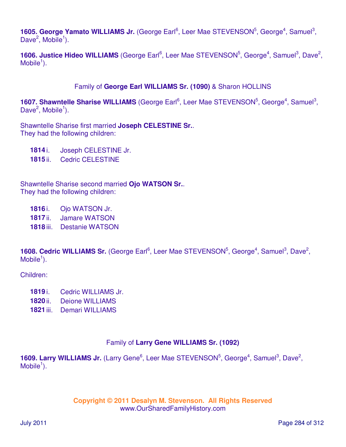1605. George Yamato WILLIAMS Jr. (George Earl<sup>6</sup>, Leer Mae STEVENSON<sup>5</sup>, George<sup>4</sup>, Samuel<sup>3</sup>, Dave<sup>2</sup>, Mobile<sup>1</sup>).

**1606. Justice Hideo WILLIAMS** (George Earl<sup>6</sup>, Leer Mae STEVENSON<sup>5</sup>, George<sup>4</sup>, Samuel<sup>3</sup>, Dave<sup>2</sup>,  $M$ obile<sup>1</sup>).

### Family of **George Earl WILLIAMS Sr. (1090)** & Sharon HOLLINS

1607. Shawntelle Sharise WILLIAMS (George Earl<sup>6</sup>, Leer Mae STEVENSON<sup>5</sup>, George<sup>4</sup>, Samuel<sup>3</sup>, Dave<sup>2</sup>, Mobile<sup>1</sup>).

Shawntelle Sharise first married **Joseph CELESTINE Sr.**. They had the following children:

**1814** i. Joseph CELESTINE Jr.

**1815** ii. Cedric CELESTINE

Shawntelle Sharise second married **Ojo WATSON Sr.**. They had the following children:

- **1816** i. Ojo WATSON Jr.
- **1817** ii. Jamare WATSON
- **1818** iii. Destanie WATSON

1608. Cedric WILLIAMS Sr. (George Earl<sup>6</sup>, Leer Mae STEVENSON<sup>5</sup>, George<sup>4</sup>, Samuel<sup>3</sup>, Dave<sup>2</sup>,  $M$ obile<sup>1</sup>).

Children:

- **1819** i. Cedric WILLIAMS Jr.
- **1820** ii. Deione WILLIAMS
- **1821** iii. Demari WILLIAMS

### Family of **Larry Gene WILLIAMS Sr. (1092)**

1609. Larry WILLIAMS Jr. (Larry Gene<sup>6</sup>, Leer Mae STEVENSON<sup>5</sup>, George<sup>4</sup>, Samuel<sup>3</sup>, Dave<sup>2</sup>,  $M$ obile<sup>1</sup>).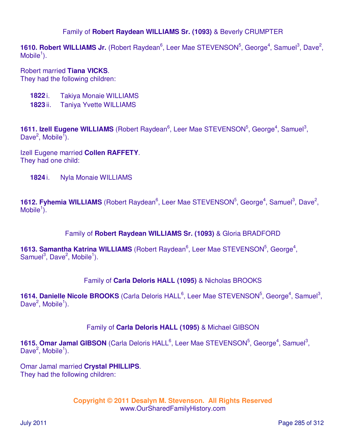### Family of **Robert Raydean WILLIAMS Sr. (1093)** & Beverly CRUMPTER

1610. Robert WILLIAMS Jr. (Robert Raydean<sup>6</sup>, Leer Mae STEVENSON<sup>5</sup>, George<sup>4</sup>, Samuel<sup>3</sup>, Dave<sup>2</sup>,  $M$ obile<sup>1</sup>).

Robert married **Tiana VICKS**. They had the following children:

- **1822** i. Takiya Monaie WILLIAMS
- **1823** ii. Taniya Yvette WILLIAMS

1611. Izell Eugene WILLIAMS (Robert Raydean<sup>6</sup>, Leer Mae STEVENSON<sup>5</sup>, George<sup>4</sup>, Samuel<sup>3</sup>, Dave<sup>2</sup>, Mobile<sup>1</sup>).

Izell Eugene married **Collen RAFFETY**. They had one child:

**1824** i. Nyla Monaie WILLIAMS

1612. Fyhemia WILLIAMS (Robert Raydean<sup>6</sup>, Leer Mae STEVENSON<sup>5</sup>, George<sup>4</sup>, Samuel<sup>3</sup>, Dave<sup>2</sup>, Mobile $\overline{1}$ ).

#### Family of **Robert Raydean WILLIAMS Sr. (1093)** & Gloria BRADFORD

1613. Samantha Katrina WILLIAMS (Robert Raydean<sup>6</sup>, Leer Mae STEVENSON<sup>5</sup>, George<sup>4</sup>, Samuel<sup>3</sup>, Dave<sup>2</sup>, Mobile<sup>1</sup>).

### Family of **Carla Deloris HALL (1095)** & Nicholas BROOKS

1614. Danielle Nicole BROOKS (Carla Deloris HALL<sup>6</sup>, Leer Mae STEVENSON<sup>5</sup>, George<sup>4</sup>, Samuel<sup>3</sup>, Dave<sup>2</sup>, Mobile<sup>1</sup>).

### Family of **Carla Deloris HALL (1095)** & Michael GIBSON

1615. Omar Jamal GIBSON (Carla Deloris HALL<sup>6</sup>, Leer Mae STEVENSON<sup>5</sup>, George<sup>4</sup>, Samuel<sup>3</sup>, Dave<sup>2</sup>, Mobile<sup>1</sup>).

Omar Jamal married **Crystal PHILLIPS**. They had the following children: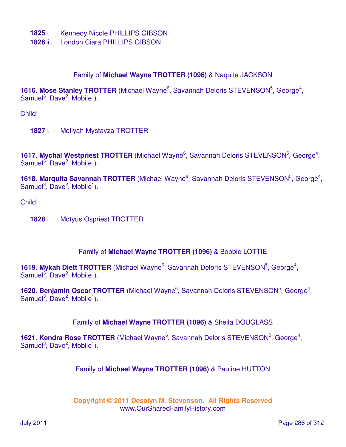- **1825** i. Kennedy Nicole PHILLIPS GIBSON
- **1826** ii. London Ciara PHILLIPS GIBSON

#### Family of **Michael Wayne TROTTER (1096)** & Naquita JACKSON

1616. Mose Stanley TROTTER (Michael Wayne<sup>6</sup>, Savannah Deloris STEVENSON<sup>5</sup>, George<sup>4</sup>, Samuel<sup>3</sup>, Dave<sup>2</sup>, Mobile<sup>1</sup>).

Child:

**1827** i. Meliyah Mystayza TROTTER

1617. Mychal Westpriest TROTTER (Michael Wayne<sup>6</sup>, Savannah Deloris STEVENSON<sup>5</sup>, George<sup>4</sup>, Samuel<sup>3</sup>, Dave<sup>2</sup>, Mobile<sup>1</sup>).

1618. Marquita Savannah TROTTER (Michael Wayne<sup>6</sup>, Savannah Deloris STEVENSON<sup>5</sup>, George<sup>4</sup>, Samuel<sup>3</sup>, Dave<sup>2</sup>, Mobile<sup>1</sup>).

Child:

**1828** i. Motyus Ospriest TROTTER

#### Family of **Michael Wayne TROTTER (1096)** & Bobbie LOTTIE

1619. Mykah Diett TROTTER (Michael Wayne<sup>6</sup>, Savannah Deloris STEVENSON<sup>5</sup>, George<sup>4</sup>, Samuel<sup>3</sup>, Dave<sup>2</sup>, Mobile<sup>1</sup>).

1620. Benjamin Oscar TROTTER (Michael Wayne<sup>6</sup>, Savannah Deloris STEVENSON<sup>5</sup>, George<sup>4</sup>, Samuel<sup>3</sup>, Dave<sup>2</sup>, Mobile<sup>1</sup>).

Family of **Michael Wayne TROTTER (1096)** & Sheila DOUGLASS

1621. Kendra Rose TROTTER (Michael Wayne<sup>6</sup>, Savannah Deloris STEVENSON<sup>5</sup>, George<sup>4</sup>, Samuel<sup>3</sup>, Dave<sup>2</sup>, Mobile<sup>1</sup>).

#### Family of **Michael Wayne TROTTER (1096)** & Pauline HUTTON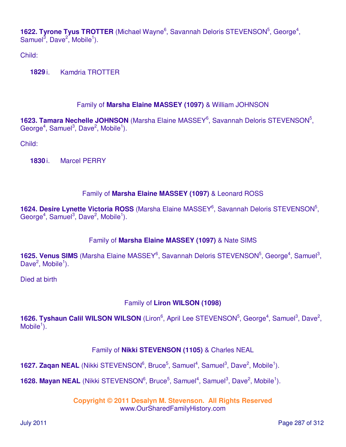1622. Tyrone Tyus TROTTER (Michael Wayne<sup>6</sup>, Savannah Deloris STEVENSON<sup>5</sup>, George<sup>4</sup>, Samuel<sup>3</sup>, Dave<sup>2</sup>, Mobile<sup>1</sup>).

Child:

**1829** i. Kamdria TROTTER

# Family of **Marsha Elaine MASSEY (1097)** & William JOHNSON

1623. Tamara Nechelle JOHNSON (Marsha Elaine MASSEY<sup>6</sup>, Savannah Deloris STEVENSON<sup>5</sup>, George<sup>4</sup>, Samuel<sup>3</sup>, Dave<sup>2</sup>, Mobile<sup>1</sup>).

Child:

**1830** i. Marcel PERRY

### Family of **Marsha Elaine MASSEY (1097)** & Leonard ROSS

1624. Desire Lynette Victoria ROSS (Marsha Elaine MASSEY<sup>6</sup>, Savannah Deloris STEVENSON<sup>5</sup>, George<sup>4</sup>, Samuel<sup>3</sup>, Dave<sup>2</sup>, Mobile<sup>1</sup>).

### Family of **Marsha Elaine MASSEY (1097)** & Nate SIMS

1625. Venus SIMS (Marsha Elaine MASSEY<sup>6</sup>, Savannah Deloris STEVENSON<sup>5</sup>, George<sup>4</sup>, Samuel<sup>3</sup>, Dave<sup>2</sup>, Mobile<sup>1</sup>).

Died at birth

# Family of **Liron WILSON (1098)**

1626. Tyshaun Calil WILSON WILSON (Liron<sup>6</sup>, April Lee STEVENSON<sup>5</sup>, George<sup>4</sup>, Samuel<sup>3</sup>, Dave<sup>2</sup>, Mobile $\overline{1}$ ).

### Family of **Nikki STEVENSON (1105)** & Charles NEAL

**1627. Zaqan NEAL** (Nikki STEVENSON<sup>6</sup>, Bruce<sup>5</sup>, Samuel<sup>4</sup>, Samuel<sup>3</sup>, Dave<sup>2</sup>, Mobile<sup>1</sup>).

**1628. Mayan NEAL** (Nikki STEVENSON<sup>6</sup>, Bruce<sup>5</sup>, Samuel<sup>4</sup>, Samuel<sup>3</sup>, Dave<sup>2</sup>, Mobile<sup>1</sup>).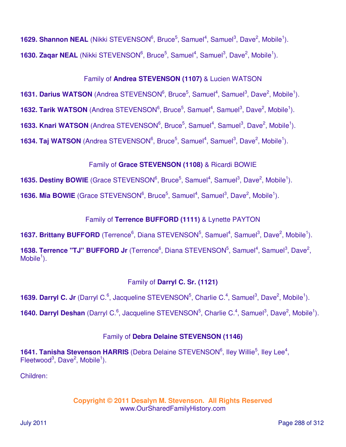**1629. Shannon NEAL** (Nikki STEVENSON<sup>6</sup>, Bruce<sup>5</sup>, Samuel<sup>4</sup>, Samuel<sup>3</sup>, Dave<sup>2</sup>, Mobile<sup>1</sup>). **1630. Zaqar NEAL** (Nikki STEVENSON<sup>6</sup>, Bruce<sup>5</sup>, Samuel<sup>4</sup>, Samuel<sup>3</sup>, Dave<sup>2</sup>, Mobile<sup>1</sup>).

# Family of **Andrea STEVENSON (1107)** & Lucien WATSON

**1631. Darius WATSON** (Andrea STEVENSON<sup>6</sup>, Bruce<sup>5</sup>, Samuel<sup>4</sup>, Samuel<sup>3</sup>, Dave<sup>2</sup>, Mobile<sup>1</sup>).

**1632. Tarik WATSON** (Andrea STEVENSON<sup>6</sup>, Bruce<sup>5</sup>, Samuel<sup>4</sup>, Samuel<sup>3</sup>, Dave<sup>2</sup>, Mobile<sup>1</sup>).

**1633. Knari WATSON** (Andrea STEVENSON<sup>6</sup>, Bruce<sup>5</sup>, Samuel<sup>4</sup>, Samuel<sup>3</sup>, Dave<sup>2</sup>, Mobile<sup>1</sup>).

**1634. Taj WATSON** (Andrea STEVENSON<sup>6</sup>, Bruce<sup>5</sup>, Samuel<sup>4</sup>, Samuel<sup>3</sup>, Dave<sup>2</sup>, Mobile<sup>1</sup>).

# Family of **Grace STEVENSON (1108)** & Ricardi BOWIE

**1635. Destiny BOWIE** (Grace STEVENSON<sup>6</sup>, Bruce<sup>5</sup>, Samuel<sup>4</sup>, Samuel<sup>3</sup>, Dave<sup>2</sup>, Mobile<sup>1</sup>).

**1636. Mia BOWIE** (Grace STEVENSON<sup>6</sup>, Bruce<sup>5</sup>, Samuel<sup>4</sup>, Samuel<sup>3</sup>, Dave<sup>2</sup>, Mobile<sup>1</sup>).

# Family of **Terrence BUFFORD (1111)** & Lynette PAYTON

**1637. Brittany BUFFORD** (Terrence<sup>6</sup>, Diana STEVENSON<sup>5</sup>, Samuel<sup>4</sup>, Samuel<sup>3</sup>, Dave<sup>2</sup>, Mobile<sup>1</sup>).

**1638. Terrence "TJ" BUFFORD Jr** (Terrence<sup>6</sup>, Diana STEVENSON<sup>5</sup>, Samuel<sup>4</sup>, Samuel<sup>3</sup>, Dave<sup>2</sup>,  $M$ obile<sup>1</sup>).

# Family of **Darryl C. Sr. (1121)**

**1639. Darryl C. Jr** (Darryl C.<sup>6</sup>, Jacqueline STEVENSON<sup>5</sup>, Charlie C.<sup>4</sup>, Samuel<sup>3</sup>, Dave<sup>2</sup>, Mobile<sup>1</sup>).

**1640. Darryl Deshan** (Darryl C.<sup>6</sup>, Jacqueline STEVENSON<sup>5</sup>, Charlie C.<sup>4</sup>, Samuel<sup>3</sup>, Dave<sup>2</sup>, Mobile<sup>1</sup>).

# Family of **Debra Delaine STEVENSON (1146)**

**1641. Tanisha Stevenson HARRIS** (Debra Delaine STEVENSON<sup>6</sup>, Iley Willie<sup>5</sup>, Iley Lee<sup>4</sup>, Fleetwood<sup>3</sup>, Dave<sup>2</sup>, Mobile<sup>1</sup>).

Children: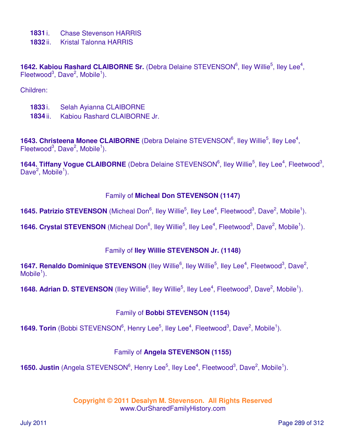- **1831** i. Chase Stevenson HARRIS
- **1832** ii. Kristal Talonna HARRIS

1642. Kabiou Rashard CLAIBORNE Sr. (Debra Delaine STEVENSON<sup>6</sup>, lley Willie<sup>5</sup>, lley Lee<sup>4</sup>, Fleetwood<sup>3</sup>, Dave<sup>2</sup>, Mobile<sup>1</sup>).

Children:

- **1833** i. Selah Ayianna CLAIBORNE
- **1834** ii. Kabiou Rashard CLAIBORNE Jr.

1643. Christeena Monee CLAIBORNE (Debra Delaine STEVENSON<sup>6</sup>, lley Willie<sup>5</sup>, lley Lee<sup>4</sup>, Fleetwood<sup>3</sup>, Dave<sup>2</sup>, Mobile<sup>1</sup>).

1644. Tiffany Vogue CLAIBORNE (Debra Delaine STEVENSON<sup>6</sup>, Iley Willie<sup>5</sup>, Iley Lee<sup>4</sup>, Fleetwood<sup>3</sup>, Dave<sup>2</sup>, Mobile<sup>1</sup>).

#### Family of **Micheal Don STEVENSON (1147)**

**1645. Patrizio STEVENSON** (Micheal Don<sup>6</sup>, Iley Willie<sup>5</sup>, Iley Lee<sup>4</sup>, Fleetwood<sup>3</sup>, Dave<sup>2</sup>, Mobile<sup>1</sup>).

**1646. Crystal STEVENSON** (Micheal Don<sup>6</sup>, lley Willie<sup>5</sup>, lley Lee<sup>4</sup>, Fleetwood<sup>3</sup>, Dave<sup>2</sup>, Mobile<sup>1</sup>).

#### Family of **Iley Willie STEVENSON Jr. (1148)**

1647. Renaldo Dominique STEVENSON (lley Willie<sup>6</sup>, lley Willie<sup>5</sup>, lley Lee<sup>4</sup>, Fleetwood<sup>3</sup>, Dave<sup>2</sup>,  $M$ obile<sup>1</sup>).

**1648. Adrian D. STEVENSON** (Iley Willie<sup>6</sup>, Iley Willie<sup>5</sup>, Iley Lee<sup>4</sup>, Fleetwood<sup>3</sup>, Dave<sup>2</sup>, Mobile<sup>1</sup>).

### Family of **Bobbi STEVENSON (1154)**

**1649. Torin** (Bobbi STEVENSON<sup>6</sup>, Henry Lee<sup>5</sup>, Iley Lee<sup>4</sup>, Fleetwood<sup>3</sup>, Dave<sup>2</sup>, Mobile<sup>1</sup>).

### Family of **Angela STEVENSON (1155)**

**1650. Justin** (Angela STEVENSON<sup>6</sup>, Henry Lee<sup>5</sup>, Iley Lee<sup>4</sup>, Fleetwood<sup>3</sup>, Dave<sup>2</sup>, Mobile<sup>1</sup>).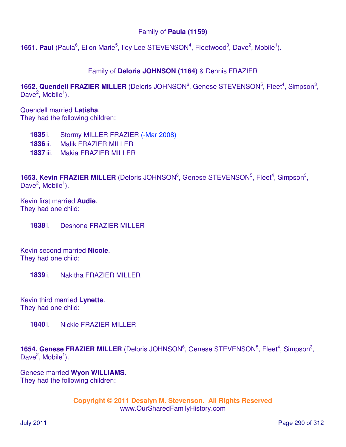### Family of **Paula (1159)**

**1651. Paul** (Paula<sup>6</sup>, Ellon Marie<sup>5</sup>, Iley Lee STEVENSON<sup>4</sup>, Fleetwood<sup>3</sup>, Dave<sup>2</sup>, Mobile<sup>1</sup>).

### Family of **Deloris JOHNSON (1164)** & Dennis FRAZIER

1652. Quendell FRAZIER MILLER (Deloris JOHNSON<sup>6</sup>, Genese STEVENSON<sup>5</sup>, Fleet<sup>4</sup>, Simpson<sup>3</sup>, Dave<sup>2</sup>, Mobile<sup>1</sup>).

Quendell married **Latisha**. They had the following children:

**1835** i. Stormy MILLER FRAZIER (-Mar 2008)

- **1836** ii. Malik FRAZIER MILLER
- **1837** iii. Makia FRAZIER MILLER

1653. Kevin FRAZIER MILLER (Deloris JOHNSON<sup>6</sup>, Genese STEVENSON<sup>5</sup>, Fleet<sup>4</sup>, Simpson<sup>3</sup>, Dave<sup>2</sup>, Mobile<sup>1</sup>).

Kevin first married **Audie**. They had one child:

**1838** i. Deshone FRAZIER MILLER

Kevin second married **Nicole**. They had one child:

**1839** i. Nakitha FRAZIER MILLER

Kevin third married **Lynette**. They had one child:

**1840** i. Nickie FRAZIER MILLER

1654. Genese FRAZIER MILLER (Deloris JOHNSON<sup>6</sup>, Genese STEVENSON<sup>5</sup>, Fleet<sup>4</sup>, Simpson<sup>3</sup>, Dave<sup>2</sup>, Mobile<sup>1</sup>).

Genese married **Wyon WILLIAMS**. They had the following children: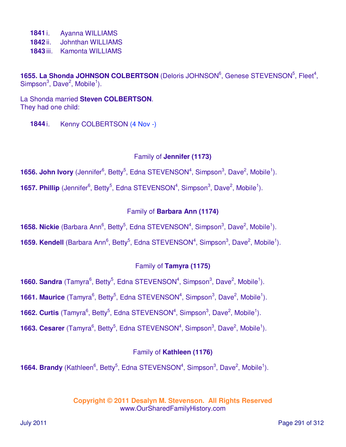**1841** i. Ayanna WILLIAMS

**1842** ii. Johnthan WILLIAMS

**1843** iii. Kamonta WILLIAMS

1655. La Shonda JOHNSON COLBERTSON (Deloris JOHNSON<sup>6</sup>, Genese STEVENSON<sup>5</sup>, Fleet<sup>4</sup>, Simpson<sup>3</sup>, Dave<sup>2</sup>, Mobile<sup>1</sup>).

La Shonda married **Steven COLBERTSON**. They had one child:

**1844** i. Kenny COLBERTSON (4 Nov -)

### Family of **Jennifer (1173)**

**1656. John Ivory** (Jennifer<sup>6</sup>, Betty<sup>5</sup>, Edna STEVENSON<sup>4</sup>, Simpson<sup>3</sup>, Dave<sup>2</sup>, Mobile<sup>1</sup>).

**1657. Phillip** (Jennifer<sup>6</sup>, Betty<sup>5</sup>, Edna STEVENSON<sup>4</sup>, Simpson<sup>3</sup>, Dave<sup>2</sup>, Mobile<sup>1</sup>).

### Family of **Barbara Ann (1174)**

**1658. Nickie** (Barbara Ann<sup>6</sup>, Betty<sup>5</sup>, Edna STEVENSON<sup>4</sup>, Simpson<sup>3</sup>, Dave<sup>2</sup>, Mobile<sup>1</sup>).

**1659. Kendell** (Barbara Ann<sup>6</sup>, Betty<sup>5</sup>, Edna STEVENSON<sup>4</sup>, Simpson<sup>3</sup>, Dave<sup>2</sup>, Mobile<sup>1</sup>).

## Family of **Tamyra (1175)**

**1660. Sandra** (Tamyra<sup>6</sup>, Betty<sup>5</sup>, Edna STEVENSON<sup>4</sup>, Simpson<sup>3</sup>, Dave<sup>2</sup>, Mobile<sup>1</sup>).

**1661. Maurice** (Tamyra<sup>6</sup>, Betty<sup>5</sup>, Edna STEVENSON<sup>4</sup>, Simpson<sup>3</sup>, Dave<sup>2</sup>, Mobile<sup>1</sup>).

**1662. Curtis** (Tamyra<sup>6</sup>, Betty<sup>5</sup>, Edna STEVENSON<sup>4</sup>, Simpson<sup>3</sup>, Dave<sup>2</sup>, Mobile<sup>1</sup>).

**1663. Cesarer** (Tamyra<sup>6</sup>, Betty<sup>5</sup>, Edna STEVENSON<sup>4</sup>, Simpson<sup>3</sup>, Dave<sup>2</sup>, Mobile<sup>1</sup>).

### Family of **Kathleen (1176)**

**1664. Brandy** (Kathleen<sup>6</sup>, Betty<sup>5</sup>, Edna STEVENSON<sup>4</sup>, Simpson<sup>3</sup>, Dave<sup>2</sup>, Mobile<sup>1</sup>).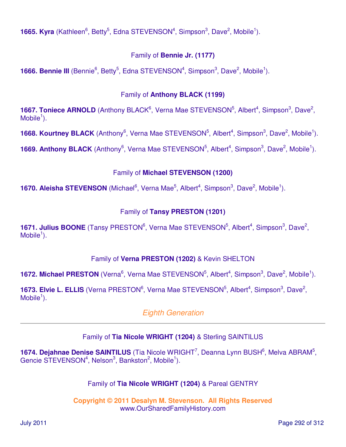**1665. Kyra** (Kathleen<sup>6</sup>, Betty<sup>5</sup>, Edna STEVENSON<sup>4</sup>, Simpson<sup>3</sup>, Dave<sup>2</sup>, Mobile<sup>1</sup>).

## Family of **Bennie Jr. (1177)**

**1666. Bennie III** (Bennie<sup>6</sup>, Betty<sup>5</sup>, Edna STEVENSON<sup>4</sup>, Simpson<sup>3</sup>, Dave<sup>2</sup>, Mobile<sup>1</sup>).

## Family of **Anthony BLACK (1199)**

**1667. Toniece ARNOLD** (Anthony BLACK<sup>6</sup>, Verna Mae STEVENSON<sup>5</sup>, Albert<sup>4</sup>, Simpson<sup>3</sup>, Dave<sup>2</sup>,  $M$ obile<sup>1</sup>).

**1668. Kourtney BLACK** (Anthony<sup>6</sup>, Verna Mae STEVENSON<sup>5</sup>, Albert<sup>4</sup>, Simpson<sup>3</sup>, Dave<sup>2</sup>, Mobile<sup>1</sup>).

**1669. Anthony BLACK** (Anthony<sup>6</sup>, Verna Mae STEVENSON<sup>5</sup>, Albert<sup>4</sup>, Simpson<sup>3</sup>, Dave<sup>2</sup>, Mobile<sup>1</sup>).

# Family of **Michael STEVENSON (1200)**

**1670. Aleisha STEVENSON** (Michael<sup>6</sup>, Verna Mae<sup>5</sup>, Albert<sup>4</sup>, Simpson<sup>3</sup>, Dave<sup>2</sup>, Mobile<sup>1</sup>).

# Family of **Tansy PRESTON (1201)**

**1671. Julius BOONE** (Tansy PRESTON<sup>6</sup>, Verna Mae STEVENSON<sup>5</sup>, Albert<sup>4</sup>, Simpson<sup>3</sup>, Dave<sup>2</sup>,  $M$ obile<sup>1</sup>).

# Family of **Verna PRESTON (1202)** & Kevin SHELTON

**1672. Michael PRESTON** (Verna<sup>6</sup>, Verna Mae STEVENSON<sup>5</sup>, Albert<sup>4</sup>, Simpson<sup>3</sup>, Dave<sup>2</sup>, Mobile<sup>1</sup>).

1673. Elvie L. ELLIS (Verna PRESTON<sup>6</sup>, Verna Mae STEVENSON<sup>5</sup>, Albert<sup>4</sup>, Simpson<sup>3</sup>, Dave<sup>2</sup>,  $M$ obile<sup>1</sup>).

# Eighth Generation

# Family of **Tia Nicole WRIGHT (1204)** & Sterling SAINTILUS

1674. Dejahnae Denise SAINTILUS (Tia Nicole WRIGHT<sup>7</sup>, Deanna Lynn BUSH<sup>6</sup>, Melva ABRAM<sup>5</sup>, Gencie STEVENSON<sup>4</sup>, Nelson<sup>3</sup>, Bankston<sup>2</sup>, Mobile<sup>1</sup>).

## Family of **Tia Nicole WRIGHT (1204)** & Pareal GENTRY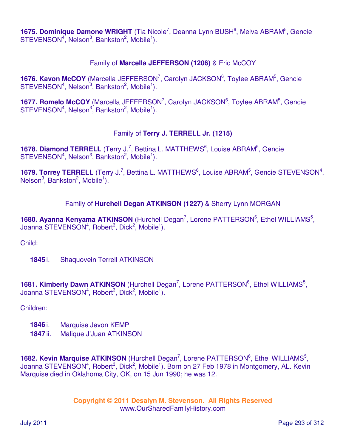1675. Dominique Damone WRIGHT (Tia Nicole<sup>7</sup>, Deanna Lynn BUSH<sup>6</sup>, Melva ABRAM<sup>5</sup>, Gencie  $STEVENSON<sup>4</sup>$ , Nelson<sup>3</sup>, Bankston<sup>2</sup>, Mobile<sup>1</sup>).

### Family of **Marcella JEFFERSON (1206)** & Eric McCOY

1676. Kavon McCOY (Marcella JEFFERSON<sup>7</sup>, Carolyn JACKSON<sup>6</sup>, Toylee ABRAM<sup>5</sup>, Gencie  $STEVENSON<sup>4</sup>, Nelson<sup>3</sup>, Bankston<sup>2</sup>, Mobile<sup>1</sup>).$ 

1677. Romelo McCOY (Marcella JEFFERSON<sup>7</sup>, Carolyn JACKSON<sup>6</sup>, Toylee ABRAM<sup>5</sup>, Gencie  $STEVENSON<sup>4</sup>$ , Nelson $<sup>3</sup>$ , Bankston $<sup>2</sup>$ , Mobile<sup>1</sup>).</sup></sup>

### Family of **Terry J. TERRELL Jr. (1215)**

1678. Diamond TERRELL (Terry J.<sup>7</sup>, Bettina L. MATTHEWS<sup>6</sup>, Louise ABRAM<sup>5</sup>, Gencie STEVENSON<sup>4</sup>, Nelson<sup>3</sup>, Bankston<sup>2</sup>, Mobile<sup>1</sup>).

1679. Torrey TERRELL (Terry J.<sup>7</sup>, Bettina L. MATTHEWS<sup>6</sup>, Louise ABRAM<sup>5</sup>, Gencie STEVENSON<sup>4</sup>, Nelson<sup>3</sup>, Bankston<sup>2</sup>, Mobile<sup>1</sup>).

### Family of **Hurchell Degan ATKINSON (1227)** & Sherry Lynn MORGAN

1680. Ayanna Kenyama ATKINSON (Hurchell Degan<sup>7</sup>, Lorene PATTERSON<sup>6</sup>, Ethel WILLIAMS<sup>5</sup>, Joanna STEVENSON<sup>4</sup>, Robert<sup>3</sup>, Dick<sup>2</sup>, Mobile<sup>1</sup>).

Child:

**1845** i. Shaquovein Terrell ATKINSON

1681. Kimberly Dawn ATKINSON (Hurchell Degan<sup>7</sup>, Lorene PATTERSON<sup>6</sup>, Ethel WILLIAMS<sup>5</sup>, Joanna STEVENSON<sup>4</sup>, Robert<sup>3</sup>, Dick<sup>2</sup>, Mobile<sup>1</sup>).

Children:

- **1846** i. Marquise Jevon KEMP
- **1847** ii. Malique J'Juan ATKINSON

1682. Kevin Marquise ATKINSON (Hurchell Degan<sup>7</sup>, Lorene PATTERSON<sup>6</sup>, Ethel WILLIAMS<sup>5</sup>, Joanna STEVENSON<sup>4</sup>, Robert<sup>3</sup>, Dick<sup>2</sup>, Mobile<sup>1</sup>). Born on 27 Feb 1978 in Montgomery, AL. Kevin Marquise died in Oklahoma City, OK, on 15 Jun 1990; he was 12.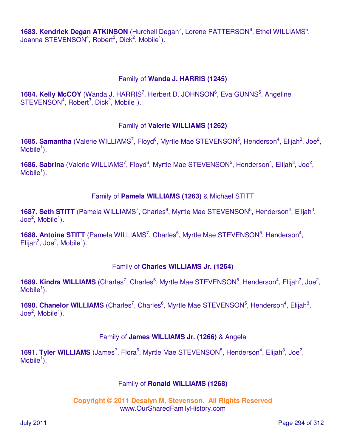1683. Kendrick Degan ATKINSON (Hurchell Degan<sup>7</sup>, Lorene PATTERSON<sup>6</sup>, Ethel WILLIAMS<sup>5</sup>, Joanna STEVENSON<sup>4</sup>, Robert<sup>3</sup>, Dick<sup>2</sup>, Mobile<sup>1</sup>).

#### Family of **Wanda J. HARRIS (1245)**

**1684. Kelly McCOY** (Wanda J. HARRIS<sup>7</sup>, Herbert D. JOHNSON<sup>6</sup>, Eva GUNNS<sup>5</sup>, Angeline  $STEVENSON<sup>4</sup>, Robert<sup>3</sup>, Dick<sup>2</sup>, Mobile<sup>1</sup>).$ 

#### Family of **Valerie WILLIAMS (1262)**

1685. Samantha (Valerie WILLIAMS<sup>7</sup>, Floyd<sup>6</sup>, Myrtle Mae STEVENSON<sup>5</sup>, Henderson<sup>4</sup>, Elijah<sup>3</sup>, Joe<sup>2</sup>,  $M$ obile<sup>1</sup>).

1686. Sabrina (Valerie WILLIAMS<sup>7</sup>, Floyd<sup>6</sup>, Myrtle Mae STEVENSON<sup>5</sup>, Henderson<sup>4</sup>, Elijah<sup>3</sup>, Joe<sup>2</sup>,  $M$ obile<sup>1</sup>).

#### Family of **Pamela WILLIAMS (1263)** & Michael STITT

1687. Seth STITT (Pamela WILLIAMS<sup>7</sup>, Charles<sup>6</sup>, Myrtle Mae STEVENSON<sup>5</sup>, Henderson<sup>4</sup>, Elijah<sup>3</sup>,  $\mathsf{Joe}^2$ , Mobile<sup>1</sup>).

1688. Antoine STITT (Pamela WILLIAMS<sup>7</sup>, Charles<sup>6</sup>, Myrtle Mae STEVENSON<sup>5</sup>, Henderson<sup>4</sup>,  $E$ lijah<sup>3</sup>, Joe<sup>2</sup>, Mobile<sup>1</sup>).

#### Family of **Charles WILLIAMS Jr. (1264)**

1689. Kindra WILLIAMS (Charles<sup>7</sup>, Charles<sup>6</sup>, Myrtle Mae STEVENSON<sup>5</sup>, Henderson<sup>4</sup>, Elijah<sup>3</sup>, Joe<sup>2</sup>,  $M$ obile<sup>1</sup>).

**1690. Chanelor WILLIAMS** (Charles<sup>7</sup>, Charles<sup>6</sup>, Myrtle Mae STEVENSON<sup>5</sup>, Henderson<sup>4</sup>, Elijah<sup>3</sup>,  $\mathsf{Joe}^2\mathsf{, Mobile}^1\mathsf{).}$ 

#### Family of **James WILLIAMS Jr. (1266)** & Angela

**1691. Tyler WILLIAMS** (James<sup>7</sup>, Flora<sup>6</sup>, Myrtle Mae STEVENSON<sup>5</sup>, Henderson<sup>4</sup>, Elijah<sup>3</sup>, Joe<sup>2</sup>, Mobile $\overline{1}$ ).

#### Family of **Ronald WILLIAMS (1268)**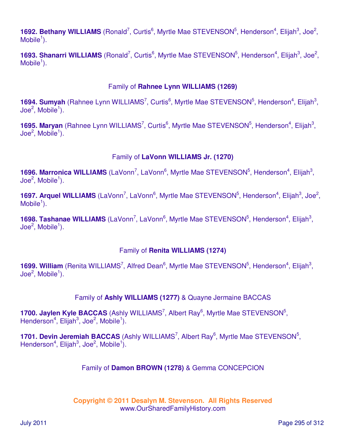1692. Bethany WILLIAMS (Ronald<sup>7</sup>, Curtis<sup>6</sup>, Myrtle Mae STEVENSON<sup>5</sup>, Henderson<sup>4</sup>, Elijah<sup>3</sup>, Joe<sup>2</sup>,  $M$ obile<sup>1</sup>).

1693. Shanarri WILLIAMS (Ronald<sup>7</sup>, Curtis<sup>6</sup>, Myrtle Mae STEVENSON<sup>5</sup>, Henderson<sup>4</sup>, Elijah<sup>3</sup>, Joe<sup>2</sup>,  $M$ obile<sup>1</sup>).

#### Family of **Rahnee Lynn WILLIAMS (1269)**

1694. Sumyah (Rahnee Lynn WILLIAMS<sup>7</sup>, Curtis<sup>6</sup>, Myrtle Mae STEVENSON<sup>5</sup>, Henderson<sup>4</sup>, Elijah<sup>3</sup>,  $\sf Joe^2, Mobile^1).$ 

1695. Maryan (Rahnee Lynn WILLIAMS<sup>7</sup>, Curtis<sup>6</sup>, Myrtle Mae STEVENSON<sup>5</sup>, Henderson<sup>4</sup>, Elijah<sup>3</sup>,  $\mathsf{Joe}^2$ , Mobile<sup>1</sup>).

### Family of **LaVonn WILLIAMS Jr. (1270)**

1696. Marronica WILLIAMS (LaVonn<sup>7</sup>, LaVonn<sup>6</sup>, Myrtle Mae STEVENSON<sup>5</sup>, Henderson<sup>4</sup>, Elijah<sup>3</sup>,  $\sf Joe^2, Mobile^1).$ 

1697. Arquel WILLIAMS (LaVonn<sup>7</sup>, LaVonn<sup>6</sup>, Myrtle Mae STEVENSON<sup>5</sup>, Henderson<sup>4</sup>, Elijah<sup>3</sup>, Joe<sup>2</sup>,  $M$ obile<sup>1</sup>).

1698. Tashanae WILLIAMS (LaVonn<sup>7</sup>, LaVonn<sup>6</sup>, Myrtle Mae STEVENSON<sup>5</sup>, Henderson<sup>4</sup>, Elijah<sup>3</sup>,  $\mathsf{Joe}^2$ , Mobile<sup>1</sup>).

### Family of **Renita WILLIAMS (1274)**

1699. William (Renita WILLIAMS<sup>7</sup>, Alfred Dean<sup>6</sup>, Myrtle Mae STEVENSON<sup>5</sup>, Henderson<sup>4</sup>, Elijah<sup>3</sup>,  $\sf Joe^2, Mobile^1).$ 

Family of **Ashly WILLIAMS (1277)** & Quayne Jermaine BACCAS

**1700. Jaylen Kyle BACCAS** (Ashly WILLIAMS<sup>7</sup>, Albert Ray<sup>6</sup>, Myrtle Mae STEVENSON<sup>5</sup>, Henderson<sup>4</sup>, Elijah<sup>3</sup>, Joe<sup>2</sup>, Mobile<sup>1</sup>).

1701. Devin Jeremiah BACCAS (Ashly WILLIAMS<sup>7</sup>, Albert Ray<sup>6</sup>, Myrtle Mae STEVENSON<sup>5</sup>, Henderson<sup>4</sup>, Elijah<sup>3</sup>, Joe<sup>2</sup>, Mobile<sup>1</sup>).

### Family of **Damon BROWN (1278)** & Gemma CONCEPCION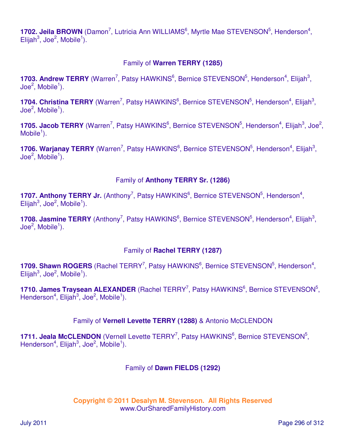1702. Jeila BROWN (Damon<sup>7</sup>, Lutricia Ann WILLIAMS<sup>6</sup>, Myrtle Mae STEVENSON<sup>5</sup>, Henderson<sup>4</sup>,  $E$ lijah<sup>3</sup>, Joe<sup>2</sup>, Mobile<sup>1</sup>).

### Family of **Warren TERRY (1285)**

1703. Andrew TERRY (Warren<sup>7</sup>, Patsy HAWKINS<sup>6</sup>, Bernice STEVENSON<sup>5</sup>, Henderson<sup>4</sup>, Elijah<sup>3</sup>,  $\mathsf{Joe}^2$ , Mobile<sup>1</sup>).

1704. Christina TERRY (Warren<sup>7</sup>, Patsy HAWKINS<sup>6</sup>, Bernice STEVENSON<sup>5</sup>, Henderson<sup>4</sup>, Elijah<sup>3</sup>, Joe $^2$ , Mobile $^1$ ).

1705. Jacob TERRY (Warren<sup>7</sup>, Patsy HAWKINS<sup>6</sup>, Bernice STEVENSON<sup>5</sup>, Henderson<sup>4</sup>, Elijah<sup>3</sup>, Joe<sup>2</sup>,  $M$ obile<sup>1</sup>).

1706. Warjanay TERRY (Warren<sup>7</sup>, Patsy HAWKINS<sup>6</sup>, Bernice STEVENSON<sup>5</sup>, Henderson<sup>4</sup>, Elijah<sup>3</sup>,  $\textsf{Joe}^2$ , Mobile<sup>1</sup>).

### Family of **Anthony TERRY Sr. (1286)**

1707. Anthony TERRY Jr. (Anthony<sup>7</sup>, Patsy HAWKINS<sup>6</sup>, Bernice STEVENSON<sup>5</sup>, Henderson<sup>4</sup>,  $E$ lijah<sup>3</sup>, Joe<sup>2</sup>, Mobile<sup>1</sup>).

1708. Jasmine TERRY (Anthony<sup>7</sup>, Patsy HAWKINS<sup>6</sup>, Bernice STEVENSON<sup>5</sup>, Henderson<sup>4</sup>, Elijah<sup>3</sup>,  $\mathsf{Joe}^2$ , Mobile<sup>1</sup>).

### Family of **Rachel TERRY (1287)**

1709. Shawn ROGERS (Rachel TERRY<sup>7</sup>, Patsy HAWKINS<sup>6</sup>, Bernice STEVENSON<sup>5</sup>, Henderson<sup>4</sup>,  $E$ lijah<sup>3</sup>, Joe<sup>2</sup>, Mobile<sup>1</sup>).

1710. James Traysean ALEXANDER (Rachel TERRY<sup>7</sup>, Patsy HAWKINS<sup>6</sup>, Bernice STEVENSON<sup>5</sup>, Henderson<sup>4</sup>, Elijah<sup>3</sup>, Joe<sup>2</sup>, Mobile<sup>1</sup>).

### Family of **Vernell Levette TERRY (1288)** & Antonio McCLENDON

1711. Jeala McCLENDON (Vernell Levette TERRY<sup>7</sup>, Patsy HAWKINS<sup>6</sup>, Bernice STEVENSON<sup>5</sup>, Henderson<sup>4</sup>, Elijah<sup>3</sup>, Joe<sup>2</sup>, Mobile<sup>1</sup>).

### Family of **Dawn FIELDS (1292)**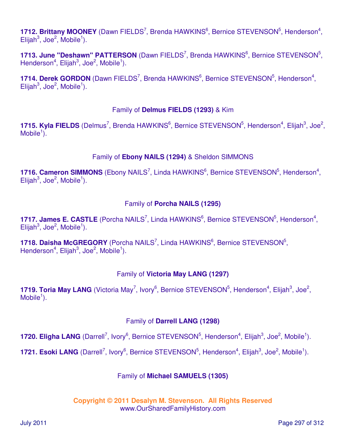1712. Brittany MOONEY (Dawn FIELDS<sup>7</sup>, Brenda HAWKINS<sup>6</sup>, Bernice STEVENSON<sup>5</sup>, Henderson<sup>4</sup>,  $E$ lijah<sup>3</sup>, Joe<sup>2</sup>, Mobile<sup>1</sup>).

1713. June "Deshawn" PATTERSON (Dawn FIELDS<sup>7</sup>, Brenda HAWKINS<sup>6</sup>, Bernice STEVENSON<sup>5</sup>, Henderson<sup>4</sup>, Elijah<sup>3</sup>, Joe<sup>2</sup>, Mobile<sup>1</sup>).

1714. Derek GORDON (Dawn FIELDS<sup>7</sup>, Brenda HAWKINS<sup>6</sup>, Bernice STEVENSON<sup>5</sup>, Henderson<sup>4</sup>,  $E$ lijah<sup>3</sup>, Joe<sup>2</sup>, Mobile<sup>1</sup>).

### Family of **Delmus FIELDS (1293)** & Kim

1715. Kyla FIELDS (Delmus<sup>7</sup>, Brenda HAWKINS<sup>6</sup>, Bernice STEVENSON<sup>5</sup>, Henderson<sup>4</sup>, Elijah<sup>3</sup>, Joe<sup>2</sup>, Mobile $<sup>1</sup>$ ).</sup>

### Family of **Ebony NAILS (1294)** & Sheldon SIMMONS

1716. Cameron SIMMONS (Ebony NAILS<sup>7</sup>, Linda HAWKINS<sup>6</sup>, Bernice STEVENSON<sup>5</sup>, Henderson<sup>4</sup>,  $E$ lijah<sup>3</sup>, Joe<sup>2</sup>, Mobile<sup>1</sup>).

## Family of **Porcha NAILS (1295)**

1717. James E. CASTLE (Porcha NAILS<sup>7</sup>, Linda HAWKINS<sup>6</sup>, Bernice STEVENSON<sup>5</sup>, Henderson<sup>4</sup>,  $E$ lijah<sup>3</sup>, Joe<sup>2</sup>, Mobile<sup>1</sup>).

1718. Daisha McGREGORY (Porcha NAILS<sup>7</sup>, Linda HAWKINS<sup>6</sup>, Bernice STEVENSON<sup>5</sup>, Henderson<sup>4</sup>, Elijah<sup>3</sup>, Joe<sup>2</sup>, Mobile<sup>1</sup>).

## Family of **Victoria May LANG (1297)**

1719. Toria May LANG (Victoria May<sup>7</sup>, Ivory<sup>6</sup>, Bernice STEVENSON<sup>5</sup>, Henderson<sup>4</sup>, Elijah<sup>3</sup>, Joe<sup>2</sup>,  $M$ obile<sup>1</sup>).

### Family of **Darrell LANG (1298)**

1720. Eligha LANG (Darrell<sup>7</sup>, Ivory<sup>6</sup>, Bernice STEVENSON<sup>5</sup>, Henderson<sup>4</sup>, Elijah<sup>3</sup>, Joe<sup>2</sup>, Mobile<sup>1</sup>).

1721. Esoki LANG (Darrell<sup>7</sup>, Ivory<sup>6</sup>, Bernice STEVENSON<sup>5</sup>, Henderson<sup>4</sup>, Elijah<sup>3</sup>, Joe<sup>2</sup>, Mobile<sup>1</sup>).

## Family of **Michael SAMUELS (1305)**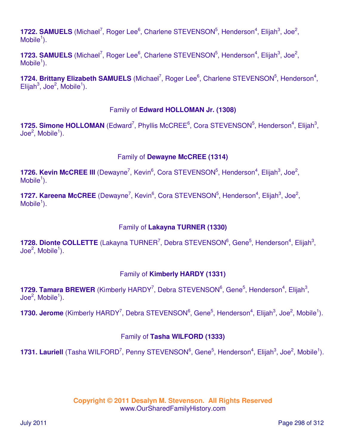1722. SAMUELS (Michael<sup>7</sup>, Roger Lee<sup>6</sup>, Charlene STEVENSON<sup>5</sup>, Henderson<sup>4</sup>, Elijah<sup>3</sup>, Joe<sup>2</sup>,  $M$ obile<sup>1</sup>).

1723. SAMUELS (Michael<sup>7</sup>, Roger Lee<sup>6</sup>, Charlene STEVENSON<sup>5</sup>, Henderson<sup>4</sup>, Elijah<sup>3</sup>, Joe<sup>2</sup>,  $M$ obile<sup>1</sup>).

1724. Brittany Elizabeth SAMUELS (Michael<sup>7</sup>, Roger Lee<sup>6</sup>, Charlene STEVENSON<sup>5</sup>, Henderson<sup>4</sup>,  $E$ lijah<sup>3</sup>, Joe<sup>2</sup>, Mobile<sup>1</sup>).

### Family of **Edward HOLLOMAN Jr. (1308)**

1725. Simone HOLLOMAN (Edward<sup>7</sup>, Phyllis McCREE<sup>6</sup>, Cora STEVENSON<sup>5</sup>, Henderson<sup>4</sup>, Elijah<sup>3</sup>,  $\mathsf{Joe}^2\mathsf{, Mobile}^1\mathsf{).}$ 

### Family of **Dewayne McCREE (1314)**

**1726. Kevin McCREE III** (Dewayne<sup>7</sup>, Kevin<sup>6</sup>, Cora STEVENSON<sup>5</sup>, Henderson<sup>4</sup>, Elijah<sup>3</sup>, Joe<sup>2</sup>,  $M$ obile<sup>1</sup>).

1727. Kareena McCREE (Dewayne<sup>7</sup>, Kevin<sup>6</sup>, Cora STEVENSON<sup>5</sup>, Henderson<sup>4</sup>, Elijah<sup>3</sup>, Joe<sup>2</sup>,  $M$ obile<sup>1</sup>).

#### Family of **Lakayna TURNER (1330)**

1728. Dionte COLLETTE (Lakayna TURNER<sup>7</sup>, Debra STEVENSON<sup>6</sup>, Gene<sup>5</sup>, Henderson<sup>4</sup>, Elijah<sup>3</sup>,  $\mathsf{Joe}^2\mathsf{, Mobile}^1\mathsf{).}$ 

### Family of **Kimberly HARDY (1331)**

1729. Tamara BREWER (Kimberly HARDY<sup>7</sup>, Debra STEVENSON<sup>6</sup>, Gene<sup>5</sup>, Henderson<sup>4</sup>, Elijah<sup>3</sup>,  $\mathsf{Joe}^2\mathsf{, Mobile}^1\mathsf{).}$ 

1730. Jerome (Kimberly HARDY<sup>7</sup>, Debra STEVENSON<sup>6</sup>, Gene<sup>5</sup>, Henderson<sup>4</sup>, Elijah<sup>3</sup>, Joe<sup>2</sup>, Mobile<sup>1</sup>).

### Family of **Tasha WILFORD (1333)**

1731. Lauriell (Tasha WILFORD<sup>7</sup>, Penny STEVENSON<sup>6</sup>, Gene<sup>5</sup>, Henderson<sup>4</sup>, Elijah<sup>3</sup>, Joe<sup>2</sup>, Mobile<sup>1</sup>).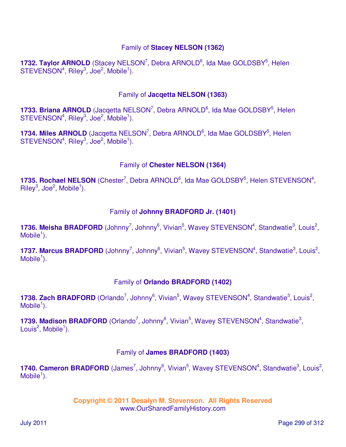### Family of **Stacey NELSON (1362)**

1732. Taylor ARNOLD (Stacey NELSON<sup>7</sup>, Debra ARNOLD<sup>6</sup>, Ida Mae GOLDSBY<sup>5</sup>, Helen  $STEVENSON<sup>4</sup>, Riley<sup>3</sup>, Joe<sup>2</sup>, Mobile<sup>1</sup>).$ 

#### Family of **Jacqetta NELSON (1363)**

1733. Briana ARNOLD (Jacqetta NELSON<sup>7</sup>, Debra ARNOLD<sup>6</sup>, Ida Mae GOLDSBY<sup>5</sup>, Helen  $STEVENSON<sup>4</sup>, Riley<sup>3</sup>, Joe<sup>2</sup>, Mobile<sup>1</sup>).$ 

1734. Miles ARNOLD (Jacqetta NELSON<sup>7</sup>, Debra ARNOLD<sup>6</sup>, Ida Mae GOLDSBY<sup>5</sup>, Helen  $STEVENSON<sup>4</sup>, Riley<sup>3</sup>, Joe<sup>2</sup>, Mobile<sup>1</sup>).$ 

### Family of **Chester NELSON (1364)**

1735. Rochael NELSON (Chester<sup>7</sup>, Debra ARNOLD<sup>6</sup>, Ida Mae GOLDSBY<sup>5</sup>, Helen STEVENSON<sup>4</sup>,  $\mathsf{Riley}^3$ , Joe<sup>2</sup>, Mobile<sup>1</sup>).

### Family of **Johnny BRADFORD Jr. (1401)**

1736. Meisha BRADFORD (Johnny<sup>7</sup>, Johnny<sup>6</sup>, Vivian<sup>5</sup>, Wavey STEVENSON<sup>4</sup>, Standwatie<sup>3</sup>, Louis<sup>2</sup>,  $M$ obile<sup>1</sup>).

1737. Marcus BRADFORD (Johnny<sup>7</sup>, Johnny<sup>6</sup>, Vivian<sup>5</sup>, Wavey STEVENSON<sup>4</sup>, Standwatie<sup>3</sup>, Louis<sup>2</sup>,  $M$ obile<sup>1</sup>).

### Family of **Orlando BRADFORD (1402)**

1738. Zach BRADFORD (Orlando<sup>7</sup>, Johnny<sup>6</sup>, Vivian<sup>5</sup>, Wavey STEVENSON<sup>4</sup>, Standwatie<sup>3</sup>, Louis<sup>2</sup>,  $M$ obile<sup>1</sup>).

1739. Madison BRADFORD (Orlando<sup>7</sup>, Johnny<sup>6</sup>, Vivian<sup>5</sup>, Wavey STEVENSON<sup>4</sup>, Standwatie<sup>3</sup>, Louis<sup>2</sup>, Mobile<sup>1</sup>).

### Family of **James BRADFORD (1403)**

1740. Cameron BRADFORD (James<sup>7</sup>, Johnny<sup>6</sup>, Vivian<sup>5</sup>, Wavey STEVENSON<sup>4</sup>, Standwatie<sup>3</sup>, Louis<sup>2</sup>,  $M$ obile<sup>1</sup>).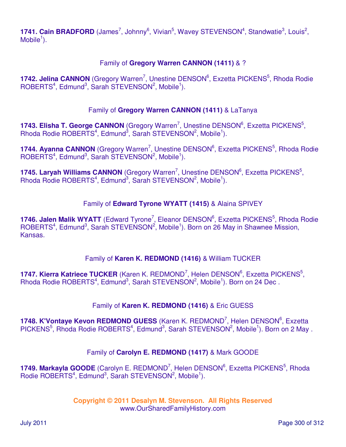1741. Cain BRADFORD (James<sup>7</sup>, Johnny<sup>6</sup>, Vivian<sup>5</sup>, Wavey STEVENSON<sup>4</sup>, Standwatie<sup>3</sup>, Louis<sup>2</sup>,  $M$ obile<sup>1</sup>).

### Family of **Gregory Warren CANNON (1411)** & ?

1742. Jelina CANNON (Gregory Warren<sup>7</sup>, Unestine DENSON<sup>6</sup>, Exzetta PICKENS<sup>5</sup>, Rhoda Rodie  $ROBERTS<sup>4</sup>, Edmund<sup>3</sup>, Sarah STEVENSON<sup>2</sup>, Mobile<sup>1</sup>).$ 

### Family of **Gregory Warren CANNON (1411)** & LaTanya

1743. Elisha T. George CANNON (Gregory Warren<sup>7</sup>, Unestine DENSON<sup>6</sup>, Exzetta PICKENS<sup>5</sup>, Rhoda Rodie ROBERTS<sup>4</sup>, Edmund<sup>3</sup>, Sarah STEVENSON<sup>2</sup>, Mobile<sup>1</sup>).

1744. Ayanna CANNON (Gregory Warren<sup>7</sup>, Unestine DENSON<sup>6</sup>, Exzetta PICKENS<sup>5</sup>, Rhoda Rodie  $ROBERTS<sup>4</sup>, Edmund<sup>3</sup>, Sarah STEVENSON<sup>2</sup>, Mobile<sup>1</sup>).$ 

1745. Laryah Williams CANNON (Gregory Warren<sup>7</sup>, Unestine DENSON<sup>6</sup>, Exzetta PICKENS<sup>5</sup>, Rhoda Rodie ROBERTS<sup>4</sup>, Edmund<sup>3</sup>, Sarah STEVENSON<sup>2</sup>, Mobile<sup>1</sup>).

### Family of **Edward Tyrone WYATT (1415)** & Alaina SPIVEY

1746. Jalen Malik WYATT (Edward Tyrone<sup>7</sup>, Eleanor DENSON<sup>6</sup>, Exzetta PICKENS<sup>5</sup>, Rhoda Rodie ROBERTS<sup>4</sup>, Edmund<sup>3</sup>, Sarah STEVENSON<sup>2</sup>, Mobile<sup>1</sup>). Born on 26 May in Shawnee Mission, Kansas.

### Family of **Karen K. REDMOND (1416)** & William TUCKER

1747. Kierra Katriece TUCKER (Karen K. REDMOND<sup>7</sup>, Helen DENSON<sup>6</sup>, Exzetta PICKENS<sup>5</sup>, Rhoda Rodie ROBERTS<sup>4</sup>, Edmund<sup>3</sup>, Sarah STEVENSON<sup>2</sup>, Mobile<sup>1</sup>). Born on 24 Dec.

#### Family of **Karen K. REDMOND (1416)** & Eric GUESS

1748. K'Vontaye Kevon REDMOND GUESS (Karen K. REDMOND<sup>7</sup>, Helen DENSON<sup>6</sup>, Exzetta PICKENS<sup>5</sup>, Rhoda Rodie ROBERTS<sup>4</sup>, Edmund<sup>3</sup>, Sarah STEVENSON<sup>2</sup>, Mobile<sup>1</sup>). Born on 2 May .

#### Family of **Carolyn E. REDMOND (1417)** & Mark GOODE

1749. Markayla GOODE (Carolyn E. REDMOND<sup>7</sup>, Helen DENSON<sup>6</sup>, Exzetta PICKENS<sup>5</sup>, Rhoda Rodie ROBERTS<sup>4</sup>, Edmund<sup>3</sup>, Sarah STEVENSON<sup>2</sup>, Mobile<sup>1</sup>).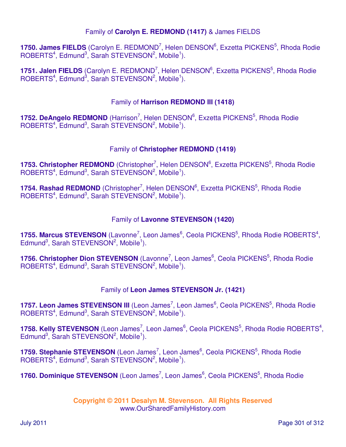### Family of **Carolyn E. REDMOND (1417)** & James FIELDS

1750. James FIELDS (Carolyn E. REDMOND<sup>7</sup>, Helen DENSON<sup>6</sup>, Exzetta PICKENS<sup>5</sup>, Rhoda Rodie  $ROBERTS<sup>4</sup>, Edmund<sup>3</sup>, Sarah STEVENSON<sup>2</sup>, Mobile<sup>1</sup>).$ 

1751. Jalen FIELDS (Carolyn E. REDMOND<sup>7</sup>, Helen DENSON<sup>6</sup>, Exzetta PICKENS<sup>5</sup>, Rhoda Rodie  $ROBERTS<sup>4</sup>, Edmund<sup>3</sup>, Sarah STEVENSON<sup>2</sup>, Mobile<sup>1</sup>).$ 

### Family of **Harrison REDMOND III (1418)**

**1752. DeAngelo REDMOND** (Harrison<sup>7</sup>, Helen DENSON<sup>6</sup>, Exzetta PICKENS<sup>5</sup>, Rhoda Rodie  $ROBERTS<sup>4</sup>, Edmund<sup>3</sup>, Sarah STEVENSON<sup>2</sup>, Mobile<sup>1</sup>).$ 

### Family of **Christopher REDMOND (1419)**

1753. Christopher REDMOND (Christopher<sup>7</sup>, Helen DENSON<sup>6</sup>, Exzetta PICKENS<sup>5</sup>, Rhoda Rodie  $ROBERTS<sup>4</sup>, Edmund<sup>3</sup>, Sarah STEVENSON<sup>2</sup>, Mobile<sup>1</sup>).$ 

1754. Rashad REDMOND (Christopher<sup>7</sup>, Helen DENSON<sup>6</sup>, Exzetta PICKENS<sup>5</sup>, Rhoda Rodie  $ROBERTS<sup>4</sup>, Edmund<sup>3</sup>, Sarah STEVENSON<sup>2</sup>, Mobile<sup>1</sup>).$ 

### Family of **Lavonne STEVENSON (1420)**

1755. Marcus STEVENSON (Lavonne<sup>7</sup>, Leon James<sup>6</sup>, Ceola PICKENS<sup>5</sup>, Rhoda Rodie ROBERTS<sup>4</sup>, Edmund<sup>3</sup>, Sarah STEVENSON<sup>2</sup>, Mobile<sup>1</sup>).

1756. Christopher Dion STEVENSON (Lavonne<sup>7</sup>, Leon James<sup>6</sup>, Ceola PICKENS<sup>5</sup>, Rhoda Rodie  $ROBERTS<sup>4</sup>, Edmund<sup>3</sup>, Sarah STEVENSON<sup>2</sup>, Mobile<sup>1</sup>).$ 

### Family of **Leon James STEVENSON Jr. (1421)**

1757. Leon James STEVENSON III (Leon James<sup>7</sup>, Leon James<sup>6</sup>, Ceola PICKENS<sup>5</sup>, Rhoda Rodie  $ROBERTS<sup>4</sup>, Edmund<sup>3</sup>, Sarah STEVENSON<sup>2</sup>, Mobile<sup>1</sup>).$ 

1758. Kelly STEVENSON (Leon James<sup>7</sup>, Leon James<sup>6</sup>, Ceola PICKENS<sup>5</sup>, Rhoda Rodie ROBERTS<sup>4</sup>, Edmund<sup>3</sup>, Sarah STEVENSON<sup>2</sup>, Mobile<sup>1</sup>).

1759. Stephanie STEVENSON (Leon James<sup>7</sup>, Leon James<sup>6</sup>, Ceola PICKENS<sup>5</sup>, Rhoda Rodie  $ROBERTS<sup>4</sup>, Edmund<sup>3</sup>, Sarah STEVENSON<sup>2</sup>, Mobile<sup>1</sup>).$ 

1760. Dominique STEVENSON (Leon James<sup>7</sup>, Leon James<sup>6</sup>, Ceola PICKENS<sup>5</sup>, Rhoda Rodie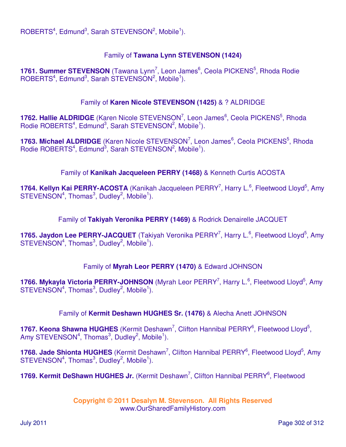$ROBERTS<sup>4</sup>, Edmund<sup>3</sup>, Sarah STEVENSON<sup>2</sup>, Mobile<sup>1</sup>).$ 

### Family of **Tawana Lynn STEVENSON (1424)**

1761. Summer STEVENSON (Tawana Lynn<sup>7</sup>, Leon James<sup>6</sup>, Ceola PICKENS<sup>5</sup>, Rhoda Rodie  $ROBERTS<sup>4</sup>, Edmund<sup>3</sup>, Sarah STEVENSON<sup>2</sup>, Mobile<sup>1</sup>).$ 

#### Family of **Karen Nicole STEVENSON (1425)** & ? ALDRIDGE

1762. Hallie ALDRIDGE (Karen Nicole STEVENSON<sup>7</sup>, Leon James<sup>6</sup>, Ceola PICKENS<sup>5</sup>, Rhoda Rodie ROBERTS<sup>4</sup>, Edmund<sup>3</sup>, Sarah STEVENSON<sup>2</sup>, Mobile<sup>1</sup>).

1763. Michael ALDRIDGE (Karen Nicole STEVENSON<sup>7</sup>, Leon James<sup>6</sup>, Ceola PICKENS<sup>5</sup>, Rhoda Rodie ROBERTS<sup>4</sup>, Edmund<sup>3</sup>, Sarah STEVENSON<sup>2</sup>, Mobile<sup>1</sup>).

Family of **Kanikah Jacqueleen PERRY (1468)** & Kenneth Curtis ACOSTA

1764. Kellyn Kai PERRY-ACOSTA (Kanikah Jacqueleen PERRY<sup>7</sup>, Harry L.<sup>6</sup>, Fleetwood Lloyd<sup>5</sup>, Amy STEVENSON<sup>4</sup>, Thomas<sup>3</sup>, Dudley<sup>2</sup>, Mobile<sup>1</sup>).

Family of **Takiyah Veronika PERRY (1469)** & Rodrick Denairelle JACQUET

1765. Jaydon Lee PERRY-JACQUET (Takiyah Veronika PERRY<sup>7</sup>, Harry L.<sup>6</sup>, Fleetwood Lloyd<sup>5</sup>, Amy STEVENSON<sup>4</sup>, Thomas<sup>3</sup>, Dudley<sup>2</sup>, Mobile<sup>1</sup>).

### Family of **Myrah Leor PERRY (1470)** & Edward JOHNSON

1766. Mykayla Victoria PERRY-JOHNSON (Myrah Leor PERRY<sup>7</sup>, Harry L.<sup>6</sup>, Fleetwood Lloyd<sup>5</sup>, Amy  $STEVENSON<sup>4</sup>$ , Thomas<sup>3</sup>, Dudley<sup>2</sup>, Mobile<sup>1</sup>).

Family of **Kermit Deshawn HUGHES Sr. (1476)** & Alecha Anett JOHNSON

1767. Keona Shawna HUGHES (Kermit Deshawn<sup>7</sup>, Clifton Hannibal PERRY<sup>6</sup>, Fleetwood Lloyd<sup>5</sup>, Amy STEVENSON<sup>4</sup>, Thomas<sup>3</sup>, Dudley<sup>2</sup>, Mobile<sup>1</sup>).

1768. Jade Shionta HUGHES (Kermit Deshawn<sup>7</sup>, Clifton Hannibal PERRY<sup>6</sup>, Fleetwood Lloyd<sup>5</sup>, Amy  $STEVENSON<sup>4</sup>$ , Thomas<sup>3</sup>, Dudley<sup>2</sup>, Mobile<sup>1</sup>).

1769. Kermit DeShawn HUGHES Jr. (Kermit Deshawn<sup>7</sup>, Clifton Hannibal PERRY<sup>6</sup>, Fleetwood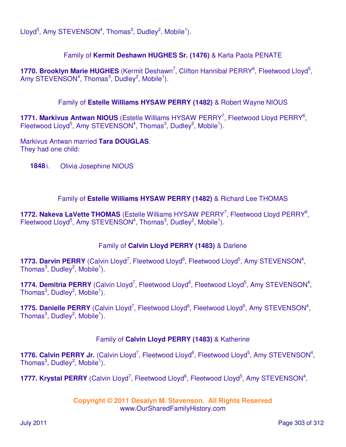Lloyd<sup>5</sup>, Amy STEVENSON<sup>4</sup>, Thomas<sup>3</sup>, Dudley<sup>2</sup>, Mobile<sup>1</sup>).

## Family of **Kermit Deshawn HUGHES Sr. (1476)** & Karla Paola PENATE

1770. Brooklyn Marie HUGHES (Kermit Deshawn<sup>7</sup>, Clifton Hannibal PERRY<sup>6</sup>, Fleetwood Lloyd<sup>5</sup>, Amy STEVENSON<sup>4</sup>, Thomas<sup>3</sup>, Dudley<sup>2</sup>, Mobile<sup>1</sup>).

Family of **Estelle Williams HYSAW PERRY (1482)** & Robert Wayne NIOUS

1771. Markivus Antwan NIOUS (Estelle Williams HYSAW PERRY<sup>7</sup>, Fleetwood Lloyd PERRY<sup>6</sup>, Fleetwood Lloyd<sup>5</sup>, Amy STEVENSON<sup>4</sup>, Thomas<sup>3</sup>, Dudley<sup>2</sup>, Mobile<sup>1</sup>).

Markivus Antwan married **Tara DOUGLAS**. They had one child:

**1848** i. Olivia Josephine NIOUS

### Family of **Estelle Williams HYSAW PERRY (1482)** & Richard Lee THOMAS

1772. Nakeva LaVette THOMAS (Estelle Williams HYSAW PERRY<sup>7</sup>, Fleetwood Lloyd PERRY<sup>6</sup>, Fleetwood Lloyd<sup>5</sup>, Amy STEVENSON<sup>4</sup>, Thomas<sup>3</sup>, Dudley<sup>2</sup>, Mobile<sup>1</sup>).

### Family of **Calvin Lloyd PERRY (1483)** & Darlene

1773. Darvin PERRY (Calvin Lloyd<sup>7</sup>, Fleetwood Lloyd<sup>6</sup>, Fleetwood Lloyd<sup>5</sup>, Amy STEVENSON<sup>4</sup>, Thomas $^3$ , Dudley $^2$ , Mobile $^1$ ).

1774. Demitria PERRY (Calvin Lloyd<sup>7</sup>, Fleetwood Lloyd<sup>6</sup>, Fleetwood Lloyd<sup>5</sup>, Amy STEVENSON<sup>4</sup>, Thomas $^3$ , Dudley $^2$ , Mobile $^1$ ).

1775. Danielle PERRY (Calvin Lloyd<sup>7</sup>, Fleetwood Lloyd<sup>6</sup>, Fleetwood Lloyd<sup>5</sup>, Amy STEVENSON<sup>4</sup>, Thomas $^3$ , Dudley $^2$ , Mobile $^1$ ).

## Family of **Calvin Lloyd PERRY (1483)** & Katherine

1776. Calvin PERRY Jr. (Calvin Lloyd<sup>7</sup>, Fleetwood Lloyd<sup>6</sup>, Fleetwood Lloyd<sup>5</sup>, Amy STEVENSON<sup>4</sup>, Thomas $^3$ , Dudley $^2$ , Mobile $^1$ ).

1777. Krystal PERRY (Calvin Lloyd<sup>7</sup>, Fleetwood Lloyd<sup>6</sup>, Fleetwood Lloyd<sup>5</sup>, Amy STEVENSON<sup>4</sup>,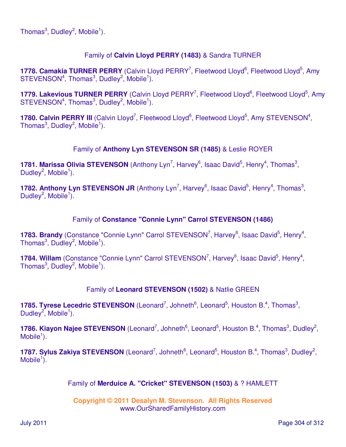## Family of **Calvin Lloyd PERRY (1483)** & Sandra TURNER

1778. Camakia TURNER PERRY (Calvin Lloyd PERRY<sup>7</sup>, Fleetwood Lloyd<sup>6</sup>, Fleetwood Lloyd<sup>5</sup>, Amy  $STEVENSON<sup>4</sup>$ , Thomas<sup>3</sup>, Dudley<sup>2</sup>, Mobile<sup>1</sup>).

1779. Lakevious TURNER PERRY (Calvin Lloyd PERRY<sup>7</sup>, Fleetwood Lloyd<sup>6</sup>, Fleetwood Lloyd<sup>5</sup>, Amy  $STEVENSON<sup>4</sup>$ , Thomas<sup>3</sup>, Dudley<sup>2</sup>, Mobile<sup>1</sup>).

1780. Calvin PERRY III (Calvin Lloyd<sup>7</sup>, Fleetwood Lloyd<sup>6</sup>, Fleetwood Lloyd<sup>5</sup>, Amy STEVENSON<sup>4</sup>, Thomas $^3$ , Dudley $^2$ , Mobile $^1$ ).

## Family of **Anthony Lyn STEVENSON SR (1485)** & Leslie ROYER

**1781. Marissa Olivia STEVENSON** (Anthony Lyn<sup>7</sup>, Harvey<sup>6</sup>, Isaac David<sup>5</sup>, Henry<sup>4</sup>, Thomas<sup>3</sup>, Dudley<sup>2</sup>, Mobile<sup>1</sup>).

**1782. Anthony Lyn STEVENSON JR** (Anthony Lyn<sup>7</sup>, Harvey<sup>6</sup>, Isaac David<sup>5</sup>, Henry<sup>4</sup>, Thomas<sup>3</sup>, Dudley<sup>2</sup>, Mobile<sup>1</sup>).

### Family of **Constance "Connie Lynn" Carrol STEVENSON (1486)**

1783. Brandy (Constance "Connie Lynn" Carrol STEVENSON<sup>7</sup>, Harvey<sup>6</sup>, Isaac David<sup>5</sup>, Henry<sup>4</sup>, Thomas $^3$ , Dudley $^2$ , Mobile $^1$ ).

1784. Willam (Constance "Connie Lynn" Carrol STEVENSON<sup>7</sup>, Harvey<sup>6</sup>, Isaac David<sup>5</sup>, Henry<sup>4</sup>, Thomas $^3$ , Dudley $^2$ , Mobile $^1$ ).

### Family of **Leonard STEVENSON (1502)** & Natlie GREEN

**1785. Tyrese Lecedric STEVENSON** (Leonard<sup>7</sup>, Johneth<sup>6</sup>, Leonard<sup>5</sup>, Houston B.<sup>4</sup>, Thomas<sup>3</sup>, Dudley<sup>2</sup>, Mobile<sup>1</sup>).

1786. Kiayon Najee STEVENSON (Leonard<sup>7</sup>, Johneth<sup>6</sup>, Leonard<sup>5</sup>, Houston B.<sup>4</sup>, Thomas<sup>3</sup>, Dudley<sup>2</sup>,  $M$ obile<sup>1</sup>).

1787. Sylus Zakiya STEVENSON (Leonard<sup>7</sup>, Johneth<sup>6</sup>, Leonard<sup>5</sup>, Houston B.<sup>4</sup>, Thomas<sup>3</sup>, Dudley<sup>2</sup>, Mobile $\overline{1}$ ).

### Family of **Merduice A. "Cricket" STEVENSON (1503)** & ? HAMLETT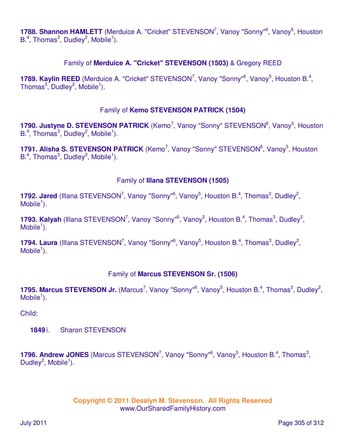1788. Shannon HAMLETT (Merduice A. "Cricket" STEVENSON<sup>7</sup>, Vanoy "Sonny"<sup>6</sup>, Vanoy<sup>5</sup>, Houston  $B^4$ , Thomas<sup>3</sup>, Dudley<sup>2</sup>, Mobile<sup>1</sup>).

### Family of **Merduice A. "Cricket" STEVENSON (1503)** & Gregory REED

1789. Kaylin REED (Merduice A. "Cricket" STEVENSON<sup>7</sup>, Vanoy "Sonny"<sup>6</sup>, Vanoy<sup>5</sup>, Houston B.<sup>4</sup>, Thomas $^3$ , Dudley $^2$ , Mobile<sup>1</sup>).

### Family of **Kemo STEVENSON PATRICK (1504)**

1790. Justyne D. STEVENSON PATRICK (Kemo<sup>7</sup>, Vanoy "Sonny" STEVENSON<sup>6</sup>, Vanoy<sup>5</sup>, Houston  $B^4$ , Thomas<sup>3</sup>, Dudley<sup>2</sup>, Mobile<sup>1</sup>).

1791. Alisha S. STEVENSON PATRICK (Kemo<sup>7</sup>, Vanoy "Sonny" STEVENSON<sup>6</sup>, Vanoy<sup>5</sup>, Houston  $B^4$ , Thomas<sup>3</sup>, Dudley<sup>2</sup>, Mobile<sup>1</sup>).

#### Family of **Illana STEVENSON (1505)**

**1792. Jared** (Illana STEVENSON<sup>7</sup>, Vanoy "Sonny"<sup>6</sup>, Vanoy<sup>5</sup>, Houston B.<sup>4</sup>, Thomas<sup>3</sup>, Dudley<sup>2</sup>,  $M$ obile<sup>1</sup>).

**1793. Kalyah** (Illana STEVENSON<sup>7</sup>, Vanoy "Sonny"<sup>6</sup>, Vanoy<sup>5</sup>, Houston B.<sup>4</sup>, Thomas<sup>3</sup>, Dudley<sup>2</sup>,  $M$ obile<sup>1</sup>).

**1794. Laura** (Illana STEVENSON<sup>7</sup>, Vanoy "Sonny"<sup>6</sup>, Vanoy<sup>5</sup>, Houston B.<sup>4</sup>, Thomas<sup>3</sup>, Dudley<sup>2</sup>,  $M$ obile<sup>1</sup>).

### Family of **Marcus STEVENSON Sr. (1506)**

1795. Marcus STEVENSON Jr. (Marcus<sup>7</sup>, Vanoy "Sonny"<sup>6</sup>, Vanoy<sup>5</sup>, Houston B.<sup>4</sup>, Thomas<sup>3</sup>, Dudley<sup>2</sup>,  $M$ obile<sup>1</sup>).

Child:

**1849** i. Sharon STEVENSON

**1796. Andrew JONES** (Marcus STEVENSON<sup>7</sup>, Vanoy "Sonny"<sup>6</sup>, Vanoy<sup>5</sup>, Houston B.<sup>4</sup>, Thomas<sup>3</sup>, Dudley<sup>2</sup>, Mobile<sup>1</sup>).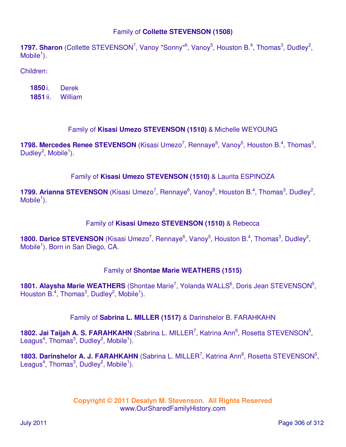### Family of **Collette STEVENSON (1508)**

**1797. Sharon** (Collette STEVENSON<sup>7</sup>, Vanoy "Sonny"<sup>6</sup>, Vanoy<sup>5</sup>, Houston B.<sup>4</sup>, Thomas<sup>3</sup>, Dudley<sup>2</sup>,  $M$ obile<sup>1</sup>).

Children:

| 1850 i.  | <b>Derek</b> |
|----------|--------------|
| 1851 ii. | William      |

## Family of **Kisasi Umezo STEVENSON (1510)** & Michelle WEYOUNG

**1798. Mercedes Renee STEVENSON** (Kisasi Umezo<sup>7</sup>, Rennaye<sup>6</sup>, Vanoy<sup>5</sup>, Houston B.<sup>4</sup>, Thomas<sup>3</sup>, Dudley<sup>2</sup>, Mobile<sup>1</sup>).

### Family of **Kisasi Umezo STEVENSON (1510)** & Laurita ESPINOZA

1799. Arianna STEVENSON (Kisasi Umezo<sup>7</sup>, Rennaye<sup>6</sup>, Vanoy<sup>5</sup>, Houston B.<sup>4</sup>, Thomas<sup>3</sup>, Dudley<sup>2</sup>,  $M$ obile<sup>1</sup>).

#### Family of **Kisasi Umezo STEVENSON (1510)** & Rebecca

**1800. Darice STEVENSON** (Kisasi Umezo<sup>7</sup>, Rennaye<sup>6</sup>, Vanoy<sup>5</sup>, Houston B.<sup>4</sup>, Thomas<sup>3</sup>, Dudley<sup>2</sup>, Mobile<sup>1</sup>). Born in San Diego, CA.

#### Family of **Shontae Marie WEATHERS (1515)**

1801. Alaysha Marie WEATHERS (Shontae Marie<sup>7</sup>, Yolanda WALLS<sup>6</sup>, Doris Jean STEVENSON<sup>5</sup>, Houston B.<sup>4</sup>, Thomas<sup>3</sup>, Dudley<sup>2</sup>, Mobile<sup>1</sup>).

#### Family of **Sabrina L. MILLER (1517)** & Darinshelor B. FARAHKAHN

1802. Jai Taijah A. S. FARAHKAHN (Sabrina L. MILLER<sup>7</sup>, Katrina Ann<sup>6</sup>, Rosetta STEVENSON<sup>5</sup>, Leagus<sup>4</sup>, Thomas<sup>3</sup>, Dudley<sup>2</sup>, Mobile<sup>1</sup>).

1803. Darinshelor A. J. FARAHKAHN (Sabrina L. MILLER<sup>7</sup>, Katrina Ann<sup>6</sup>, Rosetta STEVENSON<sup>5</sup>, Leagus<sup>4</sup>, Thomas<sup>3</sup>, Dudley<sup>2</sup>, Mobile<sup>1</sup>).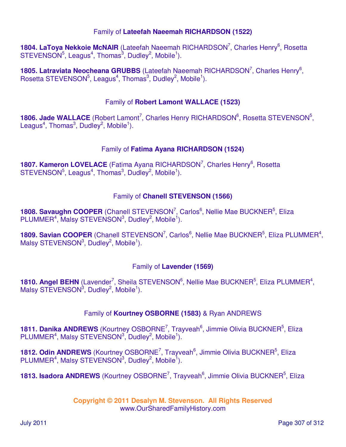### Family of **Lateefah Naeemah RICHARDSON (1522)**

1804. LaToya Nekkoie McNAIR (Lateefah Naeemah RICHARDSON<sup>7</sup>, Charles Henry<sup>6</sup>, Rosetta  $STEVENSON<sup>5</sup>$ , Leagus<sup>4</sup>, Thomas<sup>3</sup>, Dudley<sup>2</sup>, Mobile<sup>1</sup>).

1805. Latraviata Neocheana GRUBBS (Lateefah Naeemah RICHARDSON<sup>7</sup>, Charles Henry<sup>6</sup>, Rosetta STEVENSON<sup>5</sup>, Leagus<sup>4</sup>, Thomas<sup>3</sup>, Dudley<sup>2</sup>, Mobile<sup>1</sup>).

## Family of **Robert Lamont WALLACE (1523)**

1806. Jade WALLACE (Robert Lamont<sup>7</sup>, Charles Henry RICHARDSON<sup>6</sup>, Rosetta STEVENSON<sup>5</sup>, Leagus<sup>4</sup>, Thomas<sup>3</sup>, Dudley<sup>2</sup>, Mobile<sup>1</sup>).

## Family of **Fatima Ayana RICHARDSON (1524)**

1807. Kameron LOVELACE (Fatima Ayana RICHARDSON<sup>7</sup>, Charles Henry<sup>6</sup>, Rosetta  $STEVENSON<sup>5</sup>$ , Leagus<sup>4</sup>, Thomas<sup>3</sup>, Dudley<sup>2</sup>, Mobile<sup>1</sup>).

# Family of **Chanell STEVENSON (1566)**

1808. Savaughn COOPER (Chanell STEVENSON<sup>7</sup>, Carlos<sup>6</sup>, Nellie Mae BUCKNER<sup>5</sup>, Eliza  $PLUMMER<sup>4</sup>$ , Malsy STEVENSON<sup>3</sup>, Dudley<sup>2</sup>, Mobile<sup>1</sup>).

1809. Savian COOPER (Chanell STEVENSON<sup>7</sup>, Carlos<sup>6</sup>, Nellie Mae BUCKNER<sup>5</sup>, Eliza PLUMMER<sup>4</sup>, Malsy STEVENSON $3$ , Dudley $^2$ , Mobile<sup>1</sup>).

## Family of **Lavender (1569)**

**1810. Angel BEHN** (Lavender<sup>7</sup>, Sheila STEVENSON<sup>6</sup>, Nellie Mae BUCKNER<sup>5</sup>, Eliza PLUMMER<sup>4</sup>, Malsy STEVENSON $3$ , Dudley $2$ , Mobile<sup>1</sup>).

## Family of **Kourtney OSBORNE (1583)** & Ryan ANDREWS

1811. Danika ANDREWS (Kourtney OSBORNE<sup>7</sup>, Trayveah<sup>6</sup>, Jimmie Olivia BUCKNER<sup>5</sup>, Eliza  $PLUMMER<sup>4</sup>$ , Malsy STEVENSON<sup>3</sup>, Dudley<sup>2</sup>, Mobile<sup>1</sup>).

**1812. Odin ANDREWS** (Kourtney OSBORNE<sup>7</sup>, Trayveah<sup>6</sup>, Jimmie Olivia BUCKNER<sup>5</sup>, Eliza  $PLUMMER<sup>4</sup>$ , Malsy STEVENSON<sup>3</sup>, Dudley<sup>2</sup>, Mobile<sup>1</sup>).

1813. Isadora ANDREWS (Kourtney OSBORNE<sup>7</sup>, Trayveah<sup>6</sup>, Jimmie Olivia BUCKNER<sup>5</sup>, Eliza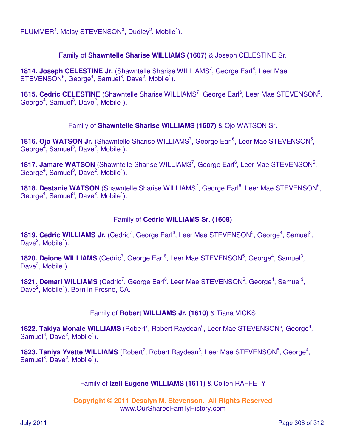$PLUMMER<sup>4</sup>$ , Malsy STEVENSON<sup>3</sup>, Dudley<sup>2</sup>, Mobile<sup>1</sup>).

### Family of **Shawntelle Sharise WILLIAMS (1607)** & Joseph CELESTINE Sr.

1814. Joseph CELESTINE Jr. (Shawntelle Sharise WILLIAMS<sup>7</sup>, George Earl<sup>6</sup>, Leer Mae  $STEVENSON<sup>5</sup>$ , George<sup>4</sup>, Samuel<sup>3</sup>, Dave<sup>2</sup>, Mobile<sup>1</sup>).

1815. Cedric CELESTINE (Shawntelle Sharise WILLIAMS<sup>7</sup>, George Earl<sup>6</sup>, Leer Mae STEVENSON<sup>5</sup>, George<sup>4</sup>, Samuel<sup>3</sup>, Dave<sup>2</sup>, Mobile<sup>1</sup>).

Family of **Shawntelle Sharise WILLIAMS (1607)** & Ojo WATSON Sr.

1816. Ojo WATSON Jr. (Shawntelle Sharise WILLIAMS<sup>7</sup>, George Earl<sup>6</sup>, Leer Mae STEVENSON<sup>5</sup>, George<sup>4</sup>, Samuel<sup>3</sup>, Dave<sup>2</sup>, Mobile<sup>1</sup>).

1817. Jamare WATSON (Shawntelle Sharise WILLIAMS<sup>7</sup>, George Earl<sup>6</sup>, Leer Mae STEVENSON<sup>5</sup>, George<sup>4</sup>, Samuel<sup>3</sup>, Dave<sup>2</sup>, Mobile<sup>1</sup>).

1818. Destanie WATSON (Shawntelle Sharise WILLIAMS<sup>7</sup>, George Earl<sup>6</sup>, Leer Mae STEVENSON<sup>5</sup>, George<sup>4</sup>, Samuel<sup>3</sup>, Dave<sup>2</sup>, Mobile<sup>1</sup>).

#### Family of **Cedric WILLIAMS Sr. (1608)**

1819. Cedric WILLIAMS Jr. (Cedric<sup>7</sup>, George Earl<sup>6</sup>, Leer Mae STEVENSON<sup>5</sup>, George<sup>4</sup>, Samuel<sup>3</sup>, Dave<sup>2</sup>, Mobile<sup>1</sup>).

**1820. Deione WILLIAMS** (Cedric<sup>7</sup>, George Earl<sup>6</sup>, Leer Mae STEVENSON<sup>5</sup>, George<sup>4</sup>, Samuel<sup>3</sup>, Dave<sup>2</sup>, Mobile<sup>1</sup>).

1821. Demari WILLIAMS (Cedric<sup>7</sup>, George Earl<sup>6</sup>, Leer Mae STEVENSON<sup>5</sup>, George<sup>4</sup>, Samuel<sup>3</sup>, Dave<sup>2</sup>, Mobile<sup>1</sup>). Born in Fresno, CA.

### Family of **Robert WILLIAMS Jr. (1610)** & Tiana VICKS

1822. Takiya Monaie WILLIAMS (Robert<sup>7</sup>, Robert Raydean<sup>6</sup>, Leer Mae STEVENSON<sup>5</sup>, George<sup>4</sup>, Samuel<sup>3</sup>, Dave<sup>2</sup>, Mobile<sup>1</sup>).

1823. Taniya Yvette WILLIAMS (Robert<sup>7</sup>, Robert Raydean<sup>6</sup>, Leer Mae STEVENSON<sup>5</sup>, George<sup>4</sup>, Samuel<sup>3</sup>, Dave<sup>2</sup>, Mobile<sup>1</sup>).

### Family of **Izell Eugene WILLIAMS (1611)** & Collen RAFFETY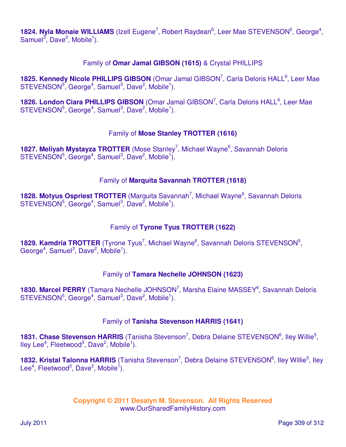1824. Nyla Monaie WILLIAMS (Izell Eugene<sup>7</sup>, Robert Raydean<sup>6</sup>, Leer Mae STEVENSON<sup>5</sup>, George<sup>4</sup>, Samuel<sup>3</sup>, Dave<sup>2</sup>, Mobile<sup>1</sup>).

### Family of **Omar Jamal GIBSON (1615)** & Crystal PHILLIPS

1825. Kennedy Nicole PHILLIPS GIBSON (Omar Jamal GIBSON<sup>7</sup>, Carla Deloris HALL<sup>6</sup>, Leer Mae  $STEVENSON<sup>5</sup>$ , George<sup>4</sup>, Samuel<sup>3</sup>, Dave<sup>2</sup>, Mobile<sup>1</sup>).

1826. London Ciara PHILLIPS GIBSON (Omar Jamal GIBSON<sup>7</sup>, Carla Deloris HALL<sup>6</sup>, Leer Mae  $STEVENSON<sup>5</sup>$ , George<sup>4</sup>, Samuel<sup>3</sup>, Dave<sup>2</sup>, Mobile<sup>1</sup>).

### Family of **Mose Stanley TROTTER (1616)**

1827. Meliyah Mystayza TROTTER (Mose Stanley<sup>7</sup>, Michael Wayne<sup>6</sup>, Savannah Deloris  $STEVENSON<sup>5</sup>$ , George<sup>4</sup>, Samuel<sup>3</sup>, Dave<sup>2</sup>, Mobile<sup>1</sup>).

### Family of **Marquita Savannah TROTTER (1618)**

1828. Motyus Ospriest TROTTER (Marquita Savannah<sup>7</sup>, Michael Wayne<sup>6</sup>, Savannah Deloris  $STEVENSON<sup>5</sup>$ , George<sup>4</sup>, Samuel<sup>3</sup>, Dave<sup>2</sup>, Mobile<sup>1</sup>).

## Family of **Tyrone Tyus TROTTER (1622)**

1829. Kamdria TROTTER (Tyrone Tyus<sup>7</sup>, Michael Wayne<sup>6</sup>, Savannah Deloris STEVENSON<sup>5</sup>, George<sup>4</sup>, Samuel<sup>3</sup>, Dave<sup>2</sup>, Mobile<sup>1</sup>).

### Family of **Tamara Nechelle JOHNSON (1623)**

1830. Marcel PERRY (Tamara Nechelle JOHNSON<sup>7</sup>, Marsha Elaine MASSEY<sup>6</sup>, Savannah Deloris  $STEVENSON<sup>5</sup>$ , George<sup>4</sup>, Samuel<sup>3</sup>, Dave<sup>2</sup>, Mobile<sup>1</sup>).

### Family of **Tanisha Stevenson HARRIS (1641)**

1831. Chase Stevenson HARRIS (Tanisha Stevenson<sup>7</sup>, Debra Delaine STEVENSON<sup>6</sup>, Iley Willie<sup>5</sup>, lley Lee<sup>4</sup>, Fleetwood<sup>3</sup>, Dave<sup>2</sup>, Mobile<sup>1</sup>).

1832. Kristal Talonna HARRIS (Tanisha Stevenson<sup>7</sup>, Debra Delaine STEVENSON<sup>6</sup>, Iley Willie<sup>5</sup>, Iley Lee<sup>4</sup>, Fleetwood<sup>3</sup>, Dave<sup>2</sup>, Mobile<sup>1</sup>).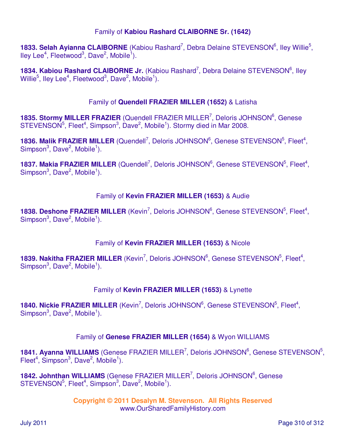### Family of **Kabiou Rashard CLAIBORNE Sr. (1642)**

1833. Selah Ayianna CLAIBORNE (Kabiou Rashard<sup>7</sup>, Debra Delaine STEVENSON<sup>6</sup>, Iley Willie<sup>5</sup>, lley Lee<sup>4</sup>, Fleetwood<sup>3</sup>, Dave<sup>2</sup>, Mobile<sup>1</sup>).

1834. Kabiou Rashard CLAIBORNE Jr. (Kabiou Rashard<sup>7</sup>, Debra Delaine STEVENSON<sup>6</sup>, Iley Willie<sup>5</sup>, Iley Lee<sup>4</sup>, Fleetwood<sup>3</sup>, Dave<sup>2</sup>, Mobile<sup>1</sup>).

#### Family of **Quendell FRAZIER MILLER (1652)** & Latisha

1835. Stormy MILLER FRAZIER (Quendell FRAZIER MILLER<sup>7</sup>, Deloris JOHNSON<sup>6</sup>, Genese STEVENSON<sup>5</sup>, Fleet<sup>4</sup>, Simpson<sup>3</sup>, Dave<sup>2</sup>, Mobile<sup>1</sup>). Stormy died in Mar 2008.

1836. Malik FRAZIER MILLER (Quendell<sup>7</sup>, Deloris JOHNSON<sup>6</sup>, Genese STEVENSON<sup>5</sup>, Fleet<sup>4</sup>, Simpson<sup>3</sup>, Dave<sup>2</sup>, Mobile<sup>1</sup>).

1837. Makia FRAZIER MILLER (Quendell<sup>7</sup>, Deloris JOHNSON<sup>6</sup>, Genese STEVENSON<sup>5</sup>, Fleet<sup>4</sup>, Simpson<sup>3</sup>, Dave<sup>2</sup>, Mobile<sup>1</sup>).

#### Family of **Kevin FRAZIER MILLER (1653)** & Audie

1838. Deshone FRAZIER MILLER (Kevin<sup>7</sup>, Deloris JOHNSON<sup>6</sup>, Genese STEVENSON<sup>5</sup>, Fleet<sup>4</sup>, Simpson<sup>3</sup>, Dave<sup>2</sup>, Mobile<sup>1</sup>).

### Family of **Kevin FRAZIER MILLER (1653)** & Nicole

**1839. Nakitha FRAZIER MILLER** (Kevin<sup>7</sup>, Deloris JOHNSON<sup>6</sup>, Genese STEVENSON<sup>5</sup>, Fleet<sup>4</sup>, Simpson<sup>3</sup>, Dave<sup>2</sup>, Mobile<sup>1</sup>).

### Family of **Kevin FRAZIER MILLER (1653)** & Lynette

**1840. Nickie FRAZIER MILLER** (Kevin<sup>7</sup>, Deloris JOHNSON<sup>6</sup>, Genese STEVENSON<sup>5</sup>, Fleet<sup>4</sup>, Simpson<sup>3</sup>, Dave<sup>2</sup>, Mobile<sup>1</sup>).

### Family of **Genese FRAZIER MILLER (1654)** & Wyon WILLIAMS

1841. Ayanna WILLIAMS (Genese FRAZIER MILLER<sup>7</sup>, Deloris JOHNSON<sup>6</sup>, Genese STEVENSON<sup>5</sup>, Fleet<sup>4</sup>, Simpson<sup>3</sup>, Dave<sup>2</sup>, Mobile<sup>1</sup>).

1842. Johnthan WILLIAMS (Genese FRAZIER MILLER<sup>7</sup>, Deloris JOHNSON<sup>6</sup>, Genese  $STEVENSON<sup>5</sup>$ , Fleet<sup>4</sup>, Simpson<sup>3</sup>, Dave<sup>2</sup>, Mobile<sup>1</sup>).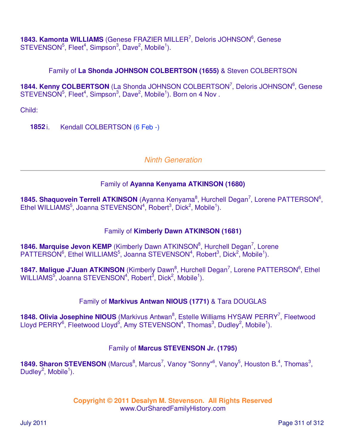1843. Kamonta WILLIAMS (Genese FRAZIER MILLER<sup>7</sup>, Deloris JOHNSON<sup>6</sup>, Genese  $STEVENSON<sup>5</sup>$ , Fleet<sup>4</sup>, Simpson<sup>3</sup>, Dave<sup>2</sup>, Mobile<sup>1</sup>).

## Family of **La Shonda JOHNSON COLBERTSON (1655)** & Steven COLBERTSON

1844. Kenny COLBERTSON (La Shonda JOHNSON COLBERTSON<sup>7</sup>, Deloris JOHNSON<sup>6</sup>, Genese  $STEVENSON<sup>5</sup>$ , Fleet<sup>4</sup>, Simpson<sup>3</sup>, Dave<sup>2</sup>, Mobile<sup>1</sup>). Born on 4 Nov.

Child:

**1852** i. Kendall COLBERTSON (6 Feb -)

# Ninth Generation

# Family of **Ayanna Kenyama ATKINSON (1680)**

1845. Shaquovein Terrell ATKINSON (Ayanna Kenyama<sup>8</sup>, Hurchell Degan<sup>7</sup>, Lorene PATTERSON<sup>6</sup>, Ethel WILLIAMS<sup>5</sup>, Joanna STEVENSON<sup>4</sup>, Robert<sup>3</sup>, Dick<sup>2</sup>, Mobile<sup>1</sup>).

## Family of **Kimberly Dawn ATKINSON (1681)**

1846. Marquise Jevon KEMP (Kimberly Dawn ATKINSON<sup>8</sup>, Hurchell Degan<sup>7</sup>, Lorene PATTERSON<sup>6</sup>, Ethel WILLIAMS<sup>5</sup>, Joanna STEVENSON<sup>4</sup>, Robert<sup>3</sup>, Dick<sup>2</sup>, Mobile<sup>1</sup>).

1847. Malique J'Juan ATKINSON (Kimberly Dawn<sup>8</sup>, Hurchell Degan<sup>7</sup>, Lorene PATTERSON<sup>6</sup>, Ethel  $\textsf{WILLIAMS}^5$ , Joanna STEVENSON<sup>4</sup>, Robert $^3$ , Dick<sup>2</sup>, Mobile<sup>1</sup>).

## Family of **Markivus Antwan NIOUS (1771)** & Tara DOUGLAS

1848. Olivia Josephine NIOUS (Markivus Antwan<sup>8</sup>, Estelle Williams HYSAW PERRY<sup>7</sup>, Fleetwood Lloyd PERRY<sup>6</sup>, Fleetwood Lloyd<sup>5</sup>, Amy STEVENSON<sup>4</sup>, Thomas<sup>3</sup>, Dudley<sup>2</sup>, Mobile<sup>1</sup>).

## Family of **Marcus STEVENSON Jr. (1795)**

**1849. Sharon STEVENSON** (Marcus<sup>8</sup>, Marcus<sup>7</sup>, Vanoy "Sonny"<sup>6</sup>, Vanoy<sup>5</sup>, Houston B.<sup>4</sup>, Thomas<sup>3</sup>, Dudley<sup>2</sup>, Mobile<sup>1</sup>).